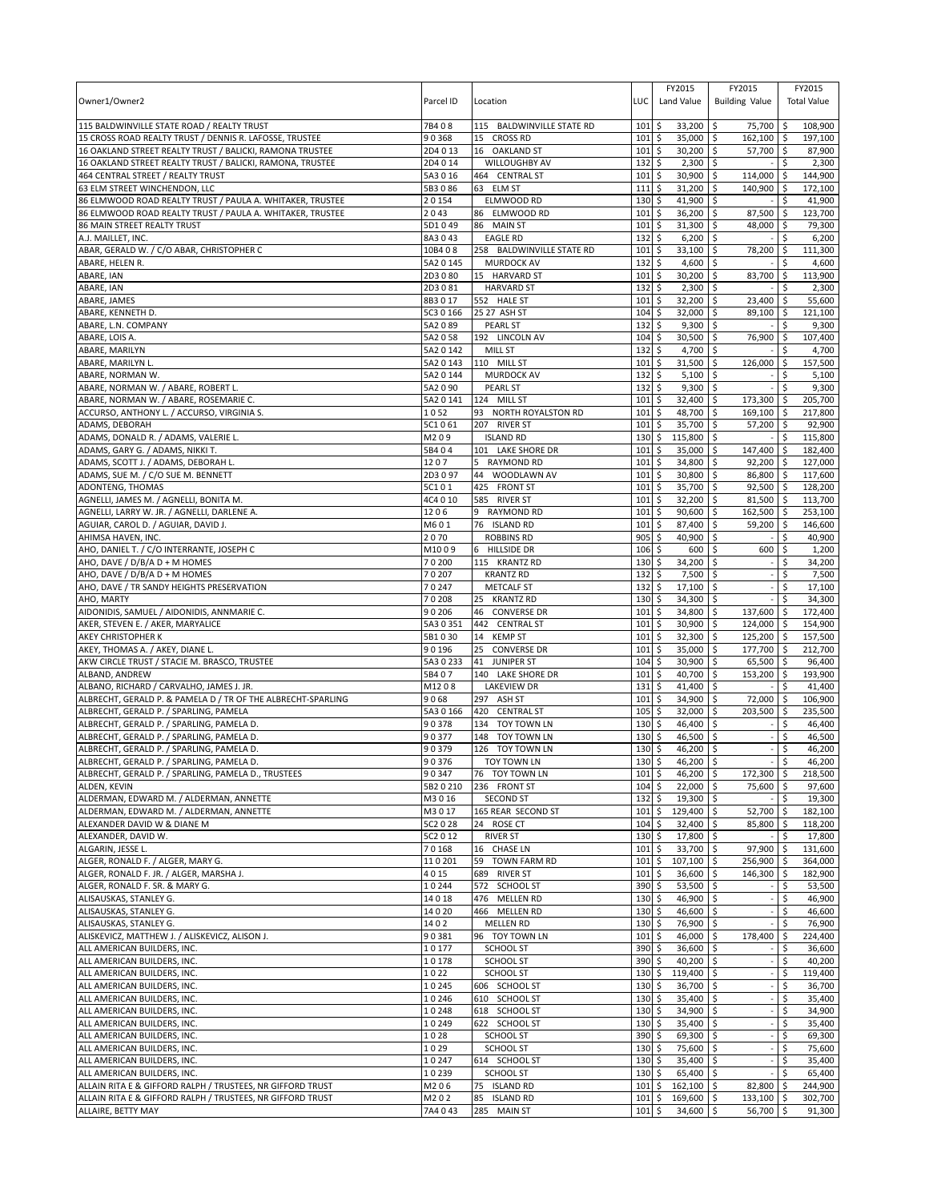| Owner1/Owner2                                                                                                            | Parcel ID            | Location                                | LUC         | FY2015<br>Land Value                  | FY2015<br><b>Building Value</b>       | FY2015<br><b>Total Value</b>            |
|--------------------------------------------------------------------------------------------------------------------------|----------------------|-----------------------------------------|-------------|---------------------------------------|---------------------------------------|-----------------------------------------|
| 115 BALDWINVILLE STATE ROAD / REALTY TRUST                                                                               | 7B408                | 115 BALDWINVILLE STATE RD               | 101         | \$<br>33,200                          | \$<br>75,700 \$                       | 108,900                                 |
| 15 CROSS ROAD REALTY TRUST / DENNIS R. LAFOSSE, TRUSTEE<br>16 OAKLAND STREET REALTY TRUST / BALICKI, RAMONA TRUSTEE      | 90368<br>2D4 0 13    | 15 CROSS RD<br>16 OAKLAND ST            | 101<br>101  | \$<br>35,000<br>30,200<br>\$          | $162,100$ \$<br>\$<br>\$<br>57,700 \$ | 197,100<br>87,900                       |
| 16 OAKLAND STREET REALTY TRUST / BALICKI, RAMONA, TRUSTEE                                                                | 2D4 0 14             | <b>WILLOUGHBY AV</b>                    | 132         | \$<br>2,300                           | \$                                    | \$<br>2,300                             |
| 464 CENTRAL STREET / REALTY TRUST                                                                                        | 5A3 0 16             | 464 CENTRAL ST                          | 101         | 30,900<br>\$                          | \$<br>114,000                         | 144,900<br>۱\$                          |
| 63 ELM STREET WINCHENDON, LLC                                                                                            | 5B3086               | 63 ELM ST                               | 111         | 31,200<br>\$                          | \$<br>140.900                         | \$<br>172,100                           |
| 86 ELMWOOD ROAD REALTY TRUST / PAULA A. WHITAKER, TRUSTEE                                                                | 20154                | ELMWOOD RD                              | 130         | 41,900<br>\$                          | \$                                    | \$<br>41,900                            |
| 86 ELMWOOD ROAD REALTY TRUST / PAULA A. WHITAKER, TRUSTEE                                                                | 2043                 | 86 ELMWOOD RD                           | 101         | 36,200<br>\$                          | \$<br>87,500                          | l\$<br>123,700                          |
| 86 MAIN STREET REALTY TRUST                                                                                              | 5D1049               | 86 MAIN ST                              | 101         | 31,300<br>\$                          | \$<br>48,000                          | \$<br>79,300                            |
| A.J. MAILLET, INC.                                                                                                       | 8A3043               | <b>EAGLE RD</b>                         | 132         | \$<br>6,200                           | \$                                    | 6,200<br>\$                             |
| ABAR, GERALD W. / C/O ABAR, CHRISTOPHER C                                                                                | 10B4 08<br>5A2 0 145 | 258 BALDWINVILLE STATE RD               | 101<br>132  | 33,100<br>\$<br>4,600                 | 78,200<br>\$                          | 111,300<br>\$<br>Ś                      |
| ABARE, HELEN R.<br>ABARE, IAN                                                                                            | 2D3080               | <b>MURDOCK AV</b><br>15 HARVARD ST      | 101         | \$<br>30,200<br>\$                    | \$<br>\$<br>83,700                    | 4,600<br>113,900<br>l \$                |
| ABARE, IAN                                                                                                               | 2D3081               | <b>HARVARD ST</b>                       | 132         | \$<br>2,300                           | \$                                    | 2,300<br>\$                             |
| ABARE, JAMES                                                                                                             | 8B3017               | 552 HALE ST                             | 101         | \$<br>32,200                          | \$<br>23,400 \$                       | 55,600                                  |
| ABARE, KENNETH D.                                                                                                        | 5C3 0 166            | 25 27 ASH ST                            | 104         | \$<br>32,000                          | \$<br>89,100 \$                       | 121,100                                 |
| ABARE, L.N. COMPANY                                                                                                      | 5A2089               | <b>PEARL ST</b>                         | 132         | \$<br>9,300                           | \$                                    | Ŝ.<br>9,300                             |
| ABARE, LOIS A.                                                                                                           | 5A2058               | 192 LINCOLN AV                          | $104 \,$ \$ | $30,500$ \$                           | 76,900 \$                             | 107,400                                 |
| ABARE, MARILYN                                                                                                           | 5A2 0 142            | MILL ST                                 | 132         | \$<br>4,700                           | \$                                    | \$<br>4,700                             |
| ABARE, MARILYN L                                                                                                         | 5A2 0 143            | 110 MILL ST                             | 101         | \$<br>31,500                          | \$<br>126,000 \$                      | 157,500                                 |
| ABARE, NORMAN W.                                                                                                         | 5A2 0 144            | <b>MURDOCK AV</b>                       | 132         | \$<br>5,100                           | l\$<br>$\sim$                         | \$<br>5,100                             |
| ABARE, NORMAN W. / ABARE, ROBERT L.                                                                                      | 5A2 0 90             | PEARL ST                                | 132         | \$<br>9,300                           | \$                                    | \$<br>9,300                             |
| ABARE, NORMAN W. / ABARE, ROSEMARIE C.<br>ACCURSO, ANTHONY L. / ACCURSO, VIRGINIA S.                                     | 5A2 0 141<br>1052    | 124 MILL ST<br>93 NORTH ROYALSTON RD    | 101<br>101  | 32,400<br>\$<br>48,700<br>\$          | \$<br>173,300 \$<br>\$<br>169,100 \$  | 205,700<br>217,800                      |
| ADAMS, DEBORAH                                                                                                           | 5C1061               | 207 RIVER ST                            | 101         | \$<br>35,700                          | \$<br>$57.200$ \$                     | 92,900                                  |
| ADAMS, DONALD R. / ADAMS, VALERIE L.                                                                                     | M209                 | <b>ISLAND RD</b>                        | 130         | \$<br>115,800                         | l\$                                   | 115,800<br>\$                           |
| ADAMS, GARY G. / ADAMS, NIKKI T.                                                                                         | 5B404                | 101 LAKE SHORE DR                       | 101         | 35,000<br>\$                          | \$<br>147,400 \$                      | 182,400                                 |
| ADAMS, SCOTT J. / ADAMS, DEBORAH L.                                                                                      | 1207                 | 5 RAYMOND RD                            | 101         | 34,800<br>\$                          | \$<br>$92,200$ \$                     | 127,000                                 |
| ADAMS, SUE M. / C/O SUE M. BENNETT                                                                                       | 2D3097               | 44 WOODLAWN AV                          | 101         | 30,800<br>\$                          | \$<br>86,800 \$                       | 117,600                                 |
| ADONTENG, THOMAS                                                                                                         | 5C101                | 425 FRONT ST                            | 101         | 35,700<br>\$                          | \$<br>$92,500$ \$                     | 128,200                                 |
| AGNELLI, JAMES M. / AGNELLI, BONITA M                                                                                    | 4C4 0 10             | 585 RIVER ST                            | 101         | \$<br>32,200                          | \$<br>81,500 \$                       | 113,700                                 |
| AGNELLI, LARRY W. JR. / AGNELLI, DARLENE A.                                                                              | 1206                 | 9 RAYMOND RD                            | 101         | 90,600<br>\$                          | 162,500 \$<br>\$                      | 253,100                                 |
| AGUIAR, CAROL D. / AGUIAR, DAVID J.                                                                                      | M601                 | 76 ISLAND RD                            | 101         | \$<br>87,400                          | 59,200 \$<br>\$                       | 146,600                                 |
| AHIMSA HAVEN, INC.<br>AHO, DANIEL T. / C/O INTERRANTE, JOSEPH C                                                          | 2070<br>M1009        | <b>ROBBINS RD</b><br>6 HILLSIDE DR      | 905<br>106  | 40,900<br>\$<br>\$<br>600             | \$<br>\$<br>600                       | 40,900<br>\$.<br>S.<br>1,200            |
| AHO, DAVE / D/B/A D + M HOMES                                                                                            | 70200                | 115 KRANTZ RD                           | 130         | 34,200<br>\$                          | \$                                    | 34,200<br>\$                            |
| AHO, DAVE / D/B/A D + M HOMES                                                                                            | 70207                | <b>KRANTZ RD</b>                        | 132         | 7,500<br>\$                           | l\$                                   | 7,500<br>Ś                              |
| AHO, DAVE / TR SANDY HEIGHTS PRESERVATION                                                                                | 70247                | <b>METCALF ST</b>                       | 132         | \$<br>17,100                          | \$                                    | \$<br>17,100                            |
| AHO, MARTY                                                                                                               | 70208                | 25 KRANTZ RD                            | 130         | 34,300<br>\$                          | \$                                    | 34,300<br>Ś                             |
| AIDONIDIS, SAMUEL / AIDONIDIS, ANNMARIE C.                                                                               | 90206                | 46 CONVERSE DR                          | 101         | 34,800<br>\$                          | 137,600 \$<br>l \$                    | 172,400                                 |
| AKER, STEVEN E. / AKER, MARYALICE                                                                                        | 5A3 0 351            | 442 CENTRAL ST                          | 101         | \$<br>30,900                          | \$<br>124,000 \$                      | 154,900                                 |
| AKEY CHRISTOPHER K                                                                                                       | 5B1030               | 14 KEMP ST                              | 101         | \$<br>32,300                          | \$<br>125,200 \$                      | 157,500                                 |
| AKEY, THOMAS A. / AKEY, DIANE L.                                                                                         | 90196                | 25<br><b>CONVERSE DR</b>                | 101         | \$<br>35,000                          | \$<br>177,700 \$                      | 212,700                                 |
| AKW CIRCLE TRUST / STACIE M. BRASCO, TRUSTEE                                                                             | 5A3 0 233            | 41 JUNIPER ST                           | 104         | \$<br>30,900                          | \$<br>65,500 \$                       | 96,400                                  |
| ALBAND, ANDREW<br>ALBANO, RICHARD / CARVALHO, JAMES J. JR.                                                               | 5B407<br>M1208       | 140 LAKE SHORE DR<br><b>LAKEVIEW DR</b> | 101<br>131  | \$<br>40,700<br>\$<br>41,400          | 5<br>153,200 \$<br>\$                 | 193,900<br>$\ddot{\varsigma}$<br>41,400 |
| ALBRECHT, GERALD P. & PAMELA D / TR OF THE ALBRECHT-SPARLING                                                             | 9068                 | 297 ASH ST                              | 101         | 34,900<br>\$                          | \$<br>72,000 \$                       | 106,900                                 |
| ALBRECHT, GERALD P. / SPARLING, PAMELA                                                                                   | 5A3 0 166            | 420 CENTRAL ST                          | 105         | 32,000<br>\$                          | \$<br>203,500 \$                      | 235,500                                 |
| ALBRECHT, GERALD P. / SPARLING, PAMELA D.                                                                                | 90378                | 134 TOY TOWN LN                         | 130         | 46,400<br>\$                          | \$                                    | 46,400<br>\$                            |
| ALBRECHT, GERALD P. / SPARLING, PAMELA D.                                                                                | 90377                | 148 TOY TOWN LN                         | 130         | 46,500<br>\$                          | \$                                    | \$<br>46,500                            |
| ALBRECHT, GERALD P. / SPARLING, PAMELA D.                                                                                | 90379                | 126 TOY TOWN LN                         | 130         | 46,200<br>\$                          | \$                                    | 46,200<br>\$                            |
| ALBRECHT, GERALD P. / SPARLING, PAMELA D.                                                                                | 90376                | <b>TOY TOWN LN</b>                      | 130S        | 46.200 \$                             |                                       | \$<br>46.200                            |
| ALBRECHT, GERALD P. / SPARLING, PAMELA D., TRUSTEES                                                                      | 90347                | 76 TOY TOWN LN                          | 101         | 46,200<br>\$                          | $\ddot{s}$<br>172,300 \$              | 218,500                                 |
| ALDEN, KEVIN                                                                                                             | 5B2 0 210            | 236 FRONT ST                            | 104         | \$<br>22,000 \$                       | 75,600 \$                             | 97,600                                  |
| ALDERMAN, EDWARD M. / ALDERMAN, ANNETTE                                                                                  | M3016                | <b>SECOND ST</b>                        | 132         | \$<br>$19,300$ \$                     |                                       | \$<br>19,300                            |
| ALDERMAN, EDWARD M. / ALDERMAN, ANNETTE                                                                                  | M3017                | 165 REAR SECOND ST                      | 101<br>104  | \$<br>129,400 \$                      | 52,700 \$                             | 182,100                                 |
| ALEXANDER DAVID W & DIANE M<br>ALEXANDER, DAVID W.                                                                       | 5C2 0 28<br>5C2 0 12 | 24 ROSE CT<br><b>RIVER ST</b>           | 130         | 32,400 \$<br>\$<br>\$<br>17,800 \$    | 85,800 \$                             | 118,200<br>17,800<br>\$                 |
| ALGARIN, JESSE L.                                                                                                        | 70168                | 16 CHASE LN                             | 101         | 33,700 \$<br>\$                       | $97,900$ \$                           | 131,600                                 |
| ALGER, RONALD F. / ALGER, MARY G.                                                                                        | 110201               | 59<br>TOWN FARM RD                      | 101         | \$<br>$107,100$ \$                    | 256,900 \$                            | 364,000                                 |
| ALGER, RONALD F. JR. / ALGER, MARSHA J.                                                                                  | 4015                 | 689 RIVER ST                            | 101         | \$<br>36,600                          | $\sqrt{5}$<br>146,300 \$              | 182,900                                 |
| ALGER, RONALD F. SR. & MARY G.                                                                                           | 10244                | 572 SCHOOL ST                           | 390         | \$<br>$53,500$ \$                     |                                       | \$<br>53,500                            |
| ALISAUSKAS, STANLEY G.                                                                                                   | 14018                | 476 MELLEN RD                           | 130         | \$<br>46,900 \$                       |                                       | \$<br>46,900                            |
| ALISAUSKAS, STANLEY G.                                                                                                   | 14020                | 466 MELLEN RD                           | 130         | \$<br>46,600 \$                       |                                       | \$<br>46,600                            |
| ALISAUSKAS, STANLEY G.                                                                                                   | 1402                 | <b>MELLEN RD</b>                        | 130         | 76,900 \$<br>\$                       | $\overline{\phantom{a}}$              | \$<br>76,900                            |
| ALISKEVICZ, MATTHEW J. / ALISKEVICZ, ALISON J.                                                                           | 90381                | 96 TOY TOWN LN                          | 101         | \$<br>46,000 \$                       | 178,400 \$                            | 224,400                                 |
| ALL AMERICAN BUILDERS, INC.                                                                                              | 10177                | SCHOOL ST                               | 390<br>390  | \$<br>$36,600$ \$                     |                                       | $-5$<br>36,600<br>\$                    |
| ALL AMERICAN BUILDERS, INC.<br>ALL AMERICAN BUILDERS, INC.                                                               | 10178<br>1022        | SCHOOL ST<br>SCHOOL ST                  | 130         | \$<br>$40,200$ \$<br>\$<br>119,400 \$ |                                       | 40,200<br>119,400<br>\$                 |
| ALL AMERICAN BUILDERS, INC.                                                                                              | 10245                | 606 SCHOOL ST                           | 130         | \$<br>36,700 \$                       | ÷.                                    | \$<br>36,700                            |
| ALL AMERICAN BUILDERS, INC.                                                                                              | 10246                | 610 SCHOOL ST                           | 130         | \$<br>$35,400$ \$                     |                                       | \$<br>35,400                            |
| ALL AMERICAN BUILDERS, INC.                                                                                              | 10248                | 618 SCHOOL ST                           | 130         | \$<br>34,900 \$                       |                                       | 34,900<br>\$                            |
| ALL AMERICAN BUILDERS, INC.                                                                                              | 10249                | 622 SCHOOL ST                           | 130         | \$<br>35,400 \$                       |                                       | \$<br>35,400                            |
| ALL AMERICAN BUILDERS, INC.                                                                                              | 1028                 | SCHOOL ST                               | 390         | 69,300 \$<br>\$                       |                                       | \$<br>69,300                            |
| ALL AMERICAN BUILDERS, INC.                                                                                              | 1029                 | SCHOOL ST                               | 130         | \$<br>75,600 \$                       |                                       | \$<br>75,600                            |
| ALL AMERICAN BUILDERS, INC.                                                                                              | 10247                | 614 SCHOOL ST                           | 130         | 35,400 \$<br>\$                       |                                       | 35,400<br>\$                            |
| ALL AMERICAN BUILDERS, INC.                                                                                              |                      |                                         |             |                                       |                                       |                                         |
|                                                                                                                          | 10239                | SCHOOL ST                               | 130         | \$<br>65,400 \$                       |                                       | \$<br>65,400                            |
| ALLAIN RITA E & GIFFORD RALPH / TRUSTEES, NR GIFFORD TRUST<br>ALLAIN RITA E & GIFFORD RALPH / TRUSTEES, NR GIFFORD TRUST | M206<br>M202         | 75 ISLAND RD<br>85<br><b>ISLAND RD</b>  | 101<br>101  | \$<br>162,100 \$<br>169,600 \$<br>\$  | 82,800 \$<br>133,100 \$               | 244,900<br>302,700                      |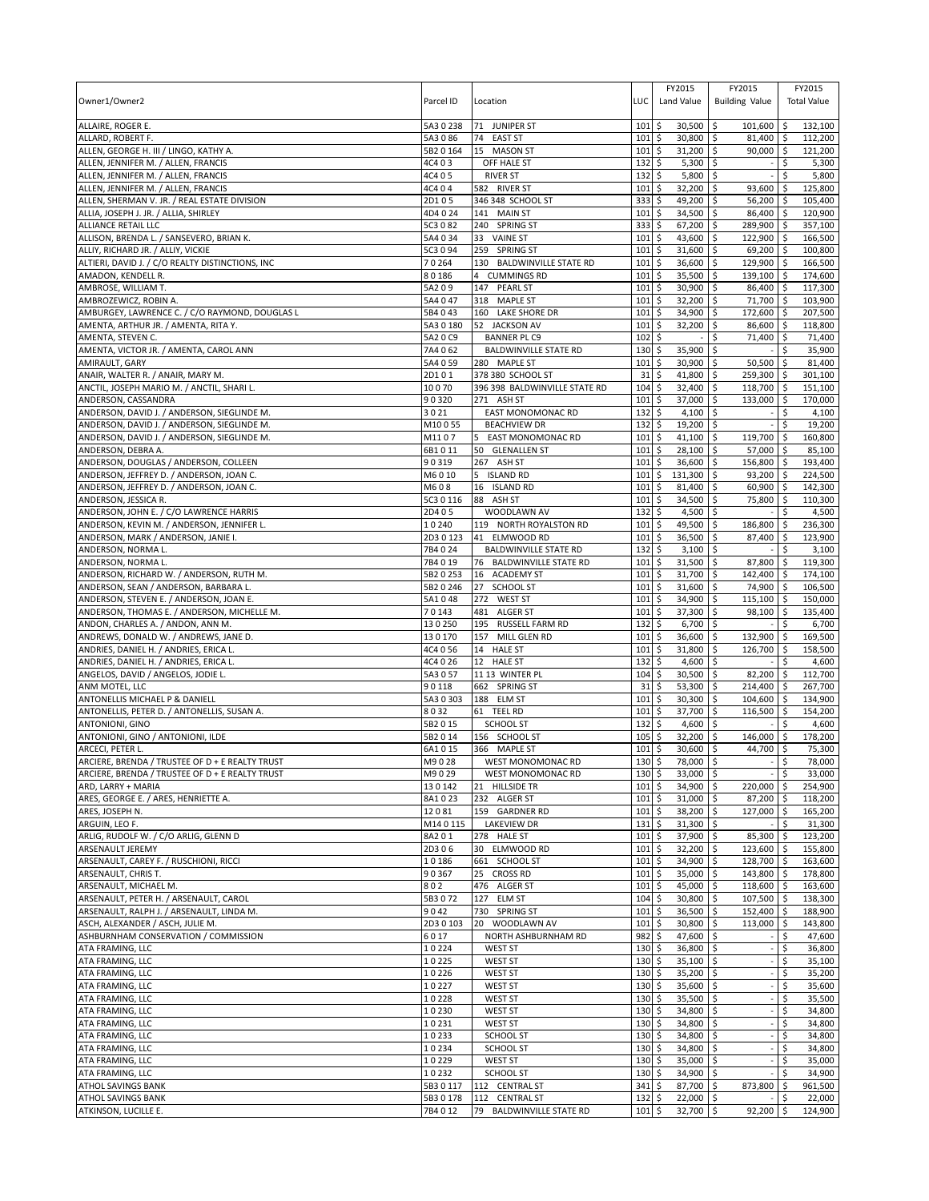| Owner1/Owner2                                                                     | Parcel ID           | Location                                                 | LUC                | FY2015<br>Land Value            | FY2015<br><b>Building Value</b>      |          | FY2015<br><b>Total Value</b> |
|-----------------------------------------------------------------------------------|---------------------|----------------------------------------------------------|--------------------|---------------------------------|--------------------------------------|----------|------------------------------|
| ALLAIRE, ROGER E.                                                                 | 5A30238             | 71 JUNIPER ST                                            | 101                | 30,500<br>\$                    | 101,600 \$<br>l \$                   |          | 132,100                      |
| ALLARD, ROBERT F.                                                                 | 5A3086<br>5B2 0 164 | 74<br><b>EAST ST</b><br>15 MASON ST                      | 101<br>101         | \$<br>30,800<br>31,200          | \$<br>81,400 \$<br>\$<br>$90,000$ \$ |          | 112,200<br>121,200           |
| ALLEN, GEORGE H. III / LINGO, KATHY A.<br>ALLEN, JENNIFER M. / ALLEN, FRANCIS     | 4C403               | OFF HALE ST                                              | 132                | \$<br>\$<br>5,300               | \$                                   | Ś        | 5,300                        |
| ALLEN, JENNIFER M. / ALLEN, FRANCIS                                               | 4C405               | <b>RIVER ST</b>                                          | 132                | 5,800<br>\$                     | \$                                   | \$       | 5,800                        |
| ALLEN, JENNIFER M. / ALLEN, FRANCIS                                               | 4C4 0 4             | 582 RIVER ST                                             | 101                | \$<br>32,200                    | \$<br>93,600 \$                      |          | 125,800                      |
| ALLEN, SHERMAN V. JR. / REAL ESTATE DIVISION                                      | 2D105               | 346 348 SCHOOL ST                                        | 333                | \$<br>49,200                    | \$<br>56,200 \$                      |          | 105,400                      |
| ALLIA, JOSEPH J. JR. / ALLIA, SHIRLEY<br>ALLIANCE RETAIL LLC                      | 4D4024<br>5C3 0 82  | 141 MAIN ST<br>240 SPRING ST                             | 101<br>333         | \$<br>34,500<br>67,200<br>\$    | \$<br>86,400 \$<br>\$<br>289,900 \$  |          | 120,900<br>357,100           |
| ALLISON, BRENDA L. / SANSEVERO, BRIAN K.                                          | 5A4 0 34            | 33<br><b>VAINE ST</b>                                    | 101                | \$<br>43,600                    | \$<br>122,900 \$                     |          | 166,500                      |
| ALLIY, RICHARD JR. / ALLIY, VICKIE                                                | 5C3 0 94            | 259 SPRING ST                                            | 101                | 31,600<br>\$                    | \$<br>69,200 \$                      |          | 100,800                      |
| ALTIERI, DAVID J. / C/O REALTY DISTINCTIONS, INC                                  | 70264               | 130<br><b>BALDWINVILLE STATE RD</b>                      | 101                | 36,600<br>\$                    | \$<br>129,900 \$                     |          | 166,500                      |
| AMADON, KENDELL R.                                                                | 80186               | 4 CUMMINGS RD                                            | 101                | \$<br>35,500                    | \$<br>139,100 \$                     |          | 174,600                      |
| AMBROSE, WILLIAM T.                                                               | 5A209               | PEARL ST<br>147                                          | 101                | \$<br>30,900                    | \$<br>86,400 \$                      |          | 117,300                      |
| AMBROZEWICZ, ROBIN A.<br>AMBURGEY, LAWRENCE C. / C/O RAYMOND, DOUGLAS L           | 5A4 0 47<br>5B4043  | 318 MAPLE ST<br>160 LAKE SHORE DR                        | 101<br>101         | \$<br>32,200<br>\$<br>34,900    | \$<br>71,700 \$<br>\$<br>172,600 \$  |          | 103,900<br>207,500           |
| AMENTA, ARTHUR JR. / AMENTA, RITA Y.                                              | 5A3 0 180           | 52 JACKSON AV                                            | 101                | \$<br>32,200                    | \$<br>86,600 \$                      |          | 118,800                      |
| AMENTA, STEVEN C.                                                                 | 5A2 0 C9            | <b>BANNER PL C9</b>                                      | 102                | \$                              | \$<br>71,400 \$                      |          | 71,400                       |
| AMENTA, VICTOR JR. / AMENTA, CAROL ANN                                            | 7A4 062             | <b>BALDWINVILLE STATE RD</b>                             | 130                | \$<br>35,900                    | \$                                   | \$       | 35,900                       |
| AMIRAULT, GARY                                                                    | 5A4 0 59            | 280 MAPLE ST                                             | 101                | \$<br>30,900                    | \$<br>$50,500$ \$                    |          | 81,400                       |
| ANAIR, WALTER R. / ANAIR, MARY M.                                                 | 2D101               | 378 380 SCHOOL ST                                        | 31                 | \$<br>41,800                    | 5<br>259,300 \$                      |          | 301,100                      |
| ANCTIL, JOSEPH MARIO M. / ANCTIL, SHARI L.<br>ANDERSON, CASSANDRA                 | 10070<br>90320      | 396 398 BALDWINVILLE STATE RD<br>271 ASH ST              | 104<br>101         | \$<br>32,400<br>\$<br>37,000    | \$<br>118,700 \$<br>\$<br>133,000 \$ |          | 151,100<br>170,000           |
| ANDERSON, DAVID J. / ANDERSON, SIEGLINDE M.                                       | 3021                | <b>EAST MONOMONAC RD</b>                                 | 132                | \$<br>$4,100$ \$                | ÷,                                   | \$       | 4,100                        |
| ANDERSON, DAVID J. / ANDERSON, SIEGLINDE M.                                       | M10055              | <b>BEACHVIEW DR</b>                                      | 132                | \$<br>19,200                    | \$                                   | \$       | 19,200                       |
| ANDERSON, DAVID J. / ANDERSON, SIEGLINDE M.                                       | M1107               | EAST MONOMONAC RD<br>5                                   | 101                | 41,100<br>\$                    | 5<br>119,700 \$                      |          | 160,800                      |
| ANDERSON, DEBRA A.                                                                | 6B1011              | 50 GLENALLEN ST                                          | 101                | \$<br>28,100                    | \$<br>57,000 \$                      |          | 85,100                       |
| ANDERSON, DOUGLAS / ANDERSON, COLLEEN<br>ANDERSON, JEFFREY D. / ANDERSON, JOAN C. | 90319               | 267 ASH ST                                               | 101<br>101         | 36,600<br>\$<br>\$<br>131,300   | \$<br>156,800 \$<br>93,200 \$        |          | 193,400<br>224,500           |
| ANDERSON, JEFFREY D. / ANDERSON, JOAN C.                                          | M6010<br>M608       | 5 ISLAND RD<br>16 ISLAND RD                              | 101                | 81,400<br>\$                    | \$<br>\$<br>$60,900$ \$              |          | 142,300                      |
| ANDERSON, JESSICA R.                                                              | 5C3 0 116           | 88<br>ASH ST                                             | 101                | \$<br>34,500                    | \$<br>75,800 \$                      |          | 110,300                      |
| ANDERSON, JOHN E. / C/O LAWRENCE HARRIS                                           | 2D405               | WOODLAWN AV                                              | 132                | 4,500<br>\$                     | \$                                   | \$       | 4,500                        |
| ANDERSON, KEVIN M. / ANDERSON, JENNIFER L.                                        | 10240               | 119 NORTH ROYALSTON RD                                   | 101                | \$<br>49,500                    | \$<br>186,800 \$                     |          | 236,300                      |
| ANDERSON, MARK / ANDERSON, JANIE I.                                               | 2D3 0 123           | 41 ELMWOOD RD                                            | 101                | 36,500<br>\$                    | \$<br>87,400 \$                      |          | 123,900                      |
| ANDERSON, NORMA L.<br>ANDERSON, NORMA L.                                          | 7B4024<br>7B4019    | <b>BALDWINVILLE STATE RD</b><br>76 BALDWINVILLE STATE RD | 132<br>101         | \$<br>3,100<br>\$<br>31,500     | \$<br>\$<br>87,800 \$                | \$       | 3,100<br>119,300             |
| ANDERSON, RICHARD W. / ANDERSON, RUTH M.                                          | 5B2 0 253           | 16<br><b>ACADEMY ST</b>                                  | 101                | \$<br>31,700                    | 142,400 \$<br>\$                     |          | 174,100                      |
| ANDERSON, SEAN / ANDERSON, BARBARA L.                                             | 5B2 0 246           | <b>SCHOOL ST</b><br>27                                   | 101                | \$<br>31,600                    | \$<br>74,900 \$                      |          | 106,500                      |
| ANDERSON, STEVEN E. / ANDERSON, JOAN E.                                           | 5A1048              | 272<br><b>WEST ST</b>                                    | 101                | \$<br>34,900                    | \$<br>$115,100$ \$                   |          | 150,000                      |
| ANDERSON, THOMAS E. / ANDERSON, MICHELLE M.                                       | 70143               | 481<br><b>ALGER ST</b>                                   | 101                | 37,300<br>\$                    | \$<br>98,100 \$                      |          | 135,400                      |
| ANDON, CHARLES A. / ANDON, ANN M.                                                 | 130250              | 195 RUSSELL FARM RD                                      | 132                | \$<br>6,700                     | \$                                   | \$       | 6,700                        |
| ANDREWS, DONALD W. / ANDREWS, JANE D.<br>ANDRIES, DANIEL H. / ANDRIES, ERICA L.   | 130170<br>4C4 0 56  | 157<br>MILL GLEN RD<br>14 HALE ST                        | 101<br>101         | \$<br>36,600<br>\$<br>31,800    | \$<br>132,900<br>\$<br>126,700 \$    | \$       | 169,500<br>158,500           |
| ANDRIES, DANIEL H. / ANDRIES, ERICA L.                                            | 4C4 0 26            | 12 HALE ST                                               | 132                | \$<br>4,600                     | $\mathsf{\hat{S}}$                   | \$       | 4,600                        |
| ANGELOS, DAVID / ANGELOS, JODIE L.                                                | 5A3057              | 11 13 WINTER PL                                          | 104                | \$<br>30,500                    | 5<br>82,200 \$                       |          | 112,700                      |
| ANM MOTEL, LLC                                                                    | 90118               | 662 SPRING ST                                            | 31                 | \$<br>53,300                    | \$<br>214,400 \$                     |          | 267,700                      |
| ANTONELLIS MICHAEL P & DANIELL                                                    | 5A3 0 303           | 188 ELM ST                                               | 101                | 30,300<br>\$                    | \$<br>104,600 \$                     |          | 134,900                      |
| ANTONELLIS, PETER D. / ANTONELLIS, SUSAN A.<br>ANTONIONI, GINO                    | 8032<br>5B2 0 15    | 61 TEEL RD<br><b>SCHOOL ST</b>                           | 101<br>132         | \$<br>37,700<br>\$<br>4,600     | \$<br>116,500 \$<br>\$               | \$       | 154,200<br>4,600             |
| ANTONIONI, GINO / ANTONIONI, ILDE                                                 | 5B2 0 14            | 156 SCHOOL ST                                            | 105                | \$<br>32,200                    | \$<br>146,000                        | \$       | 178,200                      |
| ARCECI, PETER L.                                                                  | 6A1015              | 366 MAPLE ST                                             | 101                | \$<br>30,600                    | \$<br>44,700 \$                      |          | 75,300                       |
| ARCIERE. BRENDA / TRUSTEE OF D + E REALTY TRUST                                   | M9028               | <b>WEST MONOMONAC RD</b>                                 | 130S               | 78,000 \$                       |                                      | $-1s$    | 78.000                       |
| ARCIERE, BRENDA / TRUSTEE OF D + E REALTY TRUST                                   | M9029               | WEST MONOMONAC RD                                        | 130                | \$<br>33,000                    | \$                                   | \$       | 33,000                       |
| ARD, LARRY + MARIA<br>ARES, GEORGE E. / ARES, HENRIETTE A.                        | 130142<br>8A1023    | 21 HILLSIDE TR<br>232 ALGER ST                           | 101<br>101         | \$<br>34,900<br>31,000          | \$<br>220,000 \$<br>\$<br>87,200 \$  |          | 254,900                      |
| ARES, JOSEPH N.                                                                   | 12081               | 159 GARDNER RD                                           | 101                | \$<br>\$<br>38,200 \$           | 127,000 \$                           |          | 118,200<br>165,200           |
| ARGUIN, LEO F.                                                                    | M140115             | LAKEVIEW DR                                              | 131                | 31,300<br>\$                    | \$                                   | $-$ \$   | 31,300                       |
| ARLIG, RUDOLF W. / C/O ARLIG, GLENN D                                             | 8A201               | 278 HALE ST                                              | 101                | \$<br>37,900 \$                 | 85,300 \$                            |          | 123,200                      |
| ARSENAULT JEREMY                                                                  | 2D306               | 30 ELMWOOD RD                                            | 101                | \$<br>32,200                    | 123,600 \$<br>l\$                    |          | 155,800                      |
| ARSENAULT, CAREY F. / RUSCHIONI, RICCI<br>ARSENAULT, CHRIS T.                     | 10186<br>90367      | 661 SCHOOL ST<br>25 CROSS RD                             | 101<br>101         | \$<br>34,900<br>\$<br>35,000    | \$<br>128,700 \$<br>\$<br>143,800 \$ |          | 163,600<br>178,800           |
| ARSENAULT, MICHAEL M.                                                             | 802                 | 476 ALGER ST                                             | 101                | \$<br>45,000                    | \$<br>118,600 \$                     |          | 163,600                      |
| ARSENAULT, PETER H. / ARSENAULT, CAROL                                            | 5B3072              | 127 ELM ST                                               | 104                | \$<br>30,800                    | \$<br>107,500 \$                     |          | 138,300                      |
| ARSENAULT, RALPH J. / ARSENAULT, LINDA M.                                         | 9042                | 730 SPRING ST                                            | 101                | \$<br>36,500 \$                 | 152,400 \$                           |          | 188,900                      |
| ASCH, ALEXANDER / ASCH, JULIE M.                                                  | 2D30103             | 20 WOODLAWN AV                                           | 101                | 30,800 \$<br>\$                 | $113,000$ \$                         |          | 143,800                      |
| ASHBURNHAM CONSERVATION / COMMISSION                                              | 6017                | NORTH ASHBURNHAM RD                                      | 982                | \$<br>47,600 \$<br>36,800 \$    |                                      | \$       | 47,600                       |
| ATA FRAMING, LLC<br>ATA FRAMING, LLC                                              | 10224<br>10225      | <b>WEST ST</b><br>WEST ST                                | 130<br>$130 \;$ \$ | \$<br>$35,100$ \$               |                                      | \$<br>\$ | 36,800<br>35,100             |
| ATA FRAMING, LLC                                                                  | 10226               | <b>WEST ST</b>                                           | 130                | \$<br>$35,200$ \$               |                                      | \$       | 35,200                       |
| ATA FRAMING, LLC                                                                  | 10227               | <b>WEST ST</b>                                           | 130                | \$<br>35,600 \$                 |                                      | \$       | 35,600                       |
| ATA FRAMING, LLC                                                                  | 10228               | <b>WEST ST</b>                                           | 130                | $35,500$ \$<br>\$               |                                      | \$       | 35,500                       |
| ATA FRAMING, LLC                                                                  | 10230               | <b>WEST ST</b>                                           | 130                | \$<br>34,800 \$                 |                                      | \$       | 34,800                       |
| ATA FRAMING, LLC<br>ATA FRAMING, LLC                                              | 10231<br>10233      | <b>WEST ST</b><br>SCHOOL ST                              | 130<br>130         | \$<br>34,800<br>34,800 \$<br>\$ | l\$                                  | \$<br>\$ | 34,800<br>34,800             |
| ATA FRAMING, LLC                                                                  | 10234               | <b>SCHOOL ST</b>                                         | 130                | \$<br>34,800 \$                 |                                      | \$       | 34,800                       |
| ATA FRAMING, LLC                                                                  | 10229               | <b>WEST ST</b>                                           | 130                | 35,000 \$<br>\$                 |                                      | \$       | 35,000                       |
| ATA FRAMING, LLC                                                                  | 10232               | SCHOOL ST                                                | 130                | \$<br>34,900 \$                 |                                      | \$       | 34,900                       |
| <b>ATHOL SAVINGS BANK</b>                                                         | 5B30117             | 112 CENTRAL ST                                           | 341                | 87,700 \$<br>\$                 | 873,800                              | \$       | 961,500                      |
| ATHOL SAVINGS BANK<br>ATKINSON, LUCILLE E.                                        | 5B30178<br>7B4 0 12 | 112 CENTRAL ST<br>79 BALDWINVILLE STATE RD               | 132<br>101         | \$<br>22,000<br>\$<br>32,700 \$ | $\ddot{s}$<br>$92,200$ \$            | \$       | 22,000<br>124,900            |
|                                                                                   |                     |                                                          |                    |                                 |                                      |          |                              |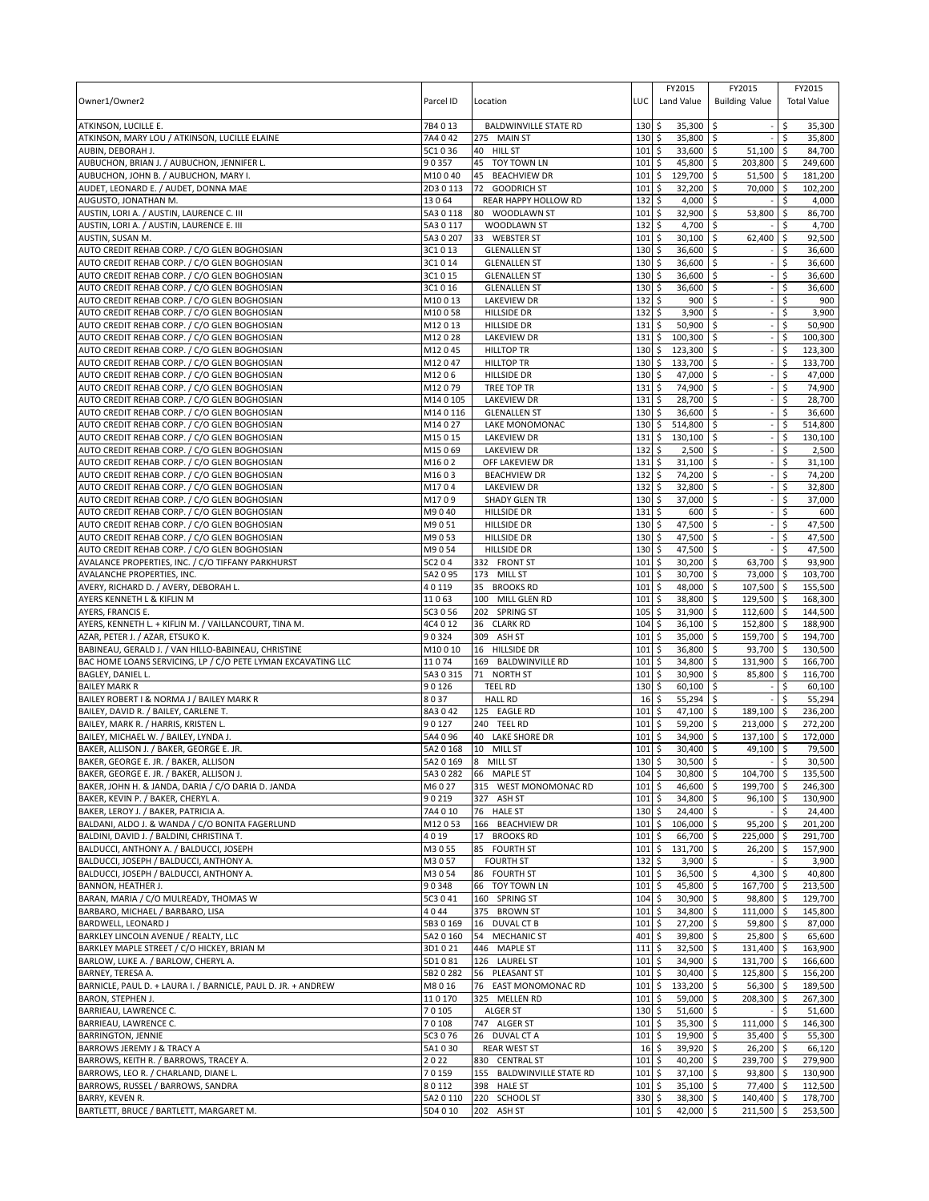| Owner1/Owner2                                                                                | Parcel ID              | Location                                    | LUC                | FY2015<br>Land Value            | FY2015<br><b>Building Value</b> |                 | FY2015<br><b>Total Value</b> |
|----------------------------------------------------------------------------------------------|------------------------|---------------------------------------------|--------------------|---------------------------------|---------------------------------|-----------------|------------------------------|
| ATKINSON, LUCILLE E.<br>ATKINSON, MARY LOU / ATKINSON, LUCILLE ELAINE                        | 7B4013<br>7A4 042      | <b>BALDWINVILLE STATE RD</b><br>275 MAIN ST | 130<br>130         | \$<br>35,300<br>\$<br>35,800 \$ | l \$                            | \$.<br>\$       | 35,300<br>35,800             |
| AUBIN, DEBORAH J.                                                                            | 5C1036                 | 40 HILL ST                                  | 101                | \$<br>33,600 \$                 | 51,100                          | \$              | 84,700                       |
| AUBUCHON, BRIAN J. / AUBUCHON, JENNIFER L.                                                   | 90357                  | 45<br>TOY TOWN LN                           | 101                | \$<br>45,800                    | \$<br>203,800                   | -\$             | 249,600                      |
| AUBUCHON, JOHN B. / AUBUCHON, MARY I.                                                        | M10040                 | 45<br><b>BEACHVIEW DR</b>                   | 101                | 129,700<br>\$                   | \$<br>51,500                    | -\$             | 181,200                      |
| AUDET, LEONARD E. / AUDET, DONNA MAE                                                         | 2D3 0 113              | 72 GOODRICH ST                              | 101                | \$<br>32,200                    | \$<br>70,000                    | -\$             | 102,200                      |
| AUGUSTO, JONATHAN M.                                                                         | 13064                  | REAR HAPPY HOLLOW RD                        | 132                | \$<br>4,000                     | \$                              | Ś               | 4,000                        |
| AUSTIN, LORI A. / AUSTIN, LAURENCE C. III                                                    | 5A3 0 118              | 80 WOODLAWN ST                              | 101                | \$<br>32,900                    | 53,800<br>\$                    | \$              | 86,700                       |
| AUSTIN, LORI A. / AUSTIN, LAURENCE E. III<br>AUSTIN, SUSAN M.                                | 5A3 0 117<br>5A3 0 207 | WOODLAWN ST<br>33 WEBSTER ST                | 132<br>101         | \$<br>4,700<br>\$<br>30,100     | -\$<br>62,400<br>S.             | \$<br>-\$       | 4,700<br>92,500              |
| AUTO CREDIT REHAB CORP. / C/O GLEN BOGHOSIAN                                                 | 3C1013                 | <b>GLENALLEN ST</b>                         | 130                | \$<br>36,600                    | \$                              | \$              | 36,600                       |
| AUTO CREDIT REHAB CORP. / C/O GLEN BOGHOSIAN                                                 | 3C1014                 | <b>GLENALLEN ST</b>                         | 130                | \$<br>36,600                    | \$                              | Ś               | 36,600                       |
| AUTO CREDIT REHAB CORP. / C/O GLEN BOGHOSIAN                                                 | 3C1 0 15               | <b>GLENALLEN ST</b>                         | 130                | \$<br>36,600                    | \$                              | \$              | 36,600                       |
| AUTO CREDIT REHAB CORP. / C/O GLEN BOGHOSIAN                                                 | 3C1 0 16               | <b>GLENALLEN ST</b>                         | 130                | \$<br>36,600                    | \$                              | \$              | 36,600                       |
| AUTO CREDIT REHAB CORP. / C/O GLEN BOGHOSIAN                                                 | M10013                 | <b>LAKEVIEW DR</b>                          | 132                | \$<br>900                       | $\ddot{\circ}$                  | \$              | 900                          |
| AUTO CREDIT REHAB CORP. / C/O GLEN BOGHOSIAN                                                 | M10058                 | <b>HILLSIDE DR</b>                          | 132                | \$<br>3,900                     | l \$                            | \$              | 3,900                        |
| AUTO CREDIT REHAB CORP. / C/O GLEN BOGHOSIAN                                                 | M12013                 | <b>HILLSIDE DR</b>                          | 131                | Ŝ.<br>50,900                    | Ŝ.                              | \$              | 50,900                       |
| AUTO CREDIT REHAB CORP. / C/O GLEN BOGHOSIAN                                                 | M12028                 | <b>LAKEVIEW DR</b>                          | 131<br>130         | \$<br>$100,300$ \$<br>\$        |                                 | \$<br>\$        | 100,300                      |
| AUTO CREDIT REHAB CORP. / C/O GLEN BOGHOSIAN<br>AUTO CREDIT REHAB CORP. / C/O GLEN BOGHOSIAN | M12045<br>M12047       | <b>HILLTOP TR</b><br><b>HILLTOP TR</b>      | 130                | 123,300 \$<br>\$<br>133,700     | \$                              | \$              | 123,300<br>133,700           |
| AUTO CREDIT REHAB CORP. / C/O GLEN BOGHOSIAN                                                 | M1206                  | <b>HILLSIDE DR</b>                          | $130 \;$ \$        | 47,000 \$                       |                                 | \$              | 47,000                       |
| AUTO CREDIT REHAB CORP. / C/O GLEN BOGHOSIAN                                                 | M12079                 | TREE TOP TR                                 | 131                | \$<br>74,900                    | \$                              | \$              | 74,900                       |
| AUTO CREDIT REHAB CORP. / C/O GLEN BOGHOSIAN                                                 | M140105                | <b>LAKEVIEW DR</b>                          | 131                | \$<br>28,700                    | \$                              | Ś               | 28,700                       |
| AUTO CREDIT REHAB CORP. / C/O GLEN BOGHOSIAN                                                 | M140116                | <b>GLENALLEN ST</b>                         | $130 \;$ \$        | 36,600                          | ا \$                            | \$              | 36,600                       |
| AUTO CREDIT REHAB CORP. / C/O GLEN BOGHOSIAN                                                 | M14027                 | LAKE MONOMONAC                              | 130                | \$<br>514.800                   | \$                              | \$              | 514,800                      |
| AUTO CREDIT REHAB CORP. / C/O GLEN BOGHOSIAN                                                 | M15015                 | <b>LAKEVIEW DR</b>                          | 131                | \$<br>130,100                   | ا \$                            | \$              | 130,100                      |
| AUTO CREDIT REHAB CORP. / C/O GLEN BOGHOSIAN                                                 | M15069                 | <b>LAKEVIEW DR</b>                          | 132                | \$<br>2,500                     | \$                              | \$              | 2,500                        |
| AUTO CREDIT REHAB CORP. / C/O GLEN BOGHOSIAN<br>AUTO CREDIT REHAB CORP. / C/O GLEN BOGHOSIAN | M1602<br>M1603         | OFF LAKEVIEW DR<br><b>BEACHVIEW DR</b>      | 131<br>132         | \$<br>31,100<br>74,200<br>\$    | Ŝ.<br>-\$                       | Ś<br>\$         | 31,100<br>74,200             |
| AUTO CREDIT REHAB CORP. / C/O GLEN BOGHOSIAN                                                 | M1704                  | <b>LAKEVIEW DR</b>                          | 132                | 32,800<br>\$                    | \$                              | \$              | 32,800                       |
| AUTO CREDIT REHAB CORP. / C/O GLEN BOGHOSIAN                                                 | M1709                  | <b>SHADY GLEN TR</b>                        | 130                | \$<br>37,000                    | \$                              |                 | 37,000                       |
| AUTO CREDIT REHAB CORP. / C/O GLEN BOGHOSIAN                                                 | M9040                  | <b>HILLSIDE DR</b>                          | 131                | \$<br>600                       | Ŝ.                              | \$              | 600                          |
| AUTO CREDIT REHAB CORP. / C/O GLEN BOGHOSIAN                                                 | M9051                  | <b>HILLSIDE DR</b>                          | 130                | \$<br>47,500                    | \$                              | \$              | 47,500                       |
| AUTO CREDIT REHAB CORP. / C/O GLEN BOGHOSIAN                                                 | M9053                  | <b>HILLSIDE DR</b>                          | 130                | \$<br>47,500                    | \$                              | \$              | 47,500                       |
| AUTO CREDIT REHAB CORP. / C/O GLEN BOGHOSIAN                                                 | M9054                  | <b>HILLSIDE DR</b>                          | 130                | \$<br>47,500                    | Ŝ.                              | \$              | 47,500                       |
| AVALANCE PROPERTIES, INC. / C/O TIFFANY PARKHURST                                            | 5C204                  | 332 FRONT ST                                | 101                | \$<br>30,200                    | S.<br>63,700                    | -\$             | 93,900                       |
| AVALANCHE PROPERTIES, INC.                                                                   | 5A2 0 95               | 173 MILL ST                                 | 101                | \$<br>30,700                    | 73,000 \$<br>l \$               |                 | 103,700                      |
| AVERY, RICHARD D. / AVERY, DEBORAH L.<br>AYERS KENNETH L & KIFLIN M                          | 40119<br>11063         | 35 BROOKS RD<br>100<br>MILL GLEN RD         | 101<br>101         | \$<br>48,000<br>\$<br>38,800    | -\$<br>107,500<br>129,500<br>\$ | <b>S</b><br>-\$ | 155,500<br>168,300           |
| AYERS, FRANCIS E.                                                                            | 5C3 0 56               | 202 SPRING ST                               | 105                | 31,900<br>\$                    | $\overline{112,600}$<br>S.      | l\$             | 144,500                      |
| AYERS, KENNETH L. + KIFLIN M. / VAILLANCOURT, TINA M.                                        | 4C4 0 12               | 36 CLARK RD                                 | 104                | \$<br>36,100                    | \$<br>152,800 \$                |                 | 188,900                      |
| AZAR, PETER J. / AZAR, ETSUKO K.                                                             | 90324                  | 309<br>ASH ST                               | 101                | \$<br>35,000                    | \$<br>159,700                   | ا \$            | 194,700                      |
| BABINEAU, GERALD J. / VAN HILLO-BABINEAU, CHRISTINE                                          | M10010                 | 16 HILLSIDE DR                              | 101                | \$<br>36,800                    | \$<br>93,700 \$                 |                 | 130,500                      |
| BAC HOME LOANS SERVICING, LP / C/O PETE LYMAN EXCAVATING LLC                                 | 11074                  | 169 BALDWINVILLE RD                         | 101                | \$<br>34,800                    | \$<br>131,900                   | l\$             | 166,700                      |
| BAGLEY, DANIEL L.<br><b>BAILEY MARK R</b>                                                    | 5A3 0 315              | 71 NORTH ST                                 | 101                | \$<br>30,900                    | 85,800 \$<br>S.                 |                 | 116,700                      |
| BAILEY ROBERT I & NORMA J / BAILEY MARK R                                                    | 90126<br>8037          | <b>TEEL RD</b><br><b>HALL RD</b>            | 130<br>16          | \$<br>60,100<br>55,294<br>\$    | \$<br>-\$                       | \$<br>Ŝ.        | 60,100<br>55,294             |
| BAILEY, DAVID R. / BAILEY, CARLENE T.                                                        | 8A3042                 | 125 EAGLE RD                                | 101                | \$<br>47,100                    | l \$<br>189,100                 | l \$            | 236,200                      |
| BAILEY, MARK R. / HARRIS, KRISTEN L.                                                         | 90127                  | 240 TEEL RD                                 | 101                | \$<br>59,200                    | \$<br>213,000                   | ا \$            | 272,200                      |
| BAILEY, MICHAEL W. / BAILEY, LYNDA J.                                                        | 5A4 0 96               | 40<br>LAKE SHORE DR                         | 101                | \$<br>34,900                    | \$<br>137,100                   | \$              | 172,000                      |
| BAKER, ALLISON J. / BAKER, GEORGE E. JR.                                                     | 5A2 0 168              | 10 MILL ST                                  | 101                | \$<br>30,400                    | ا \$<br>49,100                  | ۱\$             | 79,500                       |
| BAKER, GEORGE E. JR. / BAKER, ALLISON                                                        |                        | 5A2 0 169 8 MILL ST                         | 130S               | $30.500$ \$                     |                                 | l \$            | 30.500                       |
| BAKER, GEORGE E. JR. / BAKER, ALLISON J.                                                     | 5A3 0 282              | 66 MAPLE ST                                 | 104                | \$<br>30,800                    | \$<br>104,700 \$                |                 | 135,500                      |
| BAKER, JOHN H. & JANDA, DARIA / C/O DARIA D. JANDA                                           | M6027                  | 315 WEST MONOMONAC RD                       | 101                | \$<br>46,600                    | \$<br>199,700                   | $\sqrt{5}$      | 246.300                      |
| BAKER, KEVIN P. / BAKER, CHERYL A.<br>BAKER, LEROY J. / BAKER, PATRICIA A.                   | 90219<br>7A4 0 10      | 327 ASH ST<br>76 HALE ST                    | 101<br>130         | \$<br>34,800<br>\$<br>24,400 \$ | \$<br>96,100                    | <b>S</b><br>\$  | 130,900<br>24,400            |
| BALDANI, ALDO J. & WANDA / C/O BONITA FAGERLUND                                              | M12053                 | 166 BEACHVIEW DR                            | 101                | \$<br>106,000 \$                | 95,200                          | \$              | 201,200                      |
| BALDINI, DAVID J. / BALDINI, CHRISTINA T.                                                    | 4019                   | 17 BROOKS RD                                | 101                | \$<br>66,700                    | 225,000<br>\$                   | -\$             | 291,700                      |
| BALDUCCI, ANTHONY A. / BALDUCCI, JOSEPH                                                      | M3055                  | 85 FOURTH ST                                | 101                | \$<br>131,700 \$                | $26,200$ \$                     |                 | 157,900                      |
| BALDUCCI, JOSEPH / BALDUCCI, ANTHONY A.                                                      | M3057                  | <b>FOURTH ST</b>                            | 132                | \$<br>$3,900$ \$                |                                 | \$              | 3,900                        |
| BALDUCCI, JOSEPH / BALDUCCI, ANTHONY A.                                                      | M3054                  | 86 FOURTH ST                                | 101                | \$<br>36,500 \$                 | 4,300                           | \$              | 40,800                       |
| BANNON, HEATHER J.                                                                           | 90348                  | TOY TOWN LN<br>66                           | 101                | \$<br>45,800 \$                 | 167,700                         | <b>S</b>        | 213,500                      |
| BARAN, MARIA / C/O MULREADY, THOMAS W<br>BARBARO, MICHAEL / BARBARO, LISA                    | 5C3 0 41<br>4044       | 160 SPRING ST<br>375 BROWN ST               | 104<br>101         | \$<br>30,900<br>\$<br>34,800 \$ | 5<br>98,800<br>111,000 \$       | <b>S</b>        | 129,700<br>145,800           |
| BARDWELL, LEONARD J                                                                          | 5B3 0 169              | 16 DUVAL CT B                               | 101                | \$<br>27,200 \$                 | 59,800 \$                       |                 | 87,000                       |
| BARKLEY LINCOLN AVENUE / REALTY, LLC                                                         | 5A2 0 160              | 54 MECHANIC ST                              | 401                | \$<br>39,800 \$                 | 25,800 \$                       |                 | 65,600                       |
| BARKLEY MAPLE STREET / C/O HICKEY, BRIAN M                                                   | 3D1 0 21               | 446 MAPLE ST                                | 111                | \$<br>$32,500$ \$               | 131,400 \$                      |                 | 163,900                      |
| BARLOW, LUKE A. / BARLOW, CHERYL A.                                                          | 5D1081                 | 126 LAUREL ST                               | 101                | \$<br>34,900 \$                 | 131,700 \$                      |                 | 166,600                      |
| BARNEY, TERESA A.                                                                            | 5B2 0 282              | 56 PLEASANT ST                              | 101                | \$<br>$30,400$ \$               | 125,800 \$                      |                 | 156,200                      |
| BARNICLE, PAUL D. + LAURA I. / BARNICLE, PAUL D. JR. + ANDREW                                | M8016                  | 76 EAST MONOMONAC RD                        | 101                | \$<br>133,200                   | l \$<br>56,300                  | l\$             | 189,500                      |
| <b>BARON, STEPHEN J.</b><br>BARRIEAU, LAWRENCE C.                                            | 110170<br>70105        | 325 MELLEN RD                               | 101<br>$130 \;$ \$ | \$<br>59,000 \$<br>$51,600$ \$  | 208,300                         | l\$             | 267,300                      |
| BARRIEAU, LAWRENCE C.                                                                        | 70108                  | <b>ALGER ST</b><br>747 ALGER ST             | 101                | \$<br>35,300                    | \$<br>111,000                   | \$<br>\$        | 51,600<br>146,300            |
| <b>BARRINGTON, JENNIE</b>                                                                    | 5C3 0 76               | 26 DUVAL CT A                               | 101                | l\$<br>19,900 \$                | 35,400                          | <b>S</b>        | 55,300                       |
| BARROWS JEREMY J & TRACY A                                                                   | 5A1030                 | <b>REAR WEST ST</b>                         | 16                 | \$<br>39,920 \$                 | $26,200$ \$                     |                 | 66,120                       |
| BARROWS, KEITH R. / BARROWS, TRACEY A.                                                       | 2022                   | 830 CENTRAL ST                              | 101                | 40,200<br>\$                    | \$<br>239,700 \$                |                 | 279,900                      |
| BARROWS, LEO R. / CHARLAND, DIANE L.                                                         | 70159                  | 155 BALDWINVILLE STATE RD                   | 101                | \$<br>37,100                    | \$<br>93,800                    | ۱\$             | 130,900                      |
| BARROWS, RUSSEL / BARROWS, SANDRA                                                            | 80112                  | <b>HALE ST</b><br>398                       | 101                | \$<br>35,100                    | 77,400<br>ا \$                  | <b>S</b>        | 112,500                      |
| BARRY, KEVEN R.                                                                              | 5A2 0 110              | 220 SCHOOL ST                               | 330                | \$<br>$38,300$ \$               | 140,400 \$                      |                 | 178,700                      |
| BARTLETT, BRUCE / BARTLETT, MARGARET M.                                                      | 5D4 0 10               | 202 ASH ST                                  | 101                | \$<br>42,000 \$                 | 211,500 \$                      |                 | 253,500                      |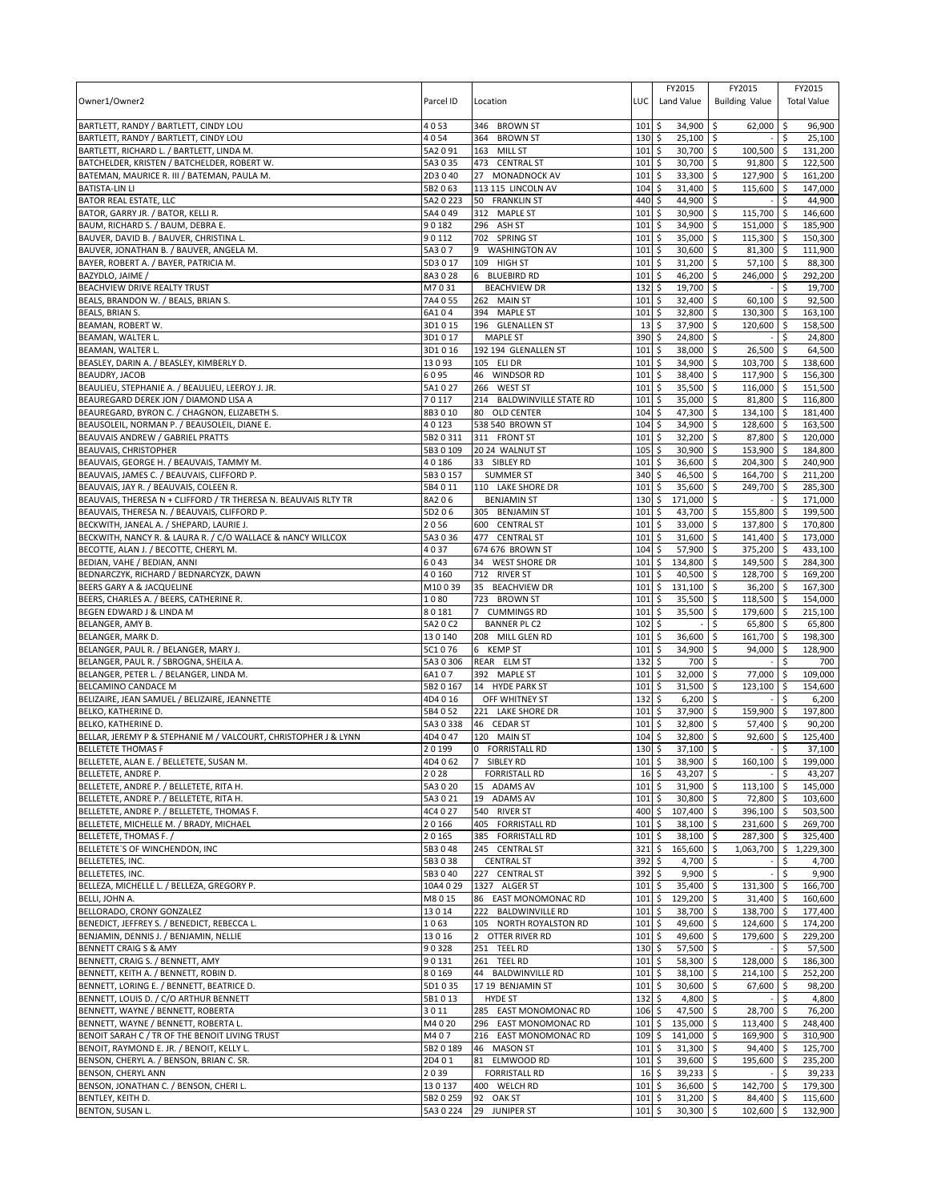| Owner1/Owner2                                                                                                   | Parcel ID          | Location                                       | LUC                     | FY2015<br>Land Value                 | FY2015<br><b>Building Value</b>       | FY2015<br><b>Total Value</b>       |
|-----------------------------------------------------------------------------------------------------------------|--------------------|------------------------------------------------|-------------------------|--------------------------------------|---------------------------------------|------------------------------------|
| BARTLETT, RANDY / BARTLETT, CINDY LOU                                                                           | 4053               | 346 BROWN ST                                   | 101                     | \$<br>34,900                         | \$<br>62,000                          | \$<br>96,900                       |
| BARTLETT, RANDY / BARTLETT, CINDY LOU                                                                           | 4054               | 364 BROWN ST                                   | 130                     | \$<br>$25,100$ \$                    |                                       | 25,100<br>\$                       |
| BARTLETT, RICHARD L. / BARTLETT, LINDA M.                                                                       | 5A2091             | 163 MILL ST                                    | 101                     | \$<br>30,700 \$                      | 100,500                               | l \$<br>131,200                    |
| BATCHELDER, KRISTEN / BATCHELDER, ROBERT W.<br>BATEMAN, MAURICE R. III / BATEMAN, PAULA M.                      | 5A3 0 35<br>2D3040 | 473 CENTRAL ST<br>27 MONADNOCK AV              | 101<br>101              | \$<br>30,700 \$<br>\$<br>33,300      | 91,800<br>l\$<br>127,900              | 122,500<br>ا \$<br>l \$<br>161,200 |
| <b>BATISTA-LIN LI</b>                                                                                           | 5B2063             | 113 115 LINCOLN AV                             | 104                     | \$<br>31,400                         | l \$<br>115.600                       | l\$<br>147,000                     |
| <b>BATOR REAL ESTATE, LLC</b>                                                                                   | 5A2 0 223          | 50 FRANKLIN ST                                 | 440                     | \$<br>44,900 \$                      |                                       | 44,900<br>Ŝ.                       |
| BATOR, GARRY JR. / BATOR, KELLI R.                                                                              | 5A4 0 49           | 312 MAPLE ST                                   | 101                     | \$<br>30,900                         | \$<br>115,700                         | \$<br>146,600                      |
| BAUM, RICHARD S. / BAUM, DEBRA E.                                                                               | 90182              | 296 ASH ST                                     | 101                     | 34,900<br>\$                         | 151,000<br>ا \$                       | 185,900<br>l \$                    |
| BAUVER, DAVID B. / BAUVER, CHRISTINA L.                                                                         | 90112              | 702 SPRING ST                                  | 101                     | \$<br>35,000                         | l\$<br>115,300 \$                     | 150,300                            |
| BAUVER, JONATHAN B. / BAUVER, ANGELA M.                                                                         | 5A307<br>5D3 0 17  | <b>WASHINGTON AV</b><br>9                      | 101                     | \$<br>30,600                         | \$<br>81,300 \$                       | 111,900                            |
| BAYER, ROBERT A. / BAYER, PATRICIA M.<br>BAZYDLO, JAIME /                                                       | 8A3028             | 109 HIGH ST<br>6 BLUEBIRD RD                   | 101<br>101              | \$<br>31,200<br>\$<br>46,200         | 57,100<br>\$<br>246,000<br>∣\$        | 88,300<br>∣\$<br>292,200<br>l\$    |
| BEACHVIEW DRIVE REALTY TRUST                                                                                    | M7031              | <b>BEACHVIEW DR</b>                            | 132                     | \$<br>19,700                         | <b>S</b>                              | \$<br>19,700                       |
| BEALS, BRANDON W. / BEALS, BRIAN S.                                                                             | 7A4055             | 262 MAIN ST                                    | 101                     | \$<br>32,400                         | 60,100<br>ا \$                        | 92,500<br>ا \$                     |
| BEALS, BRIAN S.                                                                                                 | 6A104              | 394 MAPLE ST                                   | 101                     | \$<br>32,800                         | \$<br>130,300                         | ۱\$<br>163,100                     |
| BEAMAN, ROBERT W.                                                                                               | 3D1015             | 196 GLENALLEN ST                               | 13                      | 37,900<br>\$                         | \$<br>120,600                         | -\$<br>158,500                     |
| BEAMAN, WALTER L                                                                                                | 3D1017             | <b>MAPLE ST</b>                                | 390                     | \$<br>24,800                         | \$                                    | \$<br>24,800                       |
| BEAMAN, WALTER L.                                                                                               | 3D1016             | 192 194 GLENALLEN ST                           | 101                     | 38,000 \$<br>\$                      | 26,500                                | \$<br>64,500                       |
| BEASLEY, DARIN A. / BEASLEY, KIMBERLY D.                                                                        | 13093              | 105 ELI DR                                     | 101                     | \$<br>34,900                         | \$<br>103,700                         | 138,600<br>l \$                    |
| BEAUDRY, JACOB<br>BEAULIEU, STEPHANIE A. / BEAULIEU, LEEROY J. JR.                                              | 6095<br>5A1027     | 46 WINDSOR RD<br>266 WEST ST                   | 101<br>101              | 38,400<br>\$<br>\$<br>35,500         | l\$<br>117,900 \$<br>\$<br>116,000 \$ | 156,300<br>151,500                 |
| BEAUREGARD DEREK JON / DIAMOND LISA A                                                                           | 70117              | 214 BALDWINVILLE STATE RD                      | 101                     | \$<br>35,000                         | l\$<br>81,800                         | 116,800<br>∣\$                     |
| BEAUREGARD, BYRON C. / CHAGNON, ELIZABETH S.                                                                    | 8B3010             | 80 OLD CENTER                                  | 104                     | \$<br>47,300                         | 134,100<br>\$                         | 181,400<br>۱\$                     |
| BEAUSOLEIL, NORMAN P. / BEAUSOLEIL, DIANE E.                                                                    | 40123              | 538 540 BROWN ST                               | 104                     | \$<br>34,900                         | l\$<br>128,600                        | 163.500<br>l \$                    |
| BEAUVAIS ANDREW / GABRIEL PRATTS                                                                                | 5B2 0 311          | 311 FRONT ST                                   | 101                     | \$<br>32,200                         | 87,800 \$<br>Ŝ.                       | 120,000                            |
| BEAUVAIS, CHRISTOPHER                                                                                           | 5B30109            | 20 24 WALNUT ST                                | 105                     | \$<br>30,900 \$                      | 153,900 \$                            | 184,800                            |
| BEAUVAIS, GEORGE H. / BEAUVAIS, TAMMY M.                                                                        | 40186              | 33 SIBLEY RD                                   | 101                     | \$<br>36,600                         | \$<br>204,300                         | \$<br>240,900                      |
| BEAUVAIS, JAMES C. / BEAUVAIS, CLIFFORD P.                                                                      | 5B3 0 157          | <b>SUMMER ST</b>                               | 340                     | \$<br>46,500                         | l\$<br>164,700                        | 211,200<br>l \$                    |
| BEAUVAIS, JAY R. / BEAUVAIS, COLEEN R.                                                                          | 5B4011<br>8A206    | 110 LAKE SHORE DR                              | 101<br>130              | \$<br>35,600<br>\$<br>171,000 \$     | l\$<br>249,700                        | l \$<br>285,300<br>171,000<br>\$   |
| BEAUVAIS, THERESA N + CLIFFORD / TR THERESA N. BEAUVAIS RLTY TR<br>BEAUVAIS, THERESA N. / BEAUVAIS, CLIFFORD P. | 5D206              | <b>BENJAMIN ST</b><br>305 BENJAMIN ST          | 101                     | \$<br>43,700                         | l\$<br>155,800                        | l \$<br>199,500                    |
| BECKWITH, JANEAL A. / SHEPARD, LAURIE J.                                                                        | 2056               | 600 CENTRAL ST                                 | 101                     | \$<br>33,000 \$                      | 137,800                               | l \$<br>170,800                    |
| BECKWITH, NANCY R. & LAURA R. / C/O WALLACE & nANCY WILLCOX                                                     | 5A3 0 36           | 477 CENTRAL ST                                 | 101                     | \$<br>31,600                         | 141,400 \$<br>l\$                     | 173,000                            |
| BECOTTE, ALAN J. / BECOTTE, CHERYL M.                                                                           | 4037               | 674 676 BROWN ST                               | 104                     | \$<br>57,900                         | \$<br>375,200                         | 433,100<br>l \$                    |
| BEDIAN, VAHE / BEDIAN, ANNI                                                                                     | 6043               | 34<br><b>WEST SHORE DR</b>                     | 101                     | \$<br>134,800                        | ا \$<br>149,500                       | 284,300<br>l \$                    |
| BEDNARCZYK, RICHARD / BEDNARCYZK, DAWN                                                                          | 40160              | 712 RIVER ST                                   | 101                     | \$<br>40,500                         | l\$<br>128,700 \$                     | 169,200                            |
| BEERS GARY A & JACQUELINE                                                                                       | M10039             | 35<br><b>BEACHVIEW DR</b>                      | 101                     | \$<br>131,100                        | \$<br>36,200 \$                       | 167,300                            |
| BEERS, CHARLES A. / BEERS, CATHERINE R.<br>BEGEN EDWARD J & LINDA M                                             | 1080<br>80181      | 723 BROWN ST<br>7 CUMMINGS RD                  | 101<br>101              | \$<br>35,500<br>35,500<br>\$         | \$<br>118,500<br>179,600<br>\$        | 154,000<br>∣\$<br>215,100<br>l\$   |
| BELANGER, AMY B.                                                                                                | 5A2 0 C2           | <b>BANNER PL C2</b>                            | 102                     | \$                                   | \$<br>65,800                          | l\$<br>65,800                      |
| BELANGER, MARK D.                                                                                               | 130140             | 208 MILL GLEN RD                               | 101                     | \$<br>36,600                         | 161,700<br>\$                         | 198,300<br>l \$                    |
| BELANGER, PAUL R. / BELANGER, MARY J.                                                                           | 5C1076             | 6 KEMP ST                                      | 101                     | \$<br>34,900                         | \$<br>94,000                          | -\$<br>128,900                     |
| BELANGER, PAUL R. / SBROGNA, SHEILA A.                                                                          | 5A3 0 306          | REAR ELM ST                                    | 132                     | \$<br>700                            | \$                                    | \$<br>700                          |
| BELANGER, PETER L. / BELANGER, LINDA M.                                                                         | 6A107              | 392 MAPLE ST                                   | 101                     | \$<br>32,000                         | \$<br>77,000                          | l\$<br>109,000                     |
| BELCAMINO CANDACE M                                                                                             | 5B2 0 167          | 14 HYDE PARK ST                                | 101                     | \$<br>31,500                         | \$<br>123.100                         | \$<br>154,600                      |
| BELIZAIRE, JEAN SAMUEL / BELIZAIRE, JEANNETTE<br>BELKO, KATHERINE D.                                            | 4D4016<br>5B4052   | OFF WHITNEY ST                                 | 132                     | \$<br>6,200                          | \$                                    | 6,200<br>197,800                   |
| BELKO, KATHERINE D.                                                                                             | 5A30338            | 221 LAKE SHORE DR<br>46 CEDAR ST               | 101<br>101              | 37,900<br>\$<br>\$<br>32,800         | 159,900<br>l\$<br>\$<br>57,400        | \$<br>l\$<br>90,200                |
| BELLAR, JEREMY P & STEPHANIE M / VALCOURT, CHRISTOPHER J & LYNN                                                 | 4D4047             | 120 MAIN ST                                    | 104                     | \$<br>32,800                         | \$<br>92,600                          | l \$<br>125,400                    |
| <b>BELLETETE THOMAS F</b>                                                                                       | 20199              | 0 FORRISTALL RD                                | 130                     | \$<br>37,100                         | l\$                                   | \$<br>37,100                       |
| BELLETETE, ALAN E. / BELLETETE, SUSAN M.                                                                        | 4D4062             | 7 SIBLEY RD                                    | 101                     | $38,900$ \$<br>$\mathsf{S}$          | $160,100$ 5                           | 199,000                            |
| BELLETETE, ANDRE P.                                                                                             | 2028               | <b>FORRISTALL RD</b>                           | $16\frac{1}{2}$         | 43,207 \$                            |                                       | l\$<br>43,207                      |
| BELLETETE, ANDRE P. / BELLETETE, RITA H.                                                                        | 5A3 0 20           | 15 ADAMS AV                                    | $101 \;$ \$             | $31,900$ \$                          | $113,100$ \$                          | 145,000                            |
| BELLETETE, ANDRE P. / BELLETETE, RITA H.                                                                        | 5A3021             | 19 ADAMS AV                                    | 1015                    | 30,800 \$                            | 72,800                                | 103,600<br>I\$                     |
| BELLETETE, ANDRE P. / BELLETETE, THOMAS F.<br>BELLETETE, MICHELLE M. / BRADY, MICHAEL                           | 4C4 0 27<br>20166  | 540 RIVER ST<br>405 FORRISTALL RD              | $400\frac{1}{2}$<br>101 | 107,400 \$<br>\$<br>38,100 \$        | 396,100 \$<br>231,600 \$              | 503,500<br>269,700                 |
| BELLETETE, THOMAS F. /                                                                                          | 20165              | 385 FORRISTALL RD                              | 101                     | \$<br>38,100 \$                      | 287,300                               | \$<br>325,400                      |
| BELLETETE'S OF WINCHENDON, INC                                                                                  | 5B3048             | 245 CENTRAL ST                                 | $321$ \$                | 165,600 \$                           | 1,063,700 \$                          | 1,229,300                          |
| BELLETETES, INC.                                                                                                | 5B3038             | <b>CENTRAL ST</b>                              | 392                     | $\ddot{\circ}$<br>$4,700$ \$         |                                       | \$<br>4,700                        |
| BELLETETES, INC.                                                                                                | 5B3040             | 227 CENTRAL ST                                 | $392 \div$              | $9,900$ \$                           |                                       | 9,900<br>\$                        |
| BELLEZA, MICHELLE L. / BELLEZA, GREGORY P.                                                                      | 10A4 0 29          | 1327 ALGER ST                                  | 101                     | \$<br>35,400 \$                      | 131,300                               | $\ddot{\varsigma}$<br>166,700      |
| BELLI, JOHN A.                                                                                                  | M8015              | 86 EAST MONOMONAC RD                           | $101 \;$ \$             | 129,200 \$                           | 31,400                                | 160,600<br>l\$                     |
| BELLORADO, CRONY GONZALEZ<br>BENEDICT, JEFFREY S. / BENEDICT, REBECCA L.                                        | 13014<br>1063      | 222 BALDWINVILLE RD<br>105 NORTH ROYALSTON RD  | 101<br>101              | \$<br>38,700 \$<br>\$<br>49,600 \$   | 138,700 \$<br>124,600 \$              | 177,400<br>174,200                 |
| BENJAMIN, DENNIS J. / BENJAMIN, NELLIE                                                                          | 13016              | 2 OTTER RIVER RD                               | 101                     | \$<br>49,600                         | \$<br>179,600                         | ۱\$<br>229,200                     |
| BENNETT CRAIG S & AMY                                                                                           | 90328              | 251 TEEL RD                                    | $130 \;$ \$             | 57,500 \$                            |                                       | \$<br>57,500                       |
| BENNETT, CRAIG S. / BENNETT, AMY                                                                                | 90131              | 261 TEEL RD                                    | 101                     | \$<br>58,300 \$                      | 128,000                               | l \$<br>186,300                    |
| BENNETT, KEITH A. / BENNETT, ROBIN D.                                                                           | 80169              | 44 BALDWINVILLE RD                             | 101                     | \$<br>38,100 \$                      | 214,100 \$                            | 252,200                            |
| BENNETT, LORING E. / BENNETT, BEATRICE D.                                                                       | 5D1035             | 17 19 BENJAMIN ST                              | 101                     | \$<br>30,600 \$                      | 67,600 \$                             | 98,200                             |
| BENNETT, LOUIS D. / C/O ARTHUR BENNETT                                                                          | 5B1013             | <b>HYDE ST</b>                                 | 132                     | \$<br>4,800 \$                       |                                       | \$<br>4,800                        |
| BENNETT, WAYNE / BENNETT, ROBERTA                                                                               | 3011               | 285 EAST MONOMONAC RD                          | $106\frac{1}{2}$        | 47,500 \$                            | 28,700 \$                             | 76,200                             |
| BENNETT, WAYNE / BENNETT, ROBERTA L.<br>BENOIT SARAH C / TR OF THE BENOIT LIVING TRUST                          | M4020<br>M407      | 296 EAST MONOMONAC RD<br>216 EAST MONOMONAC RD | 101<br>109              | \$<br>135,000 \$<br>\$<br>141,000 \$ | 113,400 \$<br>169,900                 | 248,400<br>310,900<br><b>S</b>     |
| BENOIT, RAYMOND E. JR. / BENOIT, KELLY L.                                                                       | 5B2 0 189          | 46 MASON ST                                    | 101                     | l \$<br>$31,300$ \$                  | 94,400 \$                             | 125,700                            |
| BENSON, CHERYL A. / BENSON, BRIAN C. SR.                                                                        | 2D401              | 81 ELMWOOD RD                                  | 101                     | \$<br>39,600 \$                      | 195,600 \$                            | 235,200                            |
| BENSON, CHERYL ANN                                                                                              | 2039               | <b>FORRISTALL RD</b>                           | 16                      | \$<br>$39,233$ \$                    |                                       | 39,233<br>-\$                      |
| BENSON, JONATHAN C. / BENSON, CHERI L.                                                                          | 130137             | 400 WELCH RD                                   | $101 \;$ \$             | 36,600 \$                            | 142,700                               | ۱\$<br>179,300                     |
| BENTLEY, KEITH D.                                                                                               | 5B2 0 259          | 92 OAK ST                                      | $101 \;$ \$             | $31,200$ \$                          | 84,400 \$                             | 115,600                            |
| BENTON, SUSAN L.                                                                                                | 5A3 0 224          | 29 JUNIPER ST                                  | $101 \,$ \$             | $30,300$ \$                          | 102,600 \$                            | 132,900                            |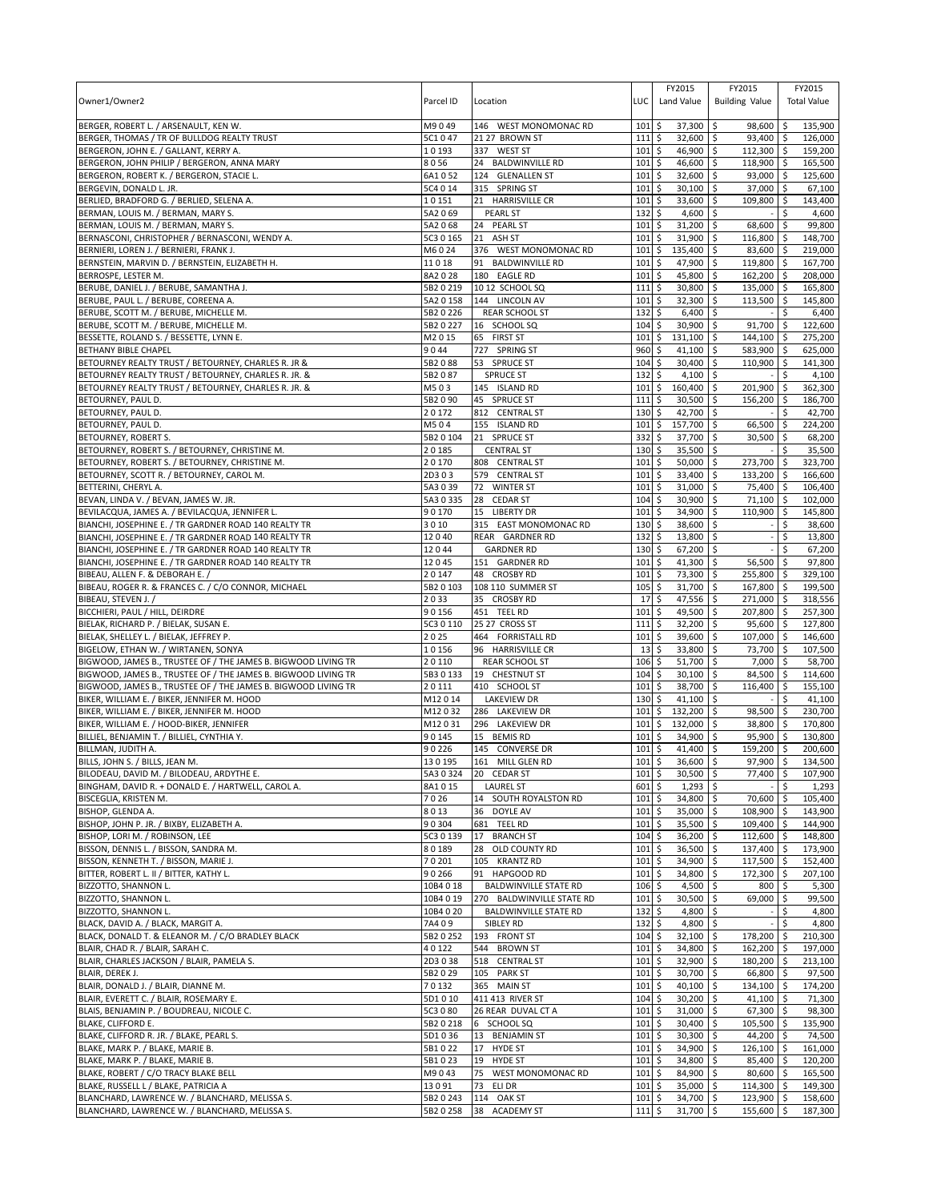|                                                                      |                    |                                    |                  | FY2015                          | FY2015                            | FY2015             |         |
|----------------------------------------------------------------------|--------------------|------------------------------------|------------------|---------------------------------|-----------------------------------|--------------------|---------|
| Owner1/Owner2                                                        | Parcel ID          | Location                           | LUC              | Land Value                      | <b>Building Value</b>             | <b>Total Value</b> |         |
|                                                                      |                    |                                    |                  |                                 |                                   |                    |         |
| BERGER, ROBERT L. / ARSENAULT, KEN W.                                | M9049              | 146 WEST MONOMONAC RD              | 101              | \$<br>$37,300$ \$               | 98,600                            | -\$<br>135,900     |         |
| BERGER, THOMAS / TR OF BULLDOG REALTY TRUST                          | 5C1047             | 21 27 BROWN ST                     | 111              | \$<br>32,600 \$                 | 93,400 \$                         | 126,000            |         |
| BERGERON, JOHN E. / GALLANT, KERRY A.                                | 10193              | 337 WEST ST                        | 101              | \$<br>46,900 \$                 | 112,300 \$                        | 159,200            |         |
| BERGERON, JOHN PHILIP / BERGERON, ANNA MARY                          | 8056               | 24 BALDWINVILLE RD                 | 101              | \$<br>46,600                    | \$<br>118,900 \$                  | 165,500            |         |
| BERGERON, ROBERT K. / BERGERON, STACIE L.<br>BERGEVIN, DONALD L. JR. | 6A1052<br>5C4 0 14 | 124 GLENALLEN ST<br>315 SPRING ST  | 101<br>101       | \$<br>32,600 \$<br>\$<br>30,100 | 93,000 \$<br>\$<br>37.000 \$      | 125,600            | 67,100  |
| BERLIED, BRADFORD G. / BERLIED, SELENA A.                            | 10151              | <b>HARRISVILLE CR</b><br>21        | 101              | \$<br>33,600                    | \$<br>109,800 \$                  | 143,400            |         |
| BERMAN, LOUIS M. / BERMAN, MARY S.                                   | 5A2 069            | <b>PEARL ST</b>                    | 132              | \$<br>4,600 \$                  |                                   | \$                 | 4,600   |
| BERMAN, LOUIS M. / BERMAN, MARY S.                                   | 5A2068             | <b>PEARL ST</b><br>24              | 101              | \$<br>31,200                    | S.<br>68,600                      | \$                 | 99,800  |
| BERNASCONI, CHRISTOPHER / BERNASCONI, WENDY A.                       | 5C3 0 165          | 21<br>ASH ST                       | 101              | 31,900<br>\$                    | 116,800 \$<br>l\$                 | 148,700            |         |
| BERNIERI, LOREN J. / BERNIERI, FRANK J.                              | M6024              | 376 WEST MONOMONAC RD              | 101              | \$<br>135,400                   | \$<br>83,600 \$                   | 219,000            |         |
| BERNSTEIN, MARVIN D. / BERNSTEIN, ELIZABETH H.                       | 11018              | 91<br><b>BALDWINVILLE RD</b>       | 101              | \$<br>47,900                    | \$<br>119,800 \$                  | 167,700            |         |
| BERROSPE, LESTER M.                                                  | 8A2028             | 180<br><b>EAGLE RD</b>             | 101              | \$<br>45,800                    | \$<br>162,200 \$                  | 208,000            |         |
| BERUBE, DANIEL J. / BERUBE, SAMANTHA J.                              | 5B2 0 219          | 10 12 SCHOOL SQ                    | 111              | \$<br>30,800                    | \$<br>135,000 \$                  | 165,800            |         |
| BERUBE, PAUL L. / BERUBE, COREENA A                                  | 5A2 0 158          | 144 LINCOLN AV                     | 101              | \$<br>32,300                    | \$<br>113,500                     | \$<br>145,800      |         |
| BERUBE, SCOTT M. / BERUBE, MICHELLE M.                               | 5B2 0 226          | <b>REAR SCHOOL ST</b>              | 132              | 6,400<br>\$                     | \$                                | \$                 | 6,400   |
| BERUBE, SCOTT M. / BERUBE, MICHELLE M.                               | 5B2 0 227          | 16 SCHOOL SQ                       | 104              | \$<br>30,900                    | \$<br>91,700                      | \$<br>122,600      |         |
| BESSETTE, ROLAND S. / BESSETTE, LYNN E.                              | M2015              | 65 FIRST ST                        | 101              | \$<br>131,100                   | 144,100 \$<br>\$                  | 275,200            |         |
| BETHANY BIBLE CHAPEL                                                 | 9044               | 727 SPRING ST                      | 960              | \$<br>41,100                    | \$<br>583,900 \$                  | 625,000            |         |
| BETOURNEY REALTY TRUST / BETOURNEY, CHARLES R. JR &                  | 5B2088             | 53<br><b>SPRUCE ST</b>             | 104              | \$<br>30,400                    | \$<br>110,900                     | \$<br>141,300      |         |
| BETOURNEY REALTY TRUST / BETOURNEY, CHARLES R. JR. &                 | 5B2087             | <b>SPRUCE ST</b>                   | 132              | \$<br>4,100 \$                  |                                   | \$                 | 4,100   |
| BETOURNEY REALTY TRUST / BETOURNEY, CHARLES R. JR. &                 | M503               | 145 ISLAND RD                      | 101              | \$<br>160,400                   | \$<br>201,900                     | \$                 | 362,300 |
| BETOURNEY, PAUL D.                                                   | 5B2090             | 45<br><b>SPRUCE ST</b>             | 111              | \$<br>30,500                    | \$<br>156,200                     | \$<br>186,700      |         |
| BETOURNEY, PAUL D.                                                   | 20172              | 812 CENTRAL ST                     | 130              | 42,700<br>\$                    | l\$                               | \$                 | 42,700  |
| BETOURNEY, PAUL D.                                                   | M504               | 155 ISLAND RD                      | 101              | \$<br>157,700                   | \$<br>66,500                      | \$<br>224,200      |         |
| BETOURNEY, ROBERT S.                                                 | 5B2 0 104          | 21 SPRUCE ST                       | 332              | \$<br>37,700                    | 30,500<br>\$                      | \$                 | 68,200  |
| BETOURNEY, ROBERT S. / BETOURNEY, CHRISTINE M.                       | 20185              | <b>CENTRAL ST</b>                  | 130              | \$<br>35,500                    | \$                                | Ś                  | 35,500  |
| BETOURNEY, ROBERT S. / BETOURNEY, CHRISTINE M.                       | 20170              | 808 CENTRAL ST                     | 101              | \$<br>50,000                    | $\ddot{\mathsf{s}}$<br>273,700 \$ | 323,700            |         |
| BETOURNEY, SCOTT R. / BETOURNEY, CAROL M.                            | 2D303              | 579 CENTRAL ST                     | 101              | \$<br>33,400 \$                 | 133,200 \$                        | 166,600            |         |
| BETTERINI, CHERYL A.                                                 | 5A3 0 39           | 72<br><b>WINTER ST</b>             | 101              | \$<br>31,000                    | \$<br>75,400 \$                   | 106,400            |         |
| BEVAN, LINDA V. / BEVAN, JAMES W. JR.                                | 5A3 0 335          | 28<br><b>CEDAR ST</b>              | 104              | \$<br>30,900                    | \$<br>71,100 \$                   | 102,000            |         |
| BEVILACQUA, JAMES A. / BEVILACQUA, JENNIFER L.                       | 90170              | 15<br><b>LIBERTY DR</b>            | 101              | \$<br>34,900                    | l \$<br>110,900 \$                | 145,800            |         |
| BIANCHI, JOSEPHINE E. / TR GARDNER ROAD 140 REALTY TR                | 3010               | 315 EAST MONOMONAC RD              | 130              | \$<br>38,600                    | \$                                | \$                 | 38,600  |
| BIANCHI, JOSEPHINE E. / TR GARDNER ROAD 140 REALTY TR                | 12040              | REAR GARDNER RD                    | 132              | \$<br>13,800                    | \$                                | \$                 | 13,800  |
| BIANCHI, JOSEPHINE E. / TR GARDNER ROAD 140 REALTY TR                | 12044              | <b>GARDNER RD</b>                  | 130              | \$<br>67,200 \$                 |                                   | \$                 | 67,200  |
| BIANCHI, JOSEPHINE E. / TR GARDNER ROAD 140 REALTY TR                | 12045              | 151 GARDNER RD                     | 101              | \$<br>41,300                    | l\$<br>56,500                     | \$                 | 97,800  |
| BIBEAU, ALLEN F. & DEBORAH E. /                                      | 20147              | 48 CROSBY RD                       | 101              | \$<br>73,300 \$                 | 255,800 \$                        | 329,100            |         |
| BIBEAU, ROGER R. & FRANCES C. / C/O CONNOR, MICHAEL                  | 5B2 0 103          | 108 110 SUMMER ST                  | 105              | 31,700<br>\$                    | \$<br>167,800 \$                  | 199,500            |         |
| BIBEAU, STEVEN J. /                                                  | 2033               | 35<br><b>CROSBY RD</b>             | 17               | 47,556<br>\$                    | \$<br>271,000 \$                  | 318,556            |         |
| BICCHIERI, PAUL / HILL, DEIRDRE                                      | 90156              | 451<br><b>TEEL RD</b>              | 101              | 49,500<br>\$                    | \$<br>207,800 \$                  | 257,300            |         |
| BIELAK, RICHARD P. / BIELAK, SUSAN E.                                | 5C3 0 110          | 25 27 CROSS ST                     | 111              | \$<br>32,200                    | \$<br>95,600 \$                   | 127,800            |         |
| BIELAK, SHELLEY L. / BIELAK, JEFFREY P.                              | 2025               | 464 FORRISTALL RD                  | 101              | Ś<br>39,600                     | \$<br>107,000 \$                  | 146,600            |         |
| BIGELOW, ETHAN W. / WIRTANEN, SONYA                                  | 10156              | 96 HARRISVILLE CR                  | 13               | 33,800<br>\$                    | 73,700 \$<br>\$                   | 107,500            |         |
| BIGWOOD, JAMES B., TRUSTEE OF / THE JAMES B. BIGWOOD LIVING TR       | 20110              | <b>REAR SCHOOL ST</b>              | 106              | \$<br>51,700                    | \$<br>$7,000$ \$                  |                    | 58,700  |
| BIGWOOD, JAMES B., TRUSTEE OF / THE JAMES B. BIGWOOD LIVING TR       | 5B3 0 133          | 19 CHESTNUT ST                     | 104              | 30,100<br>\$                    | 84,500 \$<br>\$                   | 114,600            |         |
| BIGWOOD, JAMES B., TRUSTEE OF / THE JAMES B. BIGWOOD LIVING TR       | 20111              | 410 SCHOOL ST                      | 101              | \$<br>38,700                    | \$<br>116,400 \$                  | 155,100            |         |
| BIKER, WILLIAM E. / BIKER, JENNIFER M. HOOD                          | M12014             | <b>LAKEVIEW DR</b>                 | 130<br>101       | \$<br>41,100                    | \$<br>98,500 \$                   | \$                 | 41,100  |
| BIKER, WILLIAM E. / BIKER, JENNIFER M. HOOD                          | M12032<br>M12031   | 286 LAKEVIEW DR<br>296 LAKEVIEW DR |                  | \$<br>132,200 \$                |                                   | 230,700<br>170.800 |         |
| BIKER, WILLIAM E. / HOOD-BIKER, JENNIFER                             |                    | <b>BEMIS RD</b><br>15              | 101<br>101       | \$<br>132,000<br>\$<br>34,900   | \$<br>38,800 \$<br>\$<br>95,900   | 130,800            |         |
| BILLIEL, BENJAMIN T. / BILLIEL, CYNTHIA Y.                           | 90145<br>90226     | 145 CONVERSE DR                    | 101              | 41,400                          | 159,200 \$                        | -\$<br>200,600     |         |
| BILLMAN, JUDITH A.<br>BILLS, JOHN S. / BILLS, JEAN M.                | 130195             | 161 MILL GLEN RD                   | 101 <sub>5</sub> | \$<br>36,600 \$                 | l\$<br>$97.900$ \$                |                    | 134,500 |
| BILODEAU, DAVID M. / BILODEAU, ARDYTHE E.                            | 5A30324            | 20 CEDAR ST                        | $101 \,$ \$      | $30,500$ \$                     | 77,400 \$                         | 107,900            |         |
| BINGHAM, DAVID R. + DONALD E. / HARTWELL, CAROL A.                   | 8A1015             | <b>LAUREL ST</b>                   | 601              | \$<br>$1,293$ \$                |                                   | \$                 | 1,293   |
| BISCEGLIA, KRISTEN M.                                                | 7026               | 14 SOUTH ROYALSTON RD              | 101              | $\ddot{\varsigma}$<br>34,800 \$ | 70,600 \$                         | 105,400            |         |
| BISHOP, GLENDA A.                                                    | 8013               | 36 DOYLE AV                        | 101              | \$<br>35,000 \$                 | 108,900 \$                        | 143,900            |         |
| BISHOP, JOHN P. JR. / BIXBY, ELIZABETH A.                            | 90304              | 681 TEEL RD                        | 101              | \$<br>35,500 \$                 | 109,400 \$                        | 144,900            |         |
| BISHOP, LORI M. / ROBINSON, LEE                                      | 5C3 0 139          | 17 BRANCH ST                       | 104              | \$<br>36,200 \$                 | 112,600 \$                        | 148,800            |         |
| BISSON, DENNIS L. / BISSON, SANDRA M.                                | 80189              | 28 OLD COUNTY RD                   | 101              | \$<br>36,500 \$                 | 137,400 \$                        | 173,900            |         |
| BISSON, KENNETH T. / BISSON, MARIE J.                                | 70201              | 105 KRANTZ RD                      | 101              | \$<br>34,900 \$                 | 117,500 \$                        | 152,400            |         |
| BITTER, ROBERT L. II / BITTER, KATHY L.                              | 90266              | 91 HAPGOOD RD                      | 101              | \$<br>34,800 \$                 | 172,300 \$                        | 207,100            |         |
| BIZZOTTO, SHANNON L.                                                 | 10B4 0 18          | <b>BALDWINVILLE STATE RD</b>       | 106              | \$<br>$4,500$ \$                | 800 \$                            |                    | 5,300   |
| BIZZOTTO, SHANNON L.                                                 | 10B4 0 19          | 270 BALDWINVILLE STATE RD          | 101              | \$<br>30,500 \$                 | 69,000 \$                         |                    | 99,500  |
| BIZZOTTO, SHANNON L.                                                 | 10B4 0 20          | <b>BALDWINVILLE STATE RD</b>       | 132              | \$<br>4,800 \$                  |                                   | \$                 | 4,800   |
| BLACK, DAVID A. / BLACK, MARGIT A.                                   | 7A409              | SIBLEY RD                          | 132              | \$<br>4,800 \$                  |                                   | \$                 | 4,800   |
| BLACK, DONALD T. & ELEANOR M. / C/O BRADLEY BLACK                    | 5B2 0 252          | 193 FRONT ST                       | 104              | \$<br>$32,100$ \$               | 178,200 \$                        | 210,300            |         |
| BLAIR, CHAD R. / BLAIR, SARAH C.                                     | 40122              | 544 BROWN ST                       | 101              | \$<br>34,800 \$                 | 162,200 \$                        | 197,000            |         |
| BLAIR, CHARLES JACKSON / BLAIR, PAMELA S.                            | 2D3038             | 518 CENTRAL ST                     | 101              | \$<br>32,900                    | \$<br>180,200 \$                  |                    | 213,100 |
| BLAIR, DEREK J.                                                      | 5B2 0 29           | 105 PARK ST                        | 101              | \$<br>30,700                    | \$<br>66,800 \$                   |                    | 97,500  |
| BLAIR, DONALD J. / BLAIR, DIANNE M.                                  | 70132              | 365 MAIN ST                        | 101              | 40,100 \$<br>\$                 | 134,100 \$                        | 174,200            |         |
| BLAIR, EVERETT C. / BLAIR, ROSEMARY E.                               | 5D1 0 10           | 411 413 RIVER ST                   | 104              | \$<br>30,200 \$                 | $41,100$ \$                       |                    | 71,300  |
| BLAIS, BENJAMIN P. / BOUDREAU, NICOLE C.                             | 5C3 0 80           | 26 REAR DUVAL CT A                 | 101              | \$<br>$31,000$ \$               | $67,300$ \$                       |                    | 98,300  |
| BLAKE, CLIFFORD E.                                                   | 5B2 0 218          | 6 SCHOOL SQ                        | 101              | \$<br>30,400 \$                 | 105,500 \$                        | 135,900            |         |
| BLAKE, CLIFFORD R. JR. / BLAKE, PEARL S.                             | 5D1036             | 13 BENJAMIN ST                     | 101              | \$<br>$30,300$ \$               | $44,200$ \$                       |                    | 74,500  |
| BLAKE, MARK P. / BLAKE, MARIE B.                                     | 5B1022             | 17<br><b>HYDE ST</b>               | 101              | \$<br>34,900 \$                 | 126,100 \$                        | 161,000            |         |
| BLAKE, MARK P. / BLAKE, MARIE B.                                     | 5B1 0 23           | 19<br><b>HYDE ST</b>               | 101              | \$<br>34,800 \$                 | 85,400 \$                         | 120,200            |         |
| BLAKE, ROBERT / C/O TRACY BLAKE BELL                                 | M9043              | 75<br>WEST MONOMONAC RD            | 101              | \$<br>84,900 \$                 | 80,600 \$                         | 165,500            |         |
| BLAKE, RUSSELL L / BLAKE, PATRICIA A                                 | 13091              | 73<br>ELI DR                       | 101              | \$<br>$35,000$ \$               | $114,300$ \$                      | 149,300            |         |
| BLANCHARD, LAWRENCE W. / BLANCHARD, MELISSA S.                       | 5B2 0 243          | 114 OAK ST                         | 101              | \$<br>34,700 \$                 | 123,900 \$                        |                    | 158,600 |
| BLANCHARD, LAWRENCE W. / BLANCHARD, MELISSA S.                       | 5B2 0 258          | 38 ACADEMY ST                      | 1115             | 31,700 \$                       | 155,600 \$                        |                    | 187,300 |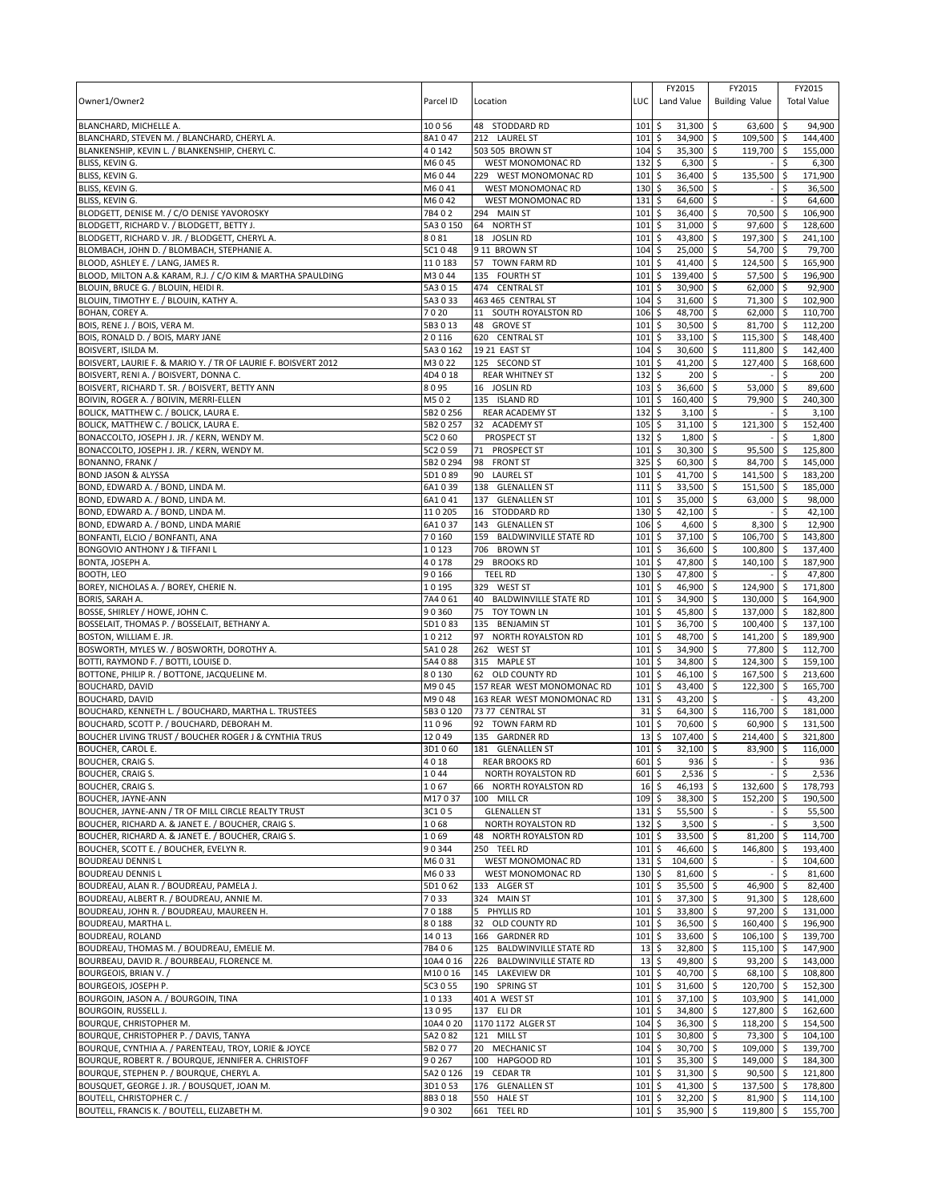| Owner1/Owner2                                                                                                 | Parcel ID          | Location                                               | LUC         | FY2015<br>Land Value                | FY2015<br><b>Building Value</b>   | FY2015<br><b>Total Value</b> |                    |
|---------------------------------------------------------------------------------------------------------------|--------------------|--------------------------------------------------------|-------------|-------------------------------------|-----------------------------------|------------------------------|--------------------|
| BLANCHARD, MICHELLE A.                                                                                        | 10056              | 48 STODDARD RD                                         | 101         | \$<br>31,300                        | -\$<br>63,600                     | ۱\$                          | 94,900             |
| BLANCHARD, STEVEN M. / BLANCHARD, CHERYL A.<br>BLANKENSHIP, KEVIN L. / BLANKENSHIP, CHERYL C.                 | 8A1047<br>40142    | 212 LAUREL ST<br>503 505 BROWN ST                      | 101<br>104  | \$<br>34,900<br>35,300 \$<br>\$     | 109,500 \$<br>S.<br>119,700 \$    |                              | 144,400<br>155,000 |
| BLISS, KEVIN G.                                                                                               | M6045              | WEST MONOMONAC RD                                      | 132         | \$<br>6,300                         | \$                                |                              | 6,300              |
| BLISS, KEVIN G.                                                                                               | M6044              | 229 WEST MONOMONAC RD                                  | 101         | 36,400<br>\$                        | \$<br>135,500                     | \$                           | 171,900            |
| BLISS, KEVIN G.                                                                                               | M6041              | <b>WEST MONOMONAC RD</b>                               | 130         | \$<br>36,500                        | \$                                | \$                           | 36,500             |
| BLISS, KEVIN G.                                                                                               | M6042              | WEST MONOMONAC RD                                      | 131         | \$<br>64,600                        | \$                                | \$                           | 64,600             |
| BLODGETT, DENISE M. / C/O DENISE YAVOROSKY                                                                    | 7B402              | 294 MAIN ST                                            | 101         | \$<br>36,400                        | \$<br>70,500                      | \$                           | 106,900            |
| BLODGETT, RICHARD V. / BLODGETT, BETTY J.                                                                     | 5A3 0 150<br>8081  | 64 NORTH ST                                            | 101<br>101  | \$<br>31,000                        | 97,600<br>\$                      | \$                           | 128,600<br>241,100 |
| BLODGETT, RICHARD V. JR. / BLODGETT, CHERYL A.<br>BLOMBACH, JOHN D. / BLOMBACH, STEPHANIE A.                  | 5C1048             | 18 JOSLIN RD<br>9 11 BROWN ST                          | 104         | \$<br>43,800<br>\$<br>25,000        | 197,300 \$<br>-\$<br>\$<br>54,700 | l \$                         | 79,700             |
| BLOOD, ASHLEY E. / LANG, JAMES R.                                                                             | 110183             | 57 TOWN FARM RD                                        | 101         | \$<br>41,400                        | 124,500<br>\$                     | <b>S</b>                     | 165,900            |
| BLOOD, MILTON A.& KARAM, R.J. / C/O KIM & MARTHA SPAULDING                                                    | M3044              | 135 FOURTH ST                                          | 101         | \$<br>139,400                       | 57,500<br>\$                      | <b>S</b>                     | 196,900            |
| BLOUIN, BRUCE G. / BLOUIN, HEIDI R.                                                                           | 5A3 0 15           | 474 CENTRAL ST                                         | 101         | \$<br>30,900                        | \$<br>62,000                      | l\$                          | 92,900             |
| BLOUIN, TIMOTHY E. / BLOUIN, KATHY A.                                                                         | 5A3033             | 463 465 CENTRAL ST                                     | 104         | \$<br>31,600                        | 71,300 \$<br>\$                   |                              | 102,900            |
| BOHAN, COREY A.                                                                                               | 7020               | 11 SOUTH ROYALSTON RD                                  | 106         | \$<br>48,700                        | \$<br>62,000                      | l\$                          | 110,700            |
| BOIS, RENE J. / BOIS, VERA M.                                                                                 | 5B3013             | 48<br><b>GROVE ST</b>                                  | 101         | \$<br>30,500                        | \$<br>81,700                      | l\$                          | 112,200            |
| BOIS, RONALD D. / BOIS, MARY JANE                                                                             | 20116              | 620 CENTRAL ST                                         | 101         | \$<br>33,100                        | 115,300 \$<br>\$                  |                              | 148,400            |
| BOISVERT, ISILDA M.                                                                                           | 5A3 0 162<br>M3022 | 19 21 EAST ST                                          | 104<br>101  | \$<br>30,600<br>\$                  | $\zeta$<br>111,800<br>\$          | ۱\$<br>l \$                  | 142,400            |
| BOISVERT, LAURIE F. & MARIO Y. / TR OF LAURIE F. BOISVERT 2012<br>BOISVERT, RENI A. / BOISVERT, DONNA C.      | 4D4018             | 125 SECOND ST<br><b>REAR WHITNEY ST</b>                | 132         | 41,200<br>\$<br>200                 | 127,400<br>\$                     | \$                           | 168,600<br>200     |
| BOISVERT, RICHARD T. SR. / BOISVERT, BETTY ANN                                                                | 8095               | 16 JOSLIN RD                                           | 103         | \$<br>36,600                        | \$<br>53,000                      | $\zeta$                      | 89,600             |
| BOIVIN, ROGER A. / BOIVIN, MERRI-ELLEN                                                                        | M502               | 135 ISLAND RD                                          | 101         | 160,400<br>\$                       | 79,900<br>\$                      | \$                           | 240,300            |
| BOLICK, MATTHEW C. / BOLICK, LAURA E.                                                                         | 5B2 0 256          | <b>REAR ACADEMY ST</b>                                 | 132         | \$<br>3,100                         | -\$                               | \$.                          | 3,100              |
| BOLICK, MATTHEW C. / BOLICK, LAURA E.                                                                         | 5B2 0 257          | 32 ACADEMY ST                                          | 105         | \$<br>31,100                        | \$<br>121,300                     | S.                           | 152,400            |
| BONACCOLTO, JOSEPH J. JR. / KERN, WENDY M.                                                                    | 5C2 060            | <b>PROSPECT ST</b>                                     | 132         | \$<br>1,800                         | -\$                               | \$                           | 1,800              |
| BONACCOLTO, JOSEPH J. JR. / KERN, WENDY M.                                                                    | 5C2 0 59           | 71<br>PROSPECT ST                                      | 101         | \$<br>30,300                        | \$<br>95,500                      | \$                           | 125,800            |
| <b>BONANNO, FRANK /</b>                                                                                       | 5B2 0 294          | 98<br><b>FRONT ST</b>                                  | 325         | \$<br>60,300                        | \$<br>84,700                      | ۱\$                          | 145,000            |
| <b>BOND JASON &amp; ALYSSA</b>                                                                                | 5D1089             | 90<br><b>LAUREL ST</b>                                 | 101         | \$<br>41,700                        | 141,500 \$<br>\$                  |                              | 183,200            |
| BOND, EDWARD A. / BOND, LINDA M.<br>BOND, EDWARD A. / BOND, LINDA M.                                          | 6A1039<br>6A1041   | 138 GLENALLEN ST<br>137 GLENALLEN ST                   | 111<br>101  | \$<br>33,500<br>\$<br>35,000        | \$<br>151,500<br>\$<br>63,000     | <b>S</b><br>\$               | 185,000<br>98,000  |
| BOND, EDWARD A. / BOND, LINDA M.                                                                              | 110205             | 16 STODDARD RD                                         | 130         | 42,100<br>\$                        | Ŝ.                                | \$                           | 42,100             |
| BOND, EDWARD A. / BOND, LINDA MARIE                                                                           | 6A1037             | 143 GLENALLEN ST                                       | 106         | \$<br>4,600                         | \$<br>8,300                       | -\$                          | 12,900             |
| BONFANTI, ELCIO / BONFANTI, ANA                                                                               | 70160              | 159 BALDWINVILLE STATE RD                              | 101         | 37,100<br>\$                        | 106,700<br>\$                     | I\$                          | 143,800            |
| <b>BONGOVIO ANTHONY J &amp; TIFFANI L</b>                                                                     | 10123              | 706<br><b>BROWN ST</b>                                 | 101         | \$<br>36,600                        | \$<br>100,800                     | ۱\$                          | 137,400            |
| BONTA, JOSEPH A.                                                                                              | 40178              | 29<br><b>BROOKS RD</b>                                 | 101         | \$<br>47,800                        | \$<br>140,100                     | \$                           | 187,900            |
| <b>BOOTH, LEO</b>                                                                                             | 90166              | <b>TEEL RD</b>                                         | 130         | \$<br>47,800                        | \$                                | \$.                          | 47,800             |
| BOREY, NICHOLAS A. / BOREY, CHERIE N.                                                                         | 10195              | 329 WEST ST                                            | 101         | \$<br>46,900                        | \$<br>124,900                     | \$                           | 171,800            |
| <b>BORIS, SARAH A</b>                                                                                         | 7A4061             | 40<br><b>BALDWINVILLE STATE RD</b>                     | 101         | \$<br>34,900                        | \$<br>130,000                     | -\$                          | 164,900            |
| BOSSE, SHIRLEY / HOWE, JOHN C.<br>BOSSELAIT, THOMAS P. / BOSSELAIT, BETHANY A.                                | 90360<br>5D1083    | 75<br><b>TOY TOWN LN</b><br>135 BENJAMIN ST            | 101<br>101  | 45,800<br>\$<br>\$<br>36,700        | 137,000<br>S.<br>\$<br>100,400 \$ | l\$                          | 182,800<br>137,100 |
| BOSTON, WILLIAM E. JR.                                                                                        | 10212              | 97<br>NORTH ROYALSTON RD                               | 101         | \$<br>48,700                        | \$<br>141,200                     | ا \$                         | 189,900            |
| BOSWORTH, MYLES W. / BOSWORTH, DOROTHY A.                                                                     | 5A1028             | 262 WEST ST                                            | 101         | \$<br>34,900                        | \$<br>77,800                      | l\$                          | 112,700            |
| BOTTI, RAYMOND F. / BOTTI, LOUISE D.                                                                          | 5A4088             | 315 MAPLE ST                                           | 101         | \$<br>34,800                        | $\mathsf{\hat{S}}$<br>124,300     | l\$                          | 159,100            |
| BOTTONE, PHILIP R. / BOTTONE, JACQUELINE M.                                                                   | 80130              | 62 OLD COUNTY RD                                       | 101         | \$<br>46,100                        | \$<br>167,500 \$                  |                              | 213,600            |
| <b>BOUCHARD, DAVID</b>                                                                                        | M9045              | 157 REAR WEST MONOMONAC RD                             | 101         | \$<br>43,400                        | \$<br>122,300                     | ۱\$                          | 165,700            |
| <b>BOUCHARD, DAVID</b>                                                                                        | M9048              | 163 REAR WEST MONOMONAC RD                             | 131         | \$<br>43,200                        | \$                                | Ŝ.                           | 43,200             |
| BOUCHARD, KENNETH L. / BOUCHARD, MARTHA L. TRUSTEES                                                           | 5B3 0 120          | 73 77 CENTRAL ST                                       | 31          | \$<br>64,300                        | \$<br>116,700                     | <b>S</b>                     | 181,000            |
| BOUCHARD, SCOTT P. / BOUCHARD, DEBORAH M.<br><b>BOUCHER LIVING TRUST / BOUCHER ROGER J &amp; CYNTHIA TRUS</b> | 11096<br>12049     | 92 TOWN FARM RD<br>135 GARDNER RD                      | 101<br>13   | \$<br>70,600<br>\$<br>107,400       | \$<br>60,900<br>\$<br>214.400     | ا \$<br>\$                   | 131,500<br>321,800 |
| <b>BOUCHER, CAROL E.</b>                                                                                      | 3D1060             | 181 GLENALLEN ST                                       | 101         | \$<br>32,100                        | \$<br>83,900                      | l \$                         | 116,000            |
| <b>BOUCHER, CRAIG S.</b>                                                                                      | 4018               | <b>REAR BROOKS RD</b>                                  | $601$ \$    | 936 <sup>5</sup>                    |                                   | Ŝ.                           | 936                |
| <b>BOUCHER, CRAIG S.</b>                                                                                      | 1044               | NORTH ROYALSTON RD                                     | 601         | $2,536$ \$<br>\$                    |                                   | \$                           | 2,536              |
| <b>BOUCHER, CRAIG S.</b>                                                                                      | 1067               | 66 NORTH ROYALSTON RD                                  | 16          | \$<br>46,193 \$                     | 132,600                           | S.                           | 178,793            |
| BOUCHER, JAYNE-ANN                                                                                            | M17037             | 100 MILL CR                                            | 109         | \$<br>38,300                        | $\ddot{\circ}$<br>152,200         | -\$                          | 190,500            |
| BOUCHER, JAYNE-ANN / TR OF MILL CIRCLE REALTY TRUST                                                           | 3C105              | <b>GLENALLEN ST</b>                                    | 131         | \$<br>55,500 \$                     |                                   | \$                           | 55,500             |
| BOUCHER, RICHARD A. & JANET E. / BOUCHER, CRAIG S.<br>BOUCHER, RICHARD A. & JANET E. / BOUCHER, CRAIG S.      | 1068<br>1069       | NORTH ROYALSTON RD<br>48 NORTH ROYALSTON RD            | 132<br>101  | \$<br>$3,500$ \$<br>\$<br>33,500 \$ | J.<br>81,200                      | \$<br>\$                     | 3,500<br>114,700   |
| BOUCHER, SCOTT E. / BOUCHER, EVELYN R.                                                                        | 90344              | 250 TEEL RD                                            | 101         | \$<br>46,600 \$                     | 146,800                           | l \$                         | 193,400            |
| <b>BOUDREAU DENNIS L</b>                                                                                      | M6031              | WEST MONOMONAC RD                                      | 131         | \$<br>104,600 \$                    |                                   | \$                           | 104,600            |
| <b>BOUDREAU DENNIS L</b>                                                                                      | M6033              | WEST MONOMONAC RD                                      | 130         | \$<br>81,600 \$                     |                                   | \$                           | 81,600             |
| BOUDREAU, ALAN R. / BOUDREAU, PAMELA J.                                                                       | 5D1062             | 133 ALGER ST                                           | 101         | \$<br>35,500 \$                     | 46,900                            | \$                           | 82,400             |
| BOUDREAU, ALBERT R. / BOUDREAU, ANNIE M.                                                                      | 7033               | 324 MAIN ST                                            | 101         | \$<br>37,300 \$                     | 91,300                            | <b>S</b>                     | 128,600            |
| BOUDREAU, JOHN R. / BOUDREAU, MAUREEN H.                                                                      | 70188              | PHYLLIS RD<br>5                                        | 101         | \$<br>33,800 \$                     | 97,200 \$                         |                              | 131,000            |
| BOUDREAU, MARTHA L.                                                                                           | 80188              | 32 OLD COUNTY RD                                       | 101         | \$<br>$36,500$ \$                   | 160,400 \$                        |                              | 196,900            |
| BOUDREAU, ROLAND                                                                                              | 14013              | 166 GARDNER RD                                         | 101         | \$<br>33,600 \$                     | $106,100$ \$                      |                              | 139,700            |
| BOUDREAU, THOMAS M. / BOUDREAU, EMELIE M.<br>BOURBEAU, DAVID R. / BOURBEAU, FLORENCE M.                       | 7B406<br>10A4 0 16 | 125 BALDWINVILLE STATE RD<br>226 BALDWINVILLE STATE RD | 13<br>13    | \$<br>32,800 \$<br>\$<br>49,800 \$  | $115,100$ \$<br>93,200 \$         |                              | 147,900<br>143,000 |
| BOURGEOIS, BRIAN V. /                                                                                         | M10016             | 145 LAKEVIEW DR                                        | 101         | \$<br>40,700 \$                     | 68,100 \$                         |                              | 108,800            |
| BOURGEOIS, JOSEPH P.                                                                                          | 5C3 0 55           | 190 SPRING ST                                          | 101         | 5<br>31,600 \$                      | 120,700 \$                        |                              | 152,300            |
| BOURGOIN, JASON A. / BOURGOIN, TINA                                                                           | 10133              | 401 A WEST ST                                          | 101         | $\ddot{\circ}$<br>$37,100$ \$       | 103,900 \$                        |                              | 141,000            |
| BOURGOIN, RUSSELL J.                                                                                          | 13095              | 137 ELI DR                                             | $101 \;$ \$ | 34,800 \$                           | 127,800 \$                        |                              | 162,600            |
| <b>BOURQUE, CHRISTOPHER M.</b>                                                                                | 10A4 0 20          | 1170 1172 ALGER ST                                     | 104         | \$<br>36,300                        | \$<br>118,200                     | $\sqrt{5}$                   | 154,500            |
| BOURQUE, CHRISTOPHER P. / DAVIS, TANYA                                                                        | 5A2082             | 121 MILL ST                                            | $101 \;$ \$ | 30,800 \$                           | 73,300 \$                         |                              | 104,100            |
| BOURQUE, CYNTHIA A. / PARENTEAU, TROY, LORIE & JOYCE<br>BOURQUE, ROBERT R. / BOURQUE, JENNIFER A. CHRISTOFF   | 5B2077             | 20 MECHANIC ST                                         | $104 \;$ \$ | 30,700 \$                           | 109,000 \$                        |                              | 139,700            |
| BOURQUE, STEPHEN P. / BOURQUE, CHERYL A.                                                                      | 90267<br>5A2 0 126 | 100 HAPGOOD RD<br>19 CEDAR TR                          | 101<br>101  | \$<br>35,300 \$<br>\$<br>31,300 \$  | 149,000 \$<br>$90,500$ \$         |                              | 184,300<br>121,800 |
| BOUSQUET, GEORGE J. JR. / BOUSQUET, JOAN M.                                                                   | 3D1053             | 176 GLENALLEN ST                                       | 101         | \$<br>$41,300$ \$                   | 137,500                           | ۱\$                          | 178,800            |
| BOUTELL, CHRISTOPHER C. /                                                                                     | 8B3018             | 550 HALE ST                                            | 101         | \$<br>$32,200$ \$                   | 81,900 \$                         |                              | 114,100            |
| BOUTELL, FRANCIS K. / BOUTELL, ELIZABETH M.                                                                   | 90302              | 661 TEEL RD                                            | $101 \;$ \$ | 35,900 \$                           | 119,800 \$                        |                              | 155,700            |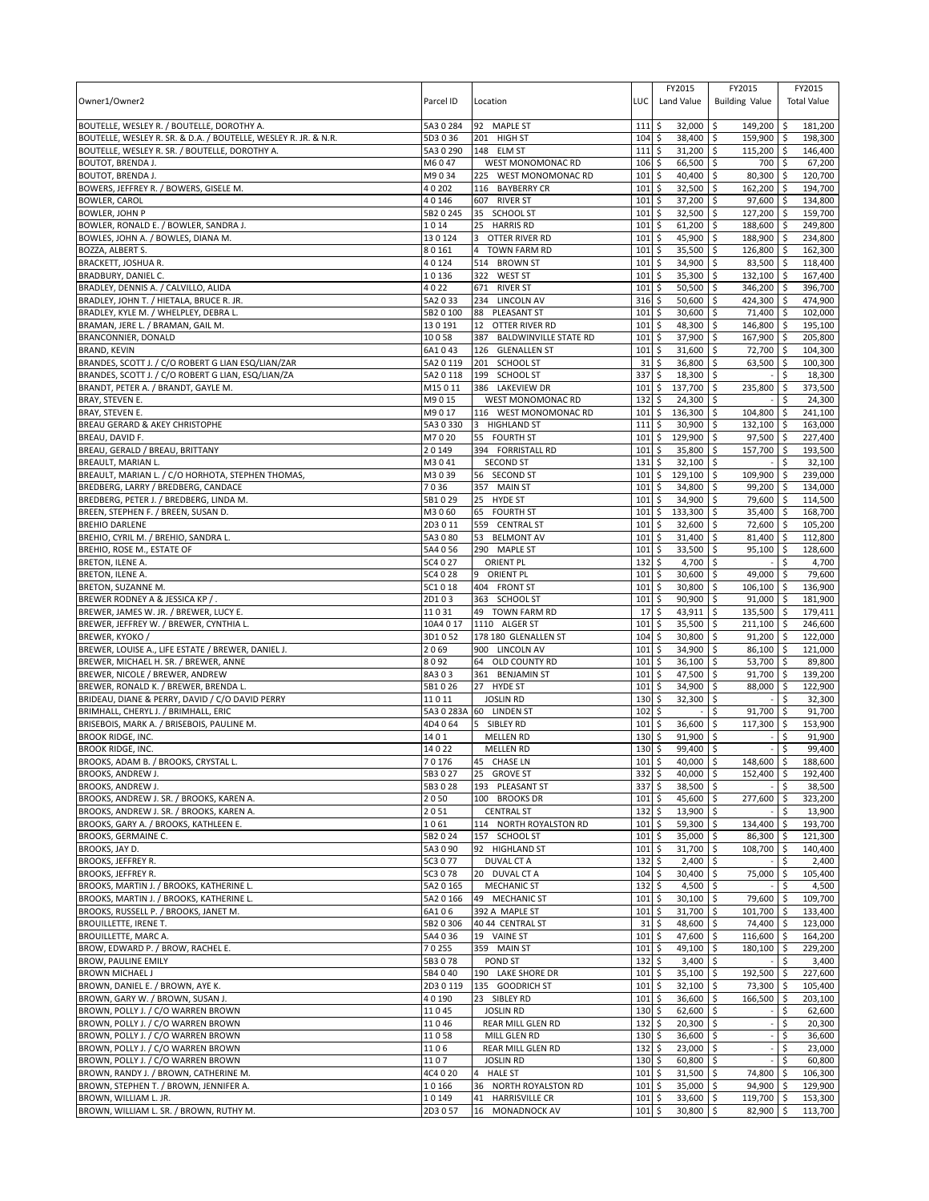| Owner1/Owner2                                                                        | Parcel ID          | Location                               | LUC                        | FY2015<br>Land Value            | FY2015<br><b>Building Value</b> | FY2015<br><b>Total Value</b>      |
|--------------------------------------------------------------------------------------|--------------------|----------------------------------------|----------------------------|---------------------------------|---------------------------------|-----------------------------------|
| BOUTELLE, WESLEY R. / BOUTELLE, DOROTHY A.                                           | 5A3 0 284          | 92 MAPLE ST                            | 111                        | \$<br>32,000                    | \$<br>149,200                   | 181,200<br>-\$                    |
| BOUTELLE, WESLEY R. SR. & D.A. / BOUTELLE, WESLEY R. JR. & N.R.                      | 5D3036             | 201 HIGH ST                            | 104                        | S.<br>38,400                    | 159,900<br>S.                   | 198,300<br>l\$                    |
| BOUTELLE, WESLEY R. SR. / BOUTELLE, DOROTHY A.<br><b>BOUTOT, BRENDA J.</b>           | 5A3 0 290<br>M6047 | 148 ELM ST<br><b>WEST MONOMONAC RD</b> | 111                        | \$<br>31,200                    | \$<br>115,200 \$<br>700         | 146,400                           |
| <b>BOUTOT, BRENDA J.</b>                                                             | M9034              | 225 WEST MONOMONAC RD                  | 106<br>101                 | \$<br>66,500 \$<br>\$<br>40,400 | \$<br>80,300                    | \$ ا<br>67,200<br>l \$<br>120,700 |
| BOWERS, JEFFREY R. / BOWERS, GISELE M.                                               | 40202              | 116 BAYBERRY CR                        | 101                        | \$<br>32,500                    | \$<br>162,200                   | l \$<br>194,700                   |
| <b>BOWLER, CAROL</b>                                                                 | 40146              | 607 RIVER ST                           | 101                        | \$<br>37,200                    | \$<br>97,600 \$                 | 134,800                           |
| <b>BOWLER, JOHN P</b>                                                                | 5B2 0 245          | 35<br>SCHOOL ST                        | 101                        | \$<br>32,500                    | \$<br>127,200                   | -\$<br>159,700                    |
| BOWLER, RONALD E. / BOWLER, SANDRA J.                                                | 1014               | <b>HARRIS RD</b><br>25                 | 101                        | 61,200<br>\$                    | 188,600<br>\$                   | 249,800<br>l \$                   |
| BOWLES, JOHN A. / BOWLES, DIANA M.                                                   | 130124             | <b>OTTER RIVER RD</b><br>3             | 101                        | \$<br>45,900                    | \$<br>188,900                   | 234,800<br><b>S</b>               |
| BOZZA, ALBERT S.                                                                     | 80161              | <b>TOWN FARM RD</b><br>$\overline{4}$  | 101                        | \$<br>35,500                    | \$<br>126,800                   | 162,300<br>\$ ا                   |
| BRACKETT, JOSHUA R.                                                                  | 40124              | 514<br><b>BROWN ST</b>                 | 101                        | \$<br>34,900                    | \$<br>83,500                    | 118,400<br>\$ ا                   |
| BRADBURY, DANIEL C.                                                                  | 10136              | <b>WEST ST</b><br>322                  | 101                        | \$<br>35,300                    | \$<br>132,100 \$                | 167,400                           |
| BRADLEY, DENNIS A. / CALVILLO, ALIDA                                                 | 4022               | 671<br><b>RIVER ST</b>                 | 101                        | \$<br>50,500                    | \$<br>346,200                   | -\$<br>396,700                    |
| BRADLEY, JOHN T. / HIETALA, BRUCE R. JR.                                             | 5A2033             | 234 LINCOLN AV                         | 316                        | \$<br>50,600                    | \$<br>424,300 \$                | 474,900                           |
| BRADLEY, KYLE M. / WHELPLEY, DEBRA L                                                 | 5B2 0 100          | 88<br>PLEASANT ST                      | 101                        | \$<br>30,600                    | \$<br>71,400                    | l \$<br>102,000                   |
| BRAMAN, JERE L. / BRAMAN, GAIL M.                                                    | 130191             | 12<br>OTTER RIVER RD                   | 101                        | 48,300<br>\$                    | 146,800<br>\$                   | 195,100<br>-\$                    |
| BRANCONNIER, DONALD                                                                  | 10058              | <b>BALDWINVILLE STATE RD</b><br>387    | 101                        | \$<br>37,900                    | \$<br>167,900                   | 205,800<br>۱\$                    |
| <b>BRAND, KEVIN</b>                                                                  | 6A1043             | 126 GLENALLEN ST                       | 101                        | \$<br>31,600                    | \$<br>72,700                    | ۱\$<br>104,300                    |
| BRANDES, SCOTT J. / C/O ROBERT G LIAN ESQ/LIAN/ZAR                                   | 5A2 0 119          | 201<br><b>SCHOOL ST</b>                | 31                         | \$<br>36,800                    | \$<br>63,500                    | \$<br>100,300                     |
| BRANDES, SCOTT J. / C/O ROBERT G LIAN, ESQ/LIAN/ZA                                   | 5A2 0 118          | 199 SCHOOL ST                          | 337                        | \$<br>18,300                    | -\$                             | \$<br>18,300                      |
| BRANDT, PETER A. / BRANDT, GAYLE M.                                                  | M15011             | 386 LAKEVIEW DR                        | 101                        | \$<br>137,700                   | \$<br>235,800                   | \$<br>373,500                     |
| BRAY, STEVEN E.                                                                      | M9015              | <b>WEST MONOMONAC RD</b>               | 132                        | \$<br>24,300                    | \$                              | 24,300                            |
| BRAY, STEVEN E.                                                                      | M9017              | 116 WEST MONOMONAC RD                  | 101                        | \$<br>136,300                   | 104,800<br>\$                   | 241,100<br>-\$                    |
| BREAU GERARD & AKEY CHRISTOPHE                                                       | 5A3 0 330          | 3 HIGHLAND ST                          | 111                        | 30,900<br>\$                    | 132,100<br>\$                   | 163,000<br>-\$                    |
| BREAU, DAVID F.                                                                      | M7020<br>20149     | 55 FOURTH ST                           | 101<br>101                 | \$<br>129,900                   | 97,500 \$<br>Ŝ.<br>157.700      | 227,400                           |
| BREAU, GERALD / BREAU, BRITTANY<br>BREAULT, MARIAN L.                                | M3041              | 394 FORRISTALL RD<br><b>SECOND ST</b>  | 131                        | \$<br>35,800<br>\$<br>32,100    | \$<br>\$                        | 193,500<br>l\$<br>Ŝ.<br>32,100    |
| BREAULT, MARIAN L. / C/O HORHOTA, STEPHEN THOMAS,                                    | M3039              | 56 SECOND ST                           | 101                        | \$<br>129,100 \$                | 109,900                         | <b>S</b><br>239,000               |
| BREDBERG, LARRY / BREDBERG, CANDACE                                                  | 7036               | 357 MAIN ST                            | 101                        | \$<br>34,800                    | \$<br>99,200                    | 134,000<br>-\$                    |
| BREDBERG, PETER J. / BREDBERG, LINDA M.                                              | 5B1029             | 25 HYDE ST                             | 101                        | \$<br>34,900                    | \$<br>79,600                    | 114,500<br>\$ ا                   |
| BREEN, STEPHEN F. / BREEN, SUSAN D                                                   | M3060              | 65 FOURTH ST                           | 101                        | \$<br>133,300                   | \$<br>35,400                    | l \$<br>168,700                   |
| <b>BREHIO DARLENE</b>                                                                | 2D3011             | 559 CENTRAL ST                         | 101                        | \$<br>32,600                    | \$<br>72,600                    | l \$<br>105,200                   |
| BREHIO, CYRIL M. / BREHIO, SANDRA L.                                                 | 5A3080             | 53 BELMONT AV                          | 101                        | \$<br>31,400                    | 81,400 \$<br>-\$                | 112,800                           |
| BREHIO, ROSE M., ESTATE OF                                                           | 5A4 0 56           | 290 MAPLE ST                           | 101                        | \$<br>33,500                    | \$<br>95,100                    | ۱\$<br>128,600                    |
| BRETON, ILENE A.                                                                     | 5C4 0 27           | <b>ORIENT PL</b>                       | 132                        | \$<br>4,700                     | \$                              | 4,700<br>Ŝ.                       |
| BRETON, ILENE A.                                                                     | 5C4 0 28           | 9 ORIENT PL                            | 101                        | \$<br>30,600                    | 49,000<br>-\$                   | 79,600<br>l \$                    |
| BRETON, SUZANNE M.                                                                   | 5C1018             | 404 FRONT ST                           | 101                        | \$<br>30,800                    | \$<br>106,100                   | 136,900<br>\$ ا                   |
| BREWER RODNEY A & JESSICA KP / .                                                     | 2D103              | 363 SCHOOL ST                          | 101                        | \$<br>90,900                    | \$<br>91,000                    | 181,900<br>\$                     |
| BREWER, JAMES W. JR. / BREWER, LUCY E.                                               | 11031              | 49 TOWN FARM RD                        | 17                         | 43,911<br>\$                    | 135,500<br>\$                   | 179,411<br><b>S</b>               |
| BREWER, JEFFREY W. / BREWER, CYNTHIA L                                               | 10A4 0 17          | 1110 ALGER ST                          | 101                        | \$<br>35,500                    | \$<br>211,100                   | l\$<br>246,600                    |
| BREWER, KYOKO /                                                                      | 3D1052             | 178 180 GLENALLEN ST                   | 104                        | 30,800<br>\$                    | 91,200<br>\$                    | 122,000<br>l\$                    |
| BREWER, LOUISE A., LIFE ESTATE / BREWER, DANIEL J.                                   | 2069               | 900 LINCOLN AV                         | 101                        | \$<br>34,900                    | \$<br>86,100                    | l\$<br>121,000                    |
| BREWER, MICHAEL H. SR. / BREWER, ANNE                                                | 8092               | 64 OLD COUNTY RD                       | 101                        | \$<br>36,100                    | 53,700<br>\$                    | l \$<br>89,800                    |
| BREWER, NICOLE / BREWER, ANDREW                                                      | 8A303              | 361 BENJAMIN ST                        | 101                        | \$<br>47,500                    | 91,700 \$<br>\$                 | 139,200                           |
| BREWER, RONALD K. / BREWER, BRENDA L.                                                | 5B1026             | 27 HYDE ST                             | 101                        | \$<br>34,900                    | 88,000<br>\$                    | <b>S</b><br>122,900               |
| BRIDEAU, DIANE & PERRY, DAVID / C/O DAVID PERRY                                      | 11011              | <b>JOSLIN RD</b>                       | 130                        | \$<br>32,300                    | \$                              | 32,300                            |
| BRIMHALL, CHERYL J. / BRIMHALL, ERIC                                                 |                    | 5A3 0 283A 60 LINDEN ST                | 102                        | \$                              | \$<br>91,700                    | 91,700<br>-\$                     |
| BRISEBOIS, MARK A. / BRISEBOIS, PAULINE M.                                           | 4D4064             | 5 SIBLEY RD                            | 101                        | \$<br>36,600                    | 117,300<br>\$                   | l\$<br>153,900                    |
| <b>BROOK RIDGE, INC.</b>                                                             | 1401               | <b>MELLEN RD</b>                       | 130                        | \$<br>91,900                    | \$                              | 91,900<br>S                       |
| <b>BROOK RIDGE, INC.</b>                                                             | 14022              | <b>MELLEN RD</b>                       | 130<br>101S                | \$<br>99,400                    | \$                              | \$<br>99,400                      |
| BROOKS, ADAM B. / BROOKS, CRYSTAL L                                                  | 70176              | 45 CHASE LN                            |                            | $40,000$ \$                     | $148,600$ \$                    | 188,600                           |
| BROOKS, ANDREW J.                                                                    | 5B3027             | 25 GROVE ST                            | $332 \div$                 | 40,000 \$                       | 152,400 \$                      | 192,400                           |
| <b>BROOKS, ANDREW J.</b>                                                             | 5B3028             | 193 PLEASANT ST<br>100 BROOKS DR       | 337 \$                     | 38,500 \$                       |                                 | \$<br>38,500<br>l\$               |
| BROOKS, ANDREW J. SR. / BROOKS, KAREN A.<br>BROOKS, ANDREW J. SR. / BROOKS, KAREN A. | 2050<br>2051       | <b>CENTRAL ST</b>                      | $101 \,$ \$<br>$132 \,$ \$ | 45,600 \$<br>$13,900$ \$        | 277,600                         | 323,200<br>13,900<br>\$           |
| BROOKS, GARY A. / BROOKS, KATHLEEN E.                                                | 1061               | 114 NORTH ROYALSTON RD                 | 101                        | \$<br>59,300 \$                 | 134,400                         | l \$<br>193,700                   |
| BROOKS, GERMAINE C.                                                                  | 5B2024             | 157 SCHOOL ST                          | 101                        | \$<br>35,000 \$                 | 86,300                          | 121,300<br>  \$                   |
| BROOKS, JAY D.                                                                       | 5A3090             | 92 HIGHLAND ST                         | $101 \,$ \$                | 31,700 \$                       | 108,700 \$                      | 140,400                           |
| <b>BROOKS, JEFFREY R.</b>                                                            | 5C3 0 77           | DUVAL CT A                             | $132 \,$ \$                | $2,400$ \$                      |                                 | \$<br>2,400                       |
| BROOKS, JEFFREY R.                                                                   | 5C3 078            | 20 DUVAL CT A                          | $104 \,$ \$                | 30,400 \$                       | 75,000                          | 105,400<br>ا \$                   |
| BROOKS, MARTIN J. / BROOKS, KATHERINE L.                                             | 5A2 0 165          | <b>MECHANIC ST</b>                     | 132                        | \$<br>$4,500$ \$                |                                 | \$<br>4,500                       |
| BROOKS, MARTIN J. / BROOKS, KATHERINE L.                                             | 5A2 0 166          | 49 MECHANIC ST                         | $101 \,$ \$                | 30,100 \$                       | 79,600                          | 109,700<br>۱\$                    |
| BROOKS, RUSSELL P. / BROOKS, JANET M.                                                | 6A106              | 392 A MAPLE ST                         | 101                        | $\ddot{\circ}$<br>31,700 \$     | 101,700 \$                      | 133,400                           |
| <b>BROUILLETTE, IRENE T.</b>                                                         | 5B2 0 306          | 40 44 CENTRAL ST                       | 31                         | \$<br>48,600 \$                 | 74,400 \$                       | 123,000                           |
| BROUILLETTE, MARC A.                                                                 | 5A4036             | 19 VAINE ST                            | 101                        | \$<br>47,600                    | \$<br>116,600                   | $\sqrt{5}$<br>164,200             |
| BROW, EDWARD P. / BROW, RACHEL E.                                                    | 70255              | 359 MAIN ST                            | 101                        | 49,100<br>l\$                   | 180,100<br>l \$                 | 229,200<br>\$ ا                   |
| <b>BROW, PAULINE EMILY</b>                                                           | 5B3078             | POND ST                                | $132 \,$ \$                | $3,400$ \$                      |                                 | \$<br>3,400                       |
| <b>BROWN MICHAEL J</b>                                                               | 5B4 0 40           | 190 LAKE SHORE DR                      | 101                        | \$<br>$35,100$ \$               | 192,500 \$                      | 227,600                           |
| BROWN, DANIEL E. / BROWN, AYE K.                                                     | 2D3 0 119          | 135 GOODRICH ST                        | 101                        | \$<br>32,100 \$                 | 73,300                          | l \$<br>105,400                   |
| BROWN, GARY W. / BROWN, SUSAN J.                                                     | 40190              | 23 SIBLEY RD                           | $101 \,$ \$                | $36,600$ \$                     | 166,500                         | \$<br>203,100                     |
| BROWN, POLLY J. / C/O WARREN BROWN                                                   | 11045              | <b>JOSLIN RD</b>                       | $130 \;$ \$                | $62,600$ \$                     |                                 | \$<br>62,600                      |
| BROWN, POLLY J. / C/O WARREN BROWN                                                   | 11046              | REAR MILL GLEN RD                      | 132                        | \$<br>$20,300$ \$               |                                 | \$<br>20,300                      |
| BROWN, POLLY J. / C/O WARREN BROWN                                                   | 11058              | MILL GLEN RD                           | $130 \;$ \$                | 36,600 \$                       |                                 | \$<br>36,600                      |
| BROWN, POLLY J. / C/O WARREN BROWN                                                   | 1106               | REAR MILL GLEN RD                      | $132 \,$ \$                | 23,000 \$                       |                                 | \$<br>23,000                      |
| BROWN, POLLY J. / C/O WARREN BROWN                                                   | 1107               | <b>JOSLIN RD</b>                       | 130                        | \$<br>$60,800$ \$               |                                 | \$<br>60,800                      |
| BROWN, RANDY J. / BROWN, CATHERINE M.                                                | 4C4 0 20           | 4 HALE ST                              | $101 \;$ \$                | $31,500$ \$                     | 74,800 \$                       | 106,300                           |
| BROWN, STEPHEN T. / BROWN, JENNIFER A.                                               | 10166              | 36 NORTH ROYALSTON RD                  | 101                        | 5<br>35,000 \$                  | 94,900                          | l \$<br>129,900                   |
| BROWN, WILLIAM L. JR.                                                                | 10149              | <b>HARRISVILLE CR</b><br>41            | $101 \,$ \$                | 33,600 \$                       | 119,700 \$                      | 153,300                           |
| BROWN, WILLIAM L. SR. / BROWN, RUTHY M.                                              | 2D3 0 57           | 16 MONADNOCK AV                        | $101 \;$ \$                | 30,800 \$                       | 82,900 \$                       | 113,700                           |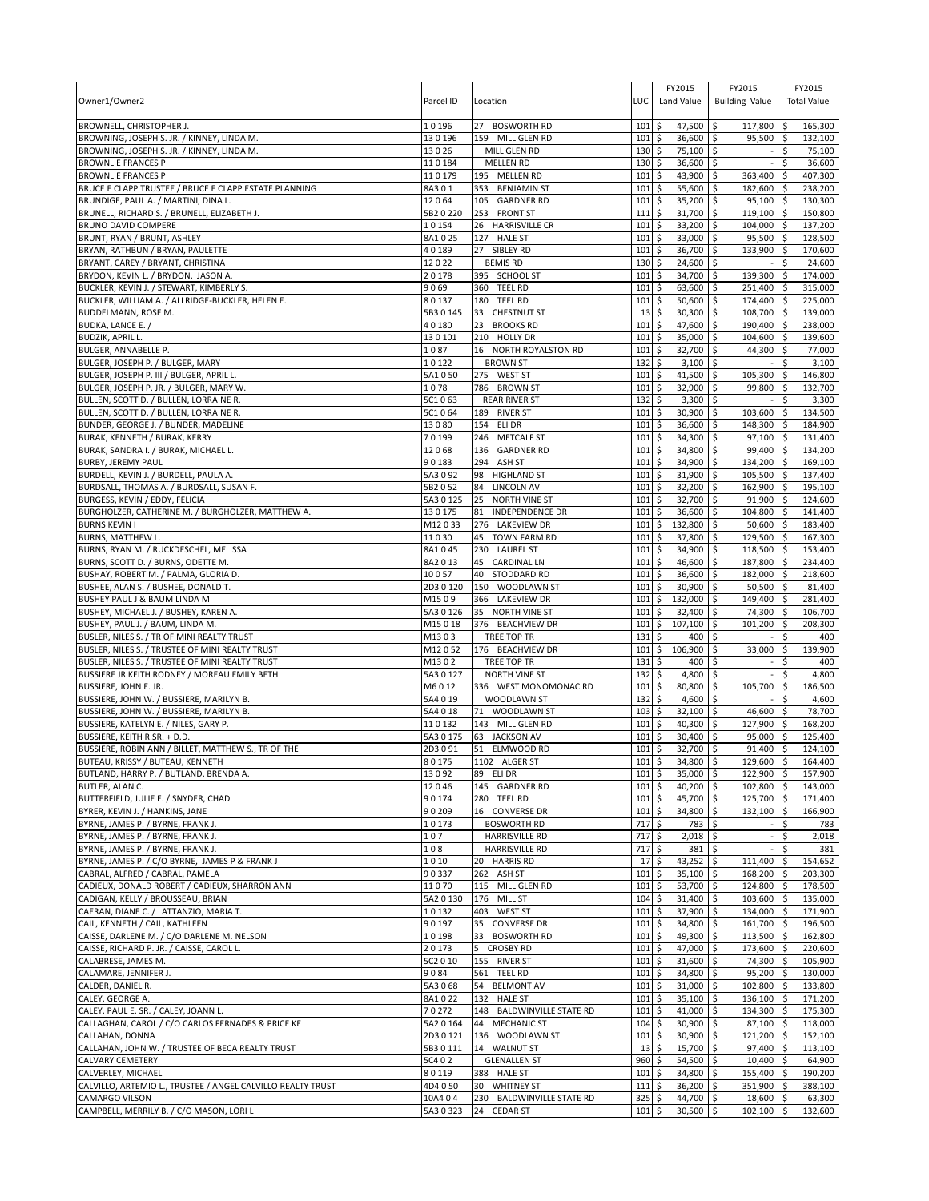| Owner1/Owner2                                                                                   | Parcel ID          | Location                              | LUC         | FY2015<br>Land Value                             | FY2015<br><b>Building Value</b>       |            | FY2015<br><b>Total Value</b> |
|-------------------------------------------------------------------------------------------------|--------------------|---------------------------------------|-------------|--------------------------------------------------|---------------------------------------|------------|------------------------------|
| BROWNELL, CHRISTOPHER J.                                                                        | 10196<br>130196    | 27 BOSWORTH RD<br>159 MILL GLEN RD    | 101<br>101  | \$<br>47,500<br>\$<br>36,600                     | \$<br>117,800<br>95,500 \$<br>S.      | \$ ا       | 165,300<br>132,100           |
| BROWNING, JOSEPH S. JR. / KINNEY, LINDA M.<br>BROWNING, JOSEPH S. JR. / KINNEY, LINDA M.        | 13026              | MILL GLEN RD                          | 130         | \$<br>75,100 \$                                  |                                       | \$         | 75,100                       |
| <b>BROWNLIE FRANCES P</b>                                                                       | 110184             | <b>MELLEN RD</b>                      | 130         | \$<br>36,600                                     | \$                                    | \$         | 36,600                       |
| <b>BROWNLIE FRANCES P</b>                                                                       | 110179             | 195 MELLEN RD                         | 101         | 43,900<br>\$                                     | 363,400<br>\$                         | \$         | 407,300                      |
| BRUCE E CLAPP TRUSTEE / BRUCE E CLAPP ESTATE PLANNING                                           | 8A301              | 353 BENJAMIN ST                       | 101         | \$<br>55,600                                     | \$<br>182,600                         | l\$        | 238,200                      |
| BRUNDIGE, PAUL A. / MARTINI, DINA L.                                                            | 12064              | 105 GARDNER RD                        | 101         | \$<br>35,200                                     | $95,100$ \$<br>\$                     |            | 130,300                      |
| BRUNELL, RICHARD S. / BRUNELL, ELIZABETH J.                                                     | 5B2 0 220          | 253 FRONT ST                          | 111         | \$<br>31,700                                     | \$<br>119,100                         | l \$       | 150,800                      |
| BRUNO DAVID COMPERE                                                                             | 10154              | 26 HARRISVILLE CR                     | 101         | \$<br>33,200                                     | \$<br>104,000                         | l \$       | 137,200                      |
| BRUNT, RYAN / BRUNT, ASHLEY                                                                     | 8A1025             | 127<br><b>HALE ST</b><br>27 SIBLEY RD | 101         | \$<br>33,000 \$                                  | 95,500 \$<br>133.900                  |            | 128,500                      |
| BRYAN, RATHBUN / BRYAN, PAULETTE<br>BRYANT, CAREY / BRYANT, CHRISTINA                           | 40189<br>12022     | <b>BEMIS RD</b>                       | 101<br>130  | \$<br>36,700 \$<br>\$<br>24,600                  | \$                                    | \$         | 170,600<br>24.600            |
| BRYDON, KEVIN L. / BRYDON, JASON A.                                                             | 20178              | 395 SCHOOL ST                         | 101         | \$<br>34,700                                     | 5<br>139,300                          | \$         | 174,000                      |
| BUCKLER, KEVIN J. / STEWART, KIMBERLY S.                                                        | 9069               | 360 TEEL RD                           | 101         | \$<br>63,600                                     | \$<br>251,400                         | <b>S</b>   | 315,000                      |
| BUCKLER, WILLIAM A. / ALLRIDGE-BUCKLER, HELEN E.                                                | 80137              | 180 TEEL RD                           | 101         | \$<br>50,600                                     | 174,400 \$<br>l \$                    |            | 225,000                      |
| BUDDELMANN, ROSE M.                                                                             | 5B3 0 145          | 33 CHESTNUT ST                        | 13          | \$<br>30,300                                     | \$<br>108,700                         | l \$       | 139,000                      |
| BUDKA, LANCE E.,                                                                                | 40180              | 23<br><b>BROOKS RD</b>                | 101         | \$<br>47,600                                     | $\mathsf{\hat{S}}$<br>190,400         | l \$       | 238,000                      |
| <b>BUDZIK, APRIL L.</b>                                                                         | 130101             | 210 HOLLY DR                          | 101         | \$<br>35,000 \$                                  | 104,600 \$                            |            | 139,600                      |
| BULGER, ANNABELLE P.                                                                            | 1087               | 16 NORTH ROYALSTON RD                 | 101         | \$<br>32,700 \$                                  | 44,300                                | \$         | 77,000                       |
| BULGER, JOSEPH P. / BULGER, MARY                                                                | 10122              | <b>BROWN ST</b>                       | 132         | \$<br>3,100                                      | \$                                    | Ŝ.         | 3,100                        |
| BULGER, JOSEPH P. III / BULGER, APRIL L.<br>BULGER, JOSEPH P. JR. / BULGER, MARY W.             | 5A1050             | 275 WEST ST                           | 101<br>101  | \$<br>41,500 \$                                  | 105,300                               | l \$       | 146,800                      |
| BULLEN, SCOTT D. / BULLEN, LORRAINE R.                                                          | 1078<br>5C1063     | 786 BROWN ST<br><b>REAR RIVER ST</b>  | 132         | \$<br>32,900<br>\$<br>3,300                      | \$<br>99,800<br>\$                    | $\zeta$    | 132,700<br>3,300             |
| BULLEN, SCOTT D. / BULLEN, LORRAINE R.                                                          | 5C1064             | 189 RIVER ST                          | 101         | l\$<br>30,900                                    | \$<br>103,600                         | \$ ا       | 134,500                      |
| BUNDER, GEORGE J. / BUNDER, MADELINE                                                            | 13080              | 154 ELI DR                            | 101         | \$<br>36,600                                     | \$<br>148,300                         | -\$        | 184,900                      |
| BURAK, KENNETH / BURAK, KERRY                                                                   | 70199              | 246 METCALF ST                        | 101         | \$<br>34,300                                     | 97,100 \$<br>\$                       |            | 131,400                      |
| BURAK, SANDRA I. / BURAK, MICHAEL L.                                                            | 12068              | 136 GARDNER RD                        | 101         | \$<br>34,800                                     | \$<br>99,400 \$                       |            | 134,200                      |
| <b>BURBY, JEREMY PAUL</b>                                                                       | 90183              | 294<br>ASH ST                         | 101         | \$<br>34,900                                     | \$<br>134,200                         | l \$       | 169,100                      |
| BURDELL, KEVIN J. / BURDELL, PAULA A.                                                           | 5A3 0 92           | 98<br><b>HIGHLAND ST</b>              | 101         | \$<br>31,900                                     | 105,500 \$<br>\$                      |            | 137,400                      |
| BURDSALL, THOMAS A. / BURDSALL, SUSAN F.                                                        | 5B2052             | LINCOLN AV<br>84                      | 101         | \$<br>32,200                                     | \$<br>162,900 \$                      |            | 195,100                      |
| BURGESS, KEVIN / EDDY, FELICIA                                                                  | 5A3 0 125          | 25<br><b>NORTH VINE ST</b>            | 101         | \$<br>32,700                                     | \$<br>91,900                          | \$ ا       | 124.600                      |
| BURGHOLZER, CATHERINE M. / BURGHOLZER, MATTHEW A.                                               | 130175             | 81<br><b>INDEPENDENCE DR</b>          | 101         | 36,600<br>\$                                     | 104,800<br>\$                         | <b>S</b>   | 141,400                      |
| <b>BURNS KEVIN I</b><br>BURNS, MATTHEW L.                                                       | M12033<br>11030    | 276 LAKEVIEW DR<br>45 TOWN FARM RD    | 101<br>101  | \$<br>132,800<br>\$<br>37,800                    | \$<br>$50,600$ \$<br>129,500 \$<br>\$ |            | 183,400<br>167,300           |
| BURNS, RYAN M. / RUCKDESCHEL, MELISSA                                                           | 8A1045             | 230 LAUREL ST                         | 101         | \$<br>34,900                                     | \$<br>118,500                         | $\sqrt{5}$ | 153,400                      |
| BURNS, SCOTT D. / BURNS, ODETTE M.                                                              | 8A2013             | 45 CARDINAL LN                        | 101         | \$<br>46,600                                     | 187,800<br>\$                         | l \$       | 234,400                      |
| BUSHAY, ROBERT M. / PALMA, GLORIA D.                                                            | 10057              | STODDARD RD<br>40                     | 101         | \$<br>36,600                                     | 182,000 \$<br>\$                      |            | 218,600                      |
| BUSHEE, ALAN S. / BUSHEE, DONALD T.                                                             | 2D30120            | 150 WOODLAWN ST                       | 101         | \$<br>30,900                                     | 50,500<br>\$                          | \$         | 81,400                       |
| BUSHEY PAUL J & BAUM LINDA M                                                                    | M1509              | 366 LAKEVIEW DR                       | 101         | \$<br>132,000                                    | 149,400<br>\$                         | -\$        | 281,400                      |
| BUSHEY, MICHAEL J. / BUSHEY, KAREN A.                                                           | 5A3 0 126          | 35 NORTH VINE ST                      | 101         | 32,400<br>\$                                     | -\$<br>74,300                         | l \$       | 106,700                      |
| BUSHEY, PAUL J. / BAUM, LINDA M.                                                                | M15018             | 376 BEACHVIEW DR                      | 101         | \$<br>107,100                                    | \$<br>101,200                         | l\$        | 208,300                      |
| BUSLER, NILES S. / TR OF MINI REALTY TRUST                                                      | M1303              | TREE TOP TR                           | 131         | \$<br>400                                        | \$                                    |            | 400                          |
| BUSLER, NILES S. / TRUSTEE OF MINI REALTY TRUST                                                 | M12052             | 176 BEACHVIEW DR                      | 101         | 106,900<br>\$                                    | \$<br>33,000                          | \$         | 139,900                      |
| BUSLER, NILES S. / TRUSTEE OF MINI REALTY TRUST<br>BUSSIERE JR KEITH RODNEY / MOREAU EMILY BETH | M1302<br>5A3 0 127 | TREE TOP TR<br><b>NORTH VINE ST</b>   | 131<br>132  | \$<br>400<br>\$<br>4,800                         | \$<br>l\$                             | \$<br>\$   | 400<br>4,800                 |
| BUSSIERE, JOHN E. JR.                                                                           | M6012              | 336 WEST MONOMONAC RD                 | 101         | \$<br>80,800                                     | \$<br>105,700                         | \$         | 186,500                      |
| BUSSIERE, JOHN W. / BUSSIERE, MARILYN B.                                                        | 5A4 0 19           | WOODLAWN ST                           | 132         | \$<br>4,600                                      | \$                                    | Ŝ.         | 4,600                        |
| BUSSIERE, JOHN W. / BUSSIERE, MARILYN B.                                                        | 5A4 0 18           | 71 WOODLAWN ST                        | 103         | \$<br>32,100                                     | 46,600<br>-\$                         | ا \$       | 78,700                       |
| BUSSIERE, KATELYN E. / NILES, GARY P.                                                           | 110132             | 143 MILL GLEN RD                      | 101         | \$<br>40,300                                     | 127,900<br>\$                         | l\$        | 168,200                      |
| BUSSIERE, KEITH R.SR. + D.D.                                                                    | 5A3 0 175          | 63 JACKSON AV                         | 101         | \$<br>30,400                                     | 95,000<br>\$                          |            | 125.400                      |
| BUSSIERE, ROBIN ANN / BILLET, MATTHEW S., TR OF THE                                             | 2D3091             | 51 ELMWOOD RD                         | $101 \;$ \$ | 32,700                                           | 91,400 \$<br>l\$                      |            | 124,100                      |
| BUTEAU, KRISSY / BUTEAU, KENNETH                                                                | 80175              | 1102 ALGER ST                         | $101$ \$    | 34.800 \$                                        | 129,600 \$                            |            | 164.400                      |
| BUTLAND, HARRY P. / BUTLAND, BRENDA A.                                                          | 13092              | 89 ELI DR                             | $101 \;$ \$ | 35,000 \$                                        | 122,900 \$                            |            | 157,900                      |
| BUTLER, ALAN C.<br>BUTTERFIELD, JULIE E. / SNYDER, CHAD                                         | 12046<br>90174     | 145 GARDNER RD<br>280 TEEL RD         | 101<br>101  | \$<br>40,200<br>\$<br>45,700 \$                  | \$<br>102,800 \$<br>125,700           | <b>S</b>   | 143,000<br>171,400           |
| BYRER, KEVIN J. / HANKINS, JANE                                                                 | 90209              | 16 CONVERSE DR                        | 101         | \$<br>34,800 \$                                  | 132,100 \$                            |            | 166,900                      |
| BYRNE, JAMES P. / BYRNE, FRANK J.                                                               | 10173              | <b>BOSWORTH RD</b>                    | 717         | \$<br>783                                        | 5<br>$\overline{\phantom{a}}$         | \$         | 783                          |
| BYRNE, JAMES P. / BYRNE, FRANK J.                                                               | 107                | <b>HARRISVILLE RD</b>                 | 717         | \$<br>$2,018$ \$                                 |                                       | \$         | 2,018                        |
| BYRNE, JAMES P. / BYRNE, FRANK J.                                                               | 108                | <b>HARRISVILLE RD</b>                 | 717         | \$<br>$381 \frac{1}{2}$                          |                                       | \$         | 381                          |
| BYRNE, JAMES P. / C/O BYRNE, JAMES P & FRANK J                                                  | 1010               | 20 HARRIS RD                          | 17          | \$<br>43,252 \$                                  | 111,400                               | ۱\$        | 154,652                      |
| CABRAL, ALFRED / CABRAL, PAMELA                                                                 | 90337              | 262 ASH ST                            | 101         | \$<br>$35,100$ \$                                | 168,200 \$                            |            | 203,300                      |
| CADIEUX, DONALD ROBERT / CADIEUX, SHARRON ANN                                                   | 11070              | 115 MILL GLEN RD                      | 101         | \$<br>53,700 \$                                  | 124,800 \$                            |            | 178,500                      |
| CADIGAN, KELLY / BROUSSEAU, BRIAN                                                               | 5A2 0 130          | 176 MILL ST                           | 104         | \$<br>$31,400$ \$                                | 103,600 \$                            |            | 135,000                      |
| CAERAN, DIANE C. / LATTANZIO, MARIA T.<br>CAIL, KENNETH / CAIL, KATHLEEN                        | 10132<br>90197     | 403 WEST ST<br>35 CONVERSE DR         | 101<br>101  | \$<br>37,900 \$<br>\$<br>34,800 \$               | 134,000 \$<br>161,700 \$              |            | 171,900                      |
| CAISSE, DARLENE M. / C/O DARLENE M. NELSON                                                      | 10198              | 33 BOSWORTH RD                        | $101 \;$ \$ | 49,300 \$                                        | 113,500 \$                            |            | 196,500<br>162,800           |
| CAISSE, RICHARD P. JR. / CAISSE, CAROL L.                                                       | 20173              | 5 CROSBY RD                           | 101         | $\ddot{\circ}$<br>47,000 \$                      | 173,600 \$                            |            | 220,600                      |
| CALABRESE, JAMES M.                                                                             | 5C2 0 10           | 155 RIVER ST                          | 101         | $\ddot{\circ}$<br>$31,600$ \$                    | 74,300 \$                             |            | 105,900                      |
| CALAMARE, JENNIFER J.                                                                           | 9084               | 561 TEEL RD                           | $101 \;$ \$ | 34,800 \$                                        | 95,200 \$                             |            | 130,000                      |
| CALDER, DANIEL R.                                                                               | 5A3068             | 54 BELMONT AV                         | 101         | 5<br>$31,000$ \$                                 | 102,800 \$                            |            | 133,800                      |
| CALEY, GEORGE A.                                                                                | 8A1022             | 132 HALE ST                           | 101         | 5<br>$35,100$ \$                                 | $136,100$ \$                          |            | 171,200                      |
| CALEY, PAUL E. SR. / CALEY, JOANN L.                                                            | 70272              | 148 BALDWINVILLE STATE RD             | $101 \;$ \$ | 41,000 \$                                        | 134,300 \$                            |            | 175,300                      |
| CALLAGHAN, CAROL / C/O CARLOS FERNADES & PRICE KE                                               | 5A2 0 164          | 44 MECHANIC ST                        | 104         | \$<br>30,900                                     | l\$<br>87,100                         | $\sqrt{5}$ | 118,000                      |
| CALLAHAN, DONNA                                                                                 | 2D30121            | 136 WOODLAWN ST                       | $101 \;$ \$ | $30,900$ \$                                      | 121,200 \$                            |            | 152,100                      |
| CALLAHAN, JOHN W. / TRUSTEE OF BECA REALTY TRUST<br>CALVARY CEMETERY                            | 5B30111<br>5C4 0 2 | 14 WALNUT ST<br><b>GLENALLEN ST</b>   | 13<br>960   | $\ddot{\circ}$<br>15,700 \$<br>\$<br>$54,500$ \$ | 97,400 \$<br>$10,400$ \$              |            | 113,100<br>64,900            |
| CALVERLEY, MICHAEL                                                                              | 80119              | 388 HALE ST                           | $101 \;$ \$ | 34,800                                           | \$<br>155,400 \$                      |            | 190,200                      |
| CALVILLO, ARTEMIO L., TRUSTEE / ANGEL CALVILLO REALTY TRUST                                     | 4D4 0 50           | 30 WHITNEY ST                         | 111         | 36,200 \$<br>\$                                  | 351,900 \$                            |            | 388,100                      |
| CAMARGO VILSON                                                                                  | 10A404             | 230 BALDWINVILLE STATE RD             | 325         | 5<br>44,700 \$                                   | 18,600 \$                             |            | 63,300                       |
| CAMPBELL, MERRILY B. / C/O MASON, LORI L                                                        | 5A30323            | 24 CEDAR ST                           | $101 \;$ \$ | $30,500$ \$                                      | $102,100$ \$                          |            | 132,600                      |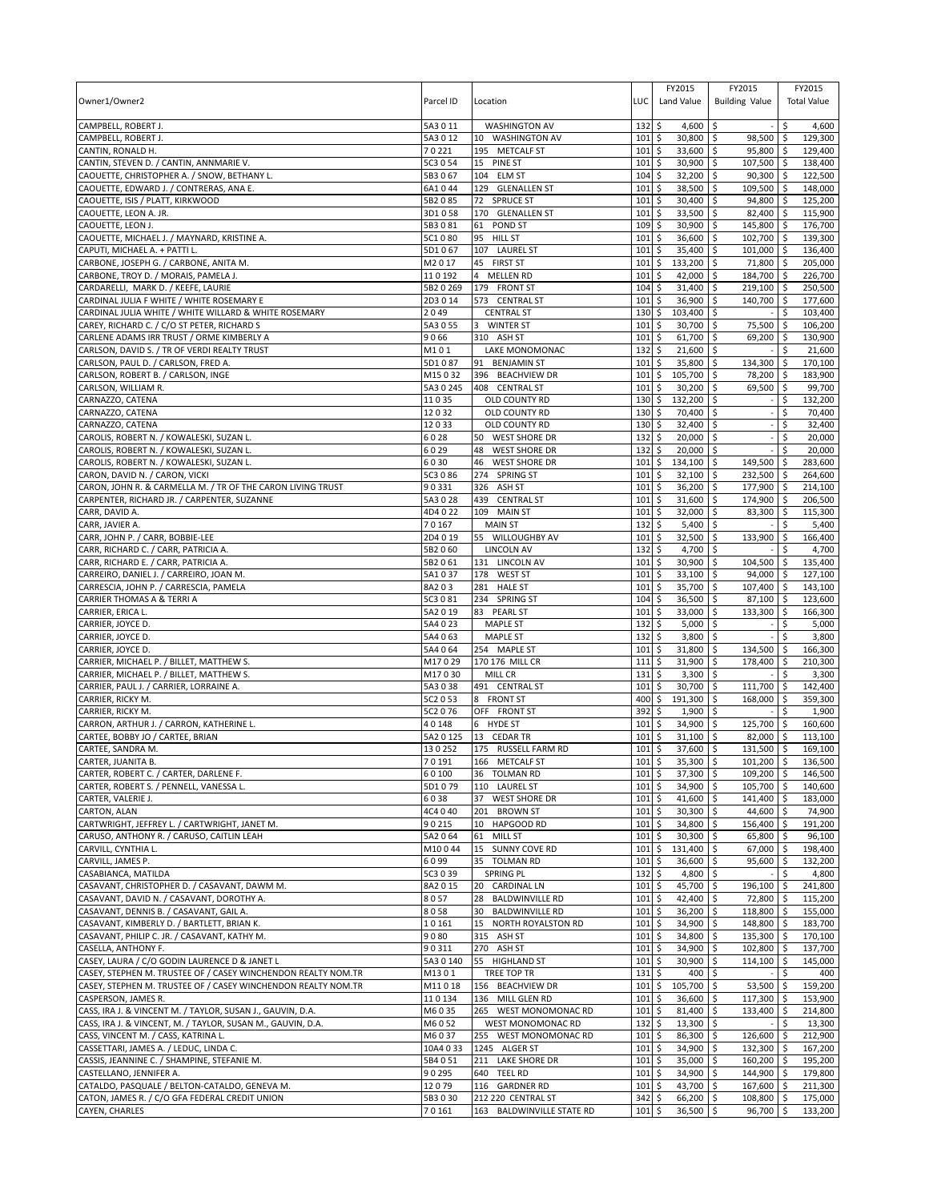| Owner1/Owner2                                                                                                                  | Parcel ID            | Location                                                     | LUC                     | FY2015<br>Land Value               | FY2015<br><b>Building Value</b>                   | FY2015<br><b>Total Value</b> |                    |
|--------------------------------------------------------------------------------------------------------------------------------|----------------------|--------------------------------------------------------------|-------------------------|------------------------------------|---------------------------------------------------|------------------------------|--------------------|
|                                                                                                                                |                      |                                                              |                         |                                    |                                                   |                              |                    |
| CAMPBELL, ROBERT J.                                                                                                            | 5A3011               | <b>WASHINGTON AV</b>                                         | 132                     | \$<br>4,600                        | Ŝ.                                                | \$                           | 4,600              |
| CAMPBELL, ROBERT J.                                                                                                            | 5A3012               | 10 WASHINGTON AV                                             | 101                     | \$<br>30,800 \$                    | 98,500 \$                                         |                              | 129,300            |
| CANTIN, RONALD H.<br>CANTIN, STEVEN D. / CANTIN, ANNMARIE V.                                                                   | 70221<br>5C3 0 54    | 195 METCALF ST<br>15 PINE ST                                 | 101<br>101              | \$<br>33,600<br>\$<br>30,900       | \$<br>95,800<br>\$<br>107,500                     | \$<br>l \$                   | 129,400<br>138,400 |
| CAOUETTE, CHRISTOPHER A. / SNOW, BETHANY L.                                                                                    | 5B3067               | <b>ELM ST</b><br>104                                         | 104                     | \$<br>32,200                       | \$<br>$90,300$ \$                                 |                              | 122,500            |
| CAOUETTE, EDWARD J. / CONTRERAS, ANA E.                                                                                        | 6A1044               | 129 GLENALLEN ST                                             | 101                     | \$<br>38,500                       | \$<br>109,500                                     | l \$                         | 148,000            |
| CAOUETTE, ISIS / PLATT, KIRKWOOD                                                                                               | 5B2085               | <b>SPRUCE ST</b><br>72                                       | 101                     | \$<br>30,400                       | \$<br>94,800                                      | ا \$                         | 125,200            |
| CAOUETTE, LEON A. JR.<br>CAOUETTE, LEON J.                                                                                     | 3D1058<br>5B3081     | 170 GLENALLEN ST<br>61<br>POND ST                            | 101<br>109              | \$<br>33,500<br>\$<br>30,900       | 82,400 \$<br>-\$<br>$\mathsf{\hat{S}}$<br>145,800 | l\$                          | 115,900<br>176,700 |
| CAOUETTE, MICHAEL J. / MAYNARD, KRISTINE A.                                                                                    | 5C1080               | 95<br><b>HILL ST</b>                                         | 101                     | \$<br>36,600                       | \$<br>102,700 \$                                  |                              | 139,300            |
| CAPUTI, MICHAEL A. + PATTI L.                                                                                                  | 5D1067               | 107 LAUREL ST                                                | 101                     | \$<br>35,400                       | \$<br>101.000                                     | \$                           | 136,400            |
| CARBONE, JOSEPH G. / CARBONE, ANITA M.                                                                                         | M2017                | 45<br><b>FIRST ST</b>                                        | 101                     | \$<br>133,200                      | 71,800<br>\$                                      | l \$                         | 205,000            |
| CARBONE, TROY D. / MORAIS, PAMELA J.                                                                                           | 110192               | <b>MELLEN RD</b><br>$\overline{4}$                           | 101                     | \$<br>42,000                       | \$<br>184,700                                     | ۱\$                          | 226,700            |
| CARDARELLI, MARK D. / KEEFE, LAURIE<br>CARDINAL JULIA F WHITE / WHITE ROSEMARY E                                               | 5B2 0 269<br>2D3014  | 179 FRONT ST<br>573 CENTRAL ST                               | 104<br>101              | \$<br>31,400<br>\$<br>36,900       | \$<br>219,100<br>\$<br>140,700                    | ۱\$<br>-\$                   | 250,500<br>177,600 |
| CARDINAL JULIA WHITE / WHITE WILLARD & WHITE ROSEMARY                                                                          | 2049                 | <b>CENTRAL ST</b>                                            | 130                     | \$<br>103,400                      | \$                                                | \$                           | 103,400            |
| CAREY, RICHARD C. / C/O ST PETER, RICHARD S                                                                                    | 5A3 0 55             | 3<br><b>WINTER ST</b>                                        | 101                     | \$<br>30,700                       | \$<br>75,500                                      | S.                           | 106,200            |
| CARLENE ADAMS IRR TRUST / ORME KIMBERLY A                                                                                      | 9066                 | 310 ASH ST                                                   | 101                     | \$<br>61,700                       | 69,200<br>\$                                      | \$ ا                         | 130,900            |
| CARLSON, DAVID S. / TR OF VERDI REALTY TRUST                                                                                   | M101                 | LAKE MONOMONAC                                               | 132                     | \$<br>21,600                       | $\zeta$                                           | \$                           | 21,600             |
| CARLSON, PAUL D. / CARLSON, FRED A.<br>CARLSON, ROBERT B. / CARLSON, INGE                                                      | 5D1087<br>M15032     | <b>BENJAMIN ST</b><br>91<br>396 BEACHVIEW DR                 | 101<br>101              | \$<br>35,800<br>\$<br>105,700      | \$<br>134,300<br>78,200 \$<br>\$                  | -\$                          | 170,100<br>183,900 |
| CARLSON, WILLIAM R.                                                                                                            | 5A3 0 245            | 408 CENTRAL ST                                               | 101                     | \$<br>30,200                       | \$<br>69,500                                      | \$                           | 99,700             |
| CARNAZZO, CATENA                                                                                                               | 11035                | OLD COUNTY RD                                                | 130                     | \$<br>132,200                      | \$                                                | \$                           | 132,200            |
| CARNAZZO, CATENA                                                                                                               | 12032                | OLD COUNTY RD                                                | 130                     | \$<br>70,400                       | $\ddot{\mathsf{s}}$                               | \$                           | 70,400             |
| CARNAZZO, CATENA                                                                                                               | 12033                | OLD COUNTY RD                                                | 130                     | \$<br>32,400                       | \$                                                | \$                           | 32,400             |
| CAROLIS, ROBERT N. / KOWALESKI, SUZAN L.<br>CAROLIS, ROBERT N. / KOWALESKI, SUZAN L.                                           | 6028<br>6029         | 50 WEST SHORE DR<br>48                                       | 132<br>132              | \$<br>20,000<br>\$<br>20,000       | \$<br>\$                                          | \$<br>\$                     | 20,000<br>20,000   |
| CAROLIS, ROBERT N. / KOWALESKI, SUZAN L.                                                                                       | 6030                 | <b>WEST SHORE DR</b><br>46<br><b>WEST SHORE DR</b>           | 101                     | \$<br>134.100                      | $\mathsf{\hat{S}}$<br>149,500                     | -\$                          | 283,600            |
| CARON, DAVID N. / CARON, VICKI                                                                                                 | 5C3 0 86             | 274 SPRING ST                                                | 101                     | \$<br>32,100                       | \$<br>232,500 \$                                  |                              | 264,600            |
| CARON, JOHN R. & CARMELLA M. / TR OF THE CARON LIVING TRUST                                                                    | 90331                | 326 ASH ST                                                   | 101                     | \$<br>36,200                       | $\zeta$<br>177,900                                | \$                           | 214,100            |
| CARPENTER, RICHARD JR. / CARPENTER, SUZANNE                                                                                    | 5A3028               | 439<br><b>CENTRAL ST</b>                                     | 101                     | \$<br>31,600                       | \$<br>174,900                                     | l \$                         | 206,500            |
| CARR, DAVID A.                                                                                                                 | 4D4 0 22             | 109<br><b>MAIN ST</b>                                        | 101                     | \$<br>32,000                       | $\mathsf{\overline{S}}$<br>83,300                 | \$                           | 115,300            |
| CARR, JAVIER A.<br>CARR, JOHN P. / CARR, BOBBIE-LEE                                                                            | 70167<br>2D4 0 19    | <b>MAIN ST</b><br>55<br>WILLOUGHBY AV                        | 132<br>101              | \$<br>5,400<br>32,500<br>\$        | \$<br>\$<br>133,900                               | \$<br>\$                     | 5,400<br>166,400   |
| CARR, RICHARD C. / CARR, PATRICIA A.                                                                                           | 5B2060               | <b>LINCOLN AV</b>                                            | 132                     | \$<br>4,700                        | \$                                                | \$.                          | 4,700              |
| CARR, RICHARD E. / CARR, PATRICIA A.                                                                                           | 5B2061               | 131 LINCOLN AV                                               | 101                     | \$<br>30,900                       | \$<br>104,500                                     | -\$                          | 135,400            |
| CARREIRO, DANIEL J. / CARREIRO, JOAN M.                                                                                        | 5A1037               | 178 WEST ST                                                  | 101                     | \$<br>33,100                       | 94,000 \$<br>-\$                                  |                              | 127,100            |
| CARRESCIA, JOHN P. / CARRESCIA, PAMELA                                                                                         | 8A203                | 281<br><b>HALE ST</b>                                        | 101                     | 35,700<br>\$                       | \$<br>107,400                                     | $\sqrt{5}$                   | 143,100            |
| CARRIER THOMAS A & TERRI A<br>CARRIER, ERICA L                                                                                 | 5C3 0 81<br>5A2 0 19 | 234 SPRING ST<br>83 PEARL ST                                 | 104<br>101              | \$<br>36,500<br>\$<br>33,000       | \$<br>87,100<br>\$<br>133,300                     | l \$<br>-\$                  | 123,600<br>166,300 |
| CARRIER, JOYCE D.                                                                                                              | 5A4 0 23             | <b>MAPLE ST</b>                                              | 132                     | \$<br>5,000                        | \$                                                | \$                           | 5,000              |
| CARRIER, JOYCE D.                                                                                                              | 5A4 0 63             | <b>MAPLE ST</b>                                              | 132                     | \$<br>3,800                        | \$                                                |                              | 3,800              |
| CARRIER, JOYCE D.                                                                                                              | 5A4 0 64             | 254 MAPLE ST                                                 | 101                     | 31,800<br>\$                       | 134,500<br>\$                                     | \$                           | 166,300            |
| CARRIER, MICHAEL P. / BILLET, MATTHEW S.                                                                                       | M17029               | 170 176 MILL CR                                              | 111                     | \$<br>31,900                       | \$<br>178,400                                     | S.                           | 210,300            |
| CARRIER, MICHAEL P. / BILLET, MATTHEW S.<br>CARRIER, PAUL J. / CARRIER, LORRAINE A.                                            | M17030<br>5A3038     | <b>MILL CR</b><br>491 CENTRAL ST                             | 131<br>101              | \$<br>3,300<br>\$<br>30,700        | \$<br>\$<br>111,700                               | \$<br>\$                     | 3,300<br>142,400   |
| CARRIER, RICKY M.                                                                                                              | 5C2 0 53             | 8 FRONT ST                                                   | 400                     | \$<br>191,300                      | \$<br>168,000                                     | \$                           | 359.300            |
| CARRIER, RICKY M.                                                                                                              | 5C2 0 76             | OFF FRONT ST                                                 | 392                     | \$<br>1,900                        | \$                                                | \$                           | 1,900              |
| CARRON, ARTHUR J. / CARRON, KATHERINE L.                                                                                       | 40148                | 6 HYDE ST                                                    | 101                     | \$<br>34,900                       | \$<br>125,700                                     | \$                           | 160,600            |
| CARTEE, BOBBY JO / CARTEE, BRIAN                                                                                               | 5A2 0 125<br>130252  | 13 CEDAR TR                                                  | 101                     | \$<br>31,100                       | \$<br>82,000                                      | -\$                          | 113,100            |
| CARTEE, SANDRA M.<br>CARTER, JUANITA B.                                                                                        | 70191                | 175 RUSSELL FARM RD<br>166 METCALF ST                        | 101<br>101 <sub>5</sub> | \$<br>37,600<br>$35.300$ S         | 131,500<br>\$<br>101,200 \$                       | <b>S</b>                     | 169,100<br>136,500 |
| CARTER, ROBERT C. / CARTER, DARLENE F.                                                                                         | 60100                | 36 TOLMAN RD                                                 | $101 \,$ \$             | 37,300 \$                          | 109,200 \$                                        |                              | 146,500            |
| CARTER, ROBERT S. / PENNELL, VANESSA L.                                                                                        | 5D1079               | 110 LAUREL ST                                                | $101 \,$ \$             | 34,900 \$                          | 105,700 \$                                        |                              | 140,600            |
| CARTER, VALERIE J.                                                                                                             | 6038                 | 37 WEST SHORE DR                                             | $101 \,$ \$             | 41,600 \$                          | 141,400 \$                                        |                              | 183,000            |
| CARTON, ALAN                                                                                                                   | 4C4 0 40             | 201 BROWN ST                                                 | 101                     | $\ddot{s}$<br>$30,300$ \$          | 44,600 \$                                         |                              | 74,900             |
| CARTWRIGHT, JEFFREY L. / CARTWRIGHT, JANET M.<br>CARUSO, ANTHONY R. / CARUSO, CAITLIN LEAH                                     | 90215<br>5A2064      | 10<br>HAPGOOD RD<br>61<br><b>MILL ST</b>                     | 101<br>101              | \$<br>34,800 \$<br>\$<br>30,300 \$ | 156,400 \$<br>65,800 \$                           |                              | 191.200<br>96,100  |
| CARVILL, CYNTHIA L.                                                                                                            | M10044               | SUNNY COVE RD<br>15                                          | 101                     | \$<br>131,400 \$                   | $67,000$ \$                                       |                              | 198,400            |
| CARVILL, JAMES P.                                                                                                              | 6099                 | 35<br><b>TOLMAN RD</b>                                       | 101                     | 36,600 \$<br>\$                    | 95,600 \$                                         |                              | 132,200            |
| CASABIANCA, MATILDA                                                                                                            | 5C3 0 39             | <b>SPRING PL</b>                                             | 132                     | \$<br>4,800 \$                     |                                                   | \$                           | 4,800              |
| CASAVANT, CHRISTOPHER D. / CASAVANT, DAWM M.                                                                                   | 8A2015               | 20 CARDINAL LN                                               | 101                     | 5<br>45,700 \$                     | 196,100                                           | $\sqrt{5}$                   | 241,800            |
| CASAVANT, DAVID N. / CASAVANT, DOROTHY A.<br>CASAVANT, DENNIS B. / CASAVANT, GAIL A.                                           | 8057<br>8058         | 28<br><b>BALDWINVILLE RD</b><br><b>BALDWINVILLE RD</b><br>30 | 101<br>101              | \$<br>42,400 \$<br>\$<br>36,200 \$ | 72,800<br>118,800 \$                              | l\$                          | 115,200<br>155,000 |
| CASAVANT, KIMBERLY D. / BARTLETT, BRIAN K.                                                                                     | 10161                | 15<br>NORTH ROYALSTON RD                                     | 101                     | \$<br>34,900                       | \$<br>148,800                                     | $\sqrt{5}$                   | 183,700            |
| CASAVANT, PHILIP C. JR. / CASAVANT, KATHY M.                                                                                   | 9080                 | 315 ASH ST                                                   | 101                     | \$<br>34,800                       | $\ddot{\circ}$<br>135,300                         | <b>S</b>                     | 170,100            |
| CASELLA, ANTHONY F.                                                                                                            | 90311                | 270<br>ASH ST                                                | 101                     | \$<br>34,900                       | \$<br>102,800 \$                                  |                              | 137,700            |
| CASEY, LAURA / C/O GODIN LAURENCE D & JANET L                                                                                  | 5A3 0 140            | 55 HIGHLAND ST                                               | 101                     | \$<br>30,900                       | \$<br>$114,100$ \$                                |                              | 145,000            |
| CASEY, STEPHEN M. TRUSTEE OF / CASEY WINCHENDON REALTY NOM.TR<br>CASEY, STEPHEN M. TRUSTEE OF / CASEY WINCHENDON REALTY NOM.TR | M1301<br>M11018      | TREE TOP TR<br>156 BEACHVIEW DR                              | 131<br>101              | \$<br>400<br>\$<br>105,700         | $\zeta$<br>-\$<br>53,500                          | \$<br>l \$                   | 400<br>159,200     |
| CASPERSON, JAMES R.                                                                                                            | 110134               | 136 MILL GLEN RD                                             | 101                     | \$<br>36,600                       | 117,300 \$<br>\$                                  |                              | 153,900            |
| CASS, IRA J. & VINCENT M. / TAYLOR, SUSAN J., GAUVIN, D.A.                                                                     | M6035                | 265 WEST MONOMONAC RD                                        | 101                     | \$<br>81,400                       | 5<br>$133,400$ \$                                 |                              | 214,800            |
| CASS, IRA J. & VINCENT, M. / TAYLOR, SUSAN M., GAUVIN, D.A.                                                                    | M6052                | WEST MONOMONAC RD                                            | 132                     | \$<br>13,300                       | l\$                                               | \$                           | 13,300             |
| CASS, VINCENT M. / CASS, KATRINA L.                                                                                            | M6037                | 255 WEST MONOMONAC RD                                        | 101                     | \$<br>$86,300$ \$                  | 126,600                                           | <b>S</b>                     | 212,900            |
| CASSETTARI, JAMES A. / LEDUC, LINDA C.<br>CASSIS, JEANNINE C. / SHAMPINE, STEFANIE M.                                          | 10A4033<br>5B4051    | 1245 ALGER ST<br>211 LAKE SHORE DR                           | 101<br>101              | \$<br>34,900 \$<br>\$<br>35,000 \$ | 132,300 \$<br>160,200 \$                          |                              | 167,200<br>195,200 |
| CASTELLANO, JENNIFER A.                                                                                                        | 90295                | 640 TEEL RD                                                  | 101                     | \$<br>34,900 \$                    | 144,900                                           | l\$                          | 179,800            |
| CATALDO, PASQUALE / BELTON-CATALDO, GENEVA M.                                                                                  | 12079                | 116 GARDNER RD                                               | 101                     | $\ddot{s}$<br>43,700 \$            | 167,600 \$                                        |                              | 211,300            |
| CATON, JAMES R. / C/O GFA FEDERAL CREDIT UNION                                                                                 | 5B3030               | 212 220 CENTRAL ST                                           | 342                     | \$<br>66,200 \$                    | 108,800 \$                                        |                              | 175,000            |
| CAYEN, CHARLES                                                                                                                 | 70161                | 163 BALDWINVILLE STATE RD                                    | $101 \;$ \$             | 36,500 \$                          | 96,700 \$                                         |                              | 133,200            |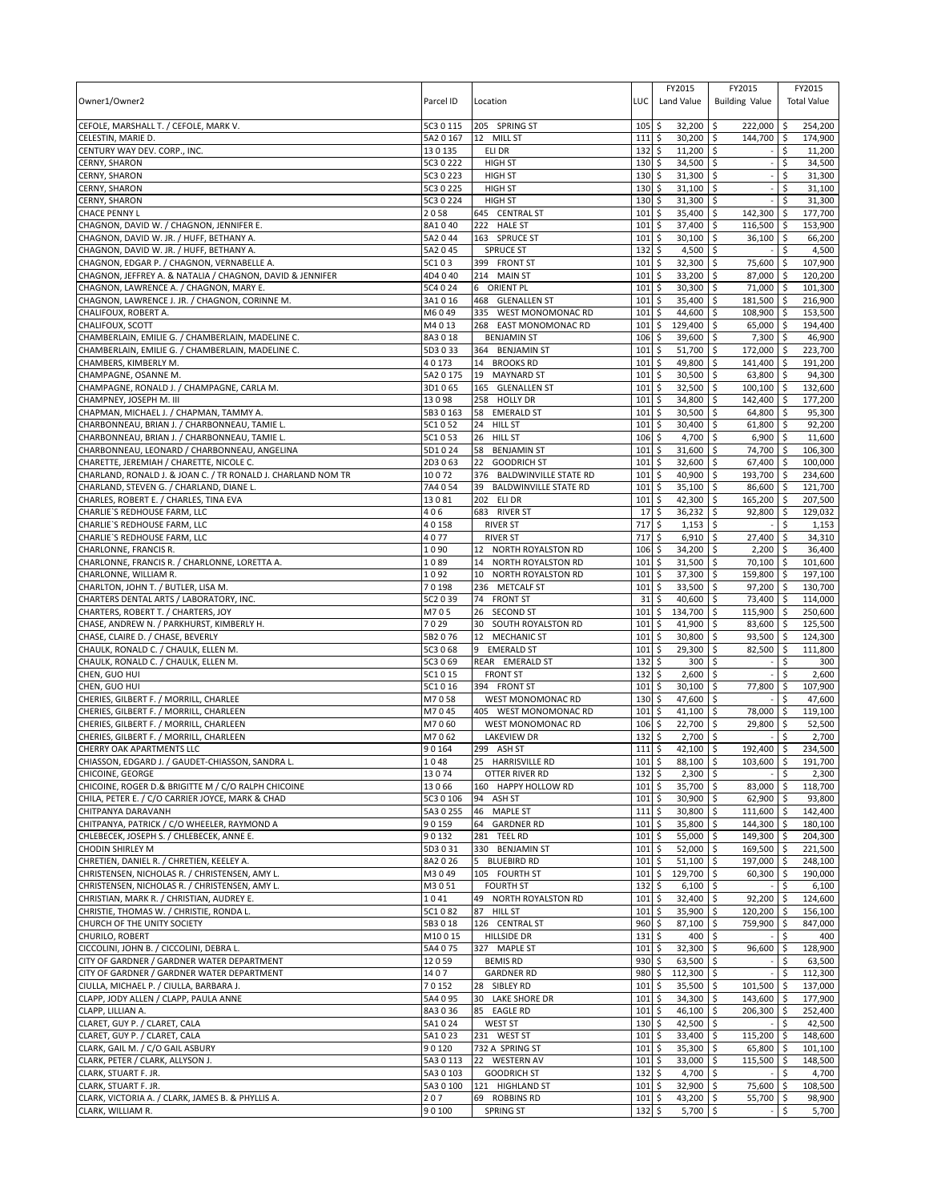|                                                              |                        |                                     |             | FY2015                              | FY2015                   |            | FY2015             |
|--------------------------------------------------------------|------------------------|-------------------------------------|-------------|-------------------------------------|--------------------------|------------|--------------------|
| Owner1/Owner2                                                | Parcel ID              | Location                            | LUC         | Land Value                          | <b>Building Value</b>    |            | <b>Total Value</b> |
|                                                              |                        |                                     |             |                                     |                          |            |                    |
| CEFOLE, MARSHALL T. / CEFOLE, MARK V.                        | 5C3 0 115              | 205 SPRING ST                       | 105         | \$<br>32,200                        | \$<br>222,000            | \$         | 254.200            |
| CELESTIN, MARIE D.                                           | 5A2 0 167              | 12 MILL ST                          | 111         | \$<br>$30,200$ \$                   | 144,700 \$               |            | 174,900            |
| CENTURY WAY DEV. CORP., INC.                                 | 130135                 | ELI DR                              | 132         | \$<br>$11,200$ \$                   |                          | \$         | 11,200             |
| <b>CERNY, SHARON</b>                                         | 5C3 0 222              | <b>HIGH ST</b>                      | 130         | \$<br>34,500                        | ا \$                     | \$         | 34,500             |
| CERNY, SHARON<br>CERNY, SHARON                               | 5C3 0 223<br>5C3 0 225 | <b>HIGH ST</b><br><b>HIGH ST</b>    | 130<br>130  | \$<br>$31,300$ \$<br>\$<br>31,100   | \$                       | \$<br>\$   | 31,300<br>31,100   |
| CERNY, SHARON                                                | 5C3 0 224              | <b>HIGH ST</b>                      | 130         | \$<br>31,300                        | $\ddot{\circ}$           | Ś          | 31,300             |
| <b>CHACE PENNY L</b>                                         | 2058                   | 645 CENTRAL ST                      | 101         | 35,400<br>\$                        | 142,300<br>-\$           | ∣\$        | 177,700            |
| CHAGNON, DAVID W. / CHAGNON, JENNIFER E.                     | 8A1040                 | 222 HALE ST                         | 101         | \$<br>37,400                        | \$<br>116,500            | S.         | 153,900            |
| CHAGNON, DAVID W. JR. / HUFF, BETHANY A.                     | 5A2044                 | 163 SPRUCE ST                       | 101         | \$<br>30,100                        | \$<br>36,100 \$          |            | 66,200             |
| CHAGNON, DAVID W. JR. / HUFF, BETHANY A.                     | 5A2 045                | <b>SPRUCE ST</b>                    | 132         | 4,500<br>\$                         | \$                       | \$         | 4,500              |
| CHAGNON, EDGAR P. / CHAGNON, VERNABELLE A.                   | 5C103                  | 399 FRONT ST                        | 101         | \$<br>32,300                        | 75,600<br>-\$            | ۱\$        | 107,900            |
| CHAGNON, JEFFREY A. & NATALIA / CHAGNON, DAVID & JENNIFER    | 4D4 0 40               | 214 MAIN ST                         | 101         | \$<br>33,200                        | \$<br>87,000             | <b>S</b>   | 120,200            |
| CHAGNON, LAWRENCE A. / CHAGNON, MARY E.                      | 5C4 0 24               | 6 ORIENT PL                         | 101         | \$<br>30,300                        | \$<br>71,000             | ∣\$        | 101,300            |
| CHAGNON, LAWRENCE J. JR. / CHAGNON, CORINNE M.               | 3A1016                 | 468<br><b>GLENALLEN ST</b>          | 101         | \$<br>35,400                        | \$<br>181,500            |            | 216,900            |
| CHALIFOUX, ROBERT A.                                         | M6049                  | 335<br>WEST MONOMONAC RD            | 101         | 44,600<br>\$                        | \$<br>108,900            | l \$       | 153,500            |
| CHALIFOUX, SCOTT                                             | M4013                  | 268<br>EAST MONOMONAC RD            | 101         | \$<br>129,400                       | \$<br>65,000             | l\$        | 194,400            |
| CHAMBERLAIN, EMILIE G. / CHAMBERLAIN, MADELINE C.            | 8A3018                 | <b>BENJAMIN ST</b>                  | 106         | 39,600<br>\$                        | 7,300<br>\$              | ا \$       | 46,900             |
| CHAMBERLAIN, EMILIE G. / CHAMBERLAIN, MADELINE C.            | 5D3033                 | 364 BENJAMIN ST                     | 101         | \$<br>51,700                        | \$<br>172,000            | <b>S</b>   | 223,700            |
| CHAMBERS, KIMBERLY M.                                        | 40173                  | 14<br><b>BROOKS RD</b>              | 101         | \$<br>49,800                        | \$<br>141,400            | -Ś         | 191,200            |
| CHAMPAGNE, OSANNE M.                                         | 5A2 0 175              | 19<br><b>MAYNARD ST</b>             | 101         | \$<br>30,500                        | 63,800 \$<br>-\$         |            | 94,300             |
| CHAMPAGNE, RONALD J. / CHAMPAGNE, CARLA M.                   | 3D1065                 | 165 GLENALLEN ST                    | 101         | \$<br>32,500                        | \$<br>100,100            | l \$       | 132.600            |
| CHAMPNEY, JOSEPH M. III                                      | 13098                  | 258<br><b>HOLLY DR</b>              | 101         | \$<br>34,800                        | 142,400<br>\$            | -\$        | 177,200            |
| CHAPMAN, MICHAEL J. / CHAPMAN, TAMMY A.                      | 5B3 0 163              | 58<br><b>EMERALD ST</b>             | 101         | 30,500<br>\$                        | 64,800<br>\$             | l \$       | 95,300             |
| CHARBONNEAU, BRIAN J. / CHARBONNEAU, TAMIE L.                | 5C1 0 52               | 24<br><b>HILL ST</b>                | 101         | \$<br>30,400                        | \$<br>61,800             | $\sqrt{5}$ | 92,200             |
| CHARBONNEAU, BRIAN J. / CHARBONNEAU, TAMIE L.                | 5C1053                 | 26<br><b>HILL ST</b>                | 106         | \$<br>4,700                         | \$<br>6,900              | I\$        | 11,600             |
| CHARBONNEAU, LEONARD / CHARBONNEAU, ANGELINA                 | 5D1024                 | 58<br><b>BENJAMIN ST</b>            | 101         | \$<br>31,600                        | 74,700<br>\$             | l \$       | 106,300            |
| CHARETTE, JEREMIAH / CHARETTE, NICOLE C.                     | 2D3 0 63               | 22<br><b>GOODRICH ST</b>            | 101         | \$<br>32,600                        | \$<br>67,400             | l\$        | 100,000            |
| CHARLAND, RONALD J. & JOAN C. / TR RONALD J. CHARLAND NOM TR | 10072                  | 376<br><b>BALDWINVILLE STATE RD</b> | 101         | \$<br>40,900                        | \$<br>193,700 \$         |            | 234,600            |
| CHARLAND, STEVEN G. / CHARLAND, DIANE L.                     | 7A4054                 | 39<br><b>BALDWINVILLE STATE RD</b>  | 101         | \$<br>35,100                        | -\$<br>86,600            | \$         | 121,700            |
| CHARLES, ROBERT E. / CHARLES, TINA EVA                       | 13081                  | 202 ELI DR                          | 101         | \$<br>42,300                        | \$<br>165,200            | l \$       | 207,500            |
| CHARLIE'S REDHOUSE FARM, LLC                                 | 406                    | 683 RIVER ST                        | 17          | \$<br>36,232                        | \$<br>92,800             | l \$       | 129,032            |
| CHARLIE'S REDHOUSE FARM, LLC                                 | 40158                  | <b>RIVER ST</b>                     | 717         | \$<br>1,153                         | \$                       | \$         | 1,153              |
| CHARLIE'S REDHOUSE FARM, LLC                                 | 4077                   | <b>RIVER ST</b>                     | 717         | \$<br>6,910                         | \$<br>27,400             |            | 34,310             |
| CHARLONNE, FRANCIS R.                                        | 1090                   | 12 NORTH ROYALSTON RD               | 106         | \$<br>34,200                        | 2,200<br>-\$             | l \$       | 36,400             |
| CHARLONNE, FRANCIS R. / CHARLONNE, LORETTA A.                | 1089                   | 14<br>NORTH ROYALSTON RD            | 101         | \$<br>31,500                        | \$<br>70,100             | l\$        | 101,600            |
| CHARLONNE, WILLIAM R.                                        | 1092                   | NORTH ROYALSTON RD<br>10            | 101         | \$<br>37,300                        | 159,800 \$<br>-\$        |            | 197,100            |
| CHARLTON, JOHN T. / BUTLER, LISA M.                          | 70198                  | 236 METCALF ST                      | 101         | 33,500<br>\$                        | \$<br>97,200             | <b>5</b>   | 130,700            |
| CHARTERS DENTAL ARTS / LABORATORY, INC.                      | 5C2 0 39               | 74<br><b>FRONT ST</b>               | 31          | 40,600<br>\$                        | 73,400<br>Ŝ.             | ۱\$        | 114,000            |
| CHARTERS, ROBERT T. / CHARTERS, JOY                          | M705                   | 26<br><b>SECOND ST</b>              | 101         | 134,700<br>\$                       | 115,900<br>\$            | l \$       | 250,600            |
| CHASE, ANDREW N. / PARKHURST, KIMBERLY H.                    | 7029                   | 30<br>SOUTH ROYALSTON RD            | 101         | 41,900<br>\$                        | \$<br>83,600             | ا \$       | 125,500            |
| CHASE, CLAIRE D. / CHASE, BEVERLY                            | 5B2076                 | 12<br><b>MECHANIC ST</b>            | 101         | \$<br>30,800                        | \$<br>93,500             | -\$        | 124,300            |
| CHAULK, RONALD C. / CHAULK, ELLEN M.                         | 5C3 0 68               | 9<br><b>EMERALD ST</b>              | 101         | 29,300<br>\$                        | 82,500<br>\$             | -\$        | 111,800            |
| CHAULK, RONALD C. / CHAULK, ELLEN M.                         | 5C3 0 69               | REAR EMERALD ST                     | 132         | \$<br>300                           | \$                       | \$         | 300                |
| CHEN, GUO HUI                                                | 5C1 0 15               | <b>FRONT ST</b>                     | 132         | \$<br>2,600                         | \$                       | Ś          | 2,600              |
| CHEN, GUO HUI                                                | 5C1 0 16               | 394 FRONT ST                        | 101         | \$<br>30,100                        | 77,800<br>Ŝ.             | \$         | 107,900            |
| CHERIES, GILBERT F. / MORRILL, CHARLEE                       | M7058                  | WEST MONOMONAC RD                   | 130         | \$<br>47,600                        | \$                       | \$         | 47,600             |
| CHERIES, GILBERT F. / MORRILL, CHARLEEN                      | M7045                  | 405 WEST MONOMONAC RD               | 101         | \$<br>41,100                        | 78,000<br>\$             | l \$       | 119,100            |
| CHERIES, GILBERT F. / MORRILL, CHARLEEN                      | M7060                  | WEST MONOMONAC RD                   | 106         | \$<br>22,700                        | \$<br>29,800             | \$         | 52,500             |
| CHERIES, GILBERT F. / MORRILL, CHARLEEN                      | M7062                  | <b>LAKEVIEW DR</b>                  | 132         | \$<br>2,700                         | \$                       |            | 2,700              |
| CHERRY OAK APARTMENTS LLC                                    | 90164                  | 299 ASH ST                          | 111         | \$<br>42,100                        | -\$<br>192,400           | \$         | 234,500            |
| CHIASSON, EDGARD J. / GAUDET-CHIASSON, SANDRA L              | 1048                   | 25 HARRISVILLE RD                   | $101$ \$    | 88,100 \$                           | 103,600 \$               |            | 191,700            |
| CHICOINE, GEORGE                                             | 13074                  | <b>OTTER RIVER RD</b>               | $132 \,$ \$ | $2,300$ \$                          |                          | \$         | 2,300              |
| CHICOINE, ROGER D.& BRIGITTE M / C/O RALPH CHICOINE          | 13066                  | 160 HAPPY HOLLOW RD                 | $101 \;$ \$ | 35,700 \$                           | 83,000                   | l\$        | 118,700            |
| CHILA, PETER E. / C/O CARRIER JOYCE, MARK & CHAD             | 5C3 0 106              | 94<br>ASH ST                        | $101 \,$ \$ | 30,900 \$                           | $62,900$ \$              |            | 93,800             |
| CHITPANYA DARAVANH                                           | 5A3 0 255              | 46 MAPLE ST                         | 1115        | 30,800 \$                           | 111,600 \$               |            | 142,400            |
| CHITPANYA, PATRICK / C/O WHEELER, RAYMOND A                  | 90159                  | 64 GARDNER RD                       | 101         | \$<br>35,800 \$                     | 144,300 \$               |            | 180,100            |
| CHLEBECEK, JOSEPH S. / CHLEBECEK, ANNE E.                    | 90132                  | 281 TEEL RD                         | 101         | l\$<br>55,000 \$                    | 149,300 \$               |            | 204,300            |
| <b>CHODIN SHIRLEY M</b>                                      | 5D3031                 | 330 BENJAMIN ST                     | 101         | \$<br>52,000 \$                     | 169,500 \$               |            | 221,500            |
| CHRETIEN, DANIEL R. / CHRETIEN, KEELEY A.                    | 8A2 0 26               | 5 BLUEBIRD RD                       | 101         | \$<br>$51,100$ \$                   | 197,000 \$               |            | 248,100            |
| CHRISTENSEN, NICHOLAS R. / CHRISTENSEN, AMY L.               | M3049                  | 105 FOURTH ST                       | 101         | \$<br>129,700 \$                    | 60,300                   | $\sqrt{5}$ | 190,000            |
| CHRISTENSEN, NICHOLAS R. / CHRISTENSEN, AMY L.               | M3051                  | <b>FOURTH ST</b>                    | 132         | $6,100$ \$<br>\$                    |                          | -\$        | 6,100              |
| CHRISTIAN, MARK R. / CHRISTIAN, AUDREY E.                    | 1041                   | NORTH ROYALSTON RD<br>49            | 101         | \$<br>32,400 \$                     | 92,200                   | <b>5</b>   | 124,600            |
| CHRISTIE, THOMAS W. / CHRISTIE, RONDA L.                     | 5C1082                 | 87<br><b>HILL ST</b>                | 101         | \$<br>35,900 \$                     | 120,200 \$               |            | 156,100            |
| CHURCH OF THE UNITY SOCIETY                                  | 5B3018                 | 126 CENTRAL ST                      | 960         | \$<br>87,100                        | \$<br>759,900            | \$         | 847,000            |
| CHURILO, ROBERT                                              | M10015                 | HILLSIDE DR                         | 131         | \$                                  | $400 \, \text{S}$        | \$         | 400                |
| CICCOLINI, JOHN B. / CICCOLINI, DEBRA L.                     | 5A4 075                | 327 MAPLE ST                        | 101         | \$<br>$32,300$ \$                   | 96,600                   | l\$        | 128,900            |
| CITY OF GARDNER / GARDNER WATER DEPARTMENT                   | 12059                  | <b>BEMIS RD</b>                     | 930         | \$<br>63,500 \$                     |                          | \$         | 63,500             |
| CITY OF GARDNER / GARDNER WATER DEPARTMENT                   | 1407                   | <b>GARDNER RD</b>                   | 980         | \$<br>112,300 \$                    |                          |            | 112,300            |
| CIULLA, MICHAEL P. / CIULLA, BARBARA J.                      | 70152                  | 28 SIBLEY RD                        | 101         | 35,500 \$<br>\$                     | 101,500                  | l \$       | 137,000            |
| CLAPP, JODY ALLEN / CLAPP, PAULA ANNE                        | 5A4 0 95               | 30<br>LAKE SHORE DR                 | 101         | \$<br>34,300 \$                     | 143,600 \$               |            | 177,900            |
| CLAPP, LILLIAN A.                                            | 8A3036                 | 85 EAGLE RD                         | 101         | \$<br>46,100 \$                     | 206,300 \$               |            | 252,400            |
| CLARET, GUY P. / CLARET, CALA                                | 5A1024                 | <b>WEST ST</b>                      | 130         | \$<br>42,500 \$                     |                          | \$         | 42,500             |
| CLARET, GUY P. / CLARET, CALA                                | 5A1 0 23               | 231 WEST ST                         | 101         | \$<br>$33,400$ \$                   | 115,200                  | <b>S</b>   | 148,600            |
| CLARK, GAIL M. / C/O GAIL ASBURY                             | 90120                  | 732 A SPRING ST                     | 101         | \$<br>35,300 \$                     | 65,800 \$                |            | 101,100            |
| CLARK, PETER / CLARK, ALLYSON J.<br>CLARK, STUART F. JR.     | 5A30113<br>5A3 0 103   | 22 WESTERN AV<br><b>GOODRICH ST</b> | 101<br>132  | \$<br>33,000 \$<br>\$<br>$4,700$ \$ | $115,500$ \$             | Ŝ.         | 148,500<br>4,700   |
| CLARK, STUART F. JR.                                         | 5A3 0 100              | 121 HIGHLAND ST                     | $101 \;$ \$ | 32,900 \$                           | 75,600 \$                |            | 108,500            |
| CLARK, VICTORIA A. / CLARK, JAMES B. & PHYLLIS A.            | 207                    | 69 ROBBINS RD                       | 101         | 5<br>43,200 \$                      | 55,700 \$                |            | 98,900             |
| CLARK, WILLIAM R.                                            | 90100                  | <b>SPRING ST</b>                    | $132 \;$ \$ | $5,700$ \$                          | $\overline{\phantom{a}}$ | \$         | 5,700              |
|                                                              |                        |                                     |             |                                     |                          |            |                    |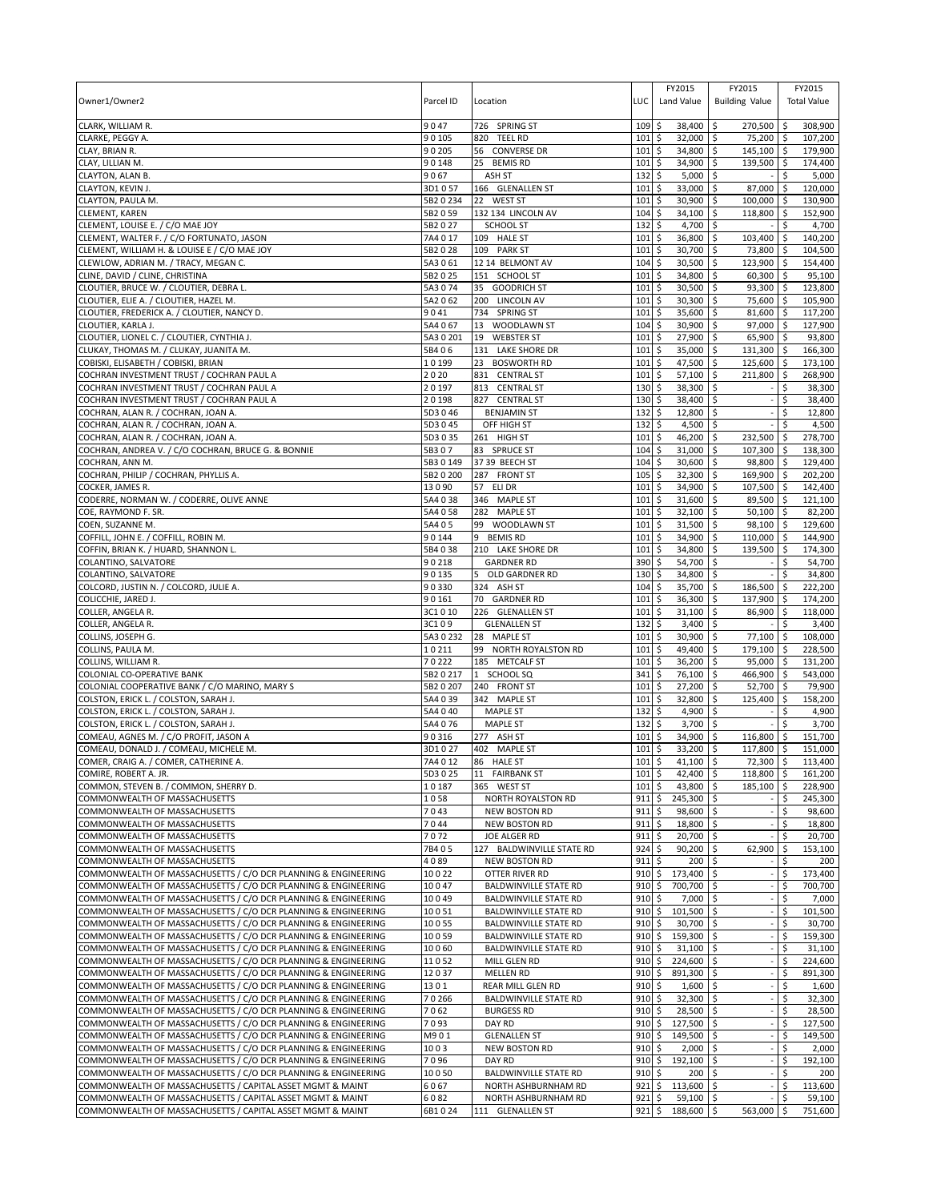| Owner1/Owner2                                                                                                                    | Parcel ID              | Location                               | LUC                               | FY2015<br>Land Value           | FY2015<br><b>Building Value</b>   |                 | FY2015<br><b>Total Value</b> |
|----------------------------------------------------------------------------------------------------------------------------------|------------------------|----------------------------------------|-----------------------------------|--------------------------------|-----------------------------------|-----------------|------------------------------|
| CLARK, WILLIAM R.                                                                                                                | 9047                   | 726 SPRING ST                          | 109                               | 38,400<br>\$                   | -\$<br>270,500                    | ∣\$             | 308,900                      |
| CLARKE, PEGGY A.                                                                                                                 | 90105                  | 820<br><b>TEEL RD</b>                  | 101                               | \$<br>32,000                   | 75,200 \$<br>\$                   |                 | 107,200                      |
| CLAY, BRIAN R.                                                                                                                   | 90205                  | 56 CONVERSE DR                         | 101                               | 34,800 \$<br>\$                | $145,100$ \$                      |                 | 179,900                      |
| CLAY, LILLIAN M.<br>CLAYTON, ALAN B.                                                                                             | 90148<br>9067          | 25<br><b>BEMIS RD</b><br>ASH ST        | 101<br>132                        | \$<br>34,900<br>5,000<br>\$    | \$<br>139,500<br>\$               | \$<br>\$        | 174,400<br>5,000             |
| CLAYTON, KEVIN J.                                                                                                                | 3D1057                 | 166 GLENALLEN ST                       | 101                               | \$<br>33,000                   | \$<br>87,000                      | -\$             | 120,000                      |
| CLAYTON, PAULA M.                                                                                                                | 5B2 0 234              | 22 WEST ST                             | 101                               | \$<br>30,900                   | \$<br>100,000                     | ا \$            | 130,900                      |
| <b>CLEMENT, KAREN</b>                                                                                                            | 5B2 0 59               | 132 134 LINCOLN AV                     | 104                               | \$<br>34,100                   | \$<br>118,800                     | -\$             | 152,900                      |
| CLEMENT, LOUISE E. / C/O MAE JOY                                                                                                 | 5B2027                 | <b>SCHOOL ST</b>                       | 132                               | \$<br>4,700                    | \$                                | \$              | 4,700                        |
| CLEMENT, WALTER F. / C/O FORTUNATO, JASON                                                                                        | 7A4017                 | 109 HALE ST                            | 101                               | \$<br>36,800                   | $\ddot{\circ}$<br>103,400         | $\sqrt{5}$      | 140,200                      |
| CLEMENT, WILLIAM H. & LOUISE E / C/O MAE JOY                                                                                     | 5B2028<br>5A3061       | 109<br><b>PARK ST</b>                  | 101                               | \$<br>30,700                   | \$<br>73,800                      | \$              | 104,500                      |
| CLEWLOW, ADRIAN M. / TRACY, MEGAN C.<br>CLINE, DAVID / CLINE, CHRISTINA                                                          | 5B2025                 | 12 14 BELMONT AV<br>151 SCHOOL ST      | 104<br>101                        | \$<br>30,500<br>\$<br>34,800   | 123,900<br>\$<br>\$<br>60,300     | ∣\$<br><b>S</b> | 154,400<br>95,100            |
| CLOUTIER, BRUCE W. / CLOUTIER, DEBRA L.                                                                                          | 5A3074                 | 35<br><b>GOODRICH ST</b>               | 101                               | \$<br>30,500                   | \$<br>93,300                      | $\sqrt{5}$      | 123,800                      |
| CLOUTIER, ELIE A. / CLOUTIER, HAZEL M.                                                                                           | 5A2 0 62               | 200 LINCOLN AV                         | 101                               | \$<br>30,300                   | 75,600 \$<br>\$                   |                 | 105,900                      |
| CLOUTIER, FREDERICK A. / CLOUTIER, NANCY D.                                                                                      | 9041                   | 734 SPRING ST                          | 101                               | \$<br>35,600                   | \$<br>81,600                      | l\$             | 117,200                      |
| CLOUTIER, KARLA J.                                                                                                               | 5A4 067                | 13<br>WOODLAWN ST                      | 104                               | \$<br>30,900                   | \$<br>97,000                      | l\$             | 127,900                      |
| CLOUTIER, LIONEL C. / CLOUTIER, CYNTHIA J.                                                                                       | 5A3 0 201              | 19<br><b>WEBSTER ST</b>                | 101                               | \$<br>27,900 \$                | 65,900 \$                         |                 | 93,800                       |
| CLUKAY, THOMAS M. / CLUKAY, JUANITA M.                                                                                           | 5B406                  | 131 LAKE SHORE DR                      | 101                               | \$<br>35,000                   | $\zeta$<br>131,300 \$             |                 | 166,300                      |
| COBISKI, ELISABETH / COBISKI, BRIAN                                                                                              | 10199                  | 23<br><b>BOSWORTH RD</b>               | 101                               | \$<br>47,500                   | \$<br>125,600                     | ۱\$             | 173,100                      |
| COCHRAN INVESTMENT TRUST / COCHRAN PAUL A<br>COCHRAN INVESTMENT TRUST / COCHRAN PAUL A                                           | 2020<br>20197          | 831 CENTRAL ST<br>813 CENTRAL ST       | 101<br>130                        | \$<br>57,100<br>\$<br>38,300   | l\$<br>211,800<br>\$              | ۱\$<br>\$       | 268,900<br>38,300            |
| COCHRAN INVESTMENT TRUST / COCHRAN PAUL A                                                                                        | 20198                  | 827 CENTRAL ST                         | 130                               | \$<br>38,400                   | \$                                | \$              | 38,400                       |
| COCHRAN, ALAN R. / COCHRAN, JOAN A.                                                                                              | 5D3046                 | <b>BENJAMIN ST</b>                     | 132                               | \$<br>12,800                   | ا \$                              | \$              | 12,800                       |
| COCHRAN, ALAN R. / COCHRAN, JOAN A.                                                                                              | 5D3 0 45               | OFF HIGH ST                            | 132                               | \$<br>4,500                    | \$                                | \$              | 4,500                        |
| COCHRAN, ALAN R. / COCHRAN, JOAN A.                                                                                              | 5D3 0 35               | 261 HIGH ST                            | 101                               | \$<br>46,200                   | \$<br>232,500                     | l\$             | 278,700                      |
| COCHRAN, ANDREA V. / C/O COCHRAN, BRUCE G. & BONNIE                                                                              | 5B307                  | 83 SPRUCE ST                           | 104                               | \$<br>31,000                   | \$<br>107,300                     | l \$            | 138,300                      |
| COCHRAN, ANN M.                                                                                                                  | 5B3 0 149              | 37 39 BEECH ST                         | 104                               | 30,600<br>\$                   | \$<br>98,800                      | ۱\$             | 129,400                      |
| COCHRAN, PHILIP / COCHRAN, PHYLLIS A.                                                                                            | 5B2 0 200<br>13090     | 287 FRONT ST<br>57 ELI DR              | 105<br>101                        | \$<br>32,300<br>\$<br>34,900   | 169,900 \$<br>\$<br>\$<br>107,500 | ۱\$             | 202,200                      |
| COCKER, JAMES R.<br>CODERRE, NORMAN W. / CODERRE, OLIVE ANNE                                                                     | 5A4038                 | 346 MAPLE ST                           | 101                               | \$<br>31,600                   | \$<br>89,500                      | ۱\$             | 142,400<br>121,100           |
| COE, RAYMOND F. SR.                                                                                                              | 5A4 0 58               | 282 MAPLE ST                           | 101                               | 32,100<br>\$                   | 50,100<br>\$                      | ا \$            | 82,200                       |
| COEN, SUZANNE M.                                                                                                                 | 5A405                  | 99<br>WOODLAWN ST                      | 101                               | \$<br>31,500                   | 98,100 \$<br>\$                   |                 | 129,600                      |
| COFFILL, JOHN E. / COFFILL, ROBIN M.                                                                                             | 90144                  | <b>BEMIS RD</b><br>9                   | 101                               | \$<br>34,900                   | \$<br>110,000                     | ۱\$             | 144,900                      |
| COFFIN, BRIAN K. / HUARD, SHANNON L.                                                                                             | 5B4038                 | 210 LAKE SHORE DR                      | 101                               | \$<br>34,800                   | \$<br>139,500                     | \$              | 174,300                      |
| COLANTINO, SALVATORE                                                                                                             | 90218                  | <b>GARDNER RD</b>                      | 390                               | \$<br>54,700                   | \$                                | \$              | 54,700                       |
| COLANTINO, SALVATORE<br>COLCORD, JUSTIN N. / COLCORD, JULIE A.                                                                   | 90135<br>90330         | OLD GARDNER RD<br>5<br>324 ASH ST      | 130<br>104                        | \$<br>34,800<br>\$<br>35,700   | 5<br>\$<br>186,500                | \$<br>\$        | 34,800<br>222,200            |
| COLICCHIE, JARED J.                                                                                                              | 90161                  | 70<br><b>GARDNER RD</b>                | 101                               | \$<br>36,300                   | 137,900<br>\$                     | -\$             | 174,200                      |
| COLLER, ANGELA R.                                                                                                                | 3C1010                 | 226 GLENALLEN ST                       | 101                               | 31,100<br>\$                   | 86,900<br>l \$                    | -\$             | 118,000                      |
| COLLER, ANGELA R.                                                                                                                | 3C109                  | <b>GLENALLEN ST</b>                    | 132                               | \$<br>3,400                    | \$                                | \$              | 3,400                        |
| COLLINS, JOSEPH G.                                                                                                               | 5A3 0 232              | 28<br><b>MAPLE ST</b>                  | 101                               | \$<br>30,900                   | \$<br>77,100                      | \$              | 108,000                      |
| COLLINS, PAULA M.                                                                                                                | 10211                  | 99 NORTH ROYALSTON RD                  | 101                               | \$<br>49,400                   | 179,100<br>\$                     | l\$             | 228,500                      |
| COLLINS, WILLIAM R.                                                                                                              | 70222                  | 185 METCALF ST                         | 101                               | \$<br>36,200                   | \$<br>95,000                      | $\sqrt{5}$      | 131,200                      |
| COLONIAL CO-OPERATIVE BANK<br>COLONIAL COOPERATIVE BANK / C/O MARINO, MARY S                                                     | 5B2 0 217<br>5B2 0 207 | 1 SCHOOL SQ<br>240 FRONT ST            | 341<br>101                        | \$<br>76,100<br>\$<br>27,200   | \$<br>466,900 \$<br>\$<br>52,700  | ۱\$             | 543,000<br>79,900            |
| COLSTON, ERICK L. / COLSTON, SARAH J.                                                                                            | 5A4 0 39               | 342 MAPLE ST                           | 101                               | \$<br>32,800                   | -\$<br>125,400                    | l \$            | 158,200                      |
| COLSTON, ERICK L. / COLSTON, SARAH J.                                                                                            | 5A4 0 40               | <b>MAPLE ST</b>                        | 132                               | \$<br>4,900                    | \$                                | \$              | 4,900                        |
| COLSTON, ERICK L. / COLSTON, SARAH J.                                                                                            | 5A4 076                | <b>MAPLE ST</b>                        | 132                               | \$<br>3,700                    | \$                                | \$              | 3,700                        |
| COMEAU, AGNES M. / C/O PROFIT, JASON A                                                                                           | 90316                  | 277 ASH ST                             | 101                               | \$<br>34,900                   | \$<br>116,800                     | \$              | 151,700                      |
| COMEAU, DONALD J. / COMEAU, MICHELE M.                                                                                           | 3D1027                 | 402 MAPLE ST                           | 101                               | l\$<br>33,200                  | \$ ا<br>117,800                   | l\$             | 151,000                      |
| COMER. CRAIG A. / COMER. CATHERINE A<br>COMIRE, ROBERT A. JR.                                                                    | 7A4 0 12               | 86 HALF ST<br>11 FAIRBANK ST           | $101 \overline{\smash{5}}$<br>101 | $41.100$ \$<br>42,400 \$       | $72.300$ \$                       |                 | 113.400                      |
| COMMON, STEVEN B. / COMMON, SHERRY D.                                                                                            | 5D3 0 25<br>10187      | 365 WEST ST                            | 101                               | \$<br>\$<br>43,800 \$          | 118,800 \$<br>185,100             | l \$            | 161,200<br>228.900           |
| COMMONWEALTH OF MASSACHUSETTS                                                                                                    | 1058                   | NORTH ROYALSTON RD                     | 911                               | \$<br>245,300                  | \$                                | \$              | 245,300                      |
| COMMONWEALTH OF MASSACHUSETTS                                                                                                    | 7043                   | <b>NEW BOSTON RD</b>                   | 911                               | \$<br>98,600 \$                |                                   | \$              | 98,600                       |
| COMMONWEALTH OF MASSACHUSETTS                                                                                                    | 7044                   | NEW BOSTON RD                          | 911                               | \$<br>18,800 \$                |                                   | \$              | 18,800                       |
| COMMONWEALTH OF MASSACHUSETTS                                                                                                    | 7072                   | JOE ALGER RD                           | 911                               | \$<br>20,700                   | ا \$                              |                 | 20,700                       |
| COMMONWEALTH OF MASSACHUSETTS                                                                                                    | 7B405                  | 127 BALDWINVILLE STATE RD              | 924                               | \$<br>$90,200$ \$              | 62,900                            | -\$             | 153,100                      |
| COMMONWEALTH OF MASSACHUSETTS                                                                                                    | 4089<br>10022          | <b>NEW BOSTON RD</b><br>OTTER RIVER RD | 911<br>910                        | \$<br>$200 \,$ \$<br>\$        |                                   | \$              | 200                          |
| COMMONWEALTH OF MASSACHUSETTS / C/O DCR PLANNING & ENGINEERING<br>COMMONWEALTH OF MASSACHUSETTS / C/O DCR PLANNING & ENGINEERING | 10047                  | <b>BALDWINVILLE STATE RD</b>           | 910                               | 173,400 \$<br>\$<br>700,700 \$ |                                   | \$<br>\$        | 173,400<br>700,700           |
| COMMONWEALTH OF MASSACHUSETTS / C/O DCR PLANNING & ENGINEERING                                                                   | 10049                  | <b>BALDWINVILLE STATE RD</b>           | 910                               | \$<br>$7,000$ \$               |                                   | \$              | 7,000                        |
| COMMONWEALTH OF MASSACHUSETTS / C/O DCR PLANNING & ENGINEERING                                                                   | 10051                  | <b>BALDWINVILLE STATE RD</b>           | 910                               | \$<br>101,500 \$               |                                   | \$              | 101,500                      |
| COMMONWEALTH OF MASSACHUSETTS / C/O DCR PLANNING & ENGINEERING                                                                   | 10055                  | <b>BALDWINVILLE STATE RD</b>           | 910                               | 30,700 \$<br>\$                |                                   | \$              | 30,700                       |
| COMMONWEALTH OF MASSACHUSETTS / C/O DCR PLANNING & ENGINEERING                                                                   | 10059                  | <b>BALDWINVILLE STATE RD</b>           | $910 \,$ \$                       | 159,300 \$                     |                                   | S.              | 159,300                      |
| COMMONWEALTH OF MASSACHUSETTS / C/O DCR PLANNING & ENGINEERING                                                                   | 10060                  | <b>BALDWINVILLE STATE RD</b>           | 910S                              | $31,100$ \$                    |                                   | \$              | 31,100                       |
| COMMONWEALTH OF MASSACHUSETTS / C/O DCR PLANNING & ENGINEERING                                                                   | 11052<br>12037         | MILL GLEN RD                           | $910 \;$ \$<br>$910 \;$ \$        | 224,600 \$<br>891,300 \$       |                                   | \$              | 224,600<br>891,300           |
| COMMONWEALTH OF MASSACHUSETTS / C/O DCR PLANNING & ENGINEERING<br>COMMONWEALTH OF MASSACHUSETTS / C/O DCR PLANNING & ENGINEERING | 1301                   | <b>MELLEN RD</b><br>REAR MILL GLEN RD  | 910                               | \$<br>$1,600$ \$               |                                   | \$<br>S.        | 1,600                        |
| COMMONWEALTH OF MASSACHUSETTS / C/O DCR PLANNING & ENGINEERING                                                                   | 70266                  | <b>BALDWINVILLE STATE RD</b>           | 910S                              | $32,300$ \$                    |                                   | \$              | 32,300                       |
| COMMONWEALTH OF MASSACHUSETTS / C/O DCR PLANNING & ENGINEERING                                                                   | 7062                   | <b>BURGESS RD</b>                      | $910 \;$ \$                       | 28,500 \$                      |                                   | \$              | 28,500                       |
| COMMONWEALTH OF MASSACHUSETTS / C/O DCR PLANNING & ENGINEERING                                                                   | 7093                   | DAY RD                                 | 910                               | \$<br>127,500                  | -\$                               | \$              | 127,500                      |
| COMMONWEALTH OF MASSACHUSETTS / C/O DCR PLANNING & ENGINEERING                                                                   | M901                   | <b>GLENALLEN ST</b>                    | $910 \;$ \$                       | 149,500 \$                     |                                   | -\$             | 149,500                      |
| COMMONWEALTH OF MASSACHUSETTS / C/O DCR PLANNING & ENGINEERING                                                                   | 1003                   | <b>NEW BOSTON RD</b>                   | 910                               | \$<br>$2,000$ \$               |                                   | \$              | 2,000                        |
| COMMONWEALTH OF MASSACHUSETTS / C/O DCR PLANNING & ENGINEERING<br>COMMONWEALTH OF MASSACHUSETTS / C/O DCR PLANNING & ENGINEERING | 7096<br>10050          | DAY RD<br><b>BALDWINVILLE STATE RD</b> | 910<br>910                        | \$<br>192,100<br>\$<br>200     | -\$<br>\$                         | \$<br>\$        | 192,100<br>200               |
| COMMONWEALTH OF MASSACHUSETTS / CAPITAL ASSET MGMT & MAINT                                                                       | 6067                   | NORTH ASHBURNHAM RD                    | 921                               | \$<br>113,600                  | l \$                              | \$              | 113,600                      |
| COMMONWEALTH OF MASSACHUSETTS / CAPITAL ASSET MGMT & MAINT                                                                       | 6082                   | NORTH ASHBURNHAM RD                    | 921                               | \$<br>$59,100$ \$              |                                   | Ŝ.              | 59,100                       |
| COMMONWEALTH OF MASSACHUSETTS / CAPITAL ASSET MGMT & MAINT                                                                       | 6B1024                 | 111 GLENALLEN ST                       | 921                               | \$<br>188,600 \$               | 563,000                           | ا \$            | 751,600                      |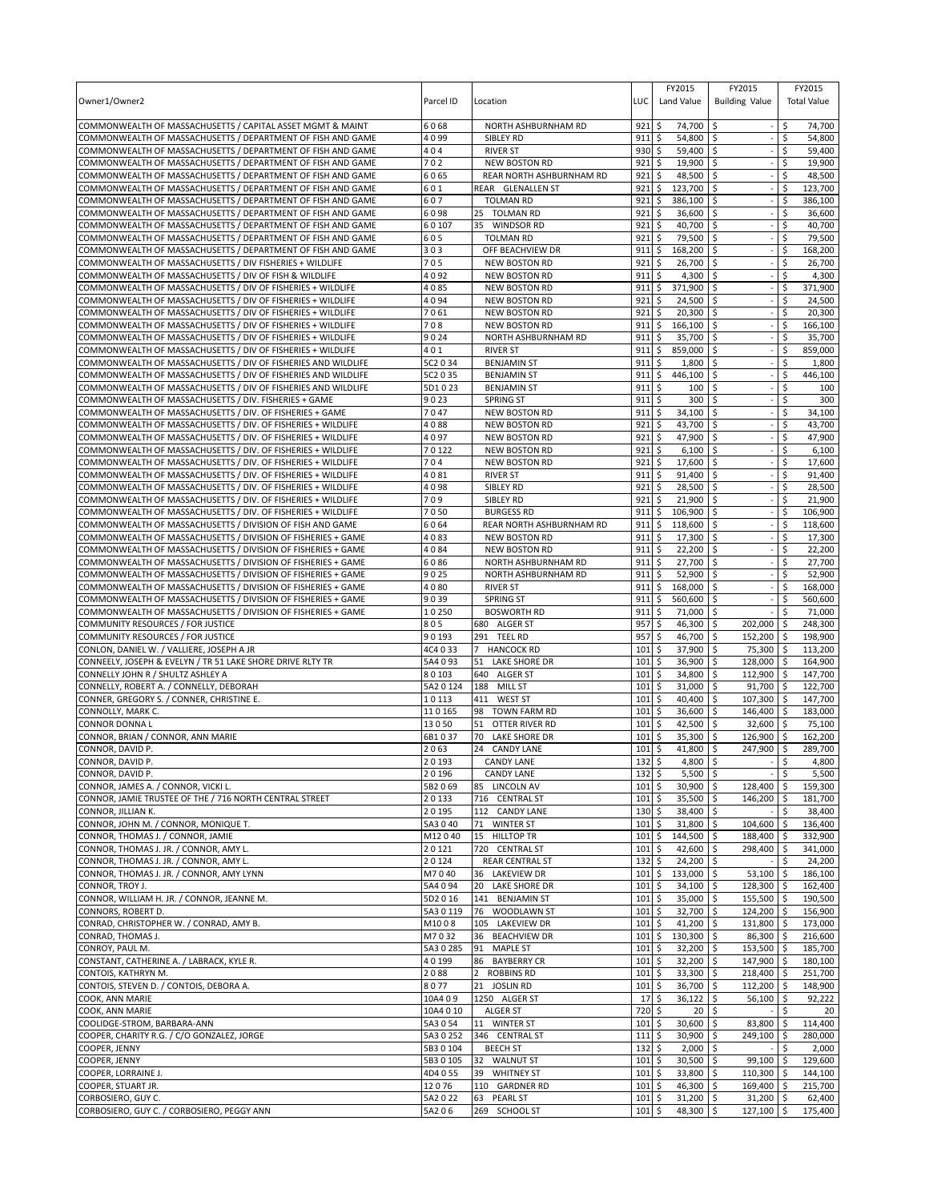| Owner1/Owner2                                                                                                                | Parcel ID              | Location                                      | LUC         | FY2015<br>Land Value                  | FY2015<br><b>Building Value</b> | FY2015<br><b>Total Value</b>   |     |
|------------------------------------------------------------------------------------------------------------------------------|------------------------|-----------------------------------------------|-------------|---------------------------------------|---------------------------------|--------------------------------|-----|
| COMMONWEALTH OF MASSACHUSETTS / CAPITAL ASSET MGMT & MAINT                                                                   | 6068                   | NORTH ASHBURNHAM RD                           | 921         | \$<br>74,700                          | \$                              | \$<br>74,700                   |     |
| COMMONWEALTH OF MASSACHUSETTS / DEPARTMENT OF FISH AND GAME                                                                  | 4099                   | SIBLEY RD                                     | 911         | \$<br>54,800                          | Ŝ.                              | \$.<br>54,800                  |     |
| COMMONWEALTH OF MASSACHUSETTS / DEPARTMENT OF FISH AND GAME                                                                  | 404                    | <b>RIVER ST</b>                               | 930         | \$<br>59,400                          | \$                              | \$<br>59,400                   |     |
| COMMONWEALTH OF MASSACHUSETTS / DEPARTMENT OF FISH AND GAME                                                                  | 702<br>6065            | <b>NEW BOSTON RD</b>                          | 921<br>921  | \$<br>19,900<br>\$                    | -\$<br>\$                       | \$<br>19,900<br>Ŝ.<br>48,500   |     |
| COMMONWEALTH OF MASSACHUSETTS / DEPARTMENT OF FISH AND GAME<br>COMMONWEALTH OF MASSACHUSETTS / DEPARTMENT OF FISH AND GAME   | 601                    | REAR NORTH ASHBURNHAM RD<br>REAR GLENALLEN ST | 921         | 48,500<br>\$<br>123,700               | Ŝ.                              | \$<br>123.700                  |     |
| COMMONWEALTH OF MASSACHUSETTS / DEPARTMENT OF FISH AND GAME                                                                  | 607                    | <b>TOLMAN RD</b>                              | 921         | \$<br>386,100                         | -\$                             | \$<br>386,100                  |     |
| COMMONWEALTH OF MASSACHUSETTS / DEPARTMENT OF FISH AND GAME                                                                  | 6098                   | <b>TOLMAN RD</b><br>25                        | 921         | \$<br>36,600                          | \$                              | \$<br>36,600                   |     |
| COMMONWEALTH OF MASSACHUSETTS / DEPARTMENT OF FISH AND GAME                                                                  | 60107                  | 35<br><b>WINDSOR RD</b>                       | 921         | 40,700<br>\$                          | Ŝ.                              | 40,700<br>\$.                  |     |
| COMMONWEALTH OF MASSACHUSETTS / DEPARTMENT OF FISH AND GAME                                                                  | 605                    | <b>TOLMAN RD</b>                              | 921         | \$<br>79,500                          | \$                              | 79,500<br>\$.                  |     |
| COMMONWEALTH OF MASSACHUSETTS / DEPARTMENT OF FISH AND GAME                                                                  | 303                    | OFF BEACHVIEW DR                              | 911         | \$<br>168,200                         | \$                              | \$<br>168,200                  |     |
| COMMONWEALTH OF MASSACHUSETTS / DIV FISHERIES + WILDLIFE                                                                     | 705                    | <b>NEW BOSTON RD</b>                          | 921         | \$<br>26,700                          | \$                              | 26,700<br>Ś                    |     |
| COMMONWEALTH OF MASSACHUSETTS / DIV OF FISH & WILDLIFE                                                                       | 4092                   | <b>NEW BOSTON RD</b>                          | 911         | \$<br>4,300                           | Ŝ.                              | \$<br>4,300                    |     |
| COMMONWEALTH OF MASSACHUSETTS / DIV OF FISHERIES + WILDLIFE                                                                  | 4085                   | <b>NEW BOSTON RD</b>                          | 911         | \$<br>371,900                         | \$                              | \$<br>371,900                  |     |
| COMMONWEALTH OF MASSACHUSETTS / DIV OF FISHERIES + WILDLIFE                                                                  | 4094                   | <b>NEW BOSTON RD</b>                          | 921         | \$<br>24,500                          | \$                              | \$<br>24,500                   |     |
| COMMONWEALTH OF MASSACHUSETTS / DIV OF FISHERIES + WILDLIFE<br>COMMONWEALTH OF MASSACHUSETTS / DIV OF FISHERIES + WILDLIFE   | 7061<br>708            | <b>NEW BOSTON RD</b><br><b>NEW BOSTON RD</b>  | 921<br>911  | \$<br>20,300<br>\$<br>166,100         | \$<br>Ś                         | \$<br>20,300<br>Ŝ.<br>166,100  |     |
| COMMONWEALTH OF MASSACHUSETTS / DIV OF FISHERIES + WILDLIFE                                                                  | 9024                   | NORTH ASHBURNHAM RD                           | 911         | \$<br>35,700                          | \$                              | \$<br>35,700                   |     |
| COMMONWEALTH OF MASSACHUSETTS / DIV OF FISHERIES + WILDLIFE                                                                  | 401                    | <b>RIVER ST</b>                               | 911         | 859,000<br>\$                         | \$                              | Ś<br>859,000                   |     |
| COMMONWEALTH OF MASSACHUSETTS / DIV OF FISHERIES AND WILDLIFE                                                                | 5C2 0 34               | <b>BENJAMIN ST</b>                            | 911         | Ś<br>1,800                            |                                 | 1,800                          |     |
| COMMONWEALTH OF MASSACHUSETTS / DIV OF FISHERIES AND WILDLIFE                                                                | 5C2 0 35               | <b>BENJAMIN ST</b>                            | 911         | \$<br>446,100                         | \$                              | \$<br>446,100                  |     |
| COMMONWEALTH OF MASSACHUSETTS / DIV OF FISHERIES AND WILDLIFE                                                                | 5D1023                 | <b>BENJAMIN ST</b>                            | 911         | \$<br>100                             | \$                              | Ś                              | 100 |
| COMMONWEALTH OF MASSACHUSETTS / DIV. FISHERIES + GAME                                                                        | 9023                   | <b>SPRING ST</b>                              | 911         | \$<br>300                             | \$                              | \$                             | 300 |
| COMMONWEALTH OF MASSACHUSETTS / DIV. OF FISHERIES + GAME                                                                     | 7047                   | <b>NEW BOSTON RD</b>                          | 911         | \$<br>34,100                          | \$                              | Ś<br>34,100                    |     |
| COMMONWEALTH OF MASSACHUSETTS / DIV. OF FISHERIES + WILDLIFE                                                                 | 4088                   | <b>NEW BOSTON RD</b>                          | 921         | \$<br>43,700                          | Ŝ.                              | \$<br>43,700                   |     |
| COMMONWEALTH OF MASSACHUSETTS / DIV. OF FISHERIES + WILDLIFE                                                                 | 4097                   | <b>NEW BOSTON RD</b>                          | 921         | \$<br>47,900                          | -S                              | 47,900<br>\$                   |     |
| COMMONWEALTH OF MASSACHUSETTS / DIV. OF FISHERIES + WILDLIFE                                                                 | 70122                  | <b>NEW BOSTON RD</b>                          | 921         | \$<br>6,100                           | Ŝ.                              | \$<br>6,100                    |     |
| COMMONWEALTH OF MASSACHUSETTS / DIV. OF FISHERIES + WILDLIFE                                                                 | 704                    | NEW BOSTON RD                                 | 921         | \$<br>17,600                          | \$                              | Ŝ.<br>17,600                   |     |
| COMMONWEALTH OF MASSACHUSETTS / DIV. OF FISHERIES + WILDLIFE<br>COMMONWEALTH OF MASSACHUSETTS / DIV. OF FISHERIES + WILDLIFE | 4081<br>4098           | <b>RIVER ST</b><br>SIBLEY RD                  | 911<br>921  | \$<br>91,400<br>\$<br>28,500          | -\$<br>\$                       | \$<br>91,400<br>\$<br>28,500   |     |
| COMMONWEALTH OF MASSACHUSETTS / DIV. OF FISHERIES + WILDLIFE                                                                 | 709                    | SIBLEY RD                                     | 921         | \$<br>21,900                          | \$                              | 21,900<br>\$                   |     |
| COMMONWEALTH OF MASSACHUSETTS / DIV. OF FISHERIES + WILDLIFE                                                                 | 7050                   | <b>BURGESS RD</b>                             | 911         | \$<br>106,900                         | \$                              | \$<br>106,900                  |     |
| COMMONWEALTH OF MASSACHUSETTS / DIVISION OF FISH AND GAME                                                                    | 6064                   | REAR NORTH ASHBURNHAM RD                      | 911         | \$<br>118,600                         | \$                              | \$<br>118,600                  |     |
| COMMONWEALTH OF MASSACHUSETTS / DIVISION OF FISHERIES + GAME                                                                 | 4083                   | NEW BOSTON RD                                 | 911         | \$<br>17,300                          | -\$                             | \$<br>17,300                   |     |
| COMMONWEALTH OF MASSACHUSETTS / DIVISION OF FISHERIES + GAME                                                                 | 4084                   | <b>NEW BOSTON RD</b>                          | 911         | \$<br>22,200                          | \$                              | \$<br>22,200                   |     |
| COMMONWEALTH OF MASSACHUSETTS / DIVISION OF FISHERIES + GAME                                                                 | 6086                   | NORTH ASHBURNHAM RD                           | 911         | \$<br>27,700                          | Ŝ.                              | 27,700<br>Ŝ.                   |     |
| COMMONWEALTH OF MASSACHUSETTS / DIVISION OF FISHERIES + GAME                                                                 | 9025                   | NORTH ASHBURNHAM RD                           | 911         | 52,900<br>\$                          | -\$                             | \$.<br>52,900                  |     |
| COMMONWEALTH OF MASSACHUSETTS / DIVISION OF FISHERIES + GAME                                                                 | 4080                   | <b>RIVER ST</b>                               | 911         | \$<br>168,000                         | \$                              | \$<br>168,000                  |     |
| COMMONWEALTH OF MASSACHUSETTS / DIVISION OF FISHERIES + GAME                                                                 | 9039                   | <b>SPRING ST</b>                              | 911         | 560,600<br>\$                         | \$                              | 560,600                        |     |
| COMMONWEALTH OF MASSACHUSETTS / DIVISION OF FISHERIES + GAME                                                                 | 10250                  | <b>BOSWORTH RD</b>                            | 911         | \$<br>71,000                          | Ŝ.                              | -\$<br>71,000                  |     |
| COMMUNITY RESOURCES / FOR JUSTICE<br>COMMUNITY RESOURCES / FOR JUSTICE                                                       | 805<br>90193           | 680 ALGER ST<br>291 TEEL RD                   | 957<br>957  | \$<br>46,300<br>46,700<br>\$          | \$<br>202,000<br>\$<br>152,200  | l\$<br>248,300<br>198,900      |     |
| CONLON, DANIEL W. / VALLIERE, JOSEPH A JR                                                                                    | 4C4 0 33               | $\overline{7}$<br><b>HANCOCK RD</b>           | 101         | \$<br>37,900                          | \$<br>75,300                    | I\$<br>l\$<br>113,200          |     |
| CONNEELY, JOSEPH & EVELYN / TR 51 LAKE SHORE DRIVE RLTY TR                                                                   | 5A4 0 93               | 51<br>LAKE SHORE DR                           | 101         | \$<br>36,900                          | \$<br>128,000                   | -\$<br>164,900                 |     |
| CONNELLY JOHN R / SHULTZ ASHLEY A                                                                                            | 80103                  | <b>ALGER ST</b><br>640                        | 101         | \$<br>34,800                          | \$<br>112,900 \$                | 147,700                        |     |
| CONNELLY, ROBERT A. / CONNELLY, DEBORAH                                                                                      | 5A2 0 124              | 188<br><b>MILL ST</b>                         | 101         | \$<br>31,000                          | \$<br>91,700                    | l \$<br>122,700                |     |
| CONNER, GREGORY S. / CONNER, CHRISTINE E.                                                                                    | 10113                  | 411<br><b>WEST ST</b>                         | 101         | \$<br>40,400                          | \$<br>107,300                   | -\$<br>147,700                 |     |
| CONNOLLY, MARK C.                                                                                                            | 110165                 | 98<br><b>TOWN FARM RD</b>                     | 101         | \$<br>36,600                          | \$<br>146,400                   | 183,000<br>l \$                |     |
| <b>CONNOR DONNA L</b>                                                                                                        | 13050                  | OTTER RIVER RD<br>51                          | 101         | \$<br>42,500                          | \$<br>32,600                    | -\$<br>75,100                  |     |
| CONNOR, BRIAN / CONNOR, ANN MARIE                                                                                            | 6B1037                 | 70<br>LAKE SHORE DR                           | 101         | \$<br>35,300                          | 126,900<br>\$                   | 162,200<br>-\$                 |     |
| CONNOR, DAVID P.                                                                                                             | 2063                   | 24<br><b>CANDY LANE</b>                       | 101<br>132  | \$<br>41,800<br>$\mathsf{\hat{S}}$    | \$<br>247,900<br>$\mathsf{S}$   | \$<br>289,700<br>Ś             |     |
| CONNOR, DAVID P.<br>CONNOR, DAVID P.                                                                                         | 20193<br>20196         | <b>CANDY LANE</b><br><b>CANDY LANE</b>        | $132 \div$  | 4,800<br>$5,500$ \$                   |                                 | 4,800<br>\$<br>5,500           |     |
| CONNOR, JAMES A. / CONNOR, VICKI L.                                                                                          | 5B2069                 | 85 LINCOLN AV                                 | $101 \;$ \$ | 30,900 \$                             | 128,400                         | ۱\$<br>159,300                 |     |
| CONNOR, JAMIE TRUSTEE OF THE / 716 NORTH CENTRAL STREET                                                                      | 20133                  | 716 CENTRAL ST                                | $101 \;$ \$ | 35,500 \$                             | 146,200                         | \$<br>181,700                  |     |
| CONNOR. JILLIAN K.                                                                                                           | 20195                  | 112 CANDY LANE                                | $130 \;$ \$ | 38,400 \$                             |                                 | \$<br>38,400                   |     |
| CONNOR, JOHN M. / CONNOR, MONIQUE T.                                                                                         | 5A3040                 | 71 WINTER ST                                  | 101         | \$<br>31,800 \$                       | 104,600                         | l\$<br>136,400                 |     |
| CONNOR, THOMAS J. / CONNOR, JAMIE                                                                                            | M12040                 | 15 HILLTOP TR                                 | 101         | \$<br>144,500 \$                      | 188,400                         | 332,900<br>  \$                |     |
| CONNOR, THOMAS J. JR. / CONNOR, AMY L.                                                                                       | 20121                  | 720 CENTRAL ST                                | 101         | 42,600 \$<br>l \$                     | 298,400 \$                      | 341,000                        |     |
| CONNOR, THOMAS J. JR. / CONNOR, AMY L.                                                                                       | 20124                  | <b>REAR CENTRAL ST</b>                        | $132 \,$ \$ | $24,200$ \$                           |                                 | \$<br>24,200                   |     |
| CONNOR, THOMAS J. JR. / CONNOR, AMY LYNN                                                                                     | M7040                  | 36 LAKEVIEW DR                                | $101 \,$ \$ | 133,000 \$                            | 53,100 \$                       | 186,100                        |     |
| CONNOR, TROY J.                                                                                                              | 5A4 0 94               | 20 LAKE SHORE DR                              | 101         | \$<br>$34,100$ \$                     | 128,300                         | 162,400<br><b>S</b>            |     |
| CONNOR, WILLIAM H. JR. / CONNOR, JEANNE M.                                                                                   | 5D2 0 16               | 141 BENJAMIN ST                               | $101 \;$ \$ | 35,000 \$                             | 155,500 \$                      | 190,500                        |     |
| CONNORS, ROBERT D.<br>CONRAD, CHRISTOPHER W. / CONRAD, AMY B.                                                                | 5A3 0 119<br>M1008     | 76 WOODLAWN ST<br>105 LAKEVIEW DR             | 101<br>101  | \$<br>32,700 \$<br>\$<br>$41,200$ \$  | 124,200 \$<br>131,800 \$        | 156,900<br>173,000             |     |
| CONRAD, THOMAS J.                                                                                                            | M7032                  | 36 BEACHVIEW DR                               | 101         | \$<br>130,300                         | \$<br>86,300                    | $\sqrt{5}$<br>216,600          |     |
| CONROY, PAUL M.                                                                                                              | 5A3 0 285              | 91<br><b>MAPLE ST</b>                         | 101         | 32,200<br>\$                          | 153,500 \$<br>ا \$              | 185,700                        |     |
| CONSTANT, CATHERINE A. / LABRACK, KYLE R.                                                                                    | 40199                  | 86 BAYBERRY CR                                | 101         | \$<br>$32,200$ \$                     | 147,900 \$                      | 180,100                        |     |
| CONTOIS, KATHRYN M.                                                                                                          | 2088                   | <b>ROBBINS RD</b><br>$\overline{2}$           | 101         | \$<br>33,300 \$                       | 218,400 \$                      | 251,700                        |     |
| CONTOIS, STEVEN D. / CONTOIS, DEBORA A.                                                                                      | 8077                   | 21<br><b>JOSLIN RD</b>                        | 101         | \$<br>36,700                          | \$<br>112,200                   | \$<br>148,900                  |     |
| COOK, ANN MARIE                                                                                                              | 10A409                 | 1250 ALGER ST                                 | 17          | \$<br>36,122                          | \$<br>56,100                    | l \$<br>92,222                 |     |
| COOK, ANN MARIE                                                                                                              | 10A4 0 10              | <b>ALGER ST</b>                               | 720         | \$<br>$20 \,$ \$                      |                                 | \$                             | 20  |
| COOLIDGE-STROM, BARBARA-ANN                                                                                                  | 5A3 0 54               | 11 WINTER ST                                  | 101         | 30,600 \$<br>\$                       | 83,800                          | -\$<br>114,400                 |     |
| COOPER, CHARITY R.G. / C/O GONZALEZ, JORGE                                                                                   | 5A3 0 252              | 346 CENTRAL ST                                | 111         | \$<br>30,900                          | \$<br>249,100                   | \$<br>280,000                  |     |
| COOPER, JENNY<br>COOPER, JENNY                                                                                               | 5B3 0 104<br>5B3 0 105 | <b>BEECH ST</b><br>32 WALNUT ST               | 132<br>101  | \$<br>$2,000$ \$<br>\$<br>$30,500$ \$ | 99,100                          | \$<br>2,000<br>129,600<br>ا \$ |     |
| COOPER, LORRAINE J.                                                                                                          | 4D4 0 55               | 39<br><b>WHITNEY ST</b>                       | $101 \;$ \$ | 33,800 \$                             | 110,300 \$                      | 144,100                        |     |
| COOPER, STUART JR.                                                                                                           | 12076                  | 110 GARDNER RD                                | 101         | \$<br>46,300 \$                       | 169,400 \$                      | 215,700                        |     |
| CORBOSIERO, GUY C.                                                                                                           | 5A2 0 22               | 63 PEARL ST                                   | $101 \;$ \$ | $31,200$ \$                           | $31,200$ \$                     | 62,400                         |     |
| CORBOSIERO, GUY C. / CORBOSIERO, PEGGY ANN                                                                                   | 5A206                  | 269 SCHOOL ST                                 | $101 \;$ \$ | 48,300 \$                             | 127,100 \$                      | 175,400                        |     |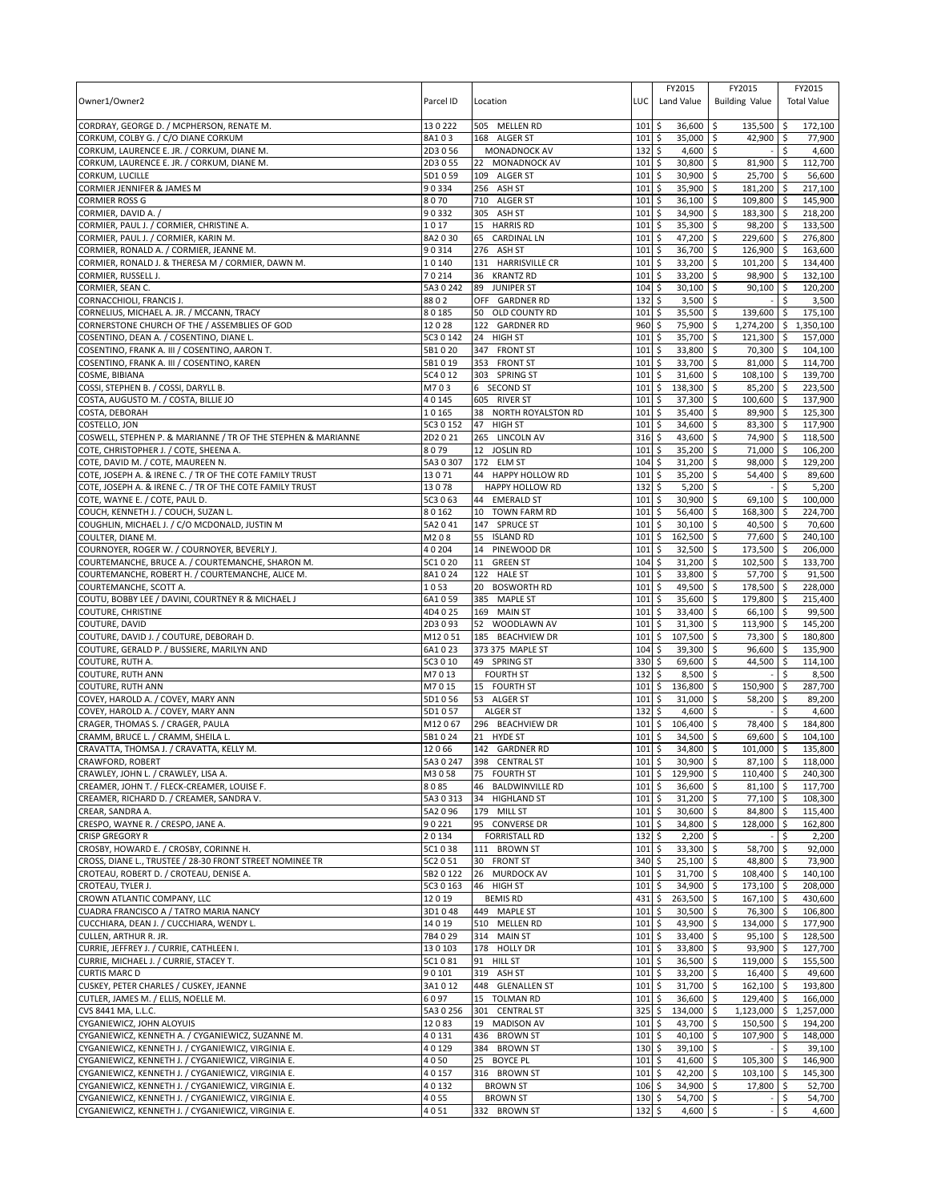|                                                                                           |                 |                                    |             | FY2015                                | FY2015                           | FY2015                                                  |
|-------------------------------------------------------------------------------------------|-----------------|------------------------------------|-------------|---------------------------------------|----------------------------------|---------------------------------------------------------|
| Owner1/Owner2                                                                             | Parcel ID       | Location                           | LUC         | Land Value                            | <b>Building Value</b>            | <b>Total Value</b>                                      |
|                                                                                           |                 |                                    |             |                                       |                                  |                                                         |
| CORDRAY, GEORGE D. / MCPHERSON, RENATE M.                                                 | 130222          | 505 MELLEN RD                      | 101         | \$<br>36,600                          | -\$<br>135,500                   | 172,100<br>\$ ا                                         |
| CORKUM, COLBY G. / C/O DIANE CORKUM                                                       | 8A103           | 168 ALGER ST                       | 101         | \$<br>35,000                          | \$<br>42,900                     | l\$<br>77,900                                           |
| CORKUM, LAURENCE E. JR. / CORKUM, DIANE M.                                                | 2D3 0 56        | MONADNOCK AV                       | 132         | \$<br>$4,600$ \$                      |                                  | \$.<br>4,600                                            |
| CORKUM, LAURENCE E. JR. / CORKUM, DIANE M.                                                | 2D3 0 55        | 22<br>MONADNOCK AV                 | 101         | \$<br>30,800                          | \$<br>81,900                     | \$<br>112,700                                           |
| CORKUM, LUCILLE                                                                           | 5D1059          | 109 ALGER ST                       | 101         | 30,900<br>\$                          | 25,700<br>Ŝ.                     | 56,600<br>-\$                                           |
| CORMIER JENNIFER & JAMES M                                                                | 90334           | 256 ASH ST                         | 101         | \$<br>35,900                          | \$<br>181,200                    | l\$<br>217,100                                          |
| <b>CORMIER ROSS G</b>                                                                     | 8070            | 710 ALGER ST                       | 101         | \$<br>36,100                          | 109,800 \$<br>\$                 | 145,900                                                 |
| CORMIER, DAVID A.                                                                         | 90332           | 305 ASH ST                         | 101         | \$<br>34,900                          | \$<br>183,300                    | l\$<br>218,200                                          |
| CORMIER, PAUL J. / CORMIER, CHRISTINE A.                                                  | 1017            | <b>HARRIS RD</b><br>15             | 101         | \$<br>35,300                          | 98,200<br>\$                     | <b>S</b><br>133,500                                     |
| CORMIER, PAUL J. / CORMIER, KARIN M.                                                      | 8A2030          | <b>CARDINAL LN</b><br>65           | 101         | \$<br>47,200 \$                       | 229,600 \$                       | 276,800                                                 |
| CORMIER, RONALD A. / CORMIER, JEANNE M.                                                   | 90314           | 276 ASH ST                         | 101         | \$<br>36,700                          | \$<br>126,900 \$                 | 163,600                                                 |
| CORMIER, RONALD J. & THERESA M / CORMIER, DAWN M.                                         | 10140           | 131 HARRISVILLE CR                 | 101         | \$<br>33,200                          | \$<br>101,200                    | 134,400<br>\$ ا                                         |
| CORMIER, RUSSELL J.                                                                       | 70214           | 36 KRANTZ RD                       | 101         | \$<br>33,200                          | \$<br>98,900                     | 132,100<br><b>S</b>                                     |
| CORMIER, SEAN C.                                                                          | 5A30242         | 89 JUNIPER ST                      | 104         | \$<br>30,100                          | \$<br>90.100                     | \$<br>120,200                                           |
| CORNACCHIOLI, FRANCIS J.                                                                  | 8802            | OFF GARDNER RD                     | 132<br>101  | \$<br>$3,500$ \$                      |                                  | 3,500<br>\$                                             |
| CORNELIUS, MICHAEL A. JR. / MCCANN, TRACY                                                 | 80185<br>12028  | 50 OLD COUNTY RD<br>122 GARDNER RD | 960         | \$<br>35,500<br>\$<br>75,900          | \$<br>139,600<br>\$<br>1,274,200 | <b>S</b><br>175,100<br>$\ddot{\mathsf{s}}$<br>1,350,100 |
| CORNERSTONE CHURCH OF THE / ASSEMBLIES OF GOD<br>COSENTINO, DEAN A. / COSENTINO, DIANE L. | 5C3 0 142       | 24 HIGH ST                         | 101         | \$<br>35,700 \$                       | 121,300 \$                       | 157,000                                                 |
| COSENTINO, FRANK A. III / COSENTINO, AARON T.                                             | 5B1020          | 347 FRONT ST                       | 101         | \$<br>33,800                          | \$<br>70,300 \$                  | 104,100                                                 |
| COSENTINO, FRANK A. III / COSENTINO, KAREN                                                | 5B1019          | 353 FRONT ST                       | 101         | \$<br>33,700                          | \$<br>81,000                     | l\$<br>114,700                                          |
| COSME, BIBIANA                                                                            | 5C4 0 12        | 303 SPRING ST                      | 101         | \$<br>31,600 \$                       | $108,100$ \$                     | 139,700                                                 |
| COSSI, STEPHEN B. / COSSI, DARYLL B.                                                      | M703            | 6 SECOND ST                        | 101         | \$<br>138,300                         | \$<br>85,200                     | $\sqrt{5}$<br>223,500                                   |
| COSTA, AUGUSTO M. / COSTA, BILLIE JO                                                      | 40145           | 605 RIVER ST                       | 101         | \$<br>37,300                          | \$<br>100,600                    | 137,900<br>-\$                                          |
| COSTA, DEBORAH                                                                            | 10165           | NORTH ROYALSTON RD<br>38           | 101         | \$<br>35,400                          | \$<br>89,900 \$                  | 125,300                                                 |
| COSTELLO, JON                                                                             | 5C3 0 152       | 47<br><b>HIGH ST</b>               | 101         | \$<br>34,600                          | \$<br>83.300                     | l\$<br>117,900                                          |
| COSWELL, STEPHEN P. & MARIANNE / TR OF THE STEPHEN & MARIANNE                             | 2D2021          | 265 LINCOLN AV                     | $316$ \$    | 43,600                                | 74,900 \$<br>-\$                 | 118,500                                                 |
| COTE, CHRISTOPHER J. / COTE, SHEENA A.                                                    | 8079            | 12 JOSLIN RD                       | 101         | \$<br>35,200                          | \$<br>71,000                     | 106,200<br><b>S</b>                                     |
| COTE, DAVID M. / COTE, MAUREEN N.                                                         | 5A3 0 307       | 172 ELM ST                         | 104         | \$<br>31,200                          | 98,000<br>\$                     | 129,200<br>۱\$                                          |
| COTE, JOSEPH A. & IRENE C. / TR OF THE COTE FAMILY TRUST                                  | 13071           | 44 HAPPY HOLLOW RD                 | 101         | \$<br>35,200                          | 54,400<br>S.                     | 89,600<br>l\$                                           |
| COTE, JOSEPH A. & IRENE C. / TR OF THE COTE FAMILY TRUST                                  | 13078           | HAPPY HOLLOW RD                    | 132         | \$<br>5,200                           | \$                               | \$<br>5,200                                             |
| COTE, WAYNE E. / COTE, PAUL D.                                                            | 5C3 0 63        | 44 EMERALD ST                      | 101         | \$<br>30,900                          | \$<br>69,100                     | 100,000<br>-\$                                          |
| COUCH, KENNETH J. / COUCH, SUZAN L.                                                       | 80162           | TOWN FARM RD<br>10                 | 101         | 56,400<br>\$                          | 168,300<br>\$                    | 224,700<br><b>S</b>                                     |
| COUGHLIN, MICHAEL J. / C/O MCDONALD, JUSTIN M                                             | 5A2041          | 147 SPRUCE ST                      | 101         | \$<br>30,100                          | 40,500 \$<br>\$                  | 70,600                                                  |
| COULTER, DIANE M.                                                                         | M208            | 55<br><b>ISLAND RD</b>             | 101         | \$<br>162,500                         | 77,600 \$<br>\$                  | 240,100                                                 |
| COURNOYER, ROGER W. / COURNOYER, BEVERLY J.                                               | 40204           | 14<br>PINEWOOD DR                  | 101         | \$<br>32,500                          | 173,500<br>\$                    | $\sqrt{5}$<br>206,000                                   |
| COURTEMANCHE, BRUCE A. / COURTEMANCHE, SHARON M.                                          | 5C1020          | 11<br><b>GREEN ST</b>              | 104         | \$<br>31,200                          | 102,500<br>\$                    | 133,700<br>l \$                                         |
| COURTEMANCHE, ROBERT H. / COURTEMANCHE, ALICE M.                                          | 8A1024          | 122 HALE ST                        | 101         | \$<br>33,800                          | 57,700 \$<br>-\$                 | 91,500                                                  |
| COURTEMANCHE, SCOTT A.                                                                    | 1053            | 20 BOSWORTH RD                     | 101         | \$<br>49,500                          | \$<br>178,500                    | <b>S</b><br>228,000                                     |
| COUTU, BOBBY LEE / DAVINI, COURTNEY R & MICHAEL J                                         | 6A1059          | 385 MAPLE ST                       | 101         | \$<br>35,600                          | \$<br>179,800                    | 215,400<br>-\$                                          |
| <b>COUTURE, CHRISTINE</b>                                                                 | 4D4 0 25        | 169<br><b>MAIN ST</b>              | 101         | 33,400<br>\$                          | 66,100<br>l \$                   | 99,500<br>l\$                                           |
| COUTURE, DAVID                                                                            | 2D3093          | 52 WOODLAWN AV                     | 101         | \$<br>31,300                          | \$<br>113,900 \$                 | 145,200                                                 |
| COUTURE, DAVID J. / COUTURE, DEBORAH D.                                                   | M12051          | 185 BEACHVIEW DR                   | 101         | \$<br>107,500                         | \$<br>73,300                     | 180,800<br>ا \$                                         |
| COUTURE, GERALD P. / BUSSIERE, MARILYN AND                                                | 6A1023          | 373 375 MAPLE ST                   | 104         | \$<br>39,300                          | \$<br>96,600                     | l \$<br>135,900                                         |
| COUTURE, RUTH A.                                                                          | 5C3 0 10        | 49 SPRING ST                       | 330         | \$<br>69,600                          | \$<br>44,500                     | l\$<br>114,100                                          |
| <b>COUTURE, RUTH ANN</b>                                                                  | M7013           | <b>FOURTH ST</b>                   | 132         | \$<br>8,500                           | \$                               | 8,500<br>Ŝ.                                             |
| <b>COUTURE, RUTH ANN</b>                                                                  | M7015           | 15 FOURTH ST                       | 101         | \$<br>136,800                         | \$<br>150,900                    | \$<br>287,700                                           |
| COVEY, HAROLD A. / COVEY, MARY ANN                                                        | 5D1056          | 53 ALGER ST                        | 101         | \$<br>31,000                          | 58,200<br>-\$                    | 89,200<br>۱\$                                           |
| COVEY, HAROLD A. / COVEY, MARY ANN                                                        | 5D1057          | <b>ALGER ST</b>                    | 132         | \$<br>4,600                           | -\$                              | 4,600<br>\$.                                            |
| CRAGER, THOMAS S. / CRAGER, PAULA                                                         | M12067          | 296 BEACHVIEW DR                   | 101         | 106,400<br>\$                         | \$<br>78,400                     | 184,800<br>\$ ا                                         |
| CRAMM, BRUCE L. / CRAMM, SHEILA L.                                                        | 5B1024          | 21 HYDE ST                         | 101         | \$<br>34,500                          | \$<br>69,600                     | 104,100                                                 |
| CRAVATTA, THOMSA J. / CRAVATTA, KELLY M.                                                  | 12066           | 142 GARDNER RD                     | 101         | l\$<br>34,800                         | 101,000 \$<br>-\$                | 135,800                                                 |
| <b>CRAWFORD, ROBERT</b>                                                                   | 5A30247         | 398 CENTRAL ST                     | 101S        | $30.900$ \$                           | $87.100$ \$                      | 118.000                                                 |
| CRAWLEY, JOHN L. / CRAWLEY, LISA A.                                                       | M3058           | 75 FOURTH ST                       | 101         | 129,900<br>\$                         | 110,400 \$<br>\$                 | 240,300                                                 |
| CREAMER, JOHN T. / FLECK-CREAMER, LOUISE F.                                               | 8085            | 46<br><b>BALDWINVILLE RD</b>       | 101         | \$<br>36,600                          | \$<br>81,100 \$                  | 117,700                                                 |
| CREAMER, RICHARD D. / CREAMER, SANDRA V.                                                  | 5A3 0 313       | 34 HIGHLAND ST                     | 101         | \$<br>31,200                          | 77,100<br>-\$                    | <b>S</b><br>108,300                                     |
| CREAR, SANDRA A.                                                                          | 5A2096          | 179 MILL ST                        | 101         | \$<br>$30,600$ \$                     | 84,800 \$                        | 115,400                                                 |
| CRESPO, WAYNE R. / CRESPO, JANE A.                                                        | 90221           | 95 CONVERSE DR                     | 101         | \$<br>34,800 \$                       | 128,000 \$                       | 162,800                                                 |
| CRISP GREGORY R                                                                           | 20134           | <b>FORRISTALL RD</b>               | 132         | \$<br>2,200                           | ۱\$                              | 2,200<br>\$                                             |
| CROSBY, HOWARD E. / CROSBY, CORINNE H.                                                    | 5C1038          | 111 BROWN ST                       | 101         | 33,300 \$<br>5                        | 58,700                           | 92,000<br>  \$                                          |
| CROSS, DIANE L., TRUSTEE / 28-30 FRONT STREET NOMINEE TR                                  | 5C2 0 51        | 30 FRONT ST<br>26 MURDOCK AV       | 340         | \$<br>$25,100$ \$                     | 48,800 \$                        | 73,900                                                  |
| CROTEAU, ROBERT D. / CROTEAU, DENISE A.                                                   | 5B2 0 122       |                                    | 101         | \$<br>31,700 \$                       | 108,400 \$                       | 140,100                                                 |
| CROTEAU, TYLER J.                                                                         | 5C3 0 163       | 46 HIGH ST                         | 101         | \$<br>34,900 \$                       | 173,100 \$                       | 208,000                                                 |
| CROWN ATLANTIC COMPANY, LLC<br>CUADRA FRANCISCO A / TATRO MARIA NANCY                     | 12019<br>3D1048 | <b>BEMIS RD</b><br>449 MAPLE ST    | 431<br>101  | \$<br>263,500 \$<br>\$<br>$30,500$ \$ | $167,100$ \$<br>76,300 \$        | 430,600<br>106,800                                      |
| CUCCHIARA, DEAN J. / CUCCHIARA, WENDY L.                                                  | 14019           | 510 MELLEN RD                      | 101         | \$<br>43,900 \$                       | 134,000 \$                       | 177,900                                                 |
| CULLEN, ARTHUR R. JR.                                                                     | 7B4029          | 314 MAIN ST                        | $101 \;$ \$ | 33,400 \$                             | 95,100 \$                        | 128,500                                                 |
| CURRIE, JEFFREY J. / CURRIE, CATHLEEN I.                                                  | 130103          | 178 HOLLY DR                       | 101         | \$<br>33,800 \$                       | $93,900$ \$                      | 127,700                                                 |
| CURRIE, MICHAEL J. / CURRIE, STACEY T.                                                    | 5C1081          | 91 HILL ST                         | 101         | $\ddot{\circ}$<br>36,500 \$           | 119,000 \$                       | 155,500                                                 |
| <b>CURTIS MARC D</b>                                                                      | 90101           | 319 ASH ST                         | $101 \,$ \$ | 33,200 \$                             | $16,400$ \$                      | 49,600                                                  |
| CUSKEY, PETER CHARLES / CUSKEY, JEANNE                                                    | 3A1012          | 448 GLENALLEN ST                   | 101         | \$<br>31,700 \$                       | 162,100 \$                       | 193,800                                                 |
| CUTLER, JAMES M. / ELLIS, NOELLE M.                                                       | 6097            | 15 TOLMAN RD                       | 101         | \$<br>36,600 \$                       | 129,400 \$                       | 166,000                                                 |
| CVS 8441 MA, L.L.C.                                                                       | 5A3 0 256       | 301 CENTRAL ST                     | $325$ \$    | 134,000 \$                            | 1,123,000 \$                     | 1,257,000                                               |
| CYGANIEWICZ, JOHN ALOYUIS                                                                 | 12083           | 19 MADISON AV                      | 101         | \$<br>43,700                          | \$<br>150,500                    | 194,200<br>\$                                           |
| CYGANIEWICZ, KENNETH A. / CYGANIEWICZ, SUZANNE M.                                         | 40131           | 436 BROWN ST                       | $101 \;$ \$ | 40,100 \$                             | 107,900                          | 148,000<br><b>S</b>                                     |
| CYGANIEWICZ, KENNETH J. / CYGANIEWICZ, VIRGINIA E.                                        | 40129           | 384 BROWN ST                       | $130 \;$ \$ | 39,100 \$                             |                                  | \$<br>39,100                                            |
| CYGANIEWICZ, KENNETH J. / CYGANIEWICZ, VIRGINIA E.                                        | 4050            | 25<br><b>BOYCE PL</b>              | 101         | \$<br>41,600 \$                       | 105,300                          | 146,900<br>ا \$                                         |
| CYGANIEWICZ, KENNETH J. / CYGANIEWICZ, VIRGINIA E.                                        | 40157           | 316 BROWN ST                       | 101         | \$<br>42,200 \$                       | $103,100$ \$                     | 145,300                                                 |
| CYGANIEWICZ, KENNETH J. / CYGANIEWICZ, VIRGINIA E.                                        | 40132           | <b>BROWN ST</b>                    | 106         | 34,900 \$<br>\$                       | 17,800                           | <b>S</b><br>52,700                                      |
| CYGANIEWICZ, KENNETH J. / CYGANIEWICZ, VIRGINIA E.                                        | 4055            | <b>BROWN ST</b>                    | 130 \$      | 54,700 \$                             |                                  | \$<br>54,700                                            |
| CYGANIEWICZ, KENNETH J. / CYGANIEWICZ, VIRGINIA E.                                        | 4051            | 332 BROWN ST                       | 132         | \$<br>4,600 \$                        |                                  | \$<br>4,600                                             |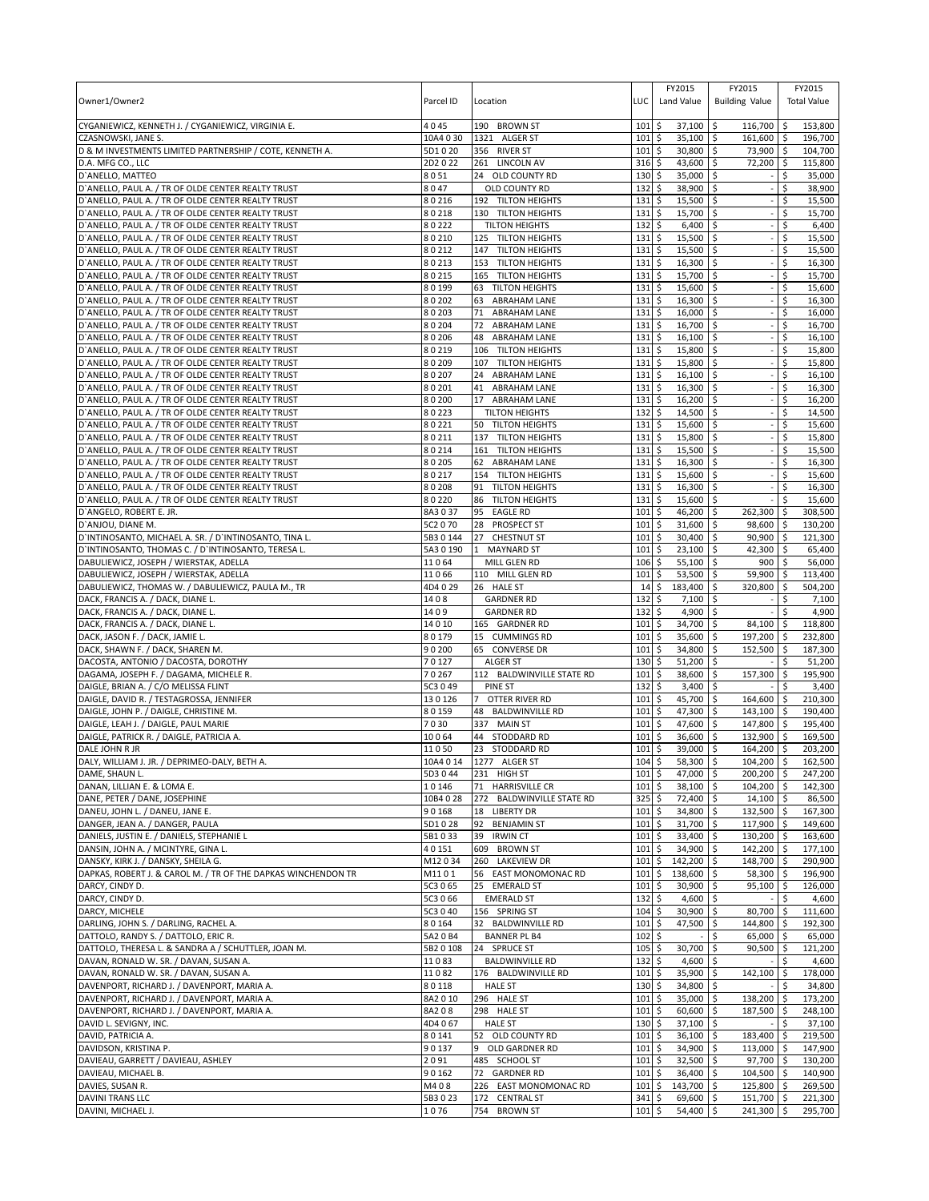| Owner1/Owner2                                                                                            | Parcel ID            | Location                                             | LUC                | FY2015<br>Land Value                | FY2015<br><b>Building Value</b> |            | FY2015<br><b>Total Value</b> |
|----------------------------------------------------------------------------------------------------------|----------------------|------------------------------------------------------|--------------------|-------------------------------------|---------------------------------|------------|------------------------------|
| CYGANIEWICZ, KENNETH J. / CYGANIEWICZ, VIRGINIA E.                                                       | 4045                 | 190 BROWN ST                                         | 101                | \$<br>37,100                        | \$<br>116,700                   | ۱\$        | 153,800                      |
| CZASNOWSKI, JANE S.<br>D & M INVESTMENTS LIMITED PARTNERSHIP / COTE, KENNETH A.                          | 10A4 0 30<br>5D1020  | 1321 ALGER ST<br>356 RIVER ST                        | 101<br>101         | \$<br>35,100<br>\$<br>30,800 \$     | 161,600 \$<br>l \$<br>73,900 \$ |            | 196,700<br>104,700           |
| D.A. MFG CO., LLC                                                                                        | 2D2022               | 261 LINCOLN AV                                       | 316                | \$<br>43,600                        | \$<br>72,200                    | \$         | 115,800                      |
| D'ANELLO, MATTEO                                                                                         | 8051                 | 24 OLD COUNTY RD                                     | 130                | 35,000<br>\$                        | \$                              | \$         | 35,000                       |
| D'ANELLO, PAUL A. / TR OF OLDE CENTER REALTY TRUST                                                       | 8047                 | OLD COUNTY RD                                        | 132                | \$<br>38,900                        | \$                              | \$         | 38,900                       |
| D'ANELLO, PAUL A. / TR OF OLDE CENTER REALTY TRUST                                                       | 80216                | 192 TILTON HEIGHTS                                   | 131                | \$<br>15,500                        | \$                              | \$         | 15,500                       |
| D'ANELLO, PAUL A. / TR OF OLDE CENTER REALTY TRUST                                                       | 80218                | 130 TILTON HEIGHTS                                   | 131                | \$<br>15,700                        | \$                              | \$         | 15,700                       |
| D'ANELLO, PAUL A. / TR OF OLDE CENTER REALTY TRUST                                                       | 80222                | <b>TILTON HEIGHTS</b>                                | 132                | \$<br>6,400                         | -\$                             | \$         | 6,400                        |
| D'ANELLO, PAUL A. / TR OF OLDE CENTER REALTY TRUST<br>D'ANELLO, PAUL A. / TR OF OLDE CENTER REALTY TRUST | 80210<br>80212       | 125 TILTON HEIGHTS<br>147 TILTON HEIGHTS             | 131<br>131         | \$<br>15,500 \$<br>\$<br>15,500     | \$                              | \$<br>\$   | 15,500<br>15,500             |
| D'ANELLO, PAUL A. / TR OF OLDE CENTER REALTY TRUST                                                       | 80213                | 153 TILTON HEIGHTS                                   | 131                | \$<br>16,300                        | \$                              | \$         | 16,300                       |
| D'ANELLO, PAUL A. / TR OF OLDE CENTER REALTY TRUST                                                       | 80215                | 165 TILTON HEIGHTS                                   | 131                | \$<br>15,700                        | \$                              | \$         | 15,700                       |
| D'ANELLO, PAUL A. / TR OF OLDE CENTER REALTY TRUST                                                       | 80199                | <b>TILTON HEIGHTS</b><br>63                          | 131                | \$<br>15,600                        | \$                              | \$         | 15,600                       |
| D'ANELLO, PAUL A. / TR OF OLDE CENTER REALTY TRUST                                                       | 80202                | <b>ABRAHAM LANE</b><br>63                            | 131                | \$<br>$16,300$ \$                   |                                 | \$         | 16,300                       |
| D'ANELLO, PAUL A. / TR OF OLDE CENTER REALTY TRUST                                                       | 80203                | 71<br><b>ABRAHAM LANE</b>                            | 131                | \$<br>16,000                        | \$                              | \$         | 16,000                       |
| D'ANELLO, PAUL A. / TR OF OLDE CENTER REALTY TRUST                                                       | 80204                | 72<br><b>ABRAHAM LANE</b>                            | 131                | \$<br>16,700                        | S.                              | \$         | 16,700                       |
| D'ANELLO, PAUL A. / TR OF OLDE CENTER REALTY TRUST                                                       | 80206                | <b>ABRAHAM LANE</b><br>48                            | 131                | \$<br>$16,100$ \$                   |                                 | \$         | 16,100                       |
| D'ANELLO, PAUL A. / TR OF OLDE CENTER REALTY TRUST<br>D'ANELLO, PAUL A. / TR OF OLDE CENTER REALTY TRUST | 80219<br>80209       | 106 TILTON HEIGHTS<br>107                            | 131<br>131         | \$<br>15,800<br>\$<br>15,800        | \$<br>\$                        | \$<br>\$   | 15,800<br>15,800             |
| D'ANELLO, PAUL A. / TR OF OLDE CENTER REALTY TRUST                                                       | 80207                | <b>TILTON HEIGHTS</b><br><b>ABRAHAM LANE</b><br>24   | 131                | 5<br>$16,100$ \$                    |                                 | \$         | 16,100                       |
| D'ANELLO, PAUL A. / TR OF OLDE CENTER REALTY TRUST                                                       | 80201                | 41<br><b>ABRAHAM LANE</b>                            | 131                | \$<br>16,300                        | \$                              | \$         | 16,300                       |
| D'ANELLO, PAUL A. / TR OF OLDE CENTER REALTY TRUST                                                       | 80200                | <b>ABRAHAM LANE</b><br>17                            | 131                | \$<br>16,200                        | \$                              | \$         | 16,200                       |
| D'ANELLO, PAUL A. / TR OF OLDE CENTER REALTY TRUST                                                       | 80223                | <b>TILTON HEIGHTS</b>                                | $132 \;$ \$        | 14,500                              | l\$                             | \$         | 14,500                       |
| D'ANELLO, PAUL A. / TR OF OLDE CENTER REALTY TRUST                                                       | 80221                | 50<br><b>TILTON HEIGHTS</b>                          | 131                | \$<br>15,600                        | S.                              | \$         | 15,600                       |
| D'ANELLO, PAUL A. / TR OF OLDE CENTER REALTY TRUST                                                       | 80211                | 137 TILTON HEIGHTS                                   | 131                | l\$<br>15,800                       | l\$                             | \$         | 15,800                       |
| D'ANELLO, PAUL A. / TR OF OLDE CENTER REALTY TRUST                                                       | 80214                | 161 TILTON HEIGHTS                                   | 131                | \$<br>15,500                        | \$                              | \$         | 15,500                       |
| D'ANELLO, PAUL A. / TR OF OLDE CENTER REALTY TRUST                                                       | 80205                | 62<br><b>ABRAHAM LANE</b>                            | 131                | \$<br>16,300                        | Ŝ.                              | \$         | 16,300                       |
| D'ANELLO, PAUL A. / TR OF OLDE CENTER REALTY TRUST<br>D'ANELLO, PAUL A. / TR OF OLDE CENTER REALTY TRUST | 80217<br>80208       | 154 TILTON HEIGHTS<br>91                             | 131<br>131         | \$<br>15,600<br>\$<br>16,300        | -\$                             | \$<br>\$   | 15,600<br>16,300             |
| D'ANELLO, PAUL A. / TR OF OLDE CENTER REALTY TRUST                                                       | 80220                | <b>TILTON HEIGHTS</b><br><b>TILTON HEIGHTS</b><br>86 | 131                | \$<br>15,600                        | \$<br>\$                        |            | 15,600                       |
| D'ANGELO, ROBERT E. JR.                                                                                  | 8A3037               | 95<br><b>EAGLE RD</b>                                | 101                | 46,200<br>\$                        | 262,300<br>\$                   | -\$        | 308,500                      |
| D'ANJOU, DIANE M.                                                                                        | 5C2 0 70             | 28<br>PROSPECT ST                                    | 101                | \$<br>31,600                        | \$<br>98,600                    | ا \$       | 130,200                      |
| D'INTINOSANTO, MICHAEL A. SR. / D'INTINOSANTO, TINA L.                                                   | 5B3 0 144            | 27<br><b>CHESTNUT ST</b>                             | 101                | \$<br>30,400                        | 90,900<br>I\$                   | ∣\$        | 121,300                      |
| D'INTINOSANTO, THOMAS C. / D'INTINOSANTO, TERESA L.                                                      | 5A3 0 190            | 1<br><b>MAYNARD ST</b>                               | 101                | \$<br>23,100                        | 42,300<br>\$                    | l \$       | 65,400                       |
| DABULIEWICZ, JOSEPH / WIERSTAK, ADELLA                                                                   | 11064                | MILL GLEN RD                                         | 106                | \$<br>55,100                        | -\$<br>900                      | \$         | 56,000                       |
| DABULIEWICZ, JOSEPH / WIERSTAK, ADELLA                                                                   | 11066                | 110 MILL GLEN RD                                     | 101                | \$<br>53,500                        | 59,900<br>\$                    | ۱\$        | 113,400                      |
| DABULIEWICZ, THOMAS W. / DABULIEWICZ, PAULA M., TR<br>DACK, FRANCIS A. / DACK, DIANE L.                  | 4D4029<br>1408       | 26 HALE ST<br><b>GARDNER RD</b>                      | 14<br>132          | \$<br>183,400<br>\$<br>7,100        | \$<br>320,800<br>\$             | \$<br>Ś    | 504,200<br>7,100             |
| DACK, FRANCIS A. / DACK, DIANE L.                                                                        | 1409                 | <b>GARDNER RD</b>                                    | 132                | l\$<br>4,900 \$                     |                                 | \$         | 4,900                        |
| DACK, FRANCIS A. / DACK, DIANE L.                                                                        | 14010                | 165 GARDNER RD                                       | 101                | \$<br>34,700                        | \$<br>84,100                    | \$         | 118,800                      |
| DACK, JASON F. / DACK, JAMIE L.                                                                          | 80179                | 15 CUMMINGS RD                                       | 101                | \$<br>35,600                        | \$<br>197,200                   | \$         | 232,800                      |
| DACK, SHAWN F. / DACK, SHAREN M.                                                                         | 90200                | 65 CONVERSE DR                                       | 101                | \$<br>34,800                        | \$<br>152,500                   | l \$       | 187,300                      |
| DACOSTA, ANTONIO / DACOSTA, DOROTHY                                                                      | 70127                | <b>ALGER ST</b>                                      | 130                | \$<br>51,200                        | l \$                            | \$         | 51,200                       |
| DAGAMA, JOSEPH F. / DAGAMA, MICHELE R.                                                                   | 70267                | 112 BALDWINVILLE STATE RD                            | 101                | \$<br>38,600 \$                     | 157,300                         | l \$       | 195,900                      |
| DAIGLE, BRIAN A. / C/O MELISSA FLINT                                                                     | 5C3 0 49<br>130126   | PINE ST<br>$\overline{7}$                            | 132                | \$<br>3,400<br>S.                   | \$                              | \$.        | 3,400<br>210,300             |
| DAIGLE, DAVID R. / TESTAGROSSA, JENNIFER<br>DAIGLE, JOHN P. / DAIGLE, CHRISTINE M.                       | 80159                | OTTER RIVER RD<br>48 BALDWINVILLE RD                 | 101<br>101         | 45,700<br>\$<br>47,300              | \$<br>164,600<br>-\$<br>143,100 | -\$<br>I\$ | 190,400                      |
| DAIGLE, LEAH J. / DAIGLE, PAUL MARIE                                                                     | 7030                 | 337 MAIN ST                                          | 101                | \$<br>47,600                        | \$<br>147,800 \$                |            | 195,400                      |
| DAIGLE, PATRICK R. / DAIGLE, PATRICIA A.                                                                 | 10064                | 44<br>STODDARD RD                                    | 101                | \$<br>36,600                        | \$<br>132,900                   | \$         | 169.500                      |
| DALE JOHN R JR                                                                                           | 11050                | 23 STODDARD RD                                       | 101                | l\$<br>39,000                       | 164,200 \$<br>l\$               |            | 203,200                      |
| DALY, WILLIAM J. JR. / DEPRIMEO-DALY, BETH A.                                                            | 10A4 0 14            | 1277 ALGER ST                                        | 104S               | 58.300 \$                           | 104.200 \$                      |            | 162.500                      |
| DAME, SHAUN L.                                                                                           | 5D3044               | 231 HIGH ST                                          | 101                | 47,000<br>\$                        | \$<br>200,200 \$                |            | 247,200                      |
| DANAN, LILLIAN E. & LOMA E.                                                                              | 10146                | 71<br><b>HARRISVILLE CR</b>                          | 101                | \$<br>38,100                        | \$<br>104,200                   | $\sqrt{5}$ | 142,300                      |
| DANE, PETER / DANE, JOSEPHINE<br>DANEU, JOHN L. / DANEU, JANE E.                                         | 10B4 0 28<br>90168   | 272 BALDWINVILLE STATE RD<br>18<br><b>LIBERTY DR</b> | 325<br>101         | \$<br>72,400 \$<br>\$<br>34,800 \$  | 14,100<br>132,500 \$            | l\$        | 86,500<br>167,300            |
| DANGER, JEAN A. / DANGER, PAULA                                                                          | 5D1028               | 92<br><b>BENJAMIN ST</b>                             | 101                | \$<br>31,700 \$                     | 117,900 \$                      |            | 149,600                      |
| DANIELS, JUSTIN E. / DANIELS, STEPHANIE L                                                                | 5B1033               | 39<br><b>IRWIN CT</b>                                | 101                | \$<br>33,400                        | 130,200<br>\$                   | <b>S</b>   | 163,600                      |
| DANSIN, JOHN A. / MCINTYRE, GINA L.                                                                      | 40151                | 609 BROWN ST                                         | 101                | \$<br>$34,900$ \$                   | 142,200 \$                      |            | 177,100                      |
| DANSKY, KIRK J. / DANSKY, SHEILA G.                                                                      | M12034               | 260 LAKEVIEW DR                                      | 101                | \$<br>142,200                       | 5<br>148,700 \$                 |            | 290,900                      |
| DAPKAS, ROBERT J. & CAROL M. / TR OF THE DAPKAS WINCHENDON TR                                            | M1101                | 56 EAST MONOMONAC RD                                 | 101                | \$<br>138,600                       | l \$<br>58,300 \$               |            | 196,900                      |
| DARCY, CINDY D.                                                                                          | 5C3 0 65             | 25<br><b>EMERALD ST</b>                              | 101                | \$<br>30,900                        | 95,100<br>\$                    | \$         | 126,000                      |
| DARCY, CINDY D.<br>DARCY, MICHELE                                                                        | 5C3 0 66<br>5C3 0 40 | <b>EMERALD ST</b><br>156 SPRING ST                   | 132<br>104         | \$<br>$4,600$ \$<br>\$<br>30,900 \$ | 80,700                          | \$<br>l\$  | 4,600<br>111,600             |
| DARLING, JOHN S. / DARLING, RACHEL A.                                                                    | 80164                | 32 BALDWINVILLE RD                                   | 101                | \$<br>47,500 \$                     | 144,800 \$                      |            | 192,300                      |
| DATTOLO, RANDY S. / DATTOLO, ERIC R.                                                                     | 5A2 0 B4             | <b>BANNER PL B4</b>                                  | 102                | l\$                                 | \$<br>65,000                    | $\sqrt{5}$ | 65,000                       |
| DATTOLO, THERESA L. & SANDRA A / SCHUTTLER, JOAN M.                                                      | 5B2 0 108            | 24 SPRUCE ST                                         | 105                | 5<br>30,700                         | l\$<br>$90,500$ \$              |            | 121,200                      |
| DAVAN, RONALD W. SR. / DAVAN, SUSAN A.                                                                   | 11083                | <b>BALDWINVILLE RD</b>                               | 132                | \$<br>4,600                         | \$                              | \$         | 4,600                        |
| DAVAN, RONALD W. SR. / DAVAN, SUSAN A.                                                                   | 11082                | 176 BALDWINVILLE RD                                  | $101 \;$ \$        | 35,900 \$                           | 142,100 \$                      |            | 178,000                      |
| DAVENPORT, RICHARD J. / DAVENPORT, MARIA A.                                                              | 80118                | <b>HALE ST</b>                                       | $130 \;$ \$        | 34,800 \$                           |                                 | Ŝ.         | 34,800                       |
| DAVENPORT, RICHARD J. / DAVENPORT, MARIA A.                                                              | 8A2 0 10             | 296 HALE ST                                          | 101                | 5<br>35,000 \$                      | 138,200                         | l\$        | 173,200                      |
| DAVENPORT, RICHARD J. / DAVENPORT, MARIA A.<br>DAVID L. SEVIGNY, INC.                                    | 8A208<br>4D4 067     | 298 HALE ST<br><b>HALE ST</b>                        | $101 \;$ \$<br>130 | $60,600$ \$<br>\$<br>37,100         | 187,500 \$<br>\$                | \$         | 248,100<br>37,100            |
| DAVID, PATRICIA A.                                                                                       | 80141                | 52 OLD COUNTY RD                                     | $101 \;$ \$        | $36,100$ \$                         | 183,400                         | <b>S</b>   | 219,500                      |
| DAVIDSON, KRISTINA P.                                                                                    | 90137                | 9 OLD GARDNER RD                                     | $101 \,$ \$        | 34,900 \$                           | 113,000 \$                      |            | 147,900                      |
| DAVIEAU, GARRETT / DAVIEAU, ASHLEY                                                                       | 2091                 | 485 SCHOOL ST                                        | 101                | \$<br>32,500 \$                     | 97,700 \$                       |            | 130,200                      |
| DAVIEAU, MICHAEL B.                                                                                      | 90162                | <b>GARDNER RD</b><br>72                              | 101                | \$<br>36,400                        | \$<br>104,500 \$                |            | 140,900                      |
| DAVIES, SUSAN R.                                                                                         | M408                 | 226 EAST MONOMONAC RD                                | 101                | \$<br>143,700                       | \$<br>125,800                   | ۱\$        | 269,500                      |
| DAVINI TRANS LLC                                                                                         | 5B3023               | 172 CENTRAL ST                                       | 341                | \$<br>$69,600$ \$                   | 151,700 \$                      |            | 221,300                      |
| DAVINI, MICHAEL J.                                                                                       | 1076                 | 754 BROWN ST                                         | 101                | \$<br>54,400 \$                     | 241,300 \$                      |            | 295,700                      |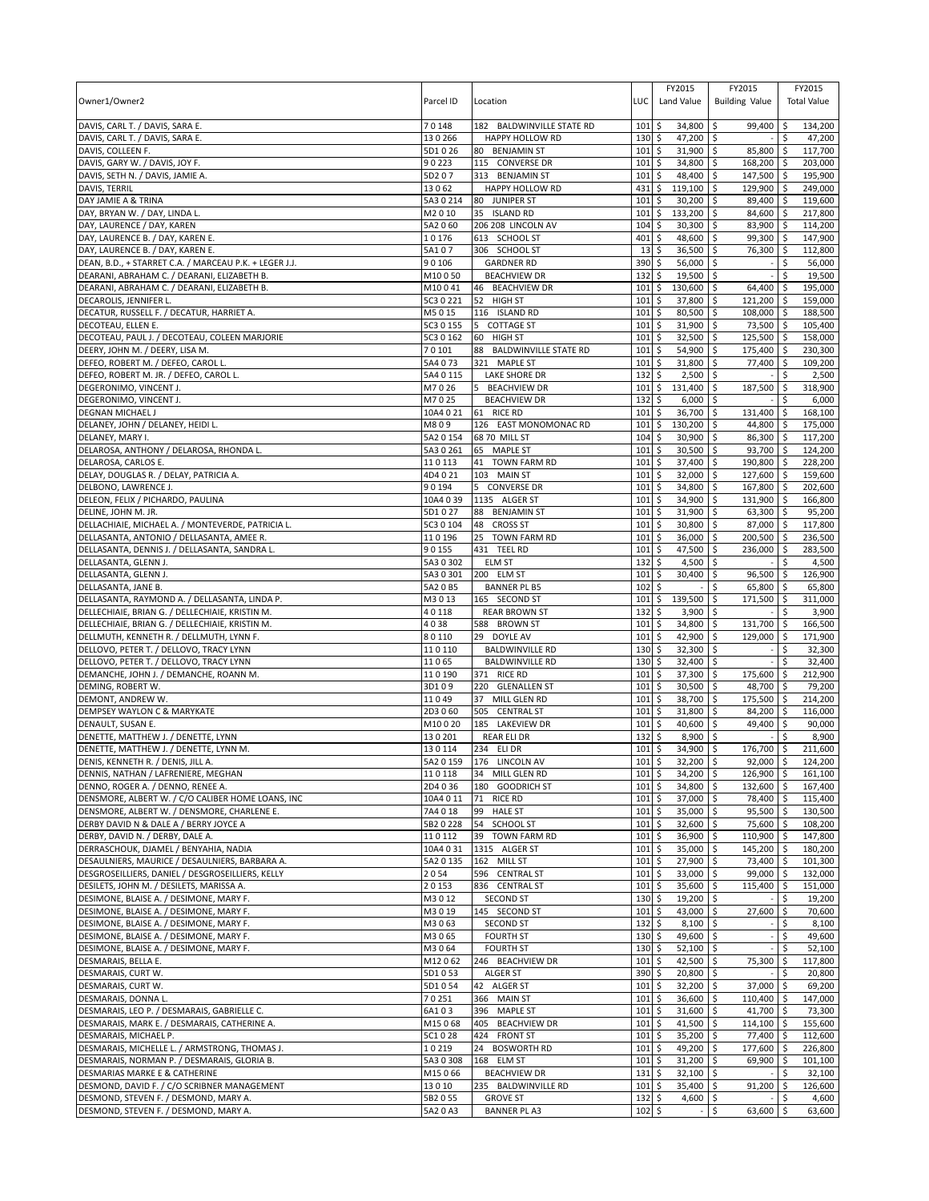| Owner1/Owner2                                                                                         | Parcel ID            | Location                                        | LUC                        | FY2015<br>Land Value                 | FY2015<br><b>Building Value</b> | FY2015<br><b>Total Value</b> |
|-------------------------------------------------------------------------------------------------------|----------------------|-------------------------------------------------|----------------------------|--------------------------------------|---------------------------------|------------------------------|
| DAVIS, CARL T. / DAVIS, SARA E.                                                                       | 70148                | 182 BALDWINVILLE STATE RD                       | 101                        | \$<br>34,800                         | l\$<br>99,400 \$                | 134,200                      |
| DAVIS, CARL T. / DAVIS, SARA E.                                                                       | 130266               | <b>HAPPY HOLLOW RD</b>                          | 130                        | \$<br>47,200 \$                      |                                 | 47,200<br>Ŝ.                 |
| DAVIS, COLLEEN F.<br>DAVIS, GARY W. / DAVIS, JOY F.                                                   | 5D1026<br>90223      | 80 BENJAMIN ST<br>115 CONVERSE DR               | 101<br>101                 | \$<br>$31,900$ \$<br>\$<br>34,800 \$ | 85,800 \$<br>168,200 \$         | 117,700<br>203,000           |
| DAVIS, SETH N. / DAVIS, JAMIE A.                                                                      | 5D207                | 313 BENJAMIN ST                                 | 101                        | \$<br>48,400                         | l\$<br>147,500 \$               | 195,900                      |
| DAVIS, TERRIL                                                                                         | 13062                | HAPPY HOLLOW RD                                 | 431                        | \$<br>119,100                        | l\$<br>129,900 \$               | 249,000                      |
| DAY JAMIE A & TRINA                                                                                   | 5A3 0 214            | 80 JUNIPER ST                                   | 101                        | \$<br>$30,200$ \$                    | 89,400 \$                       | 119,600                      |
| DAY, BRYAN W. / DAY, LINDA L.                                                                         | M2010                | 35 ISLAND RD                                    | 101                        | \$<br>133,200                        | \$<br>84,600 \$                 | 217,800                      |
| DAY, LAURENCE / DAY, KAREN                                                                            | 5A2 060              | 206 208 LINCOLN AV                              | 104                        | 30,300<br>\$                         | 83,900 \$<br>l\$                | 114,200                      |
| DAY, LAURENCE B. / DAY, KAREN E.                                                                      | 10176                | 613 SCHOOL ST                                   | 401                        | \$<br>48,600                         | l\$<br>99,300 \$                | 147,900                      |
| DAY, LAURENCE B. / DAY, KAREN E.                                                                      | 5A107                | 306 SCHOOL ST                                   | 13                         | \$<br>36,500                         | 76,300 \$<br>\$                 | 112,800                      |
| DEAN, B.D., + STARRET C.A. / MARCEAU P.K. + LEGER J.J.<br>DEARANI, ABRAHAM C. / DEARANI, ELIZABETH B. | 90106<br>M10050      | <b>GARDNER RD</b><br><b>BEACHVIEW DR</b>        | 390<br>132                 | \$<br>56,000<br>\$<br>19,500         | \$<br>l\$                       | 56,000<br>\$<br>\$<br>19,500 |
| DEARANI, ABRAHAM C. / DEARANI, ELIZABETH B.                                                           | M10041               | 46<br><b>BEACHVIEW DR</b>                       | 101                        | \$<br>130,600                        | S.<br>64,400 \$                 | 195,000                      |
| DECAROLIS, JENNIFER L.                                                                                | 5C3 0 221            | 52 HIGH ST                                      | 101                        | \$<br>37,800                         | 121,200 \$<br>l\$               | 159,000                      |
| DECATUR, RUSSELL F. / DECATUR, HARRIET A.                                                             | M5015                | 116 ISLAND RD                                   | 101                        | \$<br>80,500                         | \$<br>108,000 \$                | 188,500                      |
| DECOTEAU, ELLEN E.                                                                                    | 5C3 0 155            | 5<br><b>COTTAGE ST</b>                          | 101                        | 31,900<br>\$                         | \$<br>73,500 \$                 | 105,400                      |
| DECOTEAU, PAUL J. / DECOTEAU, COLEEN MARJORIE                                                         | 5C3 0 162            | HIGH ST<br>60                                   | 101                        | \$<br>32,500                         | 125,500 \$<br>\$                | 158,000                      |
| DEERY, JOHN M. / DEERY, LISA M.                                                                       | 70101                | <b>BALDWINVILLE STATE RD</b><br>88              | 101                        | \$<br>54,900                         | \$<br>175,400 \$                | 230,300                      |
| DEFEO, ROBERT M. / DEFEO, CAROL L.                                                                    | 5A4 073              | 321 MAPLE ST                                    | 101                        | \$<br>31,800                         | \$<br>77,400 \$                 | 109,200                      |
| DEFEO, ROBERT M. JR. / DEFEO, CAROL L.                                                                | 5A4 0 115            | LAKE SHORE DR                                   | 132                        | 2,500<br>\$                          | l\$                             | \$<br>2,500                  |
| DEGERONIMO, VINCENT J.<br>DEGERONIMO, VINCENT J.                                                      | M7026<br>M7025       | 5<br><b>BEACHVIEW DR</b><br><b>BEACHVIEW DR</b> | 101<br>132                 | \$<br>131,400<br>6,000               | \$<br>187,500<br>\$             | \$<br>318,900<br>\$<br>6,000 |
| DEGNAN MICHAEL J                                                                                      | 10A4 0 21            | 61 RICE RD                                      | 101                        | \$<br>\$<br>36,700                   | \$<br>131,400                   | \$<br>168,100                |
| DELANEY, JOHN / DELANEY, HEIDI L.                                                                     | M809                 | 126 EAST MONOMONAC RD                           | 101                        | 130,200<br>\$                        | 44,800<br>\$                    | 175,000<br>-\$               |
| DELANEY, MARY I.                                                                                      | 5A2 0 154            | 68 70 MILL ST                                   | 104                        | \$<br>30,900 \$                      | 86,300 \$                       | 117,200                      |
| DELAROSA, ANTHONY / DELAROSA, RHONDA L.                                                               | 5A3 0 261            | 65 MAPLE ST                                     | 101                        | \$<br>$30,500$ \$                    | 93,700 \$                       | 124,200                      |
| DELAROSA, CARLOS E.                                                                                   | 110113               | 41 TOWN FARM RD                                 | 101                        | \$<br>37,400                         | \$<br>190,800 \$                | 228,200                      |
| DELAY, DOUGLAS R. / DELAY, PATRICIA A.                                                                | 4D4021               | 103 MAIN ST                                     | 101                        | \$<br>32,000 \$                      | 127,600 \$                      | 159,600                      |
| DELBONO, LAWRENCE J.                                                                                  | 90194                | 5 CONVERSE DR                                   | 101                        | \$<br>34,800                         | \$<br>167,800 \$                | 202,600                      |
| DELEON, FELIX / PICHARDO, PAULINA                                                                     | 10A4 0 39            | 1135 ALGER ST                                   | 101                        | \$<br>34,900                         | \$<br>131,900 \$                | 166,800                      |
| DELINE, JOHN M. JR.<br>DELLACHIAIE, MICHAEL A. / MONTEVERDE, PATRICIA L.                              | 5D1027<br>5C3 0 104  | 88 BENJAMIN ST<br>48 CROSS ST                   | 101<br>101                 | \$<br>31,900<br>\$<br>30,800 \$      | l\$<br>63,300 \$<br>87,000 \$   | 95,200<br>117,800            |
| DELLASANTA, ANTONIO / DELLASANTA, AMEE R.                                                             | 110196               | 25 TOWN FARM RD                                 | 101                        | \$<br>36,000 \$                      | 200,500 \$                      | 236,500                      |
| DELLASANTA, DENNIS J. / DELLASANTA, SANDRA L.                                                         | 90155                | 431 TEEL RD                                     | 101                        | \$<br>47,500                         | l\$<br>236,000 \$               | 283,500                      |
| DELLASANTA, GLENN J.                                                                                  | 5A3 0 302            | <b>ELM ST</b>                                   | 132                        | 4,500<br>\$                          | \$                              | 4,500<br>\$                  |
| DELLASANTA, GLENN J.                                                                                  | 5A3 0 301            | 200 ELM ST                                      | 101                        | \$<br>30,400                         | 96,500 \$<br>\$                 | 126,900                      |
| DELLASANTA, JANE B.                                                                                   | 5A2 0 B5             | <b>BANNER PL B5</b>                             | 102                        | \$                                   | \$<br>65,800 \$                 | 65,800                       |
| DELLASANTA, RAYMOND A. / DELLASANTA, LINDA P.                                                         | M3013                | 165 SECOND ST                                   | 101                        | \$<br>139,500                        | 171,500<br>\$                   | 311,000<br>\$                |
| DELLECHIAIE, BRIAN G. / DELLECHIAIE, KRISTIN M.                                                       | 40118                | <b>REAR BROWN ST</b>                            | 132                        | 3,900<br>\$                          | \$                              | 3,900<br>\$                  |
| DELLECHIAIE, BRIAN G. / DELLECHIAIE, KRISTIN M.                                                       | 4038                 | 588 BROWN ST                                    | 101                        | \$<br>34,800                         | \$<br>131,700 \$                | 166,500                      |
| DELLMUTH, KENNETH R. / DELLMUTH, LYNN F.<br>DELLOVO, PETER T. / DELLOVO, TRACY LYNN                   | 80110<br>110110      | 29 DOYLE AV<br><b>BALDWINVILLE RD</b>           | 101<br>130                 | 42,900<br>\$<br>\$<br>32,300         | 129,000 \$<br>\$<br>l\$         | 171,900<br>\$                |
| DELLOVO, PETER T. / DELLOVO, TRACY LYNN                                                               | 11065                | <b>BALDWINVILLE RD</b>                          | 130                        | \$<br>32,400                         | \$                              | 32,300<br>\$<br>32,400       |
| DEMANCHE, JOHN J. / DEMANCHE, ROANN M.                                                                | 110190               | 371 RICE RD                                     | 101                        | \$<br>37,300                         | \$<br>175,600 \$                | 212,900                      |
| DEMING, ROBERT W.                                                                                     | 3D109                | 220 GLENALLEN ST                                | 101                        | \$<br>30,500                         | \$<br>48,700 \$                 | 79,200                       |
| DEMONT, ANDREW W.                                                                                     | 11049                | 37 MILL GLEN RD                                 | 101                        | \$<br>38,700                         | \$<br>175,500 \$                | 214,200                      |
| DEMPSEY WAYLON C & MARYKATE                                                                           | 2D3 060              | 505 CENTRAL ST                                  | 101                        | 31,800<br>\$                         | 84,200 \$<br>\$                 | 116,000                      |
| DENAULT, SUSAN E.                                                                                     | M10020               | 185 LAKEVIEW DR                                 | 101                        | \$<br>40,600                         | \$<br>49,400                    | S.<br>90,000                 |
| DENETTE, MATTHEW J. / DENETTE, LYNN                                                                   | 130201               | <b>REAR ELI DR</b>                              | 132                        | \$<br>8,900                          | \$                              | \$<br>8,900                  |
| DENETTE, MATTHEW J. / DENETTE, LYNN M.<br>DENIS, KENNETH R. / DENIS, JILL A.                          | 130114               | 234 ELI DR                                      | 101<br>101S                | \$<br>34,900<br>$32,200$ \$          | \$<br>176,700 \$                | 211,600                      |
| DENNIS, NATHAN / LAFRENIERE, MEGHAN                                                                   | 110118               | 5A2 0 159 176 LINCOLN AV<br>34 MILL GLEN RD     | $101 \,$ \$                | $34,200$ \$                          | $92,000$ \$<br>126,900 \$       | 124,200<br>161,100           |
| DENNO, ROGER A. / DENNO, RENEE A.                                                                     | 2D4 0 36             | 180 GOODRICH ST                                 | $101 \;$ \$                | 34,800 \$                            | 132,600 \$                      | 167.400                      |
| DENSMORE, ALBERT W. / C/O CALIBER HOME LOANS, INC                                                     | 10A4 0 11            | 71 RICE RD                                      | $101 \text{ }$ \$          | 37,000 \$                            | 78,400 \$                       | 115,400                      |
| DENSMORE, ALBERT W. / DENSMORE, CHARLENE E.                                                           | 7A4018               | 99 HALE ST                                      | $101 \,$ \$                | 35,000 \$                            | 95,500 \$                       | 130,500                      |
| DERBY DAVID N & DALE A / BERRY JOYCE A                                                                | 5B2 0 228            | <b>SCHOOL ST</b><br>54                          | $101 \,$ \$                | 32,600 \$                            | 75,600 \$                       | 108,200                      |
| DERBY, DAVID N. / DERBY, DALE A.                                                                      | 110112               | <b>TOWN FARM RD</b><br>39                       | 101                        | 5<br>36,900 \$                       | 110,900 \$                      | 147,800                      |
| DERRASCHOUK, DJAMEL / BENYAHIA, NADIA                                                                 | 10A4 0 31            | 1315 ALGER ST                                   | $101 \;$ \$                | 35,000 \$                            | 145,200 \$                      | 180,200                      |
| DESAULNIERS, MAURICE / DESAULNIERS, BARBARA A.<br>DESGROSEILLIERS, DANIEL / DESGROSEILLIERS, KELLY    | 5A2 0 135<br>2054    | 162 MILL ST<br>596 CENTRAL ST                   | $101 \,$ \$<br>$101 \;$ \$ | 27,900 \$<br>33,000 \$               | 73,400 \$<br>99,000 \$          | 101,300<br>132,000           |
| DESILETS, JOHN M. / DESILETS, MARISSA A.                                                              | 20153                | 836 CENTRAL ST                                  | 101                        | \$<br>35,600 \$                      | 115,400 \$                      | 151,000                      |
| DESIMONE, BLAISE A. / DESIMONE, MARY F.                                                               | M3012                | <b>SECOND ST</b>                                | $130 \;$ \$                | 19,200 \$                            |                                 | 19,200<br>\$                 |
| DESIMONE, BLAISE A. / DESIMONE, MARY F.                                                               | M3019                | 145 SECOND ST                                   | $101 \,$ \$                | 43,000 \$                            | 27,600 \$                       | 70,600                       |
| DESIMONE, BLAISE A. / DESIMONE, MARY F.                                                               | M3063                | <b>SECOND ST</b>                                | 132                        | \$<br>$8,100$ \$                     |                                 | 8,100<br>\$                  |
| DESIMONE, BLAISE A. / DESIMONE, MARY F.                                                               | M3065                | <b>FOURTH ST</b>                                | $130 \pm$                  | 49,600 \$                            |                                 | \$<br>49,600                 |
| DESIMONE, BLAISE A. / DESIMONE, MARY F.                                                               | M3064                | <b>FOURTH ST</b>                                | 130                        | $52,100$ \$<br>\$                    |                                 | 52,100<br>\$                 |
| DESMARAIS, BELLA E.                                                                                   | M12062               | 246 BEACHVIEW DR                                | 101                        | \$<br>$42,500$ \$                    | 75,300 \$                       | 117,800                      |
| DESMARAIS, CURT W.                                                                                    | 5D1053               | ALGER ST                                        | 390                        | \$<br>20,800 \$                      |                                 | \$<br>20,800                 |
| DESMARAIS, CURT W.<br>DESMARAIS, DONNA L.                                                             | 5D1054<br>70251      | 42 ALGER ST<br>366 MAIN ST                      | 101<br>101                 | \$<br>32,200 \$<br>\$<br>$36,600$ \$ | 37,000 \$<br>110,400 \$         | 69,200<br>147,000            |
| DESMARAIS, LEO P. / DESMARAIS, GABRIELLE C.                                                           | 6A103                | 396 MAPLE ST                                    | $101 \,$ \$                | 31,600 \$                            | 41,700 \$                       | 73,300                       |
| DESMARAIS, MARK E. / DESMARAIS, CATHERINE A.                                                          | M15068               | 405 BEACHVIEW DR                                | 101                        | \$<br>$41,500$ \$                    | $114,100$ \$                    | 155,600                      |
| DESMARAIS, MICHAEL P.                                                                                 | 5C1028               | 424 FRONT ST                                    | 101                        | \$<br>35,200 \$                      | 77,400 \$                       | 112,600                      |
| DESMARAIS, MICHELLE L. / ARMSTRONG, THOMAS J.                                                         | 10219                | <b>BOSWORTH RD</b><br>24                        | 101                        | 49,200 \$<br>\$                      | 177,600 \$                      | 226,800                      |
| DESMARAIS, NORMAN P. / DESMARAIS, GLORIA B.                                                           | 5A3 0 308            | 168 ELM ST                                      | 101                        | 5<br>$31,200$ \$                     | 69,900 \$                       | 101,100                      |
| DESMARIAS MARKE E & CATHERINE                                                                         | M15066               | <b>BEACHVIEW DR</b>                             | $131 \;$ \$                | $32,100$ \$                          | $\overline{a}$                  | -\$<br>32,100                |
| DESMOND, DAVID F. / C/O SCRIBNER MANAGEMENT                                                           | 13010                | 235 BALDWINVILLE RD                             | $101 \;$ \$                | 35,400 \$                            | $91,200$ \$                     | 126,600                      |
| DESMOND, STEVEN F. / DESMOND, MARY A.<br>DESMOND, STEVEN F. / DESMOND, MARY A.                        | 5B2 0 55<br>5A2 0 A3 | <b>GROVE ST</b><br><b>BANNER PL A3</b>          | $132 \,$ \$<br>$102 \,$ \$ | $4,600$ \$                           | \$<br>63,600 \$                 | Ŝ.<br>4,600<br>63,600        |
|                                                                                                       |                      |                                                 |                            |                                      |                                 |                              |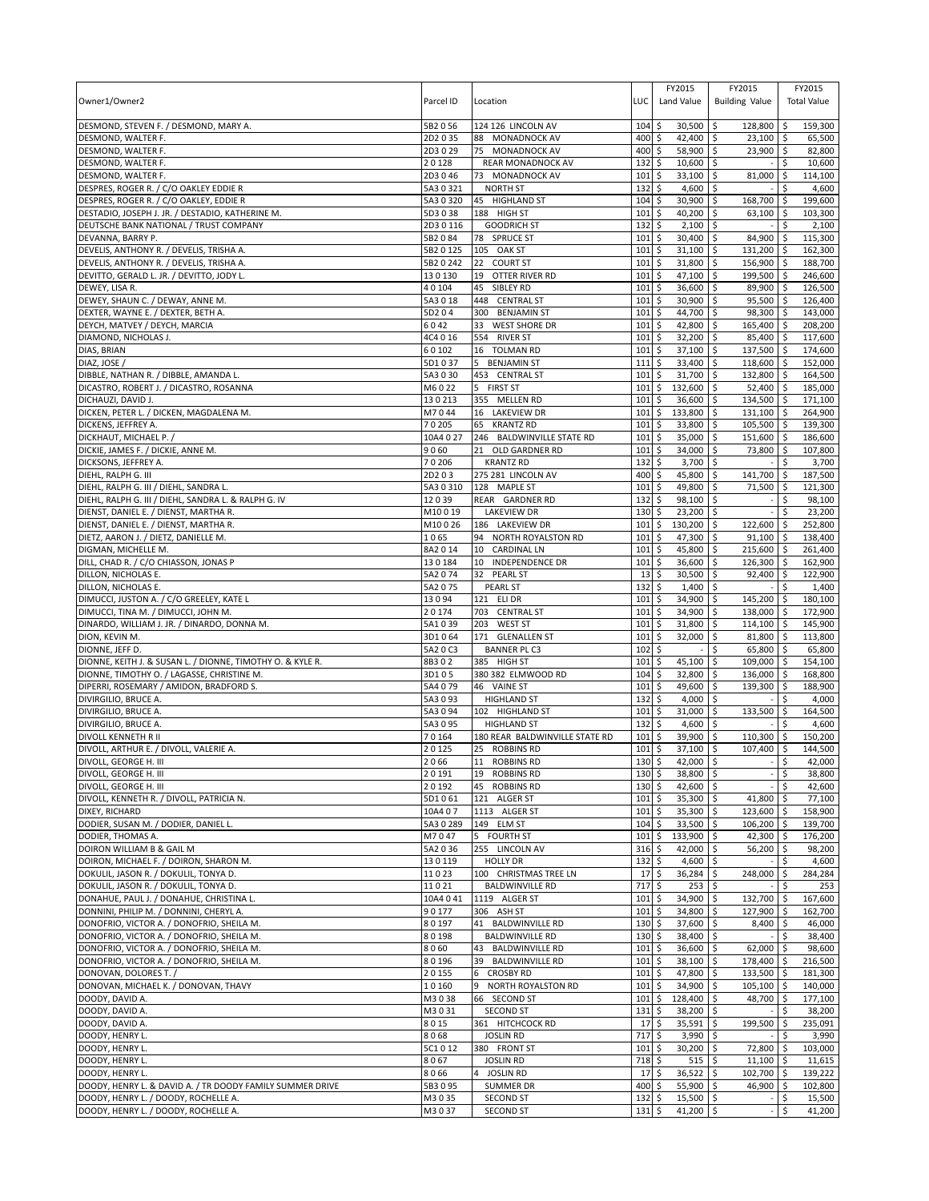| Owner1/Owner2                                                                                     | Parcel ID             | Location                                          | LUC         | FY2015<br>Land Value                 | FY2015<br><b>Building Value</b>  | FY2015<br><b>Total Value</b>            |
|---------------------------------------------------------------------------------------------------|-----------------------|---------------------------------------------------|-------------|--------------------------------------|----------------------------------|-----------------------------------------|
| DESMOND, STEVEN F. / DESMOND, MARY A.<br>DESMOND, WALTER F.                                       | 5B2056<br>2D2 0 35    | 124 126 LINCOLN AV<br>88 MONADNOCK AV             | 104<br>400  | $30,500$ \$<br>\$<br>\$<br>42,400    | 128,800<br>$23,100$ \$<br>l\$    | 159,300<br><b>S</b><br>65,500           |
| DESMOND, WALTER F.                                                                                | 2D3029                | 75 MONADNOCK AV                                   | 400         | 58,900 \$<br>\$                      | 23,900 \$                        | 82,800                                  |
| DESMOND, WALTER F.                                                                                | 20128                 | REAR MONADNOCK AV                                 | 132         | \$<br>10,600                         | \$                               | 10,600                                  |
| DESMOND, WALTER F.                                                                                | 2D3046                | 73 MONADNOCK AV                                   | 101         | 33,100<br>\$                         | 81,000<br>Ŝ.                     | 114,100<br>\$                           |
| DESPRES, ROGER R. / C/O OAKLEY EDDIE R                                                            | 5A3 0 321             | <b>NORTH ST</b>                                   | 132         | \$<br>4,600                          | \$                               | \$<br>4,600                             |
| DESPRES, ROGER R. / C/O OAKLEY, EDDIE R                                                           | 5A3 0 320             | 45 HIGHLAND ST                                    | 104         | \$<br>30,900                         | \$<br>168,700                    | 199,600<br>\$                           |
| DESTADIO, JOSEPH J. JR. / DESTADIO, KATHERINE M.                                                  | 5D3 0 38<br>2D3 0 116 | 188 HIGH ST<br><b>GOODRICH ST</b>                 | 101<br>132  | \$<br>40,200<br>\$                   | \$<br>63,100                     | -\$<br>103,300<br>\$<br>2,100           |
| DEUTSCHE BANK NATIONAL / TRUST COMPANY<br>DEVANNA, BARRY P.                                       | 5B2084                | 78 SPRUCE ST                                      | 101         | 2,100<br>\$<br>30,400 \$             | l\$<br>84,900                    | $\sqrt{5}$<br>115,300                   |
| DEVELIS, ANTHONY R. / DEVELIS, TRISHA A.                                                          | 5B2 0 125             | 105 OAK ST                                        | 101         | \$<br>31,100                         | l\$<br>131,200                   | l \$<br>162.300                         |
| DEVELIS, ANTHONY R. / DEVELIS, TRISHA A.                                                          | 5B2 0 242             | 22<br><b>COURT ST</b>                             | 101         | \$<br>31,800                         | \$<br>156,900                    | 188,700<br>∣\$                          |
| DEVITTO, GERALD L. JR. / DEVITTO, JODY L.                                                         | 130130                | 19<br>OTTER RIVER RD                              | 101         | 47,100<br>\$                         | 199,500<br>\$                    | 246,600<br>l \$                         |
| DEWEY, LISA R.                                                                                    | 40104                 | SIBLEY RD<br>45                                   | 101         | \$<br>36,600                         | \$<br>89,900                     | 126,500<br>I\$                          |
| DEWEY, SHAUN C. / DEWAY, ANNE M.                                                                  | 5A3018                | 448 CENTRAL ST                                    | 101         | \$<br>30,900 \$                      | 95,500 \$                        | 126,400                                 |
| DEXTER, WAYNE E. / DEXTER, BETH A.                                                                | 5D204                 | 300 BENJAMIN ST                                   | 101         | \$<br>44,700                         | \$<br>98,300                     | l\$<br>143,000                          |
| DEYCH, MATVEY / DEYCH, MARCIA<br>DIAMOND, NICHOLAS J.                                             | 6042<br>4C4 0 16      | 33<br><b>WEST SHORE DR</b><br>554 RIVER ST        | 101<br>101  | \$<br>42,800<br>\$<br>$32,200$ \$    | <b>S</b><br>165,400<br>85,400 \$ | l\$<br>208,200<br>117,600               |
| DIAS, BRIAN                                                                                       | 60102                 | 16 TOLMAN RD                                      | 101         | \$<br>$37,100$ \$                    | 137,500                          | ۱\$<br>174,600                          |
| DIAZ, JOSE /                                                                                      | 5D1037                | 5 BENJAMIN ST                                     | 111         | \$<br>33,400                         | \$<br>118,600                    | l \$<br>152,000                         |
| DIBBLE, NATHAN R. / DIBBLE, AMANDA L.                                                             | 5A3 0 30              | 453 CENTRAL ST                                    | 101         | \$<br>31,700 \$                      | 132,800 \$                       | 164,500                                 |
| DICASTRO, ROBERT J. / DICASTRO, ROSANNA                                                           | M6022                 | 5 FIRST ST                                        | 101         | \$<br>132,600                        | \$<br>52,400 \$                  | 185,000                                 |
| DICHAUZI, DAVID J.                                                                                | 130213                | 355 MELLEN RD                                     | 101         | \$<br>36,600                         | \$<br>134,500                    | 171,100<br>∣\$                          |
| DICKEN, PETER L. / DICKEN, MAGDALENA M.                                                           | M7044                 | 16 LAKEVIEW DR                                    | 101         | \$<br>133,800                        | 131,100<br>∣\$                   | 264,900<br>l \$                         |
| DICKENS, JEFFREY A.                                                                               | 70205                 | 65<br><b>KRANTZ RD</b>                            | 101         | \$<br>33,800                         | l\$<br>105,500                   | 139,300<br><b>S</b>                     |
| DICKHAUT, MICHAEL P.<br>DICKIE, JAMES F. / DICKIE, ANNE M.                                        | 10A4 0 27<br>9060     | 246 BALDWINVILLE STATE RD<br>21<br>OLD GARDNER RD | 101<br>101  | \$<br>35,000<br>\$<br>34,000         | \$<br>151,600<br>\$<br>73,800    | 186,600<br>ا \$<br>S.<br>107,800        |
| DICKSONS, JEFFREY A.                                                                              | 70206                 | <b>KRANTZ RD</b>                                  | 132         | \$<br>3,700                          | \$                               | Ŝ.<br>3,700                             |
| DIEHL, RALPH G. III                                                                               | 2D203                 | 275 281 LINCOLN AV                                | 400         | \$<br>45,800                         | \$<br>141,700                    | l \$<br>187,500                         |
| DIEHL, RALPH G. III / DIEHL, SANDRA L.                                                            | 5A3 0 310             | 128 MAPLE ST                                      | 101         | \$<br>49,800                         | 71,500<br>l\$                    | 121,300<br>-\$                          |
| DIEHL, RALPH G. III / DIEHL, SANDRA L. & RALPH G. IV                                              | 12039                 | REAR GARDNER RD                                   | 132         | \$<br>98,100                         | \$                               | 98,100                                  |
| DIENST, DANIEL E. / DIENST, MARTHA R.                                                             | M10019                | <b>LAKEVIEW DR</b>                                | 130         | 23,200<br>\$                         | ∣\$                              | \$<br>23,200                            |
| DIENST, DANIEL E. / DIENST, MARTHA R.                                                             | M10026                | 186 LAKEVIEW DR                                   | 101         | \$<br>130,200                        | 122,600<br>\$                    | 252,800<br>∣\$                          |
| DIETZ, AARON J. / DIETZ, DANIELLE M.<br>DIGMAN, MICHELLE M.                                       | 1065<br>8A2014        | 94 NORTH ROYALSTON RD<br><b>CARDINAL LN</b><br>10 | 101<br>101  | 47,300<br>\$<br>\$<br>45,800         | l\$<br>91,100<br>215,600<br>\$   | 138,400<br>I\$<br>261,400<br>۱\$        |
| DILL, CHAD R. / C/O CHIASSON, JONAS P                                                             | 130184                | 10<br><b>INDEPENDENCE DR</b>                      | 101         | \$<br>36,600                         | \$<br>126,300                    | \$<br>162,900                           |
| DILLON, NICHOLAS E.                                                                               | 5A2 074               | 32<br><b>PEARL ST</b>                             | 13          | \$<br>30,500                         | 92,400<br>l\$                    | 122,900<br>۱\$                          |
| DILLON, NICHOLAS E.                                                                               | 5A2075                | <b>PEARL ST</b>                                   | 132         | \$<br>1,400                          | l\$                              | \$<br>1,400                             |
| DIMUCCI, JUSTON A. / C/O GREELEY, KATE L                                                          | 13094                 | 121 ELI DR                                        | 101         | \$<br>34,900                         | 145,200<br>\$                    | 180,100<br>\$                           |
| DIMUCCI, TINA M. / DIMUCCI, JOHN M.                                                               | 20174                 | 703 CENTRAL ST                                    | 101         | 34,900<br>\$                         | 138,000<br>Ŝ.                    | 172,900<br>l \$                         |
| DINARDO, WILLIAM J. JR. / DINARDO, DONNA M.                                                       | 5A1039                | 203 WEST ST                                       | 101         | \$<br>31,800                         | \$<br>114,100 \$                 | 145,900                                 |
| DION, KEVIN M.                                                                                    | 3D1064                | 171 GLENALLEN ST                                  | 101         | \$<br>32,000                         | l\$<br>81,800                    | 113,800<br>۱\$                          |
| DIONNE, JEFF D.<br>DIONNE, KEITH J. & SUSAN L. / DIONNE, TIMOTHY O. & KYLE R.                     | 5A20C3<br>8B302       | <b>BANNER PL C3</b><br>385 HIGH ST                | 102<br>101  | \$<br>\$<br>45,100                   | \$<br>65,800<br>l\$<br>109,000   | l \$<br>65,800<br>$\sqrt{5}$<br>154,100 |
| DIONNE, TIMOTHY O. / LAGASSE, CHRISTINE M.                                                        | 3D105                 | 380 382 ELMWOOD RD                                | 104         | \$<br>32,800                         | l\$<br>136,000 \$                | 168,800                                 |
| DIPERRI, ROSEMARY / AMIDON, BRADFORD S.                                                           | 5A4 079               | 46 VAINE ST                                       | 101         | \$<br>49,600                         | l\$<br>139,300                   | \$<br>188.900                           |
| DIVIRGILIO, BRUCE A.                                                                              | 5A3093                | <b>HIGHLAND ST</b>                                | 132         | \$<br>4,000                          | \$ ا                             | Ŝ.<br>4,000                             |
| DIVIRGILIO, BRUCE A.                                                                              | 5A3094                | 102 HIGHLAND ST                                   | 101         | \$<br>31,000 \$                      | 133,500                          | 164,500<br>-\$                          |
| DIVIRGILIO, BRUCE A.                                                                              | 5A3095                | <b>HIGHLAND ST</b>                                | 132         | \$<br>$4,600$ \$                     |                                  | \$<br>4,600                             |
| DIVOLL KENNETH R II                                                                               | 70164                 | 180 REAR BALDWINVILLE STATE RD                    | 101         | \$<br>39,900                         | \$<br>110,300                    | 150,200<br>\$                           |
| DIVOLL, ARTHUR E. / DIVOLL, VALERIE A.<br>DIVOLL, GEORGE H. III                                   | 20125<br>2066         | 25 ROBBINS RD<br>11 ROBBINS RD                    | 101<br>130S | 5<br>37,100 \$<br>$42.000$ \ \$      | 107,400                          | 144,500<br>۱\$<br>l \$<br>42.000        |
| DIVOLL, GEORGE H. III                                                                             | 20191                 | 19 ROBBINS RD                                     | 130         | 38,800 \$<br>\$                      |                                  | \$<br>38,800                            |
| DIVOLL, GEORGE H. III                                                                             | 20192                 | 45<br><b>ROBBINS RD</b>                           | 130         | \$<br>42,600 \$                      |                                  | \$<br>42,600                            |
| DIVOLL, KENNETH R. / DIVOLL, PATRICIA N.                                                          | 5D1061                | 121 ALGER ST                                      | 101         | \$<br>35,300 \$                      | 41,800                           | l\$<br>77,100                           |
| DIXEY, RICHARD                                                                                    | 10A407                | 1113 ALGER ST                                     | 101         | \$<br>35,300 \$                      | 123,600 \$                       | 158,900                                 |
| DODIER, SUSAN M. / DODIER, DANIEL L.                                                              | 5A3 0 289             | 149 ELM ST                                        | 104         | \$<br>33,500 \$                      | 106,200                          | $\sqrt{5}$<br>139,700                   |
| DODIER, THOMAS A.                                                                                 | M7047                 | 5 FOURTH ST                                       | 101         | \$<br>133,900                        | 42,300<br>\$                     | \$<br>176,200                           |
| DOIRON WILLIAM B & GAIL M<br>DOIRON, MICHAEL F. / DOIRON, SHARON M.                               | 5A2 0 36<br>130119    | 255 LINCOLN AV<br><b>HOLLY DR</b>                 | 316<br>132  | \$<br>$42,000$ \$<br>\$<br>4,600     | 56,200 \$<br>l\$                 | 98,200<br>\$<br>4,600                   |
| DOKULIL, JASON R. / DOKULIL, TONYA D.                                                             | 11023                 | 100 CHRISTMAS TREE LN                             | 17          | \$<br>36,284                         | 5<br>248,000                     | 284,284<br>\$                           |
| DOKULIL, JASON R. / DOKULIL, TONYA D.                                                             | 11021                 | <b>BALDWINVILLE RD</b>                            | 717         | \$<br>$253$ \$                       |                                  | \$<br>253                               |
| DONAHUE, PAUL J. / DONAHUE, CHRISTINA L.                                                          | 10A4 041              | 1119 ALGER ST                                     | 101         | \$<br>34,900 \$                      | 132,700                          | 167,600<br>-\$                          |
| DONNINI, PHILIP M. / DONNINI, CHERYL A.                                                           | 90177                 | 306 ASH ST                                        | 101         | \$<br>34,800 \$                      | 127,900 \$                       | 162,700                                 |
| DONOFRIO, VICTOR A. / DONOFRIO, SHEILA M.                                                         | 80197                 | 41 BALDWINVILLE RD                                | 130         | \$<br>37,600 \$                      | $8,400$ \$                       | 46,000                                  |
| DONOFRIO, VICTOR A. / DONOFRIO, SHEILA M.                                                         | 80198                 | <b>BALDWINVILLE RD</b>                            | $130 \;$ \$ | 38,400 \$                            |                                  | \$<br>38,400                            |
| DONOFRIO, VICTOR A. / DONOFRIO, SHEILA M.                                                         | 8060                  | <b>BALDWINVILLE RD</b><br>43                      | 101         | $\ddot{\circ}$<br>36,600 \$          | 62,000                           | 98,600<br><b>S</b>                      |
| DONOFRIO, VICTOR A. / DONOFRIO, SHEILA M.                                                         | 80196                 | 39<br><b>BALDWINVILLE RD</b><br><b>CROSBY RD</b>  | 101         | \$<br>38,100 \$<br>\$                | 178,400 \$                       | 216,500                                 |
| DONOVAN, DOLORES T. /<br>DONOVAN, MICHAEL K. / DONOVAN, THAVY                                     | 20155<br>10160        | 6<br>NORTH ROYALSTON RD<br>9                      | 101<br>101  | 47,800 \$<br>5<br>34,900 \$          | 133,500 \$<br>$105,100$ \$       | 181,300<br>140,000                      |
| DOODY, DAVID A.                                                                                   | M3038                 | 66 SECOND ST                                      | 101         | \$<br>128,400 \$                     | 48,700 \$                        | 177,100                                 |
| DOODY, DAVID A.                                                                                   | M3031                 | <b>SECOND ST</b>                                  | $131 \;$ \$ | 38,200 \$                            |                                  | 38,200<br>\$                            |
| DOODY, DAVID A.                                                                                   | 8015                  | 361 HITCHCOCK RD                                  | 17          | \$<br>35,591 \$                      | 199,500                          | \$<br>235,091                           |
| DOODY, HENRY L.                                                                                   | 8068                  | <b>JOSLIN RD</b>                                  | 717         | \$<br>$3,990$ \$                     |                                  | 3,990<br>\$                             |
| DOODY, HENRY L.                                                                                   | 5C1012                | 380 FRONT ST                                      | 101         | \$<br>30,200 \$                      | 72,800                           | 103,000<br><b>S</b>                     |
| DOODY, HENRY L.                                                                                   | 8067                  | <b>JOSLIN RD</b>                                  | 718         | \$<br>$515$ \$                       | 11,100                           | 11,615<br>I\$                           |
| DOODY, HENRY L.                                                                                   | 8066<br>5B3095        | <b>JOSLIN RD</b><br><b>SUMMER DR</b>              | 17<br>400   | 36,522<br>\$                         | \$<br>102,700<br>46,900          | <b>5</b><br>139,222<br>102,800          |
| DOODY, HENRY L. & DAVID A. / TR DOODY FAMILY SUMMER DRIVE<br>DOODY, HENRY L. / DOODY, ROCHELLE A. | M3035                 | <b>SECOND ST</b>                                  | 132         | 55,900 \$<br>\$<br>\$<br>$15,500$ \$ |                                  | <b>S</b><br>\$<br>15,500                |
| DOODY, HENRY L. / DOODY, ROCHELLE A.                                                              | M3037                 | <b>SECOND ST</b>                                  | 131         | \$<br>41,200 \$                      |                                  | 41,200<br>\$                            |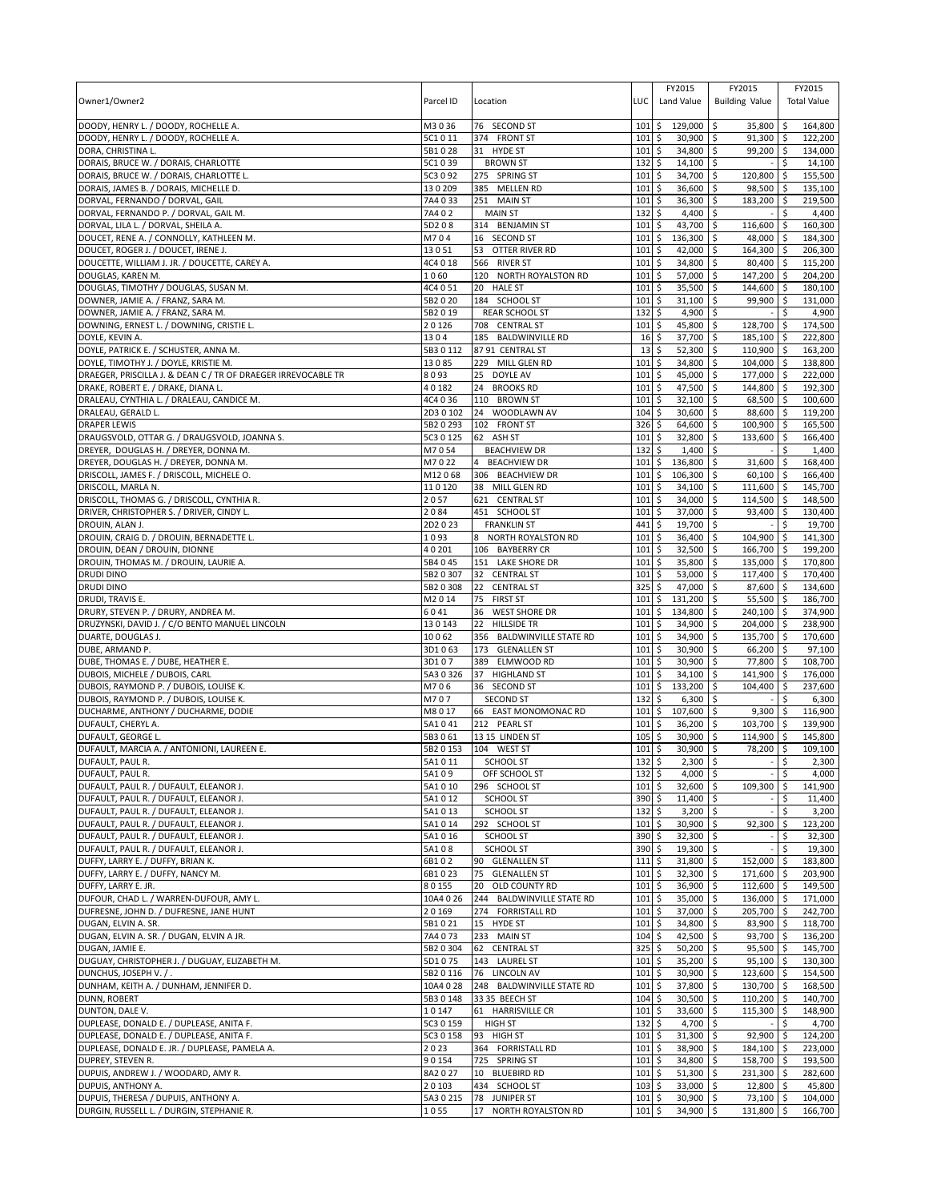| Owner1/Owner2                                                                          | Parcel ID              | Location                                            | LUC                | FY2015<br>Land Value                    | FY2015<br><b>Building Value</b>          |                        | FY2015<br><b>Total Value</b> |
|----------------------------------------------------------------------------------------|------------------------|-----------------------------------------------------|--------------------|-----------------------------------------|------------------------------------------|------------------------|------------------------------|
| DOODY, HENRY L. / DOODY, ROCHELLE A.                                                   | M3036                  | 76 SECOND ST                                        | 101                | \$<br>129,000 \$                        | 35,800                                   | <b>S</b>               | 164,800                      |
| DOODY, HENRY L. / DOODY, ROCHELLE A.                                                   | 5C1011                 | 374 FRONT ST                                        | 101                | \$<br>30,900                            | $91,300$ \$<br>l\$                       |                        | 122,200                      |
| DORA, CHRISTINA L.                                                                     | 5B1028                 | 31 HYDE ST                                          | 101                | \$<br>34,800 \$<br>\$                   | 99,200 \$                                |                        | 134,000                      |
| DORAIS, BRUCE W. / DORAIS, CHARLOTTE<br>DORAIS, BRUCE W. / DORAIS, CHARLOTTE L.        | 5C1039<br>5C3 0 92     | <b>BROWN ST</b><br>275 SPRING ST                    | 132<br>101         | 14,100<br>34,700<br>\$                  | \$<br>120,800<br>l\$                     | -\$                    | 14,100<br>155,500            |
| DORAIS, JAMES B. / DORAIS, MICHELLE D.                                                 | 130209                 | 385 MELLEN RD                                       | 101                | \$<br>36,600                            | \$<br>98,500                             | l\$                    | 135,100                      |
| DORVAL, FERNANDO / DORVAL, GAIL                                                        | 7A4033                 | 251 MAIN ST                                         | 101                | \$<br>36,300                            | \$<br>183,200                            | ا \$                   | 219,500                      |
| DORVAL, FERNANDO P. / DORVAL, GAIL M.                                                  | 7A402                  | <b>MAIN ST</b>                                      | 132                | \$<br>4,400                             | l \$                                     | \$                     | 4,400                        |
| DORVAL, LILA L. / DORVAL, SHEILA A.                                                    | 5D208                  | 314 BENJAMIN ST                                     | 101                | \$<br>43,700                            | l\$<br>116,600                           | \$                     | 160,300                      |
| DOUCET, RENE A. / CONNOLLY, KATHLEEN M.                                                | M704<br>13051          | 16 SECOND ST<br>53 OTTER RIVER RD                   | 101<br>101         | \$<br>136,300<br>\$<br>42,000 \$        | 48,000 \$<br>\$<br>164,300               |                        | 184,300<br>206,300           |
| DOUCET, ROGER J. / DOUCET, IRENE J.<br>DOUCETTE, WILLIAM J. JR. / DOUCETTE, CAREY A.   | 4C4 0 18               | 566 RIVER ST                                        | 101                | \$<br>34,800                            | \$<br>80,400                             | <b>S</b><br>$\sqrt{5}$ | 115,200                      |
| DOUGLAS, KAREN M.                                                                      | 1060                   | 120 NORTH ROYALSTON RD                              | 101                | 57,000<br>\$                            | 147,200 \$<br>l\$                        |                        | 204,200                      |
| DOUGLAS, TIMOTHY / DOUGLAS, SUSAN M.                                                   | 4C4 0 51               | 20 HALE ST                                          | 101                | \$<br>35,500                            | \$<br>144,600                            | I\$                    | 180,100                      |
| DOWNER, JAMIE A. / FRANZ, SARA M.                                                      | 5B2020                 | 184 SCHOOL ST                                       | 101                | \$<br>$31,100$ \$                       | 99,900 \$                                |                        | 131,000                      |
| DOWNER, JAMIE A. / FRANZ, SARA M.                                                      | 5B2019                 | <b>REAR SCHOOL ST</b>                               | 132                | \$<br>4,900                             | l\$                                      | Ŝ.                     | 4,900                        |
| DOWNING, ERNEST L. / DOWNING, CRISTIE L.                                               | 20126<br>1304          | 708 CENTRAL ST<br>185 BALDWINVILLE RD               | 101                | \$<br>45,800<br>\$<br>37,700 \$         | l\$<br>128,700<br>185,100 \$             | l \$                   | 174,500<br>222,800           |
| DOYLE, KEVIN A.<br>DOYLE, PATRICK E. / SCHUSTER, ANNA M.                               | 5B3 0 112              | 87 91 CENTRAL ST                                    | 16<br>13           | 52,300 \$<br>\$                         | 110,900 \$                               |                        | 163,200                      |
| DOYLE, TIMOTHY J. / DOYLE, KRISTIE M.                                                  | 13085                  | 229 MILL GLEN RD                                    | 101                | \$<br>34,800                            | \$<br>104,000                            | l \$                   | 138,800                      |
| DRAEGER, PRISCILLA J. & DEAN C / TR OF DRAEGER IRREVOCABLE TR                          | 8093                   | 25<br>DOYLE AV                                      | 101                | \$<br>45,000 \$                         | 177,000 \$                               |                        | 222,000                      |
| DRAKE, ROBERT E. / DRAKE, DIANA L.                                                     | 40182                  | 24<br><b>BROOKS RD</b>                              | 101                | \$<br>47,500                            | l\$<br>144,800 \$                        |                        | 192,300                      |
| DRALEAU, CYNTHIA L. / DRALEAU, CANDICE M.                                              | 4C4 0 36               | 110 BROWN ST                                        | 101                | \$<br>32,100                            | \$<br>68,500                             | \$                     | 100,600                      |
| DRALEAU, GERALD L.<br><b>DRAPER LEWIS</b>                                              | 2D3 0 102<br>5B2 0 293 | 24<br>WOODLAWN AV<br>102 FRONT ST                   | 104<br>326         | \$<br>30,600<br>\$<br>64,600            | 88,600 \$<br>ا \$<br><b>S</b><br>100,900 | $\sqrt{5}$             | 119,200<br>165,500           |
| DRAUGSVOLD, OTTAR G. / DRAUGSVOLD, JOANNA S.                                           | 5C3 0 125              | 62 ASH ST                                           | 101                | \$<br>32,800                            | l\$<br>133,600                           | ۱\$                    | 166,400                      |
| DREYER, DOUGLAS H. / DREYER, DONNA M.                                                  | M7054                  | <b>BEACHVIEW DR</b>                                 | 132                | \$<br>1,400                             | ا \$                                     | \$                     | 1,400                        |
| DREYER, DOUGLAS H. / DREYER, DONNA M.                                                  | M7022                  | <b>BEACHVIEW DR</b><br>$\overline{4}$               | 101                | \$<br>136,800                           | l\$<br>31,600                            | ۱\$                    | 168,400                      |
| DRISCOLL, JAMES F. / DRISCOLL, MICHELE O.                                              | M12068                 | 306 BEACHVIEW DR                                    | 101                | \$<br>106,300                           | $60,100$ \$<br>\$                        |                        | 166,400                      |
| DRISCOLL, MARLA N.                                                                     | 110120                 | 38 MILL GLEN RD                                     | 101                | \$<br>$34,100$ \$                       | 111,600 \$                               |                        | 145,700                      |
| DRISCOLL, THOMAS G. / DRISCOLL, CYNTHIA R.<br>DRIVER, CHRISTOPHER S. / DRIVER, CINDY L | 2057                   | 621 CENTRAL ST                                      | 101                | \$<br>34,000                            | \$<br>114,500                            | \$                     | 148,500                      |
| DROUIN, ALAN J.                                                                        | 2084<br>2D2023         | 451 SCHOOL ST<br><b>FRANKLIN ST</b>                 | 101<br>441         | 37,000<br>\$<br>\$<br>19,700 \$         | \$<br>93,400                             | ∣\$<br>\$              | 130,400<br>19,700            |
| DROUIN, CRAIG D. / DROUIN, BERNADETTE L.                                               | 1093                   | 8 NORTH ROYALSTON RD                                | 101                | \$<br>36,400 \$                         | 104,900                                  | \$                     | 141,300                      |
| DROUIN, DEAN / DROUIN, DIONNE                                                          | 40201                  | 106 BAYBERRY CR                                     | 101                | \$<br>32,500                            | 166,700<br>∣\$                           | l \$                   | 199,200                      |
| DROUIN, THOMAS M. / DROUIN, LAURIE A.                                                  | 5B4 0 45               | 151 LAKE SHORE DR                                   | 101                | \$<br>35,800                            | <b>S</b><br>135,000                      | l \$                   | 170,800                      |
| <b>DRUDI DINO</b>                                                                      | 5B2 0 307              | 32<br><b>CENTRAL ST</b>                             | 101                | \$<br>53,000 \$                         | 117,400 \$                               |                        | 170,400                      |
| <b>DRUDI DINO</b>                                                                      | 5B20308                | 22 CENTRAL ST                                       | 325                | \$<br>47,000 \$                         | 87,600                                   | <b>S</b>               | 134,600                      |
| DRUDI, TRAVIS E.<br>DRURY, STEVEN P. / DRURY, ANDREA M.                                | M2014<br>6041          | 75<br><b>FIRST ST</b><br>36<br><b>WEST SHORE DR</b> | 101<br>101         | \$<br>131,200<br>134,800<br>\$          | 55,500<br>\$<br>240,100 \$<br>۱\$        | ۱\$                    | 186,700<br>374,900           |
| DRUZYNSKI, DAVID J. / C/O BENTO MANUEL LINCOLN                                         | 130143                 | <b>HILLSIDE TR</b><br>22                            | 101                | \$<br>34,900                            | l\$<br>204,000 \$                        |                        | 238,900                      |
| DUARTE, DOUGLAS J.                                                                     | 10062                  | 356 BALDWINVILLE STATE RD                           | 101                | \$<br>34,900                            | l\$<br>135,700 \$                        |                        | 170,600                      |
| DUBE, ARMAND P.                                                                        | 3D1063                 | 173 GLENALLEN ST                                    | 101                | \$<br>30,900                            | l\$<br>66,200                            | l \$                   | 97,100                       |
| DUBE, THOMAS E. / DUBE, HEATHER E.                                                     | 3D107                  | 389 ELMWOOD RD                                      | 101                | \$<br>30,900 \$                         | 77,800                                   | ۱\$                    | 108,700                      |
| DUBOIS, MICHELE / DUBOIS, CARL<br>DUBOIS, RAYMOND P. / DUBOIS, LOUISE K.               | 5A3 0 326<br>M706      | <b>HIGHLAND ST</b><br>37<br>36 SECOND ST            | 101<br>101         | \$<br>$34,100$ \$<br>$133,200$ \$<br>\$ | 141,900 \$<br>104,400                    | $\ddot{\varsigma}$     | 176,000<br>237,600           |
| DUBOIS, RAYMOND P. / DUBOIS, LOUISE K.                                                 | M707                   | <b>SECOND ST</b>                                    | 132                | \$<br>$6,300$ \$                        |                                          | Ŝ.                     | 6,300                        |
| DUCHARME, ANTHONY / DUCHARME, DODIE                                                    | M8017                  | 66 EAST MONOMONAC RD                                | 101                | \$<br>107,600 \$                        | 9,300                                    | <b>S</b>               | 116,900                      |
| DUFAULT, CHERYL A.                                                                     | 5A1041                 | 212 PEARL ST                                        | 101                | \$<br>36,200 \$                         | 103,700                                  | <b>S</b>               | 139,900                      |
| DUFAULT, GEORGE L.                                                                     | 5B3061                 | 13 15 LINDEN ST                                     | 105                | \$<br>30,900                            | \$<br>114,900                            | -\$                    | 145,800                      |
| DUFAULT, MARCIA A. / ANTONIONI, LAUREEN E.<br>DUFAULT, PAUL R.                         | 5B2 0 153<br>5A1011    | 104 WEST ST<br>SCHOOL ST                            | 101<br>1325        | 5<br>30,900 \$<br>$2.300$ S             | 78,200                                   | l \$<br>l \$           | 109,100                      |
| DUFAULT, PAUL R.                                                                       | 5A109                  | OFF SCHOOL ST                                       | 132                | 4,000 \$<br>\$                          |                                          | \$                     | 2.300<br>4,000               |
| DUFAULT, PAUL R. / DUFAULT, ELEANOR J.                                                 | 5A1010                 | 296 SCHOOL ST                                       | 101                | \$<br>32,600 \$                         | 109,300                                  | \$                     | 141,900                      |
| DUFAULT, PAUL R. / DUFAULT, ELEANOR J.                                                 | 5A1012                 | SCHOOL ST                                           | 390                | \$<br>$11,400$ \$                       |                                          | \$                     | 11,400                       |
| DUFAULT, PAUL R. / DUFAULT, ELEANOR J.                                                 | 5A1013                 | <b>SCHOOL ST</b>                                    | 132                | \$<br>$3,200$ \$                        |                                          | \$                     | 3,200                        |
| DUFAULT, PAUL R. / DUFAULT, ELEANOR J.                                                 | 5A1014                 | 292 SCHOOL ST                                       | 101                | \$<br>30,900 \$                         | 92,300                                   | \$                     | 123,200                      |
| DUFAULT, PAUL R. / DUFAULT, ELEANOR J.<br>DUFAULT, PAUL R. / DUFAULT, ELEANOR J.       | 5A1016<br>5A108        | <b>SCHOOL ST</b><br><b>SCHOOL ST</b>                | 390<br>390         | \$<br>32,300 \$<br>\$<br>$19,300$ \$    |                                          | \$<br>\$               | 32,300<br>19,300             |
| DUFFY, LARRY E. / DUFFY, BRIAN K.                                                      | 6B102                  | 90 GLENALLEN ST                                     | 111                | \$<br>31,800 \$                         | 152,000                                  | $\sqrt{5}$             | 183,800                      |
| DUFFY, LARRY E. / DUFFY, NANCY M.                                                      | 6B1023                 | 75 GLENALLEN ST                                     | 101                | \$<br>$32,300$ \$                       | 171,600 \$                               |                        | 203,900                      |
| DUFFY, LARRY E. JR.                                                                    | 80155                  | 20 OLD COUNTY RD                                    | 101                | \$<br>36,900 \$                         | 112,600 \$                               |                        | 149,500                      |
| DUFOUR, CHAD L. / WARREN-DUFOUR, AMY L.                                                | 10A4 0 26              | 244 BALDWINVILLE STATE RD                           | 101                | \$<br>35,000 \$                         | 136,000 \$                               |                        | 171,000                      |
| DUFRESNE, JOHN D. / DUFRESNE, JANE HUNT                                                | 20169                  | 274 FORRISTALL RD                                   | 101                | \$<br>37,000 \$                         | 205,700 \$                               |                        | 242,700                      |
| DUGAN. ELVIN A. SR.<br>DUGAN, ELVIN A. SR. / DUGAN, ELVIN A JR.                        | 5B1021<br>7A4073       | 15 HYDE ST<br>233 MAIN ST                           | 101<br>104         | \$<br>34,800 \$<br>\$<br>42,500 \$      | 83,900 \$<br>93,700 \$                   |                        | 118,700<br>136,200           |
| DUGAN, JAMIE E.                                                                        | 5B2 0 304              | 62 CENTRAL ST                                       | $325$ \$           | $50,200$ \$                             | $95,500$ \$                              |                        | 145,700                      |
| DUGUAY, CHRISTOPHER J. / DUGUAY, ELIZABETH M.                                          | 5D1075                 | 143 LAUREL ST                                       | 101                | \$<br>35,200 \$                         | $95,100$ \$                              |                        | 130,300                      |
| DUNCHUS, JOSEPH V. /.                                                                  | 5B2 0 116              | 76 LINCOLN AV                                       | 101                | \$<br>30,900 \$                         | 123,600 \$                               |                        | 154,500                      |
| DUNHAM, KEITH A. / DUNHAM, JENNIFER D.                                                 | 10A4 0 28              | 248 BALDWINVILLE STATE RD                           | 101                | 5<br>37,800 \$                          | 130,700 \$                               |                        | 168,500                      |
| DUNN, ROBERT                                                                           | 5B3 0 148              | 33 35 BEECH ST                                      | 104                | \$<br>$30,500$ \$                       | $110,200$ \$                             |                        | 140,700                      |
| DUNTON, DALE V.<br>DUPLEASE, DONALD E. / DUPLEASE, ANITA F.                            | 10147<br>5C3 0 159     | 61 HARRISVILLE CR<br>HIGH ST                        | $101 \;$ \$<br>132 | 33,600 \$<br>\$<br>$4,700$ \$           | 115,300 \$                               | \$                     | 148,900<br>4,700             |
| DUPLEASE, DONALD E. / DUPLEASE, ANITA F.                                               | 5C3 0 158              | 93 HIGH ST                                          | $101 \;$ \$        | $31,300$ \$                             | 92,900                                   | l\$                    | 124,200                      |
| DUPLEASE, DONALD E. JR. / DUPLEASE, PAMELA A.                                          | 2023                   | 364 FORRISTALL RD                                   | 101                | $\ddot{\circ}$<br>$38,900$ \$           | 184,100 \$                               |                        | 223,000                      |
| DUPREY, STEVEN R.                                                                      | 90154                  | 725 SPRING ST                                       | 101                | \$<br>34,800 \$                         | 158,700 \$                               |                        | 193,500                      |
| DUPUIS, ANDREW J. / WOODARD, AMY R.                                                    | 8A2027                 | 10 BLUEBIRD RD                                      | 101                | \$<br>51,300                            | \$<br>231,300                            | \$                     | 282,600                      |
| DUPUIS, ANTHONY A.                                                                     | 20103                  | 434 SCHOOL ST                                       | 103                | 33,000 \$<br>\$                         | 12,800 \$                                |                        | 45,800                       |
| DUPUIS, THERESA / DUPUIS, ANTHONY A.                                                   | 5A3 0 215              | 78 JUNIPER ST<br>17                                 | 101                | \$<br>$30,900$ \$                       | $73,100$ \$                              |                        | 104,000                      |
| DURGIN, RUSSELL L. / DURGIN, STEPHANIE R.                                              | 1055                   | NORTH ROYALSTON RD                                  | $101 \,$ \$        | 34,900 \$                               | 131,800 \$                               |                        | 166,700                      |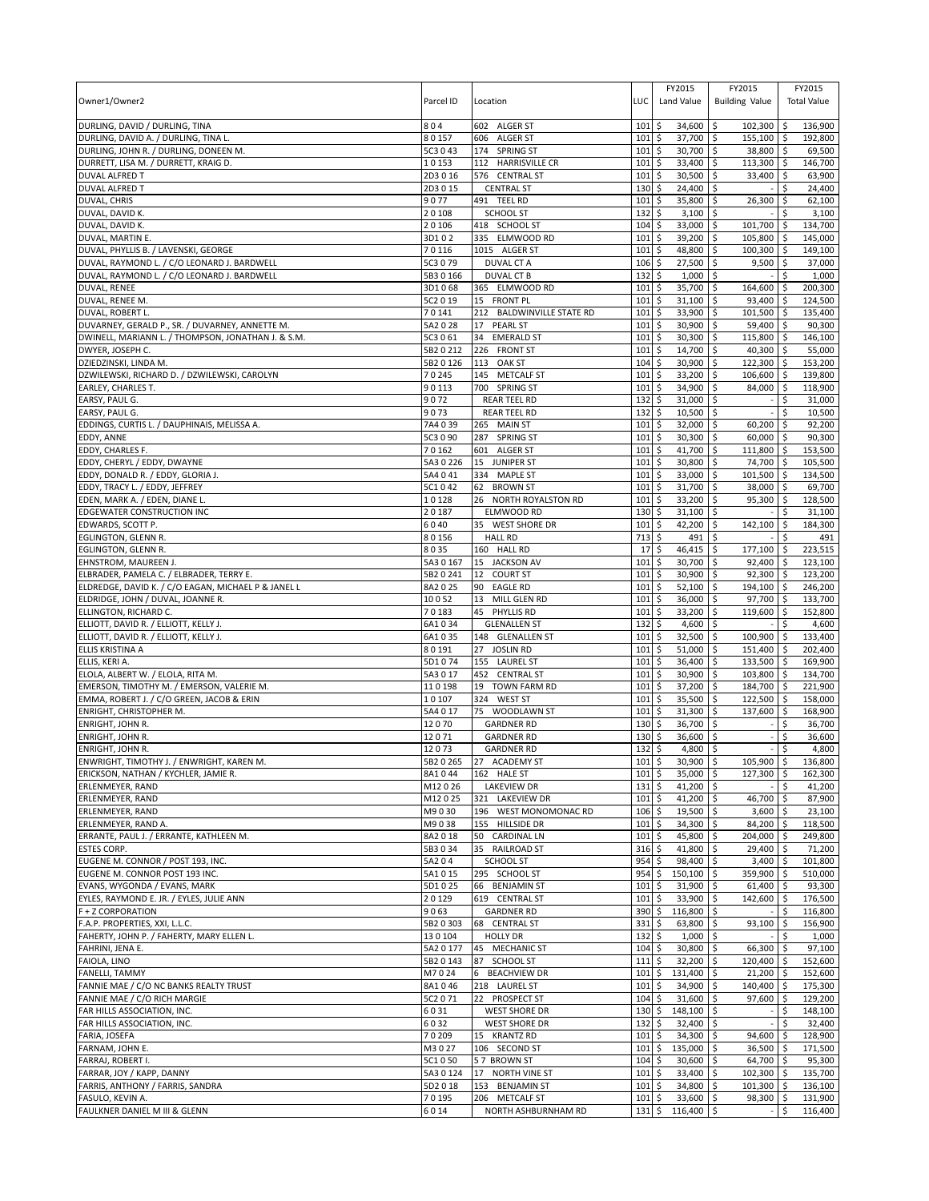| Owner1/Owner2                                                                            | Parcel ID       | Location                               | LUC              | FY2015<br>Land Value        | FY2015<br><b>Building Value</b> | FY2015<br><b>Total Value</b>     |
|------------------------------------------------------------------------------------------|-----------------|----------------------------------------|------------------|-----------------------------|---------------------------------|----------------------------------|
| DURLING, DAVID / DURLING, TINA                                                           | 804             | 602 ALGER ST                           | 101              | \$<br>34,600                | 102,300<br>\$                   | 136,900<br>\$ ا                  |
| DURLING, DAVID A. / DURLING, TINA L.                                                     | 80157           | 606 ALGER ST                           | 101              | 37,700 \$<br>\$             | 155,100 \$                      | 192.800                          |
| DURLING, JOHN R. / DURLING, DONEEN M.                                                    | 5C3 0 43        | 174 SPRING ST                          | 101              | \$<br>30,700 \$             | 38,800 \$                       | 69,500                           |
| DURRETT, LISA M. / DURRETT, KRAIG D.                                                     | 10153           | 112 HARRISVILLE CR                     | 101              | \$<br>33,400 \$             | $113,300$ \$                    | 146,700                          |
| <b>DUVAL ALFRED T</b>                                                                    | 2D3016          | 576 CENTRAL ST                         | 101              | \$<br>30,500                | \$<br>33,400                    | l \$<br>63,900                   |
| <b>DUVAL ALFRED T</b>                                                                    | 2D3 0 15        | <b>CENTRAL ST</b>                      | 130              | \$<br>24,400                | ۱\$                             | \$<br>24,400                     |
| DUVAL, CHRIS                                                                             | 9077            | 491 TEEL RD                            | 101              | \$<br>35,800 \$             | 26,300                          | l \$<br>62,100                   |
| DUVAL, DAVID K.                                                                          | 20108           | <b>SCHOOL ST</b>                       | 132              | \$<br>3,100                 | \$                              | \$<br>3,100                      |
| DUVAL, DAVID K.                                                                          | 20106           | 418 SCHOOL ST                          | 104              | \$<br>33,000                | l\$<br>101,700                  | 134,700<br>۱\$                   |
| DUVAL, MARTIN E.                                                                         | 3D102           | 335 ELMWOOD RD                         | 101              | \$<br>39,200                | l\$<br>105,800                  | 145,000<br>l\$                   |
| DUVAL, PHYLLIS B. / LAVENSKI, GEORGE                                                     | 70116           | 1015 ALGER ST                          | 101              | \$<br>48,800                | \$<br>100,300                   | 149,100<br>ا \$                  |
| DUVAL, RAYMOND L. / C/O LEONARD J. BARDWELL                                              | 5C3 0 79        | <b>DUVAL CT A</b>                      | 106              | 27,500<br>\$                | \$<br>9,500                     | ۱\$<br>37,000                    |
| DUVAL, RAYMOND L. / C/O LEONARD J. BARDWELL                                              | 5B3 0 166       | <b>DUVAL CT B</b>                      | 132              | \$<br>1,000                 | \$ ا                            | 1,000<br>-\$                     |
| DUVAL, RENEE                                                                             | 3D1068          | 365 ELMWOOD RD                         | 101              | \$<br>35,700                | l\$<br>164,600                  | 200,300<br>-\$                   |
| DUVAL, RENEE M.                                                                          | 5C2 0 19        | <b>FRONT PL</b><br>15                  | 101              | \$<br>31,100                | \$<br>93,400 \$                 | 124,500                          |
| DUVAL, ROBERT L.                                                                         | 70141           | 212 BALDWINVILLE STATE RD              | 101              | \$<br>33,900                | $\zeta$<br>101,500              | l \$<br>135,400                  |
| DUVARNEY, GERALD P., SR. / DUVARNEY, ANNETTE M.                                          | 5A2028          | 17<br><b>PEARL ST</b>                  | 101              | \$<br>30,900                | \$<br>59,400                    | l\$<br>90,300                    |
| DWINELL, MARIANN L. / THOMPSON, JONATHAN J. & S.M.                                       | 5C3 0 61        | 34<br><b>EMERALD ST</b>                | 101              | \$<br>30,300                | \$<br>115,800 \$                | 146,100                          |
| DWYER, JOSEPH C.                                                                         | 5B2 0 212       | 226 FRONT ST                           | 101              | \$<br>14,700                | l\$<br>40,300                   | ۱\$<br>55,000                    |
| DZIEDZINSKI, LINDA M.                                                                    | 5B2 0 126       | 113<br>OAK ST                          | 104              | \$<br>30,900                | \$<br>122,300                   | <b>S</b><br>153,200              |
| DZWILEWSKI, RICHARD D. / DZWILEWSKI, CAROLYN                                             | 70245           | 145 METCALF ST                         | 101              | 33,200<br>\$                | 106,600<br>\$                   | 139,800<br><b>S</b>              |
| EARLEY, CHARLES T.                                                                       | 90113           | 700 SPRING ST                          | 101              | \$<br>34,900                | \$<br>84,000                    | <b>S</b><br>118,900              |
| EARSY, PAUL G.                                                                           | 9072            | <b>REAR TEEL RD</b>                    | 132              | \$<br>31,000                | \$                              | \$<br>31,000                     |
| EARSY, PAUL G.                                                                           | 9073            | <b>REAR TEEL RD</b>                    | 132              | \$<br>10,500                | \$                              | \$<br>10,500                     |
| EDDINGS, CURTIS L. / DAUPHINAIS, MELISSA A.                                              | 7A4039          | 265 MAIN ST                            | 101              | \$<br>32,000                | l\$<br>60,200                   | 92,200<br>-\$                    |
| EDDY, ANNE                                                                               | 5C3 0 90        | <b>SPRING ST</b><br>287                | 101              | \$<br>30,300                | $60,000$ \$<br>∣\$              | 90,300                           |
| EDDY, CHARLES F.                                                                         | 70162           | 601 ALGER ST                           | 101              | \$<br>41,700 \$             | 111,800 \$                      | 153,500                          |
| EDDY, CHERYL / EDDY, DWAYNE                                                              | 5A3 0 226       | 15 JUNIPER ST                          | 101              | \$<br>30,800                | \$<br>74,700                    | \$<br>105,500                    |
| EDDY, DONALD R. / EDDY, GLORIA J.                                                        | 5A4 0 41        | 334 MAPLE ST                           | 101              | \$<br>33,000                | l\$<br>101,500 \$               | 134,500                          |
| EDDY, TRACY L. / EDDY, JEFFREY                                                           | 5C1042          | 62 BROWN ST                            | 101              | \$<br>31,700                | l\$<br>38,000                   | l \$<br>69,700                   |
| EDEN, MARK A. / EDEN, DIANE L                                                            | 10128           | 26 NORTH ROYALSTON RD                  | 101              | \$<br>33,200                | <b>S</b><br>95,300              | ۱\$<br>128,500                   |
| <b>EDGEWATER CONSTRUCTION INC</b>                                                        | 20187           | ELMWOOD RD                             | 130              | 31,100<br>\$                | l\$                             | Ŝ.<br>31,100                     |
| EDWARDS, SCOTT P.                                                                        | 6040            | 35 WEST SHORE DR                       | 101              | \$<br>42,200                | l\$<br>142,100                  | l\$<br>184,300                   |
| EGLINGTON, GLENN R.                                                                      | 80156           | <b>HALL RD</b>                         | 713<br>17        | \$<br>491                   | l\$                             | 491                              |
| EGLINGTON, GLENN R.                                                                      | 8035            | 160 HALL RD                            |                  | 46,415<br>\$                | \$<br>177,100                   | 223,515<br>\$                    |
| EHNSTROM, MAUREEN J.                                                                     | 5A3 0 167       | 15 JACKSON AV                          | 101              | \$<br>30,700                | \$<br>92,400                    | 123,100<br>۱\$                   |
| ELBRADER, PAMELA C. / ELBRADER, TERRY E.                                                 | 5B2 0 241       | <b>COURT ST</b><br>12                  | 101              | \$<br>30,900                | l\$<br>$92,300$ \$              | 123,200                          |
| ELDREDGE, DAVID K. / C/O EAGAN, MICHAEL P & JANEL L<br>ELDRIDGE, JOHN / DUVAL, JOANNE R. | 8A2025<br>10052 | 90<br><b>EAGLE RD</b>                  | 101<br>101       | \$<br>52,100                | \$<br>194,100                   | ۱\$<br>246,200                   |
| ELLINGTON, RICHARD C.                                                                    | 70183           | 13<br>MILL GLEN RD<br>45<br>PHYLLIS RD | 101              | \$<br>36,000                | \$<br>97,700<br>119,600         | 133,700<br>-\$<br>152,800<br>۱\$ |
| ELLIOTT, DAVID R. / ELLIOTT, KELLY J.                                                    | 6A1034          | <b>GLENALLEN ST</b>                    | 132              | 33,200<br>\$<br>\$<br>4,600 | ∣\$<br>\$                       | \$<br>4,600                      |
| ELLIOTT, DAVID R. / ELLIOTT, KELLY J.                                                    | 6A1035          | 148 GLENALLEN ST                       | 101              | \$<br>32,500                | \$<br>100,900                   | 133,400<br>l \$                  |
| ELLIS KRISTINA A                                                                         | 80191           | 27 JOSLIN RD                           | 101              | \$<br>51,000                | \$<br>151,400                   | l \$<br>202,400                  |
| ELLIS, KERI A.                                                                           | 5D1074          | 155 LAUREL ST                          | 101              | \$<br>36,400                | \$<br>133,500                   | 169,900<br>l\$                   |
| ELOLA, ALBERT W. / ELOLA, RITA M.                                                        | 5A3 0 17        | 452 CENTRAL ST                         | 101              | \$<br>30,900                | \$<br>103,800 \$                | 134,700                          |
| EMERSON, TIMOTHY M. / EMERSON, VALERIE M.                                                | 110198          | 19 TOWN FARM RD                        | 101              | \$<br>37,200                | l\$<br>184,700                  | 221,900<br><b>S</b>              |
| EMMA, ROBERT J. / C/O GREEN, JACOB & ERIN                                                | 10107           | 324 WEST ST                            | 101              | \$<br>35,500                | \$<br>122,500                   | ۱\$<br>158,000                   |
| ENRIGHT, CHRISTOPHER M.                                                                  | 5A4 0 17        | WOODLAWN ST<br>75                      | 101              | 31,300<br>\$                | 137,600<br>l\$                  | 168,900<br>l \$                  |
| ENRIGHT, JOHN R.                                                                         | 12070           | <b>GARDNER RD</b>                      | 130              | \$<br>36,700                | \$                              | \$<br>36,700                     |
| ENRIGHT, JOHN R.                                                                         | 12071           | <b>GARDNER RD</b>                      | 130              | \$<br>36,600                | l\$                             | 36,600<br>\$                     |
| ENRIGHT, JOHN R.                                                                         | 12073           | <b>GARDNER RD</b>                      | 132              | \$<br>4,800                 | \$                              | \$<br>4,800                      |
| ENWRIGHT, TIMOTHY J. / ENWRIGHT, KAREN M.                                                |                 | 5B2 0 265 27 ACADEMY ST                | 101S             | $30,900$ \$                 | $105,900$ \$                    | 136,800                          |
| ERICKSON, NATHAN / KYCHLER, JAMIE R.                                                     | 8A1044          | 162 HALE ST                            | $101 \;$ \$      | $35,000$ \$                 | 127,300 \$                      | 162,300                          |
| ERLENMEYER, RAND                                                                         | M12026          | <b>LAKEVIEW DR</b>                     | $131 \;$ \$      | 41,200 \$                   |                                 | \$<br>41,200                     |
| ERLENMEYER, RAND                                                                         | M12025          | 321 LAKEVIEW DR                        | $101 \;$ \$      | $41,200$ \$                 | 46,700                          | l\$<br>87,900                    |
| ERLENMEYER, RAND                                                                         | M9030           | 196 WEST MONOMONAC RD                  | $106\frac{1}{2}$ | 19,500 \$                   | $3,600$ \$                      | 23,100                           |
| ERLENMEYER, RAND A.                                                                      | M9038           | 155 HILLSIDE DR                        | 101              | \$<br>34,300 \$             | 84,200 \$                       | 118,500                          |
| ERRANTE, PAUL J. / ERRANTE, KATHLEEN M.                                                  | 8A2018          | 50 CARDINAL LN                         | 101              | \$<br>45,800 \$             | 204,000                         | 249,800<br>l \$                  |
| <b>ESTES CORP.</b>                                                                       | 5B3034          | 35 RAILROAD ST                         | $316$ \$         | 41,800 \$                   | 29,400 \$                       | 71,200                           |
| EUGENE M. CONNOR / POST 193, INC.                                                        | 5A204           | SCHOOL ST                              | 954              | \$<br>98,400 \$             | $3,400$ \$                      | 101,800                          |
| EUGENE M. CONNOR POST 193 INC.                                                           | 5A1015          | 295 SCHOOL ST                          | $954$ \$         | 150,100 \$                  | 359,900 \$                      | 510,000                          |
| EVANS, WYGONDA / EVANS, MARK                                                             | 5D1025          | 66 BENJAMIN ST                         | 101              | \$<br>31,900 \$             | 61,400                          | 93,300<br><b>S</b>               |
| EYLES, RAYMOND E. JR. / EYLES, JULIE ANN                                                 | 20129           | 619 CENTRAL ST                         | $101 \;$ \$      | $33,900$ \$                 | 142,600 \$                      | 176,500                          |
| F + Z CORPORATION                                                                        | 9063            | <b>GARDNER RD</b>                      | $390$ \$         | 116,800 \$                  |                                 | -\$<br>116,800                   |
| F.A.P. PROPERTIES, XXI, L.L.C.                                                           | 5B2 0 303       | 68 CENTRAL ST                          | 331              | 63,800 \$<br>\$             | 93,100                          | 156,900<br>۱\$                   |
| FAHERTY, JOHN P. / FAHERTY, MARY ELLEN L                                                 | 130104          | <b>HOLLY DR</b>                        | 132              | \$<br>$1,000$ \$            |                                 | 1,000                            |
| FAHRINI, JENA E.                                                                         | 5A2 0 177       | 45 MECHANIC ST                         | 104              | 30,800 \$<br>\$             | 66,300                          | 97,100<br><b>S</b>               |
| FAIOLA, LINO                                                                             | 5B2 0 143       | 87 SCHOOL ST                           | 111              | \$<br>$32,200$ \$           | 120,400 \$                      | 152,600                          |
| <b>FANELLI, TAMMY</b>                                                                    | M7024           | 6 BEACHVIEW DR                         | 101              | 131,400 \$<br>\$            | $21,200$ \$                     | 152,600                          |
| FANNIE MAE / C/O NC BANKS REALTY TRUST                                                   | 8A1046          | 218 LAUREL ST                          | 101              | \$<br>34,900 \$             | 140,400 \$                      | 175,300                          |
| FANNIE MAE / C/O RICH MARGIE                                                             | 5C2 0 71        | 22 PROSPECT ST                         | 104              | \$<br>$31,600$ \$           | 97,600                          | <b>S</b><br>129,200              |
| FAR HILLS ASSOCIATION, INC.                                                              | 6031            | <b>WEST SHORE DR</b>                   | $130 \;$ \$      | $148,100$ \$                |                                 | \$<br>148,100                    |
| FAR HILLS ASSOCIATION, INC.                                                              | 6032            | <b>WEST SHORE DR</b>                   | 132              | \$<br>$32,400$   \$         |                                 | \$<br>32,400                     |
| FARIA, JOSEFA                                                                            | 70209           | 15 KRANTZ RD                           | 101              | \$<br>34,300 \$             | 94,600                          | l\$<br>128,900                   |
| FARNAM, JOHN E.                                                                          | M3027           | 106 SECOND ST                          | $101 \;$ \$      | 135,000 \$                  | $36,500$ \$                     | 171,500                          |
| FARRAJ, ROBERT I.                                                                        | 5C1050          | 57 BROWN ST                            | $104 \,$ \$      | $30,600$ \$                 | 64,700 \$                       | 95,300                           |
| FARRAR, JOY / KAPP, DANNY                                                                | 5A3 0 124       | 17 NORTH VINE ST                       | $101 \,$ \$      | $33,400$ \$                 | $102,300$ \$                    | 135,700                          |
| FARRIS, ANTHONY / FARRIS, SANDRA                                                         | 5D2018          | 153 BENJAMIN ST                        | $101 \,$ \$      | 34,800 \$                   | $101,300$ \$                    | 136,100                          |
| FASULO, KEVIN A.                                                                         | 70195           | 206 METCALF ST                         | $101 \,$ \$      | 33,600 \$                   | 98,300 \$                       | 131,900                          |
| FAULKNER DANIEL M III & GLENN                                                            | 6014            | NORTH ASHBURNHAM RD                    |                  | $131 \div 116,400 \div$     |                                 | -\$<br>116,400                   |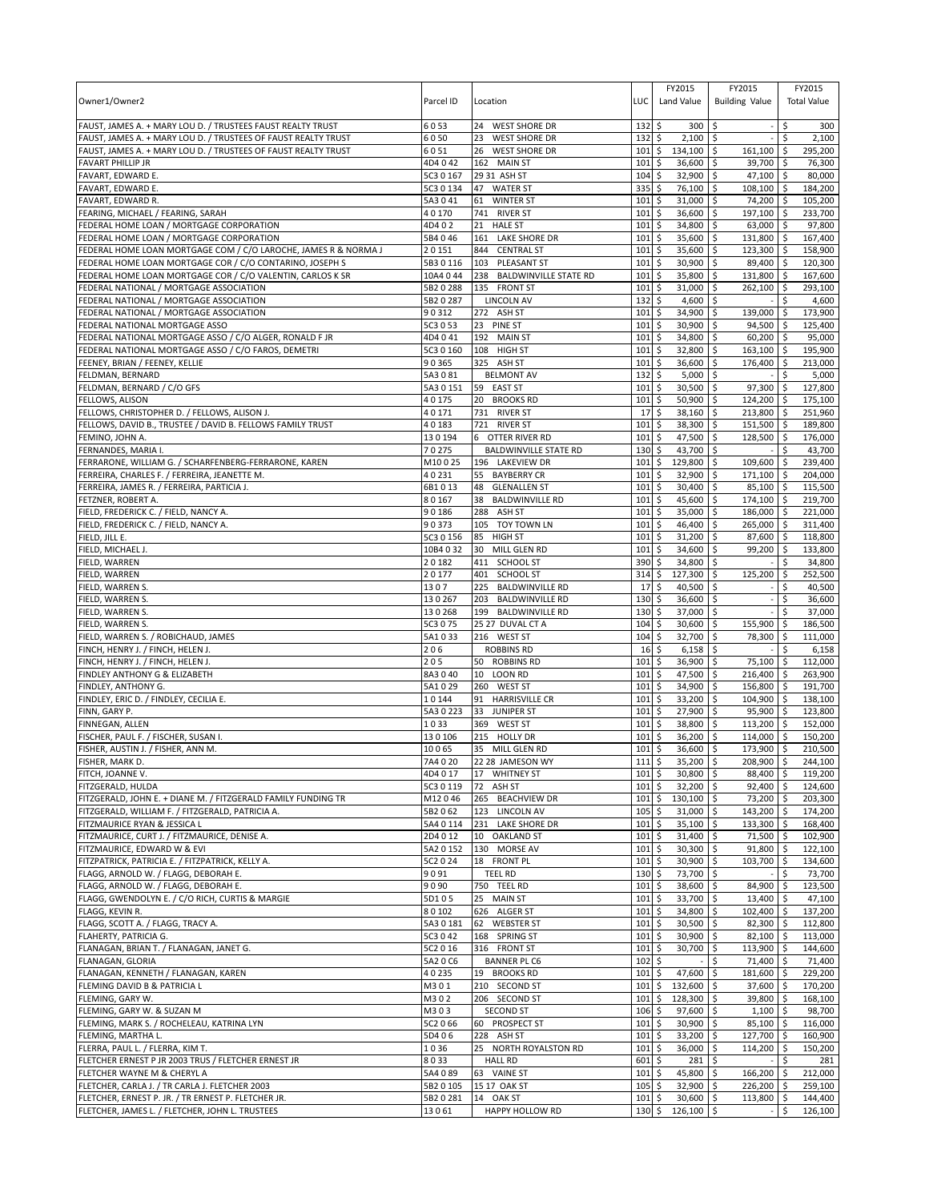| Owner1/Owner2                                                                                                               | Parcel ID              | Location                                                  | LUC        | FY2015<br>Land Value                 | FY2015<br><b>Building Value</b>     |          | FY2015<br><b>Total Value</b> |
|-----------------------------------------------------------------------------------------------------------------------------|------------------------|-----------------------------------------------------------|------------|--------------------------------------|-------------------------------------|----------|------------------------------|
| FAUST, JAMES A. + MARY LOU D. / TRUSTEES FAUST REALTY TRUST                                                                 | 6053                   | 24 WEST SHORE DR                                          | 132        | 300<br>\$                            | \$                                  | \$       | 300                          |
| FAUST, JAMES A. + MARY LOU D. / TRUSTEES OF FAUST REALTY TRUST                                                              | 6050                   | 23<br><b>WEST SHORE DR</b>                                | 132        | \$<br>2,100                          | -\$                                 | Ś        | 2,100                        |
| FAUST, JAMES A. + MARY LOU D. / TRUSTEES OF FAUST REALTY TRUST                                                              | 6051                   | 26<br><b>WEST SHORE DR</b>                                | 101        | \$<br>134,100                        | \$<br>161,100                       | \$       | 295,200                      |
| <b>FAVART PHILLIP JR</b>                                                                                                    | 4D4042                 | 162 MAIN ST                                               | 101        | 36,600<br>\$                         | \$<br>39,700 \$                     |          | 76,300                       |
| FAVART, EDWARD E.<br>FAVART, EDWARD E.                                                                                      | 5C3 0 167<br>5C3 0 134 | 29 31 ASH ST<br>47 WATER ST                               | 104<br>335 | \$<br>32,900<br>\$<br>76,100         | \$<br>47,100 \$<br>\$<br>108,100 \$ |          | 80,000<br>184,200            |
| FAVART, EDWARD R.                                                                                                           | 5A3041                 | 61<br><b>WINTER ST</b>                                    | 101        | \$<br>31,000                         | \$<br>74,200 \$                     |          | 105,200                      |
| FEARING, MICHAEL / FEARING, SARAH                                                                                           | 40170                  | 741 RIVER ST                                              | 101        | 36,600<br>\$                         | 197,100 \$<br>\$                    |          | 233,700                      |
| FEDERAL HOME LOAN / MORTGAGE CORPORATION                                                                                    | 4D4 0 2                | 21<br><b>HALE ST</b>                                      | 101        | \$<br>34,800                         | \$<br>63,000 \$                     |          | 97,800                       |
| FEDERAL HOME LOAN / MORTGAGE CORPORATION                                                                                    | 5B4046                 | 161 LAKE SHORE DR                                         | 101        | \$<br>35,600                         | \$<br>131,800 \$                    |          | 167,400                      |
| FEDERAL HOME LOAN MORTGAGE COM / C/O LAROCHE, JAMES R & NORMA J<br>FEDERAL HOME LOAN MORTGAGE COR / C/O CONTARINO, JOSEPH S | 20151<br>5B3 0 116     | 844<br><b>CENTRAL ST</b><br>103 PLEASANT ST               | 101<br>101 | \$<br>35,600<br>30,900<br>\$         | \$<br>123,300 \$<br>89,400 \$<br>\$ |          | 158,900<br>120,300           |
| FEDERAL HOME LOAN MORTGAGE COR / C/O VALENTIN, CARLOS K SR                                                                  | 10A4044                | 238<br><b>BALDWINVILLE STATE RD</b>                       | 101        | \$<br>35,800                         | \$<br>131,800 \$                    |          | 167,600                      |
| FEDERAL NATIONAL / MORTGAGE ASSOCIATION                                                                                     | 5B2 0 288              | 135 FRONT ST                                              | 101        | 31,000<br>\$                         | \$<br>262,100 \$                    |          | 293,100                      |
| FEDERAL NATIONAL / MORTGAGE ASSOCIATION                                                                                     | 5B2 0 287              | <b>LINCOLN AV</b>                                         | 132        | \$<br>4,600                          | \$                                  |          | 4,600                        |
| FEDERAL NATIONAL / MORTGAGE ASSOCIATION                                                                                     | 90312                  | 272 ASH ST                                                | 101        | 34,900<br>\$                         | \$<br>139,000                       | <b>S</b> | 173,900                      |
| FEDERAL NATIONAL MORTGAGE ASSO<br>FEDERAL NATIONAL MORTGAGE ASSO / C/O ALGER, RONALD F JR                                   | 5C3 0 53<br>4D4041     | 23<br><b>PINE ST</b><br>192 MAIN ST                       | 101<br>101 | \$<br>30,900<br>34,800<br>\$         | \$<br>94,500<br>$60,200$ \$<br>\$   | \$       | 125,400<br>95,000            |
| FEDERAL NATIONAL MORTGAGE ASSO / C/O FAROS, DEMETRI                                                                         | 5C3 0 160              | 108 HIGH ST                                               | 101        | \$<br>32,800                         | \$<br>163,100 \$                    |          | 195,900                      |
| FEENEY, BRIAN / FEENEY, KELLIE                                                                                              | 90365                  | 325<br>ASH ST                                             | 101        | 36,600<br>\$                         | \$<br>176,400                       | -\$      | 213,000                      |
| FELDMAN, BERNARD                                                                                                            | 5A3081                 | <b>BELMONT AV</b>                                         | 132        | 5,000<br>\$                          | \$                                  | \$       | 5,000                        |
| FELDMAN, BERNARD / C/O GFS                                                                                                  | 5A3 0 151              | 59 EAST ST                                                | 101        | \$<br>30,500                         | \$<br>97,300 \$                     |          | 127,800                      |
| <b>FELLOWS, ALISON</b><br>FELLOWS, CHRISTOPHER D. / FELLOWS, ALISON J.                                                      | 40175<br>40171         | 20<br><b>BROOKS RD</b><br>731 RIVER ST                    | 101<br>17  | 50,900<br>Ś<br>38,160<br>\$          | \$<br>124,200<br>213,800 \$<br>\$   | l\$      | 175,100<br>251,960           |
| FELLOWS, DAVID B., TRUSTEE / DAVID B. FELLOWS FAMILY TRUST                                                                  | 40183                  | 721 RIVER ST                                              | 101        | 38,300<br>\$                         | \$<br>151,500 \$                    |          | 189,800                      |
| FEMINO. JOHN A.                                                                                                             | 130194                 | 6 OTTER RIVER RD                                          | 101        | 47,500<br>\$                         | \$<br>128,500 \$                    |          | 176,000                      |
| FERNANDES, MARIA I.                                                                                                         | 70275                  | <b>BALDWINVILLE STATE RD</b>                              | 130        | \$<br>43,700                         | \$                                  | \$       | 43,700                       |
| FERRARONE, WILLIAM G. / SCHARFENBERG-FERRARONE, KAREN                                                                       | M10025                 | 196 LAKEVIEW DR                                           | 101        | \$<br>129,800                        | \$<br>109,600 \$                    |          | 239,400                      |
| FERREIRA, CHARLES F. / FERREIRA, JEANETTE M.<br>FERREIRA, JAMES R. / FERREIRA, PARTICIA J.                                  | 40231<br>6B1013        | 55 BAYBERRY CR                                            | 101<br>101 | \$<br>32,900                         | 171,100 \$<br>\$                    |          | 204,000                      |
| FETZNER, ROBERT A.                                                                                                          | 80167                  | 48<br><b>GLENALLEN ST</b><br>38<br><b>BALDWINVILLE RD</b> | 101        | \$<br>30,400<br>\$<br>45,600         | \$<br>85,100 \$<br>\$<br>174,100 \$ |          | 115,500<br>219,700           |
| FIELD, FREDERICK C. / FIELD, NANCY A.                                                                                       | 90186                  | 288<br>ASH ST                                             | 101        | \$<br>35,000                         | \$<br>186,000 \$                    |          | 221,000                      |
| FIELD, FREDERICK C. / FIELD, NANCY A.                                                                                       | 90373                  | 105 TOY TOWN LN                                           | 101        | \$<br>46,400                         | \$<br>265,000 \$                    |          | 311,400                      |
| FIELD, JILL E.                                                                                                              | 5C3 0 156              | 85<br><b>HIGH ST</b>                                      | 101        | \$<br>31,200                         | \$<br>87,600 \$                     |          | 118,800                      |
| FIELD, MICHAEL J.                                                                                                           | 10B4 0 32              | 30<br>MILL GLEN RD                                        | 101        | 34,600<br>\$                         | 99,200 \$<br>\$                     |          | 133,800                      |
| FIELD, WARREN<br>FIELD, WARREN                                                                                              | 20182<br>20177         | 411 SCHOOL ST<br>401 SCHOOL ST                            | 390<br>314 | \$<br>34,800<br>\$<br>127,300        | \$<br>125,200 \$<br>\$              | \$       | 34,800<br>252,500            |
| FIELD, WARREN S.                                                                                                            | 1307                   | 225<br><b>BALDWINVILLE RD</b>                             | 17         | \$<br>40,500                         | \$                                  | \$       | 40,500                       |
| FIELD, WARREN S                                                                                                             | 130267                 | 203<br><b>BALDWINVILLE RD</b>                             | 130        | 36,600<br>\$                         | \$                                  | \$       | 36,600                       |
| FIELD, WARREN S                                                                                                             | 130268                 | <b>BALDWINVILLE RD</b><br>199                             | 130        | 37,000<br>\$                         | \$                                  | \$       | 37,000                       |
| FIELD, WARREN S.                                                                                                            | 5C3 0 75               | 25 27 DUVAL CT A<br>216 WEST ST                           | 104<br>104 | 30,600<br>\$<br>\$                   | \$<br>155,900<br>\$<br>78,300 \$    | \$       | 186,500<br>111,000           |
| FIELD, WARREN S. / ROBICHAUD, JAMES<br>FINCH, HENRY J. / FINCH, HELEN J.                                                    | 5A1033<br>206          | <b>ROBBINS RD</b>                                         | 16         | 32,700<br>6,158<br>\$                | \$                                  | \$       | 6,158                        |
| FINCH, HENRY J. / FINCH, HELEN J.                                                                                           | 205                    | 50 ROBBINS RD                                             | 101        | \$<br>36,900                         | \$<br>75,100 \$                     |          | 112,000                      |
| FINDLEY ANTHONY G & ELIZABETH                                                                                               | 8A3040                 | 10 LOON RD                                                | 101        | 47,500<br>\$                         | 216,400 \$<br>\$                    |          | 263,900                      |
| FINDLEY, ANTHONY G.                                                                                                         | 5A1029                 | 260 WEST ST                                               | 101        | 34,900<br>\$                         | \$<br>156,800 \$                    |          | 191,700                      |
| FINDLEY, ERIC D. / FINDLEY, CECILIA E.<br>FINN, GARY P.                                                                     | 10144<br>5A3 0 223     | 91 HARRISVILLE CR<br>33<br>JUNIPER ST                     | 101<br>101 | 33,200<br>\$<br>27,900<br>\$         | \$<br>104,900 \$<br>95,900 \$<br>\$ |          | 138,100<br>123,800           |
| FINNEGAN, ALLEN                                                                                                             | 1033                   | 369 WEST ST                                               | 101        | 38,800<br>\$                         | 113,200 \$<br>\$                    |          | 152,000                      |
| FISCHER, PAUL F. / FISCHER, SUSAN I                                                                                         | 130106                 | 215 HOLLY DR                                              | 101        | 36,200<br>Ś                          | \$<br>114,000                       | \$ ا     | 150,200                      |
| FISHER, AUSTIN J. / FISHER, ANN M.                                                                                          | 10065                  | 35 MILL GLEN RD                                           | 101        | 36,600<br>\$                         | 173,900 \$<br>\$                    |          | 210,500                      |
| FISHER, MARK D.                                                                                                             | 7A4 0 20               | 22 28 JAMESON WY                                          | 1115       | $35,200$ \$                          | 208,900 \$                          |          | 244.100                      |
| FITCH, JOANNE V.<br>FITZGERALD, HULDA                                                                                       | 4D4 0 17<br>5C3 0 119  | 17 WHITNEY ST<br>72<br>ASH ST                             | 101<br>101 | \$<br>30,800<br>\$<br>$32,200$ \$    | \$<br>88,400 \$<br>92,400 \$        |          | 119,200<br>124,600           |
| FITZGERALD, JOHN E. + DIANE M. / FITZGERALD FAMILY FUNDING TR                                                               | M12046                 | 265 BEACHVIEW DR                                          | 101        | \$<br>$130,100$ \$                   | 73,200 \$                           |          | 203,300                      |
| FITZGERALD, WILLIAM F. / FITZGERALD, PATRICIA A.                                                                            | 5B2062                 | 123 LINCOLN AV                                            | 105        | \$<br>$31,000$ \$                    | 143,200 \$                          |          | 174,200                      |
| FITZMAURICE RYAN & JESSICA L                                                                                                | 5A4 0 114              | 231 LAKE SHORE DR                                         | 101        | \$<br>35,100                         | 5<br>$133,300$ \$                   |          | 168,400                      |
| FITZMAURICE, CURT J. / FITZMAURICE, DENISE A.                                                                               | 2D4 0 12               | 10 OAKLAND ST<br>130 MORSE AV                             | 101<br>101 | 31,400 \$<br>\$<br>\$<br>$30,300$ \$ | 71,500 \$<br>$91,800$ \$            |          | 102,900                      |
| FITZMAURICE, EDWARD W & EVI<br>FITZPATRICK, PATRICIA E. / FITZPATRICK, KELLY A.                                             | 5A2 0 152<br>5C2 0 24  | 18 FRONT PL                                               | 101        | 30,900 \$<br>\$                      | 103,700 \$                          |          | 122,100<br>134,600           |
| FLAGG, ARNOLD W. / FLAGG, DEBORAH E.                                                                                        | 9091                   | <b>TEEL RD</b>                                            | 130        | \$<br>73,700 \$                      |                                     | \$       | 73,700                       |
| FLAGG, ARNOLD W. / FLAGG, DEBORAH E.                                                                                        | 9090                   | 750 TEEL RD                                               | 101        | 38,600 \$<br>\$                      | 84,900 \$                           |          | 123,500                      |
| FLAGG, GWENDOLYN E. / C/O RICH, CURTIS & MARGIE                                                                             | 5D105                  | <b>MAIN ST</b><br>25                                      | 101        | \$<br>33,700 \$                      | $13,400$ \$                         |          | 47,100                       |
| FLAGG, KEVIN R.                                                                                                             | 80102                  | 626 ALGER ST                                              | 101<br>101 | \$<br>34,800 \$                      | 102,400 \$                          |          | 137,200                      |
| FLAGG, SCOTT A. / FLAGG, TRACY A.<br>FLAHERTY, PATRICIA G.                                                                  | 5A3 0 181<br>5C3 0 42  | 62 WEBSTER ST<br>168 SPRING ST                            | 101        | \$<br>30,500<br>\$<br>30,900         | \$<br>82,300 \$<br>\$<br>82,100 \$  |          | 112,800<br>113,000           |
| FLANAGAN, BRIAN T. / FLANAGAN, JANET G.                                                                                     | 5C2 0 16               | 316 FRONT ST                                              | 101        | \$<br>30,700                         | \$<br>113,900 \$                    |          | 144,600                      |
| FLANAGAN, GLORIA                                                                                                            | 5A2 0 C6               | <b>BANNER PL C6</b>                                       | 102        | \$<br>$\sim$                         | \$<br>71,400 \$                     |          | 71,400                       |
| FLANAGAN, KENNETH / FLANAGAN, KAREN                                                                                         | 40235                  | 19 BROOKS RD                                              | 101        | \$<br>47,600                         | \$<br>181,600 \$                    |          | 229,200                      |
| FLEMING DAVID B & PATRICIA L<br>FLEMING, GARY W.                                                                            | M301<br>M302           | 210 SECOND ST<br>206 SECOND ST                            | 101<br>101 | 132,600<br>\$<br>\$<br>128,300       | 37,600 \$<br>\$<br>\$<br>39,800 \$  |          | 170,200<br>168,100           |
| FLEMING, GARY W. & SUZAN M                                                                                                  | M303                   | <b>SECOND ST</b>                                          | 106        | \$<br>97,600                         | 5<br>$1,100$ \$                     |          | 98,700                       |
| FLEMING, MARK S. / ROCHELEAU, KATRINA LYN                                                                                   | 5C2 0 66               | 60 PROSPECT ST                                            | 101        | 30,900<br>\$                         | \$<br>85,100 \$                     |          | 116,000                      |
| FLEMING, MARTHA L.                                                                                                          | 5D406                  | 228 ASH ST                                                | 101        | \$<br>33,200                         | \$<br>127,700 \$                    |          | 160,900                      |
| FLERRA, PAUL L. / FLERRA, KIM T.                                                                                            | 1036                   | 25 NORTH ROYALSTON RD                                     | 101        | \$<br>36,000 \$                      | 114,200 \$                          |          | 150,200                      |
| FLETCHER ERNEST P JR 2003 TRUS / FLETCHER ERNEST JR<br>FLETCHER WAYNE M & CHERYL A                                          | 8033<br>5A4 0 89       | <b>HALL RD</b><br>63 VAINE ST                             | 601<br>101 | $281 \quad $$<br>\$<br>\$<br>45,800  | 5<br>166,200 \$                     | $-5$     | 281<br>212,000               |
| FLETCHER, CARLA J. / TR CARLA J. FLETCHER 2003                                                                              | 5B2 0 105              | 15 17 OAK ST                                              | 105        | \$<br>$32,900$ \$                    | 226,200 \$                          |          | 259,100                      |
| FLETCHER, ERNEST P. JR. / TR ERNEST P. FLETCHER JR.                                                                         | 5B2 0 281              | 14 OAK ST                                                 | 101        | \$<br>$30,600$ \$                    | 113,800 \$                          |          | 144,400                      |
| FLETCHER, JAMES L. / FLETCHER, JOHN L. TRUSTEES                                                                             | 13061                  | HAPPY HOLLOW RD                                           | 130        | \$<br>126,100 \$                     | $\sim$                              | \$       | 126,100                      |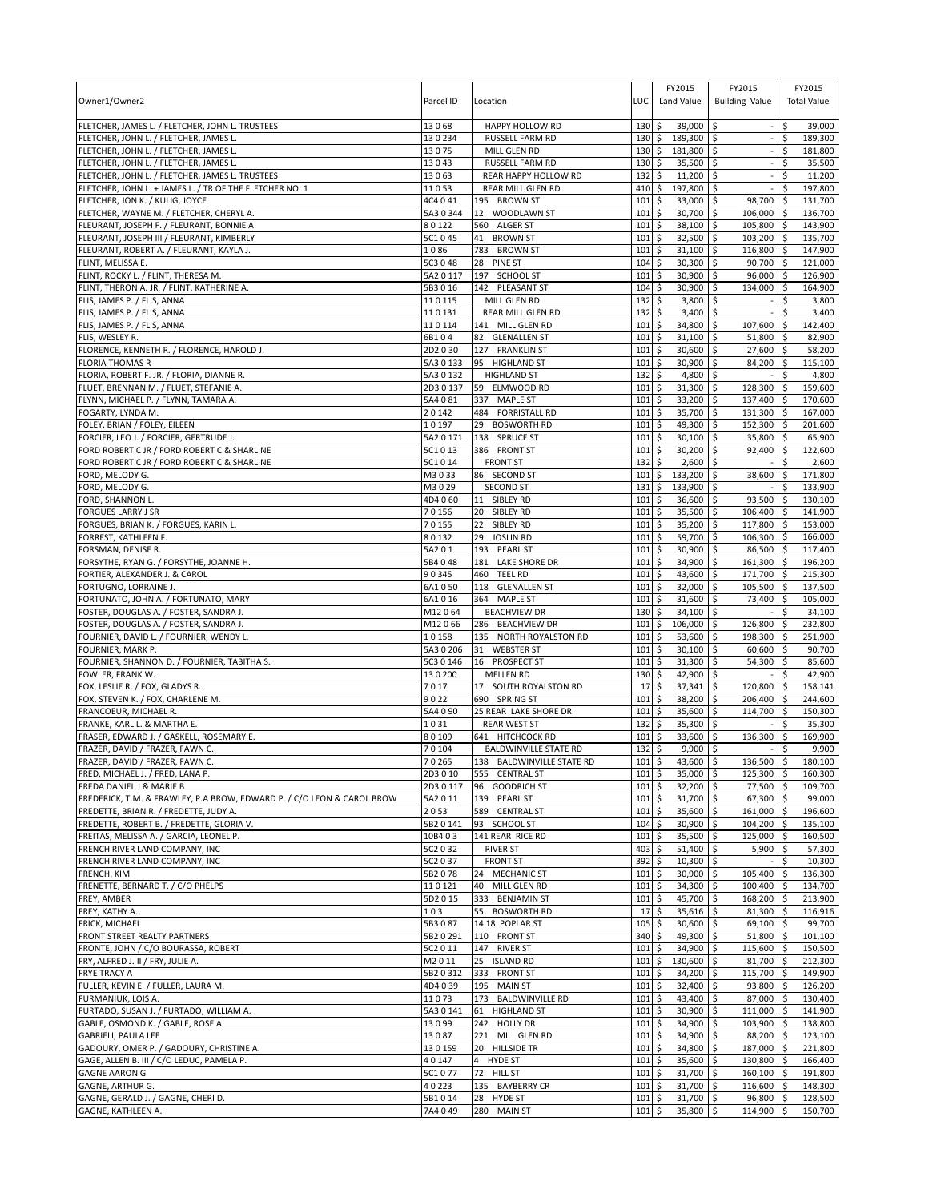|                                                                                           |                    |                                           |                   | FY2015                              | FY2015                                | FY2015                  |
|-------------------------------------------------------------------------------------------|--------------------|-------------------------------------------|-------------------|-------------------------------------|---------------------------------------|-------------------------|
| Owner1/Owner2                                                                             | Parcel ID          | Location                                  | LUC               | Land Value                          | <b>Building Value</b>                 | <b>Total Value</b>      |
|                                                                                           | 13068              | <b>HAPPY HOLLOW RD</b>                    | 130               | \$<br>39,000                        | $\sim$                                | \$                      |
| FLETCHER, JAMES L. / FLETCHER, JOHN L. TRUSTEES<br>FLETCHER, JOHN L. / FLETCHER, JAMES L. | 130234             | RUSSELL FARM RD                           | $130 \;$ \$       | 189,300 \$                          | l\$                                   | 39,000<br>\$<br>189,300 |
| FLETCHER, JOHN L. / FLETCHER, JAMES L.                                                    | 13075              | MILL GLEN RD                              | 130               | \$<br>181,800 \$                    | $\overline{\phantom{a}}$              | \$<br>181,800           |
| FLETCHER, JOHN L. / FLETCHER, JAMES L.                                                    | 13043              | RUSSELL FARM RD                           | 130               | \$<br>$35,500$ \$                   |                                       | \$<br>35,500            |
| FLETCHER, JOHN L. / FLETCHER, JAMES L. TRUSTEES                                           | 13063              | REAR HAPPY HOLLOW RD                      | 132               | \$<br>$11,200$ \$                   | $\sim$                                | Ŝ.<br>11,200            |
| FLETCHER, JOHN L. + JAMES L. / TR OF THE FLETCHER NO. 1                                   | 11053              | REAR MILL GLEN RD                         | 410               | \$<br>197,800 \$                    |                                       | \$<br>197,800           |
| FLETCHER, JON K. / KULIG, JOYCE                                                           | 4C4 0 41           | 195 BROWN ST                              | 101               | \$<br>33,000                        | $\overline{\phantom{a}}$<br>98,700 \$ | 131,700                 |
| FLETCHER, WAYNE M. / FLETCHER, CHERYL A.                                                  | 5A3 0 344          | 12 WOODLAWN ST                            | 101               | \$<br>30,700                        | \$ ا<br>106,000 \$                    | 136,700                 |
| FLEURANT, JOSEPH F. / FLEURANT, BONNIE A.                                                 | 80122              | 560 ALGER ST                              | 101               | \$<br>38,100                        | $\ddot{\circ}$<br>105,800 \$          | 143,900                 |
| FLEURANT, JOSEPH III / FLEURANT, KIMBERLY                                                 | 5C1045             | 41 BROWN ST                               | 101               | \$<br>$32,500$ \$                   | 103,200 \$                            | 135,700                 |
| FLEURANT, ROBERT A. / FLEURANT, KAYLA J.                                                  | 1086               | 783 BROWN ST                              | 101               | 31,100<br>\$                        | \$<br>116,800 \$                      | 147,900                 |
| FLINT, MELISSA E.                                                                         | 5C3 0 48           | 28<br><b>PINE ST</b>                      | 104               | \$<br>30,300                        | \$<br>90,700 \$                       | 121,000                 |
| FLINT, ROCKY L. / FLINT, THERESA M.                                                       | 5A2 0 117          | 197 SCHOOL ST                             | 101               | \$<br>30,900                        | l\$<br>96,000 \$                      | 126,900                 |
| FLINT, THERON A. JR. / FLINT, KATHERINE A.<br>FLIS, JAMES P. / FLIS, ANNA                 | 5B3 0 16<br>110115 | 142 PLEASANT ST<br>MILL GLEN RD           | 104<br>132        | \$<br>30,900<br>\$<br>3,800         | \$<br>134,000 \$<br>\$                | 164,900<br>\$<br>3,800  |
| FLIS, JAMES P. / FLIS, ANNA                                                               | 110131             | REAR MILL GLEN RD                         | 132               | \$<br>3,400                         | \$                                    | \$<br>3,400             |
| FLIS, JAMES P. / FLIS, ANNA                                                               | 110114             | 141 MILL GLEN RD                          | 101               | \$<br>34,800                        | \$<br>107,600 \$                      | 142,400                 |
| FLIS, WESLEY R.                                                                           | 6B104              | 82 GLENALLEN ST                           | 101               | \$<br>31,100                        | 51,800 \$<br>\$                       | 82,900                  |
| FLORENCE, KENNETH R. / FLORENCE, HAROLD J.                                                | 2D2 0 30           | 127 FRANKLIN ST                           | 101               | \$<br>30,600                        | \$<br>27,600 \$                       | 58,200                  |
| FLORIA THOMAS R                                                                           | 5A30133            | 95 HIGHLAND ST                            | 101               | \$<br>30,900                        | \$<br>84,200 \$                       | 115,100                 |
| FLORIA, ROBERT F. JR. / FLORIA, DIANNE R.                                                 | 5A3 0 132          | <b>HIGHLAND ST</b>                        | 132               | \$<br>4,800 \$                      |                                       | 4,800<br>\$             |
| FLUET, BRENNAN M. / FLUET, STEFANIE A.                                                    | 2D3 0 137          | 59 ELMWOOD RD                             | 101               | \$<br>31,300                        | \$<br>128,300 \$                      | 159,600                 |
| FLYNN, MICHAEL P. / FLYNN, TAMARA A.                                                      | 5A4 0 81           | 337 MAPLE ST                              | 101               | \$<br>33,200                        | \$<br>137,400 \$                      | 170,600                 |
| FOGARTY, LYNDA M.                                                                         | 20142              | 484 FORRISTALL RD                         | 101               | 35,700<br>\$                        | <b>S</b><br>$131,300$ \$              | 167,000                 |
| FOLEY, BRIAN / FOLEY, EILEEN                                                              | 10197              | 29 BOSWORTH RD                            | 101               | \$<br>49,300                        | \$<br>152,300 \$                      | 201,600                 |
| FORCIER, LEO J. / FORCIER, GERTRUDE J.                                                    | 5A2 0 171          | 138 SPRUCE ST                             | 101               | \$<br>30,100                        | \$<br>35,800 \$                       | 65,900                  |
| FORD ROBERT C JR / FORD ROBERT C & SHARLINE                                               | 5C1013             | 386 FRONT ST                              | 101               | \$<br>30,200                        | \$<br>92,400 \$                       | 122,600                 |
| FORD ROBERT C JR / FORD ROBERT C & SHARLINE                                               | 5C1014             | <b>FRONT ST</b>                           | 132               | \$<br>2,600                         | $\overline{\mathsf{s}}$               | Ŝ.<br>2,600             |
| FORD, MELODY G.                                                                           | M3033<br>M3029     | 86 SECOND ST                              | 101<br>131        | $\sqrt{5}$<br>133,200 \$<br>\$      | 38,600 \$                             | 171,800<br>\$           |
| FORD, MELODY G.<br>FORD, SHANNON L.                                                       | 4D4 060            | <b>SECOND ST</b><br>11 SIBLEY RD          | 101               | 133,900<br>\$<br>36,600             | \$ ا<br>93,500 \$<br>\$               | 133,900<br>130,100      |
| <b>FORGUES LARRY J SR</b>                                                                 | 70156              | 20 SIBLEY RD                              | 101               | $\ddot{\mathsf{S}}$<br>35,500 \$    | $106,400$ \$                          | 141,900                 |
| FORGUES, BRIAN K. / FORGUES, KARIN L.                                                     | 70155              | 22 SIBLEY RD                              | 101               | \$<br>35,200                        | l\$<br>117,800 \$                     | 153,000                 |
| FORREST, KATHLEEN F.                                                                      | 80132              | 29<br><b>JOSLIN RD</b>                    | 101               | 59,700<br>\$                        | \$<br>$\overline{106,300}$ \$         | 166,000                 |
| FORSMAN, DENISE R.                                                                        | 5A201              | 193 PEARL ST                              | 101               | \$<br>30,900                        | \$<br>86,500 \$                       | 117,400                 |
| FORSYTHE, RYAN G. / FORSYTHE, JOANNE H.                                                   | 5B4048             | LAKE SHORE DR<br>181                      | 101               | \$<br>34,900                        | l\$<br>$161,300$ \$                   | 196,200                 |
| FORTIER, ALEXANDER J. & CAROL                                                             | 90345              | 460 TEEL RD                               | 101               | \$<br>43,600 \$                     | 171,700 \$                            | 215,300                 |
| FORTUGNO, LORRAINE J.                                                                     | 6A1050             | 118<br><b>GLENALLEN ST</b>                | 101               | \$<br>32,000                        | \$<br>105,500 \$                      | 137,500                 |
| FORTUNATO, JOHN A. / FORTUNATO, MARY                                                      | 6A1016             | 364 MAPLE ST                              | 101               | 31,600<br>\$                        | \$<br>73,400 \$                       | 105,000                 |
| FOSTER, DOUGLAS A. / FOSTER, SANDRA J.                                                    | M12064             | <b>BEACHVIEW DR</b>                       | 130               | \$<br>$34,100$ \$                   | ÷,                                    | \$<br>34,100            |
| FOSTER, DOUGLAS A. / FOSTER, SANDRA J.                                                    | M12066             | 286 BEACHVIEW DR                          | 101               | \$<br>106,000                       | \$<br>126,800 \$                      | 232,800                 |
| FOURNIER, DAVID L. / FOURNIER, WENDY L.                                                   | 10158              | 135 NORTH ROYALSTON RD                    | 101               | $\zeta$<br>53,600                   | \$<br>198,300 \$                      | 251,900                 |
| FOURNIER, MARK P.                                                                         | 5A3 0 206          | 31 WEBSTER ST                             | 101               | 30,100<br>\$                        | \$<br>60,600 \$                       | 90,700                  |
| FOURNIER, SHANNON D. / FOURNIER, TABITHA S.                                               | 5C3 0 146          | 16 PROSPECT ST                            | 101               | \$<br>31,300                        | \$<br>54,300 \$                       | 85,600                  |
| FOWLER, FRANK W.                                                                          | 130200             | <b>MELLEN RD</b><br>17 SOUTH ROYALSTON RD | 130               | \$<br>42,900                        | \$                                    | 42,900<br>\$            |
| FOX, LESLIE R. / FOX, GLADYS R.<br>FOX, STEVEN K. / FOX, CHARLENE M.                      | 7017<br>9022       | 690 SPRING ST                             | 17<br>101         | 37,341<br>\$<br>38,200<br>\$        | \$<br>120,800 \$<br>\$<br>206,400 \$  | 158,141<br>244,600      |
| FRANCOEUR, MICHAEL R.                                                                     | 5A4 0 90           | 25 REAR LAKE SHORE DR                     | 101               | \$<br>35,600                        | l\$<br>114,700 \$                     | 150,300                 |
| FRANKE, KARL L. & MARTHA E.                                                               | 1031               | <b>REAR WEST ST</b>                       | 132               | \$<br>35,300                        | \$<br>$-1$                            | \$<br>35,300            |
| FRASER, EDWARD J. / GASKELL, ROSEMARY E.                                                  | 80109              | 641 HITCHCOCK RD                          | 101               | \$<br>33,600                        | \$<br>136,300 \$                      | 169,900                 |
| FRAZER, DAVID / FRAZER, FAWN C.                                                           | 70104              | <b>BALDWINVILLE STATE RD</b>              | 132               | 9,900<br>\$                         | l\$                                   | 9,900<br>\$             |
| FRAZER, DAVID / FRAZER, FAWN C.                                                           | 70265              | 138 BALDWINVILLE STATE RD                 | $101 \text{ }$ \$ | 43,600 \$                           | 136,500 \$                            | 180,100                 |
| FRED, MICHAEL J. / FRED, LANA P.                                                          | 2D3010             | 555 CENTRAL ST                            | $101 \,$ \$       | 35,000 \$                           | 125,300 \$                            | 160,300                 |
| FREDA DANIEL J & MARIE B                                                                  | 2D30117            | 96 GOODRICH ST                            | 101               | l \$<br>$32,200$ \$                 | 77,500 \$                             | 109,700                 |
| FREDERICK, T.M. & FRAWLEY, P.A BROW, EDWARD P. / C/O LEON & CAROL BROW                    | 5A2011             | 139 PEARL ST                              | 101               | $\sqrt{5}$<br>$31,700$ \$           | $67,300$ \$                           | 99,000                  |
| FREDETTE, BRIAN R. / FREDETTE, JUDY A.                                                    | 2053               | 589 CENTRAL ST                            | $101 \,$ \$       | 35,600 \$                           | 161,000 \$                            | 196,600                 |
| FREDETTE, ROBERT B. / FREDETTE, GLORIA V.                                                 | 5B2 0 141          | 93 SCHOOL ST                              | 104               | \$<br>30,900 \$                     | 104,200 \$                            | 135,100                 |
| FREITAS, MELISSA A. / GARCIA, LEONEL P.                                                   | 10B403             | 141 REAR RICE RD                          | 101               | \$<br>35,500 \$                     | 125,000 \$                            | 160,500                 |
| FRENCH RIVER LAND COMPANY, INC                                                            | 5C2 0 32           | <b>RIVER ST</b>                           | 403               | l \$<br>$51,400$ \$                 | $5,900$ \$                            | 57,300                  |
| FRENCH RIVER LAND COMPANY, INC                                                            | 5C2 0 37           | <b>FRONT ST</b>                           | 392               | \$<br>$10,300$ \$                   |                                       | $-5$<br>10,300          |
| FRENCH, KIM<br>FRENETTE, BERNARD T. / C/O PHELPS                                          | 5B2078<br>110121   | 24 MECHANIC ST<br>40 MILL GLEN RD         | 101<br>101        | \$<br>30,900 \$<br>5<br>$34,300$ \$ | 105,400 \$<br>100,400 \$              | 136,300<br>134,700      |
| FREY, AMBER                                                                               | 5D2 0 15           | 333 BENJAMIN ST                           | 101               | $\mathsf{S}$<br>45,700 \$           | 168,200 \$                            | 213,900                 |
| FREY, KATHY A.                                                                            | 103                | 55 BOSWORTH RD                            | 17                | $\frac{1}{2}$<br>$35,616$ \$        | 81,300 \$                             | 116,916                 |
| FRICK, MICHAEL                                                                            | 5B3087             | 14 18 POPLAR ST                           | 105               | \$<br>30,600 \$                     | 69,100 \$                             | 99,700                  |
| FRONT STREET REALTY PARTNERS                                                              | 5B2 0 291          | 110 FRONT ST                              | 340               | \$<br>49,300 \$                     | $51,800$ \$                           | 101,100                 |
| FRONTE, JOHN / C/O BOURASSA, ROBERT                                                       | 5C2 0 11           | 147 RIVER ST                              | 101               | \$<br>34,900 \$                     | 115,600 \$                            | 150,500                 |
| FRY, ALFRED J. II / FRY, JULIE A.                                                         | M2011              | 25 ISLAND RD                              | 101               | \$<br>130,600 \$                    | 81,700 \$                             | 212,300                 |
| FRYE TRACY A                                                                              | 5B2 0 312          | 333 FRONT ST                              | 101               | \$<br>34,200                        | \$<br>115,700 \$                      | 149,900                 |
| FULLER, KEVIN E. / FULLER, LAURA M.                                                       | 4D4039             | 195 MAIN ST                               | 101               | \$<br>32,400 \$                     | 93,800 \$                             | 126,200                 |
| FURMANIUK, LOIS A.                                                                        | 11073              | 173 BALDWINVILLE RD                       | 101               | \$<br>43,400 \$                     | 87,000 \$                             | 130,400                 |
| FURTADO, SUSAN J. / FURTADO, WILLIAM A.                                                   | 5A3 0 141          | 61 HIGHLAND ST                            | 101               | \$<br>30,900 \$                     | $111,000$ \$                          | 141,900                 |
| GABLE, OSMOND K. / GABLE, ROSE A.                                                         | 13099              | 242 HOLLY DR                              | 101               | \$<br>34,900 \$                     | 103,900 \$                            | 138,800                 |
| GABRIELI, PAULA LEE                                                                       | 13087              | 221 MILL GLEN RD                          | 101               | \$<br>34,900 \$                     | 88,200 \$                             | 123,100                 |
| GADOURY, OMER P. / GADOURY, CHRISTINE A.                                                  | 130159             | 20 HILLSIDE TR                            | $101 \;$ \$       | 34,800 \$                           | 187,000 \$                            | 221,800                 |
| GAGE, ALLEN B. III / C/O LEDUC, PAMELA P.                                                 | 40147              | 4 HYDE ST                                 | 101               | \$<br>35,600 \$                     | 130,800 \$                            | 166,400                 |
| <b>GAGNE AARON G</b>                                                                      | 5C1077             | 72 HILL ST                                | 101               | \$<br>31,700 \$                     | 160,100 \$                            | 191,800                 |
| GAGNE, ARTHUR G.                                                                          | 40223              | 135 BAYBERRY CR                           | $101 \,$ \$       | 31,700 \$                           | 116,600 \$                            | 148,300                 |
| GAGNE, GERALD J. / GAGNE, CHERI D.                                                        | 5B1014             | 28 HYDE ST                                | $101 \,$ \$       | 31,700 \$                           | 96,800 \$                             | 128,500                 |
| GAGNE, KATHLEEN A.                                                                        | 7A4049             | 280 MAIN ST                               | $101 \,$ \$       | 35,800 \$                           | 114,900 \$                            | 150,700                 |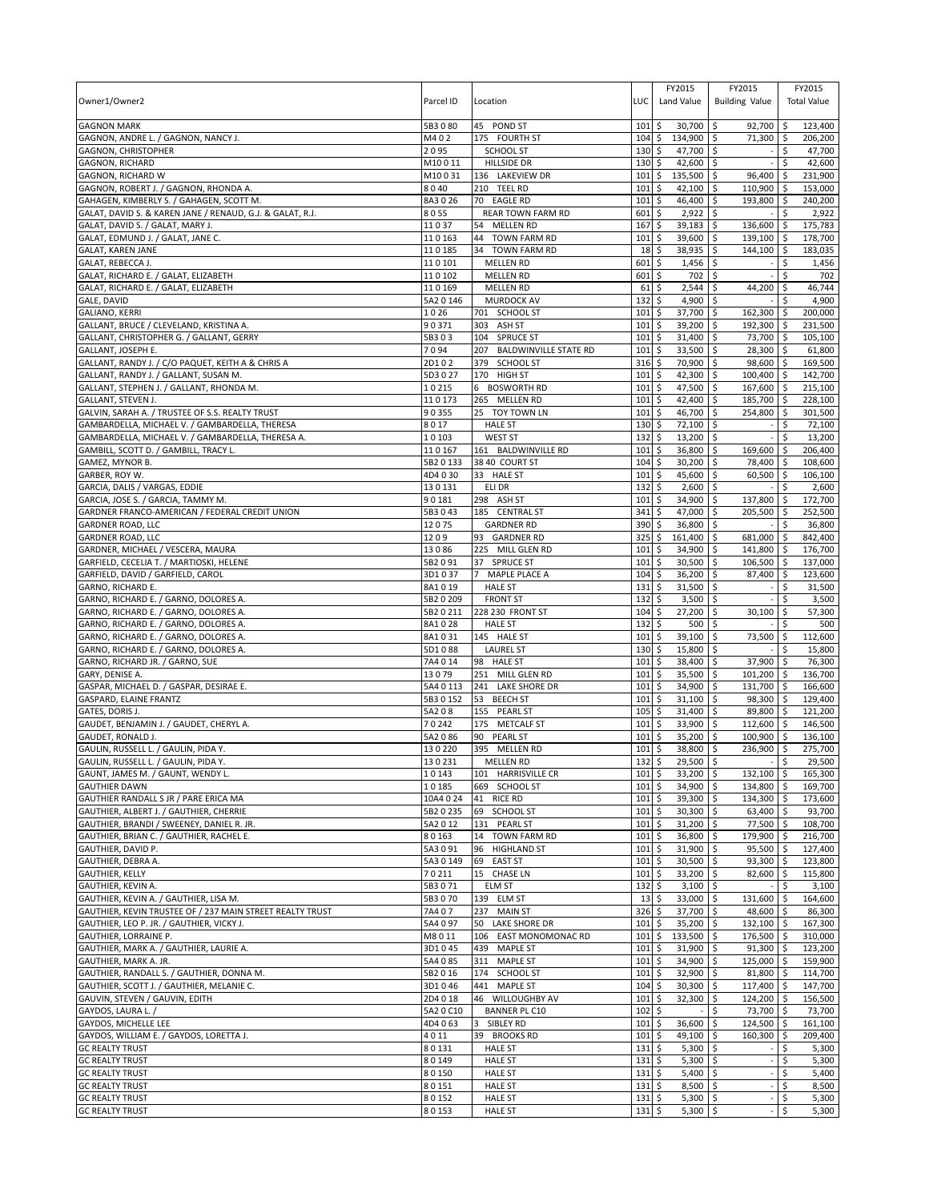|                                                                              |                    |                                         |             |          | FY2015                  | FY2015                            |                    | FY2015             |
|------------------------------------------------------------------------------|--------------------|-----------------------------------------|-------------|----------|-------------------------|-----------------------------------|--------------------|--------------------|
| Owner1/Owner2                                                                | Parcel ID          | Location                                | LUC         |          | Land Value              | <b>Building Value</b>             |                    | <b>Total Value</b> |
| <b>GAGNON MARK</b>                                                           | 5B3080             |                                         |             |          |                         |                                   |                    | 123,400            |
| GAGNON, ANDRE L. / GAGNON, NANCY J.                                          | M402               | 45 POND ST<br>175 FOURTH ST             | 101<br>104  | \$<br>\$ | 30,700 \$<br>134,900 \$ | 92,700<br>71,300 \$               | \$                 | 206,200            |
| GAGNON, CHRISTOPHER                                                          | 2095               | SCHOOL ST                               | 130         | \$       | 47,700 \$               |                                   | \$                 | 47,700             |
| <b>GAGNON, RICHARD</b>                                                       | M10011             | <b>HILLSIDE DR</b>                      | 130         | \$       | 42,600 \$               |                                   | Ŝ.                 | 42,600             |
| GAGNON, RICHARD W                                                            | M10031             | 136 LAKEVIEW DR                         | 101         | \$       | 135,500 \$              | 96,400 \$                         |                    | 231,900            |
| GAGNON, ROBERT J. / GAGNON, RHONDA A.                                        | 8040               | 210 TEEL RD                             | 101         | \$       | 42,100                  | \$<br>110,900 \$                  |                    | 153,000            |
| GAHAGEN, KIMBERLY S. / GAHAGEN, SCOTT M.                                     | 8A3026             | 70 EAGLE RD                             | 101         | \$       | 46,400                  | \$<br>193,800                     | -\$                | 240,200            |
| GALAT, DAVID S. & KAREN JANE / RENAUD, G.J. & GALAT, R.J.                    | 8055               | REAR TOWN FARM RD                       | 601         | \$       | 2,922                   | <b>S</b>                          | \$                 | 2,922              |
| GALAT, DAVID S. / GALAT, MARY J.                                             | 11037              | 54<br><b>MELLEN RD</b>                  | 167         | \$       | 39,183                  | \$<br>136,600                     | \$                 | 175,783            |
| GALAT, EDMUND J. / GALAT, JANE C.                                            | 110163             | <b>TOWN FARM RD</b><br>44               | 101         | \$       | 39,600                  | 139,100 \$<br>\$                  |                    | 178,700            |
| <b>GALAT, KAREN JANE</b>                                                     | 110185             | 34 TOWN FARM RD                         | 18          | \$       | 38,935                  | \$<br>144,100 \$                  |                    | 183,035            |
| GALAT, REBECCA J.                                                            | 110101             | <b>MELLEN RD</b>                        | 601         | \$       | 1,456                   | \$                                | \$                 | 1,456              |
| GALAT, RICHARD E. / GALAT, ELIZABETH<br>GALAT, RICHARD E. / GALAT, ELIZABETH | 110102<br>110169   | <b>MELLEN RD</b><br><b>MELLEN RD</b>    | 601<br>61   | \$<br>\$ | 702<br>2,544            | \$<br>\$<br>44,200                | \$<br>\$           | 702<br>46,744      |
| GALE, DAVID                                                                  | 5A2 0 146          | MURDOCK AV                              | 132         | \$       | 4,900                   | \$                                |                    | 4,900              |
| GALIANO, KERRI                                                               | 1026               | 701 SCHOOL ST                           | 101         | \$       | 37,700                  | \$<br>162,300                     | \$                 | 200,000            |
| GALLANT, BRUCE / CLEVELAND, KRISTINA A.                                      | 90371              | 303 ASH ST                              | 101         | \$       | 39,200                  | \$<br>192,300                     | -\$                | 231,500            |
| GALLANT, CHRISTOPHER G. / GALLANT, GERRY                                     | 5B303              | <b>SPRUCE ST</b><br>104                 | 101         | \$       | 31,400                  | 73,700 \$<br>\$                   |                    | 105,100            |
| GALLANT, JOSEPH E.                                                           | 7094               | <b>BALDWINVILLE STATE RD</b><br>207     | 101         | \$       | 33,500                  | \$<br>28,300 \$                   |                    | 61,800             |
| GALLANT, RANDY J. / C/O PAQUET, KEITH A & CHRIS A                            | 2D102              | 379 SCHOOL ST                           | 316         | \$       | 70,900                  | \$<br>98,600 \$                   |                    | 169,500            |
| GALLANT, RANDY J. / GALLANT, SUSAN M.                                        | 5D3 0 27           | 170 HIGH ST                             | 101         | \$       | 42,300 \$               | 100,400 \$                        |                    | 142,700            |
| GALLANT, STEPHEN J. / GALLANT, RHONDA M.                                     | 10215              | 6 BOSWORTH RD                           | 101         | \$       | 47,500                  | \$<br>167,600 \$                  |                    | 215,100            |
| GALLANT, STEVEN J.                                                           | 110173             | 265 MELLEN RD                           | 101         | \$       | 42,400                  | \$<br>185,700                     | $\sqrt{5}$         | 228,100            |
| GALVIN, SARAH A. / TRUSTEE OF S.S. REALTY TRUST                              | 90355              | 25 TOY TOWN LN                          | 101         | \$       | 46,700                  | $254,800$ \$<br>l\$               |                    | 301,500            |
| GAMBARDELLA, MICHAEL V. / GAMBARDELLA, THERESA                               | 8017               | <b>HALE ST</b>                          | 130         | \$       | 72,100                  | \$                                | \$                 | 72,100             |
| GAMBARDELLA, MICHAEL V. / GAMBARDELLA, THERESA A.                            | 10103              | <b>WEST ST</b>                          | 132         | \$       | 13,200                  | l\$                               | \$                 | 13,200             |
| GAMBILL, SCOTT D. / GAMBILL, TRACY L                                         | 110167             | 161 BALDWINVILLE RD                     | 101         | \$       | 36,800                  | \$<br>169,600                     | S.                 | 206,400            |
| GAMEZ, MYNOR B.                                                              | 5B2 0 133          | 38 40 COURT ST                          | 104         | \$       | 30,200                  | $\sqrt{5}$<br>78,400 \$           |                    | 108,600            |
| GARBER, ROY W.<br>GARCIA, DALIS / VARGAS, EDDIE                              | 4D4030             | 33 HALE ST<br>ELI DR                    | 101<br>132  | \$<br>\$ | 45,600 \$<br>2,600      | $60,500$ \$                       | \$                 | 106,100            |
| GARCIA, JOSE S. / GARCIA, TAMMY M.                                           | 130131<br>90181    | 298 ASH ST                              | 101         | \$       | 34,900                  | \$<br>\$<br>137,800 \$            |                    | 2,600<br>172,700   |
| GARDNER FRANCO-AMERICAN / FEDERAL CREDIT UNION                               | 5B3043             | 185 CENTRAL ST                          | 341         | \$       | 47,000 \$               | 205,500 \$                        |                    | 252,500            |
| GARDNER ROAD, LLC                                                            | 12075              | <b>GARDNER RD</b>                       | 390         | \$       | 36,800                  | \$                                | \$                 | 36,800             |
| <b>GARDNER ROAD, LLC</b>                                                     | 1209               | 93 GARDNER RD                           | 325         | \$       | 161,400                 | \$<br>681,000                     | <b>S</b>           | 842,400            |
| GARDNER, MICHAEL / VESCERA, MAURA                                            | 13086              | 225 MILL GLEN RD                        | 101         | \$       | 34,900                  | \$<br>141,800 \$                  |                    | 176,700            |
| GARFIELD, CECELIA T. / MARTIOSKI, HELENE                                     | 5B2091             | 37 SPRUCE ST                            | 101         | \$       | 30,500                  | \$<br>106,500 \$                  |                    | 137,000            |
| GARFIELD, DAVID / GARFIELD, CAROL                                            | 3D1037             | MAPLE PLACE A                           | 104         | \$       | $36,200$ \$             | 87,400 \$                         |                    | 123,600            |
| GARNO, RICHARD E.                                                            | 8A1019             | <b>HALE ST</b>                          | 131         | \$       | 31,500                  | \$                                | \$                 | 31,500             |
| GARNO, RICHARD E. / GARNO, DOLORES A.                                        | 5B2 0 209          | <b>FRONT ST</b>                         | 132         | \$       | 3,500                   | \$                                | \$                 | 3,500              |
| GARNO, RICHARD E. / GARNO, DOLORES A.                                        | 5B2 0 211          | 228 230 FRONT ST                        | 104         | \$       | 27,200                  | \$<br>30,100                      | \$                 | 57,300             |
| GARNO, RICHARD E. / GARNO, DOLORES A.                                        | 8A1028             | <b>HALE ST</b>                          | 132         | \$       | 500                     | \$                                | \$                 | 500                |
| GARNO, RICHARD E. / GARNO, DOLORES A.                                        | 8A1031             | 145 HALE ST                             | 101         | \$       | 39,100                  | \$<br>73,500                      | \$                 | 112,600            |
| GARNO, RICHARD E. / GARNO, DOLORES A.                                        | 5D1088             | <b>LAUREL ST</b>                        | 130         | \$       | 15,800                  | \$                                | \$                 | 15,800             |
| GARNO, RICHARD JR. / GARNO, SUE                                              | 7A4014             | 98 HALE ST                              | 101         | \$       | 38,400                  | \$<br>37,900                      | \$                 | 76,300             |
| GARY, DENISE A.                                                              | 13079              | 251 MILL GLEN RD                        | 101         | \$       | 35,500                  | 101,200 \$<br>\$                  |                    | 136,700            |
| GASPAR, MICHAEL D. / GASPAR, DESIRAE E.                                      | 5A4 0 113          | 241 LAKE SHORE DR                       | 101         | \$       | 34,900                  | \$<br>131,700 \$                  |                    | 166,600            |
| GASPARD, ELAINE FRANTZ                                                       | 5B3 0 152          | 53 BEECH ST                             | 101         | \$       | 31,100                  | \$<br>98,300 \$                   |                    | 129,400            |
| GATES, DORIS J.                                                              | 5A208              | <b>PEARL ST</b><br>155                  | 105         | \$       | 31,400                  | 89,800 \$<br>\$                   |                    | 121,200            |
| GAUDET, BENJAMIN J. / GAUDET, CHERYL A.<br>GAUDET, RONALD J.                 | 70242<br>5A2 0 86  | 175 METCALF ST<br><b>PEARL ST</b><br>90 | 101<br>101  | \$<br>\$ | 33,900<br>35,200        | \$<br>112,600 \$<br>\$<br>100,900 | \$                 | 146,500<br>136,100 |
| GAULIN, RUSSELL L. / GAULIN, PIDA Y.                                         | 130220             | 395 MELLEN RD                           | 101         | \$       | 38,800                  | 236,900<br>\$                     | -\$                | 275,700            |
| GAULIN, RUSSELL L. / GAULIN, PIDA Y.                                         | 130231             | <b>MELLEN RD</b>                        | 132S        |          | 29,500 \$               |                                   | $-15$              | 29,500             |
| GAUNT, JAMES M. / GAUNT, WENDY L.                                            | 10143              | 101 HARRISVILLE CR                      | $101 \,$ \$ |          | 33,200 \$               | 132,100 \$                        |                    | 165,300            |
| <b>GAUTHIER DAWN</b>                                                         | 10185              | 669 SCHOOL ST                           | $101 \;$ \$ |          | 34,900 \$               | 134,800 \$                        |                    | 169,700            |
| GAUTHIER RANDALL S JR / PARE ERICA MA                                        | 10A4 0 24          | 41 RICE RD                              | $101 \,$ \$ |          | $39,300$ \$             | 134,300 \$                        |                    | 173,600            |
| GAUTHIER, ALBERT J. / GAUTHIER, CHERRIE                                      | 5B2 0 235          | 69 SCHOOL ST                            | 101         | \$       | $30,300$ \$             | 63,400 \$                         |                    | 93,700             |
| GAUTHIER, BRANDI / SWEENEY, DANIEL R. JR.                                    | 5A2 0 12           | 131 PEARL ST                            | 101         | \$       | $31,200$ \$             | 77,500 \$                         |                    | 108,700            |
| GAUTHIER, BRIAN C. / GAUTHIER, RACHEL E.                                     | 80163              | 14 TOWN FARM RD                         | 101         | \$       | 36,800 \$               | 179,900 \$                        |                    | 216,700            |
| GAUTHIER, DAVID P.                                                           | 5A3091             | 96<br><b>HIGHLAND ST</b>                | 101         | \$       | $31,900$ \$             | $95,500$ \$                       |                    | 127,400            |
| GAUTHIER, DEBRA A.                                                           | 5A3 0 149          | 69 EAST ST                              | 101         | \$       | 30,500 \$               | 93,300 \$                         |                    | 123,800            |
| <b>GAUTHIER, KELLY</b>                                                       | 70211              | 15 CHASE LN                             | 101         | \$       | 33,200 \$               | 82,600 \$                         |                    | 115,800            |
| GAUTHIER, KEVIN A.                                                           | 5B3071             | ELM ST                                  | 132         | \$       | $3,100$ \$              |                                   | $\ddot{\varsigma}$ | 3,100              |
| GAUTHIER, KEVIN A. / GAUTHIER, LISA M.                                       | 5B3070             | 139 ELM ST                              | 13          | \$       | 33,000 \$               | 131,600 \$                        |                    | 164,600            |
| GAUTHIER, KEVIN TRUSTEE OF / 237 MAIN STREET REALTY TRUST                    | 7A407              | 237 MAIN ST                             | 326         | \$       | 37,700 \$               | 48,600 \$                         |                    | 86,300             |
| GAUTHIER, LEO P. JR. / GAUTHIER, VICKY J.                                    | 5A4097             | 50 LAKE SHORE DR                        | 101         | \$       | 35,200 \$               | 132,100 \$                        |                    | 167,300            |
| GAUTHIER, LORRAINE P.                                                        | M8011              | 106 EAST MONOMONAC RD                   | 101         | \$       | 133,500 \$              | 176,500 \$                        |                    | 310,000            |
| GAUTHIER, MARK A. / GAUTHIER, LAURIE A.<br>GAUTHIER, MARK A. JR.             | 3D1045<br>5A4 0 85 | 439 MAPLE ST<br>311 MAPLE ST            | 101<br>101  | \$<br>\$ | 31,900 \$<br>34,900     | $91,300$ \$<br>\$<br>125,000 \$   |                    | 123,200<br>159,900 |
| GAUTHIER, RANDALL S. / GAUTHIER, DONNA M.                                    | 5B2 0 16           | 174 SCHOOL ST                           | 101         | \$       | 32,900                  | \$<br>81,800 \$                   |                    | 114,700            |
| GAUTHIER, SCOTT J. / GAUTHIER, MELANIE C.                                    | 3D1046             | 441 MAPLE ST                            | 104         | \$       | 30,300 \$               | 117,400 \$                        |                    | 147,700            |
| GAUVIN, STEVEN / GAUVIN, EDITH                                               | 2D4018             | 46 WILLOUGHBY AV                        | 101         | \$       | 32,300                  | \$<br>124,200 \$                  |                    | 156,500            |
| GAYDOS, LAURA L. /                                                           | 5A2 0 C10          | <b>BANNER PL C10</b>                    | 102         | \$       |                         | \$<br>73,700 \$                   |                    | 73,700             |
| GAYDOS, MICHELLE LEE                                                         | 4D4063             | 3 SIBLEY RD                             | 101         | \$       | 36,600                  | \$<br>124,500 \$                  |                    | 161,100            |
| GAYDOS, WILLIAM E. / GAYDOS, LORETTA J.                                      | 4011               | 39 BROOKS RD                            | 101         | \$       | 49,100 \$               | 160,300 \$                        |                    | 209,400            |
| <b>GC REALTY TRUST</b>                                                       | 80131              | <b>HALE ST</b>                          | 131         | \$       | $5,300$ \$              |                                   | \$                 | 5,300              |
| <b>GC REALTY TRUST</b>                                                       | 80149              | <b>HALE ST</b>                          | 131         | \$       | $5,300$ \$              |                                   | \$                 | 5,300              |
| <b>GC REALTY TRUST</b>                                                       | 80150              | <b>HALE ST</b>                          | 131         | \$       | $5,400$ \$              |                                   | \$                 | 5,400              |
| <b>GC REALTY TRUST</b>                                                       | 80151              | <b>HALE ST</b>                          | $131 \;$ \$ |          | $8,500$ \$              |                                   | \$                 | 8,500              |
| <b>GC REALTY TRUST</b>                                                       | 80152              | <b>HALE ST</b>                          | $131 \;$ \$ |          | $5,300$ \$              |                                   | \$                 | 5,300              |
| <b>GC REALTY TRUST</b>                                                       | 80153              | <b>HALE ST</b>                          | $131 \,$ \$ |          | $5,300$ \$              |                                   | \$                 | 5,300              |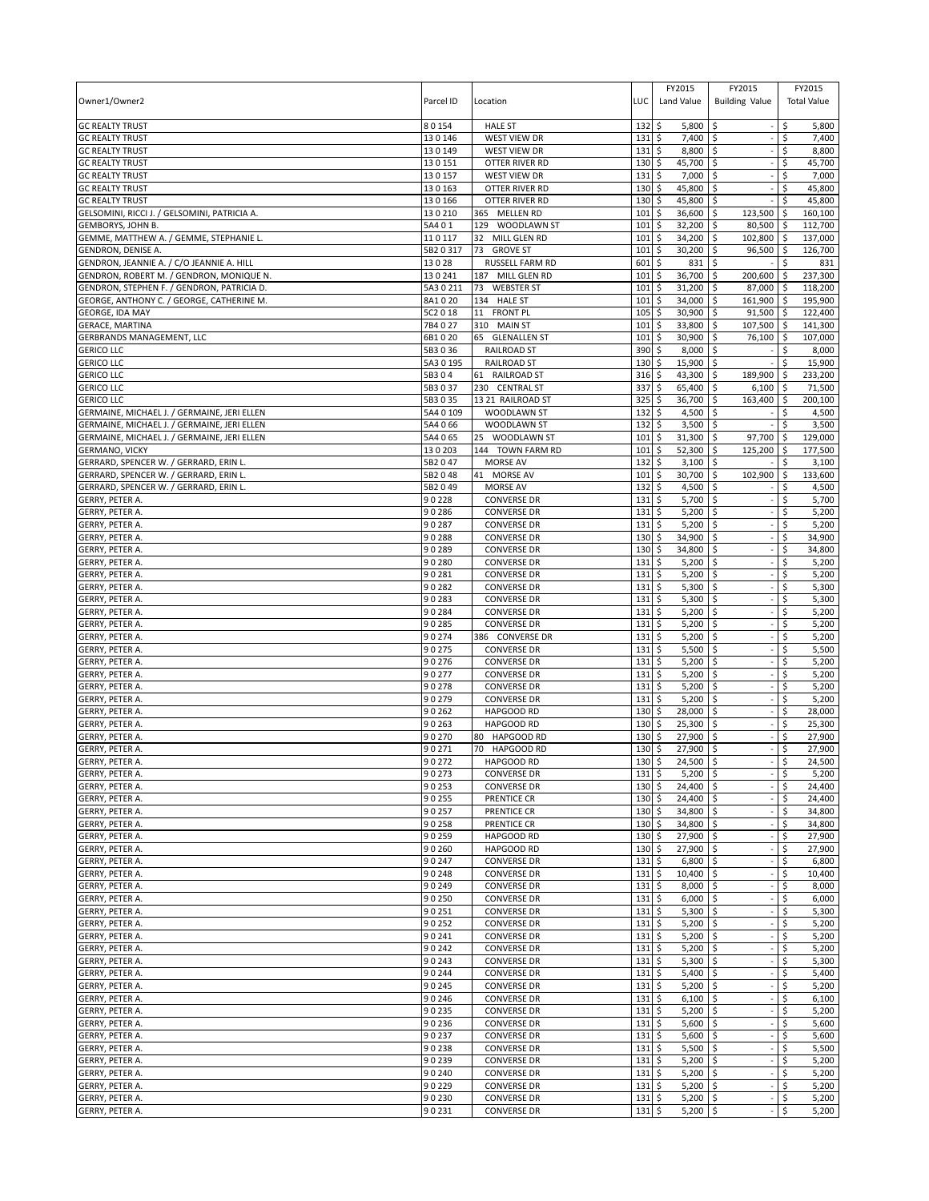| Owner1/Owner2                                                   | Parcel ID           | Location                                 | LUC        | FY2015<br>Land Value                 | FY2015<br><b>Building Value</b> |          | FY2015<br><b>Total Value</b> |
|-----------------------------------------------------------------|---------------------|------------------------------------------|------------|--------------------------------------|---------------------------------|----------|------------------------------|
| <b>GC REALTY TRUST</b>                                          | 80154               | <b>HALE ST</b>                           | 132        | \$<br>5,800                          | \$                              | \$       | 5,800                        |
| <b>GC REALTY TRUST</b>                                          | 130146              | WEST VIEW DR                             | 131        | \$<br>7,400                          | \$                              | \$       | 7,400                        |
| <b>GC REALTY TRUST</b><br><b>GC REALTY TRUST</b>                | 130149<br>130151    | WEST VIEW DR<br><b>OTTER RIVER RD</b>    | 131<br>130 | 8,800<br>\$<br>\$<br>45,700          | \$<br>\$                        | \$<br>Ś  | 8,800<br>45,700              |
| <b>GC REALTY TRUST</b>                                          | 130157              | WEST VIEW DR                             | 131        | 7,000<br>\$                          | \$                              | \$       | 7,000                        |
| <b>GC REALTY TRUST</b>                                          | 130163              | OTTER RIVER RD                           | 130        | \$<br>45,800                         | \$                              | \$       | 45,800                       |
| <b>GC REALTY TRUST</b>                                          | 130166              | OTTER RIVER RD                           | 130        | 45,800<br>\$                         | \$                              | \$       | 45,800                       |
| GELSOMINI, RICCI J. / GELSOMINI, PATRICIA A.                    | 130210              | 365 MELLEN RD                            | 101        | 36,600<br>\$                         | \$<br>123,500                   | S.       | 160,100                      |
| GEMBORYS, JOHN B.                                               | 5A401               | 129 WOODLAWN ST                          | 101        | 32,200<br>\$                         | \$<br>80,500                    | -\$      | 112,700                      |
| GEMME, MATTHEW A. / GEMME, STEPHANIE L.                         | 110117              | 32<br>MILL GLEN RD                       | 101        | \$<br>34,200                         | \$<br>102,800 \$                |          | 137,000                      |
| GENDRON, DENISE A.<br>GENDRON, JEANNIE A. / C/O JEANNIE A. HILL | 5B20317<br>13028    | 73 GROVE ST<br>RUSSELL FARM RD           | 101<br>601 | 30,200<br>\$<br>\$<br>831            | \$<br>96,500 \$<br>\$           | Ś        | 126,700<br>831               |
| GENDRON, ROBERT M. / GENDRON, MONIQUE N.                        | 130241              | 187 MILL GLEN RD                         | 101        | \$<br>36,700                         | \$<br>200,600                   | ۱\$      | 237,300                      |
| GENDRON, STEPHEN F. / GENDRON, PATRICIA D.                      | 5A3 0 211           | 73<br><b>WEBSTER ST</b>                  | 101        | \$<br>31,200                         | \$<br>87,000                    | -\$      | 118,200                      |
| GEORGE, ANTHONY C. / GEORGE, CATHERINE M.                       | 8A1020              | 134 HALE ST                              | 101        | \$<br>34,000                         | \$<br>161,900 \$                |          | 195,900                      |
| GEORGE, IDA MAY                                                 | 5C2 0 18            | 11 FRONT PL                              | 105        | \$<br>30,900                         | \$<br>$91,500$ \$               |          | 122,400                      |
| <b>GERACE, MARTINA</b>                                          | 7B4027              | 310 MAIN ST                              | 101        | \$<br>33,800                         | \$<br>107,500 \$                |          | 141,300                      |
| GERBRANDS MANAGEMENT, LLC                                       | 6B1020              | 65 GLENALLEN ST                          | 101        | \$<br>30,900                         | \$<br>76,100 \$                 |          | 107,000                      |
| <b>GERICO LLC</b>                                               | 5B3036<br>5A3 0 195 | <b>RAILROAD ST</b><br><b>RAILROAD ST</b> | 390<br>130 | \$<br>8,000<br>\$                    | \$                              | \$<br>\$ | 8,000                        |
| <b>GERICO LLC</b><br><b>GERICO LLC</b>                          | 5B304               | 61 RAILROAD ST                           | 316        | 15,900<br>\$<br>43,300               | \$<br>\$<br>189,900 \$          |          | 15,900<br>233,200            |
| <b>GERICO LLC</b>                                               | 5B3037              | 230 CENTRAL ST                           | 337        | \$<br>65,400                         | \$<br>$6,100$ \$                |          | 71,500                       |
| <b>GERICO LLC</b>                                               | 5B3 0 35            | 13 21 RAILROAD ST                        | 325        | \$<br>36,700                         | \$<br>163,400                   | \$       | 200,100                      |
| GERMAINE, MICHAEL J. / GERMAINE, JERI ELLEN                     | 5A4 0 109           | WOODLAWN ST                              | 132        | \$<br>4,500                          | \$                              | \$       | 4,500                        |
| GERMAINE, MICHAEL J. / GERMAINE, JERI ELLEN                     | 5A4 0 66            | <b>WOODLAWN ST</b>                       | 132        | $\zeta$<br>3,500                     | \$                              | \$       | 3,500                        |
| GERMAINE, MICHAEL J. / GERMAINE, JERI ELLEN                     | 5A4 065             | 25 WOODLAWN ST                           | 101        | \$<br>31,300                         | 97,700 \$<br>\$                 |          | 129,000                      |
| <b>GERMANO, VICKY</b>                                           | 13 0 203            | 144 TOWN FARM RD                         | 101        | \$<br>52,300                         | \$<br>125,200 \$                |          | 177,500                      |
| GERRARD, SPENCER W. / GERRARD, ERIN L.                          | 5B2047              | MORSE AV                                 | 132        | 3,100<br>\$                          | \$                              | \$       | 3,100                        |
| GERRARD, SPENCER W. / GERRARD, ERIN L.                          | 5B2048              | 41 MORSE AV                              | 101        | \$<br>30,700                         | \$<br>102,900                   | \$       | 133,600                      |
| GERRARD, SPENCER W. / GERRARD, ERIN L.<br><b>GERRY, PETER A</b> | 5B2049<br>90228     | MORSE AV<br><b>CONVERSE DR</b>           | 132<br>131 | \$<br>4,500<br>\$<br>5,700           | \$<br>\$                        | \$<br>Ś  | 4,500<br>5,700               |
| GERRY, PETER A.                                                 | 90286               | <b>CONVERSE DR</b>                       | 131        | 5,200<br>\$                          | \$                              | \$       | 5,200                        |
| GERRY, PETER A.                                                 | 90287               | <b>CONVERSE DR</b>                       | 131        | \$<br>5,200                          | \$                              | \$       | 5,200                        |
| GERRY, PETER A.                                                 | 90288               | <b>CONVERSE DR</b>                       | 130        | 34,900<br>\$                         | \$                              | \$       | 34,900                       |
| GERRY, PETER A.                                                 | 90289               | <b>CONVERSE DR</b>                       | 130        | \$<br>34,800                         | \$                              | \$       | 34,800                       |
| GERRY, PETER A.                                                 | 90280               | <b>CONVERSE DR</b>                       | 131        | \$<br>5,200                          | \$                              | \$       | 5,200                        |
| GERRY, PETER A.                                                 | 90281               | <b>CONVERSE DR</b>                       | 131        | \$<br>5,200                          | \$                              | \$       | 5,200                        |
| GERRY, PETER A.                                                 | 90282               | <b>CONVERSE DR</b>                       | 131        | \$<br>5,300                          | \$                              | Ś        | 5,300                        |
| GERRY, PETER A.                                                 | 90283               | <b>CONVERSE DR</b>                       | 131        | \$<br>5,300                          | \$                              | Ś        | 5,300                        |
| GERRY, PETER A.                                                 | 90284               | <b>CONVERSE DR</b>                       | 131        | 5,200<br>\$                          | Ŝ.                              | \$       | 5,200                        |
| GERRY, PETER A.<br>GERRY, PETER A.                              | 90285<br>90274      | <b>CONVERSE DR</b><br>386 CONVERSE DR    | 131<br>131 | \$<br>5,200<br>\$<br>5,200           | \$<br>\$                        | \$<br>Ś  | 5,200<br>5,200               |
| GERRY, PETER A.                                                 | 90275               | <b>CONVERSE DR</b>                       | 131        | \$<br>5,500                          | \$                              | \$       | 5,500                        |
| GERRY, PETER A.                                                 | 90276               | <b>CONVERSE DR</b>                       | 131        | \$<br>5,200                          | \$                              | \$       | 5,200                        |
| GERRY, PETER A.                                                 | 90277               | <b>CONVERSE DR</b>                       | 131        | \$<br>5,200                          | \$                              | \$       | 5,200                        |
| GERRY, PETER A.                                                 | 90278               | <b>CONVERSE DR</b>                       | 131        | \$<br>5,200                          | \$                              | \$       | 5,200                        |
| GERRY, PETER A.                                                 | 90279               | <b>CONVERSE DR</b>                       | 131        | \$<br>5,200                          | \$                              | \$       | 5,200                        |
| GERRY, PETER A.                                                 | 90262               | <b>HAPGOOD RD</b>                        | 130        | \$<br>28,000                         | Ŝ.                              | \$       | 28,000                       |
| <b>GERRY, PETER A.</b>                                          | 90263               | HAPGOOD RD                               | 130        | \$<br>25,300                         | \$                              | \$       | 25,300                       |
| GERRY, PETER A.<br>GERRY, PETER A.                              | 90270<br>90271      | 80<br><b>HAPGOOD RD</b><br>70 HAPGOOD RD | 130<br>130 | Ś<br>27,900<br>27,900                | \$                              | Ś        | 27,900<br>27,900             |
| <b>GERRY, PETER A.</b>                                          | 90272               | <b>HAPGOOD RD</b>                        | 130        | \$<br>\$<br>24.500                   | \$<br>\$                        | \$<br>\$ | 24.500                       |
| GERRY, PETER A.                                                 | 90273               | <b>CONVERSE DR</b>                       | 131        | \$<br>5,200                          | \$                              | \$       | 5,200                        |
| GERRY, PETER A.                                                 | 90253               | <b>CONVERSE DR</b>                       | 130        | \$<br>24,400                         | l\$                             | \$       | 24,400                       |
| GERRY, PETER A.                                                 | 90255               | <b>PRENTICE CR</b>                       | 130        | 24,400<br>\$                         | \$                              | \$       | 24,400                       |
| GERRY, PETER A.                                                 | 90257               | PRENTICE CR                              | 130        | \$<br>34,800                         | l\$                             | \$       | 34,800                       |
| GERRY, PETER A.                                                 | 90258               | PRENTICE CR                              | 130        | 34,800<br>\$                         | \$                              | \$       | 34,800                       |
| GERRY, PETER A.                                                 | 90259               | HAPGOOD RD                               | 130        | \$<br>27,900                         | \$                              | \$       | 27,900                       |
| GERRY, PETER A.<br>GERRY, PETER A.                              | 90260               | HAPGOOD RD                               | 130        | \$<br>27,900                         | \$                              | \$       | 27,900                       |
| GERRY, PETER A.                                                 | 90247<br>90248      | <b>CONVERSE DR</b><br><b>CONVERSE DR</b> | 131<br>131 | \$<br>6,800<br>\$<br>10,400          | \$<br>\$                        | \$<br>\$ | 6,800<br>10,400              |
| GERRY, PETER A.                                                 | 90249               | <b>CONVERSE DR</b>                       | 131        | \$<br>8,000                          | \$                              | \$       | 8,000                        |
| GERRY, PETER A.                                                 | 90250               | <b>CONVERSE DR</b>                       | 131        | \$<br>6,000                          | \$                              | \$       | 6,000                        |
| GERRY, PETER A.                                                 | 90251               | <b>CONVERSE DR</b>                       | 131        | \$<br>$5,300$ \$                     |                                 | \$       | 5,300                        |
| GERRY, PETER A.                                                 | 90252               | <b>CONVERSE DR</b>                       | 131        | \$<br>$5,200$ \$                     | ÷,                              | \$       | 5,200                        |
| GERRY, PETER A.                                                 | 90241               | <b>CONVERSE DR</b>                       | 131        | \$<br>5,200                          | l\$                             | \$       | 5,200                        |
| GERRY, PETER A.                                                 | 90242               | <b>CONVERSE DR</b>                       | 131        | \$<br>$5,200$ \$                     |                                 | \$       | 5,200                        |
| GERRY, PETER A.                                                 | 90243               | <b>CONVERSE DR</b>                       | 131        | \$<br>5,300                          | \$                              | \$       | 5,300                        |
| GERRY, PETER A.                                                 | 90244               | <b>CONVERSE DR</b>                       | 131        | \$<br>5,400                          | $\sqrt{5}$                      | \$       | 5,400                        |
| GERRY, PETER A.<br>GERRY, PETER A.                              | 90245<br>90246      | <b>CONVERSE DR</b><br><b>CONVERSE DR</b> | 131<br>131 | \$<br>$5,200$ \$<br>\$<br>$6,100$ \$ |                                 | \$<br>\$ | 5,200<br>6,100               |
| GERRY, PETER A.                                                 | 90235               | <b>CONVERSE DR</b>                       | 131        | \$<br>$5,200$ \$                     |                                 | \$       | 5,200                        |
| GERRY, PETER A.                                                 | 90236               | <b>CONVERSE DR</b>                       | 131        | \$<br>5,600                          | \$                              | \$       | 5,600                        |
| GERRY, PETER A.                                                 | 90237               | <b>CONVERSE DR</b>                       | 131        | 5,600<br>\$                          | ۱\$                             | \$       | 5,600                        |
| GERRY, PETER A.                                                 | 90238               | <b>CONVERSE DR</b>                       | 131        | \$<br>$5,500$ \$                     |                                 | \$       | 5,500                        |
| GERRY, PETER A.                                                 | 90239               | <b>CONVERSE DR</b>                       | 131        | 5,200<br>\$                          | \$                              | \$       | 5,200                        |
| GERRY, PETER A.                                                 | 90240               | <b>CONVERSE DR</b>                       | 131        | \$<br>5,200                          | \$                              | \$       | 5,200                        |
| GERRY, PETER A.                                                 | 90229               | <b>CONVERSE DR</b>                       | 131        | \$<br>5,200                          | \$                              | \$       | 5,200                        |
| GERRY, PETER A.                                                 | 90230               | <b>CONVERSE DR</b>                       | 131        | \$<br>5,200                          | \$                              | \$       | 5,200                        |
| GERRY, PETER A.                                                 | 90231               | <b>CONVERSE DR</b>                       | 131        | \$<br>5,200                          | \$                              | \$       | 5,200                        |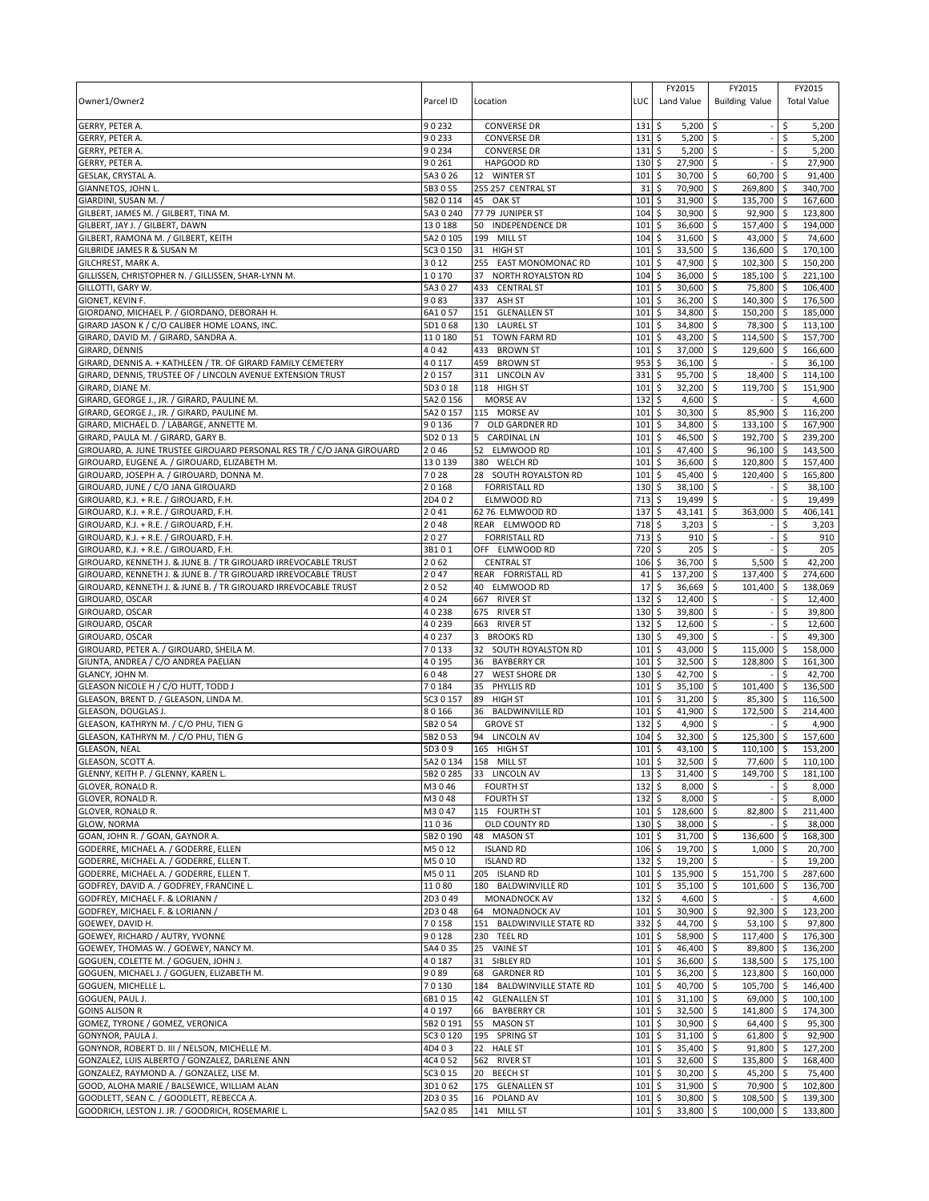| Owner1/Owner2                                                                                  | Parcel ID           | Location                                         | LUC                        | FY2015<br>Land Value               | FY2015<br><b>Building Value</b> |                          | FY2015<br><b>Total Value</b> |
|------------------------------------------------------------------------------------------------|---------------------|--------------------------------------------------|----------------------------|------------------------------------|---------------------------------|--------------------------|------------------------------|
| GERRY, PETER A.<br>GERRY, PETER A.                                                             | 90232<br>90233      | <b>CONVERSE DR</b><br><b>CONVERSE DR</b>         | 131<br>131                 | \$<br>5,200<br>\$<br>$5,200$ \$    | \$                              | \$.<br>\$                | 5,200<br>5,200               |
| GERRY, PETER A.                                                                                | 90234               | <b>CONVERSE DR</b>                               | 131                        | \$<br>$5,200$ \$                   |                                 | \$                       | 5,200                        |
| <b>GERRY, PETER A</b>                                                                          | 90261               | HAPGOOD RD                                       | 130                        | \$<br>27,900                       | \$                              |                          | 27,900                       |
| GESLAK, CRYSTAL A.                                                                             | 5A3 0 26            | 12 WINTER ST                                     | 101                        | 30,700<br>\$                       | \$<br>60,700                    | \$                       | 91,400                       |
| GIANNETOS, JOHN L.                                                                             | 5B3055              | 255 257 CENTRAL ST                               | 31                         | \$<br>70,900                       | \$<br>269,800                   | -\$                      | 340,700                      |
| GIARDINI, SUSAN M.,                                                                            | 5B2 0 114           | 45 OAK ST                                        | 101                        | 31,900<br>\$                       | \$<br>135,700                   | ا \$                     | 167,600                      |
| GILBERT, JAMES M. / GILBERT, TINA M.                                                           | 5A3 0 240<br>130188 | 77 79 JUNIPER ST<br>50                           | 104<br>101                 | \$<br>30,900<br>\$<br>36,600       | \$<br>92,900<br>157,400         | l \$                     | 123,800<br>194,000           |
| GILBERT, JAY J. / GILBERT, DAWN<br>GILBERT, RAMONA M. / GILBERT, KEITH                         | 5A2 0 105           | <b>INDEPENDENCE DR</b><br>199 MILL ST            | 104                        | \$<br>31,600                       | \$<br>43,000 \$<br>\$           | \$                       | 74,600                       |
| GILBRIDE JAMES R & SUSAN M                                                                     | 5C3 0 150           | 31 HIGH ST                                       | 101                        | \$<br>33,500                       | \$<br>136,600                   | \$                       | 170.100                      |
| GILCHREST, MARK A.                                                                             | 3012                | 255 EAST MONOMONAC RD                            | 101                        | \$<br>47,900                       | 102,300<br>\$                   | -\$                      | 150,200                      |
| GILLISSEN, CHRISTOPHER N. / GILLISSEN, SHAR-LYNN M.                                            | 10170               | 37<br>NORTH ROYALSTON RD                         | 104                        | \$<br>36,000                       | 185,100<br>\$                   | <b>S</b>                 | 221,100                      |
| GILLOTTI, GARY W.                                                                              | 5A3027              | 433 CENTRAL ST                                   | 101                        | \$<br>30,600                       | \$<br>75,800                    | \$ ا                     | 106,400                      |
| GIONET, KEVIN F.                                                                               | 9083                | 337 ASH ST                                       | 101                        | \$<br>36,200                       | 140,300 \$<br>l\$               |                          | 176,500                      |
| GIORDANO, MICHAEL P. / GIORDANO, DEBORAH H.                                                    | 6A1057              | 151<br><b>GLENALLEN ST</b>                       | 101                        | \$<br>34,800                       | \$<br>150,200                   | l \$                     | 185,000                      |
| GIRARD JASON K / C/O CALIBER HOME LOANS, INC.                                                  | 5D1068              | 130<br><b>LAUREL ST</b>                          | 101                        | \$<br>34,800                       | \$<br>78,300                    | l \$                     | 113,100                      |
| GIRARD, DAVID M. / GIRARD, SANDRA A.<br>GIRARD, DENNIS                                         | 110180<br>4042      | 51<br>TOWN FARM RD<br>433<br><b>BROWN ST</b>     | 101<br>101                 | \$<br>43,200 \$<br>\$<br>37,000    | 114,500 \$<br>\$<br>129,600 \$  |                          | 157,700<br>166,600           |
| GIRARD, DENNIS A. + KATHLEEN / TR. OF GIRARD FAMILY CEMETERY                                   | 40117               | 459<br><b>BROWN ST</b>                           | 953                        | \$<br>36,100                       | \$                              | Ŝ.                       | 36,100                       |
| GIRARD, DENNIS, TRUSTEE OF / LINCOLN AVENUE EXTENSION TRUST                                    | 20157               | 311<br>LINCOLN AV                                | 331                        | \$<br>95,700                       | ۱\$<br>18,400                   | <b>S</b>                 | 114,100                      |
| GIRARD, DIANE M.                                                                               | 5D3018              | 118 HIGH ST                                      | 101                        | \$<br>32,200                       | \$<br>119,700                   | \$                       | 151,900                      |
| GIRARD, GEORGE J., JR. / GIRARD, PAULINE M.                                                    | 5A2 0 156           | MORSE AV                                         | 132                        | \$<br>4,600                        | \$                              |                          | 4,600                        |
| GIRARD, GEORGE J., JR. / GIRARD, PAULINE M.                                                    | 5A2 0 157           | 115 MORSE AV                                     | 101                        | l\$<br>30,300                      | 85,900<br>\$                    | \$ ا                     | 116,200                      |
| GIRARD, MICHAEL D. / LABARGE, ANNETTE M.                                                       | 90136               | <b>OLD GARDNER RD</b><br>$\overline{7}$          | 101                        | \$<br>34,800                       | \$<br>133,100                   | -\$                      | 167,900                      |
| GIRARD, PAULA M. / GIRARD, GARY B.                                                             | 5D2 0 13            | <b>CARDINAL LN</b><br>5                          | 101                        | \$<br>46,500                       | 192,700 \$<br>\$                |                          | 239,200                      |
| GIROUARD, A. JUNE TRUSTEE GIROUARD PERSONAL RES TR / C/O JANA GIROUARD                         | 2046                | ELMWOOD RD<br>52                                 | 101                        | \$<br>47,400                       | \$<br>96,100                    | <b>S</b>                 | 143,500                      |
| GIROUARD, EUGENE A. / GIROUARD, ELIZABETH M.                                                   | 130139              | 380 WELCH RD                                     | 101                        | 36,600<br>\$                       | 120,800<br>Ŝ.                   | -\$                      | 157,400                      |
| GIROUARD, JOSEPH A. / GIROUARD, DONNA M.<br>GIROUARD, JUNE / C/O JANA GIROUARD                 | 7028<br>20168       | 28 SOUTH ROYALSTON RD<br><b>FORRISTALL RD</b>    | 101<br>130                 | \$<br>45,400<br>\$<br>38,100       | 120,400<br>-\$<br>\$            | l \$<br>\$               | 165,800<br>38,100            |
| GIROUARD, K.J. + R.E. / GIROUARD, F.H.                                                         | 2D402               | ELMWOOD RD                                       | 713                        | \$<br>19,499                       | \$                              |                          | 19,499                       |
| GIROUARD, K.J. + R.E. / GIROUARD, F.H.                                                         | 2041                | 62 76 ELMWOOD RD                                 | 137                        | 43,141<br>\$                       | 363,000<br>\$                   | \$                       | 406,141                      |
| GIROUARD, K.J. + R.E. / GIROUARD, F.H.                                                         | 2048                | REAR ELMWOOD RD                                  | 718                        | \$<br>3,203                        | \$                              | \$                       | 3,203                        |
| GIROUARD, K.J. + R.E. / GIROUARD, F.H.                                                         | 2027                | <b>FORRISTALL RD</b>                             | 713                        | \$<br>910                          | \$                              | \$                       | 910                          |
| GIROUARD, K.J. + R.E. / GIROUARD, F.H.                                                         | 3B101               | OFF ELMWOOD RD                                   | 720                        | \$<br>205                          | Ŝ.                              | \$                       | 205                          |
| GIROUARD, KENNETH J. & JUNE B. / TR GIROUARD IRREVOCABLE TRUST                                 | 2062                | <b>CENTRAL ST</b>                                | 106                        | \$<br>36,700                       | -\$<br>5,500                    | \$.                      | 42,200                       |
| GIROUARD, KENNETH J. & JUNE B. / TR GIROUARD IRREVOCABLE TRUST                                 | 2047                | REAR FORRISTALL RD                               | 41                         | \$<br>137,200                      | 137,400 \$<br>-\$               |                          | 274,600                      |
| GIROUARD, KENNETH J. & JUNE B. / TR GIROUARD IRREVOCABLE TRUST                                 | 2052                | 40 ELMWOOD RD                                    | 17                         | \$<br>36,669                       | \$<br>101,400                   | \$                       | 138,069                      |
| GIROUARD, OSCAR<br>GIROUARD, OSCAR                                                             | 4024<br>40238       | 667<br><b>RIVER ST</b><br>675<br><b>RIVER ST</b> | 132<br>$130 \pm$           | \$<br>12,400<br>39,800 \$          | Ŝ.                              | Ś<br>\$                  | 12,400<br>39,800             |
| GIROUARD, OSCAR                                                                                | 40239               | 663 RIVER ST                                     | 132                        | \$<br>12,600                       | \$                              | \$                       | 12,600                       |
| GIROUARD, OSCAR                                                                                | 40237               | 3<br><b>BROOKS RD</b>                            | 130                        | \$<br>49,300                       | \$                              |                          | 49,300                       |
| GIROUARD, PETER A. / GIROUARD, SHEILA M.                                                       | 70133               | 32 SOUTH ROYALSTON RD                            | 101                        | \$<br>43,000                       | \$<br>115,000                   | ۱\$                      | 158,000                      |
| GIUNTA, ANDREA / C/O ANDREA PAELIAN                                                            | 40195               | 36<br><b>BAYBERRY CR</b>                         | 101                        | \$<br>32,500                       | $\mathsf{\hat{S}}$<br>128,800   | l\$                      | 161,300                      |
| GLANCY, JOHN M.                                                                                | 6048                | <b>WEST SHORE DR</b><br>27                       | 130                        | \$<br>42,700                       | l\$                             | Ŝ.                       | 42,700                       |
| GLEASON NICOLE H / C/O HUTT, TODD J                                                            | 70184               | 35<br>PHYLLIS RD                                 | 101                        | \$<br>35,100                       | \$<br>101,400                   | \$                       | 136,500                      |
| GLEASON, BRENT D. / GLEASON, LINDA M.                                                          | 5C3 0 157           | 89<br><b>HIGH ST</b>                             | 101                        | \$<br>31,200                       | 85,300<br>\$                    | -\$                      | 116,500                      |
| GLEASON, DOUGLAS J.<br>GLEASON, KATHRYN M. / C/O PHU, TIEN G                                   | 80166<br>5B2 0 54   | 36<br><b>BALDWINVILLE RD</b><br><b>GROVE ST</b>  | 101<br>132                 | \$<br>41,900<br>\$<br>4,900        | l\$<br>172,500<br>\$            | l \$<br>\$               | 214,400<br>4,900             |
| GLEASON, KATHRYN M. / C/O PHU, TIEN G                                                          | 5B2053              | 94<br>LINCOLN AV                                 | 104                        | \$<br>32,300                       | \$<br>125,300                   | \$                       | 157,600                      |
| <b>GLEASON, NEAL</b>                                                                           | 5D309               | 165 HIGH ST                                      | 101                        | l\$<br>43,100 \$                   | 110,100 \$                      |                          | 153,200                      |
| <b>GLEASON, SCOTT A.</b>                                                                       | 5A2 0 134           | 158 MILL ST                                      | $101$ \$                   | $32.500$ \$                        | 77.600 \$                       |                          | 110.100                      |
| GLENNY, KEITH P. / GLENNY, KAREN L.                                                            | 5B2 0 285           | 33 LINCOLN AV                                    | $13 \,$ \$                 | 31,400 \$                          | 149,700 \$                      |                          | 181,100                      |
| <b>GLOVER, RONALD R.</b>                                                                       | M3046               | <b>FOURTH ST</b>                                 | 132 \$                     | $8,000$ \$                         |                                 | \$                       | 8,000                        |
| GLOVER, RONALD R.                                                                              | M3048               | <b>FOURTH ST</b>                                 | 132                        | \$<br>$8,000$ \$                   |                                 | Ŝ.                       | 8,000                        |
| GLOVER, RONALD R.                                                                              | M3047               | 115 FOURTH ST                                    | 101                        | \$<br>128,600 \$                   | 82,800 \$                       |                          | 211,400                      |
| GLOW, NORMA<br>GOAN, JOHN R. / GOAN, GAYNOR A.                                                 | 11036<br>5B2 0 190  | OLD COUNTY RD<br>48 MASON ST                     | 130<br>101                 | \$<br>38,000 \$<br>\$<br>31,700 \$ | 136,600                         | \$<br>$\ddot{\varsigma}$ | 38,000<br>168,300            |
| GODERRE, MICHAEL A. / GODERRE, ELLEN                                                           | M5012               | <b>ISLAND RD</b>                                 | 106                        | 19,700 \$<br>\$                    | $1,000$ \$                      |                          | 20,700                       |
| GODERRE, MICHAEL A. / GODERRE, ELLEN T.                                                        | M5010               | <b>ISLAND RD</b>                                 | 132                        | \$<br>$19,200$ \$                  |                                 | \$                       | 19,200                       |
| GODERRE, MICHAEL A. / GODERRE, ELLEN T.                                                        | M5011               | 205 ISLAND RD                                    | 101                        | \$<br>135,900 \$                   | 151,700                         | \$                       | 287,600                      |
| GODFREY, DAVID A. / GODFREY, FRANCINE L.                                                       | 11080               | 180 BALDWINVILLE RD                              | 101                        | \$<br>35,100 \$                    | 101,600                         | -\$                      | 136,700                      |
| GODFREY, MICHAEL F. & LORIANN /                                                                | 2D3049              | MONADNOCK AV                                     | 132                        | 5<br>$4,600$ \$                    |                                 | \$                       | 4,600                        |
| GODFREY, MICHAEL F. & LORIANN /                                                                | 2D3048              | 64 MONADNOCK AV                                  | 101                        | \$<br>30,900 \$                    | $92,300$ \$                     |                          | 123,200                      |
| GOEWEY, DAVID H.                                                                               | 70158               | 151 BALDWINVILLE STATE RD                        | 332                        | $\ddot{\circ}$<br>44,700 \$        | $53,100$ \$                     |                          | 97,800                       |
| GOEWEY, RICHARD / AUTRY, YVONNE<br>GOEWEY, THOMAS W. / GOEWEY, NANCY M.                        | 90128<br>5A4 0 35   | 230 TEEL RD<br>25 VAINE ST                       | $101 \;$ \$<br>$101 \,$ \$ | 58,900 \$<br>46,400 \$             | 117,400 \$<br>89,800 \$         |                          | 176,300<br>136,200           |
| GOGUEN, COLETTE M. / GOGUEN, JOHN J.                                                           | 40187               | 31 SIBLEY RD                                     | 101                        | $\ddot{\circ}$<br>36,600 \$        | 138,500 \$                      |                          | 175,100                      |
| GOGUEN, MICHAEL J. / GOGUEN, ELIZABETH M.                                                      | 9089                | 68 GARDNER RD                                    | $101 \;$ \$                | 36,200 \$                          | 123,800 \$                      |                          | 160,000                      |
| GOGUEN, MICHELLE L.                                                                            | 70130               | 184 BALDWINVILLE STATE RD                        | 101                        | 5<br>40,700 \$                     | 105,700 \$                      |                          | 146,400                      |
| GOGUEN, PAUL J.                                                                                | 6B1015              | 42 GLENALLEN ST                                  | 101                        | 5<br>$31,100$ \$                   | $69,000$ \$                     |                          | 100,100                      |
| <b>GOINS ALISON R</b>                                                                          | 40197               | 66 BAYBERRY CR                                   | $101 \;$ \$                | 32,500 \$                          | 141,800 \$                      |                          | 174,300                      |
| GOMEZ, TYRONE / GOMEZ, VERONICA                                                                | 5B2 0 191           | 55 MASON ST                                      | 101                        | \$<br>30,900                       | l\$<br>64,400                   | $\sqrt{5}$               | 95,300                       |
| GONYNOR, PAULA J.                                                                              | 5C3 0 120           | 195 SPRING ST                                    | $101 \;$ \$                | $31,100$ \$                        | 61,800 \$                       |                          | 92,900                       |
| GONYNOR, ROBERT D. III / NELSON, MICHELLE M.<br>GONZALEZ, LUIS ALBERTO / GONZALEZ, DARLENE ANN | 4D403<br>4C4 0 52   | 22 HALE ST<br>562 RIVER ST                       | $101 \,$ \$<br>101         | 35,400 \$<br>5<br>32,600 \$        | $91,800$ \$<br>135,800 \$       |                          | 127,200<br>168,400           |
| GONZALEZ, RAYMOND A. / GONZALEZ, LISE M.                                                       | 5C3 0 15            | 20 BEECH ST                                      | $101 \;$ \$                | 30,200 \$                          | 45,200 \$                       |                          | 75,400                       |
| GOOD, ALOHA MARIE / BALSEWICE, WILLIAM ALAN                                                    | 3D1062              | 175 GLENALLEN ST                                 | 101                        | \$<br>$31,900$ \$                  | 70,900 \$                       |                          | 102,800                      |
| GOODLETT, SEAN C. / GOODLETT, REBECCA A.                                                       | 2D3035              | 16 POLAND AV                                     | 101                        | 5<br>30,800 \$                     | 108,500 \$                      |                          | 139,300                      |
| GOODRICH, LESTON J. JR. / GOODRICH, ROSEMARIE L.                                               | 5A2 0 85            | 141 MILL ST                                      | 101                        | l\$<br>33,800 \$                   | $100,000$ \$                    |                          | 133,800                      |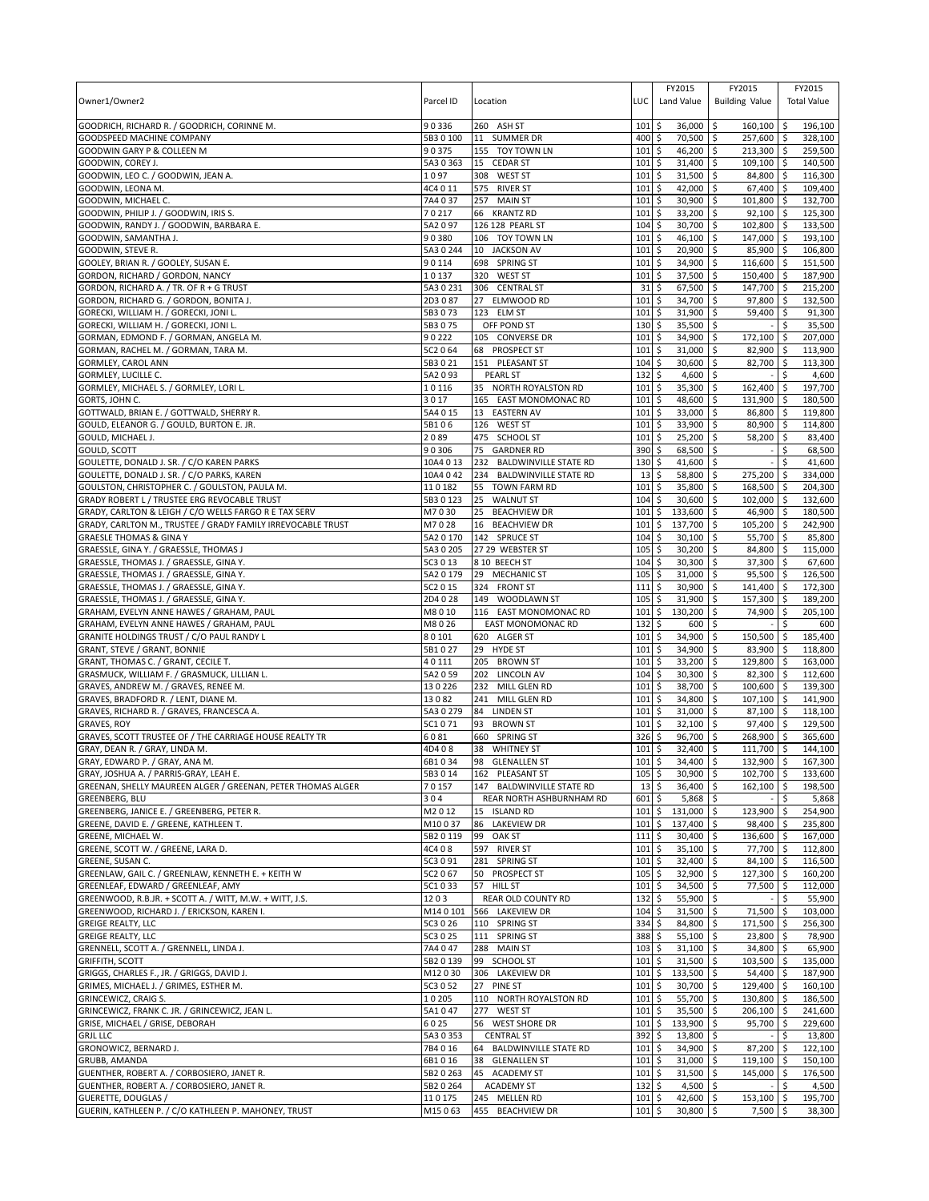|                                                                                             |                    |                                                        |             | FY2015                               | FY2015                           | FY2015                                |
|---------------------------------------------------------------------------------------------|--------------------|--------------------------------------------------------|-------------|--------------------------------------|----------------------------------|---------------------------------------|
| Owner1/Owner2                                                                               | Parcel ID          | Location                                               | LUC         | Land Value                           | <b>Building Value</b>            | <b>Total Value</b>                    |
| GOODRICH, RICHARD R. / GOODRICH, CORINNE M.                                                 | 90336              | 260 ASH ST                                             | 101         | \$<br>$36,000$ \$                    | 160,100                          | 196,100<br><b>S</b>                   |
| GOODSPEED MACHINE COMPANY                                                                   | 5B3 0 100          | 11 SUMMER DR                                           | 400         | \$<br>70,500                         | 257,600 \$<br>l\$                | 328,100                               |
| GOODWIN GARY P & COLLEEN M                                                                  | 90375              | 155 TOY TOWN LN                                        | 101         | 46,200 \$<br>\$                      | 213,300 \$                       | 259,500                               |
| GOODWIN, COREY J.                                                                           | 5A3 0 363          | 15 CEDAR ST                                            | 101         | \$<br>31,400                         | \$<br>109,100                    | \$<br>140,500                         |
| GOODWIN, LEO C. / GOODWIN, JEAN A.                                                          | 1097               | 308 WEST ST                                            | 101         | 31,500<br>\$                         | 84,800<br>Ŝ.                     | 116,300<br>l\$                        |
| GOODWIN, LEONA M.                                                                           | 4C4 0 11           | 575 RIVER ST                                           | 101         | \$<br>42,000                         | \$<br>67,400                     | l\$<br>109,400                        |
| GOODWIN, MICHAEL C.<br>GOODWIN, PHILIP J. / GOODWIN, IRIS S.                                | 7A4 0 37<br>70217  | 257 MAIN ST<br>66 KRANTZ RD                            | 101<br>101  | \$<br>30,900<br>\$<br>33,200         | 101,800<br>\$<br>\$<br>92,100    | 132,700<br>ا \$<br>125,300<br>l\$     |
| GOODWIN, RANDY J. / GOODWIN, BARBARA E.                                                     | 5A2097             | 126 128 PEARL ST                                       | 104         | \$<br>30,700                         | l\$<br>102,800                   | l \$<br>133,500                       |
| GOODWIN, SAMANTHA J.                                                                        | 90380              | 106 TOY TOWN LN                                        | 101         | \$<br>46,100                         | 147,000 \$<br>l\$                | 193,100                               |
| GOODWIN, STEVE R.                                                                           | 5A3 0 244          | 10 JACKSON AV                                          | 101         | \$<br>$20,900$ \$                    | 85,900                           | l \$<br>106.800                       |
| GOOLEY, BRIAN R. / GOOLEY, SUSAN E.                                                         | 90114              | 698 SPRING ST                                          | 101         | \$<br>34,900                         | 116,600<br>\$                    | 151,500<br>∣\$                        |
| GORDON, RICHARD / GORDON, NANCY                                                             | 10137              | 320<br><b>WEST ST</b>                                  | 101         | 37,500<br>\$                         | 150.400<br>\$                    | 187,900<br>l \$                       |
| GORDON, RICHARD A. / TR. OF R + G TRUST                                                     | 5A3 0 231          | 306 CENTRAL ST                                         | 31          | \$<br>67,500                         | \$<br>147,700                    | ۱\$<br>215,200                        |
| GORDON, RICHARD G. / GORDON, BONITA J.                                                      | 2D3087             | 27 ELMWOOD RD                                          | 101         | \$<br>34,700 \$                      | 97,800 \$                        | 132,500                               |
| GORECKI, WILLIAM H. / GORECKI, JONI L.                                                      | 5B3073             | 123 ELM ST                                             | 101         | \$<br>31,900                         | l\$<br>59,400                    | l \$<br>91,300                        |
| GORECKI, WILLIAM H. / GORECKI, JONI L.                                                      | 5B3075             | OFF POND ST                                            | 130         | \$<br>35,500 \$                      |                                  | $\mathsf{\hat{S}}$<br>35,500          |
| GORMAN, EDMOND F. / GORMAN, ANGELA M.<br>GORMAN, RACHEL M. / GORMAN, TARA M.                | 90222<br>5C2 0 64  | 105 CONVERSE DR<br>68 PROSPECT ST                      | 101<br>101  | \$<br>34,900 \$<br>\$<br>31,000      | 172,100<br>l\$<br>82,900         | 207,000<br>l\$<br>۱\$<br>113,900      |
| GORMLEY, CAROL ANN                                                                          | 5B3021             | 151 PLEASANT ST                                        | 104         | \$<br>30,600                         | \$<br>82,700                     | l \$<br>113,300                       |
| GORMLEY, LUCILLE C.                                                                         | 5A2093             | <b>PEARL ST</b>                                        | 132         | \$<br>4,600                          | l \$                             | \$<br>4,600                           |
| GORMLEY, MICHAEL S. / GORMLEY, LORI L.                                                      | 10116              | 35 NORTH ROYALSTON RD                                  | 101         | \$<br>35,300                         | \$<br>162,400                    | 197,700<br>∣\$                        |
| GORTS, JOHN C.                                                                              | 3017               | 165 EAST MONOMONAC RD                                  | 101         | \$<br>48,600                         | \$<br>131,900                    | 180,500<br>∣\$                        |
| GOTTWALD, BRIAN E. / GOTTWALD, SHERRY R.                                                    | 5A4 0 15           | 13 EASTERN AV                                          | 101         | 33,000<br>\$                         | 86,800<br>∣\$                    | 119,800<br>l\$                        |
| GOULD, ELEANOR G. / GOULD, BURTON E. JR.                                                    | 5B106              | 126 WEST ST                                            | 101         | \$<br>33,900                         | l\$<br>80,900                    | l\$<br>114,800                        |
| GOULD, MICHAEL J.                                                                           | 2089               | 475 SCHOOL ST                                          | 101         | \$<br>25,200                         | 58,200<br>∣\$                    | ۱\$<br>83,400                         |
| GOULD, SCOTT                                                                                | 90306              | 75<br><b>GARDNER RD</b>                                | 390         | 68,500<br>\$                         | \$                               | \$<br>68,500                          |
| GOULETTE, DONALD J. SR. / C/O KAREN PARKS                                                   | 10A4013            | 232 BALDWINVILLE STATE RD                              | 130         | 41,600<br>\$                         | l\$                              | Ŝ.<br>41,600                          |
| GOULETTE, DONALD J. SR. / C/O PARKS, KAREN<br>GOULSTON, CHRISTOPHER C. / GOULSTON, PAULA M. | 10A4 042<br>110182 | 234 BALDWINVILLE STATE RD<br>55<br><b>TOWN FARM RD</b> | 13<br>101   | 58,800<br>\$<br>35,800<br>\$         | \$<br>275,200<br>l\$<br>168,500  | 334,000<br><b>S</b><br>204,300<br>∣\$ |
| GRADY ROBERT L / TRUSTEE ERG REVOCABLE TRUST                                                | 5B30123            | 25<br><b>WALNUT ST</b>                                 | 104         | \$<br>30,600                         | \$<br>102,000                    | 132,600<br>l \$                       |
| GRADY, CARLTON & LEIGH / C/O WELLS FARGO R E TAX SERV                                       | M7030              | 25<br><b>BEACHVIEW DR</b>                              | 101         | 133,600<br>\$                        | 46,900<br>Ŝ.                     | 180,500<br><b>S</b>                   |
| GRADY, CARLTON M., TRUSTEE / GRADY FAMILY IRREVOCABLE TRUST                                 | M7028              | 16<br><b>BEACHVIEW DR</b>                              | 101         | \$<br>137,700                        | \$<br>$105,200$ \$               | 242,900                               |
| <b>GRAESLE THOMAS &amp; GINA Y</b>                                                          | 5A2 0 170          | 142 SPRUCE ST                                          | 104         | \$<br>30,100                         | \$<br>55,700                     | l \$<br>85,800                        |
| GRAESSLE, GINA Y. / GRAESSLE, THOMAS J                                                      | 5A3 0 205          | 27 29 WEBSTER ST                                       | 105         | \$<br>30,200                         | 84,800<br>\$                     | $\sqrt{5}$<br>115,000                 |
| GRAESSLE, THOMAS J. / GRAESSLE, GINA Y.                                                     | 5C3 0 13           | 8 10 BEECH ST                                          | 104         | \$<br>30,300                         | 37,300<br>l\$                    | l\$<br>67,600                         |
| GRAESSLE, THOMAS J. / GRAESSLE, GINA Y.                                                     | 5A2 0 179          | <b>MECHANIC ST</b><br>29                               | 105         | \$<br>31,000                         | 95,500 \$<br>l \$                | 126,500                               |
| GRAESSLE, THOMAS J. / GRAESSLE, GINA Y.                                                     | 5C2 0 15           | 324 FRONT ST                                           | 111         | \$<br>30,900                         | \$<br>141,400                    | l \$<br>172,300                       |
| GRAESSLE, THOMAS J. / GRAESSLE, GINA Y.                                                     | 2D4028             | 149<br>WOODLAWN ST                                     | 105         | \$<br>31,900<br>130,200              | \$<br>157,300<br>74,900<br>l \$  | 189,200<br>-\$                        |
| GRAHAM, EVELYN ANNE HAWES / GRAHAM, PAUL<br>GRAHAM, EVELYN ANNE HAWES / GRAHAM, PAUL        | M8010<br>M8026     | 116 EAST MONOMONAC RD<br>EAST MONOMONAC RD             | 101<br>132  | \$<br>\$<br>600                      | l\$                              | 205,100<br>۱\$<br>\$<br>600           |
| GRANITE HOLDINGS TRUST / C/O PAUL RANDY L                                                   | 80101              | 620 ALGER ST                                           | 101         | \$<br>34,900                         | l\$<br>150,500                   | 185,400<br>∣\$                        |
| GRANT, STEVE / GRANT, BONNIE                                                                | 5B1027             | 29 HYDE ST                                             | 101         | \$<br>34,900                         | \$<br>83,900                     | 118,800<br>l\$                        |
| GRANT, THOMAS C. / GRANT, CECILE T.                                                         | 40111              | 205 BROWN ST                                           | 101         | \$<br>33,200                         | l \$<br>129,800                  | l \$<br>163,000                       |
| GRASMUCK, WILLIAM F. / GRASMUCK, LILLIAN L.                                                 | 5A2 0 59           | 202 LINCOLN AV                                         | 104         | \$<br>30,300                         | l\$<br>82,300 \$                 | 112,600                               |
| GRAVES, ANDREW M. / GRAVES, RENEE M.                                                        | 130226             | 232 MILL GLEN RD                                       | 101         | \$<br>38,700                         | \$<br>100,600                    | 139,300<br><b>S</b>                   |
| GRAVES, BRADFORD R. / LENT, DIANE M.                                                        | 13082              | 241 MILL GLEN RD                                       | 101         | \$<br>34,800                         | 107,100<br>∣\$                   | 141,900<br>l \$                       |
| GRAVES, RICHARD R. / GRAVES, FRANCESCA A.                                                   | 5A30279            | 84<br><b>LINDEN ST</b>                                 | 101         | \$<br>31,000                         | 87,100 \$<br>l \$                | 118,100                               |
| <b>GRAVES, ROY</b><br>GRAVES, SCOTT TRUSTEE OF / THE CARRIAGE HOUSE REALTY TR               | 5C1071<br>6081     | 93<br><b>BROWN ST</b><br>660 SPRING ST                 | 101<br>326  | \$<br>32,100<br>\$<br>96,700         | \$<br>97,400 \$<br>\$<br>268.900 | 129,500<br>365.600                    |
| GRAY, DEAN R. / GRAY, LINDA M.                                                              | 4D408              | 38<br><b>WHITNEY ST</b>                                | 101         | \$<br>32,400 \$                      | 111,700 \$                       | 144,100                               |
| GRAY, FDWARD P. / GRAY, ANA M.                                                              | 6B1 0 34           | 98 GLENALLEN ST                                        | 101S        | 34.400 \$                            | 132.900 \$                       | 167.300                               |
| GRAY, JOSHUA A. / PARRIS-GRAY, LEAH E.                                                      | 5B3014             | 162 PLEASANT ST                                        | 105         | 30,900<br>\$                         | \$<br>102,700 \$                 | 133,600                               |
| GREENAN, SHELLY MAUREEN ALGER / GREENAN, PETER THOMAS ALGER                                 | 70157              | 147 BALDWINVILLE STATE RD                              | 13          | \$<br>36,400                         | <b>S</b><br>162,100              | $\sqrt{5}$<br>198,500                 |
| GREENBERG, BLU                                                                              | 304                | REAR NORTH ASHBURNHAM RD                               | 601         | \$<br>5,868                          | <b>S</b>                         | \$<br>5,868                           |
| GREENBERG, JANICE E. / GREENBERG, PETER R.                                                  | M2012              | 15 ISLAND RD                                           | 101         | \$<br>131,000 \$                     | 123,900 \$                       | 254,900                               |
| GREENE, DAVID E. / GREENE, KATHLEEN T.                                                      | M10037             | <b>LAKEVIEW DR</b><br>86                               | 101         | 137,400 \$<br>\$                     | 98,400                           | ۱\$<br>235,800                        |
| GREENE, MICHAEL W.                                                                          | 5B2 0 119          | 99<br>OAK ST<br>597 RIVER ST                           | 111         | \$<br>30,400                         | 136,600<br>\$                    | \$<br>167,000                         |
| GREENE, SCOTT W. / GREENE, LARA D.<br>GREENE, SUSAN C.                                      | 4C408<br>5C3 0 91  | 281 SPRING ST                                          | 101<br>101  | \$<br>$35,100$ \$<br>\$<br>32,400 \$ | 77,700 \$<br>84,100 \$           | 112,800<br>116,500                    |
| GREENLAW, GAIL C. / GREENLAW, KENNETH E. + KEITH W                                          | 5C2 0 67           | 50 PROSPECT ST                                         | 105         | \$<br>$32,900$ \$                    | 127,300 \$                       | 160,200                               |
| GREENLEAF, EDWARD / GREENLEAF, AMY                                                          | 5C1033             | 57 HILL ST                                             | 101         | \$<br>34,500 \$                      | 77,500                           | $\sqrt{5}$<br>112,000                 |
| GREENWOOD, R.B.JR. + SCOTT A. / WITT, M.W. + WITT, J.S.                                     | 1203               | REAR OLD COUNTY RD                                     | 132         | \$<br>$55,900$ \$                    |                                  | \$<br>55,900                          |
| GREENWOOD, RICHARD J. / ERICKSON, KAREN I.                                                  | M140101            | 566 LAKEVIEW DR                                        | 104         | \$<br>31,500 \$                      | 71,500 \$                        | 103,000                               |
| <b>GREIGE REALTY, LLC</b>                                                                   | 5C3 0 26           | 110 SPRING ST                                          | 334         | \$<br>84,800 \$                      | 171,500 \$                       | 256,300                               |
| <b>GREIGE REALTY, LLC</b>                                                                   | 5C3 0 25           | 111 SPRING ST                                          | 388         | \$<br>$55,100$ \$                    | 23,800                           | ۱\$<br>78,900                         |
| GRENNELL, SCOTT A. / GRENNELL, LINDA J.                                                     | 7A4047             | 288 MAIN ST                                            | 103         | $\ddot{\circ}$<br>$31,100$ \$        | 34,800 \$                        | 65,900                                |
| <b>GRIFFITH, SCOTT</b>                                                                      | 5B2 0 139          | 99 SCHOOL ST                                           | 101         | \$<br>$31,500$ \$                    | $103,500$ \$                     | 135,000                               |
| GRIGGS, CHARLES F., JR. / GRIGGS, DAVID J.<br>GRIMES, MICHAEL J. / GRIMES, ESTHER M.        | M12030<br>5C3 0 52 | 306 LAKEVIEW DR<br>27<br><b>PINE ST</b>                | 101<br>101  | \$<br>133,500 \$<br>\$<br>30,700 \$  | 54,400 \$<br>129,400 \$          | 187,900<br>160,100                    |
| GRINCEWICZ, CRAIG S.                                                                        | 10205              | 110 NORTH ROYALSTON RD                                 | 101         | \$<br>55,700 \$                      | 130,800 \$                       | 186,500                               |
| GRINCEWICZ, FRANK C. JR. / GRINCEWICZ, JEAN L.                                              | 5A1047             | 277 WEST ST                                            | $101 \,$ \$ | 35,500 \$                            | 206,100 \$                       | 241,600                               |
| GRISE, MICHAEL / GRISE, DEBORAH                                                             | 6025               | 56 WEST SHORE DR                                       | 101         | \$<br>133,900 \$                     | 95,700                           | $\sqrt{5}$<br>229,600                 |
| <b>GRJL LLC</b>                                                                             | 5A3 0 353          | <b>CENTRAL ST</b>                                      | 392         | \$<br>13,800 \$                      |                                  | -\$<br>13,800                         |
| GRONOWICZ, BERNARD J.                                                                       | 7B4016             | 64 BALDWINVILLE STATE RD                               | 101         | \$<br>34,900 \$                      | $87,200$ \$                      | 122,100                               |
| GRUBB, AMANDA                                                                               | 6B1016             | 38 GLENALLEN ST                                        | 101         | \$<br>31,000 \$                      | 119,100 \$                       | 150,100                               |
| GUENTHER, ROBERT A. / CORBOSIERO, JANET R.                                                  | 5B2 0 263          | <b>ACADEMY ST</b><br>45                                | 101         | \$<br>31,500                         | \$<br>145,000                    | $\ddot{\varsigma}$<br>176,500         |
| GUENTHER, ROBERT A. / CORBOSIERO, JANET R.                                                  | 5B2 0 264          | <b>ACADEMY ST</b>                                      | 132         | 4,500 \$<br>\$                       |                                  | \$<br>4,500                           |
| GUERETTE, DOUGLAS /<br>GUERIN, KATHLEEN P. / C/O KATHLEEN P. MAHONEY, TRUST                 | 110175<br>M15063   | 245 MELLEN RD<br>455 BEACHVIEW DR                      | 101<br>101  | \$<br>42,600 \$<br>30,800 \$<br>\$   | 153,100<br>$7,500$ \$            | l\$<br>195,700<br>38,300              |
|                                                                                             |                    |                                                        |             |                                      |                                  |                                       |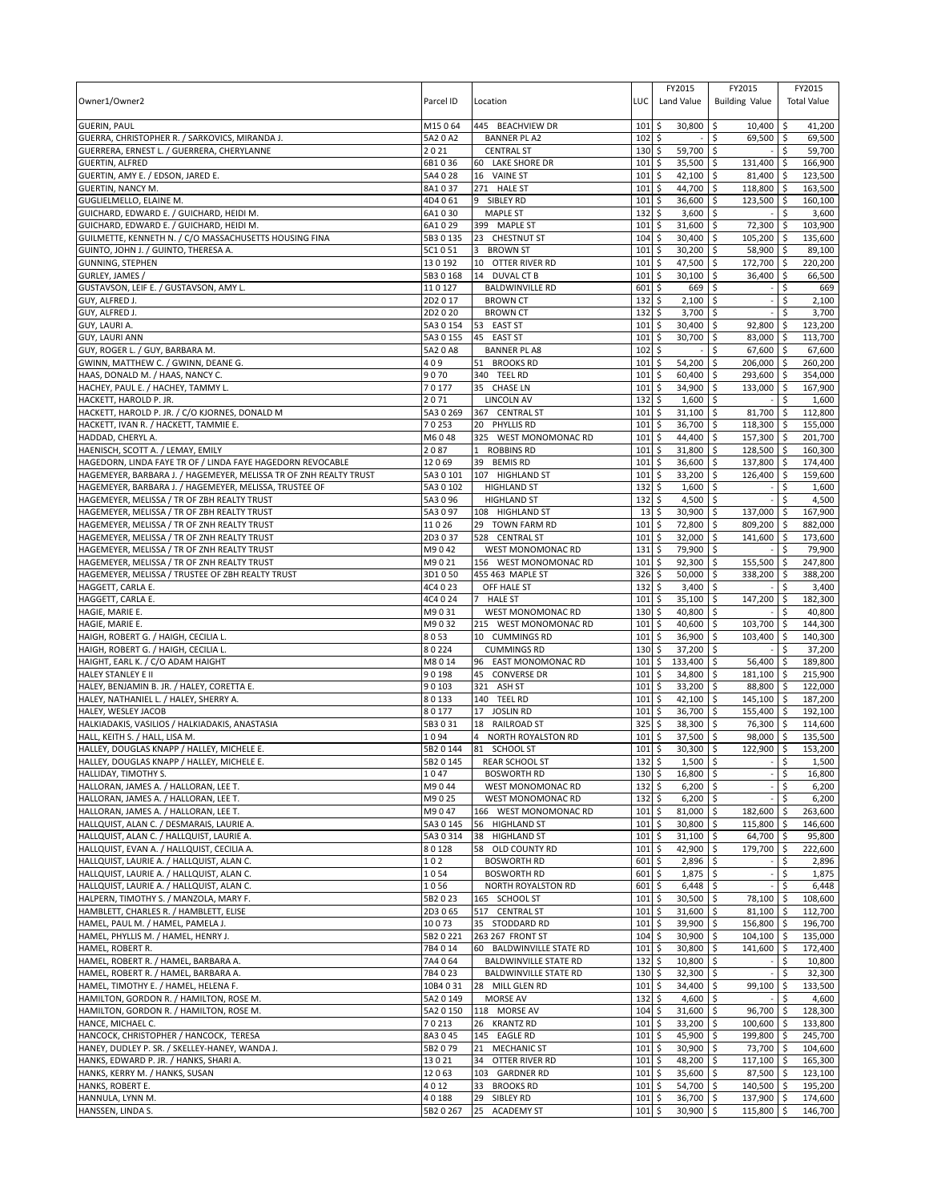| Owner1/Owner2                                                                                | Parcel ID          | Location                                   | LUC         | FY2015<br>Land Value                  | FY2015<br><b>Building Value</b> |             | FY2015<br><b>Total Value</b> |
|----------------------------------------------------------------------------------------------|--------------------|--------------------------------------------|-------------|---------------------------------------|---------------------------------|-------------|------------------------------|
| <b>GUERIN, PAUL</b>                                                                          | M15064             | 445 BEACHVIEW DR<br><b>BANNER PL A2</b>    | 101         | \$<br>30,800                          | \$<br>10,400                    | ۱\$         | 41,200                       |
| GUERRA, CHRISTOPHER R. / SARKOVICS, MIRANDA J.<br>GUERRERA, ERNEST L. / GUERRERA, CHERYLANNE | 5A2 0 A2<br>2021   | <b>CENTRAL ST</b>                          | 102<br>130  | \$<br>\$<br>59,700                    | 69,500 \$<br>\$<br>\$           | \$          | 69,500<br>59,700             |
| <b>GUERTIN, ALFRED</b>                                                                       | 6B1036             | 60 LAKE SHORE DR                           | 101         | \$<br>35,500                          | \$<br>131,400                   | -\$         | 166,900                      |
| GUERTIN, AMY E. / EDSON, JARED E.                                                            | 5A4 0 28           | 16 VAINE ST                                | 101         | 42,100<br>\$                          | 81,400<br>\$                    | ۱\$         | 123,500                      |
| <b>GUERTIN, NANCY M.</b>                                                                     | 8A1037             | 271 HALE ST                                | 101         | \$<br>44,700                          | \$<br>118,800                   | ۱\$         | 163,500                      |
| GUGLIELMELLO, ELAINE M.                                                                      | 4D4061             | 9 SIBLEY RD                                | 101         | 36,600<br>\$                          | \$<br>123,500                   | ا \$        | 160,100                      |
| GUICHARD, EDWARD E. / GUICHARD, HEIDI M                                                      | 6A1 0 30           | <b>MAPLE ST</b>                            | 132         | \$<br>3,600                           | \$                              | \$          | 3,600                        |
| GUICHARD, EDWARD E. / GUICHARD, HEIDI M.                                                     | 6A1029             | 399 MAPLE ST                               | 101         | \$<br>31,600                          | \$<br>72,300                    | \$          | 103,900                      |
| GUILMETTE, KENNETH N. / C/O MASSACHUSETTS HOUSING FINA                                       | 5B3 0 135          | 23 CHESTNUT ST                             | 104         | \$<br>30,400                          | 105,200 \$<br>-\$               |             | 135,600                      |
| GUINTO, JOHN J. / GUINTO, THERESA A.<br><b>GUNNING, STEPHEN</b>                              | 5C1051<br>130192   | <b>BROWN ST</b><br>3<br>10 OTTER RIVER RD  | 101<br>101  | 30,200<br>\$<br>\$<br>47,500          | \$<br>58,900<br>172,700<br>\$   | ∣\$<br>l \$ | 89,100<br>220,200            |
| GURLEY, JAMES                                                                                | 5B3 0 168          | 14 DUVAL CT B                              | 101         | 30,100<br>\$                          | \$<br>36.400                    | \$          | 66,500                       |
| GUSTAVSON, LEIF E. / GUSTAVSON, AMY L.                                                       | 110127             | <b>BALDWINVILLE RD</b>                     | 601         | \$<br>669                             | \$                              | \$          | 669                          |
| GUY, ALFRED J.                                                                               | 2D2017             | <b>BROWN CT</b>                            | 132         | \$<br>2,100                           | $\ddot{\circ}$                  | \$          | 2,100                        |
| GUY, ALFRED J.                                                                               | 2D2020             | <b>BROWN CT</b>                            | 132         | \$<br>3,700                           | -\$                             | \$          | 3,700                        |
| GUY, LAURI A.                                                                                | 5A3 0 154          | 53 EAST ST                                 | 101         | \$<br>30,400                          | Ŝ.<br>92,800                    | -\$         | 123,200                      |
| <b>GUY, LAURI ANN</b>                                                                        | 5A3 0 155          | 45 EAST ST                                 | 101         | \$<br>30,700                          | 83,000 \$<br>-\$                |             | 113,700                      |
| GUY, ROGER L. / GUY, BARBARA M.                                                              | 5A2 0 A8           | <b>BANNER PL A8</b>                        | 102         | \$                                    | \$<br>67,600                    | l \$        | 67,600                       |
| GWINN, MATTHEW C. / GWINN, DEANE G.                                                          | 409                | 51 BROOKS RD                               | 101         | \$<br>54,200                          | \$<br>206,000                   | ۱\$         | 260,200                      |
| HAAS, DONALD M. / HAAS, NANCY C.                                                             | 9070               | 340 TEEL RD                                | 101         | 60,400<br>\$                          | 293,600 \$<br>\$                |             | 354,000                      |
| HACHEY, PAUL E. / HACHEY, TAMMY L.<br>HACKETT, HAROLD P. JR.                                 | 70177<br>2071      | 35 CHASE LN<br><b>LINCOLN AV</b>           | 101<br>132  | \$<br>34,900<br>\$<br>1,600           | \$<br>133,000<br>\$             | \$          | 167,900<br>1,600             |
| HACKETT, HAROLD P. JR. / C/O KJORNES, DONALD M                                               | 5A3 0 269          | 367 CENTRAL ST                             | 101         | \$<br>31,100                          | 81,700<br>-\$                   | ∣\$         | 112,800                      |
| HACKETT, IVAN R. / HACKETT, TAMMIE E.                                                        | 70253              | 20 PHYLLIS RD                              | 101         | \$<br>36,700                          | \$<br>118,300                   | l\$         | 155,000                      |
| HADDAD, CHERYL A.                                                                            | M6048              | 325 WEST MONOMONAC RD                      | 101         | \$<br>44,400                          | 157,300 \$<br>-\$               |             | 201,700                      |
| HAENISCH, SCOTT A. / LEMAY, EMILY                                                            | 2087               | $\mathbf{1}$<br><b>ROBBINS RD</b>          | 101         | \$<br>31,800                          | \$<br>128,500                   | <b>S</b>    | 160,300                      |
| HAGEDORN, LINDA FAYE TR OF / LINDA FAYE HAGEDORN REVOCABLE                                   | 12069              | 39<br><b>BEMIS RD</b>                      | 101         | 36,600<br>\$                          | \$<br>137,800                   | ۱\$         | 174,400                      |
| HAGEMEYER, BARBARA J. / HAGEMEYER, MELISSA TR OF ZNH REALTY TRUST                            | 5A3 0 101          | 107 HIGHLAND ST                            | 101         | \$<br>33,200                          | S.<br>126,400                   | l\$         | 159,600                      |
| HAGEMEYER, BARBARA J. / HAGEMEYER, MELISSA, TRUSTEE OF                                       | 5A3 0 102          | <b>HIGHLAND ST</b>                         | 132         | \$<br>1,600                           | \$                              | \$          | 1,600                        |
| HAGEMEYER, MELISSA / TR OF ZBH REALTY TRUST                                                  | 5A3 0 96           | <b>HIGHLAND ST</b>                         | 132         | \$<br>4,500                           | \$                              |             | 4,500                        |
| HAGEMEYER, MELISSA / TR OF ZBH REALTY TRUST                                                  | 5A3097             | 108 HIGHLAND ST                            | 13          | 30,900<br>\$                          | \$<br>137,000                   | \$          | 167,900                      |
| HAGEMEYER, MELISSA / TR OF ZNH REALTY TRUST<br>HAGEMEYER, MELISSA / TR OF ZNH REALTY TRUST   | 11026<br>2D3037    | 29 TOWN FARM RD<br>528 CENTRAL ST          | 101<br>101  | \$<br>72,800<br>32,000<br>\$          | \$<br>809,200<br>\$<br>141,600  | l \$        | 882,000<br>173,600           |
| HAGEMEYER, MELISSA / TR OF ZNH REALTY TRUST                                                  | M9042              | WEST MONOMONAC RD                          | 131         | \$<br>79,900                          | Ŝ.                              | -\$<br>\$   | 79,900                       |
| HAGEMEYER, MELISSA / TR OF ZNH REALTY TRUST                                                  | M9021              | 156 WEST MONOMONAC RD                      | 101         | \$<br>92,300                          | Ŝ.<br>155,500                   | \$          | 247,800                      |
| HAGEMEYER, MELISSA / TRUSTEE OF ZBH REALTY TRUST                                             | 3D1050             | 455 463 MAPLE ST                           | 326         | \$<br>50,000                          | 338,200<br>\$                   | -\$         | 388,200                      |
| HAGGETT, CARLA E.                                                                            | 4C4 0 23           | OFF HALE ST                                | 132         | \$<br>3,400                           | \$                              | \$          | 3,400                        |
| HAGGETT, CARLA E.                                                                            | 4C4 0 24           | $\overline{7}$<br><b>HALE ST</b>           | 101         | \$<br>35,100                          | 147,200<br>\$                   | \$          | 182,300                      |
| HAGIE, MARIE E.                                                                              | M9031              | <b>WEST MONOMONAC RD</b>                   | 130         | 40,800<br>\$                          | S.                              | \$.         | 40,800                       |
| HAGIE, MARIE E.                                                                              | M9032              | 215 WEST MONOMONAC RD                      | 101         | \$<br>40,600                          | \$<br>103,700                   | l \$        | 144,300                      |
| HAIGH, ROBERT G. / HAIGH, CECILIA L.                                                         | 8053               | 10 CUMMINGS RD                             | 101         | \$<br>36,900                          | \$<br>103,400                   | ا \$        | 140,300                      |
| HAIGH, ROBERT G. / HAIGH, CECILIA L.                                                         | 80224              | <b>CUMMINGS RD</b>                         | 130         | \$<br>37,200                          | -\$                             | Ŝ.          | 37,200                       |
| HAIGHT, EARL K. / C/O ADAM HAIGHT                                                            | M8014<br>90198     | 96 EAST MONOMONAC RD<br>45 CONVERSE DR     | 101<br>101  | \$<br>133,400<br>\$<br>34,800         | \$<br>56,400<br>181,100 \$      | l\$         | 189,800<br>215,900           |
| <b>HALEY STANLEY E II</b><br>HALEY, BENJAMIN B. JR. / HALEY, CORETTA E.                      | 90103              | 321 ASH ST                                 | 101         | \$<br>33,200                          | \$<br>\$<br>88,800              | <b>S</b>    | 122.000                      |
| HALEY, NATHANIEL L. / HALEY, SHERRY A.                                                       | 80133              | 140 TEEL RD                                | 101         | \$<br>42,100                          | 145,100<br>-\$                  | l \$        | 187,200                      |
| HALEY, WESLEY JACOB                                                                          | 80177              | 17<br><b>JOSLIN RD</b>                     | 101         | 36,700<br>\$                          | 155,400<br>S.                   | I\$         | 192,100                      |
| HALKIADAKIS, VASILIOS / HALKIADAKIS, ANASTASIA                                               | 5B3031             | 18 RAILROAD ST                             | 325         | \$<br>38,300                          | \$<br>76,300                    | ا \$        | 114,600                      |
| HALL, KEITH S. / HALL, LISA M.                                                               | 1094               | NORTH ROYALSTON RD                         | 101         | \$<br>37,500                          | 98,000<br>\$                    |             | 135,500                      |
| HALLEY, DOUGLAS KNAPP / HALLEY, MICHELE E.                                                   | 5B2 0 144          | 81 SCHOOL ST                               | 101         | \$<br>30,300                          | 122,900<br>-\$                  | l \$        | 153,200                      |
| HALLEY, DOUGLAS KNAPP / HALLEY, MICHELE E.                                                   |                    | 5B2 0 145 REAR SCHOOL ST                   | 1325        | $1.500$ \$                            |                                 | l \$        | 1.500                        |
| HALLIDAY, TIMOTHY S.                                                                         | 1047               | <b>BOSWORTH RD</b>                         | $130 \;$ \$ | 16,800 \$                             |                                 | \$          | 16,800                       |
| HALLORAN, JAMES A. / HALLORAN, LEE T.<br>HALLORAN, JAMES A. / HALLORAN, LEE T.               | M9044              | <b>WEST MONOMONAC RD</b>                   | $132 \;$ \$ | $6,200$ \$<br>$6,200$ \$              |                                 | \$<br>Ŝ.    | 6,200                        |
| HALLORAN, JAMES A. / HALLORAN, LEE T.                                                        | M9025<br>M9047     | WEST MONOMONAC RD<br>166 WEST MONOMONAC RD | 132<br>101  | \$<br>\$<br>81,000 \$                 | 182,600 \$                      |             | 6,200<br>263,600             |
| HALLQUIST, ALAN C. / DESMARAIS, LAURIE A.                                                    | 5A3 0 145          | 56 HIGHLAND ST                             | 101         | \$<br>30,800 \$                       | 115,800                         | <b>S</b>    | 146,600                      |
| HALLQUIST, ALAN C. / HALLQUIST, LAURIE A.                                                    | 5A30314            | 38 HIGHLAND ST                             | 101         | \$<br>31,100                          | 64,700<br>-\$                   | l \$        | 95,800                       |
| HALLQUIST, EVAN A. / HALLQUIST, CECILIA A.                                                   | 80128              | 58 OLD COUNTY RD                           | 101         | \$<br>42,900 \$                       | 179,700 \$                      |             | 222,600                      |
| HALLQUIST, LAURIE A. / HALLQUIST, ALAN C.                                                    | 102                | <b>BOSWORTH RD</b>                         | 601         | \$<br>2,896                           | \$                              | \$          | 2,896                        |
| HALLQUIST, LAURIE A. / HALLQUIST, ALAN C.                                                    | 1054               | <b>BOSWORTH RD</b>                         | 601         | \$<br>$1,875$ \$                      |                                 | \$          | 1,875                        |
| HALLQUIST, LAURIE A. / HALLQUIST, ALAN C.                                                    | 1056               | NORTH ROYALSTON RD                         | 601         | \$<br>$6,448$ \$                      |                                 | \$          | 6,448                        |
| HALPERN, TIMOTHY S. / MANZOLA, MARY F.                                                       | 5B2 0 23           | 165 SCHOOL ST                              | 101         | \$<br>$30,500$ \$                     | 78,100                          | l \$        | 108.600                      |
| HAMBLETT, CHARLES R. / HAMBLETT, ELISE                                                       | 2D3065             | 517 CENTRAL ST                             | 101         | \$<br>31,600 \$                       | 81,100 \$                       |             | 112,700                      |
| HAMEL, PAUL M. / HAMEL, PAMELA J.<br>HAMEL, PHYLLIS M. / HAMEL, HENRY J.                     | 10073<br>5B2 0 221 | 35 STODDARD RD<br>263 267 FRONT ST         | 101<br>104  | \$<br>$39,900$ \$<br>l\$<br>30,900 \$ | 156,800 \$<br>104,100 \$        |             | 196,700<br>135,000           |
| HAMEL, ROBERT R.                                                                             | 7B4 0 14           | 60 BALDWINVILLE STATE RD                   | 101         | \$<br>30,800 \$                       | 141,600 \$                      |             | 172,400                      |
| HAMEL, ROBERT R. / HAMEL, BARBARA A.                                                         | 7A4 064            | <b>BALDWINVILLE STATE RD</b>               | 132         | \$<br>10,800 \$                       |                                 | \$          | 10,800                       |
| HAMEL, ROBERT R. / HAMEL, BARBARA A.                                                         | 7B4023             | <b>BALDWINVILLE STATE RD</b>               | $130 \;$ \$ | 32,300 \$                             |                                 | \$          | 32,300                       |
| HAMEL, TIMOTHY E. / HAMEL, HELENA F.                                                         | 10B4 0 31          | 28 MILL GLEN RD                            | $101 \;$ \$ | 34,400 \$                             | 99,100                          | l \$        | 133,500                      |
| HAMILTON, GORDON R. / HAMILTON, ROSE M.                                                      | 5A2 0 149          | <b>MORSE AV</b>                            | $132 \,$ \$ | $4,600$ \$                            |                                 | -\$         | 4,600                        |
| HAMILTON, GORDON R. / HAMILTON, ROSE M.                                                      | 5A2 0 150          | 118 MORSE AV                               | $104 \,$ \$ | 31,600 \$                             | 96,700 \$                       |             | 128,300                      |
| HANCE, MICHAEL C.                                                                            | 70213              | 26 KRANTZ RD                               | 101         | \$<br>33,200                          | \$<br>100,600                   | <b>S</b>    | 133,800                      |
| HANCOCK, CHRISTOPHER / HANCOCK, TERESA                                                       | 8A3045             | 145 EAGLE RD                               | $101 \,$ \$ | 45,900 \$                             | 199,800 \$                      |             | 245,700                      |
| HANEY, DUDLEY P. SR. / SKELLEY-HANEY, WANDA J.                                               | 5B2079             | <b>MECHANIC ST</b><br>21                   | 101         | $\ddot{\circ}$<br>$30,900$ \$         | 73,700 \$                       |             | 104,600                      |
| HANKS, EDWARD P. JR. / HANKS, SHARI A.<br>HANKS, KERRY M. / HANKS, SUSAN                     | 13021<br>12063     | OTTER RIVER RD<br>34<br>103 GARDNER RD     | 101<br>101  | \$<br>48,200 \$<br>\$<br>35,600 \$    | $117,100$ \$<br>87,500 \$       |             | 165,300<br>123,100           |
| HANKS, ROBERT E.                                                                             | 4012               | 33<br><b>BROOKS RD</b>                     | 101         | 54,700 \$<br>\$                       | 140,500 \$                      |             | 195,200                      |
| HANNULA, LYNN M.                                                                             | 40188              | 29 SIBLEY RD                               | 101         | \$<br>$36,700$ \$                     | 137,900 \$                      |             | 174,600                      |
| HANSSEN, LINDA S.                                                                            | 5B2 0 267          | 25 ACADEMY ST                              | $101 \,$ \$ | 30,900 \$                             | 115,800 \$                      |             | 146,700                      |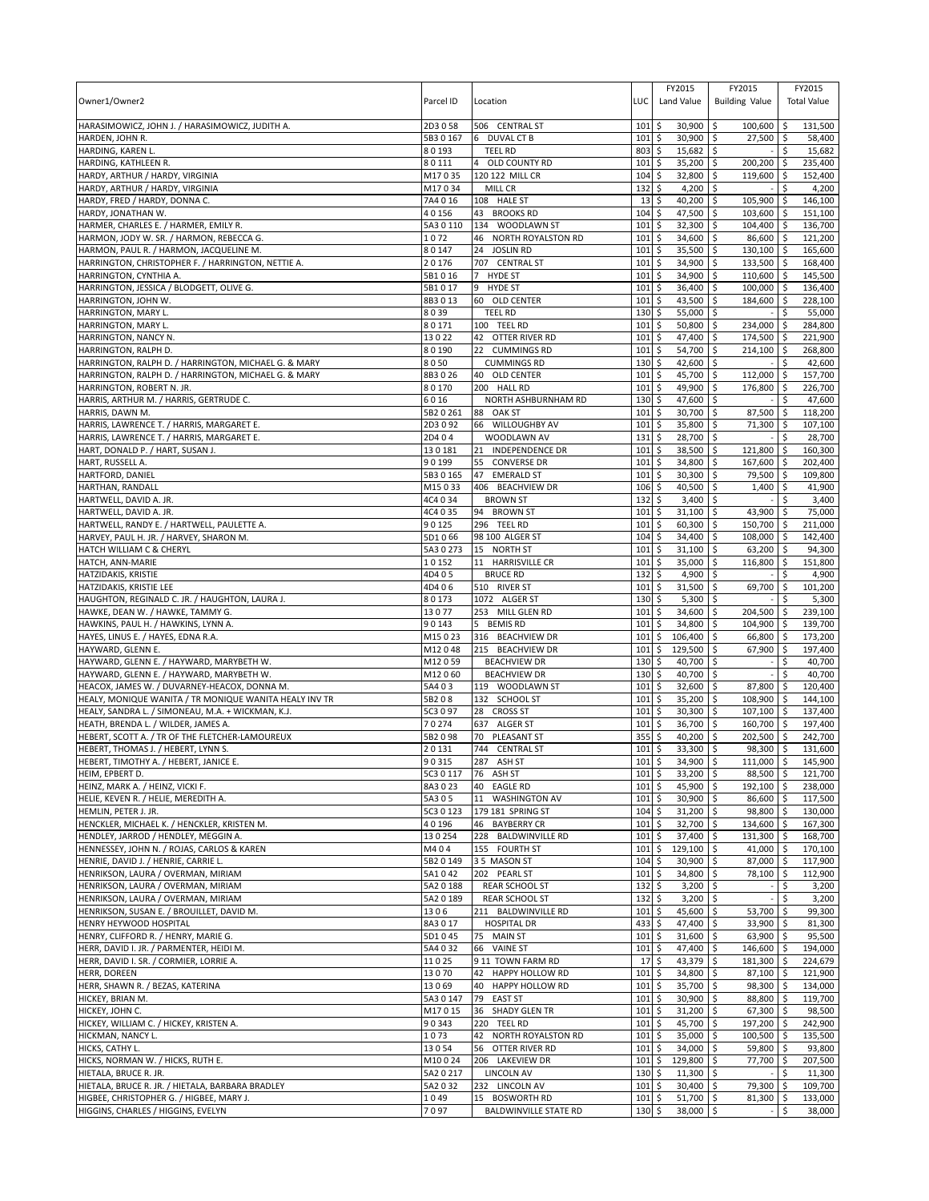| Owner1/Owner2                                                                                               | Parcel ID           | Location                                         | LUC         | FY2015<br>Land Value                | FY2015<br><b>Building Value</b>     |              | FY2015<br><b>Total Value</b> |
|-------------------------------------------------------------------------------------------------------------|---------------------|--------------------------------------------------|-------------|-------------------------------------|-------------------------------------|--------------|------------------------------|
| HARASIMOWICZ, JOHN J. / HARASIMOWICZ, JUDITH A.                                                             | 2D3058              | 506 CENTRAL ST                                   | 101         | \$<br>30,900                        | -\$<br>100,600                      | \$ ا         | 131,500                      |
| HARDEN, JOHN R.                                                                                             | 5B3 0 167           | 6 DUVAL CT B                                     | 101         | \$<br>30,900                        | 27,500 \$<br>\$                     |              | 58,400                       |
| HARDING, KAREN L.                                                                                           | 80193               | <b>TEEL RD</b>                                   | 803         | 15,682<br>\$                        | -\$                                 | \$           | 15,682                       |
| HARDING, KATHLEEN R.<br>HARDY, ARTHUR / HARDY, VIRGINIA                                                     | 80111<br>M17035     | OLD COUNTY RD<br>120 122 MILL CR                 | 101<br>104  | \$<br>35,200<br>32,800<br>\$        | \$<br>200,200<br>119,600<br>-\$     | -\$<br>\$    | 235,400<br>152,400           |
| HARDY, ARTHUR / HARDY, VIRGINIA                                                                             | M17034              | MILL CR                                          | 132         | \$<br>4,200                         | \$                                  | \$           | 4,200                        |
| HARDY, FRED / HARDY, DONNA C.                                                                               | 7A4 0 16            | 108 HALE ST                                      | 13          | \$<br>40,200                        | 105,900<br>\$                       | l \$         | 146,100                      |
| HARDY, JONATHAN W.                                                                                          | 40156               | 43 BROOKS RD                                     | 104         | \$<br>47,500                        | Ŝ.<br>103,600                       | l\$          | 151,100                      |
| HARMER, CHARLES E. / HARMER, EMILY R.                                                                       | 5A3 0 110           | 134 WOODLAWN ST                                  | 101         | \$<br>32,300                        | 104,400<br>\$                       | l \$         | 136,700                      |
| HARMON, JODY W. SR. / HARMON, REBECCA G.                                                                    | 1072                | 46 NORTH ROYALSTON RD                            | 101         | \$<br>34,600                        | -\$<br>86,600 \$                    |              | 121,200                      |
| HARMON, PAUL R. / HARMON, JACQUELINE M.<br>HARRINGTON, CHRISTOPHER F. / HARRINGTON, NETTIE A.               | 80147<br>20176      | 24 JOSLIN RD<br>707 CENTRAL ST                   | 101<br>101  | 35,500<br>\$<br>\$<br>34,900        | \$<br>$130,100$ \$<br>133,500<br>\$ | \$ ا         | 165,600<br>168,400           |
| HARRINGTON, CYNTHIA A.                                                                                      | 5B1016              | <b>HYDE ST</b><br>$7^{\circ}$                    | 101         | 34,900<br>\$                        | 110,600<br>\$                       | <b>S</b>     | 145,500                      |
| HARRINGTON, JESSICA / BLODGETT, OLIVE G.                                                                    | 5B1017              | 9<br><b>HYDE ST</b>                              | 101         | \$<br>36,400                        | \$<br>100,000                       | l\$          | 136,400                      |
| HARRINGTON, JOHN W.                                                                                         | 8B3013              | 60 OLD CENTER                                    | 101         | \$<br>43,500                        | 184,600<br>-\$                      | <b>S</b>     | 228,100                      |
| HARRINGTON, MARY L.                                                                                         | 8039                | <b>TEEL RD</b>                                   | 130         | \$<br>55,000                        | \$                                  | Ŝ.           | 55,000                       |
| HARRINGTON, MARY L                                                                                          | 80171               | 100 TEEL RD                                      | 101         | \$<br>50,800                        | $\mathsf{\hat{S}}$<br>234,000       | S.           | 284,800                      |
| HARRINGTON, NANCY N.<br>HARRINGTON, RALPH D.                                                                | 13022<br>80190      | 42 OTTER RIVER RD<br>22 CUMMINGS RD              | 101<br>101  | \$<br>47,400 \$<br>\$<br>54,700 \$  | 174,500 \$<br>214,100 \$            |              | 221,900<br>268,800           |
| HARRINGTON, RALPH D. / HARRINGTON, MICHAEL G. & MARY                                                        | 8050                | <b>CUMMINGS RD</b>                               | 130         | \$<br>42,600                        | \$                                  | Ŝ.           | 42,600                       |
| HARRINGTON, RALPH D. / HARRINGTON, MICHAEL G. & MARY                                                        | 8B3026              | 40 OLD CENTER                                    | 101         | \$<br>45,700 \$                     | 112,000                             | <b>S</b>     | 157,700                      |
| HARRINGTON, ROBERT N. JR.                                                                                   | 80170               | 200 HALL RD                                      | 101         | \$<br>49,900                        | \$<br>176,800                       | \$ ا         | 226,700                      |
| HARRIS, ARTHUR M. / HARRIS, GERTRUDE C.                                                                     | 6016                | NORTH ASHBURNHAM RD                              | 130         | \$<br>47,600                        | \$                                  |              | 47,600                       |
| HARRIS, DAWN M.                                                                                             | 5B2 0 261           | 88<br>OAK ST                                     | 101         | \$<br>30,700                        | 87,500<br>-\$                       | \$ ا         | 118,200                      |
| HARRIS, LAWRENCE T. / HARRIS, MARGARET E.<br>HARRIS, LAWRENCE T. / HARRIS, MARGARET E.                      | 2D3092<br>2D404     | 66 WILLOUGHBY AV<br>WOODLAWN AV                  | 101<br>131  | \$<br>35,800<br>\$<br>28,700        | \$<br>71,300<br>ا \$                | -\$<br>\$    | 107,100<br>28,700            |
| HART, DONALD P. / HART, SUSAN J.                                                                            | 130181              | <b>INDEPENDENCE DR</b><br>21                     | 101         | \$<br>38,500                        | \$<br>121,800                       | \$           | 160,300                      |
| HART, RUSSELL A.                                                                                            | 90199               | 55<br><b>CONVERSE DR</b>                         | 101         | 34,800<br>\$                        | \$<br>167,600                       | -\$          | 202,400                      |
| HARTFORD, DANIEL                                                                                            | 5B3 0 165           | 47 EMERALD ST                                    | 101         | \$<br>30,300                        | Ŝ.<br>79,500 \$                     |              | 109,800                      |
| HARTHAN, RANDALL                                                                                            | M15033              | 406 BEACHVIEW DR                                 | 106         | \$<br>40,500                        | 1,400<br>\$                         | \$           | 41,900                       |
| HARTWELL, DAVID A. JR.                                                                                      | 4C4 0 34            | <b>BROWN ST</b>                                  | 132         | \$<br>3,400                         | \$                                  |              | 3,400                        |
| HARTWELL, DAVID A. JR.                                                                                      | 4C4 0 35            | 94 BROWN ST                                      | 101         | 31,100<br>\$                        | 43,900<br>\$                        | -\$          | 75,000                       |
| HARTWELL, RANDY E. / HARTWELL, PAULETTE A.<br>HARVEY, PAUL H. JR. / HARVEY, SHARON M.                       | 90125<br>5D1066     | 296 TEEL RD<br>98 100 ALGER ST                   | 101<br>104  | \$<br>60,300<br>\$<br>34,400        | \$<br>150,700 \$<br>\$<br>108,000   | l \$         | 211,000<br>142,400           |
| HATCH WILLIAM C & CHERYL                                                                                    | 5A3 0 273           | 15 NORTH ST                                      | 101         | \$<br>31,100                        | 63,200<br>Ŝ.                        | -\$          | 94,300                       |
| HATCH, ANN-MARIE                                                                                            | 10152               | 11 HARRISVILLE CR                                | 101         | \$<br>35,000                        | \$<br>116,800                       | \$           | 151,800                      |
| <b>HATZIDAKIS, KRISTIE</b>                                                                                  | 4D405               | <b>BRUCE RD</b>                                  | 132         | \$<br>4,900                         | \$                                  | Ś            | 4,900                        |
| HATZIDAKIS, KRISTIE LEE                                                                                     | 4D406               | 510 RIVER ST                                     | 101         | \$<br>31,500                        | \$<br>69,700                        | \$           | 101,200                      |
| HAUGHTON, REGINALD C. JR. / HAUGHTON, LAURA J.                                                              | 80173               | 1072 ALGER ST                                    | 130         | \$<br>5,300                         | \$                                  |              | 5,300                        |
| HAWKE, DEAN W. / HAWKE, TAMMY G.<br>HAWKINS, PAUL H. / HAWKINS, LYNN A.                                     | 13077<br>90143      | 253 MILL GLEN RD<br>5 BEMIS RD                   | 101<br>101  | 34,600<br>\$<br>\$<br>34,800        | 204,500<br>l \$<br>\$<br>104,900    | l \$<br>ا \$ | 239,100<br>139,700           |
| HAYES, LINUS E. / HAYES, EDNA R.A.                                                                          | M15023              | 316 BEACHVIEW DR                                 | 101         | \$<br>106,400                       | \$<br>66,800                        | -\$          | 173,200                      |
| HAYWARD, GLENN E.                                                                                           | M12048              | 215 BEACHVIEW DR                                 | 101         | \$<br>129,500                       | \$<br>67,900                        | l \$         | 197,400                      |
| HAYWARD, GLENN E. / HAYWARD, MARYBETH W.                                                                    | M12059              | <b>BEACHVIEW DR</b>                              | 130         | \$<br>40,700                        | $\mathsf{\S}$                       | \$           | 40,700                       |
| HAYWARD, GLENN E. / HAYWARD, MARYBETH W.                                                                    | M12060              | <b>BEACHVIEW DR</b>                              | $130 \;$ \$ | 40,700 \$                           |                                     | \$           | 40,700                       |
| HEACOX, JAMES W. / DUVARNEY-HEACOX, DONNA M.                                                                | 5A403               | 119 WOODLAWN ST<br>132 SCHOOL ST                 | 101         | \$<br>32,600<br>\$                  | \$<br>87,800                        | -\$          | 120.400                      |
| HEALY, MONIQUE WANITA / TR MONIQUE WANITA HEALY INV TR<br>HEALY, SANDRA L. / SIMONEAU, M.A. + WICKMAN, K.J. | 5B208<br>5C3 0 97   | 28 CROSS ST                                      | 101<br>101  | 35,200<br>\$<br>30,300              | 108,900<br>-\$<br>107,100 \$<br>-\$ | l \$         | 144,100<br>137,400           |
| HEATH, BRENDA L. / WILDER, JAMES A.                                                                         | 70274               | 637 ALGER ST                                     | 101         | \$<br>36,700                        | \$<br>160,700 \$                    |              | 197,400                      |
| HEBERT, SCOTT A. / TR OF THE FLETCHER-LAMOUREUX                                                             | 5B2098              | 70<br>PLEASANT ST                                | 355         | \$<br>40,200                        | \$<br>202.500                       |              | 242,700                      |
| HEBERT, THOMAS J. / HEBERT, LYNN S.                                                                         | 20131               | 744 CENTRAL ST                                   | 101         | \$<br>33,300                        | 98,300 \$<br>ا \$                   |              | 131,600                      |
| HEBERT. TIMOTHY A. / HEBERT. JANICE E.                                                                      | 90315               | 287 ASH ST                                       | $101$ \$    | $34.900$ \$                         | $111.000$ \$                        |              | 145.900                      |
| HEIM, EPBERT D.<br>HEINZ, MARK A. / HEINZ, VICKI F.                                                         | 5C3 0 117<br>8A3023 | 76 ASH ST<br>40<br><b>EAGLE RD</b>               | 101<br>101  | \$<br>33,200                        | \$<br>88,500 \$<br>\$<br>192.100    | $\sqrt{5}$   | 121,700<br>238,000           |
| HELIE, KEVEN R. / HELIE, MEREDITH A.                                                                        | 5A3 0 5             | <b>WASHINGTON AV</b><br>11                       | 101         | \$<br>45,900<br>\$<br>30,900        | \$<br>86,600                        | l\$          | 117,500                      |
| HEMLIN, PETER J. JR.                                                                                        | 5C3 0 123           | 179 181 SPRING ST                                | 104         | \$<br>$31,200$ \$                   | 98,800 \$                           |              | 130,000                      |
| HENCKLER, MICHAEL K. / HENCKLER, KRISTEN M.                                                                 | 40196               | 46 BAYBERRY CR                                   | 101         | \$<br>32,700 \$                     | 134,600 \$                          |              | 167,300                      |
| HENDLEY, JARROD / HENDLEY, MEGGIN A.                                                                        | 130254              | 228 BALDWINVILLE RD                              | 101         | \$<br>37,400                        | 131,300<br>\$                       | <b>S</b>     | 168,700                      |
| HENNESSEY, JOHN N. / ROJAS, CARLOS & KAREN                                                                  | M404                | 155 FOURTH ST                                    | 101         | \$<br>129,100                       | -\$<br>41,000 \$                    |              | 170,100                      |
| HENRIE, DAVID J. / HENRIE, CARRIE L.<br>HENRIKSON, LAURA / OVERMAN, MIRIAM                                  | 5B2 0 149<br>5A1042 | 35 MASON ST<br>202 PEARL ST                      | 104<br>101  | \$<br>30,900<br>\$<br>34,800        | \$<br>87,000 \$<br>\$<br>78,100     | l \$         | 117,900<br>112,900           |
| HENRIKSON, LAURA / OVERMAN, MIRIAM                                                                          | 5A2 0 188           | <b>REAR SCHOOL ST</b>                            | 132         | \$<br>3,200                         | ا \$                                | \$           | 3,200                        |
| HENRIKSON, LAURA / OVERMAN, MIRIAM                                                                          | 5A2 0 189           | <b>REAR SCHOOL ST</b>                            | 132         | \$<br>$3,200$ \$                    |                                     | \$           | 3,200                        |
| HENRIKSON, SUSAN E. / BROUILLET, DAVID M.                                                                   | 1306                | 211 BALDWINVILLE RD                              | 101         | \$<br>45,600 \$                     | 53,700 \$                           |              | 99,300                       |
| HENRY HEYWOOD HOSPITAL                                                                                      | 8A3017              | <b>HOSPITAL DR</b>                               | 433         | \$<br>47,400 \$                     | 33,900 \$                           |              | 81,300                       |
| HENRY, CLIFFORD R. / HENRY, MARIE G.                                                                        | 5D1045              | 75 MAIN ST                                       | 101         | \$<br>31,600 \$                     | 63,900 \$                           |              | 95,500                       |
| HERR, DAVID I. JR. / PARMENTER, HEIDI M.<br>HERR, DAVID I. SR. / CORMIER, LORRIE A.                         | 5A4 0 32<br>11025   | 66 VAINE ST<br>9 11 TOWN FARM RD                 | 101<br>17   | \$<br>47,400 \$<br>\$<br>43,379     | 146,600 \$<br>\$<br>181,300 \$      |              | 194,000<br>224,679           |
| <b>HERR, DOREEN</b>                                                                                         | 13070               | <b>HAPPY HOLLOW RD</b><br>42                     | 101         | \$<br>34,800 \$                     | 87,100 \$                           |              | 121,900                      |
| HERR, SHAWN R. / BEZAS, KATERINA                                                                            | 13069               | <b>HAPPY HOLLOW RD</b><br>40                     | 101         | \$<br>35,700                        | l \$<br>98,300 \$                   |              | 134,000                      |
| HICKEY, BRIAN M.                                                                                            | 5A3 0 147           | 79 EAST ST                                       | 101         | 5<br>30,900 \$                      | 88,800 \$                           |              | 119,700                      |
| HICKEY, JOHN C.                                                                                             | M17015              | SHADY GLEN TR<br>36                              | $101 \,$ \$ | 31,200 \$                           | 67,300 \$                           |              | 98,500                       |
| HICKEY, WILLIAM C. / HICKEY, KRISTEN A.                                                                     | 90343               | 220 TEEL RD                                      | 101         | \$<br>45,700                        | \$<br>197,200                       | <b>S</b>     | 242,900                      |
| HICKMAN, NANCY L.<br>HICKS, CATHY L.                                                                        | 1073<br>13054       | 42<br>NORTH ROYALSTON RD<br>OTTER RIVER RD<br>56 | 101<br>101  | l\$<br>35,000 \$<br>\$<br>34,000 \$ | 100,500 \$<br>59,800 \$             |              | 135,500<br>93,800            |
| HICKS, NORMAN W. / HICKS, RUTH E.                                                                           | M10024              | 206 LAKEVIEW DR                                  | 101         | \$<br>129,800                       | 77,700<br>-\$                       | l\$          | 207,500                      |
| HIETALA, BRUCE R. JR.                                                                                       | 5A2 0 217           | <b>LINCOLN AV</b>                                | 130         | \$<br>11,300                        | \$ ا                                |              | 11,300                       |
| HIETALA, BRUCE R. JR. / HIETALA, BARBARA BRADLEY                                                            | 5A2 0 32            | 232 LINCOLN AV                                   | 101         | \$<br>30,400                        | -\$<br>79,300                       | l \$         | 109,700                      |
| HIGBEE, CHRISTOPHER G. / HIGBEE, MARY J.                                                                    | 1049                | 15 BOSWORTH RD                                   | 101         | \$<br>51,700                        | \$<br>81,300                        | l\$          | 133,000                      |
| HIGGINS, CHARLES / HIGGINS, EVELYN                                                                          | 7097                | BALDWINVILLE STATE RD                            | $130 \;$ \$ | 38,000 \$                           |                                     | \$           | 38,000                       |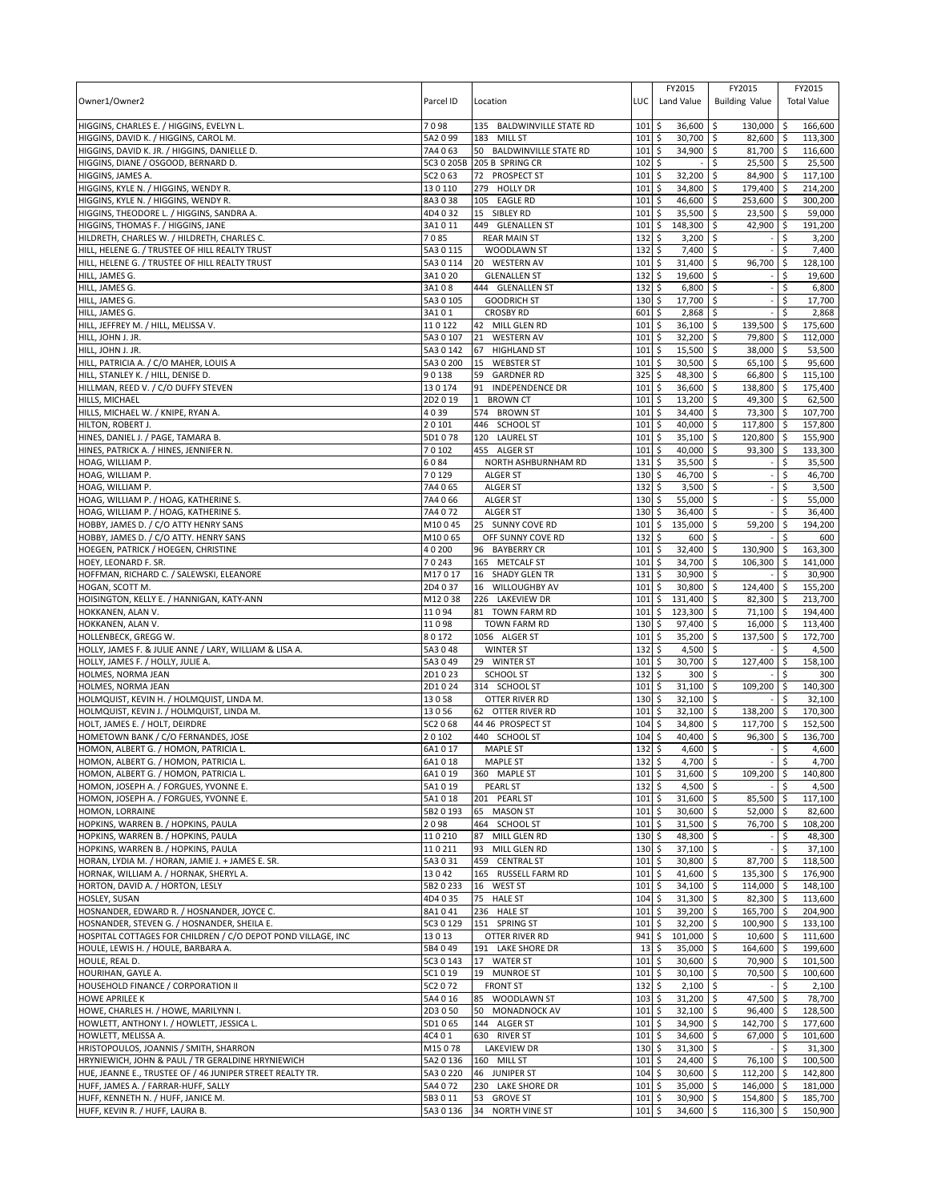| Owner1/Owner2                                                                         | Parcel ID              | Location                                            | LUC                        | FY2015<br>Land Value                   | FY2015<br><b>Building Value</b> |            | FY2015<br><b>Total Value</b> |
|---------------------------------------------------------------------------------------|------------------------|-----------------------------------------------------|----------------------------|----------------------------------------|---------------------------------|------------|------------------------------|
| HIGGINS, CHARLES E. / HIGGINS, EVELYN L.                                              | 7098                   | 135 BALDWINVILLE STATE RD                           | 101                        | 36,600 \$<br>\$                        | 130,000                         | ا \$       | 166,600                      |
| HIGGINS, DAVID K. / HIGGINS, CAROL M.<br>HIGGINS, DAVID K. JR. / HIGGINS, DANIELLE D. | 5A2099<br>7A4063       | 183 MILL ST<br>50 BALDWINVILLE STATE RD             | 101<br>101                 | \$<br>30,700<br>34,900 \$<br>\$        | \$<br>82,600 \$<br>81,700 \$    |            | 113,300<br>116,600           |
| HIGGINS, DIANE / OSGOOD, BERNARD D.                                                   | 5C3 0 205B             | 205 B SPRING CR                                     | 102                        | \$                                     | \$<br>25,500                    | <b>S</b>   | 25,500                       |
| HIGGINS, JAMES A.                                                                     | 5C2 0 63               | 72 PROSPECT ST                                      | 101                        | 32,200<br>\$                           | \$<br>84,900                    | l\$        | 117,100                      |
| HIGGINS, KYLE N. / HIGGINS, WENDY R.                                                  | 130110                 | 279 HOLLY DR                                        | 101                        | \$<br>34,800                           | \$<br>179,400                   | l\$        | 214,200                      |
| HIGGINS, KYLE N. / HIGGINS, WENDY R.                                                  | 8A3038                 | 105 EAGLE RD                                        | 101                        | \$<br>46,600                           | \$<br>253,600                   | \$ ا       | 300,200                      |
| HIGGINS, THEODORE L. / HIGGINS, SANDRA A.                                             | 4D4032                 | 15 SIBLEY RD                                        | 101                        | \$<br>35,500                           | 23,500<br>\$                    | l \$       | 59,000                       |
| HIGGINS, THOMAS F. / HIGGINS, JANE<br>HILDRETH, CHARLES W. / HILDRETH, CHARLES C.     | 3A1011<br>7085         | 449 GLENALLEN ST<br><b>REAR MAIN ST</b>             | 101<br>132                 | 148,300<br>\$<br>\$<br>3,200           | 42,900<br>l\$<br>\$             | \$<br>Ś    | 191,200<br>3,200             |
| HILL, HELENE G. / TRUSTEE OF HILL REALTY TRUST                                        | 5A3 0 115              | WOODLAWN ST                                         | 132                        | \$<br>7,400                            | l\$                             | \$         | 7,400                        |
| HILL, HELENE G. / TRUSTEE OF HILL REALTY TRUST                                        | 5A3 0 114              | 20 WESTERN AV                                       | 101                        | \$<br>31,400                           | 96,700<br>\$                    | \$         | 128,100                      |
| HILL, JAMES G.                                                                        | 3A1020                 | <b>GLENALLEN ST</b>                                 | 132                        | 19,600<br>\$                           | l\$                             | \$         | 19,600                       |
| HILL, JAMES G.                                                                        | 3A108                  | 444 GLENALLEN ST                                    | 132                        | \$<br>6,800                            | \$                              | \$         | 6,800                        |
| HILL, JAMES G.                                                                        | 5A3 0 105              | <b>GOODRICH ST</b>                                  | 130                        | \$<br>17,700 \$                        |                                 | \$         | 17,700                       |
| HILL, JAMES G.                                                                        | 3A101                  | <b>CROSBY RD</b>                                    | 601                        | \$<br>2,868                            | \$                              | \$         | 2,868                        |
| HILL, JEFFREY M. / HILL, MELISSA V.                                                   | 110122                 | 42 MILL GLEN RD                                     | 101                        | \$<br>$36,100$ \$                      | 139,500                         | -\$        | 175,600                      |
| HILL, JOHN J. JR.<br>HILL, JOHN J. JR.                                                | 5A3 0 107<br>5A3 0 142 | <b>WESTERN AV</b><br>21<br>67<br><b>HIGHLAND ST</b> | 101<br>101                 | \$<br>$32,200$ \$<br>15,500 \$<br>\$   | 79,800 \$<br>38,000             | ۱\$        | 112,000<br>53,500            |
| HILL, PATRICIA A. / C/O MAHER, LOUIS A                                                | 5A3 0 200              | 15<br><b>WEBSTER ST</b>                             | 101                        | \$<br>30,500                           | \$<br>65,100                    | l \$       | 95,600                       |
| HILL, STANLEY K. / HILL, DENISE D.                                                    | 90138                  | 59<br><b>GARDNER RD</b>                             | 325                        | \$<br>48,300                           | l \$<br>66,800 \$               |            | 115,100                      |
| HILLMAN, REED V. / C/O DUFFY STEVEN                                                   | 130174                 | 91<br>INDEPENDENCE DR                               | 101                        | \$<br>36,600                           | \$<br>138,800                   | \$         | 175,400                      |
| HILLS, MICHAEL                                                                        | 2D2019                 | <b>BROWN CT</b><br>1                                | 101                        | \$<br>13,200                           | \$<br>49,300                    | \$ ا       | 62,500                       |
| HILLS, MICHAEL W. / KNIPE, RYAN A.                                                    | 4039                   | 574 BROWN ST                                        | 101                        | \$<br>34,400                           | 73,300<br>ا \$                  | l \$       | 107,700                      |
| HILTON, ROBERT J.                                                                     | 20101                  | 446 SCHOOL ST                                       | 101                        | \$<br>40,000                           | <b>S</b><br>117,800             | l\$        | 157,800                      |
| HINES, DANIEL J. / PAGE, TAMARA B.                                                    | 5D1078                 | 120 LAUREL ST                                       | 101                        | \$<br>35,100                           | \$<br>120,800                   | ا \$       | 155,900                      |
| HINES, PATRICK A. / HINES, JENNIFER N.<br>HOAG, WILLIAM P.                            | 70102<br>6084          | 455 ALGER ST<br>NORTH ASHBURNHAM RD                 | 101<br>131                 | \$<br>40,000<br>35,500<br>\$           | \$<br>93,300<br>\$              | \$<br>\$   | 133,300<br>35,500            |
| HOAG, WILLIAM P.                                                                      | 70129                  | <b>ALGER ST</b>                                     | 130                        | \$<br>46,700                           | l\$                             | \$         | 46,700                       |
| HOAG, WILLIAM P.                                                                      | 7A4065                 | <b>ALGER ST</b>                                     | 132                        | \$<br>3,500                            | l\$                             | \$         | 3,500                        |
| HOAG, WILLIAM P. / HOAG, KATHERINE S.                                                 | 7A4 066                | <b>ALGER ST</b>                                     | 130                        | \$<br>55,000                           | \$                              |            | 55,000                       |
| HOAG, WILLIAM P. / HOAG, KATHERINE S.                                                 | 7A4072                 | <b>ALGER ST</b>                                     | 130                        | 36,400<br>\$                           | Ŝ.                              | \$         | 36,400                       |
| HOBBY, JAMES D. / C/O ATTY HENRY SANS                                                 | M10045                 | 25 SUNNY COVE RD                                    | 101                        | \$<br>135,000                          | 59,200<br>\$                    | \$         | 194,200                      |
| HOBBY, JAMES D. / C/O ATTY. HENRY SANS                                                | M10065                 | OFF SUNNY COVE RD                                   | 132                        | \$<br>600                              | l\$                             |            | 600                          |
| HOEGEN, PATRICK / HOEGEN, CHRISTINE                                                   | 40200                  | 96 BAYBERRY CR                                      | 101                        | \$<br>32,400                           | \$<br>130,900                   | \$         | 163,300                      |
| HOEY, LEONARD F. SR.<br>HOFFMAN, RICHARD C. / SALEWSKI, ELEANORE                      | 70243<br>M17017        | 165 METCALF ST                                      | 101                        | \$<br>34,700<br>\$<br>30,900 \$        | \$<br>106,300                   | \$         | 141,000<br>30,900            |
| HOGAN, SCOTT M.                                                                       | 2D4 0 37               | 16 SHADY GLEN TR<br>16 WILLOUGHBY AV                | 131<br>101                 | \$<br>30,800                           | l\$<br>124,400                  | \$.<br>\$  | 155,200                      |
| HOISINGTON, KELLY E. / HANNIGAN, KATY-ANN                                             | M12038                 | 226 LAKEVIEW DR                                     | 101                        | \$<br>131,400                          | 82,300<br>\$                    | -\$        | 213,700                      |
| HOKKANEN, ALAN V.                                                                     | 11094                  | 81 TOWN FARM RD                                     | 101                        | 123,300<br>\$                          | 71,100 \$<br>l \$               |            | 194,400                      |
| HOKKANEN, ALAN V.                                                                     | 11098                  | <b>TOWN FARM RD</b>                                 | 130                        | \$<br>97,400                           | \$<br>16,000                    | \$         | 113,400                      |
| HOLLENBECK, GREGG W.                                                                  | 80172                  | 1056 ALGER ST                                       | 101                        | \$<br>35,200                           | l\$<br>137,500                  | \$         | 172,700                      |
| HOLLY, JAMES F. & JULIE ANNE / LARY, WILLIAM & LISA A.                                | 5A3048                 | <b>WINTER ST</b>                                    | 132                        | \$<br>4,500                            | l\$                             | Ŝ.         | 4,500                        |
| HOLLY, JAMES F. / HOLLY, JULIE A.                                                     | 5A3049                 | 29 WINTER ST                                        | 101                        | \$<br>30,700                           | l\$<br>127,400                  | \$         | 158,100                      |
| HOLMES, NORMA JEAN<br>HOLMES, NORMA JEAN                                              | 2D1023<br>2D1024       | <b>SCHOOL ST</b><br>314 SCHOOL ST                   | 132<br>101                 | \$<br>300<br>31,100<br>\$              | <b>S</b><br>l\$<br>109,200      | Ś<br>\$    | 300<br>140.300               |
| HOLMQUIST, KEVIN H. / HOLMQUIST, LINDA M.                                             | 13058                  | OTTER RIVER RD                                      | 130                        | \$<br>32,100                           | l\$                             | Ŝ.         | 32,100                       |
| HOLMQUIST, KEVIN J. / HOLMQUIST, LINDA M.                                             | 13056                  | 62 OTTER RIVER RD                                   | 101                        | \$<br>32,100                           | l\$<br>138,200                  | <b>S</b>   | 170,300                      |
| HOLT, JAMES E. / HOLT, DEIRDRE                                                        | 5C2 068                | 44 46 PROSPECT ST                                   | 104                        | \$<br>34,800                           | \$<br>117,700                   | ا \$       | 152,500                      |
| HOMETOWN BANK / C/O FERNANDES, JOSE                                                   | 20102                  | 440 SCHOOL ST                                       | 104                        | \$<br>40,400                           | \$<br>96,300                    | -\$        | 136,700                      |
| HOMON, ALBERT G. / HOMON, PATRICIA L.                                                 | 6A1017                 | <b>MAPLE ST</b>                                     | 132                        | \$<br>$4,600$ \$                       |                                 | \$         | 4,600                        |
| HOMON, ALBERT G. / HOMON, PATRICIA L                                                  | 6A1018                 | MAPLE ST                                            | 132S                       | $4.700$ S                              |                                 | Ŝ.         | 4.700                        |
| HOMON, ALBERT G. / HOMON, PATRICIA L.                                                 | 6A1019                 | 360 MAPLE ST                                        | 101                        | 31,600 \$<br>\$                        | 109,200 \$                      |            | 140,800                      |
| HOMON, JOSEPH A. / FORGUES, YVONNE E.<br>HOMON, JOSEPH A. / FORGUES, YVONNE E.        | 5A1019<br>5A1018       | PEARL ST<br>201 PEARL ST                            | 132<br>101                 | \$<br>4,500 \$<br>\$<br>31,600 \$      | 85,500                          | \$<br>l\$  | 4,500<br>117,100             |
| HOMON, LORRAINE                                                                       | 5B2 0 193              | 65 MASON ST                                         | 101                        | \$<br>30,600 \$                        | 52,000 \$                       |            | 82,600                       |
| HOPKINS, WARREN B. / HOPKINS, PAULA                                                   | 2098                   | 464 SCHOOL ST                                       | 101                        | \$<br>$31,500$ \$                      | 76,700 \$                       |            | 108,200                      |
| HOPKINS, WARREN B. / HOPKINS, PAULA                                                   | 110210                 | MILL GLEN RD<br>87                                  | 130                        | \$<br>48,300 \$                        |                                 | \$         | 48,300                       |
| HOPKINS, WARREN B. / HOPKINS, PAULA                                                   | 110211                 | 93 MILL GLEN RD                                     | 130                        | \$<br>$37,100$ \$                      |                                 | \$         | 37,100                       |
| HORAN, LYDIA M. / HORAN, JAMIE J. + JAMES E. SR.                                      | 5A3031                 | 459 CENTRAL ST                                      | 101                        | \$<br>30,800 \$                        | 87,700                          | ۱\$        | 118,500                      |
| HORNAK, WILLIAM A. / HORNAK, SHERYL A.                                                | 13042                  | 165 RUSSELL FARM RD                                 | 101                        | \$<br>41,600 \$                        | 135,300 \$                      |            | 176,900                      |
| HORTON, DAVID A. / HORTON, LESLY<br>HOSLEY, SUSAN                                     | 5B2 0 233<br>4D4035    | 16 WEST ST<br>75 HALE ST                            | 101<br>104                 | \$<br>$34,100$ \$<br>\$<br>$31,300$ \$ | 114,000 \$<br>$82,300$ \$       |            | 148,100<br>113,600           |
| HOSNANDER, EDWARD R. / HOSNANDER, JOYCE C.                                            | 8A1041                 | 236 HALE ST                                         | 101                        | \$<br>39,200 \$                        | 165,700 \$                      |            | 204,900                      |
| HOSNANDER, STEVEN G. / HOSNANDER, SHEILA E.                                           | 5C3 0 129              | 151 SPRING ST                                       | 101                        | \$<br>$32,200$ \$                      | $100,900$ \$                    |            | 133,100                      |
| HOSPITAL COTTAGES FOR CHILDREN / C/O DEPOT POND VILLAGE, INC                          | 13013                  | OTTER RIVER RD                                      | 941                        | $\sqrt{5}$<br>101,000 \$               | 10,600                          | ۱\$        | 111,600                      |
| HOULE, LEWIS H. / HOULE, BARBARA A.                                                   | 5B4049                 | 191 LAKE SHORE DR                                   | 13                         | \$<br>$35,000$ \$                      | 164,600 \$                      |            | 199,600                      |
| HOULE, REAL D.                                                                        | 5C3 0 143              | 17 WATER ST                                         | 101                        | \$<br>30,600 \$                        | 70,900 \$                       |            | 101,500                      |
| HOURIHAN, GAYLE A.                                                                    | 5C1019                 | 19 MUNROE ST                                        | 101                        | \$<br>$30,100$ \$                      | 70,500 \$                       |            | 100,600                      |
| HOUSEHOLD FINANCE / CORPORATION II                                                    | 5C2 072                | <b>FRONT ST</b>                                     | $132 \,$ \$                | $2,100$ \$                             |                                 | l\$        | 2,100                        |
| <b>HOWE APRILEE K</b><br>HOWE, CHARLES H. / HOWE, MARILYNN I.                         | 5A4 0 16<br>2D3050     | 85<br>WOODLAWN ST<br>MONADNOCK AV<br>50             | $103 \,$ \$<br>$101 \;$ \$ | $31,200$ \$<br>$32,100$ \$             | 47,500 \$<br>96,400 \$          |            | 78,700<br>128,500            |
| HOWLETT, ANTHONY I. / HOWLETT, JESSICA L.                                             | 5D1065                 | 144 ALGER ST                                        | 101                        | \$<br>34,900 \$                        | 142,700 \$                      |            | 177,600                      |
| HOWLETT, MELISSA A.                                                                   | 4C4 0 1                | 630 RIVER ST                                        | $101 \;$ \$                | 34,600 \$                              | 67,000 \$                       |            | 101,600                      |
| HRISTOPOULOS, JOANNIS / SMITH, SHARRON                                                | M15078                 | <b>LAKEVIEW DR</b>                                  | $130 \;$ \$                | $31,300$ \$                            |                                 | -\$        | 31,300                       |
| HRYNIEWICH, JOHN & PAUL / TR GERALDINE HRYNIEWICH                                     | 5A2 0 136              | 160 MILL ST                                         | 101                        | \$<br>24,400 \$                        | 76,100 \$                       |            | 100,500                      |
| HUE, JEANNE E., TRUSTEE OF / 46 JUNIPER STREET REALTY TR.                             | 5A3 0 220              | 46 JUNIPER ST                                       | 104                        | \$<br>30,600 \$                        | 112,200                         | $\sqrt{5}$ | 142,800                      |
| HUFF, JAMES A. / FARRAR-HUFF, SALLY                                                   | 5A4 072                | 230 LAKE SHORE DR                                   | 101                        | 35,000 \$<br>\$                        | 146,000 \$                      |            | 181,000                      |
| HUFF, KENNETH N. / HUFF, JANICE M.                                                    | 5B3011                 | 53 GROVE ST                                         | 101                        | \$<br>$30,900$ \$                      | 154,800 \$                      |            | 185,700                      |
| HUFF, KEVIN R. / HUFF, LAURA B.                                                       | 5A3 0 136              | 34 NORTH VINE ST                                    | $101 \,$ \$                | 34,600 \$                              | $116,300$ \$                    |            | 150,900                      |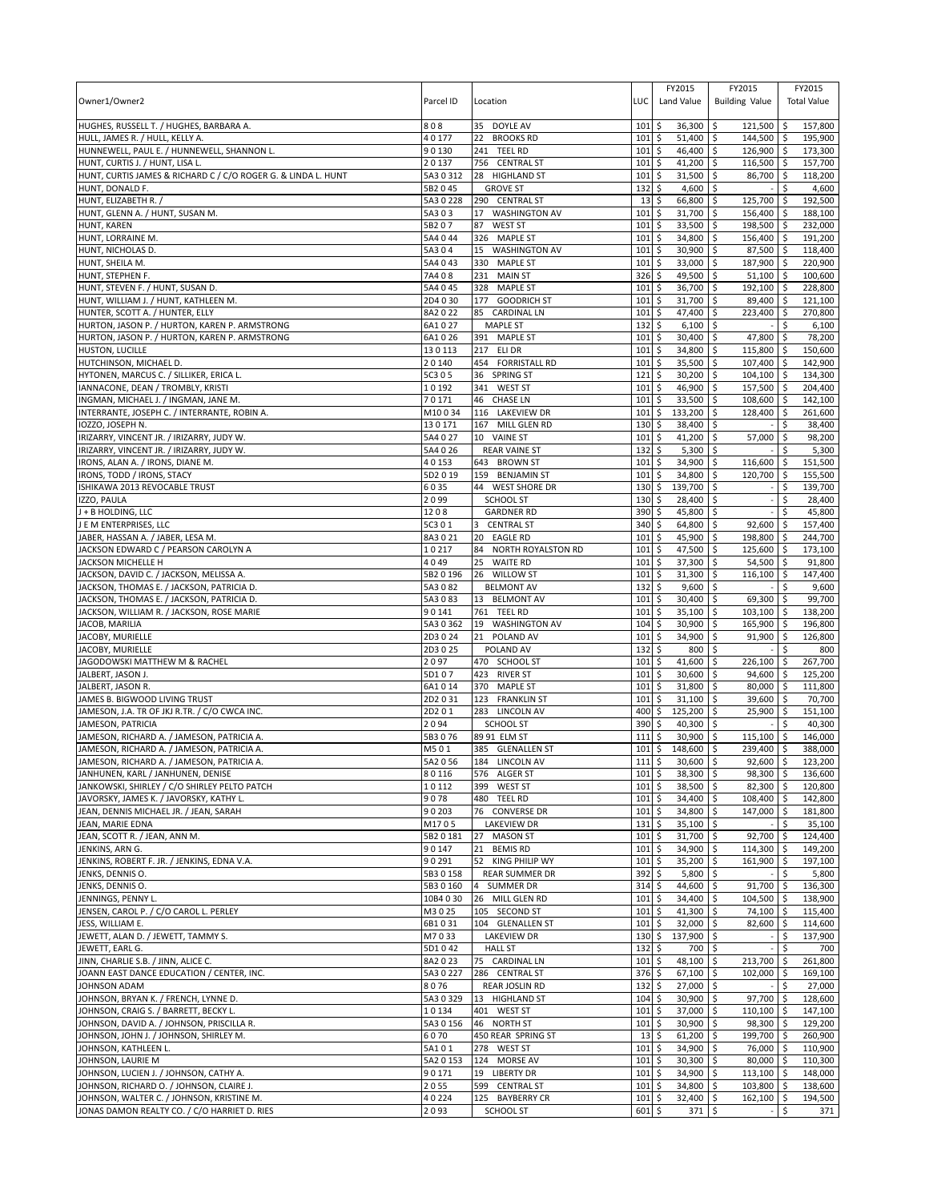| ا \$<br>HULL, JAMES R. / HULL, KELLY A.<br>40177<br><b>BROOKS RD</b><br>\$<br>51,400<br>\$<br>144,500 \$<br>195,900<br>22<br>101<br>HUNNEWELL, PAUL E. / HUNNEWELL, SHANNON L.<br>90130<br>241 TEEL RD<br>101<br>46,400<br>\$<br>126,900 \$<br>\$<br>173,300<br>HUNT, CURTIS J. / HUNT, LISA L.<br>20137<br>\$<br>41,200<br>\$<br>756 CENTRAL ST<br>101<br>116,500<br>-\$<br>157,700<br>HUNT, CURTIS JAMES & RICHARD C / C/O ROGER G. & LINDA L. HUNT<br>5A3 0 312<br>28 HIGHLAND ST<br>101<br>31,500<br>\$<br>86,700<br>\$<br>118,200<br>\$<br><b>GROVE ST</b><br>\$<br>4,600<br>\$<br>\$<br>HUNT, DONALD F.<br>5B2 0 45<br>132<br>4,600<br>HUNT, ELIZABETH R.<br>5A3 0 228<br>290 CENTRAL ST<br>13<br>\$<br>66,800<br>\$<br>125,700<br>192,500<br>\$ ا<br>HUNT, GLENN A. / HUNT, SUSAN M<br>5A303<br>17 WASHINGTON AV<br>101<br>\$<br>31,700<br>\$<br>156,400<br>l \$<br>188,100<br>\$<br>198,500<br>232,000<br><b>HUNT, KAREN</b><br>5B207<br>87<br><b>WEST ST</b><br>101<br>33,500<br>\$<br>\$<br>HUNT, LORRAINE M.<br>5A4044<br>326 MAPLE ST<br>101<br>\$<br>34,800<br>\$<br>156,400 \$<br>191,200<br>5A304<br>101<br>\$<br>30,900<br>87,500<br>HUNT, NICHOLAS D.<br>15<br><b>WASHINGTON AV</b><br>\$<br>\$<br>118,400<br>HUNT, SHEILA M.<br>5A4 0 43<br>330 MAPLE ST<br>101<br>\$<br>33,000<br>\$<br>187,900<br>220.900<br>\$ ا<br>HUNT, STEPHEN F.<br>7A408<br>326<br>\$<br>49,500<br>\$<br>51,100<br>100,600<br>231<br><b>MAIN ST</b><br><b>S</b><br>5A4045<br>328 MAPLE ST<br>101<br>\$<br>36,700<br>\$<br>192,100<br>228,800<br>HUNT, STEVEN F. / HUNT, SUSAN D.<br>l\$<br>HUNT, WILLIAM J. / HUNT, KATHLEEN M.<br>\$<br>31,700<br>89,400<br>121.100<br>2D4030<br>177 GOODRICH ST<br>101<br>-\$<br>ا \$<br>HUNTER, SCOTT A. / HUNTER, ELLY<br>8A2022<br>85<br><b>CARDINAL LN</b><br>101<br>\$<br>47,400<br>\$<br>223,400<br>l \$<br>270,800<br>\$<br>$\mathsf{\hat{S}}$<br>\$<br><b>MAPLE ST</b><br>132<br>6,100<br>6,100<br>HURTON, JASON P. / HURTON, KAREN P. ARMSTRONG<br>6A1027<br>47,800<br>HURTON, JASON P. / HURTON, KAREN P. ARMSTRONG<br>6A1026<br>391 MAPLE ST<br>101<br>\$<br>$30,400$ \$<br>78,200<br>l\$<br>101<br>\$<br>$\zeta$<br>130113<br>217 ELI DR<br>34,800<br>115,800<br>۱\$<br>150,600<br>HUSTON, LUCILLE<br>HUTCHINSON, MICHAEL D.<br>20140<br>454 FORRISTALL RD<br>101<br>\$<br>35,500<br>\$<br>107,400<br>142,900<br>۱\$<br>HYTONEN, MARCUS C. / SILLIKER, ERICA L.<br><b>SPRING ST</b><br>\$<br>30,200<br>$\ddot{\circ}$<br>$104,100$ \$<br>134,300<br>5C3 0 5<br>36<br>121<br>IANNACONE, DEAN / TROMBLY, KRISTI<br>10192<br>341 WEST ST<br>101<br>\$<br>46,900<br>\$<br>157,500<br>  \$<br>204,400<br>INGMAN, MICHAEL J. / INGMAN, JANE M.<br>70171<br><b>CHASE LN</b><br>101<br>\$<br>33,500<br>\$<br>108,600<br>142,100<br>46<br>-\$<br>INTERRANTE, JOSEPH C. / INTERRANTE, ROBIN A.<br>M10034<br>116 LAKEVIEW DR<br>101<br>\$<br>133,200<br>\$<br>128,400<br>l \$<br>261,600<br>\$<br>$\mathsf{\hat{S}}$<br>167 MILL GLEN RD<br>130<br>38,400<br>\$<br>IOZZO, JOSEPH N.<br>130171<br>38,400<br>IRIZARRY, VINCENT JR. / IRIZARRY, JUDY W.<br>5A4 0 27<br>10 VAINE ST<br>101<br>\$<br>41,200<br>\$<br>57,000<br>98,200<br>\$ ا<br>132<br>IRIZARRY, VINCENT JR. / IRIZARRY, JUDY W.<br>5A4 0 26<br><b>REAR VAINE ST</b><br>\$<br>5,300<br>\$<br>\$<br>5,300<br>IRONS, ALAN A. / IRONS, DIANE M.<br>40153<br>643 BROWN ST<br>\$<br>34,900<br>\$<br>116,600<br>151,500<br>101<br>-\$<br>IRONS, TODD / IRONS, STACY<br>5D2 0 19<br>\$<br>34,800<br>\$<br>120,700<br>155,500<br>159<br><b>BENJAMIN ST</b><br>101<br>l\$<br>ISHIKAWA 2013 REVOCABLE TRUST<br>6035<br>130<br>\$<br>139,700<br>\$<br>\$<br>44 WEST SHORE DR<br>139,700<br>IZZO, PAULA<br>2099<br>\$<br>28,400<br>\$<br>28,400<br><b>SCHOOL ST</b><br>130<br>1208<br><b>GARDNER RD</b><br>390<br>45,800<br>45,800<br>J + B HOLDING, LLC<br>\$<br>Ŝ.<br>\$<br>J E M ENTERPRISES, LLC<br>\$<br>64,800<br>92,600<br>5C3 0 1<br><b>CENTRAL ST</b><br>340<br>\$<br>\$ ا<br>157,400<br>3<br>45,900<br>198,800<br>244,700<br>JABER, HASSAN A. / JABER, LESA M.<br>8A3021<br>20<br><b>EAGLE RD</b><br>101<br>\$<br>\$<br>  \$<br>JACKSON EDWARD C / PEARSON CAROLYN A<br>10217<br>NORTH ROYALSTON RD<br>101<br>\$<br>47,500<br>\$<br>125,600<br><b>5</b><br>173,100<br>84<br>4049<br>\$<br>37,300<br>JACKSON MICHELLE H<br>25<br><b>WAITE RD</b><br>101<br>\$<br>54,500<br>\$<br>91,800<br>JACKSON, DAVID C. / JACKSON, MELISSA A.<br>5B2 0 196<br>101<br>\$<br>31,300<br>116,100<br>147,400<br>26<br><b>WILLOW ST</b><br>\$<br>l \$<br>JACKSON, THOMAS E. / JACKSON, PATRICIA D.<br>\$<br>5A3082<br><b>BELMONT AV</b><br>132<br>9,600<br>\$<br>\$<br>9,600<br>JACKSON, THOMAS E. / JACKSON, PATRICIA D.<br>5A3083<br>13 BELMONT AV<br>101<br>\$<br>30,400<br>69,300<br>99,700<br>\$<br>\$<br>JACKSON, WILLIAM R. / JACKSON, ROSE MARIE<br>35,100<br>103,100<br>90141<br>761 TEEL RD<br>101<br>\$<br>S.<br><b>S</b><br>138,200<br>\$<br>JACOB, MARILIA<br>5A3 0 362<br>19 WASHINGTON AV<br>104<br>30,900<br>\$<br>165,900<br>۱\$<br>196,800<br>\$<br>JACOBY, MURIELLE<br>2D3024<br>101<br>34,900<br>\$<br>91,900<br>  \$<br>126,800<br>21<br>POLAND AV<br>JACOBY, MURIELLE<br>2D3025<br>POLAND AV<br>132<br>\$<br>800<br>\$<br>Ŝ.<br>800<br>\$<br>\$<br>2097<br>101<br>41,600<br>226,100<br>l\$<br>JAGODOWSKI MATTHEW M & RACHEL<br>470 SCHOOL ST<br>267,700<br>5D107<br>423 RIVER ST<br>101<br>\$<br>30,600<br>\$<br>94,600 \$<br>125,200<br>JALBERT, JASON J.<br>JALBERT, JASON R.<br>370 MAPLE ST<br>101<br>\$<br>31,800<br>\$<br>80,000<br>$\sqrt{5}$<br>111.800<br>6A1014<br>JAMES B. BIGWOOD LIVING TRUST<br>2D2031<br>101<br>\$<br>31,100<br>39,600<br>123 FRANKLIN ST<br>\$<br>۱\$<br>70,700<br>JAMESON, J.A. TR OF JKJ R.TR. / C/O CWCA INC.<br>283 LINCOLN AV<br>400<br>\$<br>125,200<br>-\$<br>25,900<br>151,100<br>2D2 0 1<br>l \$<br>JAMESON, PATRICIA<br>2094<br><b>SCHOOL ST</b><br>390<br>\$<br>40,300<br>\$<br>40,300<br>\$<br>JAMESON, RICHARD A. / JAMESON, PATRICIA A.<br>89 91 ELM ST<br>111<br>\$<br>30,900<br>\$<br>115,100<br>146,000<br>5B3076<br>\$<br>JAMESON, RICHARD A. / JAMESON, PATRICIA A.<br>M501<br>385 GLENALLEN ST<br>$101 \,$ \$<br>148,600<br>\$<br>239,400 \$<br>388,000<br>1115<br>5A2 0 56<br>184 LINCOLN AV<br>30,600 \$<br>$92,600$ \$<br>123.200<br>JANHUNEN, KARL / JANHUNEN, DENISE<br>80116<br>38,300 \$<br>98,300 \$<br>576 ALGER ST<br>$101 \,$ \$<br>136,600<br>JANKOWSKI, SHIRLEY / C/O SHIRLEY PELTO PATCH<br>10112<br>\$<br>38,500 \$<br>$82,300$ \$<br>399 WEST ST<br>101<br>120,800<br>JAVORSKY, JAMES K. / JAVORSKY, KATHY L<br>9078<br>480 TEEL RD<br>101<br>l\$<br>34,400 \$<br>108,400<br>142,800<br>l \$<br>90203<br>76 CONVERSE DR<br>\$<br>34,800 \$<br>147,000 \$<br>JEAN, DENNIS MICHAEL JR. / JEAN, SARAH<br>101<br>181,800<br>JEAN, MARIE EDNA<br>M1705<br><b>LAKEVIEW DR</b><br>131<br>\$<br>$35,100$ \$<br>\$<br>35,100<br>$\overline{\phantom{a}}$<br>JEAN, SCOTT R. / JEAN, ANN M.<br>27 MASON ST<br>\$<br>31,700 \$<br>92,700<br>$\sqrt{5}$<br>124,400<br>5B2 0 181<br>101<br>JENKINS, ARN G.<br>90147<br>21 BEMIS RD<br>101<br>\$<br>$34,900$ \$<br>114,300 \$<br>149,200<br>JENKINS, ROBERT F. JR. / JENKINS, EDNA V.A.<br>90291<br>52 KING PHILIP WY<br>101<br>\$<br>$35,200$ \$<br>161,900 \$<br>197,100<br>JENKS, DENNIS O.<br>\$<br>$5,800$ \$<br>5B30158<br><b>REAR SUMMER DR</b><br>392<br>\$<br>5,800<br>JENKS, DENNIS O.<br>5B3 0 160<br>4 SUMMER DR<br>314<br>\$<br>44,600 \$<br>91,700<br><b>5</b><br>136,300<br>JENNINGS, PENNY L.<br>10B4 0 30<br>5<br>104,500<br>138,900<br>26 MILL GLEN RD<br>101<br>$34,400$ \$<br><b>S</b><br>JENSEN, CAROL P. / C/O CAROL L. PERLEY<br>M3025<br>105 SECOND ST<br>101<br>\$<br>$41,300$ \$<br>115,400<br>74,100 \$<br>JESS, WILLIAM E.<br>101<br>\$<br>6B1031<br>104 GLENALLEN ST<br>32,000 \$<br>82,600 \$<br>114,600<br>JEWETT, ALAN D. / JEWETT, TAMMY S.<br>M7033<br><b>LAKEVIEW DR</b><br>$130 \;$ \$<br>137,900 \$<br>\$<br>137,900<br>132<br>\$<br>700 \$<br>\$<br>700<br>JEWETT, EARL G.<br>5D1042<br><b>HALL ST</b><br>JINN, CHARLIE S.B. / JINN, ALICE C.<br>8A2 0 23<br>75 CARDINAL LN<br>101<br>$\ddot{\circ}$<br>48,100 \$<br>213,700 \$<br>261,800<br>JOANN EAST DANCE EDUCATION / CENTER, INC.<br>376 \$<br>5A30227<br>286 CENTRAL ST<br>$67,100$ \$<br>102,000 \$<br>169,100<br>JOHNSON ADAM<br>8076<br><b>REAR JOSLIN RD</b><br>$132 \,$ \$<br>27,000 \$<br>l\$<br>27,000<br>JOHNSON, BRYAN K. / FRENCH, LYNNE D.<br>$104 \,$ \$<br>30,900 \$<br>97,700 \$<br>5A30329<br>13 HIGHLAND ST<br>128,600<br>JOHNSON, CRAIG S. / BARRETT, BECKY L.<br>10134<br>401 WEST ST<br>$101 \;$ \$<br>37,000 \$<br>$110,100$ \$<br>147,100<br>JOHNSON, DAVID A. / JOHNSON, PRISCILLA R.<br>5A30156<br>46 NORTH ST<br>101<br>\$<br>30,900 \$<br>98,300<br>l\$<br>129,200<br>JOHNSON, JOHN J. / JOHNSON, SHIRLEY M.<br>6070<br>450 REAR SPRING ST<br>$13\frac{1}{2}$<br>$61,200$ \$<br>199,700 \$<br>260,900<br>278 WEST ST<br>$101 \,$ \$<br>34,900 \$<br>JOHNSON, KATHLEEN L.<br>5A101<br>76,000 \$<br>110,900<br>JOHNSON, LAURIE M<br>5A2 0 153<br>124 MORSE AV<br>101<br>5<br>$30,300$ \$<br>80,000 \$<br>110,300<br>JOHNSON, LUCIEN J. / JOHNSON, CATHY A.<br>90171<br>19 LIBERTY DR<br>$101 \;$ \$<br>34,900 \$<br>$113,100$ \$<br>148,000<br>JOHNSON, RICHARD O. / JOHNSON, CLAIRE J.<br>2055<br>599 CENTRAL ST<br>101<br>\$<br>34,800<br>103,800<br>138,600<br>l \$<br>۱\$<br>\$<br>$32,400$ \$<br>162,100 \$<br>JOHNSON, WALTER C. / JOHNSON, KRISTINE M.<br>40224<br>125 BAYBERRY CR<br>101<br>194,500<br>JONAS DAMON REALTY CO. / C/O HARRIET D. RIES<br>2093<br>SCHOOL ST<br>$601 \;$ \$<br>$371 \pm 5$<br>\$<br>371 | Owner1/Owner2                             | Parcel ID | Location    | LUC | FY2015<br>Land Value | FY2015<br><b>Building Value</b> | FY2015<br><b>Total Value</b> |
|-------------------------------------------------------------------------------------------------------------------------------------------------------------------------------------------------------------------------------------------------------------------------------------------------------------------------------------------------------------------------------------------------------------------------------------------------------------------------------------------------------------------------------------------------------------------------------------------------------------------------------------------------------------------------------------------------------------------------------------------------------------------------------------------------------------------------------------------------------------------------------------------------------------------------------------------------------------------------------------------------------------------------------------------------------------------------------------------------------------------------------------------------------------------------------------------------------------------------------------------------------------------------------------------------------------------------------------------------------------------------------------------------------------------------------------------------------------------------------------------------------------------------------------------------------------------------------------------------------------------------------------------------------------------------------------------------------------------------------------------------------------------------------------------------------------------------------------------------------------------------------------------------------------------------------------------------------------------------------------------------------------------------------------------------------------------------------------------------------------------------------------------------------------------------------------------------------------------------------------------------------------------------------------------------------------------------------------------------------------------------------------------------------------------------------------------------------------------------------------------------------------------------------------------------------------------------------------------------------------------------------------------------------------------------------------------------------------------------------------------------------------------------------------------------------------------------------------------------------------------------------------------------------------------------------------------------------------------------------------------------------------------------------------------------------------------------------------------------------------------------------------------------------------------------------------------------------------------------------------------------------------------------------------------------------------------------------------------------------------------------------------------------------------------------------------------------------------------------------------------------------------------------------------------------------------------------------------------------------------------------------------------------------------------------------------------------------------------------------------------------------------------------------------------------------------------------------------------------------------------------------------------------------------------------------------------------------------------------------------------------------------------------------------------------------------------------------------------------------------------------------------------------------------------------------------------------------------------------------------------------------------------------------------------------------------------------------------------------------------------------------------------------------------------------------------------------------------------------------------------------------------------------------------------------------------------------------------------------------------------------------------------------------------------------------------------------------------------------------------------------------------------------------------------------------------------------------------------------------------------------------------------------------------------------------------------------------------------------------------------------------------------------------------------------------------------------------------------------------------------------------------------------------------------------------------------------------------------------------------------------------------------------------------------------------------------------------------------------------------------------------------------------------------------------------------------------------------------------------------------------------------------------------------------------------------------------------------------------------------------------------------------------------------------------------------------------------------------------------------------------------------------------------------------------------------------------------------------------------------------------------------------------------------------------------------------------------------------------------------------------------------------------------------------------------------------------------------------------------------------------------------------------------------------------------------------------------------------------------------------------------------------------------------------------------------------------------------------------------------------------------------------------------------------------------------------------------------------------------------------------------------------------------------------------------------------------------------------------------------------------------------------------------------------------------------------------------------------------------------------------------------------------------------------------------------------------------------------------------------------------------------------------------------------------------------------------------------------------------------------------------------------------------------------------------------------------------------------------------------------------------------------------------------------------------------------------------------------------------------------------------------------------------------------------------------------------------------------------------------------------------------------------------------------------------------------------------------------------------------------------------------------------------------------------------------------------------------------------------------------------------------------------------------------------------------------------------------------------------------------------------------------------------------------------------------------------------------------------------------------------------------------------------------------------------------------------------------------------------------------------------------------------------------------------------------------------------------------------------------------------------------------------------------------------------------------------------------------------------------------------------------------------------------------------------------------------------------------------------------------------------------------------------------------------------------------------------------------------------------------------------------------------------------------------------------------------------------------------------------------------------------------------------------------------------------------------------------------------------------------------------------------------------------------------------------------------------------------------------------------------------------------------------------------------------------------------------------------------------------------------------------------------------------------------------------------------------------------------------------------------------------------------------------------------------------------------------------------------------------------------------------------------------------------------------------------------------------------------------------------------------------------------------------------------------------------------------------------------------------------------------------------------------------------------------------------------------------------------------------------------------------------------|-------------------------------------------|-----------|-------------|-----|----------------------|---------------------------------|------------------------------|
|                                                                                                                                                                                                                                                                                                                                                                                                                                                                                                                                                                                                                                                                                                                                                                                                                                                                                                                                                                                                                                                                                                                                                                                                                                                                                                                                                                                                                                                                                                                                                                                                                                                                                                                                                                                                                                                                                                                                                                                                                                                                                                                                                                                                                                                                                                                                                                                                                                                                                                                                                                                                                                                                                                                                                                                                                                                                                                                                                                                                                                                                                                                                                                                                                                                                                                                                                                                                                                                                                                                                                                                                                                                                                                                                                                                                                                                                                                                                                                                                                                                                                                                                                                                                                                                                                                                                                                                                                                                                                                                                                                                                                                                                                                                                                                                                                                                                                                                                                                                                                                                                                                                                                                                                                                                                                                                                                                                                                                                                                                                                                                                                                                                                                                                                                                                                                                                                                                                                                                                                                                                                                                                                                                                                                                                                                                                                                                                                                                                                                                                                                                                                                                                                                                                                                                                                                                                                                                                                                                                                                                                                                                                                                                                                                                                                                                                                                                                                                                                                                                                                                                                                                                                                                                                                                                                                                                                                                                                                                                                                                                                                                                                                                                                                                                                                                                                                                                                                                                                                                                                                                                                                                                                                                                                                                                                                                                                                                                                                                                                                                                                                                                                                                                                                                                                                                                                                                                                                                                                                                                                                                                                                                                                 | HUGHES, RUSSELL T. / HUGHES, BARBARA A.   | 808       | 35 DOYLE AV | 101 | 36,300<br>\$         | -\$<br>121,500                  | 157,800                      |
|                                                                                                                                                                                                                                                                                                                                                                                                                                                                                                                                                                                                                                                                                                                                                                                                                                                                                                                                                                                                                                                                                                                                                                                                                                                                                                                                                                                                                                                                                                                                                                                                                                                                                                                                                                                                                                                                                                                                                                                                                                                                                                                                                                                                                                                                                                                                                                                                                                                                                                                                                                                                                                                                                                                                                                                                                                                                                                                                                                                                                                                                                                                                                                                                                                                                                                                                                                                                                                                                                                                                                                                                                                                                                                                                                                                                                                                                                                                                                                                                                                                                                                                                                                                                                                                                                                                                                                                                                                                                                                                                                                                                                                                                                                                                                                                                                                                                                                                                                                                                                                                                                                                                                                                                                                                                                                                                                                                                                                                                                                                                                                                                                                                                                                                                                                                                                                                                                                                                                                                                                                                                                                                                                                                                                                                                                                                                                                                                                                                                                                                                                                                                                                                                                                                                                                                                                                                                                                                                                                                                                                                                                                                                                                                                                                                                                                                                                                                                                                                                                                                                                                                                                                                                                                                                                                                                                                                                                                                                                                                                                                                                                                                                                                                                                                                                                                                                                                                                                                                                                                                                                                                                                                                                                                                                                                                                                                                                                                                                                                                                                                                                                                                                                                                                                                                                                                                                                                                                                                                                                                                                                                                                                                                 |                                           |           |             |     |                      |                                 |                              |
|                                                                                                                                                                                                                                                                                                                                                                                                                                                                                                                                                                                                                                                                                                                                                                                                                                                                                                                                                                                                                                                                                                                                                                                                                                                                                                                                                                                                                                                                                                                                                                                                                                                                                                                                                                                                                                                                                                                                                                                                                                                                                                                                                                                                                                                                                                                                                                                                                                                                                                                                                                                                                                                                                                                                                                                                                                                                                                                                                                                                                                                                                                                                                                                                                                                                                                                                                                                                                                                                                                                                                                                                                                                                                                                                                                                                                                                                                                                                                                                                                                                                                                                                                                                                                                                                                                                                                                                                                                                                                                                                                                                                                                                                                                                                                                                                                                                                                                                                                                                                                                                                                                                                                                                                                                                                                                                                                                                                                                                                                                                                                                                                                                                                                                                                                                                                                                                                                                                                                                                                                                                                                                                                                                                                                                                                                                                                                                                                                                                                                                                                                                                                                                                                                                                                                                                                                                                                                                                                                                                                                                                                                                                                                                                                                                                                                                                                                                                                                                                                                                                                                                                                                                                                                                                                                                                                                                                                                                                                                                                                                                                                                                                                                                                                                                                                                                                                                                                                                                                                                                                                                                                                                                                                                                                                                                                                                                                                                                                                                                                                                                                                                                                                                                                                                                                                                                                                                                                                                                                                                                                                                                                                                                                 |                                           |           |             |     |                      |                                 |                              |
|                                                                                                                                                                                                                                                                                                                                                                                                                                                                                                                                                                                                                                                                                                                                                                                                                                                                                                                                                                                                                                                                                                                                                                                                                                                                                                                                                                                                                                                                                                                                                                                                                                                                                                                                                                                                                                                                                                                                                                                                                                                                                                                                                                                                                                                                                                                                                                                                                                                                                                                                                                                                                                                                                                                                                                                                                                                                                                                                                                                                                                                                                                                                                                                                                                                                                                                                                                                                                                                                                                                                                                                                                                                                                                                                                                                                                                                                                                                                                                                                                                                                                                                                                                                                                                                                                                                                                                                                                                                                                                                                                                                                                                                                                                                                                                                                                                                                                                                                                                                                                                                                                                                                                                                                                                                                                                                                                                                                                                                                                                                                                                                                                                                                                                                                                                                                                                                                                                                                                                                                                                                                                                                                                                                                                                                                                                                                                                                                                                                                                                                                                                                                                                                                                                                                                                                                                                                                                                                                                                                                                                                                                                                                                                                                                                                                                                                                                                                                                                                                                                                                                                                                                                                                                                                                                                                                                                                                                                                                                                                                                                                                                                                                                                                                                                                                                                                                                                                                                                                                                                                                                                                                                                                                                                                                                                                                                                                                                                                                                                                                                                                                                                                                                                                                                                                                                                                                                                                                                                                                                                                                                                                                                                                 |                                           |           |             |     |                      |                                 |                              |
|                                                                                                                                                                                                                                                                                                                                                                                                                                                                                                                                                                                                                                                                                                                                                                                                                                                                                                                                                                                                                                                                                                                                                                                                                                                                                                                                                                                                                                                                                                                                                                                                                                                                                                                                                                                                                                                                                                                                                                                                                                                                                                                                                                                                                                                                                                                                                                                                                                                                                                                                                                                                                                                                                                                                                                                                                                                                                                                                                                                                                                                                                                                                                                                                                                                                                                                                                                                                                                                                                                                                                                                                                                                                                                                                                                                                                                                                                                                                                                                                                                                                                                                                                                                                                                                                                                                                                                                                                                                                                                                                                                                                                                                                                                                                                                                                                                                                                                                                                                                                                                                                                                                                                                                                                                                                                                                                                                                                                                                                                                                                                                                                                                                                                                                                                                                                                                                                                                                                                                                                                                                                                                                                                                                                                                                                                                                                                                                                                                                                                                                                                                                                                                                                                                                                                                                                                                                                                                                                                                                                                                                                                                                                                                                                                                                                                                                                                                                                                                                                                                                                                                                                                                                                                                                                                                                                                                                                                                                                                                                                                                                                                                                                                                                                                                                                                                                                                                                                                                                                                                                                                                                                                                                                                                                                                                                                                                                                                                                                                                                                                                                                                                                                                                                                                                                                                                                                                                                                                                                                                                                                                                                                                                                 |                                           |           |             |     |                      |                                 |                              |
|                                                                                                                                                                                                                                                                                                                                                                                                                                                                                                                                                                                                                                                                                                                                                                                                                                                                                                                                                                                                                                                                                                                                                                                                                                                                                                                                                                                                                                                                                                                                                                                                                                                                                                                                                                                                                                                                                                                                                                                                                                                                                                                                                                                                                                                                                                                                                                                                                                                                                                                                                                                                                                                                                                                                                                                                                                                                                                                                                                                                                                                                                                                                                                                                                                                                                                                                                                                                                                                                                                                                                                                                                                                                                                                                                                                                                                                                                                                                                                                                                                                                                                                                                                                                                                                                                                                                                                                                                                                                                                                                                                                                                                                                                                                                                                                                                                                                                                                                                                                                                                                                                                                                                                                                                                                                                                                                                                                                                                                                                                                                                                                                                                                                                                                                                                                                                                                                                                                                                                                                                                                                                                                                                                                                                                                                                                                                                                                                                                                                                                                                                                                                                                                                                                                                                                                                                                                                                                                                                                                                                                                                                                                                                                                                                                                                                                                                                                                                                                                                                                                                                                                                                                                                                                                                                                                                                                                                                                                                                                                                                                                                                                                                                                                                                                                                                                                                                                                                                                                                                                                                                                                                                                                                                                                                                                                                                                                                                                                                                                                                                                                                                                                                                                                                                                                                                                                                                                                                                                                                                                                                                                                                                                                 |                                           |           |             |     |                      |                                 |                              |
|                                                                                                                                                                                                                                                                                                                                                                                                                                                                                                                                                                                                                                                                                                                                                                                                                                                                                                                                                                                                                                                                                                                                                                                                                                                                                                                                                                                                                                                                                                                                                                                                                                                                                                                                                                                                                                                                                                                                                                                                                                                                                                                                                                                                                                                                                                                                                                                                                                                                                                                                                                                                                                                                                                                                                                                                                                                                                                                                                                                                                                                                                                                                                                                                                                                                                                                                                                                                                                                                                                                                                                                                                                                                                                                                                                                                                                                                                                                                                                                                                                                                                                                                                                                                                                                                                                                                                                                                                                                                                                                                                                                                                                                                                                                                                                                                                                                                                                                                                                                                                                                                                                                                                                                                                                                                                                                                                                                                                                                                                                                                                                                                                                                                                                                                                                                                                                                                                                                                                                                                                                                                                                                                                                                                                                                                                                                                                                                                                                                                                                                                                                                                                                                                                                                                                                                                                                                                                                                                                                                                                                                                                                                                                                                                                                                                                                                                                                                                                                                                                                                                                                                                                                                                                                                                                                                                                                                                                                                                                                                                                                                                                                                                                                                                                                                                                                                                                                                                                                                                                                                                                                                                                                                                                                                                                                                                                                                                                                                                                                                                                                                                                                                                                                                                                                                                                                                                                                                                                                                                                                                                                                                                                                                 |                                           |           |             |     |                      |                                 |                              |
|                                                                                                                                                                                                                                                                                                                                                                                                                                                                                                                                                                                                                                                                                                                                                                                                                                                                                                                                                                                                                                                                                                                                                                                                                                                                                                                                                                                                                                                                                                                                                                                                                                                                                                                                                                                                                                                                                                                                                                                                                                                                                                                                                                                                                                                                                                                                                                                                                                                                                                                                                                                                                                                                                                                                                                                                                                                                                                                                                                                                                                                                                                                                                                                                                                                                                                                                                                                                                                                                                                                                                                                                                                                                                                                                                                                                                                                                                                                                                                                                                                                                                                                                                                                                                                                                                                                                                                                                                                                                                                                                                                                                                                                                                                                                                                                                                                                                                                                                                                                                                                                                                                                                                                                                                                                                                                                                                                                                                                                                                                                                                                                                                                                                                                                                                                                                                                                                                                                                                                                                                                                                                                                                                                                                                                                                                                                                                                                                                                                                                                                                                                                                                                                                                                                                                                                                                                                                                                                                                                                                                                                                                                                                                                                                                                                                                                                                                                                                                                                                                                                                                                                                                                                                                                                                                                                                                                                                                                                                                                                                                                                                                                                                                                                                                                                                                                                                                                                                                                                                                                                                                                                                                                                                                                                                                                                                                                                                                                                                                                                                                                                                                                                                                                                                                                                                                                                                                                                                                                                                                                                                                                                                                                                 |                                           |           |             |     |                      |                                 |                              |
|                                                                                                                                                                                                                                                                                                                                                                                                                                                                                                                                                                                                                                                                                                                                                                                                                                                                                                                                                                                                                                                                                                                                                                                                                                                                                                                                                                                                                                                                                                                                                                                                                                                                                                                                                                                                                                                                                                                                                                                                                                                                                                                                                                                                                                                                                                                                                                                                                                                                                                                                                                                                                                                                                                                                                                                                                                                                                                                                                                                                                                                                                                                                                                                                                                                                                                                                                                                                                                                                                                                                                                                                                                                                                                                                                                                                                                                                                                                                                                                                                                                                                                                                                                                                                                                                                                                                                                                                                                                                                                                                                                                                                                                                                                                                                                                                                                                                                                                                                                                                                                                                                                                                                                                                                                                                                                                                                                                                                                                                                                                                                                                                                                                                                                                                                                                                                                                                                                                                                                                                                                                                                                                                                                                                                                                                                                                                                                                                                                                                                                                                                                                                                                                                                                                                                                                                                                                                                                                                                                                                                                                                                                                                                                                                                                                                                                                                                                                                                                                                                                                                                                                                                                                                                                                                                                                                                                                                                                                                                                                                                                                                                                                                                                                                                                                                                                                                                                                                                                                                                                                                                                                                                                                                                                                                                                                                                                                                                                                                                                                                                                                                                                                                                                                                                                                                                                                                                                                                                                                                                                                                                                                                                                                 |                                           |           |             |     |                      |                                 |                              |
|                                                                                                                                                                                                                                                                                                                                                                                                                                                                                                                                                                                                                                                                                                                                                                                                                                                                                                                                                                                                                                                                                                                                                                                                                                                                                                                                                                                                                                                                                                                                                                                                                                                                                                                                                                                                                                                                                                                                                                                                                                                                                                                                                                                                                                                                                                                                                                                                                                                                                                                                                                                                                                                                                                                                                                                                                                                                                                                                                                                                                                                                                                                                                                                                                                                                                                                                                                                                                                                                                                                                                                                                                                                                                                                                                                                                                                                                                                                                                                                                                                                                                                                                                                                                                                                                                                                                                                                                                                                                                                                                                                                                                                                                                                                                                                                                                                                                                                                                                                                                                                                                                                                                                                                                                                                                                                                                                                                                                                                                                                                                                                                                                                                                                                                                                                                                                                                                                                                                                                                                                                                                                                                                                                                                                                                                                                                                                                                                                                                                                                                                                                                                                                                                                                                                                                                                                                                                                                                                                                                                                                                                                                                                                                                                                                                                                                                                                                                                                                                                                                                                                                                                                                                                                                                                                                                                                                                                                                                                                                                                                                                                                                                                                                                                                                                                                                                                                                                                                                                                                                                                                                                                                                                                                                                                                                                                                                                                                                                                                                                                                                                                                                                                                                                                                                                                                                                                                                                                                                                                                                                                                                                                                                                 |                                           |           |             |     |                      |                                 |                              |
|                                                                                                                                                                                                                                                                                                                                                                                                                                                                                                                                                                                                                                                                                                                                                                                                                                                                                                                                                                                                                                                                                                                                                                                                                                                                                                                                                                                                                                                                                                                                                                                                                                                                                                                                                                                                                                                                                                                                                                                                                                                                                                                                                                                                                                                                                                                                                                                                                                                                                                                                                                                                                                                                                                                                                                                                                                                                                                                                                                                                                                                                                                                                                                                                                                                                                                                                                                                                                                                                                                                                                                                                                                                                                                                                                                                                                                                                                                                                                                                                                                                                                                                                                                                                                                                                                                                                                                                                                                                                                                                                                                                                                                                                                                                                                                                                                                                                                                                                                                                                                                                                                                                                                                                                                                                                                                                                                                                                                                                                                                                                                                                                                                                                                                                                                                                                                                                                                                                                                                                                                                                                                                                                                                                                                                                                                                                                                                                                                                                                                                                                                                                                                                                                                                                                                                                                                                                                                                                                                                                                                                                                                                                                                                                                                                                                                                                                                                                                                                                                                                                                                                                                                                                                                                                                                                                                                                                                                                                                                                                                                                                                                                                                                                                                                                                                                                                                                                                                                                                                                                                                                                                                                                                                                                                                                                                                                                                                                                                                                                                                                                                                                                                                                                                                                                                                                                                                                                                                                                                                                                                                                                                                                                                 |                                           |           |             |     |                      |                                 |                              |
|                                                                                                                                                                                                                                                                                                                                                                                                                                                                                                                                                                                                                                                                                                                                                                                                                                                                                                                                                                                                                                                                                                                                                                                                                                                                                                                                                                                                                                                                                                                                                                                                                                                                                                                                                                                                                                                                                                                                                                                                                                                                                                                                                                                                                                                                                                                                                                                                                                                                                                                                                                                                                                                                                                                                                                                                                                                                                                                                                                                                                                                                                                                                                                                                                                                                                                                                                                                                                                                                                                                                                                                                                                                                                                                                                                                                                                                                                                                                                                                                                                                                                                                                                                                                                                                                                                                                                                                                                                                                                                                                                                                                                                                                                                                                                                                                                                                                                                                                                                                                                                                                                                                                                                                                                                                                                                                                                                                                                                                                                                                                                                                                                                                                                                                                                                                                                                                                                                                                                                                                                                                                                                                                                                                                                                                                                                                                                                                                                                                                                                                                                                                                                                                                                                                                                                                                                                                                                                                                                                                                                                                                                                                                                                                                                                                                                                                                                                                                                                                                                                                                                                                                                                                                                                                                                                                                                                                                                                                                                                                                                                                                                                                                                                                                                                                                                                                                                                                                                                                                                                                                                                                                                                                                                                                                                                                                                                                                                                                                                                                                                                                                                                                                                                                                                                                                                                                                                                                                                                                                                                                                                                                                                                                 |                                           |           |             |     |                      |                                 |                              |
|                                                                                                                                                                                                                                                                                                                                                                                                                                                                                                                                                                                                                                                                                                                                                                                                                                                                                                                                                                                                                                                                                                                                                                                                                                                                                                                                                                                                                                                                                                                                                                                                                                                                                                                                                                                                                                                                                                                                                                                                                                                                                                                                                                                                                                                                                                                                                                                                                                                                                                                                                                                                                                                                                                                                                                                                                                                                                                                                                                                                                                                                                                                                                                                                                                                                                                                                                                                                                                                                                                                                                                                                                                                                                                                                                                                                                                                                                                                                                                                                                                                                                                                                                                                                                                                                                                                                                                                                                                                                                                                                                                                                                                                                                                                                                                                                                                                                                                                                                                                                                                                                                                                                                                                                                                                                                                                                                                                                                                                                                                                                                                                                                                                                                                                                                                                                                                                                                                                                                                                                                                                                                                                                                                                                                                                                                                                                                                                                                                                                                                                                                                                                                                                                                                                                                                                                                                                                                                                                                                                                                                                                                                                                                                                                                                                                                                                                                                                                                                                                                                                                                                                                                                                                                                                                                                                                                                                                                                                                                                                                                                                                                                                                                                                                                                                                                                                                                                                                                                                                                                                                                                                                                                                                                                                                                                                                                                                                                                                                                                                                                                                                                                                                                                                                                                                                                                                                                                                                                                                                                                                                                                                                                                                 |                                           |           |             |     |                      |                                 |                              |
|                                                                                                                                                                                                                                                                                                                                                                                                                                                                                                                                                                                                                                                                                                                                                                                                                                                                                                                                                                                                                                                                                                                                                                                                                                                                                                                                                                                                                                                                                                                                                                                                                                                                                                                                                                                                                                                                                                                                                                                                                                                                                                                                                                                                                                                                                                                                                                                                                                                                                                                                                                                                                                                                                                                                                                                                                                                                                                                                                                                                                                                                                                                                                                                                                                                                                                                                                                                                                                                                                                                                                                                                                                                                                                                                                                                                                                                                                                                                                                                                                                                                                                                                                                                                                                                                                                                                                                                                                                                                                                                                                                                                                                                                                                                                                                                                                                                                                                                                                                                                                                                                                                                                                                                                                                                                                                                                                                                                                                                                                                                                                                                                                                                                                                                                                                                                                                                                                                                                                                                                                                                                                                                                                                                                                                                                                                                                                                                                                                                                                                                                                                                                                                                                                                                                                                                                                                                                                                                                                                                                                                                                                                                                                                                                                                                                                                                                                                                                                                                                                                                                                                                                                                                                                                                                                                                                                                                                                                                                                                                                                                                                                                                                                                                                                                                                                                                                                                                                                                                                                                                                                                                                                                                                                                                                                                                                                                                                                                                                                                                                                                                                                                                                                                                                                                                                                                                                                                                                                                                                                                                                                                                                                                                 |                                           |           |             |     |                      |                                 |                              |
|                                                                                                                                                                                                                                                                                                                                                                                                                                                                                                                                                                                                                                                                                                                                                                                                                                                                                                                                                                                                                                                                                                                                                                                                                                                                                                                                                                                                                                                                                                                                                                                                                                                                                                                                                                                                                                                                                                                                                                                                                                                                                                                                                                                                                                                                                                                                                                                                                                                                                                                                                                                                                                                                                                                                                                                                                                                                                                                                                                                                                                                                                                                                                                                                                                                                                                                                                                                                                                                                                                                                                                                                                                                                                                                                                                                                                                                                                                                                                                                                                                                                                                                                                                                                                                                                                                                                                                                                                                                                                                                                                                                                                                                                                                                                                                                                                                                                                                                                                                                                                                                                                                                                                                                                                                                                                                                                                                                                                                                                                                                                                                                                                                                                                                                                                                                                                                                                                                                                                                                                                                                                                                                                                                                                                                                                                                                                                                                                                                                                                                                                                                                                                                                                                                                                                                                                                                                                                                                                                                                                                                                                                                                                                                                                                                                                                                                                                                                                                                                                                                                                                                                                                                                                                                                                                                                                                                                                                                                                                                                                                                                                                                                                                                                                                                                                                                                                                                                                                                                                                                                                                                                                                                                                                                                                                                                                                                                                                                                                                                                                                                                                                                                                                                                                                                                                                                                                                                                                                                                                                                                                                                                                                                                 |                                           |           |             |     |                      |                                 |                              |
|                                                                                                                                                                                                                                                                                                                                                                                                                                                                                                                                                                                                                                                                                                                                                                                                                                                                                                                                                                                                                                                                                                                                                                                                                                                                                                                                                                                                                                                                                                                                                                                                                                                                                                                                                                                                                                                                                                                                                                                                                                                                                                                                                                                                                                                                                                                                                                                                                                                                                                                                                                                                                                                                                                                                                                                                                                                                                                                                                                                                                                                                                                                                                                                                                                                                                                                                                                                                                                                                                                                                                                                                                                                                                                                                                                                                                                                                                                                                                                                                                                                                                                                                                                                                                                                                                                                                                                                                                                                                                                                                                                                                                                                                                                                                                                                                                                                                                                                                                                                                                                                                                                                                                                                                                                                                                                                                                                                                                                                                                                                                                                                                                                                                                                                                                                                                                                                                                                                                                                                                                                                                                                                                                                                                                                                                                                                                                                                                                                                                                                                                                                                                                                                                                                                                                                                                                                                                                                                                                                                                                                                                                                                                                                                                                                                                                                                                                                                                                                                                                                                                                                                                                                                                                                                                                                                                                                                                                                                                                                                                                                                                                                                                                                                                                                                                                                                                                                                                                                                                                                                                                                                                                                                                                                                                                                                                                                                                                                                                                                                                                                                                                                                                                                                                                                                                                                                                                                                                                                                                                                                                                                                                                                                 |                                           |           |             |     |                      |                                 |                              |
|                                                                                                                                                                                                                                                                                                                                                                                                                                                                                                                                                                                                                                                                                                                                                                                                                                                                                                                                                                                                                                                                                                                                                                                                                                                                                                                                                                                                                                                                                                                                                                                                                                                                                                                                                                                                                                                                                                                                                                                                                                                                                                                                                                                                                                                                                                                                                                                                                                                                                                                                                                                                                                                                                                                                                                                                                                                                                                                                                                                                                                                                                                                                                                                                                                                                                                                                                                                                                                                                                                                                                                                                                                                                                                                                                                                                                                                                                                                                                                                                                                                                                                                                                                                                                                                                                                                                                                                                                                                                                                                                                                                                                                                                                                                                                                                                                                                                                                                                                                                                                                                                                                                                                                                                                                                                                                                                                                                                                                                                                                                                                                                                                                                                                                                                                                                                                                                                                                                                                                                                                                                                                                                                                                                                                                                                                                                                                                                                                                                                                                                                                                                                                                                                                                                                                                                                                                                                                                                                                                                                                                                                                                                                                                                                                                                                                                                                                                                                                                                                                                                                                                                                                                                                                                                                                                                                                                                                                                                                                                                                                                                                                                                                                                                                                                                                                                                                                                                                                                                                                                                                                                                                                                                                                                                                                                                                                                                                                                                                                                                                                                                                                                                                                                                                                                                                                                                                                                                                                                                                                                                                                                                                                                                 |                                           |           |             |     |                      |                                 |                              |
|                                                                                                                                                                                                                                                                                                                                                                                                                                                                                                                                                                                                                                                                                                                                                                                                                                                                                                                                                                                                                                                                                                                                                                                                                                                                                                                                                                                                                                                                                                                                                                                                                                                                                                                                                                                                                                                                                                                                                                                                                                                                                                                                                                                                                                                                                                                                                                                                                                                                                                                                                                                                                                                                                                                                                                                                                                                                                                                                                                                                                                                                                                                                                                                                                                                                                                                                                                                                                                                                                                                                                                                                                                                                                                                                                                                                                                                                                                                                                                                                                                                                                                                                                                                                                                                                                                                                                                                                                                                                                                                                                                                                                                                                                                                                                                                                                                                                                                                                                                                                                                                                                                                                                                                                                                                                                                                                                                                                                                                                                                                                                                                                                                                                                                                                                                                                                                                                                                                                                                                                                                                                                                                                                                                                                                                                                                                                                                                                                                                                                                                                                                                                                                                                                                                                                                                                                                                                                                                                                                                                                                                                                                                                                                                                                                                                                                                                                                                                                                                                                                                                                                                                                                                                                                                                                                                                                                                                                                                                                                                                                                                                                                                                                                                                                                                                                                                                                                                                                                                                                                                                                                                                                                                                                                                                                                                                                                                                                                                                                                                                                                                                                                                                                                                                                                                                                                                                                                                                                                                                                                                                                                                                                                                 |                                           |           |             |     |                      |                                 |                              |
|                                                                                                                                                                                                                                                                                                                                                                                                                                                                                                                                                                                                                                                                                                                                                                                                                                                                                                                                                                                                                                                                                                                                                                                                                                                                                                                                                                                                                                                                                                                                                                                                                                                                                                                                                                                                                                                                                                                                                                                                                                                                                                                                                                                                                                                                                                                                                                                                                                                                                                                                                                                                                                                                                                                                                                                                                                                                                                                                                                                                                                                                                                                                                                                                                                                                                                                                                                                                                                                                                                                                                                                                                                                                                                                                                                                                                                                                                                                                                                                                                                                                                                                                                                                                                                                                                                                                                                                                                                                                                                                                                                                                                                                                                                                                                                                                                                                                                                                                                                                                                                                                                                                                                                                                                                                                                                                                                                                                                                                                                                                                                                                                                                                                                                                                                                                                                                                                                                                                                                                                                                                                                                                                                                                                                                                                                                                                                                                                                                                                                                                                                                                                                                                                                                                                                                                                                                                                                                                                                                                                                                                                                                                                                                                                                                                                                                                                                                                                                                                                                                                                                                                                                                                                                                                                                                                                                                                                                                                                                                                                                                                                                                                                                                                                                                                                                                                                                                                                                                                                                                                                                                                                                                                                                                                                                                                                                                                                                                                                                                                                                                                                                                                                                                                                                                                                                                                                                                                                                                                                                                                                                                                                                                                 |                                           |           |             |     |                      |                                 |                              |
|                                                                                                                                                                                                                                                                                                                                                                                                                                                                                                                                                                                                                                                                                                                                                                                                                                                                                                                                                                                                                                                                                                                                                                                                                                                                                                                                                                                                                                                                                                                                                                                                                                                                                                                                                                                                                                                                                                                                                                                                                                                                                                                                                                                                                                                                                                                                                                                                                                                                                                                                                                                                                                                                                                                                                                                                                                                                                                                                                                                                                                                                                                                                                                                                                                                                                                                                                                                                                                                                                                                                                                                                                                                                                                                                                                                                                                                                                                                                                                                                                                                                                                                                                                                                                                                                                                                                                                                                                                                                                                                                                                                                                                                                                                                                                                                                                                                                                                                                                                                                                                                                                                                                                                                                                                                                                                                                                                                                                                                                                                                                                                                                                                                                                                                                                                                                                                                                                                                                                                                                                                                                                                                                                                                                                                                                                                                                                                                                                                                                                                                                                                                                                                                                                                                                                                                                                                                                                                                                                                                                                                                                                                                                                                                                                                                                                                                                                                                                                                                                                                                                                                                                                                                                                                                                                                                                                                                                                                                                                                                                                                                                                                                                                                                                                                                                                                                                                                                                                                                                                                                                                                                                                                                                                                                                                                                                                                                                                                                                                                                                                                                                                                                                                                                                                                                                                                                                                                                                                                                                                                                                                                                                                                                 |                                           |           |             |     |                      |                                 |                              |
|                                                                                                                                                                                                                                                                                                                                                                                                                                                                                                                                                                                                                                                                                                                                                                                                                                                                                                                                                                                                                                                                                                                                                                                                                                                                                                                                                                                                                                                                                                                                                                                                                                                                                                                                                                                                                                                                                                                                                                                                                                                                                                                                                                                                                                                                                                                                                                                                                                                                                                                                                                                                                                                                                                                                                                                                                                                                                                                                                                                                                                                                                                                                                                                                                                                                                                                                                                                                                                                                                                                                                                                                                                                                                                                                                                                                                                                                                                                                                                                                                                                                                                                                                                                                                                                                                                                                                                                                                                                                                                                                                                                                                                                                                                                                                                                                                                                                                                                                                                                                                                                                                                                                                                                                                                                                                                                                                                                                                                                                                                                                                                                                                                                                                                                                                                                                                                                                                                                                                                                                                                                                                                                                                                                                                                                                                                                                                                                                                                                                                                                                                                                                                                                                                                                                                                                                                                                                                                                                                                                                                                                                                                                                                                                                                                                                                                                                                                                                                                                                                                                                                                                                                                                                                                                                                                                                                                                                                                                                                                                                                                                                                                                                                                                                                                                                                                                                                                                                                                                                                                                                                                                                                                                                                                                                                                                                                                                                                                                                                                                                                                                                                                                                                                                                                                                                                                                                                                                                                                                                                                                                                                                                                                                 |                                           |           |             |     |                      |                                 |                              |
|                                                                                                                                                                                                                                                                                                                                                                                                                                                                                                                                                                                                                                                                                                                                                                                                                                                                                                                                                                                                                                                                                                                                                                                                                                                                                                                                                                                                                                                                                                                                                                                                                                                                                                                                                                                                                                                                                                                                                                                                                                                                                                                                                                                                                                                                                                                                                                                                                                                                                                                                                                                                                                                                                                                                                                                                                                                                                                                                                                                                                                                                                                                                                                                                                                                                                                                                                                                                                                                                                                                                                                                                                                                                                                                                                                                                                                                                                                                                                                                                                                                                                                                                                                                                                                                                                                                                                                                                                                                                                                                                                                                                                                                                                                                                                                                                                                                                                                                                                                                                                                                                                                                                                                                                                                                                                                                                                                                                                                                                                                                                                                                                                                                                                                                                                                                                                                                                                                                                                                                                                                                                                                                                                                                                                                                                                                                                                                                                                                                                                                                                                                                                                                                                                                                                                                                                                                                                                                                                                                                                                                                                                                                                                                                                                                                                                                                                                                                                                                                                                                                                                                                                                                                                                                                                                                                                                                                                                                                                                                                                                                                                                                                                                                                                                                                                                                                                                                                                                                                                                                                                                                                                                                                                                                                                                                                                                                                                                                                                                                                                                                                                                                                                                                                                                                                                                                                                                                                                                                                                                                                                                                                                                                                 |                                           |           |             |     |                      |                                 |                              |
|                                                                                                                                                                                                                                                                                                                                                                                                                                                                                                                                                                                                                                                                                                                                                                                                                                                                                                                                                                                                                                                                                                                                                                                                                                                                                                                                                                                                                                                                                                                                                                                                                                                                                                                                                                                                                                                                                                                                                                                                                                                                                                                                                                                                                                                                                                                                                                                                                                                                                                                                                                                                                                                                                                                                                                                                                                                                                                                                                                                                                                                                                                                                                                                                                                                                                                                                                                                                                                                                                                                                                                                                                                                                                                                                                                                                                                                                                                                                                                                                                                                                                                                                                                                                                                                                                                                                                                                                                                                                                                                                                                                                                                                                                                                                                                                                                                                                                                                                                                                                                                                                                                                                                                                                                                                                                                                                                                                                                                                                                                                                                                                                                                                                                                                                                                                                                                                                                                                                                                                                                                                                                                                                                                                                                                                                                                                                                                                                                                                                                                                                                                                                                                                                                                                                                                                                                                                                                                                                                                                                                                                                                                                                                                                                                                                                                                                                                                                                                                                                                                                                                                                                                                                                                                                                                                                                                                                                                                                                                                                                                                                                                                                                                                                                                                                                                                                                                                                                                                                                                                                                                                                                                                                                                                                                                                                                                                                                                                                                                                                                                                                                                                                                                                                                                                                                                                                                                                                                                                                                                                                                                                                                                                                 |                                           |           |             |     |                      |                                 |                              |
|                                                                                                                                                                                                                                                                                                                                                                                                                                                                                                                                                                                                                                                                                                                                                                                                                                                                                                                                                                                                                                                                                                                                                                                                                                                                                                                                                                                                                                                                                                                                                                                                                                                                                                                                                                                                                                                                                                                                                                                                                                                                                                                                                                                                                                                                                                                                                                                                                                                                                                                                                                                                                                                                                                                                                                                                                                                                                                                                                                                                                                                                                                                                                                                                                                                                                                                                                                                                                                                                                                                                                                                                                                                                                                                                                                                                                                                                                                                                                                                                                                                                                                                                                                                                                                                                                                                                                                                                                                                                                                                                                                                                                                                                                                                                                                                                                                                                                                                                                                                                                                                                                                                                                                                                                                                                                                                                                                                                                                                                                                                                                                                                                                                                                                                                                                                                                                                                                                                                                                                                                                                                                                                                                                                                                                                                                                                                                                                                                                                                                                                                                                                                                                                                                                                                                                                                                                                                                                                                                                                                                                                                                                                                                                                                                                                                                                                                                                                                                                                                                                                                                                                                                                                                                                                                                                                                                                                                                                                                                                                                                                                                                                                                                                                                                                                                                                                                                                                                                                                                                                                                                                                                                                                                                                                                                                                                                                                                                                                                                                                                                                                                                                                                                                                                                                                                                                                                                                                                                                                                                                                                                                                                                                                 |                                           |           |             |     |                      |                                 |                              |
|                                                                                                                                                                                                                                                                                                                                                                                                                                                                                                                                                                                                                                                                                                                                                                                                                                                                                                                                                                                                                                                                                                                                                                                                                                                                                                                                                                                                                                                                                                                                                                                                                                                                                                                                                                                                                                                                                                                                                                                                                                                                                                                                                                                                                                                                                                                                                                                                                                                                                                                                                                                                                                                                                                                                                                                                                                                                                                                                                                                                                                                                                                                                                                                                                                                                                                                                                                                                                                                                                                                                                                                                                                                                                                                                                                                                                                                                                                                                                                                                                                                                                                                                                                                                                                                                                                                                                                                                                                                                                                                                                                                                                                                                                                                                                                                                                                                                                                                                                                                                                                                                                                                                                                                                                                                                                                                                                                                                                                                                                                                                                                                                                                                                                                                                                                                                                                                                                                                                                                                                                                                                                                                                                                                                                                                                                                                                                                                                                                                                                                                                                                                                                                                                                                                                                                                                                                                                                                                                                                                                                                                                                                                                                                                                                                                                                                                                                                                                                                                                                                                                                                                                                                                                                                                                                                                                                                                                                                                                                                                                                                                                                                                                                                                                                                                                                                                                                                                                                                                                                                                                                                                                                                                                                                                                                                                                                                                                                                                                                                                                                                                                                                                                                                                                                                                                                                                                                                                                                                                                                                                                                                                                                                                 |                                           |           |             |     |                      |                                 |                              |
|                                                                                                                                                                                                                                                                                                                                                                                                                                                                                                                                                                                                                                                                                                                                                                                                                                                                                                                                                                                                                                                                                                                                                                                                                                                                                                                                                                                                                                                                                                                                                                                                                                                                                                                                                                                                                                                                                                                                                                                                                                                                                                                                                                                                                                                                                                                                                                                                                                                                                                                                                                                                                                                                                                                                                                                                                                                                                                                                                                                                                                                                                                                                                                                                                                                                                                                                                                                                                                                                                                                                                                                                                                                                                                                                                                                                                                                                                                                                                                                                                                                                                                                                                                                                                                                                                                                                                                                                                                                                                                                                                                                                                                                                                                                                                                                                                                                                                                                                                                                                                                                                                                                                                                                                                                                                                                                                                                                                                                                                                                                                                                                                                                                                                                                                                                                                                                                                                                                                                                                                                                                                                                                                                                                                                                                                                                                                                                                                                                                                                                                                                                                                                                                                                                                                                                                                                                                                                                                                                                                                                                                                                                                                                                                                                                                                                                                                                                                                                                                                                                                                                                                                                                                                                                                                                                                                                                                                                                                                                                                                                                                                                                                                                                                                                                                                                                                                                                                                                                                                                                                                                                                                                                                                                                                                                                                                                                                                                                                                                                                                                                                                                                                                                                                                                                                                                                                                                                                                                                                                                                                                                                                                                                                 |                                           |           |             |     |                      |                                 |                              |
|                                                                                                                                                                                                                                                                                                                                                                                                                                                                                                                                                                                                                                                                                                                                                                                                                                                                                                                                                                                                                                                                                                                                                                                                                                                                                                                                                                                                                                                                                                                                                                                                                                                                                                                                                                                                                                                                                                                                                                                                                                                                                                                                                                                                                                                                                                                                                                                                                                                                                                                                                                                                                                                                                                                                                                                                                                                                                                                                                                                                                                                                                                                                                                                                                                                                                                                                                                                                                                                                                                                                                                                                                                                                                                                                                                                                                                                                                                                                                                                                                                                                                                                                                                                                                                                                                                                                                                                                                                                                                                                                                                                                                                                                                                                                                                                                                                                                                                                                                                                                                                                                                                                                                                                                                                                                                                                                                                                                                                                                                                                                                                                                                                                                                                                                                                                                                                                                                                                                                                                                                                                                                                                                                                                                                                                                                                                                                                                                                                                                                                                                                                                                                                                                                                                                                                                                                                                                                                                                                                                                                                                                                                                                                                                                                                                                                                                                                                                                                                                                                                                                                                                                                                                                                                                                                                                                                                                                                                                                                                                                                                                                                                                                                                                                                                                                                                                                                                                                                                                                                                                                                                                                                                                                                                                                                                                                                                                                                                                                                                                                                                                                                                                                                                                                                                                                                                                                                                                                                                                                                                                                                                                                                                                 |                                           |           |             |     |                      |                                 |                              |
|                                                                                                                                                                                                                                                                                                                                                                                                                                                                                                                                                                                                                                                                                                                                                                                                                                                                                                                                                                                                                                                                                                                                                                                                                                                                                                                                                                                                                                                                                                                                                                                                                                                                                                                                                                                                                                                                                                                                                                                                                                                                                                                                                                                                                                                                                                                                                                                                                                                                                                                                                                                                                                                                                                                                                                                                                                                                                                                                                                                                                                                                                                                                                                                                                                                                                                                                                                                                                                                                                                                                                                                                                                                                                                                                                                                                                                                                                                                                                                                                                                                                                                                                                                                                                                                                                                                                                                                                                                                                                                                                                                                                                                                                                                                                                                                                                                                                                                                                                                                                                                                                                                                                                                                                                                                                                                                                                                                                                                                                                                                                                                                                                                                                                                                                                                                                                                                                                                                                                                                                                                                                                                                                                                                                                                                                                                                                                                                                                                                                                                                                                                                                                                                                                                                                                                                                                                                                                                                                                                                                                                                                                                                                                                                                                                                                                                                                                                                                                                                                                                                                                                                                                                                                                                                                                                                                                                                                                                                                                                                                                                                                                                                                                                                                                                                                                                                                                                                                                                                                                                                                                                                                                                                                                                                                                                                                                                                                                                                                                                                                                                                                                                                                                                                                                                                                                                                                                                                                                                                                                                                                                                                                                                                 |                                           |           |             |     |                      |                                 |                              |
|                                                                                                                                                                                                                                                                                                                                                                                                                                                                                                                                                                                                                                                                                                                                                                                                                                                                                                                                                                                                                                                                                                                                                                                                                                                                                                                                                                                                                                                                                                                                                                                                                                                                                                                                                                                                                                                                                                                                                                                                                                                                                                                                                                                                                                                                                                                                                                                                                                                                                                                                                                                                                                                                                                                                                                                                                                                                                                                                                                                                                                                                                                                                                                                                                                                                                                                                                                                                                                                                                                                                                                                                                                                                                                                                                                                                                                                                                                                                                                                                                                                                                                                                                                                                                                                                                                                                                                                                                                                                                                                                                                                                                                                                                                                                                                                                                                                                                                                                                                                                                                                                                                                                                                                                                                                                                                                                                                                                                                                                                                                                                                                                                                                                                                                                                                                                                                                                                                                                                                                                                                                                                                                                                                                                                                                                                                                                                                                                                                                                                                                                                                                                                                                                                                                                                                                                                                                                                                                                                                                                                                                                                                                                                                                                                                                                                                                                                                                                                                                                                                                                                                                                                                                                                                                                                                                                                                                                                                                                                                                                                                                                                                                                                                                                                                                                                                                                                                                                                                                                                                                                                                                                                                                                                                                                                                                                                                                                                                                                                                                                                                                                                                                                                                                                                                                                                                                                                                                                                                                                                                                                                                                                                                                 |                                           |           |             |     |                      |                                 |                              |
|                                                                                                                                                                                                                                                                                                                                                                                                                                                                                                                                                                                                                                                                                                                                                                                                                                                                                                                                                                                                                                                                                                                                                                                                                                                                                                                                                                                                                                                                                                                                                                                                                                                                                                                                                                                                                                                                                                                                                                                                                                                                                                                                                                                                                                                                                                                                                                                                                                                                                                                                                                                                                                                                                                                                                                                                                                                                                                                                                                                                                                                                                                                                                                                                                                                                                                                                                                                                                                                                                                                                                                                                                                                                                                                                                                                                                                                                                                                                                                                                                                                                                                                                                                                                                                                                                                                                                                                                                                                                                                                                                                                                                                                                                                                                                                                                                                                                                                                                                                                                                                                                                                                                                                                                                                                                                                                                                                                                                                                                                                                                                                                                                                                                                                                                                                                                                                                                                                                                                                                                                                                                                                                                                                                                                                                                                                                                                                                                                                                                                                                                                                                                                                                                                                                                                                                                                                                                                                                                                                                                                                                                                                                                                                                                                                                                                                                                                                                                                                                                                                                                                                                                                                                                                                                                                                                                                                                                                                                                                                                                                                                                                                                                                                                                                                                                                                                                                                                                                                                                                                                                                                                                                                                                                                                                                                                                                                                                                                                                                                                                                                                                                                                                                                                                                                                                                                                                                                                                                                                                                                                                                                                                                                                 |                                           |           |             |     |                      |                                 |                              |
|                                                                                                                                                                                                                                                                                                                                                                                                                                                                                                                                                                                                                                                                                                                                                                                                                                                                                                                                                                                                                                                                                                                                                                                                                                                                                                                                                                                                                                                                                                                                                                                                                                                                                                                                                                                                                                                                                                                                                                                                                                                                                                                                                                                                                                                                                                                                                                                                                                                                                                                                                                                                                                                                                                                                                                                                                                                                                                                                                                                                                                                                                                                                                                                                                                                                                                                                                                                                                                                                                                                                                                                                                                                                                                                                                                                                                                                                                                                                                                                                                                                                                                                                                                                                                                                                                                                                                                                                                                                                                                                                                                                                                                                                                                                                                                                                                                                                                                                                                                                                                                                                                                                                                                                                                                                                                                                                                                                                                                                                                                                                                                                                                                                                                                                                                                                                                                                                                                                                                                                                                                                                                                                                                                                                                                                                                                                                                                                                                                                                                                                                                                                                                                                                                                                                                                                                                                                                                                                                                                                                                                                                                                                                                                                                                                                                                                                                                                                                                                                                                                                                                                                                                                                                                                                                                                                                                                                                                                                                                                                                                                                                                                                                                                                                                                                                                                                                                                                                                                                                                                                                                                                                                                                                                                                                                                                                                                                                                                                                                                                                                                                                                                                                                                                                                                                                                                                                                                                                                                                                                                                                                                                                                                                 |                                           |           |             |     |                      |                                 |                              |
|                                                                                                                                                                                                                                                                                                                                                                                                                                                                                                                                                                                                                                                                                                                                                                                                                                                                                                                                                                                                                                                                                                                                                                                                                                                                                                                                                                                                                                                                                                                                                                                                                                                                                                                                                                                                                                                                                                                                                                                                                                                                                                                                                                                                                                                                                                                                                                                                                                                                                                                                                                                                                                                                                                                                                                                                                                                                                                                                                                                                                                                                                                                                                                                                                                                                                                                                                                                                                                                                                                                                                                                                                                                                                                                                                                                                                                                                                                                                                                                                                                                                                                                                                                                                                                                                                                                                                                                                                                                                                                                                                                                                                                                                                                                                                                                                                                                                                                                                                                                                                                                                                                                                                                                                                                                                                                                                                                                                                                                                                                                                                                                                                                                                                                                                                                                                                                                                                                                                                                                                                                                                                                                                                                                                                                                                                                                                                                                                                                                                                                                                                                                                                                                                                                                                                                                                                                                                                                                                                                                                                                                                                                                                                                                                                                                                                                                                                                                                                                                                                                                                                                                                                                                                                                                                                                                                                                                                                                                                                                                                                                                                                                                                                                                                                                                                                                                                                                                                                                                                                                                                                                                                                                                                                                                                                                                                                                                                                                                                                                                                                                                                                                                                                                                                                                                                                                                                                                                                                                                                                                                                                                                                                                                 |                                           |           |             |     |                      |                                 |                              |
|                                                                                                                                                                                                                                                                                                                                                                                                                                                                                                                                                                                                                                                                                                                                                                                                                                                                                                                                                                                                                                                                                                                                                                                                                                                                                                                                                                                                                                                                                                                                                                                                                                                                                                                                                                                                                                                                                                                                                                                                                                                                                                                                                                                                                                                                                                                                                                                                                                                                                                                                                                                                                                                                                                                                                                                                                                                                                                                                                                                                                                                                                                                                                                                                                                                                                                                                                                                                                                                                                                                                                                                                                                                                                                                                                                                                                                                                                                                                                                                                                                                                                                                                                                                                                                                                                                                                                                                                                                                                                                                                                                                                                                                                                                                                                                                                                                                                                                                                                                                                                                                                                                                                                                                                                                                                                                                                                                                                                                                                                                                                                                                                                                                                                                                                                                                                                                                                                                                                                                                                                                                                                                                                                                                                                                                                                                                                                                                                                                                                                                                                                                                                                                                                                                                                                                                                                                                                                                                                                                                                                                                                                                                                                                                                                                                                                                                                                                                                                                                                                                                                                                                                                                                                                                                                                                                                                                                                                                                                                                                                                                                                                                                                                                                                                                                                                                                                                                                                                                                                                                                                                                                                                                                                                                                                                                                                                                                                                                                                                                                                                                                                                                                                                                                                                                                                                                                                                                                                                                                                                                                                                                                                                                                 |                                           |           |             |     |                      |                                 |                              |
|                                                                                                                                                                                                                                                                                                                                                                                                                                                                                                                                                                                                                                                                                                                                                                                                                                                                                                                                                                                                                                                                                                                                                                                                                                                                                                                                                                                                                                                                                                                                                                                                                                                                                                                                                                                                                                                                                                                                                                                                                                                                                                                                                                                                                                                                                                                                                                                                                                                                                                                                                                                                                                                                                                                                                                                                                                                                                                                                                                                                                                                                                                                                                                                                                                                                                                                                                                                                                                                                                                                                                                                                                                                                                                                                                                                                                                                                                                                                                                                                                                                                                                                                                                                                                                                                                                                                                                                                                                                                                                                                                                                                                                                                                                                                                                                                                                                                                                                                                                                                                                                                                                                                                                                                                                                                                                                                                                                                                                                                                                                                                                                                                                                                                                                                                                                                                                                                                                                                                                                                                                                                                                                                                                                                                                                                                                                                                                                                                                                                                                                                                                                                                                                                                                                                                                                                                                                                                                                                                                                                                                                                                                                                                                                                                                                                                                                                                                                                                                                                                                                                                                                                                                                                                                                                                                                                                                                                                                                                                                                                                                                                                                                                                                                                                                                                                                                                                                                                                                                                                                                                                                                                                                                                                                                                                                                                                                                                                                                                                                                                                                                                                                                                                                                                                                                                                                                                                                                                                                                                                                                                                                                                                                                 |                                           |           |             |     |                      |                                 |                              |
|                                                                                                                                                                                                                                                                                                                                                                                                                                                                                                                                                                                                                                                                                                                                                                                                                                                                                                                                                                                                                                                                                                                                                                                                                                                                                                                                                                                                                                                                                                                                                                                                                                                                                                                                                                                                                                                                                                                                                                                                                                                                                                                                                                                                                                                                                                                                                                                                                                                                                                                                                                                                                                                                                                                                                                                                                                                                                                                                                                                                                                                                                                                                                                                                                                                                                                                                                                                                                                                                                                                                                                                                                                                                                                                                                                                                                                                                                                                                                                                                                                                                                                                                                                                                                                                                                                                                                                                                                                                                                                                                                                                                                                                                                                                                                                                                                                                                                                                                                                                                                                                                                                                                                                                                                                                                                                                                                                                                                                                                                                                                                                                                                                                                                                                                                                                                                                                                                                                                                                                                                                                                                                                                                                                                                                                                                                                                                                                                                                                                                                                                                                                                                                                                                                                                                                                                                                                                                                                                                                                                                                                                                                                                                                                                                                                                                                                                                                                                                                                                                                                                                                                                                                                                                                                                                                                                                                                                                                                                                                                                                                                                                                                                                                                                                                                                                                                                                                                                                                                                                                                                                                                                                                                                                                                                                                                                                                                                                                                                                                                                                                                                                                                                                                                                                                                                                                                                                                                                                                                                                                                                                                                                                                                 |                                           |           |             |     |                      |                                 |                              |
|                                                                                                                                                                                                                                                                                                                                                                                                                                                                                                                                                                                                                                                                                                                                                                                                                                                                                                                                                                                                                                                                                                                                                                                                                                                                                                                                                                                                                                                                                                                                                                                                                                                                                                                                                                                                                                                                                                                                                                                                                                                                                                                                                                                                                                                                                                                                                                                                                                                                                                                                                                                                                                                                                                                                                                                                                                                                                                                                                                                                                                                                                                                                                                                                                                                                                                                                                                                                                                                                                                                                                                                                                                                                                                                                                                                                                                                                                                                                                                                                                                                                                                                                                                                                                                                                                                                                                                                                                                                                                                                                                                                                                                                                                                                                                                                                                                                                                                                                                                                                                                                                                                                                                                                                                                                                                                                                                                                                                                                                                                                                                                                                                                                                                                                                                                                                                                                                                                                                                                                                                                                                                                                                                                                                                                                                                                                                                                                                                                                                                                                                                                                                                                                                                                                                                                                                                                                                                                                                                                                                                                                                                                                                                                                                                                                                                                                                                                                                                                                                                                                                                                                                                                                                                                                                                                                                                                                                                                                                                                                                                                                                                                                                                                                                                                                                                                                                                                                                                                                                                                                                                                                                                                                                                                                                                                                                                                                                                                                                                                                                                                                                                                                                                                                                                                                                                                                                                                                                                                                                                                                                                                                                                                                 |                                           |           |             |     |                      |                                 |                              |
|                                                                                                                                                                                                                                                                                                                                                                                                                                                                                                                                                                                                                                                                                                                                                                                                                                                                                                                                                                                                                                                                                                                                                                                                                                                                                                                                                                                                                                                                                                                                                                                                                                                                                                                                                                                                                                                                                                                                                                                                                                                                                                                                                                                                                                                                                                                                                                                                                                                                                                                                                                                                                                                                                                                                                                                                                                                                                                                                                                                                                                                                                                                                                                                                                                                                                                                                                                                                                                                                                                                                                                                                                                                                                                                                                                                                                                                                                                                                                                                                                                                                                                                                                                                                                                                                                                                                                                                                                                                                                                                                                                                                                                                                                                                                                                                                                                                                                                                                                                                                                                                                                                                                                                                                                                                                                                                                                                                                                                                                                                                                                                                                                                                                                                                                                                                                                                                                                                                                                                                                                                                                                                                                                                                                                                                                                                                                                                                                                                                                                                                                                                                                                                                                                                                                                                                                                                                                                                                                                                                                                                                                                                                                                                                                                                                                                                                                                                                                                                                                                                                                                                                                                                                                                                                                                                                                                                                                                                                                                                                                                                                                                                                                                                                                                                                                                                                                                                                                                                                                                                                                                                                                                                                                                                                                                                                                                                                                                                                                                                                                                                                                                                                                                                                                                                                                                                                                                                                                                                                                                                                                                                                                                                                 |                                           |           |             |     |                      |                                 |                              |
|                                                                                                                                                                                                                                                                                                                                                                                                                                                                                                                                                                                                                                                                                                                                                                                                                                                                                                                                                                                                                                                                                                                                                                                                                                                                                                                                                                                                                                                                                                                                                                                                                                                                                                                                                                                                                                                                                                                                                                                                                                                                                                                                                                                                                                                                                                                                                                                                                                                                                                                                                                                                                                                                                                                                                                                                                                                                                                                                                                                                                                                                                                                                                                                                                                                                                                                                                                                                                                                                                                                                                                                                                                                                                                                                                                                                                                                                                                                                                                                                                                                                                                                                                                                                                                                                                                                                                                                                                                                                                                                                                                                                                                                                                                                                                                                                                                                                                                                                                                                                                                                                                                                                                                                                                                                                                                                                                                                                                                                                                                                                                                                                                                                                                                                                                                                                                                                                                                                                                                                                                                                                                                                                                                                                                                                                                                                                                                                                                                                                                                                                                                                                                                                                                                                                                                                                                                                                                                                                                                                                                                                                                                                                                                                                                                                                                                                                                                                                                                                                                                                                                                                                                                                                                                                                                                                                                                                                                                                                                                                                                                                                                                                                                                                                                                                                                                                                                                                                                                                                                                                                                                                                                                                                                                                                                                                                                                                                                                                                                                                                                                                                                                                                                                                                                                                                                                                                                                                                                                                                                                                                                                                                                                                 |                                           |           |             |     |                      |                                 |                              |
|                                                                                                                                                                                                                                                                                                                                                                                                                                                                                                                                                                                                                                                                                                                                                                                                                                                                                                                                                                                                                                                                                                                                                                                                                                                                                                                                                                                                                                                                                                                                                                                                                                                                                                                                                                                                                                                                                                                                                                                                                                                                                                                                                                                                                                                                                                                                                                                                                                                                                                                                                                                                                                                                                                                                                                                                                                                                                                                                                                                                                                                                                                                                                                                                                                                                                                                                                                                                                                                                                                                                                                                                                                                                                                                                                                                                                                                                                                                                                                                                                                                                                                                                                                                                                                                                                                                                                                                                                                                                                                                                                                                                                                                                                                                                                                                                                                                                                                                                                                                                                                                                                                                                                                                                                                                                                                                                                                                                                                                                                                                                                                                                                                                                                                                                                                                                                                                                                                                                                                                                                                                                                                                                                                                                                                                                                                                                                                                                                                                                                                                                                                                                                                                                                                                                                                                                                                                                                                                                                                                                                                                                                                                                                                                                                                                                                                                                                                                                                                                                                                                                                                                                                                                                                                                                                                                                                                                                                                                                                                                                                                                                                                                                                                                                                                                                                                                                                                                                                                                                                                                                                                                                                                                                                                                                                                                                                                                                                                                                                                                                                                                                                                                                                                                                                                                                                                                                                                                                                                                                                                                                                                                                                                                 |                                           |           |             |     |                      |                                 |                              |
|                                                                                                                                                                                                                                                                                                                                                                                                                                                                                                                                                                                                                                                                                                                                                                                                                                                                                                                                                                                                                                                                                                                                                                                                                                                                                                                                                                                                                                                                                                                                                                                                                                                                                                                                                                                                                                                                                                                                                                                                                                                                                                                                                                                                                                                                                                                                                                                                                                                                                                                                                                                                                                                                                                                                                                                                                                                                                                                                                                                                                                                                                                                                                                                                                                                                                                                                                                                                                                                                                                                                                                                                                                                                                                                                                                                                                                                                                                                                                                                                                                                                                                                                                                                                                                                                                                                                                                                                                                                                                                                                                                                                                                                                                                                                                                                                                                                                                                                                                                                                                                                                                                                                                                                                                                                                                                                                                                                                                                                                                                                                                                                                                                                                                                                                                                                                                                                                                                                                                                                                                                                                                                                                                                                                                                                                                                                                                                                                                                                                                                                                                                                                                                                                                                                                                                                                                                                                                                                                                                                                                                                                                                                                                                                                                                                                                                                                                                                                                                                                                                                                                                                                                                                                                                                                                                                                                                                                                                                                                                                                                                                                                                                                                                                                                                                                                                                                                                                                                                                                                                                                                                                                                                                                                                                                                                                                                                                                                                                                                                                                                                                                                                                                                                                                                                                                                                                                                                                                                                                                                                                                                                                                                                                 |                                           |           |             |     |                      |                                 |                              |
|                                                                                                                                                                                                                                                                                                                                                                                                                                                                                                                                                                                                                                                                                                                                                                                                                                                                                                                                                                                                                                                                                                                                                                                                                                                                                                                                                                                                                                                                                                                                                                                                                                                                                                                                                                                                                                                                                                                                                                                                                                                                                                                                                                                                                                                                                                                                                                                                                                                                                                                                                                                                                                                                                                                                                                                                                                                                                                                                                                                                                                                                                                                                                                                                                                                                                                                                                                                                                                                                                                                                                                                                                                                                                                                                                                                                                                                                                                                                                                                                                                                                                                                                                                                                                                                                                                                                                                                                                                                                                                                                                                                                                                                                                                                                                                                                                                                                                                                                                                                                                                                                                                                                                                                                                                                                                                                                                                                                                                                                                                                                                                                                                                                                                                                                                                                                                                                                                                                                                                                                                                                                                                                                                                                                                                                                                                                                                                                                                                                                                                                                                                                                                                                                                                                                                                                                                                                                                                                                                                                                                                                                                                                                                                                                                                                                                                                                                                                                                                                                                                                                                                                                                                                                                                                                                                                                                                                                                                                                                                                                                                                                                                                                                                                                                                                                                                                                                                                                                                                                                                                                                                                                                                                                                                                                                                                                                                                                                                                                                                                                                                                                                                                                                                                                                                                                                                                                                                                                                                                                                                                                                                                                                                                 |                                           |           |             |     |                      |                                 |                              |
|                                                                                                                                                                                                                                                                                                                                                                                                                                                                                                                                                                                                                                                                                                                                                                                                                                                                                                                                                                                                                                                                                                                                                                                                                                                                                                                                                                                                                                                                                                                                                                                                                                                                                                                                                                                                                                                                                                                                                                                                                                                                                                                                                                                                                                                                                                                                                                                                                                                                                                                                                                                                                                                                                                                                                                                                                                                                                                                                                                                                                                                                                                                                                                                                                                                                                                                                                                                                                                                                                                                                                                                                                                                                                                                                                                                                                                                                                                                                                                                                                                                                                                                                                                                                                                                                                                                                                                                                                                                                                                                                                                                                                                                                                                                                                                                                                                                                                                                                                                                                                                                                                                                                                                                                                                                                                                                                                                                                                                                                                                                                                                                                                                                                                                                                                                                                                                                                                                                                                                                                                                                                                                                                                                                                                                                                                                                                                                                                                                                                                                                                                                                                                                                                                                                                                                                                                                                                                                                                                                                                                                                                                                                                                                                                                                                                                                                                                                                                                                                                                                                                                                                                                                                                                                                                                                                                                                                                                                                                                                                                                                                                                                                                                                                                                                                                                                                                                                                                                                                                                                                                                                                                                                                                                                                                                                                                                                                                                                                                                                                                                                                                                                                                                                                                                                                                                                                                                                                                                                                                                                                                                                                                                                                 |                                           |           |             |     |                      |                                 |                              |
|                                                                                                                                                                                                                                                                                                                                                                                                                                                                                                                                                                                                                                                                                                                                                                                                                                                                                                                                                                                                                                                                                                                                                                                                                                                                                                                                                                                                                                                                                                                                                                                                                                                                                                                                                                                                                                                                                                                                                                                                                                                                                                                                                                                                                                                                                                                                                                                                                                                                                                                                                                                                                                                                                                                                                                                                                                                                                                                                                                                                                                                                                                                                                                                                                                                                                                                                                                                                                                                                                                                                                                                                                                                                                                                                                                                                                                                                                                                                                                                                                                                                                                                                                                                                                                                                                                                                                                                                                                                                                                                                                                                                                                                                                                                                                                                                                                                                                                                                                                                                                                                                                                                                                                                                                                                                                                                                                                                                                                                                                                                                                                                                                                                                                                                                                                                                                                                                                                                                                                                                                                                                                                                                                                                                                                                                                                                                                                                                                                                                                                                                                                                                                                                                                                                                                                                                                                                                                                                                                                                                                                                                                                                                                                                                                                                                                                                                                                                                                                                                                                                                                                                                                                                                                                                                                                                                                                                                                                                                                                                                                                                                                                                                                                                                                                                                                                                                                                                                                                                                                                                                                                                                                                                                                                                                                                                                                                                                                                                                                                                                                                                                                                                                                                                                                                                                                                                                                                                                                                                                                                                                                                                                                                                 | JAMESON, RICHARD A. / JAMESON, PATRICIA A |           |             |     |                      |                                 |                              |
|                                                                                                                                                                                                                                                                                                                                                                                                                                                                                                                                                                                                                                                                                                                                                                                                                                                                                                                                                                                                                                                                                                                                                                                                                                                                                                                                                                                                                                                                                                                                                                                                                                                                                                                                                                                                                                                                                                                                                                                                                                                                                                                                                                                                                                                                                                                                                                                                                                                                                                                                                                                                                                                                                                                                                                                                                                                                                                                                                                                                                                                                                                                                                                                                                                                                                                                                                                                                                                                                                                                                                                                                                                                                                                                                                                                                                                                                                                                                                                                                                                                                                                                                                                                                                                                                                                                                                                                                                                                                                                                                                                                                                                                                                                                                                                                                                                                                                                                                                                                                                                                                                                                                                                                                                                                                                                                                                                                                                                                                                                                                                                                                                                                                                                                                                                                                                                                                                                                                                                                                                                                                                                                                                                                                                                                                                                                                                                                                                                                                                                                                                                                                                                                                                                                                                                                                                                                                                                                                                                                                                                                                                                                                                                                                                                                                                                                                                                                                                                                                                                                                                                                                                                                                                                                                                                                                                                                                                                                                                                                                                                                                                                                                                                                                                                                                                                                                                                                                                                                                                                                                                                                                                                                                                                                                                                                                                                                                                                                                                                                                                                                                                                                                                                                                                                                                                                                                                                                                                                                                                                                                                                                                                                                 |                                           |           |             |     |                      |                                 |                              |
|                                                                                                                                                                                                                                                                                                                                                                                                                                                                                                                                                                                                                                                                                                                                                                                                                                                                                                                                                                                                                                                                                                                                                                                                                                                                                                                                                                                                                                                                                                                                                                                                                                                                                                                                                                                                                                                                                                                                                                                                                                                                                                                                                                                                                                                                                                                                                                                                                                                                                                                                                                                                                                                                                                                                                                                                                                                                                                                                                                                                                                                                                                                                                                                                                                                                                                                                                                                                                                                                                                                                                                                                                                                                                                                                                                                                                                                                                                                                                                                                                                                                                                                                                                                                                                                                                                                                                                                                                                                                                                                                                                                                                                                                                                                                                                                                                                                                                                                                                                                                                                                                                                                                                                                                                                                                                                                                                                                                                                                                                                                                                                                                                                                                                                                                                                                                                                                                                                                                                                                                                                                                                                                                                                                                                                                                                                                                                                                                                                                                                                                                                                                                                                                                                                                                                                                                                                                                                                                                                                                                                                                                                                                                                                                                                                                                                                                                                                                                                                                                                                                                                                                                                                                                                                                                                                                                                                                                                                                                                                                                                                                                                                                                                                                                                                                                                                                                                                                                                                                                                                                                                                                                                                                                                                                                                                                                                                                                                                                                                                                                                                                                                                                                                                                                                                                                                                                                                                                                                                                                                                                                                                                                                                                 |                                           |           |             |     |                      |                                 |                              |
|                                                                                                                                                                                                                                                                                                                                                                                                                                                                                                                                                                                                                                                                                                                                                                                                                                                                                                                                                                                                                                                                                                                                                                                                                                                                                                                                                                                                                                                                                                                                                                                                                                                                                                                                                                                                                                                                                                                                                                                                                                                                                                                                                                                                                                                                                                                                                                                                                                                                                                                                                                                                                                                                                                                                                                                                                                                                                                                                                                                                                                                                                                                                                                                                                                                                                                                                                                                                                                                                                                                                                                                                                                                                                                                                                                                                                                                                                                                                                                                                                                                                                                                                                                                                                                                                                                                                                                                                                                                                                                                                                                                                                                                                                                                                                                                                                                                                                                                                                                                                                                                                                                                                                                                                                                                                                                                                                                                                                                                                                                                                                                                                                                                                                                                                                                                                                                                                                                                                                                                                                                                                                                                                                                                                                                                                                                                                                                                                                                                                                                                                                                                                                                                                                                                                                                                                                                                                                                                                                                                                                                                                                                                                                                                                                                                                                                                                                                                                                                                                                                                                                                                                                                                                                                                                                                                                                                                                                                                                                                                                                                                                                                                                                                                                                                                                                                                                                                                                                                                                                                                                                                                                                                                                                                                                                                                                                                                                                                                                                                                                                                                                                                                                                                                                                                                                                                                                                                                                                                                                                                                                                                                                                                                 |                                           |           |             |     |                      |                                 |                              |
|                                                                                                                                                                                                                                                                                                                                                                                                                                                                                                                                                                                                                                                                                                                                                                                                                                                                                                                                                                                                                                                                                                                                                                                                                                                                                                                                                                                                                                                                                                                                                                                                                                                                                                                                                                                                                                                                                                                                                                                                                                                                                                                                                                                                                                                                                                                                                                                                                                                                                                                                                                                                                                                                                                                                                                                                                                                                                                                                                                                                                                                                                                                                                                                                                                                                                                                                                                                                                                                                                                                                                                                                                                                                                                                                                                                                                                                                                                                                                                                                                                                                                                                                                                                                                                                                                                                                                                                                                                                                                                                                                                                                                                                                                                                                                                                                                                                                                                                                                                                                                                                                                                                                                                                                                                                                                                                                                                                                                                                                                                                                                                                                                                                                                                                                                                                                                                                                                                                                                                                                                                                                                                                                                                                                                                                                                                                                                                                                                                                                                                                                                                                                                                                                                                                                                                                                                                                                                                                                                                                                                                                                                                                                                                                                                                                                                                                                                                                                                                                                                                                                                                                                                                                                                                                                                                                                                                                                                                                                                                                                                                                                                                                                                                                                                                                                                                                                                                                                                                                                                                                                                                                                                                                                                                                                                                                                                                                                                                                                                                                                                                                                                                                                                                                                                                                                                                                                                                                                                                                                                                                                                                                                                                                 |                                           |           |             |     |                      |                                 |                              |
|                                                                                                                                                                                                                                                                                                                                                                                                                                                                                                                                                                                                                                                                                                                                                                                                                                                                                                                                                                                                                                                                                                                                                                                                                                                                                                                                                                                                                                                                                                                                                                                                                                                                                                                                                                                                                                                                                                                                                                                                                                                                                                                                                                                                                                                                                                                                                                                                                                                                                                                                                                                                                                                                                                                                                                                                                                                                                                                                                                                                                                                                                                                                                                                                                                                                                                                                                                                                                                                                                                                                                                                                                                                                                                                                                                                                                                                                                                                                                                                                                                                                                                                                                                                                                                                                                                                                                                                                                                                                                                                                                                                                                                                                                                                                                                                                                                                                                                                                                                                                                                                                                                                                                                                                                                                                                                                                                                                                                                                                                                                                                                                                                                                                                                                                                                                                                                                                                                                                                                                                                                                                                                                                                                                                                                                                                                                                                                                                                                                                                                                                                                                                                                                                                                                                                                                                                                                                                                                                                                                                                                                                                                                                                                                                                                                                                                                                                                                                                                                                                                                                                                                                                                                                                                                                                                                                                                                                                                                                                                                                                                                                                                                                                                                                                                                                                                                                                                                                                                                                                                                                                                                                                                                                                                                                                                                                                                                                                                                                                                                                                                                                                                                                                                                                                                                                                                                                                                                                                                                                                                                                                                                                                                                 |                                           |           |             |     |                      |                                 |                              |
|                                                                                                                                                                                                                                                                                                                                                                                                                                                                                                                                                                                                                                                                                                                                                                                                                                                                                                                                                                                                                                                                                                                                                                                                                                                                                                                                                                                                                                                                                                                                                                                                                                                                                                                                                                                                                                                                                                                                                                                                                                                                                                                                                                                                                                                                                                                                                                                                                                                                                                                                                                                                                                                                                                                                                                                                                                                                                                                                                                                                                                                                                                                                                                                                                                                                                                                                                                                                                                                                                                                                                                                                                                                                                                                                                                                                                                                                                                                                                                                                                                                                                                                                                                                                                                                                                                                                                                                                                                                                                                                                                                                                                                                                                                                                                                                                                                                                                                                                                                                                                                                                                                                                                                                                                                                                                                                                                                                                                                                                                                                                                                                                                                                                                                                                                                                                                                                                                                                                                                                                                                                                                                                                                                                                                                                                                                                                                                                                                                                                                                                                                                                                                                                                                                                                                                                                                                                                                                                                                                                                                                                                                                                                                                                                                                                                                                                                                                                                                                                                                                                                                                                                                                                                                                                                                                                                                                                                                                                                                                                                                                                                                                                                                                                                                                                                                                                                                                                                                                                                                                                                                                                                                                                                                                                                                                                                                                                                                                                                                                                                                                                                                                                                                                                                                                                                                                                                                                                                                                                                                                                                                                                                                                                 |                                           |           |             |     |                      |                                 |                              |
|                                                                                                                                                                                                                                                                                                                                                                                                                                                                                                                                                                                                                                                                                                                                                                                                                                                                                                                                                                                                                                                                                                                                                                                                                                                                                                                                                                                                                                                                                                                                                                                                                                                                                                                                                                                                                                                                                                                                                                                                                                                                                                                                                                                                                                                                                                                                                                                                                                                                                                                                                                                                                                                                                                                                                                                                                                                                                                                                                                                                                                                                                                                                                                                                                                                                                                                                                                                                                                                                                                                                                                                                                                                                                                                                                                                                                                                                                                                                                                                                                                                                                                                                                                                                                                                                                                                                                                                                                                                                                                                                                                                                                                                                                                                                                                                                                                                                                                                                                                                                                                                                                                                                                                                                                                                                                                                                                                                                                                                                                                                                                                                                                                                                                                                                                                                                                                                                                                                                                                                                                                                                                                                                                                                                                                                                                                                                                                                                                                                                                                                                                                                                                                                                                                                                                                                                                                                                                                                                                                                                                                                                                                                                                                                                                                                                                                                                                                                                                                                                                                                                                                                                                                                                                                                                                                                                                                                                                                                                                                                                                                                                                                                                                                                                                                                                                                                                                                                                                                                                                                                                                                                                                                                                                                                                                                                                                                                                                                                                                                                                                                                                                                                                                                                                                                                                                                                                                                                                                                                                                                                                                                                                                                                 |                                           |           |             |     |                      |                                 |                              |
|                                                                                                                                                                                                                                                                                                                                                                                                                                                                                                                                                                                                                                                                                                                                                                                                                                                                                                                                                                                                                                                                                                                                                                                                                                                                                                                                                                                                                                                                                                                                                                                                                                                                                                                                                                                                                                                                                                                                                                                                                                                                                                                                                                                                                                                                                                                                                                                                                                                                                                                                                                                                                                                                                                                                                                                                                                                                                                                                                                                                                                                                                                                                                                                                                                                                                                                                                                                                                                                                                                                                                                                                                                                                                                                                                                                                                                                                                                                                                                                                                                                                                                                                                                                                                                                                                                                                                                                                                                                                                                                                                                                                                                                                                                                                                                                                                                                                                                                                                                                                                                                                                                                                                                                                                                                                                                                                                                                                                                                                                                                                                                                                                                                                                                                                                                                                                                                                                                                                                                                                                                                                                                                                                                                                                                                                                                                                                                                                                                                                                                                                                                                                                                                                                                                                                                                                                                                                                                                                                                                                                                                                                                                                                                                                                                                                                                                                                                                                                                                                                                                                                                                                                                                                                                                                                                                                                                                                                                                                                                                                                                                                                                                                                                                                                                                                                                                                                                                                                                                                                                                                                                                                                                                                                                                                                                                                                                                                                                                                                                                                                                                                                                                                                                                                                                                                                                                                                                                                                                                                                                                                                                                                                                                 |                                           |           |             |     |                      |                                 |                              |
|                                                                                                                                                                                                                                                                                                                                                                                                                                                                                                                                                                                                                                                                                                                                                                                                                                                                                                                                                                                                                                                                                                                                                                                                                                                                                                                                                                                                                                                                                                                                                                                                                                                                                                                                                                                                                                                                                                                                                                                                                                                                                                                                                                                                                                                                                                                                                                                                                                                                                                                                                                                                                                                                                                                                                                                                                                                                                                                                                                                                                                                                                                                                                                                                                                                                                                                                                                                                                                                                                                                                                                                                                                                                                                                                                                                                                                                                                                                                                                                                                                                                                                                                                                                                                                                                                                                                                                                                                                                                                                                                                                                                                                                                                                                                                                                                                                                                                                                                                                                                                                                                                                                                                                                                                                                                                                                                                                                                                                                                                                                                                                                                                                                                                                                                                                                                                                                                                                                                                                                                                                                                                                                                                                                                                                                                                                                                                                                                                                                                                                                                                                                                                                                                                                                                                                                                                                                                                                                                                                                                                                                                                                                                                                                                                                                                                                                                                                                                                                                                                                                                                                                                                                                                                                                                                                                                                                                                                                                                                                                                                                                                                                                                                                                                                                                                                                                                                                                                                                                                                                                                                                                                                                                                                                                                                                                                                                                                                                                                                                                                                                                                                                                                                                                                                                                                                                                                                                                                                                                                                                                                                                                                                                                 |                                           |           |             |     |                      |                                 |                              |
|                                                                                                                                                                                                                                                                                                                                                                                                                                                                                                                                                                                                                                                                                                                                                                                                                                                                                                                                                                                                                                                                                                                                                                                                                                                                                                                                                                                                                                                                                                                                                                                                                                                                                                                                                                                                                                                                                                                                                                                                                                                                                                                                                                                                                                                                                                                                                                                                                                                                                                                                                                                                                                                                                                                                                                                                                                                                                                                                                                                                                                                                                                                                                                                                                                                                                                                                                                                                                                                                                                                                                                                                                                                                                                                                                                                                                                                                                                                                                                                                                                                                                                                                                                                                                                                                                                                                                                                                                                                                                                                                                                                                                                                                                                                                                                                                                                                                                                                                                                                                                                                                                                                                                                                                                                                                                                                                                                                                                                                                                                                                                                                                                                                                                                                                                                                                                                                                                                                                                                                                                                                                                                                                                                                                                                                                                                                                                                                                                                                                                                                                                                                                                                                                                                                                                                                                                                                                                                                                                                                                                                                                                                                                                                                                                                                                                                                                                                                                                                                                                                                                                                                                                                                                                                                                                                                                                                                                                                                                                                                                                                                                                                                                                                                                                                                                                                                                                                                                                                                                                                                                                                                                                                                                                                                                                                                                                                                                                                                                                                                                                                                                                                                                                                                                                                                                                                                                                                                                                                                                                                                                                                                                                                                 |                                           |           |             |     |                      |                                 |                              |
|                                                                                                                                                                                                                                                                                                                                                                                                                                                                                                                                                                                                                                                                                                                                                                                                                                                                                                                                                                                                                                                                                                                                                                                                                                                                                                                                                                                                                                                                                                                                                                                                                                                                                                                                                                                                                                                                                                                                                                                                                                                                                                                                                                                                                                                                                                                                                                                                                                                                                                                                                                                                                                                                                                                                                                                                                                                                                                                                                                                                                                                                                                                                                                                                                                                                                                                                                                                                                                                                                                                                                                                                                                                                                                                                                                                                                                                                                                                                                                                                                                                                                                                                                                                                                                                                                                                                                                                                                                                                                                                                                                                                                                                                                                                                                                                                                                                                                                                                                                                                                                                                                                                                                                                                                                                                                                                                                                                                                                                                                                                                                                                                                                                                                                                                                                                                                                                                                                                                                                                                                                                                                                                                                                                                                                                                                                                                                                                                                                                                                                                                                                                                                                                                                                                                                                                                                                                                                                                                                                                                                                                                                                                                                                                                                                                                                                                                                                                                                                                                                                                                                                                                                                                                                                                                                                                                                                                                                                                                                                                                                                                                                                                                                                                                                                                                                                                                                                                                                                                                                                                                                                                                                                                                                                                                                                                                                                                                                                                                                                                                                                                                                                                                                                                                                                                                                                                                                                                                                                                                                                                                                                                                                                                 |                                           |           |             |     |                      |                                 |                              |
|                                                                                                                                                                                                                                                                                                                                                                                                                                                                                                                                                                                                                                                                                                                                                                                                                                                                                                                                                                                                                                                                                                                                                                                                                                                                                                                                                                                                                                                                                                                                                                                                                                                                                                                                                                                                                                                                                                                                                                                                                                                                                                                                                                                                                                                                                                                                                                                                                                                                                                                                                                                                                                                                                                                                                                                                                                                                                                                                                                                                                                                                                                                                                                                                                                                                                                                                                                                                                                                                                                                                                                                                                                                                                                                                                                                                                                                                                                                                                                                                                                                                                                                                                                                                                                                                                                                                                                                                                                                                                                                                                                                                                                                                                                                                                                                                                                                                                                                                                                                                                                                                                                                                                                                                                                                                                                                                                                                                                                                                                                                                                                                                                                                                                                                                                                                                                                                                                                                                                                                                                                                                                                                                                                                                                                                                                                                                                                                                                                                                                                                                                                                                                                                                                                                                                                                                                                                                                                                                                                                                                                                                                                                                                                                                                                                                                                                                                                                                                                                                                                                                                                                                                                                                                                                                                                                                                                                                                                                                                                                                                                                                                                                                                                                                                                                                                                                                                                                                                                                                                                                                                                                                                                                                                                                                                                                                                                                                                                                                                                                                                                                                                                                                                                                                                                                                                                                                                                                                                                                                                                                                                                                                                                                 |                                           |           |             |     |                      |                                 |                              |
|                                                                                                                                                                                                                                                                                                                                                                                                                                                                                                                                                                                                                                                                                                                                                                                                                                                                                                                                                                                                                                                                                                                                                                                                                                                                                                                                                                                                                                                                                                                                                                                                                                                                                                                                                                                                                                                                                                                                                                                                                                                                                                                                                                                                                                                                                                                                                                                                                                                                                                                                                                                                                                                                                                                                                                                                                                                                                                                                                                                                                                                                                                                                                                                                                                                                                                                                                                                                                                                                                                                                                                                                                                                                                                                                                                                                                                                                                                                                                                                                                                                                                                                                                                                                                                                                                                                                                                                                                                                                                                                                                                                                                                                                                                                                                                                                                                                                                                                                                                                                                                                                                                                                                                                                                                                                                                                                                                                                                                                                                                                                                                                                                                                                                                                                                                                                                                                                                                                                                                                                                                                                                                                                                                                                                                                                                                                                                                                                                                                                                                                                                                                                                                                                                                                                                                                                                                                                                                                                                                                                                                                                                                                                                                                                                                                                                                                                                                                                                                                                                                                                                                                                                                                                                                                                                                                                                                                                                                                                                                                                                                                                                                                                                                                                                                                                                                                                                                                                                                                                                                                                                                                                                                                                                                                                                                                                                                                                                                                                                                                                                                                                                                                                                                                                                                                                                                                                                                                                                                                                                                                                                                                                                                                 |                                           |           |             |     |                      |                                 |                              |
|                                                                                                                                                                                                                                                                                                                                                                                                                                                                                                                                                                                                                                                                                                                                                                                                                                                                                                                                                                                                                                                                                                                                                                                                                                                                                                                                                                                                                                                                                                                                                                                                                                                                                                                                                                                                                                                                                                                                                                                                                                                                                                                                                                                                                                                                                                                                                                                                                                                                                                                                                                                                                                                                                                                                                                                                                                                                                                                                                                                                                                                                                                                                                                                                                                                                                                                                                                                                                                                                                                                                                                                                                                                                                                                                                                                                                                                                                                                                                                                                                                                                                                                                                                                                                                                                                                                                                                                                                                                                                                                                                                                                                                                                                                                                                                                                                                                                                                                                                                                                                                                                                                                                                                                                                                                                                                                                                                                                                                                                                                                                                                                                                                                                                                                                                                                                                                                                                                                                                                                                                                                                                                                                                                                                                                                                                                                                                                                                                                                                                                                                                                                                                                                                                                                                                                                                                                                                                                                                                                                                                                                                                                                                                                                                                                                                                                                                                                                                                                                                                                                                                                                                                                                                                                                                                                                                                                                                                                                                                                                                                                                                                                                                                                                                                                                                                                                                                                                                                                                                                                                                                                                                                                                                                                                                                                                                                                                                                                                                                                                                                                                                                                                                                                                                                                                                                                                                                                                                                                                                                                                                                                                                                                                 |                                           |           |             |     |                      |                                 |                              |
|                                                                                                                                                                                                                                                                                                                                                                                                                                                                                                                                                                                                                                                                                                                                                                                                                                                                                                                                                                                                                                                                                                                                                                                                                                                                                                                                                                                                                                                                                                                                                                                                                                                                                                                                                                                                                                                                                                                                                                                                                                                                                                                                                                                                                                                                                                                                                                                                                                                                                                                                                                                                                                                                                                                                                                                                                                                                                                                                                                                                                                                                                                                                                                                                                                                                                                                                                                                                                                                                                                                                                                                                                                                                                                                                                                                                                                                                                                                                                                                                                                                                                                                                                                                                                                                                                                                                                                                                                                                                                                                                                                                                                                                                                                                                                                                                                                                                                                                                                                                                                                                                                                                                                                                                                                                                                                                                                                                                                                                                                                                                                                                                                                                                                                                                                                                                                                                                                                                                                                                                                                                                                                                                                                                                                                                                                                                                                                                                                                                                                                                                                                                                                                                                                                                                                                                                                                                                                                                                                                                                                                                                                                                                                                                                                                                                                                                                                                                                                                                                                                                                                                                                                                                                                                                                                                                                                                                                                                                                                                                                                                                                                                                                                                                                                                                                                                                                                                                                                                                                                                                                                                                                                                                                                                                                                                                                                                                                                                                                                                                                                                                                                                                                                                                                                                                                                                                                                                                                                                                                                                                                                                                                                                                 |                                           |           |             |     |                      |                                 |                              |
|                                                                                                                                                                                                                                                                                                                                                                                                                                                                                                                                                                                                                                                                                                                                                                                                                                                                                                                                                                                                                                                                                                                                                                                                                                                                                                                                                                                                                                                                                                                                                                                                                                                                                                                                                                                                                                                                                                                                                                                                                                                                                                                                                                                                                                                                                                                                                                                                                                                                                                                                                                                                                                                                                                                                                                                                                                                                                                                                                                                                                                                                                                                                                                                                                                                                                                                                                                                                                                                                                                                                                                                                                                                                                                                                                                                                                                                                                                                                                                                                                                                                                                                                                                                                                                                                                                                                                                                                                                                                                                                                                                                                                                                                                                                                                                                                                                                                                                                                                                                                                                                                                                                                                                                                                                                                                                                                                                                                                                                                                                                                                                                                                                                                                                                                                                                                                                                                                                                                                                                                                                                                                                                                                                                                                                                                                                                                                                                                                                                                                                                                                                                                                                                                                                                                                                                                                                                                                                                                                                                                                                                                                                                                                                                                                                                                                                                                                                                                                                                                                                                                                                                                                                                                                                                                                                                                                                                                                                                                                                                                                                                                                                                                                                                                                                                                                                                                                                                                                                                                                                                                                                                                                                                                                                                                                                                                                                                                                                                                                                                                                                                                                                                                                                                                                                                                                                                                                                                                                                                                                                                                                                                                                                                 |                                           |           |             |     |                      |                                 |                              |
|                                                                                                                                                                                                                                                                                                                                                                                                                                                                                                                                                                                                                                                                                                                                                                                                                                                                                                                                                                                                                                                                                                                                                                                                                                                                                                                                                                                                                                                                                                                                                                                                                                                                                                                                                                                                                                                                                                                                                                                                                                                                                                                                                                                                                                                                                                                                                                                                                                                                                                                                                                                                                                                                                                                                                                                                                                                                                                                                                                                                                                                                                                                                                                                                                                                                                                                                                                                                                                                                                                                                                                                                                                                                                                                                                                                                                                                                                                                                                                                                                                                                                                                                                                                                                                                                                                                                                                                                                                                                                                                                                                                                                                                                                                                                                                                                                                                                                                                                                                                                                                                                                                                                                                                                                                                                                                                                                                                                                                                                                                                                                                                                                                                                                                                                                                                                                                                                                                                                                                                                                                                                                                                                                                                                                                                                                                                                                                                                                                                                                                                                                                                                                                                                                                                                                                                                                                                                                                                                                                                                                                                                                                                                                                                                                                                                                                                                                                                                                                                                                                                                                                                                                                                                                                                                                                                                                                                                                                                                                                                                                                                                                                                                                                                                                                                                                                                                                                                                                                                                                                                                                                                                                                                                                                                                                                                                                                                                                                                                                                                                                                                                                                                                                                                                                                                                                                                                                                                                                                                                                                                                                                                                                                                 |                                           |           |             |     |                      |                                 |                              |
|                                                                                                                                                                                                                                                                                                                                                                                                                                                                                                                                                                                                                                                                                                                                                                                                                                                                                                                                                                                                                                                                                                                                                                                                                                                                                                                                                                                                                                                                                                                                                                                                                                                                                                                                                                                                                                                                                                                                                                                                                                                                                                                                                                                                                                                                                                                                                                                                                                                                                                                                                                                                                                                                                                                                                                                                                                                                                                                                                                                                                                                                                                                                                                                                                                                                                                                                                                                                                                                                                                                                                                                                                                                                                                                                                                                                                                                                                                                                                                                                                                                                                                                                                                                                                                                                                                                                                                                                                                                                                                                                                                                                                                                                                                                                                                                                                                                                                                                                                                                                                                                                                                                                                                                                                                                                                                                                                                                                                                                                                                                                                                                                                                                                                                                                                                                                                                                                                                                                                                                                                                                                                                                                                                                                                                                                                                                                                                                                                                                                                                                                                                                                                                                                                                                                                                                                                                                                                                                                                                                                                                                                                                                                                                                                                                                                                                                                                                                                                                                                                                                                                                                                                                                                                                                                                                                                                                                                                                                                                                                                                                                                                                                                                                                                                                                                                                                                                                                                                                                                                                                                                                                                                                                                                                                                                                                                                                                                                                                                                                                                                                                                                                                                                                                                                                                                                                                                                                                                                                                                                                                                                                                                                                                 |                                           |           |             |     |                      |                                 |                              |
|                                                                                                                                                                                                                                                                                                                                                                                                                                                                                                                                                                                                                                                                                                                                                                                                                                                                                                                                                                                                                                                                                                                                                                                                                                                                                                                                                                                                                                                                                                                                                                                                                                                                                                                                                                                                                                                                                                                                                                                                                                                                                                                                                                                                                                                                                                                                                                                                                                                                                                                                                                                                                                                                                                                                                                                                                                                                                                                                                                                                                                                                                                                                                                                                                                                                                                                                                                                                                                                                                                                                                                                                                                                                                                                                                                                                                                                                                                                                                                                                                                                                                                                                                                                                                                                                                                                                                                                                                                                                                                                                                                                                                                                                                                                                                                                                                                                                                                                                                                                                                                                                                                                                                                                                                                                                                                                                                                                                                                                                                                                                                                                                                                                                                                                                                                                                                                                                                                                                                                                                                                                                                                                                                                                                                                                                                                                                                                                                                                                                                                                                                                                                                                                                                                                                                                                                                                                                                                                                                                                                                                                                                                                                                                                                                                                                                                                                                                                                                                                                                                                                                                                                                                                                                                                                                                                                                                                                                                                                                                                                                                                                                                                                                                                                                                                                                                                                                                                                                                                                                                                                                                                                                                                                                                                                                                                                                                                                                                                                                                                                                                                                                                                                                                                                                                                                                                                                                                                                                                                                                                                                                                                                                                                 |                                           |           |             |     |                      |                                 |                              |
|                                                                                                                                                                                                                                                                                                                                                                                                                                                                                                                                                                                                                                                                                                                                                                                                                                                                                                                                                                                                                                                                                                                                                                                                                                                                                                                                                                                                                                                                                                                                                                                                                                                                                                                                                                                                                                                                                                                                                                                                                                                                                                                                                                                                                                                                                                                                                                                                                                                                                                                                                                                                                                                                                                                                                                                                                                                                                                                                                                                                                                                                                                                                                                                                                                                                                                                                                                                                                                                                                                                                                                                                                                                                                                                                                                                                                                                                                                                                                                                                                                                                                                                                                                                                                                                                                                                                                                                                                                                                                                                                                                                                                                                                                                                                                                                                                                                                                                                                                                                                                                                                                                                                                                                                                                                                                                                                                                                                                                                                                                                                                                                                                                                                                                                                                                                                                                                                                                                                                                                                                                                                                                                                                                                                                                                                                                                                                                                                                                                                                                                                                                                                                                                                                                                                                                                                                                                                                                                                                                                                                                                                                                                                                                                                                                                                                                                                                                                                                                                                                                                                                                                                                                                                                                                                                                                                                                                                                                                                                                                                                                                                                                                                                                                                                                                                                                                                                                                                                                                                                                                                                                                                                                                                                                                                                                                                                                                                                                                                                                                                                                                                                                                                                                                                                                                                                                                                                                                                                                                                                                                                                                                                                                                 |                                           |           |             |     |                      |                                 |                              |
|                                                                                                                                                                                                                                                                                                                                                                                                                                                                                                                                                                                                                                                                                                                                                                                                                                                                                                                                                                                                                                                                                                                                                                                                                                                                                                                                                                                                                                                                                                                                                                                                                                                                                                                                                                                                                                                                                                                                                                                                                                                                                                                                                                                                                                                                                                                                                                                                                                                                                                                                                                                                                                                                                                                                                                                                                                                                                                                                                                                                                                                                                                                                                                                                                                                                                                                                                                                                                                                                                                                                                                                                                                                                                                                                                                                                                                                                                                                                                                                                                                                                                                                                                                                                                                                                                                                                                                                                                                                                                                                                                                                                                                                                                                                                                                                                                                                                                                                                                                                                                                                                                                                                                                                                                                                                                                                                                                                                                                                                                                                                                                                                                                                                                                                                                                                                                                                                                                                                                                                                                                                                                                                                                                                                                                                                                                                                                                                                                                                                                                                                                                                                                                                                                                                                                                                                                                                                                                                                                                                                                                                                                                                                                                                                                                                                                                                                                                                                                                                                                                                                                                                                                                                                                                                                                                                                                                                                                                                                                                                                                                                                                                                                                                                                                                                                                                                                                                                                                                                                                                                                                                                                                                                                                                                                                                                                                                                                                                                                                                                                                                                                                                                                                                                                                                                                                                                                                                                                                                                                                                                                                                                                                                                 |                                           |           |             |     |                      |                                 |                              |
|                                                                                                                                                                                                                                                                                                                                                                                                                                                                                                                                                                                                                                                                                                                                                                                                                                                                                                                                                                                                                                                                                                                                                                                                                                                                                                                                                                                                                                                                                                                                                                                                                                                                                                                                                                                                                                                                                                                                                                                                                                                                                                                                                                                                                                                                                                                                                                                                                                                                                                                                                                                                                                                                                                                                                                                                                                                                                                                                                                                                                                                                                                                                                                                                                                                                                                                                                                                                                                                                                                                                                                                                                                                                                                                                                                                                                                                                                                                                                                                                                                                                                                                                                                                                                                                                                                                                                                                                                                                                                                                                                                                                                                                                                                                                                                                                                                                                                                                                                                                                                                                                                                                                                                                                                                                                                                                                                                                                                                                                                                                                                                                                                                                                                                                                                                                                                                                                                                                                                                                                                                                                                                                                                                                                                                                                                                                                                                                                                                                                                                                                                                                                                                                                                                                                                                                                                                                                                                                                                                                                                                                                                                                                                                                                                                                                                                                                                                                                                                                                                                                                                                                                                                                                                                                                                                                                                                                                                                                                                                                                                                                                                                                                                                                                                                                                                                                                                                                                                                                                                                                                                                                                                                                                                                                                                                                                                                                                                                                                                                                                                                                                                                                                                                                                                                                                                                                                                                                                                                                                                                                                                                                                                                                 |                                           |           |             |     |                      |                                 |                              |
|                                                                                                                                                                                                                                                                                                                                                                                                                                                                                                                                                                                                                                                                                                                                                                                                                                                                                                                                                                                                                                                                                                                                                                                                                                                                                                                                                                                                                                                                                                                                                                                                                                                                                                                                                                                                                                                                                                                                                                                                                                                                                                                                                                                                                                                                                                                                                                                                                                                                                                                                                                                                                                                                                                                                                                                                                                                                                                                                                                                                                                                                                                                                                                                                                                                                                                                                                                                                                                                                                                                                                                                                                                                                                                                                                                                                                                                                                                                                                                                                                                                                                                                                                                                                                                                                                                                                                                                                                                                                                                                                                                                                                                                                                                                                                                                                                                                                                                                                                                                                                                                                                                                                                                                                                                                                                                                                                                                                                                                                                                                                                                                                                                                                                                                                                                                                                                                                                                                                                                                                                                                                                                                                                                                                                                                                                                                                                                                                                                                                                                                                                                                                                                                                                                                                                                                                                                                                                                                                                                                                                                                                                                                                                                                                                                                                                                                                                                                                                                                                                                                                                                                                                                                                                                                                                                                                                                                                                                                                                                                                                                                                                                                                                                                                                                                                                                                                                                                                                                                                                                                                                                                                                                                                                                                                                                                                                                                                                                                                                                                                                                                                                                                                                                                                                                                                                                                                                                                                                                                                                                                                                                                                                                                 |                                           |           |             |     |                      |                                 |                              |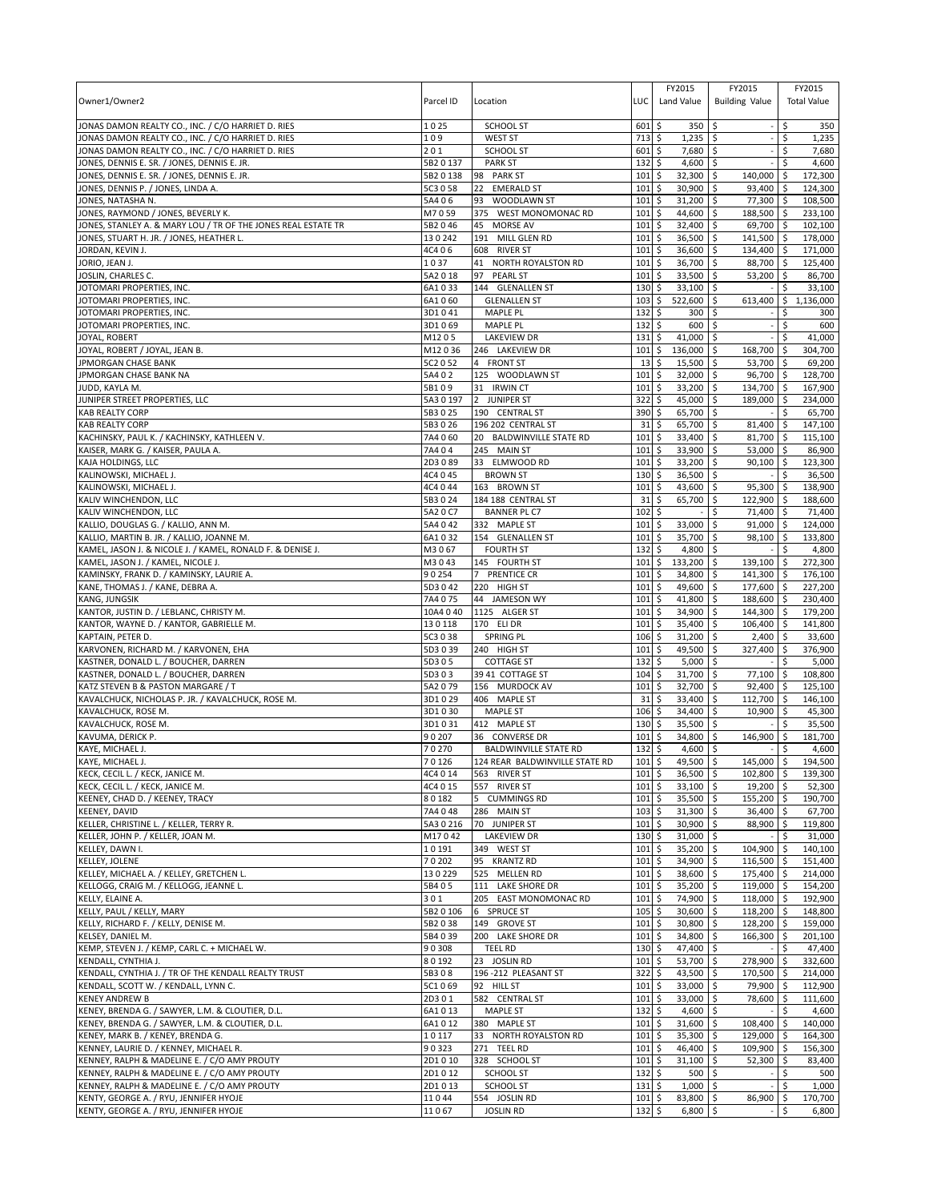| Owner1/Owner2                                                                                            | Parcel ID            | Location                                 | LUC                        | FY2015<br>Land Value               | FY2015<br><b>Building Value</b> | FY2015<br><b>Total Value</b>      |                |
|----------------------------------------------------------------------------------------------------------|----------------------|------------------------------------------|----------------------------|------------------------------------|---------------------------------|-----------------------------------|----------------|
| JONAS DAMON REALTY CO., INC. / C/O HARRIET D. RIES<br>JONAS DAMON REALTY CO., INC. / C/O HARRIET D. RIES | 1025                 | <b>SCHOOL ST</b>                         | 601                        | \$<br>350                          | Ŝ.                              | \$                                | 350            |
| JONAS DAMON REALTY CO., INC. / C/O HARRIET D. RIES                                                       | 109<br>201           | <b>WEST ST</b><br><b>SCHOOL ST</b>       | 713<br>601                 | \$<br>1,235<br>\$<br>7,680 \$      | ۱\$                             | Ś<br>\$                           | 1,235<br>7,680 |
| JONES, DENNIS E. SR. / JONES, DENNIS E. JR.                                                              | 5B2 0 137            | <b>PARK ST</b>                           | 132                        | \$<br>4,600                        | l\$                             | \$<br>4,600                       |                |
| JONES, DENNIS E. SR. / JONES, DENNIS E. JR.                                                              | 5B20138              | 98 PARK ST                               | 101                        | \$<br>$32,300$ \$                  | 140,000                         | l\$<br>172,300                    |                |
| JONES, DENNIS P. / JONES, LINDA A.                                                                       | 5C3 0 58             | 22<br><b>EMERALD ST</b>                  | 101                        | \$<br>30,900                       | l\$<br>93,400                   | l \$<br>124,300                   |                |
| JONES, NATASHA N.                                                                                        | 5A406                | WOODLAWN ST<br>93                        | 101                        | \$<br>$31,200$ \$                  | 77,300                          | \$<br>108,500                     |                |
| JONES, RAYMOND / JONES, BEVERLY K.                                                                       | M7059                | 375 WEST MONOMONAC RD                    | 101                        | \$<br>44,600                       | 188,500 \$<br>ا \$              | 233,100                           |                |
| JONES, STANLEY A. & MARY LOU / TR OF THE JONES REAL ESTATE TR                                            | 5B2046               | 45<br><b>MORSE AV</b>                    | 101                        | \$<br>32,400                       | l\$<br>69,700                   | l\$<br>102,100                    |                |
| JONES, STUART H. JR. / JONES, HEATHER L.                                                                 | 130242               | 191 MILL GLEN RD                         | 101<br>101                 | \$<br>36,500 \$                    | 141,500 \$<br>134.400           | 178,000                           |                |
| JORDAN, KEVIN J.<br>JORIO, JEAN J.                                                                       | 4C406<br>1037        | 608 RIVER ST<br>41<br>NORTH ROYALSTON RD | 101                        | \$<br>36,600<br>\$<br>36,700       | \$<br>  \$<br>88,700            | -\$<br>171,000<br>125,400<br>ا \$ |                |
| JOSLIN, CHARLES C.                                                                                       | 5A2018               | <b>PEARL ST</b><br>97                    | 101                        | \$<br>33,500                       | l\$<br>53,200                   | l\$<br>86,700                     |                |
| JOTOMARI PROPERTIES, INC.                                                                                | 6A1033               | 144 GLENALLEN ST                         | 130                        | 33,100<br>\$                       | \$                              | \$<br>33,100                      |                |
| JOTOMARI PROPERTIES, INC.                                                                                | 6A1060               | <b>GLENALLEN ST</b>                      | 103                        | \$<br>522,600                      | \$<br>613,400                   | \$<br>1,136,000                   |                |
| JOTOMARI PROPERTIES, INC.                                                                                | 3D1041               | MAPLE PL                                 | 132                        | 300<br>\$                          | \$                              | Ś                                 | 300            |
| JOTOMARI PROPERTIES, INC.                                                                                | 3D1069               | <b>MAPLE PL</b>                          | 132                        | \$<br>600                          | \$                              | \$                                | 600            |
| JOYAL, ROBERT                                                                                            | M1205                | <b>LAKEVIEW DR</b>                       | 131                        | \$<br>41,000                       | \$                              | 41,000<br>Ś                       |                |
| JOYAL, ROBERT / JOYAL, JEAN B.                                                                           | M12036               | 246 LAKEVIEW DR                          | 101                        | \$<br>136,000                      | \$<br>168,700                   | \$<br>304,700                     |                |
| JPMORGAN CHASE BANK                                                                                      | 5C2 0 52             | 4 FRONT ST                               | 13                         | 15,500<br>\$                       | \$<br>53,700                    | l\$<br>69,200                     |                |
| JPMORGAN CHASE BANK NA<br>JUDD, KAYLA M.                                                                 | 5A402<br>5B109       | 125 WOODLAWN ST<br>31 IRWIN CT           | 101<br>101                 | \$<br>32,000<br>\$<br>33,200       | 96,700 \$<br>l\$                | 128,700<br>167,900                |                |
| JUNIPER STREET PROPERTIES, LLC                                                                           | 5A3 0 197            | 2 JUNIPER ST                             | 322                        | \$<br>45,000                       | \$<br>134,700<br>\$<br>189,000  | l \$<br>-\$<br>234,000            |                |
| <b>KAB REALTY CORP</b>                                                                                   | 5B3025               | 190 CENTRAL ST                           | 390                        | 65,700<br>\$                       | l\$                             | 65,700<br>\$                      |                |
| <b>KAB REALTY CORP</b>                                                                                   | 5B3026               | 196 202 CENTRAL ST                       | 31                         | \$<br>65,700                       | \$<br>81,400                    | ۱\$<br>147,100                    |                |
| KACHINSKY, PAUL K. / KACHINSKY, KATHLEEN V.                                                              | 7A4 060              | 20 BALDWINVILLE STATE RD                 | 101                        | \$<br>33,400                       | 81,700<br>\$                    | 115,100<br>l \$                   |                |
| KAISER, MARK G. / KAISER, PAULA A.                                                                       | 7A404                | 245 MAIN ST                              | 101                        | \$<br>33,900                       | 53,000<br>\$                    | 86,900<br>۱\$                     |                |
| KAJA HOLDINGS, LLC                                                                                       | 2D3089               | 33 ELMWOOD RD                            | 101                        | \$<br>33,200                       | l \$<br>90,100                  | l\$<br>123,300                    |                |
| KALINOWSKI, MICHAEL J.                                                                                   | 4C4 0 45             | <b>BROWN ST</b>                          | 130                        | \$<br>36,500 \$                    |                                 | 36,500<br>Ŝ.                      |                |
| KALINOWSKI, MICHAEL J.                                                                                   | 4C4 0 44             | 163 BROWN ST                             | 101                        | \$<br>43,600                       | \$<br>95,300                    | \$<br>138,900                     |                |
| KALIV WINCHENDON, LLC                                                                                    | 5B3024               | 184 188 CENTRAL ST                       | 31                         | \$<br>65,700                       | \$<br>122,900                   | l \$<br>188,600                   |                |
| KALIV WINCHENDON, LLC<br>KALLIO, DOUGLAS G. / KALLIO, ANN M.                                             | 5A2 0 C7<br>5A4 0 42 | <b>BANNER PL C7</b><br>332 MAPLE ST      | 102<br>101                 | \$<br>33,000<br>\$                 | \$<br>71,400<br>\$<br>91,000    | 71,400<br>l \$<br>  \$<br>124,000 |                |
| KALLIO, MARTIN B. JR. / KALLIO, JOANNE M.                                                                | 6A1032               | 154 GLENALLEN ST                         | 101                        | 35,700<br>\$                       | \$<br>98,100                    | ۱\$<br>133,800                    |                |
| KAMEL, JASON J. & NICOLE J. / KAMEL, RONALD F. & DENISE J.                                               | M3067                | <b>FOURTH ST</b>                         | 132                        | \$<br>4,800                        | ∣\$                             | 4,800<br>-\$                      |                |
| KAMEL, JASON J. / KAMEL, NICOLE J.                                                                       | M3043                | 145 FOURTH ST                            | 101                        | \$<br>133,200                      | l\$<br>139,100                  | 272,300<br>-\$                    |                |
| KAMINSKY, FRANK D. / KAMINSKY, LAURIE A.                                                                 | 90254                | PRENTICE CR<br>$7^{\circ}$               | 101                        | \$<br>34,800                       | \$<br>141,300 \$                | 176,100                           |                |
| KANE, THOMAS J. / KANE, DEBRA A.                                                                         | 5D3042               | 220 HIGH ST                              | 101                        | 49,600<br>\$                       | \$<br>177,600                   | <b>5</b><br>227,200               |                |
| KANG, JUNGSIK                                                                                            | 7A4 075              | 44 JAMESON WY                            | 101                        | \$<br>41,800                       | \$<br>188,600                   | 230,400<br>l\$                    |                |
| KANTOR, JUSTIN D. / LEBLANC, CHRISTY M.                                                                  | 10A4 040             | 1125 ALGER ST                            | 101                        | \$<br>34,900                       | \$<br>144,300                   | 179,200<br>l\$                    |                |
| KANTOR, WAYNE D. / KANTOR, GABRIELLE M.                                                                  | 130118               | 170 ELI DR                               | 101                        | \$<br>35,400                       | \$<br>106,400                   | <b>5</b><br>141,800               |                |
| KAPTAIN, PETER D.                                                                                        | 5C3 0 38             | <b>SPRING PL</b>                         | 106                        | \$<br>31,200                       | \$<br>2,400                     | -\$<br>33,600                     |                |
| KARVONEN, RICHARD M. / KARVONEN, EHA                                                                     | 5D3 0 39             | 240 HIGH ST<br><b>COTTAGE ST</b>         | 101                        | 49,500<br>\$                       | 327,400<br>Ŝ.                   | 376,900<br>-\$<br>\$              |                |
| KASTNER, DONALD L. / BOUCHER, DARREN<br>KASTNER, DONALD L. / BOUCHER, DARREN                             | 5D305<br>5D303       | 39 41 COTTAGE ST                         | 132<br>104                 | \$<br>5,000<br>\$<br>31,700        | \$<br>\$<br>77,100              | 5,000<br>108,800<br>\$            |                |
| KATZ STEVEN B & PASTON MARGARE / T                                                                       | 5A2 079              | 156 MURDOCK AV                           | 101                        | \$<br>32,700                       | 92,400<br>\$                    | l\$<br>125,100                    |                |
| KAVALCHUCK, NICHOLAS P. JR. / KAVALCHUCK, ROSE M.                                                        | 3D1029               | 406 MAPLE ST                             | 31                         | \$<br>33,400                       | \$<br>112,700                   | 146,100<br>l \$                   |                |
| KAVALCHUCK, ROSE M.                                                                                      | 3D1030               | <b>MAPLE ST</b>                          | 106                        | \$<br>34,400                       | \$<br>10,900                    | 45,300<br>l \$                    |                |
| KAVALCHUCK, ROSE M.                                                                                      | 3D1031               | 412 MAPLE ST                             | 130                        | \$<br>35,500                       | l\$                             | \$<br>35,500                      |                |
| KAVUMA, DERICK P.                                                                                        | 90207                | 36 CONVERSE DR                           | 101                        | \$<br>34,800                       | \$<br>146,900                   | 181,700<br>\$.                    |                |
| KAYE, MICHAEL J.                                                                                         | 70270                | <b>BALDWINVILLE STATE RD</b>             | 132                        | \$<br>4,600                        | l\$                             | \$                                | 4,600          |
| KAYE, MICHAEL J.                                                                                         | 70126                | 124 REAR BALDWINVILLE STATE RD           | $101 \text{ }$ \$          | 49,500 \$<br>$36,500$ \$           | 145,000                         | l \$<br>194,500                   |                |
| KECK, CECIL L. / KECK, JANICE M.<br>KECK, CECIL L. / KECK, JANICE M.                                     | 4C4 0 14<br>4C4 0 15 | 563 RIVER ST<br>557 RIVER ST             | $101 \,$ \$<br>$101 \;$ \$ | $33,100$ \$                        | 102,800 \$<br>19,200 \$         | 139,300<br>52,300                 |                |
| KEENEY, CHAD D. / KEENEY, TRACY                                                                          | 80182                | 5 CUMMINGS RD                            | $101 \,$ \$                | $35,500$ \$                        | 155,200 \$                      | 190,700                           |                |
| KEENEY, DAVID                                                                                            | 7A4048               | 286 MAIN ST                              | $103 \,$ \$                | $31,300$ \$                        | 36,400 \$                       | 67,700                            |                |
| KELLER, CHRISTINE L. / KELLER, TERRY R.                                                                  | 5A3 0 216            | 70 JUNIPER ST                            | 101                        | \$<br>30,900 \$                    | 88,900 \$                       | 119,800                           |                |
| KELLER, JOHN P. / KELLER, JOAN M.                                                                        | M17042               | <b>LAKEVIEW DR</b>                       | $130 \;$ \$                | 31,000 \$                          |                                 | 31,000<br>-\$                     |                |
| KELLEY, DAWN I.                                                                                          | 10191                | 349 WEST ST                              | 101                        | \$<br>35,200 \$                    | 104,900 \$                      | 140,100                           |                |
| <b>KELLEY, JOLENE</b>                                                                                    | 70202                | 95<br><b>KRANTZ RD</b>                   | 101                        | \$<br>34,900 \$                    | 116,500 \$                      | 151,400                           |                |
| KELLEY, MICHAEL A. / KELLEY, GRETCHEN L.                                                                 | 130229               | 525 MELLEN RD                            | 101                        | \$<br>38,600 \$                    | 175,400                         | 214,000<br>  \$                   |                |
| KELLOGG, CRAIG M. / KELLOGG, JEANNE L.                                                                   | 5B405                | 111 LAKE SHORE DR                        | 101                        | 5<br>35,200 \$                     | 119,000 \$                      | 154,200                           |                |
| KELLY, ELAINE A.<br>KELLY, PAUL / KELLY, MARY                                                            | 301<br>5B2 0 106     | 205 EAST MONOMONAC RD<br>6 SPRUCE ST     | 101<br>$105 \pm 5$         | \$<br>74,900 \$<br>30,600 \$       | 118,000 \$<br>118,200 \$        | 192,900<br>148,800                |                |
| KELLY, RICHARD F. / KELLY, DENISE M.                                                                     | 5B2038               | 149 GROVE ST                             | 101                        | \$<br>30,800 \$                    | 128,200                         | \$ ا<br>159,000                   |                |
| KELSEY, DANIEL M.                                                                                        | 5B4039               | 200 LAKE SHORE DR                        | 101                        | \$<br>34,800                       | <b>S</b><br>166,300             | <b>S</b><br>201,100               |                |
| KEMP, STEVEN J. / KEMP, CARL C. + MICHAEL W.                                                             | 90308                | <b>TEEL RD</b>                           | 130                        | \$<br>47,400 \$                    |                                 | 47,400<br>\$                      |                |
| KENDALL, CYNTHIA J.                                                                                      | 80192                | 23 JOSLIN RD                             | 101                        | \$<br>53,700 \$                    | 278,900                         | \$<br>332,600                     |                |
| KENDALL, CYNTHIA J. / TR OF THE KENDALL REALTY TRUST                                                     | 5B308                | 196-212 PLEASANT ST                      | 322                        | \$<br>43,500                       | \$<br>170,500                   | <b>S</b><br>214,000               |                |
| KENDALL, SCOTT W. / KENDALL, LYNN C.                                                                     | 5C1069               | 92 HILL ST                               | 101                        | 33,000 \$<br>\$                    | 79,900                          | 112,900<br>I\$                    |                |
| <b>KENEY ANDREW B</b>                                                                                    | 2D301                | 582 CENTRAL ST                           | 101                        | \$<br>33,000 \$                    | 78,600 \$                       | 111,600                           |                |
| KENEY, BRENDA G. / SAWYER, L.M. & CLOUTIER, D.L.                                                         | 6A1013               | <b>MAPLE ST</b>                          | 132                        | \$<br>4,600 \$                     |                                 | \$                                | 4,600          |
| KENEY, BRENDA G. / SAWYER, L.M. & CLOUTIER, D.L.<br>KENEY, MARK B. / KENEY, BRENDA G.                    | 6A1012<br>10117      | 380 MAPLE ST<br>33 NORTH ROYALSTON RD    | 101<br>101                 | \$<br>31,600 \$<br>\$<br>35,300 \$ | 108,400<br>129,000              | ۱\$<br>140,000<br>164,300<br>l \$ |                |
| KENNEY, LAURIE D. / KENNEY, MICHAEL R.                                                                   | 90323                | 271 TEEL RD                              | 101                        | \$<br>46,400 \$                    | 109,900 \$                      | 156,300                           |                |
| KENNEY, RALPH & MADELINE E. / C/O AMY PROUTY                                                             | 2D1010               | 328 SCHOOL ST                            | 101                        | \$<br>$31,100$ \$                  | $52,300$ \$                     | 83,400                            |                |
| KENNEY, RALPH & MADELINE E. / C/O AMY PROUTY                                                             | 2D1012               | SCHOOL ST                                | 132                        | \$<br>$500$ \$                     |                                 | \$                                | 500            |
| KENNEY, RALPH & MADELINE E. / C/O AMY PROUTY                                                             | 2D1013               | SCHOOL ST                                | $131 \;$ \$                | $1,000$ \$                         |                                 | \$                                | 1,000          |
| KENTY, GEORGE A. / RYU, JENNIFER HYOJE                                                                   | 11044                | 554 JOSLIN RD                            | 101                        | \$<br>83,800 \$                    | 86,900                          | ۱\$<br>170,700                    |                |
| KENTY, GEORGE A. / RYU, JENNIFER HYOJE                                                                   | 11067                | <b>JOSLIN RD</b>                         | 132 \$                     | $6,800$ \$                         |                                 | \$                                | 6,800          |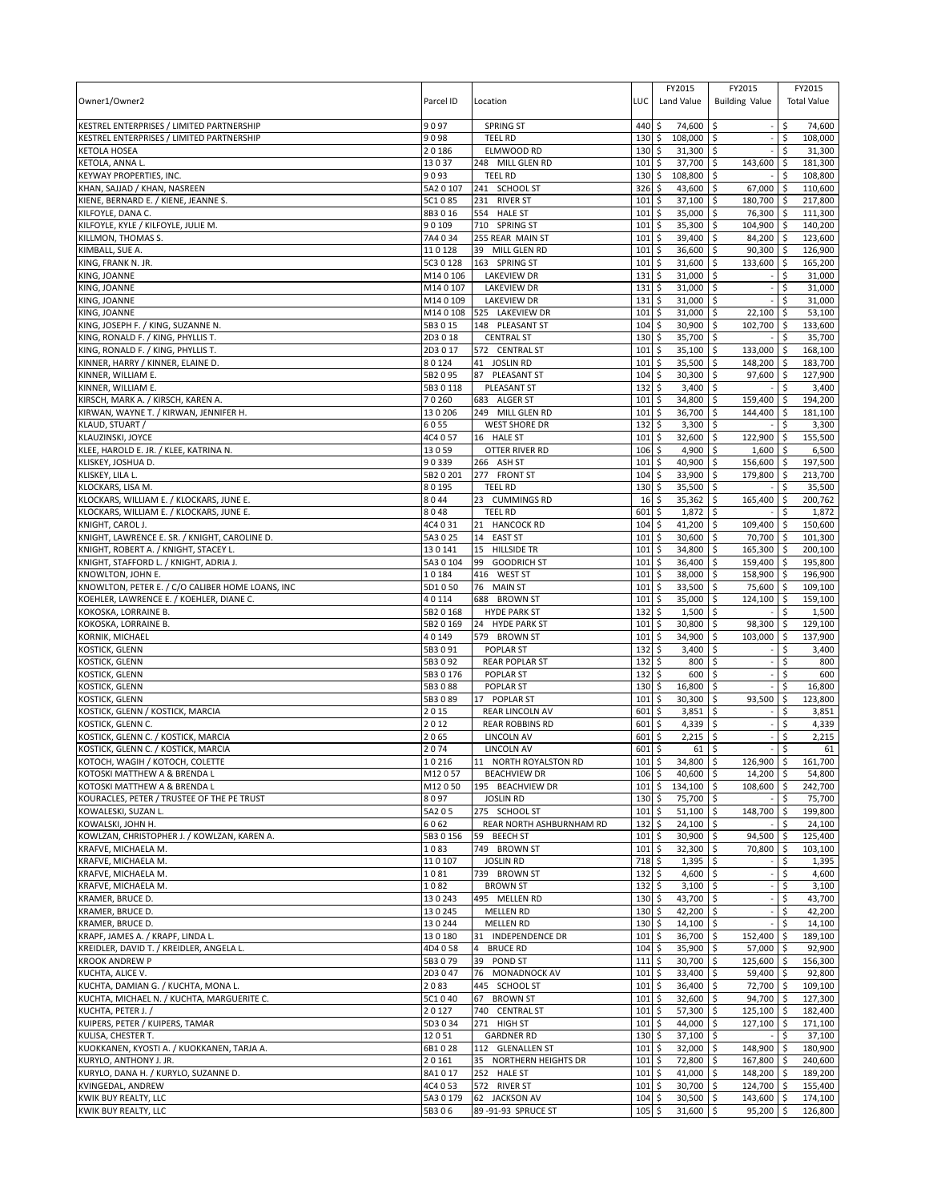| Owner1/Owner2                                                                                | Parcel ID            | Location                                  | LUC                | FY2015<br>Land Value                       | FY2015<br><b>Building Value</b> |                           | FY2015<br><b>Total Value</b> |
|----------------------------------------------------------------------------------------------|----------------------|-------------------------------------------|--------------------|--------------------------------------------|---------------------------------|---------------------------|------------------------------|
| KESTREL ENTERPRISES / LIMITED PARTNERSHIP<br>KESTREL ENTERPRISES / LIMITED PARTNERSHIP       | 9097<br>9098         | <b>SPRING ST</b><br><b>TEEL RD</b>        | 440<br>130         | \$<br>74,600<br>\$<br>108,000              | -\$<br>\$                       | \$.<br>\$                 | 74,600<br>108,000            |
| KETOLA HOSEA                                                                                 | 20186                | ELMWOOD RD                                | 130                | 31,300<br>\$                               | \$                              | \$                        | 31,300                       |
| KETOLA, ANNA L.                                                                              | 13037                | 248 MILL GLEN RD                          | 101                | \$<br>37,700                               | \$<br>143,600                   | \$                        | 181,300                      |
| KEYWAY PROPERTIES, INC.                                                                      | 9093                 | <b>TEEL RD</b>                            | 130                | 108,800<br>\$                              | \$                              | \$                        | 108,800                      |
| KHAN, SAJJAD / KHAN, NASREEN                                                                 | 5A2 0 107            | 241 SCHOOL ST                             | 326                | \$<br>43,600                               | \$<br>67,000                    | S.                        | 110,600                      |
| KIENE, BERNARD E. / KIENE, JEANNE S.<br>KILFOYLE, DANA C.                                    | 5C1085<br>8B3016     | 231 RIVER ST<br>554 HALE ST               | 101<br>101         | \$<br>37,100<br>\$<br>35,000               | 180,700<br>\$<br>\$<br>76,300   | ا \$<br>l \$              | 217,800<br>111,300           |
| KILFOYLE, KYLE / KILFOYLE, JULIE M.                                                          | 90109                | 710 SPRING ST                             | 101                | \$<br>35,300                               | 104,900<br>\$                   | \$                        | 140,200                      |
| KILLMON, THOMAS S.                                                                           | 7A4034               | 255 REAR MAIN ST                          | 101                | \$<br>39,400                               | 84,200 \$<br>\$                 |                           | 123,600                      |
| KIMBALL, SUE A.                                                                              | 110128               | 39 MILL GLEN RD                           | 101                | \$<br>36,600                               | 90,300<br>\$                    | -\$                       | 126,900                      |
| KING, FRANK N. JR.<br>KING, JOANNE                                                           | 5C3 0 128<br>M140106 | 163 SPRING ST<br><b>LAKEVIEW DR</b>       | 101<br>131         | \$<br>31,600<br>\$<br>31,000               | 133,600<br>\$<br>\$             | \$<br>\$                  | 165,200<br>31,000            |
| KING, JOANNE                                                                                 | M140107              | <b>LAKEVIEW DR</b>                        | 131                | \$<br>31,000                               | \$                              | \$                        | 31,000                       |
| KING, JOANNE                                                                                 | M140109              | <b>LAKEVIEW DR</b>                        | 131                | \$<br>31,000                               | \$                              | \$                        | 31,000                       |
| KING, JOANNE                                                                                 | M140108              | 525 LAKEVIEW DR                           | 101                | \$<br>31,000                               | \$<br>22,100                    | \$                        | 53,100                       |
| KING, JOSEPH F. / KING, SUZANNE N.                                                           | 5B3 0 15             | 148 PLEASANT ST                           | 104                | \$<br>30,900                               | \$<br>102,700                   | S.                        | 133,600                      |
| KING, RONALD F. / KING, PHYLLIS T.                                                           | 2D3018               | <b>CENTRAL ST</b>                         | 130                | \$<br>35,700 \$                            |                                 | \$.                       | 35,700                       |
| KING, RONALD F. / KING, PHYLLIS T.<br>KINNER, HARRY / KINNER, ELAINE D.                      | 2D3017<br>80124      | 572 CENTRAL ST<br>41 JOSLIN RD            | 101<br>101         | \$<br>35,100<br>\$<br>35,500               | \$<br>133,000<br>\$<br>148,200  | \$<br>-\$                 | 168,100<br>183,700           |
| KINNER, WILLIAM E.                                                                           | 5B2095               | 87<br>PLEASANT ST                         | 104                | \$<br>30,300                               | $\ddot{\circ}$<br>97,600        | l\$                       | 127,900                      |
| KINNER, WILLIAM E.                                                                           | 5B30118              | PLEASANT ST                               | 132                | \$<br>3,400                                | \$                              | \$                        | 3,400                        |
| KIRSCH, MARK A. / KIRSCH, KAREN A.                                                           | 70260                | 683 ALGER ST                              | 101                | \$<br>34,800                               | \$<br>159,400                   | \$                        | 194,200                      |
| KIRWAN, WAYNE T. / KIRWAN, JENNIFER H.                                                       | 130206               | 249 MILL GLEN RD                          | 101                | \$<br>36,700                               | \$<br>144,400                   | ۱\$                       | 181,100                      |
| KLAUD, STUART /<br>KLAUZINSKI, JOYCE                                                         | 6055<br>4C4 0 57     | <b>WEST SHORE DR</b><br>16 HALE ST        | 132<br>101         | \$<br>3,300<br>\$<br>32,600                | \$<br>\$<br>122,900             | \$<br>ا \$                | 3,300<br>155,500             |
| KLEE, HAROLD E. JR. / KLEE, KATRINA N.                                                       | 13059                | OTTER RIVER RD                            | 106                | 4,900<br>\$                                | \$<br>1,600                     | -\$                       | 6,500                        |
| KLISKEY, JOSHUA D                                                                            | 90339                | 266 ASH ST                                | 101                | \$<br>40,900                               | \$<br>156,600                   | -\$                       | 197,500                      |
| KLISKEY, LILA L.                                                                             | 5B2 0 201            | 277 FRONT ST                              | 104                | \$<br>33,900                               | \$<br>179,800                   | l \$                      | 213,700                      |
| KLOCKARS, LISA M.                                                                            | 80195                | <b>TEEL RD</b>                            | 130                | \$<br>35,500                               | \$                              | \$                        | 35,500                       |
| KLOCKARS, WILLIAM E. / KLOCKARS, JUNE E.                                                     | 8044                 | 23<br><b>CUMMINGS RD</b>                  | 16                 | \$<br>35,362                               | \$<br>165,400                   | \$                        | 200,762                      |
| KLOCKARS, WILLIAM E. / KLOCKARS, JUNE E.<br>KNIGHT, CAROL J.                                 | 8048<br>4C4 0 31     | <b>TEEL RD</b><br><b>HANCOCK RD</b><br>21 | 601<br>104         | 1,872<br>\$<br>\$<br>41,200                | \$<br>\$<br>109,400             | \$<br>-\$                 | 1,872<br>150,600             |
| KNIGHT, LAWRENCE E. SR. / KNIGHT, CAROLINE D.                                                | 5A3 0 25             | 14<br><b>EAST ST</b>                      | 101                | 30,600<br>\$                               | 70,700<br>\$                    | -\$                       | 101,300                      |
| KNIGHT, ROBERT A. / KNIGHT, STACEY L.                                                        | 130141               | 15<br><b>HILLSIDE TR</b>                  | 101                | \$<br>34,800                               | 165,300<br>\$                   | ۱\$                       | 200,100                      |
| KNIGHT, STAFFORD L. / KNIGHT, ADRIA J.                                                       | 5A3 0 104            | 99<br><b>GOODRICH ST</b>                  | 101                | \$<br>36,400                               | 159,400<br>\$                   | \$                        | 195,800                      |
| KNOWLTON, JOHN E.                                                                            | 10184                | 416 WEST ST                               | 101                | \$<br>38,000                               | 158,900 \$<br>\$                |                           | 196,900                      |
| KNOWLTON, PETER E. / C/O CALIBER HOME LOANS, INC<br>KOEHLER, LAWRENCE E. / KOEHLER, DIANE C. | 5D1050<br>40114      | 76 MAIN ST<br>688<br><b>BROWN ST</b>      | 101<br>101         | \$<br>33,500<br>\$<br>35,000               | \$<br>75,600<br>\$<br>124,100   | \$<br>S.                  | 109,100<br>159,100           |
| KOKOSKA, LORRAINE B                                                                          | 5B2 0 168            | <b>HYDE PARK ST</b>                       | 132                | 1,500<br>\$                                | S.                              | \$                        | 1,500                        |
| KOKOSKA, LORRAINE B.                                                                         | 5B2 0 169            | 24 HYDE PARK ST                           | 101                | \$<br>30,800                               | \$<br>98,300                    | \$                        | 129,100                      |
| KORNIK, MICHAEL                                                                              | 40149                | 579 BROWN ST                              | 101                | \$<br>34,900                               | \$<br>103,000                   | \$                        | 137,900                      |
| KOSTICK, GLENN                                                                               | 5B3091               | POPLAR ST                                 | 132                | \$<br>3,400                                | \$                              | \$                        | 3,400                        |
| KOSTICK, GLENN<br>KOSTICK, GLENN                                                             | 5B3092<br>5B3 0 176  | <b>REAR POPLAR ST</b><br><b>POPLAR ST</b> | 132<br>132         | \$<br>800<br>\$<br>600                     | \$<br>\$                        | \$<br>\$                  | 800<br>600                   |
| KOSTICK, GLENN                                                                               | 5B3088               | <b>POPLAR ST</b>                          | 130                | 16,800<br>\$                               | \$                              | \$                        | 16,800                       |
| KOSTICK, GLENN                                                                               | 5B3089               | 17 POPLAR ST                              | 101                | \$<br>30,300                               | 93,500<br>Ŝ.                    | \$                        | 123,800                      |
| KOSTICK, GLENN / KOSTICK, MARCIA                                                             | 2015                 | <b>REAR LINCOLN AV</b>                    | 601                | \$<br>3,851                                | \$                              | \$                        | 3,851                        |
| KOSTICK, GLENN C.<br>KOSTICK, GLENN C. / KOSTICK, MARCIA                                     | 2012                 | <b>REAR ROBBINS RD</b>                    | 601                | \$<br>4,339                                | \$                              | \$                        | 4,339                        |
| KOSTICK, GLENN C. / KOSTICK, MARCIA                                                          | 2065<br>2074         | <b>LINCOLN AV</b><br>LINCOLN AV           | 601<br>601         | \$<br>2,215<br>\$<br>61                    | \$<br>-\$                       | Ś<br>\$                   | 2,215<br>61                  |
| KOTOCH, WAGIH / KOTOCH, COLETTE                                                              | 10216                | 11 NORTH ROYALSTON RD                     | 101S               | $34.800$ \$                                | 126,900 \$                      |                           | 161.700                      |
| KOTOSKI MATTHEW A & BRENDA L                                                                 | M12057               | <b>BEACHVIEW DR</b>                       | $106\frac{1}{2}$   | 40,600 \$                                  | 14,200 \$                       |                           | 54,800                       |
| KOTOSKI MATTHEW A & BRENDA L                                                                 | M12050               | 195 BEACHVIEW DR                          | 101                | \$<br>134,100 \$                           | 108,600                         | l \$                      | 242,700                      |
| KOURACLES, PETER / TRUSTEE OF THE PE TRUST<br>KOWALESKI, SUZAN L.                            | 8097<br>5A205        | <b>JOSLIN RD</b><br>275 SCHOOL ST         | 130<br>101         | 75,700<br>\$<br>\$<br>$51,100$ \$          | $\ddot{\circ}$<br>148,700       | \$<br>$\sqrt{5}$          | 75,700<br>199,800            |
| KOWALSKI, JOHN H.                                                                            | 6062                 | REAR NORTH ASHBURNHAM RD                  | 132                | \$<br>$24,100$ \$                          |                                 | \$                        | 24,100                       |
| KOWLZAN, CHRISTOPHER J. / KOWLZAN, KAREN A.                                                  | 5B3 0 156            | 59 BEECH ST                               | 101                | \$<br>30,900                               | 94,500<br>-\$                   | -\$                       | 125,400                      |
| KRAFVE, MICHAELA M.                                                                          | 1083                 | 749 BROWN ST                              | 101                | \$<br>$32,300$ \$                          | 70,800                          | <b>S</b>                  | 103,100                      |
| KRAFVE, MICHAELA M.                                                                          | 110107               | <b>JOSLIN RD</b>                          | 718                | \$<br>1,395                                | \$                              | \$                        | 1,395                        |
| KRAFVE, MICHAELA M.<br>KRAFVE, MICHAELA M.                                                   | 1081<br>1082         | 739 BROWN ST<br><b>BROWN ST</b>           | 132<br>132         | \$<br>4,600 \$<br>\$<br>$3,100$ \$         |                                 | \$<br>\$                  | 4,600<br>3,100               |
| KRAMER, BRUCE D.                                                                             | 130243               | 495 MELLEN RD                             | 130                | \$<br>43,700 \$                            |                                 | \$                        | 43,700                       |
| KRAMER, BRUCE D.                                                                             | 130245               | <b>MELLEN RD</b>                          | 130                | \$<br>42,200 \$                            |                                 | \$                        | 42,200                       |
| KRAMER, BRUCE D.                                                                             | 130244               | <b>MELLEN RD</b>                          | $130 \;$ \$        | $14,100$ \$                                |                                 | \$                        | 14,100                       |
| KRAPF, JAMES A. / KRAPF, LINDA L.                                                            | 130180               | 31 INDEPENDENCE DR                        | 101                | \$<br>36,700 \$                            | 152,400                         | ۱\$                       | 189,100                      |
| KREIDLER, DAVID T. / KREIDLER, ANGELA L<br><b>KROOK ANDREW P</b>                             | 4D4058<br>5B3079     | 4 BRUCE RD<br>39 POND ST                  | 104<br>111         | $\ddot{s}$<br>35,900 \$<br>\$<br>30,700 \$ | 57,000 \$<br>125,600 \$         |                           | 92,900<br>156,300            |
| KUCHTA, ALICE V.                                                                             | 2D3047               | 76 MONADNOCK AV                           | $101 \,$ \$        | 33,400 \$                                  | 59,400 \$                       |                           | 92,800                       |
| KUCHTA, DAMIAN G. / KUCHTA, MONA L.                                                          | 2083                 | 445 SCHOOL ST                             | 101                | \$<br>36,400                               | l \$<br>72,700 \$               |                           | 109,100                      |
| KUCHTA, MICHAEL N. / KUCHTA, MARGUERITE C.                                                   | 5C1040               | 67 BROWN ST                               | 101                | 5<br>32,600 \$                             | 94,700 \$                       |                           | 127,300                      |
| KUCHTA, PETER J. /                                                                           | 20127                | 740 CENTRAL ST                            | $101 \;$ \$        | 57,300 \$                                  | $125,100$ \$                    |                           | 182,400                      |
| KUIPERS, PETER / KUIPERS, TAMAR<br>KULISA, CHESTER T.                                        | 5D3034<br>12051      | 271 HIGH ST<br><b>GARDNER RD</b>          | 101<br>$130 \;$ \$ | \$<br>44,000<br>37,100 \$                  | \$<br>127,100                   | $\ddot{\varsigma}$<br>-\$ | 171,100<br>37,100            |
| KUOKKANEN, KYOSTI A. / KUOKKANEN, TARJA A.                                                   | 6B1028               | 112 GLENALLEN ST                          | 101                | $\ddot{s}$<br>$32,000$ \$                  | 148,900                         | <b>S</b>                  | 180,900                      |
| KURYLO, ANTHONY J. JR.                                                                       | 20161                | 35 NORTHERN HEIGHTS DR                    | 101                | \$<br>72,800                               | ا \$<br>167,800 \$              |                           | 240,600                      |
| KURYLO, DANA H. / KURYLO, SUZANNE D.                                                         | 8A1017               | 252 HALE ST                               | 101                | \$<br>41,000                               | \$<br>148,200                   | ۱\$                       | 189,200                      |
| KVINGEDAL, ANDREW                                                                            | 4C4 0 53             | 572 RIVER ST                              | 101                | 30,700<br>\$                               | 124,700<br>\$                   | ۱\$                       | 155,400                      |
| KWIK BUY REALTY, LLC<br>KWIK BUY REALTY, LLC                                                 | 5A3 0 179<br>5B306   | 62 JACKSON AV<br>89-91-93 SPRUCE ST       | 104<br>105         | \$<br>30,500<br>\$<br>31,600 \$            | \$<br>143,600 \$<br>95,200 \$   |                           | 174,100<br>126,800           |
|                                                                                              |                      |                                           |                    |                                            |                                 |                           |                              |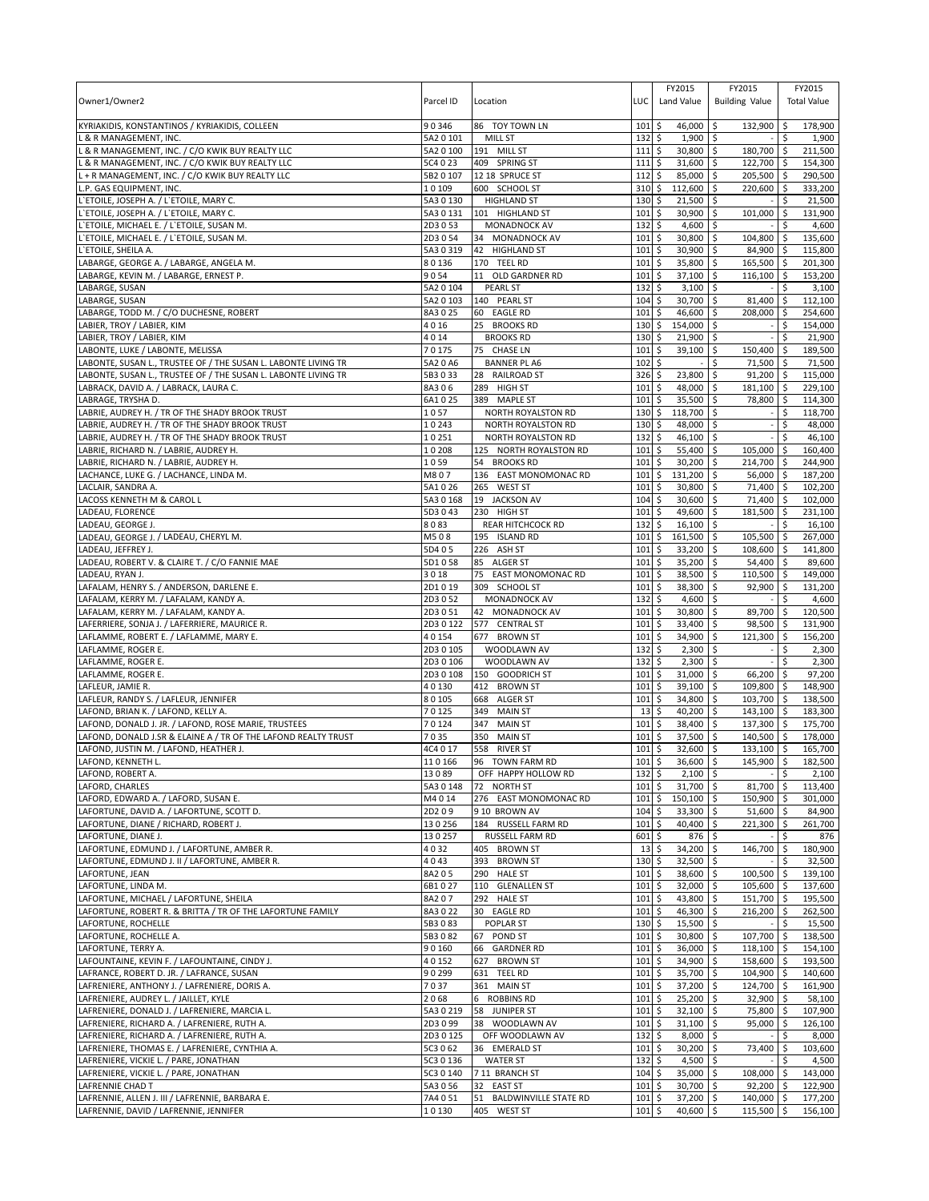| Owner1/Owner2                                                                                                                    | Parcel ID              | Location                                     | LUC <sup>1</sup>     | FY2015<br>Land Value                 | FY2015<br><b>Building Value</b>    |                   | FY2015<br><b>Total Value</b> |
|----------------------------------------------------------------------------------------------------------------------------------|------------------------|----------------------------------------------|----------------------|--------------------------------------|------------------------------------|-------------------|------------------------------|
| KYRIAKIDIS, KONSTANTINOS / KYRIAKIDIS, COLLEEN                                                                                   | 90346                  | 86 TOY TOWN LN                               | 101                  | 46,000 \$<br>\$                      | 132,900                            | -\$               | 178,900                      |
| L & R MANAGEMENT, INC.<br>& R MANAGEMENT, INC. / C/O KWIK BUY REALTY LLC                                                         | 5A2 0 101<br>5A2 0 100 | MILL ST<br>191 MILL ST                       | 132<br>111           | \$<br>1,900<br>\$<br>30,800 \$       | l \$<br>180,700                    | Ŝ.<br>l \$        | 1,900<br>211,500             |
| & R MANAGEMENT, INC. / C/O KWIK BUY REALTY LLC                                                                                   | 5C4 0 23               | 409 SPRING ST                                | 111                  | \$<br>31,600                         | \$<br>122,700                      | ∣\$               | 154.300                      |
| L + R MANAGEMENT, INC. / C/O KWIK BUY REALTY LLC                                                                                 | 5B2 0 107              | 12 18 SPRUCE ST                              | 112                  | 85,000<br>\$                         | 205,500<br>Ŝ.                      | ۱\$               | 290,500                      |
| P. GAS EQUIPMENT, INC.                                                                                                           | 10109                  | 600 SCHOOL ST                                | 310                  | \$<br>112,600                        | \$<br>220,600                      | l\$               | 333,200                      |
| 'ETOILE, JOSEPH A. / L'ETOILE, MARY C.                                                                                           | 5A3 0 130              | <b>HIGHLAND ST</b>                           | 130                  | \$<br>21,500                         | \$                                 | \$                | 21,500                       |
| 'ETOILE, JOSEPH A. / L'ETOILE, MARY C.<br>L'ETOILE, MICHAEL E. / L'ETOILE, SUSAN M.                                              | 5A30131<br>2D3053      | 101 HIGHLAND ST<br><b>MONADNOCK AV</b>       | 101<br>132           | 30,900<br>\$<br>\$<br>4,600          | \$<br>101,000<br>l\$               | \$<br>\$          | 131,900<br>4,600             |
| 'ETOILE, MICHAEL E. / L'ETOILE, SUSAN M.                                                                                         | 2D3 0 54               | 34 MONADNOCK AV                              | 101                  | \$<br>30,800 \$                      | 104,800                            | <b>S</b>          | 135,600                      |
| L'ETOILE, SHEILA A.                                                                                                              | 5A3 0 319              | 42 HIGHLAND ST                               | 101                  | \$<br>30,900                         | l\$<br>84,900                      | l \$              | 115.800                      |
| LABARGE, GEORGE A. / LABARGE, ANGELA M.                                                                                          | 80136                  | 170 TEEL RD                                  | 101                  | \$<br>35,800                         | \$<br>165,500                      | ∣\$               | 201,300                      |
| LABARGE, KEVIN M. / LABARGE, ERNEST P.                                                                                           | 9054                   | 11 OLD GARDNER RD                            | 101                  | 37,100<br>\$                         | 116.100<br>l\$                     | ∣\$               | 153,200                      |
| LABARGE, SUSAN<br>LABARGE, SUSAN                                                                                                 | 5A2 0 104<br>5A2 0 103 | PEARL ST<br>140 PEARL ST                     | 132<br>104           | \$<br>3,100<br>\$<br>30,700 \$       | l\$<br>81,400                      | \$<br><b>S</b>    | 3,100<br>112,100             |
| LABARGE, TODD M. / C/O DUCHESNE, ROBERT                                                                                          | 8A3025                 | 60 EAGLE RD                                  | 101                  | \$<br>46,600                         | l\$<br>208,000                     | l \$              | 254,600                      |
| LABIER, TROY / LABIER, KIM                                                                                                       | 4016                   | 25 BROOKS RD                                 | 130                  | \$<br>154,000 \$                     |                                    | \$                | 154,000                      |
| LABIER, TROY / LABIER, KIM                                                                                                       | 4014                   | <b>BROOKS RD</b>                             | 130                  | \$<br>21,900 \$                      |                                    | Ŝ.                | 21,900                       |
| LABONTE, LUKE / LABONTE, MELISSA                                                                                                 | 70175                  | 75 CHASE LN                                  | 101                  | \$<br>39,100 \$                      | 150,400                            | \$                | 189,500                      |
| LABONTE, SUSAN L., TRUSTEE OF / THE SUSAN L. LABONTE LIVING TR<br>LABONTE, SUSAN L., TRUSTEE OF / THE SUSAN L. LABONTE LIVING TR | 5A2 0 A6<br>5B3033     | <b>BANNER PL A6</b><br>28 RAILROAD ST        | 102<br>326           | \$<br>\$<br>23,800                   | \$<br>71,500<br>l\$<br>$91,200$ \$ | ۱\$               | 71,500<br>115,000            |
| LABRACK, DAVID A. / LABRACK, LAURA C.                                                                                            | 8A306                  | 289 HIGH ST                                  | 101                  | \$<br>48,000                         | \$<br>181,100                      | ۱\$               | 229,100                      |
| LABRAGE, TRYSHA D.                                                                                                               | 6A1025                 | 389 MAPLE ST                                 | 101                  | \$<br>35,500                         | \$<br>78,800                       | ∣\$               | 114,300                      |
| LABRIE, AUDREY H. / TR OF THE SHADY BROOK TRUST                                                                                  | 1057                   | <b>NORTH ROYALSTON RD</b>                    | $130 \;$ \$          | 118,700                              | ۱\$                                | S.                | 118,700                      |
| LABRIE, AUDREY H. / TR OF THE SHADY BROOK TRUST                                                                                  | 10243                  | NORTH ROYALSTON RD                           | 130                  | \$<br>48,000 \$                      |                                    | \$                | 48,000                       |
| LABRIE, AUDREY H. / TR OF THE SHADY BROOK TRUST<br>LABRIE, RICHARD N. / LABRIE, AUDREY H.                                        | 10251<br>10208         | NORTH ROYALSTON RD<br>125 NORTH ROYALSTON RD | 132<br>101           | \$<br>46,100 \$<br>\$<br>55,400      | l\$<br>105,000                     | \$<br>\$          | 46,100<br>160,400            |
| LABRIE, RICHARD N. / LABRIE, AUDREY H.                                                                                           | 1059                   | 54 BROOKS RD                                 | 101                  | 30,200<br>\$                         | l\$<br>214,700                     | ۱\$               | 244,900                      |
| LACHANCE, LUKE G. / LACHANCE, LINDA M.                                                                                           | M807                   | 136 EAST MONOMONAC RD                        | 101                  | \$<br>131,200                        | \$<br>56,000 \$                    |                   | 187,200                      |
| LACLAIR, SANDRA A.                                                                                                               | 5A1026                 | 265 WEST ST                                  | 101                  | 30,800 \$<br>\$                      | 71,400 \$                          |                   | 102,200                      |
| LACOSS KENNETH M & CAROL L                                                                                                       | 5A3 0 168              | 19 JACKSON AV                                | 104                  | \$<br>30,600                         | \$<br>71,400                       | ۱\$               | 102,000                      |
| LADEAU, FLORENCE                                                                                                                 | 5D3043<br>8083         | 230 HIGH ST                                  | 101                  | 49,600<br>\$<br>\$<br>$16,100$ \$    | \$<br>181,500                      | \$ ا<br>\$        | 231,100<br>16,100            |
| LADEAU, GEORGE J.<br>LADEAU, GEORGE J. / LADEAU, CHERYL M.                                                                       | M508                   | REAR HITCHCOCK RD<br>195 ISLAND RD           | 132<br>101           | \$<br>161,500 \$                     | 105,500                            | ∣\$               | 267,000                      |
| LADEAU, JEFFREY J.                                                                                                               | 5D405                  | 226 ASH ST                                   | 101                  | \$<br>33,200                         | \$<br>108,600                      | ۱\$               | 141,800                      |
| LADEAU, ROBERT V. & CLAIRE T. / C/O FANNIE MAE                                                                                   | 5D1058                 | 85 ALGER ST                                  | 101                  | \$<br>35,200                         | l\$<br>54,400                      | l\$               | 89,600                       |
| LADEAU, RYAN J.                                                                                                                  | 3018                   | EAST MONOMONAC RD<br>75                      | 101                  | \$<br>38,500                         | 110,500 \$<br>\$                   |                   | 149,000                      |
| LAFALAM, HENRY S. / ANDERSON, DARLENE E.                                                                                         | 2D1019                 | 309 SCHOOL ST                                | 101                  | \$<br>38,300                         | \$<br>92,900                       | l \$              | 131,200<br>4,600             |
| LAFALAM, KERRY M. / LAFALAM, KANDY A.<br>LAFALAM, KERRY M. / LAFALAM, KANDY A.                                                   | 2D3052<br>2D3051       | <b>MONADNOCK AV</b><br>42 MONADNOCK AV       | 132<br>101           | \$<br>4,600<br>30,800<br>\$          | \$<br>۱\$<br>89,700                | <b>S</b>          | 120,500                      |
| LAFERRIERE, SONJA J. / LAFERRIERE, MAURICE R.                                                                                    | 2D30122                | 577 CENTRAL ST                               | 101                  | \$<br>33,400                         | l\$<br>98,500                      | \$                | 131,900                      |
| LAFLAMME, ROBERT E. / LAFLAMME, MARY E.                                                                                          | 40154                  | 677 BROWN ST                                 | 101                  | \$<br>34,900                         | l\$<br>121,300                     | \$                | 156,200                      |
| LAFLAMME, ROGER E.                                                                                                               | 2D3 0 105              | WOODLAWN AV                                  | 132                  | \$<br>2,300                          | l\$                                | S.                | 2,300                        |
| LAFLAMME, ROGER E.                                                                                                               | 2D3 0 106              | WOODLAWN AV<br>150 GOODRICH ST               | 132                  | \$<br>$2,300$ \$                     |                                    | \$                | 2,300                        |
| LAFLAMME, ROGER E.<br>LAFLEUR, JAMIE R.                                                                                          | 2D30108<br>40130       | 412 BROWN ST                                 | 101<br>101           | \$<br>31,000 \$<br>\$<br>39,100      | 66,200<br>  \$<br>109,800          | l\$<br><b>S</b>   | 97,200<br>148.900            |
| LAFLEUR, RANDY S. / LAFLEUR, JENNIFER                                                                                            | 80105                  | 668 ALGER ST                                 | 101                  | \$<br>34,800                         | \$ ا<br>103,700 \$                 |                   | 138,500                      |
| LAFOND, BRIAN K. / LAFOND, KELLY A.                                                                                              | 70125                  | 349 MAIN ST                                  | 13                   | \$<br>40,200                         | l\$<br>143,100 \$                  |                   | 183,300                      |
| LAFOND, DONALD J. JR. / LAFOND, ROSE MARIE, TRUSTEES                                                                             | 70124                  | 347 MAIN ST                                  | 101                  | \$<br>38,400                         | \$ ا<br>137,300 \$                 |                   | 175,700                      |
| LAFOND, DONALD J.SR & ELAINE A / TR OF THE LAFOND REALTY TRUST<br>LAFOND, JUSTIN M. / LAFOND, HEATHER J.                         | 7035<br>4C4 0 17       | 350 MAIN ST<br>558 RIVER ST                  | 101<br>101           | \$<br>37,500<br>5<br>32,600 \$       | \$<br>140.500<br>$133,100$ \$      | \$ ا              | 178,000<br>165,700           |
| LAFOND, KENNETH L.                                                                                                               | 110166                 | 96 TOWN FARM RD                              | $101$ $\overline{S}$ | 36,600 \$                            | 145,900 \$                         |                   | 182.500                      |
| LAFOND, ROBERT A.                                                                                                                | 13089                  | OFF HAPPY HOLLOW RD                          | 132                  | $2,100$ \$<br>\$                     |                                    | \$                | 2,100                        |
| LAFORD, CHARLES                                                                                                                  | 5A30148                | 72 NORTH ST                                  | $101 \;$ \$          | 31,700 \$                            | 81,700                             | l \$              | 113,400                      |
| LAFORD, EDWARD A. / LAFORD, SUSAN E.                                                                                             | M4014                  | 276 EAST MONOMONAC RD                        | 101                  | \$<br>150,100 \$                     | 150,900<br>51,600 \$               | l\$               | 301,000                      |
| LAFORTUNE, DAVID A. / LAFORTUNE, SCOTT D.<br>LAFORTUNE, DIANE / RICHARD, ROBERT J.                                               | 2D209<br>130256        | 9 10 BROWN AV<br>184 RUSSELL FARM RD         | 104<br>101           | \$<br>$33,300$ \$<br>\$<br>40,400 \$ | 221,300                            | $\sqrt{5}$        | 84,900<br>261,700            |
| LAFORTUNE, DIANE J.                                                                                                              | 130257                 | RUSSELL FARM RD                              | 601                  | \$<br>$876$ \$                       |                                    | \$                | 876                          |
| LAFORTUNE, EDMUND J. / LAFORTUNE, AMBER R.                                                                                       | 4032                   | 405 BROWN ST                                 | 13                   | \$<br>34,200 \$                      | 146,700                            | \$                | 180,900                      |
| LAFORTUNE, EDMUND J. II / LAFORTUNE, AMBER R.                                                                                    | 4043                   | 393 BROWN ST                                 | 130                  | \$<br>$32,500$ \$                    |                                    | \$                | 32,500                       |
| LAFORTUNE, JEAN                                                                                                                  | 8A205                  | 290 HALE ST                                  | 101<br>101           | \$<br>38,600 \$                      | 100,500                            | \$                | 139,100                      |
| LAFORTUNE, LINDA M.<br>LAFORTUNE, MICHAEL / LAFORTUNE, SHEILA                                                                    | 6B1027<br>8A207        | 110 GLENALLEN ST<br>292 HALE ST              | 101                  | \$<br>32,000 \$<br>\$<br>43,800 \$   | 105,600<br>151,700                 | ۱\$<br>I\$        | 137,600<br>195,500           |
| LAFORTUNE, ROBERT R. & BRITTA / TR OF THE LAFORTUNE FAMILY                                                                       | 8A3022                 | 30 EAGLE RD                                  | 101                  | \$<br>46,300 \$                      | 216,200 \$                         |                   | 262,500                      |
| LAFORTUNE, ROCHELLE                                                                                                              | 5B3083                 | POPLAR ST                                    | $130 \;$ \$          | $15,500$ \$                          |                                    | $\sqrt{5}$        | 15,500                       |
| LAFORTUNE, ROCHELLE A.                                                                                                           | 5B3082                 | POND ST<br>67                                | $101 \;$ \$          | 30,800 \$                            | 107,700                            | $\sqrt{5}$        | 138,500                      |
| LAFORTUNE, TERRY A.<br>LAFOUNTAINE, KEVIN F. / LAFOUNTAINE, CINDY J.                                                             | 90160<br>40152         | 66 GARDNER RD<br>627 BROWN ST                | $101 \,$ \$<br>101   | 36,000 \$<br>\$<br>34,900 \$         | $118,100$ \$<br>158,600 \$         |                   | 154,100<br>193,500           |
| LAFRANCE, ROBERT D. JR. / LAFRANCE, SUSAN                                                                                        | 90299                  | 631 TEEL RD                                  | 101                  | \$<br>35,700 \$                      | 104,900 \$                         |                   | 140,600                      |
| LAFRENIERE, ANTHONY J. / LAFRENIERE, DORIS A.                                                                                    | 7037                   | 361 MAIN ST                                  | $101 \,$ \$          | 37,200 \$                            | 124,700 \$                         |                   | 161,900                      |
| LAFRENIERE, AUDREY L. / JAILLET, KYLE                                                                                            | 2068                   | 6 ROBBINS RD                                 | $101 \,$ \$          | $25,200$ \$                          | $32,900$ \$                        |                   | 58,100                       |
| LAFRENIERE, DONALD J. / LAFRENIERE, MARCIA L.                                                                                    | 5A3 0 219              | 58 JUNIPER ST                                | $101 \;$ \$          | $32,100$ \$                          | 75,800 \$                          |                   | 107,900                      |
| LAFRENIERE, RICHARD A. / LAFRENIERE, RUTH A.<br>LAFRENIERE, RICHARD A. / LAFRENIERE, RUTH A.                                     | 2D3099<br>2D3 0 125    | 38 WOODLAWN AV<br>OFF WOODLAWN AV            | 101<br>132           | \$<br>31,100 \$<br>5<br>$8,000$ \$   | 95,000                             | $\sqrt{5}$<br>-\$ | 126,100<br>8,000             |
| LAFRENIERE, THOMAS E. / LAFRENIERE, CYNTHIA A.                                                                                   | 5C3 0 62               | 36 EMERALD ST                                | $101 \,$ \$          | 30,200 \$                            | 73,400                             | $\sqrt{5}$        | 103,600                      |
| LAFRENIERE, VICKIE L. / PARE, JONATHAN                                                                                           | 5C3 0 136              | <b>WATER ST</b>                              | 132                  | \$<br>4,500 \$                       |                                    | \$                | 4,500                        |
| LAFRENIERE, VICKIE L. / PARE, JONATHAN                                                                                           | 5C3 0 140              | 7 11 BRANCH ST                               | 104                  | \$<br>35,000 \$                      | 108,000                            |                   | 143,000                      |
| LAFRENNIE CHAD T                                                                                                                 | 5A3 0 56               | 32<br><b>EAST ST</b>                         | 101                  | 30,700 \$<br>\$                      | $92,200$ \$                        |                   | 122,900                      |
| LAFRENNIE, ALLEN J. III / LAFRENNIE, BARBARA E.<br>LAFRENNIE, DAVID / LAFRENNIE, JENNIFER                                        | 7A4051<br>10130        | 51<br>BALDWINVILLE STATE RD<br>405 WEST ST   | 101<br>$101 \;$ \$   | \$<br>$37,200$ \$<br>40,600 \$       | 140,000 \$<br>115,500 \$           |                   | 177,200<br>156,100           |
|                                                                                                                                  |                        |                                              |                      |                                      |                                    |                   |                              |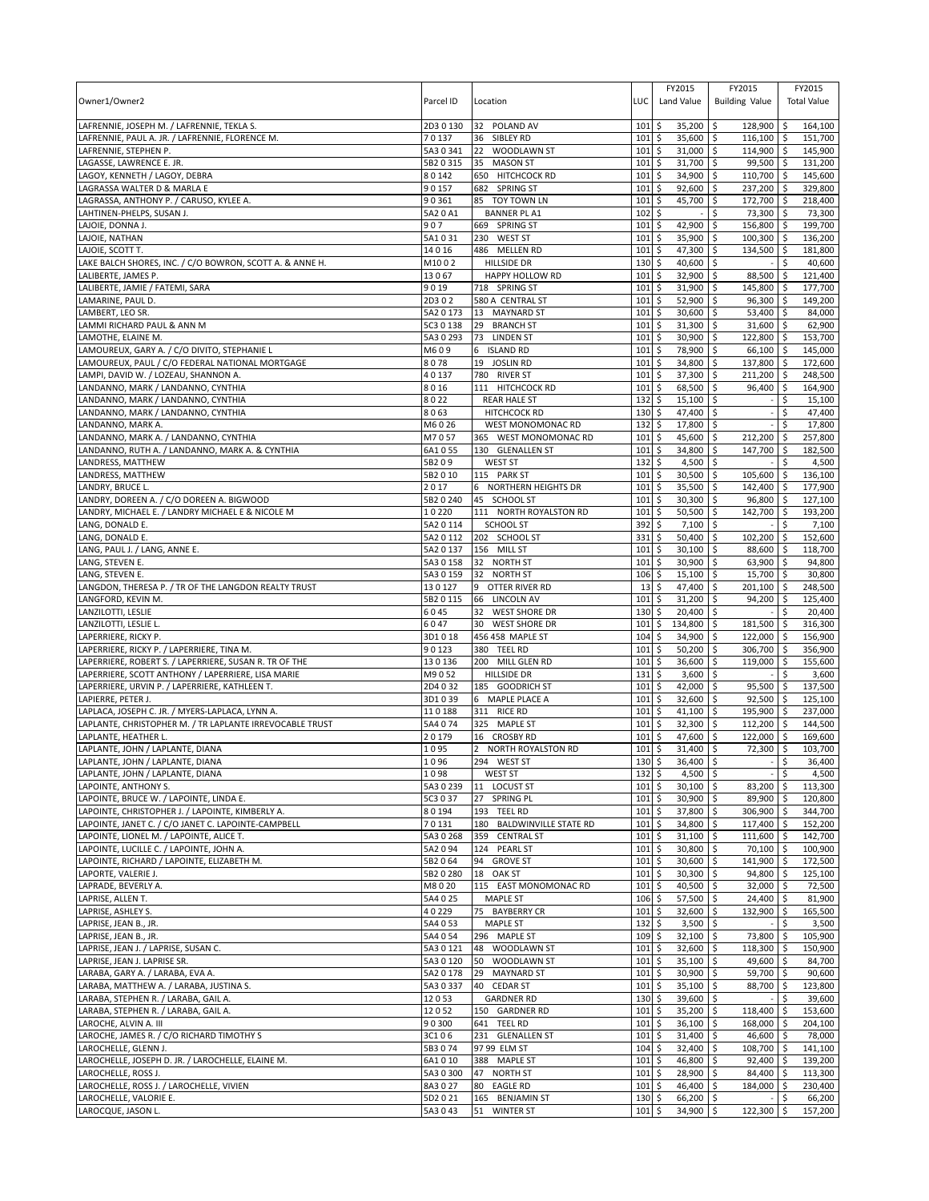| Owner1/Owner2                                                                                 | Parcel ID          | Location                                 | LUC                        | FY2015<br>Land Value                   | FY2015<br><b>Building Value</b>      | FY2015<br><b>Total Value</b> |
|-----------------------------------------------------------------------------------------------|--------------------|------------------------------------------|----------------------------|----------------------------------------|--------------------------------------|------------------------------|
| LAFRENNIE, JOSEPH M. / LAFRENNIE, TEKLA S.                                                    | 2D30130            | 32 POLAND AV                             | 101                        | 35,200<br>\$                           | \$<br>128,900 \$                     | 164,100                      |
| LAFRENNIE, PAUL A. JR. / LAFRENNIE, FLORENCE M.                                               | 70137              | 36<br>SIBLEY RD                          | 101                        | \$<br>35,600                           | $116,100$ \$<br>\$                   | 151,700                      |
| LAFRENNIE, STEPHEN P.                                                                         | 5A30341            | WOODLAWN ST<br>22                        | 101                        | \$<br>31,000                           | \$<br>114,900 \$                     | 145,900                      |
| LAGASSE, LAWRENCE E. JR.                                                                      | 5B2 0 315          | 35 MASON ST                              | 101                        | \$<br>31,700                           | \$<br>99,500 \$                      | 131,200                      |
| LAGOY, KENNETH / LAGOY, DEBRA                                                                 | 80142              | 650 HITCHCOCK RD                         | 101                        | \$<br>34,900                           | \$<br>110,700 \$                     | 145,600                      |
| LAGRASSA WALTER D & MARLA E                                                                   | 90157              | 682 SPRING ST                            | 101                        | \$<br>92,600                           | \$<br>237,200 \$                     | 329,800                      |
| LAGRASSA, ANTHONY P. / CARUSO, KYLEE A.                                                       | 90361              | 85 TOY TOWN LN                           | 101                        | \$<br>45,700                           | \$<br>172,700 \$                     | 218,400                      |
| LAHTINEN-PHELPS, SUSAN J.                                                                     | 5A20A1             | <b>BANNER PL A1</b>                      | 102                        | \$                                     | \$<br>73,300 \$                      | 73,300                       |
| LAJOIE, DONNA J.<br>LAJOIE, NATHAN                                                            | 907<br>5A1031      | 669 SPRING ST<br>230 WEST ST             | 101<br>101                 | 42,900<br>\$<br>\$<br>35,900           | 156,800 \$<br>\$<br>\$<br>100,300 \$ | 199,700<br>136,200           |
| LAJOIE, SCOTT T.                                                                              | 14016              | 486 MELLEN RD                            | 101                        | 47,300<br>\$                           | \$<br>134,500 \$                     | 181,800                      |
| LAKE BALCH SHORES, INC. / C/O BOWRON, SCOTT A. & ANNE H.                                      | M1002              | <b>HILLSIDE DR</b>                       | 130                        | \$<br>40,600                           | \$                                   | 40,600<br>\$                 |
| LALIBERTE, JAMES P.                                                                           | 13067              | HAPPY HOLLOW RD                          | 101                        | \$<br>32,900                           | \$<br>88,500 \$                      | 121,400                      |
| LALIBERTE, JAMIE / FATEMI, SARA                                                               | 9019               | 718 SPRING ST                            | 101                        | \$<br>31,900                           | \$<br>145,800 \$                     | 177,700                      |
| LAMARINE, PAUL D.                                                                             | 2D302              | 580 A CENTRAL ST                         | 101                        | 52,900<br>\$                           | 96,300 \$<br>\$                      | 149,200                      |
| LAMBERT, LEO SR.                                                                              | 5A2 0 173          | 13 MAYNARD ST                            | 101                        | \$<br>30,600                           | \$<br>53,400 \$                      | 84,000                       |
| LAMMI RICHARD PAUL & ANN M                                                                    | 5C3 0 138          | 29<br><b>BRANCH ST</b>                   | 101                        | 31,300<br>\$                           | 31,600 \$<br>\$                      | 62,900                       |
| LAMOTHE, ELAINE M.                                                                            | 5A3 0 293          | 73<br><b>LINDEN ST</b>                   | 101                        | \$<br>30,900                           | 122,800 \$<br>\$                     | 153,700                      |
| LAMOUREUX, GARY A. / C/O DIVITO, STEPHANIE L                                                  | M609               | 6 ISLAND RD                              | 101                        | 78,900<br>\$                           | \$<br>66,100 \$                      | 145,000                      |
| LAMOUREUX, PAUL / C/O FEDERAL NATIONAL MORTGAGE<br>LAMPI, DAVID W. / LOZEAU, SHANNON A.       | 8078<br>40137      | 19 JOSLIN RD<br>780 RIVER ST             | 101<br>101                 | \$<br>34,800<br>37,300<br>\$           | \$<br>137,800 \$<br>\$<br>211,200 \$ | 172,600<br>248,500           |
| LANDANNO, MARK / LANDANNO, CYNTHIA                                                            | 8016               | 111 HITCHCOCK RD                         | 101                        | \$<br>68,500                           | \$<br>96,400 \$                      | 164,900                      |
| LANDANNO, MARK / LANDANNO, CYNTHIA                                                            | 8022               | <b>REAR HALE ST</b>                      | 132                        | 15,100<br>\$                           | \$                                   | \$<br>15,100                 |
| LANDANNO, MARK / LANDANNO, CYNTHIA                                                            | 8063               | <b>HITCHCOCK RD</b>                      | 130                        | \$<br>47,400                           | \$                                   | \$<br>47,400                 |
| LANDANNO, MARK A.                                                                             | M6026              | WEST MONOMONAC RD                        | 132                        | 17,800<br>\$                           | \$                                   | 17,800<br>\$                 |
| LANDANNO, MARK A. / LANDANNO, CYNTHIA                                                         | M7057              | 365 WEST MONOMONAC RD                    | 101                        | \$<br>45,600                           | 212,200 \$<br>\$                     | 257,800                      |
| LANDANNO, RUTH A. / LANDANNO, MARK A. & CYNTHIA                                               | 6A1055             | 130 GLENALLEN ST                         | 101                        | \$<br>34,800                           | \$<br>147,700 \$                     | 182,500                      |
| LANDRESS, MATTHEW                                                                             | 5B209              | WEST ST                                  | 132                        | \$<br>4,500                            | \$                                   | Ŝ.<br>4,500                  |
| LANDRESS, MATTHEW                                                                             | 5B2 0 10           | 115 PARK ST                              | 101                        | \$<br>30,500                           | 5<br>105,600 \$                      | 136,100                      |
| LANDRY, BRUCE L.                                                                              | 2017               | 6 NORTHERN HEIGHTS DR                    | 101                        | \$<br>35,500                           | \$<br>142,400 \$                     | 177,900                      |
| LANDRY, DOREEN A. / C/O DOREEN A. BIGWOOD<br>LANDRY, MICHAEL E. / LANDRY MICHAEL E & NICOLE M | 5B2 0 240<br>10220 | 45 SCHOOL ST<br>111 NORTH ROYALSTON RD   | 101<br>101                 | \$<br>30,300<br>\$<br>50,500           | \$<br>96,800 \$<br>\$<br>142,700 \$  | 127,100<br>193,200           |
| LANG, DONALD E.                                                                               | 5A2 0 114          | <b>SCHOOL ST</b>                         | 392                        | \$<br>7,100                            | \$                                   | \$<br>7,100                  |
| LANG, DONALD E.                                                                               | 5A2 0 112          | 202 SCHOOL ST                            | 331                        | \$<br>50,400                           | 102,200 \$<br>l\$                    | 152,600                      |
| LANG, PAUL J. / LANG, ANNE E.                                                                 | 5A2 0 137          | 156 MILL ST                              | 101                        | \$<br>30,100                           | \$<br>88,600 \$                      | 118,700                      |
| LANG, STEVEN E.                                                                               | 5A3 0 158          | 32 NORTH ST                              | 101                        | 30,900<br>\$                           | \$<br>63,900 \$                      | 94,800                       |
| LANG, STEVEN E.                                                                               | 5A3 0 159          | 32<br><b>NORTH ST</b>                    | 106                        | 15,100<br>\$                           | 15,700 \$<br>\$                      | 30,800                       |
| LANGDON, THERESA P. / TR OF THE LANGDON REALTY TRUST                                          | 130127             | 9 OTTER RIVER RD                         | 13                         | \$<br>47,400                           | \$<br>201,100 \$                     | 248,500                      |
| LANGFORD, KEVIN M.                                                                            | 5B2 0 115          | 66 LINCOLN AV                            | 101                        | 31,200<br>\$                           | \$<br>94,200 \$                      | 125,400                      |
| LANZILOTTI, LESLIE                                                                            | 6045               | 32 WEST SHORE DR                         | 130                        | 20,400<br>\$                           | \$                                   | 20,400<br>\$                 |
| LANZILOTTI, LESLIE L                                                                          | 6047               | 30 WEST SHORE DR                         | 101                        | \$<br>134,800                          | \$<br>181,500 \$                     | 316,300                      |
| LAPERRIERE, RICKY P.<br>LAPERRIERE, RICKY P. / LAPERRIERE, TINA M.                            | 3D1018<br>90123    | 456 458 MAPLE ST<br>380 TEEL RD          | 104<br>101                 | 34,900<br>\$<br>\$<br>50,200           | 122,000 \$<br>\$<br>\$<br>306,700 \$ | 156,900<br>356,900           |
| LAPERRIERE, ROBERT S. / LAPERRIERE, SUSAN R. TR OF THE                                        | 130136             | 200 MILL GLEN RD                         | 101                        | 36,600<br>\$                           | \$<br>119,000 \$                     | 155,600                      |
| LAPERRIERE, SCOTT ANTHONY / LAPERRIERE, LISA MARIE                                            | M9052              | <b>HILLSIDE DR</b>                       | 131                        | 3,600<br>\$                            | \$                                   | 3,600<br>\$                  |
| LAPERRIERE, URVIN P. / LAPERRIERE, KATHLEEN T.                                                | 2D4032             | 185 GOODRICH ST                          | 101                        | 42,000<br>\$                           | \$<br>95,500 \$                      | 137.500                      |
| LAPIERRE, PETER J.                                                                            | 3D1039             | 6 MAPLE PLACE A                          | 101                        | 32,600<br>\$                           | \$<br>$92,500$ \$                    | 125,100                      |
| LAPLACA, JOSEPH C. JR. / MYERS-LAPLACA, LYNN A.                                               | 110188             | 311 RICE RD                              | 101                        | 41,100<br>\$                           | 195,900 \$<br>\$                     | 237,000                      |
| LAPLANTE, CHRISTOPHER M. / TR LAPLANTE IRREVOCABLE TRUST                                      | 5A4 074            | 325 MAPLE ST                             | 101                        | 32,300<br>\$                           | \$<br>112,200 \$                     | 144,500                      |
| LAPLANTE, HEATHER L.                                                                          | 20179              | 16 CROSBY RD                             | 101                        | \$<br>47,600                           | \$<br>122,000 \$                     | 169,600                      |
| LAPLANTE, JOHN / LAPLANTE, DIANA                                                              | 1095               | $\overline{2}$<br>NORTH ROYALSTON RD     | 101<br>130S                | \$<br>31,400                           | \$<br>72,300 \$                      | 103,700                      |
| LAPLANTE, JOHN / LAPLANTE, DIANA                                                              | 1096               | 294 WEST ST<br><b>WEST ST</b>            |                            | 36,400                                 | $\mathsf{\hat{S}}$                   | l s<br>36,400<br>$-5$        |
| LAPLANTE, JOHN / LAPLANTE, DIANA<br>LAPOINTE, ANTHONY S.                                      | 1098<br>5A30239    | 11 LOCUST ST                             | $132 \,$ \$<br>$101 \,$ \$ | 4,500 \$<br>$30,100$ \$                | 83,200 \$                            | 4,500<br>113,300             |
| LAPOINTE, BRUCE W. / LAPOINTE, LINDA E.                                                       | 5C3 0 37           | 27 SPRING PL                             | 101                        | \$<br>30,900 \$                        | 89,900 \$                            | 120,800                      |
| LAPOINTE, CHRISTOPHER J. / LAPOINTE, KIMBERLY A.                                              | 80194              | 193 TEEL RD                              | 101                        | 5<br>37,800 \$                         | 306,900 \$                           | 344,700                      |
| LAPOINTE, JANET C. / C/O JANET C. LAPOINTE-CAMPBELL                                           | 70131              | 180 BALDWINVILLE STATE RD                | 101                        | \$<br>34,800 \$                        | 117,400 \$                           | 152,200                      |
| LAPOINTE, LIONEL M. / LAPOINTE, ALICE T.                                                      | 5A30268            | 359 CENTRAL ST                           | 101                        | \$<br>$31,100$ \$                      | 111,600 \$                           | 142,700                      |
| LAPOINTE, LUCILLE C. / LAPOINTE, JOHN A.                                                      | 5A2094             | 124 PEARL ST                             | 101                        | 30,800 \$<br>\$                        | 70,100 \$                            | 100,900                      |
| LAPOINTE, RICHARD / LAPOINTE, ELIZABETH M.                                                    | 5B2064             | 94 GROVE ST                              | 101                        | \$<br>$30,600$ \$                      | 141,900 \$                           | 172,500                      |
| LAPORTE, VALERIE J.                                                                           | 5B2 0 280          | 18 OAK ST                                | 101                        | \$<br>$30,300$ \$                      | 94,800 \$                            | 125,100                      |
| LAPRADE, BEVERLY A.                                                                           | M8020<br>5A4 0 25  | 115 EAST MONOMONAC RD<br><b>MAPLE ST</b> | 101<br>106                 | \$<br>40,500 \$<br>\$<br>57,500 \$     | 32,000 \$<br>24,400 \$               | 72,500<br>81,900             |
| LAPRISE, ALLEN T.<br>LAPRISE, ASHLEY S.                                                       | 40229              | 75 BAYBERRY CR                           | 101                        | \$<br>$32,600$ \$                      | 132,900 \$                           | 165,500                      |
| LAPRISE, JEAN B., JR.                                                                         | 5A4 0 53           | MAPLE ST                                 | 132                        | $3,500$ \$<br>\$                       |                                      | \$<br>3,500                  |
| LAPRISE, JEAN B., JR.                                                                         | 5A4 0 54           | 296 MAPLE ST                             | 109                        | \$<br>$32,100$ \$                      | 73,800 \$                            | 105,900                      |
| LAPRISE, JEAN J. / LAPRISE, SUSAN C.                                                          | 5A3 0 121          | 48 WOODLAWN ST                           | 101                        | 32,600<br>\$                           | 118,300 \$<br>\$                     | 150,900                      |
| LAPRISE, JEAN J. LAPRISE SR.                                                                  | 5A3 0 120          | 50 WOODLAWN ST                           | 101                        | \$<br>$35,100$ \$                      | 49,600 \$                            | 84,700                       |
| LARABA, GARY A. / LARABA, EVA A.                                                              | 5A2 0 178          | 29 MAYNARD ST                            | 101                        | \$<br>30,900                           | 59,700 \$<br>\$                      | 90,600                       |
| LARABA, MATTHEW A. / LARABA, JUSTINA S.                                                       | 5A3 0 337          | 40 CEDAR ST                              | 101                        | \$<br>$35,100$ \$                      | 88,700 \$                            | 123,800                      |
| LARABA, STEPHEN R. / LARABA, GAIL A.                                                          | 12053              | <b>GARDNER RD</b>                        | 130                        | \$<br>$39,600$ \$                      |                                      | $-15$<br>39,600              |
| LARABA, STEPHEN R. / LARABA, GAIL A.                                                          | 12052              | 150 GARDNER RD                           | 101                        | \$<br>35,200 \$                        | 118,400 \$                           | 153,600                      |
| LAROCHE, ALVIN A. III<br>LAROCHE, JAMES R. / C/O RICHARD TIMOTHY S                            | 90300<br>3C106     | 641 TEEL RD<br>231 GLENALLEN ST          | 101<br>101                 | $36,100$ \$<br>\$<br>\$<br>$31,400$ \$ | 168,000 \$<br>46,600 \$              | 204,100<br>78,000            |
| LAROCHELLE, GLENN J.                                                                          | 5B3074             | 97 99 ELM ST                             | 104                        | 32,400 \$<br>\$                        | 108,700 \$                           | 141,100                      |
| LAROCHELLE, JOSEPH D. JR. / LAROCHELLE, ELAINE M.                                             | 6A1010             | 388 MAPLE ST                             | 101                        | \$<br>46,800 \$                        | 92,400 \$                            | 139,200                      |
| LAROCHELLE, ROSS J.                                                                           | 5A3 0 300          | 47 NORTH ST                              | 101                        | \$<br>$28,900$ \$                      | 84,400 \$                            | 113,300                      |
| LAROCHELLE, ROSS J. / LAROCHELLE, VIVIEN                                                      | 8A3027             | <b>EAGLE RD</b><br>80                    | 101                        | \$<br>46,400 \$                        | 184,000 \$                           | 230,400                      |
| LAROCHELLE, VALORIE E.                                                                        | 5D2 0 21           | 165 BENJAMIN ST                          | $130 \;$ \$                | $66,200$ \$                            |                                      | $-5$<br>66,200               |
| LAROCQUE, JASON L.                                                                            | 5A3043             | 51 WINTER ST                             | $101 \,$ \$                | $34,900$ \$                            | $122,300$ \$                         | 157,200                      |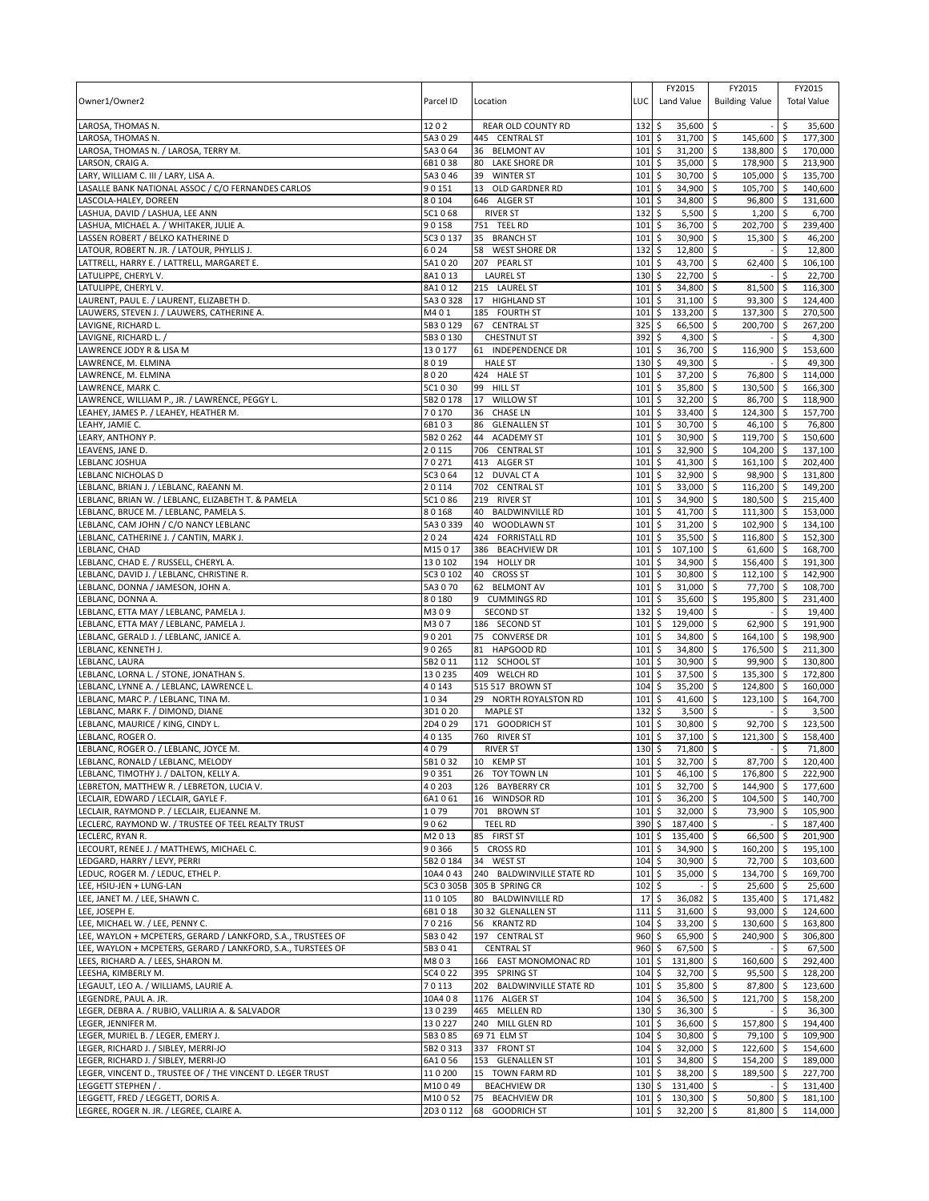| Owner1/Owner2                                                                                | Parcel ID            | Location                                         | LUC                        | FY2015<br>Land Value               | FY2015<br><b>Building Value</b>   | FY2015<br><b>Total Value</b>   |
|----------------------------------------------------------------------------------------------|----------------------|--------------------------------------------------|----------------------------|------------------------------------|-----------------------------------|--------------------------------|
|                                                                                              |                      |                                                  |                            |                                    |                                   |                                |
| LAROSA, THOMAS N.                                                                            | 1202                 | <b>REAR OLD COUNTY RD</b><br>445 CENTRAL ST      | 132<br>101                 | 35,600 \$<br>\$<br>31,700 \$       |                                   | \$.<br>35,600                  |
| LAROSA, THOMAS N.<br>LAROSA, THOMAS N. / LAROSA, TERRY M.                                    | 5A3 0 29<br>5A3064   | 36 BELMONT AV                                    | 101                        | \$<br>\$<br>$31,200$ \$            | 145,600 \$<br>138,800 \$          | 177,300<br>170,000             |
| LARSON, CRAIG A.                                                                             | 6B1038               | 80<br>LAKE SHORE DR                              | 101                        | \$<br>35,000                       | l\$<br>178,900 \$                 | 213,900                        |
| LARY, WILLIAM C. III / LARY, LISA A.                                                         | 5A3046               | 39<br><b>WINTER ST</b>                           | 101                        | \$<br>30,700 \$                    | 105,000 \$                        | 135,700                        |
| LASALLE BANK NATIONAL ASSOC / C/O FERNANDES CARLOS                                           | 90151                | 13 OLD GARDNER RD                                | 101                        | \$<br>34,900                       | \$<br>105,700 \$                  | 140,600                        |
| LASCOLA-HALEY, DOREEN                                                                        | 80104<br>5C1068      | 646 ALGER ST<br><b>RIVER ST</b>                  | 101<br>132                 | \$<br>34,800<br>\$<br>$5,500$ \$   | \$<br>96,800 \$<br>$1,200$ \$     | 131,600<br>6,700               |
| LASHUA, DAVID / LASHUA, LEE ANN<br>LASHUA, MICHAEL A. / WHITAKER, JULIE A.                   | 90158                | 751 TEEL RD                                      | 101                        | \$<br>36,700                       | \$<br>202,700 \$                  | 239,400                        |
| LASSEN ROBERT / BELKO KATHERINE D                                                            | 5C3 0 137            | <b>BRANCH ST</b><br>35                           | 101                        | \$<br>30,900                       | \$<br>$15,300$ \$                 | 46,200                         |
| LATOUR, ROBERT N. JR. / LATOUR, PHYLLIS J.                                                   | 6024                 | 58<br><b>WEST SHORE DR</b>                       | 132                        | \$<br>12,800                       | \$                                | \$<br>12,800                   |
| LATTRELL, HARRY E. / LATTRELL, MARGARET E.                                                   | 5A1020               | 207 PEARL ST                                     | 101                        | \$<br>43,700                       | \$<br>62,400                      | $\ddot{\varsigma}$<br>106,100  |
| LATULIPPE, CHERYL V.                                                                         | 8A1013               | <b>LAUREL ST</b>                                 | 130                        | \$<br>22,700                       | l\$                               | \$<br>22,700                   |
| LATULIPPE, CHERYL V.                                                                         | 8A1012               | 215 LAUREL ST                                    | 101                        | \$<br>34,800                       | \$<br>81,500                      | \$<br>116,300                  |
| LAURENT, PAUL E. / LAURENT, ELIZABETH D.<br>LAUWERS, STEVEN J. / LAUWERS, CATHERINE A.       | 5A30328<br>M401      | 17 HIGHLAND ST<br>185 FOURTH ST                  | 101<br>101                 | \$<br>31,100<br>\$<br>133,200      | 93,300<br>\$<br>\$<br>137,300 \$  | 124,400<br>\$<br>270,500       |
| LAVIGNE, RICHARD L.                                                                          | 5B3 0 129            | 67 CENTRAL ST                                    | 325                        | \$<br>66,500                       | \$<br>200,700 \$                  | 267,200                        |
| LAVIGNE, RICHARD L. /                                                                        | 5B3 0 130            | <b>CHESTNUT ST</b>                               | 392                        | \$<br>4,300                        | \$                                | 4,300<br>\$                    |
| LAWRENCE JODY R & LISA M                                                                     | 130177               | 61 INDEPENDENCE DR                               | 101                        | \$<br>36,700                       | \$<br>116,900                     | S.<br>153,600                  |
| LAWRENCE, M. ELMINA                                                                          | 8019                 | <b>HALE ST</b>                                   | 130                        | \$<br>49,300                       | \$                                | \$<br>49,300                   |
| LAWRENCE, M. ELMINA                                                                          | 8020                 | 424 HALE ST                                      | 101                        | \$<br>37,200 \$                    | 76,800 \$                         | 114,000                        |
| LAWRENCE, MARK C.                                                                            | 5C1030               | 99<br><b>HILL ST</b><br>17                       | 101                        | \$<br>35,800                       | \$<br>130,500 \$<br>86,700 \$     | 166,300                        |
| LAWRENCE, WILLIAM P., JR. / LAWRENCE, PEGGY L.<br>LEAHEY, JAMES P. / LEAHEY, HEATHER M.      | 5B2 0 178<br>70170   | <b>WILLOW ST</b><br>36<br><b>CHASE LN</b>        | 101<br>101                 | \$<br>32,200<br>33,400<br>\$       | \$<br>124,300 \$<br>\$            | 118,900<br>157,700             |
| LEAHY, JAMIE C.                                                                              | 6B103                | 86<br><b>GLENALLEN ST</b>                        | 101                        | \$<br>30,700                       | \$<br>46,100 \$                   | 76,800                         |
| LEARY, ANTHONY P.                                                                            | 5B2 0 262            | 44<br><b>ACADEMY ST</b>                          | 101                        | \$<br>30,900                       | \$<br>119,700 \$                  | 150,600                        |
| LEAVENS, JANE D.                                                                             | 20115                | <b>CENTRAL ST</b><br>706                         | 101                        | \$<br>32,900                       | \$<br>104,200 \$                  | 137,100                        |
| LEBLANC JOSHUA                                                                               | 70271                | 413 ALGER ST                                     | 101                        | \$<br>41,300                       | $\sqrt{5}$<br>161,100 \$          | 202,400                        |
| LEBLANC NICHOLAS D                                                                           | 5C3 0 64             | 12<br>DUVAL CT A                                 | 101                        | \$<br>32,900 \$                    | 98,900 \$                         | 131,800                        |
| LEBLANC, BRIAN J. / LEBLANC, RAEANN M.                                                       | 20114                | 702<br><b>CENTRAL ST</b>                         | 101                        | \$<br>33,000                       | \$<br>116,200 \$                  | 149,200                        |
| LEBLANC, BRIAN W. / LEBLANC, ELIZABETH T. & PAMELA<br>LEBLANC, BRUCE M. / LEBLANC, PAMELA S. | 5C1086<br>80168      | 219 RIVER ST<br><b>BALDWINVILLE RD</b><br>40     | 101<br>101                 | \$<br>34,900<br>\$<br>41,700 \$    | \$<br>180,500 \$<br>111,300 \$    | 215,400<br>153,000             |
| LEBLANC, CAM JOHN / C/O NANCY LEBLANC                                                        | 5A3 0 339            | 40<br>WOODLAWN ST                                | 101                        | \$<br>31,200                       | \$<br>102,900 \$                  | 134,100                        |
| LEBLANC, CATHERINE J. / CANTIN, MARK J.                                                      | 2024                 | 424 FORRISTALL RD                                | 101                        | \$<br>35,500                       | \$<br>116,800 \$                  | 152,300                        |
| LEBLANC, CHAD                                                                                | M15017               | 386<br><b>BEACHVIEW DR</b>                       | 101                        | \$<br>107,100                      | l\$<br>$61,600$ \$                | 168,700                        |
| LEBLANC, CHAD E. / RUSSELL, CHERYL A.                                                        | 130102               | 194 HOLLY DR                                     | 101                        | \$<br>34,900                       | S.<br>156,400 \$                  | 191,300                        |
| LEBLANC, DAVID J. / LEBLANC, CHRISTINE R.                                                    | 5C3 0 102            | <b>CROSS ST</b><br>40                            | 101                        | \$<br>30,800 \$                    | 112,100 \$                        | 142,900                        |
| LEBLANC, DONNA / JAMESON, JOHN A.                                                            | 5A3 0 70             | 62<br><b>BELMONT AV</b><br>9                     | 101                        | \$<br>31,000                       | \$<br>77,700 \$                   | 108,700                        |
| LEBLANC, DONNA A.<br>LEBLANC, ETTA MAY / LEBLANC, PAMELA J.                                  | 80180<br>M309        | <b>CUMMINGS RD</b><br><b>SECOND ST</b>           | 101<br>132                 | \$<br>35,600<br>19,400<br>\$       | \$<br>195,800<br>5                | l\$<br>231,400<br>\$<br>19,400 |
| LEBLANC, ETTA MAY / LEBLANC, PAMELA J.                                                       | M307                 | 186 SECOND ST                                    | 101                        | \$<br>129,000                      | \$<br>62,900                      | \$<br>191,900                  |
| LEBLANC, GERALD J. / LEBLANC, JANICE A.                                                      | 90201                | 75<br><b>CONVERSE DR</b>                         | 101                        | \$<br>34,800                       | \$<br>164,100                     | \$<br>198,900                  |
| LEBLANC, KENNETH J.                                                                          | 90265                | 81<br>HAPGOOD RD                                 | 101                        | 34,800<br>\$                       | \$<br>176,500 \$                  | 211,300                        |
| LEBLANC, LAURA                                                                               | 5B2 0 11             | 112 SCHOOL ST                                    | 101                        | \$<br>30,900                       | \$<br>99,900 \$                   | 130,800                        |
| LEBLANC, LORNA L. / STONE, JONATHAN S.                                                       | 130235               | 409 WELCH RD                                     | 101                        | \$<br>37,500                       | 135,300 \$<br>\$                  | 172,800                        |
| LEBLANC, LYNNE A. / LEBLANC, LAWRENCE L.<br>LEBLANC, MARC P. / LEBLANC, TINA M.              | 40143<br>1034        | 515 517 BROWN ST<br>29 NORTH ROYALSTON RD        | 104<br>101                 | \$<br>35,200<br>\$<br>41,600       | \$<br>124,800 \$<br>\$<br>123,100 | 160,000<br>\$<br>164,700       |
| LEBLANC, MARK F. / DIMOND, DIANE                                                             | 3D1020               | <b>MAPLE ST</b>                                  | 132                        | \$<br>3,500                        | l\$                               | 3,500<br>\$                    |
| LEBLANC, MAURICE / KING, CINDY L.                                                            | 2D4 0 29             | 171 GOODRICH ST                                  | 101                        | \$<br>30,800                       | \$<br>92,700                      | 123.500<br>\$                  |
| LEBLANC, ROGER O.                                                                            | 40135                | 760 RIVER ST                                     | 101                        | \$<br>37,100                       | \$<br>121,300                     | \$<br>158,400                  |
| LEBLANC, ROGER O. / LEBLANC, JOYCE M.                                                        | 4079                 | <b>RIVER ST</b>                                  | 130                        | \$<br>71,800 \$                    |                                   | 71,800<br>\$                   |
| LEBLANC. RONALD / LEBLANC. MELODY                                                            | 5B1032               | 10 KEMP ST                                       | 101 <sub>5</sub>           | 32,700 \$                          | 87,700 \$                         | 120,400                        |
| LEBLANC, TIMOTHY J. / DALTON, KELLY A.<br>LEBRETON, MATTHEW R. / LEBRETON, LUCIA V.          | 90351<br>40203       | 26 TOY TOWN LN<br>126 BAYBERRY CR                | $101 \,$ \$<br>$101 \,$ \$ | 46,100 \$<br>32,700 \$             | 176,800 \$<br>144,900 \$          | 222,900<br>177,600             |
| LECLAIR, EDWARD / LECLAIR, GAYLE F.                                                          | 6A1061               | 16 WINDSOR RD                                    | 101S                       | $36,200$ \$                        | 104,500 \$                        | 140,700                        |
| LECLAIR, RAYMOND P. / LECLAIR, ELJEANNE M.                                                   | 1079                 | 701 BROWN ST                                     | 101                        | \$<br>32,000 \$                    | 73,900 \$                         | 105,900                        |
| LECLERC, RAYMOND W. / TRUSTEE OF TEEL REALTY TRUST                                           | 9062                 | <b>TEEL RD</b>                                   | 390                        | \$<br>187,400 \$                   |                                   | \$<br>187,400                  |
| LECLERC, RYAN R.                                                                             | M2013                | 85 FIRST ST                                      | 101                        | \$<br>135,400 \$                   | 66,500 \$                         | 201,900                        |
| LECOURT, RENEE J. / MATTHEWS, MICHAEL C.                                                     | 90366                | <b>CROSS RD</b><br>5                             | 101                        | \$<br>34,900 \$                    | 160,200 \$                        | 195,100                        |
| LEDGARD, HARRY / LEVY, PERRI                                                                 | 5B2 0 184            | 34 WEST ST                                       | 104                        | \$<br>30,900 \$                    | 72,700 \$                         | 103,600                        |
| LEDUC, ROGER M. / LEDUC, ETHEL P.<br>LEE, HSIU-JEN + LUNG-LAN                                | 10A4 043             | 240 BALDWINVILLE STATE RD                        | 101                        | \$<br>35,000 \$                    | 134,700 \$<br>25,600 \$           | 169,700                        |
| LEE, JANET M. / LEE, SHAWN C.                                                                | 5C3 0 305B<br>110105 | 305 B SPRING CR<br>80 BALDWINVILLE RD            | 102<br>17                  | \$<br>\$<br>36,082                 | \$<br><b>S</b><br>135,400 \$      | 25,600<br>171,482              |
| LEE, JOSEPH E.                                                                               | 6B1018               | 30 32 GLENALLEN ST                               | 1115                       | 31,600 \$                          | 93,000 \$                         | 124,600                        |
| LEE, MICHAEL W. / LEE, PENNY C.                                                              | 70216                | 56 KRANTZ RD                                     | 104                        | \$<br>33,200                       | 130,600 \$<br>\$                  | 163,800                        |
| LEE, WAYLON + MCPETERS, GERARD / LANKFORD, S.A., TRUSTEES OF                                 | 5B3042               | 197 CENTRAL ST                                   | 960                        | \$<br>65,900 \$                    | 240,900 \$                        | 306,800                        |
| LEE, WAYLON + MCPETERS, GERARD / LANKFORD, S.A., TURSTEES OF                                 | 5B3041               | <b>CENTRAL ST</b>                                | 960                        | \$<br>67,500 \$                    |                                   | \$<br>67,500                   |
| LEES, RICHARD A. / LEES, SHARON M.                                                           | M803                 | 166 EAST MONOMONAC RD                            | 101                        | \$<br>131,800 \$                   | 160,600 \$                        | 292,400                        |
| LEESHA, KIMBERLY M.                                                                          | 5C4 0 22             | 395 SPRING ST                                    | 104                        | \$<br>32,700 \$                    | $95,500$ \$                       | 128,200                        |
| LEGAULT, LEO A. / WILLIAMS, LAURIE A.<br>LEGENDRE, PAUL A. JR.                               | 70113<br>10A408      | 202 BALDWINVILLE STATE RD<br>1176 ALGER ST       | 101<br>104                 | 35,800 \$<br>\$<br>\$<br>36,500 \$ | 87,800 \$<br>121,700 \$           | 123,600<br>158,200             |
| LEGER, DEBRA A. / RUBIO, VALLIRIA A. & SALVADOR                                              | 130239               | 465 MELLEN RD                                    | 130                        | \$<br>$36,300$ \$                  |                                   | \$<br>36,300                   |
| LEGER, JENNIFER M.                                                                           | 130227               | 240 MILL GLEN RD                                 | 101                        | \$<br>36,600 \$                    | 157,800 \$                        | 194,400                        |
| LEGER, MURIEL B. / LEGER, EMERY J.                                                           | 5B3085               | 69 71 ELM ST                                     | 104                        | \$<br>$30,800$ \$                  | 79,100 \$                         | 109,900                        |
| LEGER, RICHARD J. / SIBLEY, MERRI-JO                                                         | 5B2 0 313            | 337 FRONT ST                                     | 104                        | \$<br>32,000 \$                    | 122,600 \$                        | 154,600                        |
| LEGER, RICHARD J. / SIBLEY, MERRI-JO                                                         | 6A1056               | 153 GLENALLEN ST                                 | 101                        | \$<br>34,800 \$                    | 154,200 \$                        | 189,000                        |
| LEGER, VINCENT D., TRUSTEE OF / THE VINCENT D. LEGER TRUST                                   | 110200               | 15<br>TOWN FARM RD                               | 101<br>$130 \;$ \$         | \$<br>38,200 \$                    | 189,500 \$                        | 227,700<br>l\$                 |
| LEGGETT STEPHEN / .<br>LEGGETT, FRED / LEGGETT, DORIS A.                                     | M10049<br>M10052     | <b>BEACHVIEW DR</b><br><b>BEACHVIEW DR</b><br>75 | 101                        | $131,400$ \$<br>\$<br>130,300 \$   | 50,800 \$                         | 131,400<br>181,100             |
| LEGREE, ROGER N. JR. / LEGREE, CLAIRE A.                                                     | 2D3 0 112            | 68 GOODRICH ST                                   | 101                        | \$<br>32,200 \$                    | 81,800 \$                         | 114,000                        |
|                                                                                              |                      |                                                  |                            |                                    |                                   |                                |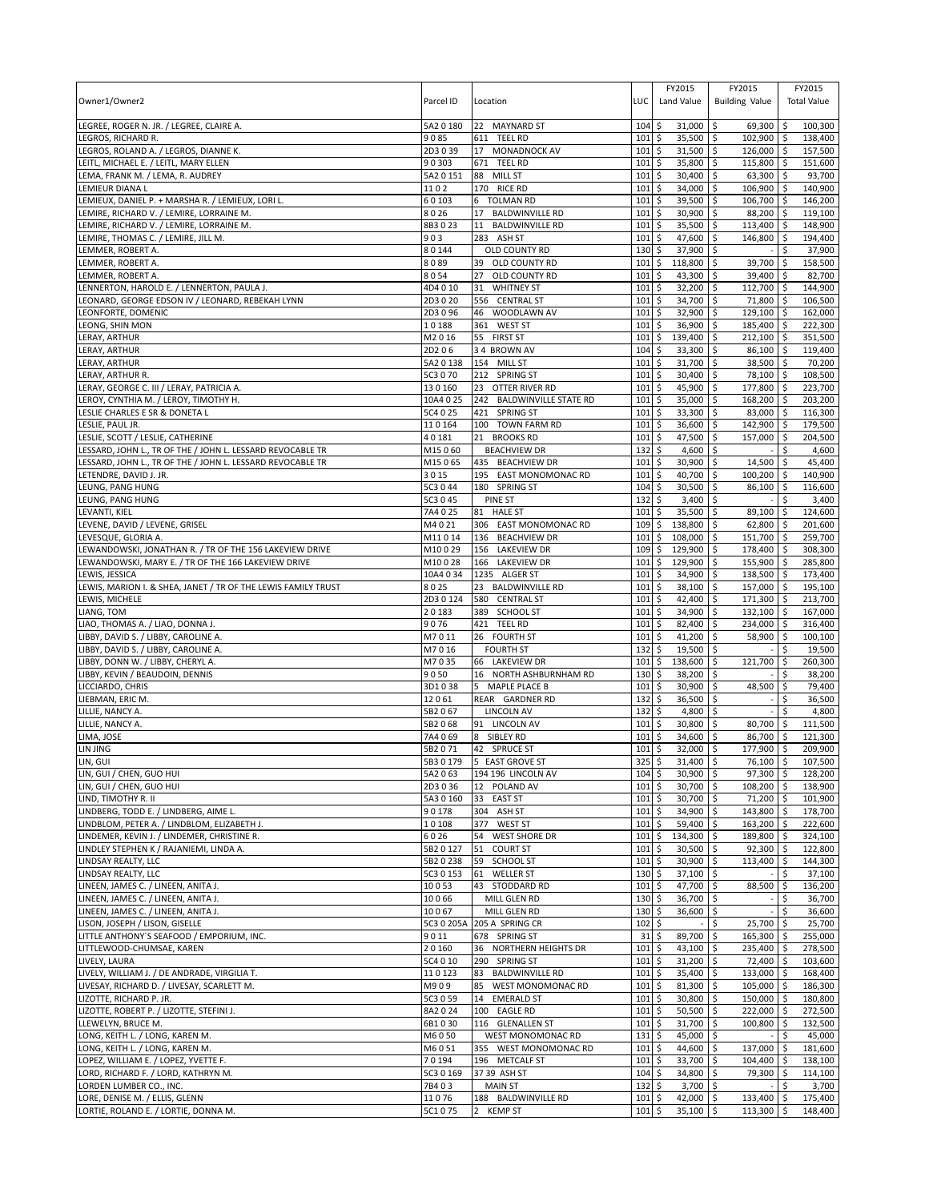| Owner1/Owner2                                                                        | Parcel ID            | Location                                   | LUC         | FY2015<br>Land Value                  | FY2015<br><b>Building Value</b>        | FY2015<br><b>Total Value</b> |
|--------------------------------------------------------------------------------------|----------------------|--------------------------------------------|-------------|---------------------------------------|----------------------------------------|------------------------------|
| LEGREE, ROGER N. JR. / LEGREE, CLAIRE A.                                             | 5A2 0 180            | 22 MAYNARD ST                              | 104         | 31,000<br>\$                          | \$<br>$69,300$ \$                      | 100,300                      |
| LEGROS, RICHARD R.                                                                   | 9085                 | 611 TEEL RD                                | 101         | 35,500<br>\$                          | 102,900 \$<br>\$                       | 138,400                      |
| LEGROS, ROLAND A. / LEGROS, DIANNE K.                                                | 2D3039               | 17 MONADNOCK AV                            | 101         | \$<br>31,500                          | \$<br>126,000 \$                       | 157,500                      |
| EITL, MICHAEL E. / LEITL, MARY ELLEN<br>LEMA, FRANK M. / LEMA, R. AUDREY             | 90303<br>5A2 0 151   | 671 TEEL RD<br>88 MILL ST                  | 101<br>101  | \$<br>35,800<br>\$<br>30,400          | \$<br>115,800 \$<br>\$<br>63,300 \$    | 151,600<br>93,700            |
| LEMIEUR DIANA L                                                                      | 1102                 | 170 RICE RD                                | 101         | \$<br>34,000                          | \$<br>106,900 \$                       | 140,900                      |
| EMIEUX, DANIEL P. + MARSHA R. / LEMIEUX, LORI L.                                     | 60103                | 6 TOLMAN RD                                | 101         | \$<br>39,500                          | \$<br>106,700 \$                       | 146,200                      |
| EMIRE, RICHARD V. / LEMIRE, LORRAINE M.                                              | 8026                 | 17<br><b>BALDWINVILLE RD</b>               | 101         | \$<br>30,900                          | \$<br>88,200 \$                        | 119,100                      |
| LEMIRE, RICHARD V. / LEMIRE, LORRAINE M.                                             | 8B3023               | 11 BALDWINVILLE RD                         | 101         | 35,500<br>\$                          | \$<br>113,400 \$                       | 148,900                      |
| LEMIRE, THOMAS C. / LEMIRE, JILL M.                                                  | 903                  | 283 ASH ST                                 | 101         | \$<br>47,600                          | \$<br>146,800 \$                       | 194,400                      |
| LEMMER, ROBERT A.                                                                    | 80144<br>8089        | OLD COUNTY RD                              | 130         | 37,900<br>\$<br>118,800               | \$                                     | \$<br>37,900                 |
| EMMER, ROBERT A.<br>LEMMER, ROBERT A.                                                | 8054                 | 39<br>OLD COUNTY RD<br>27<br>OLD COUNTY RD | 101<br>101  | \$<br>\$<br>43,300                    | \$<br>39,700 \$<br>\$<br>39,400 \$     | 158,500<br>82,700            |
| LENNERTON, HAROLD E. / LENNERTON, PAULA J.                                           | 4D4010               | 31<br><b>WHITNEY ST</b>                    | 101         | \$<br>32,200                          | \$<br>112,700 \$                       | 144,900                      |
| LEONARD, GEORGE EDSON IV / LEONARD, REBEKAH LYNN                                     | 2D3020               | 556 CENTRAL ST                             | 101         | \$<br>34,700                          | \$<br>71,800 \$                        | 106,500                      |
| EONFORTE, DOMENIC                                                                    | 2D3096               | 46<br>WOODLAWN AV                          | 101         | \$<br>32,900                          | \$<br>129,100 \$                       | 162,000                      |
| <b>EONG, SHIN MON</b>                                                                | 10188                | 361 WEST ST                                | 101         | 36,900<br>\$                          | \$<br>185,400 \$                       | 222,300                      |
| ERAY, ARTHUR                                                                         | M2016                | 55 FIRST ST                                | 101         | \$<br>139,400                         | \$<br>212,100 \$                       | 351,500                      |
| ERAY, ARTHUR                                                                         | 2D206                | 34 BROWN AV                                | 104         | \$<br>33,300                          | \$<br>86,100 \$                        | 119,400                      |
| ERAY, ARTHUR                                                                         | 5A20138              | 154<br><b>MILL ST</b><br>212 SPRING ST     | 101<br>101  | \$<br>31,700<br>30,400                | \$<br>38,500 \$<br>78,100 \$           | 70,200<br>108,500            |
| LERAY, ARTHUR R.<br>LERAY, GEORGE C. III / LERAY, PATRICIA A.                        | 5C3 0 70<br>130160   | 23 OTTER RIVER RD                          | 101         | \$<br>\$<br>45,900                    | \$<br>\$<br>177,800 \$                 | 223,700                      |
| LEROY, CYNTHIA M. / LEROY, TIMOTHY H.                                                | 10A4 0 25            | 242 BALDWINVILLE STATE RD                  | 101         | \$<br>35,000                          | \$<br>168,200 \$                       | 203,200                      |
| LESLIE CHARLES E SR & DONETA L                                                       | 5C4 0 25             | 421 SPRING ST                              | 101         | \$<br>33,300                          | \$<br>83,000 \$                        | 116,300                      |
| LESLIE, PAUL JR.                                                                     | 110164               | 100 TOWN FARM RD                           | 101         | 36,600<br>\$                          | \$<br>142,900 \$                       | 179,500                      |
| LESLIE, SCOTT / LESLIE, CATHERINE                                                    | 40181                | 21 BROOKS RD                               | 101         | \$<br>47,500                          | \$<br>157,000 \$                       | 204,500                      |
| LESSARD, JOHN L., TR OF THE / JOHN L. LESSARD REVOCABLE TR                           | M15060               | <b>BEACHVIEW DR</b>                        | 132         | \$<br>4,600                           | $\mathsf{\hat{S}}$<br>$\sim$           | l\$<br>4,600                 |
| LESSARD, JOHN L., TR OF THE / JOHN L. LESSARD REVOCABLE TR                           | M15065               | 435 BEACHVIEW DR                           | 101         | \$<br>30,900                          | \$<br>14,500 \$                        | 45,400                       |
| LETENDRE, DAVID J. JR.                                                               | 3015                 | 195<br><b>EAST MONOMONAC RD</b>            | 101         | \$<br>40,700                          | \$<br>100,200 \$                       | 140,900                      |
| <b>EUNG, PANG HUNG</b><br>LEUNG, PANG HUNG                                           | 5C3 0 44<br>5C3 0 45 | 180 SPRING ST<br>PINE ST                   | 104<br>132  | \$<br>30,500<br>\$<br>3,400           | \$<br>86,100 \$<br>\$                  | 116,600<br>3,400<br>\$       |
| LEVANTI, KIEL                                                                        | 7A4025               | 81 HALE ST                                 | 101         | \$<br>35,500                          | \$<br>89,100 \$                        | 124,600                      |
| LEVENE, DAVID / LEVENE, GRISEL                                                       | M4021                | 306 EAST MONOMONAC RD                      | 109         | \$<br>138,800                         | \$<br>$62,800$ \$                      | 201,600                      |
| LEVESQUE, GLORIA A.                                                                  | M11014               | 136 BEACHVIEW DR                           | 101         | \$<br>108,000                         | 151,700 \$<br>\$                       | 259,700                      |
| LEWANDOWSKI, JONATHAN R. / TR OF THE 156 LAKEVIEW DRIVE                              | M10029               | 156 LAKEVIEW DR                            | 109         | 129,900<br>\$                         | \$<br>178,400 \$                       | 308,300                      |
| LEWANDOWSKI, MARY E. / TR OF THE 166 LAKEVIEW DRIVE                                  | M10028               | 166 LAKEVIEW DR                            | 101         | \$<br>129,900                         | \$<br>155,900 \$                       | 285,800                      |
| LEWIS, JESSICA                                                                       | 10A4 0 34            | 1235 ALGER ST                              | 101         | \$<br>34,900                          | \$<br>138,500 \$                       | 173,400                      |
| EWIS, MARION I. & SHEA, JANET / TR OF THE LEWIS FAMILY TRUST                         | 8025                 | 23 BALDWINVILLE RD                         | 101         | \$<br>38,100                          | \$<br>157,000 \$                       | 195,100                      |
| EWIS, MICHELE<br>LIANG, TOM                                                          | 2D30124<br>20183     | 580<br><b>CENTRAL ST</b><br>389 SCHOOL ST  | 101<br>101  | \$<br>42,400<br>34,900<br>\$          | \$<br>171,300<br>132,100 \$<br>\$      | 213,700<br>-\$<br>167,000    |
| LIAO, THOMAS A. / LIAO, DONNA J.                                                     | 9076                 | 421 TEEL RD                                | 101         | \$<br>82,400                          | \$<br>234,000 \$                       | 316,400                      |
| IBBY, DAVID S. / LIBBY, CAROLINE A.                                                  | M7011                | 26 FOURTH ST                               | 101         | \$<br>41,200                          | \$<br>58,900 \$                        | 100,100                      |
| IBBY, DAVID S. / LIBBY, CAROLINE A.                                                  | M7016                | <b>FOURTH ST</b>                           | 132         | \$<br>19,500                          | \$                                     | \$<br>19,500                 |
| IBBY, DONN W. / LIBBY, CHERYL A.                                                     | M7035                | 66 LAKEVIEW DR                             | 101         | \$<br>138,600                         | \$<br>121,700                          | l\$<br>260,300               |
| IBBY, KEVIN / BEAUDOIN, DENNIS                                                       | 9050                 | 16 NORTH ASHBURNHAM RD                     | 130         | \$<br>38,200                          | \$                                     | \$<br>38,200                 |
| LICCIARDO, CHRIS                                                                     | 3D1038               | 5 MAPLE PLACE B                            | 101         | \$<br>30,900                          | \$<br>48,500                           | 79,400<br>\$                 |
| LIEBMAN, ERIC M                                                                      | 12061                | REAR GARDNER RD                            | 132         | \$<br>36,500                          | \$                                     | \$<br>36,500                 |
| LILLIE, NANCY A.<br>LILLIE, NANCY A.                                                 | 5B2067<br>5B2068     | <b>LINCOLN AV</b><br>91 LINCOLN AV         | 132<br>101  | 4,800<br>\$<br>\$<br>30,800           | \$<br>\$<br>80,700 \$                  | 4,800<br>\$<br>111,500       |
| LIMA, JOSE                                                                           | 7A4069               | 8 SIBLEY RD                                | 101         | \$<br>34,600                          | 86,700 \$<br>\$                        | 121,300                      |
| LIN JING                                                                             | 5B2071               | 42 SPRUCE ST                               | 101         | \$<br>32,000                          | \$<br>177,900 \$                       | 209.900                      |
| LIN, GUI                                                                             |                      | 5B3 0 179 5 EAST GROVE ST                  | 3255        | 31,400                                | $\overline{\mathsf{s}}$<br>$76,100$ \$ | 107,500                      |
| LIN, GUI / CHEN, GUO HUI                                                             | 5A2 0 63             | 194 196 LINCOLN AV                         | $104 \;$ \$ | $30,900$ \$                           | $97,300$ \$                            | 128,200                      |
| LIN, GUI / CHEN, GUO HUI                                                             | 2D3036               | 12 POLAND AV                               | $101 \,$ \$ | 30,700 \$                             | $108,200$ \$                           | 138,900                      |
| LIND, TIMOTHY R. II                                                                  | 5A3 0 160            | 33 EAST ST                                 | 101         | 5<br>30,700 \$                        | 71,200 \$                              | 101,900                      |
| LINDBERG, TODD E. / LINDBERG, AIME L.<br>LINDBLOM, PETER A. / LINDBLOM, ELIZABETH J. | 90178<br>10108       | 304 ASH ST<br>377 WEST ST                  | 101<br>101  | 5<br>$34,900$ \$<br>\$<br>$59,400$ \$ | 143,800 \$<br>163,200 \$               | 178,700<br>222,600           |
| LINDEMER, KEVIN J. / LINDEMER, CHRISTINE R.                                          | 6026                 | 54 WEST SHORE DR                           | 101         | \$<br>134,300 \$                      | 189,800 \$                             | 324,100                      |
| LINDLEY STEPHEN K / RAJANIEMI, LINDA A.                                              | 5B2 0 127            | 51 COURT ST                                | 101         | $30,500$ \$<br>\$                     | $92,300$ \$                            | 122,800                      |
| LINDSAY REALTY, LLC                                                                  | 5B2 0 238            | 59 SCHOOL ST                               | 101         | \$<br>$30,900$ \$                     | $113,400$ \$                           | 144,300                      |
| LINDSAY REALTY, LLC                                                                  | 5C3 0 153            | 61 WELLER ST                               | 130         | \$<br>$37,100$ \$                     |                                        | 37,100<br>$-15$              |
| LINEEN, JAMES C. / LINEEN, ANITA J.                                                  | 10053                | 43 STODDARD RD                             | 101         | 47,700 \$<br>\$                       | 88,500 \$                              | 136,200                      |
| LINEEN, JAMES C. / LINEEN, ANITA J.                                                  | 10066                | MILL GLEN RD                               | 130         | \$<br>36,700 \$                       |                                        | 36,700<br>\$                 |
| LINEEN, JAMES C. / LINEEN, ANITA J.<br>LISON, JOSEPH / LISON, GISELLE                | 10067                | MILL GLEN RD<br>5C3 0 205A 205 A SPRING CR | 130<br>102  | \$<br>36,600 \$                       | \$<br>25,700 \$                        | S.<br>36,600<br>25,700       |
| LITTLE ANTHONY'S SEAFOOD / EMPORIUM, INC.                                            | 9011                 | 678 SPRING ST                              | 31          | \$<br>\$<br>89,700                    | ∣\$<br>165,300 \$                      | 255,000                      |
| LITTLEWOOD-CHUMSAE, KAREN                                                            | 20160                | 36 NORTHERN HEIGHTS DR                     | 101         | 43,100<br>\$                          | 235,400 \$<br>\$                       | 278,500                      |
| LIVELY, LAURA                                                                        | 5C4 0 10             | 290 SPRING ST                              | 101         | \$<br>$31,200$ \$                     | 72,400 \$                              | 103,600                      |
| LIVELY, WILLIAM J. / DE ANDRADE, VIRGILIA T.                                         | 110123               | 83 BALDWINVILLE RD                         | 101         | \$<br>35,400 \$                       | 133,000 \$                             | 168,400                      |
| LIVESAY, RICHARD D. / LIVESAY, SCARLETT M.                                           | M909                 | 85 WEST MONOMONAC RD                       | 101         | \$<br>81,300                          | l\$<br>105,000 \$                      | 186,300                      |
| LIZOTTE, RICHARD P. JR.                                                              | 5C3 0 59             | 14 EMERALD ST                              | 101         | \$<br>$30,800$ \$                     | 150,000 \$                             | 180,800                      |
| LIZOTTE, ROBERT P. / LIZOTTE, STEFINI J.                                             | 8A2024               | 100 EAGLE RD                               | 101         | \$<br>$50,500$ \$                     | 222,000 \$                             | 272,500                      |
| LLEWELYN, BRUCE M.<br>LONG, KEITH L. / LONG, KAREN M.                                | 6B1030<br>M6050      | 116 GLENALLEN ST<br>WEST MONOMONAC RD      | 101<br>131  | 31,700 \$<br>\$<br>\$<br>45,000 \$    | 100,800 \$                             | 132,500<br>45,000<br>\$      |
| LONG, KEITH L. / LONG, KAREN M.                                                      | M6051                | 355 WEST MONOMONAC RD                      | 101         | 44,600 \$<br>\$                       | 137,000 \$                             | 181,600                      |
| LOPEZ, WILLIAM E. / LOPEZ, YVETTE F.                                                 | 70194                | 196 METCALF ST                             | 101         | \$<br>33,700 \$                       | 104,400 \$                             | 138,100                      |
| LORD, RICHARD F. / LORD, KATHRYN M.                                                  | 5C3 0 169            | 37 39 ASH ST                               | 104         | \$<br>34,800 \$                       | 79,300 \$                              | 114,100                      |
| LORDEN LUMBER CO., INC.                                                              | 7B403                | <b>MAIN ST</b>                             | 132         | \$<br>$3,700$ \$                      |                                        | $-15$<br>3,700               |
| LORE, DENISE M. / ELLIS, GLENN                                                       | 11076                | 188 BALDWINVILLE RD                        | $101 \,$ \$ | $42,000$ \$                           | 133,400 \$                             | 175,400                      |
| LORTIE, ROLAND E. / LORTIE, DONNA M.                                                 | 5C1075               | 2 KEMP ST                                  | $101 \,$ \$ | $35,100$ \$                           | $113,300$ \$                           | 148,400                      |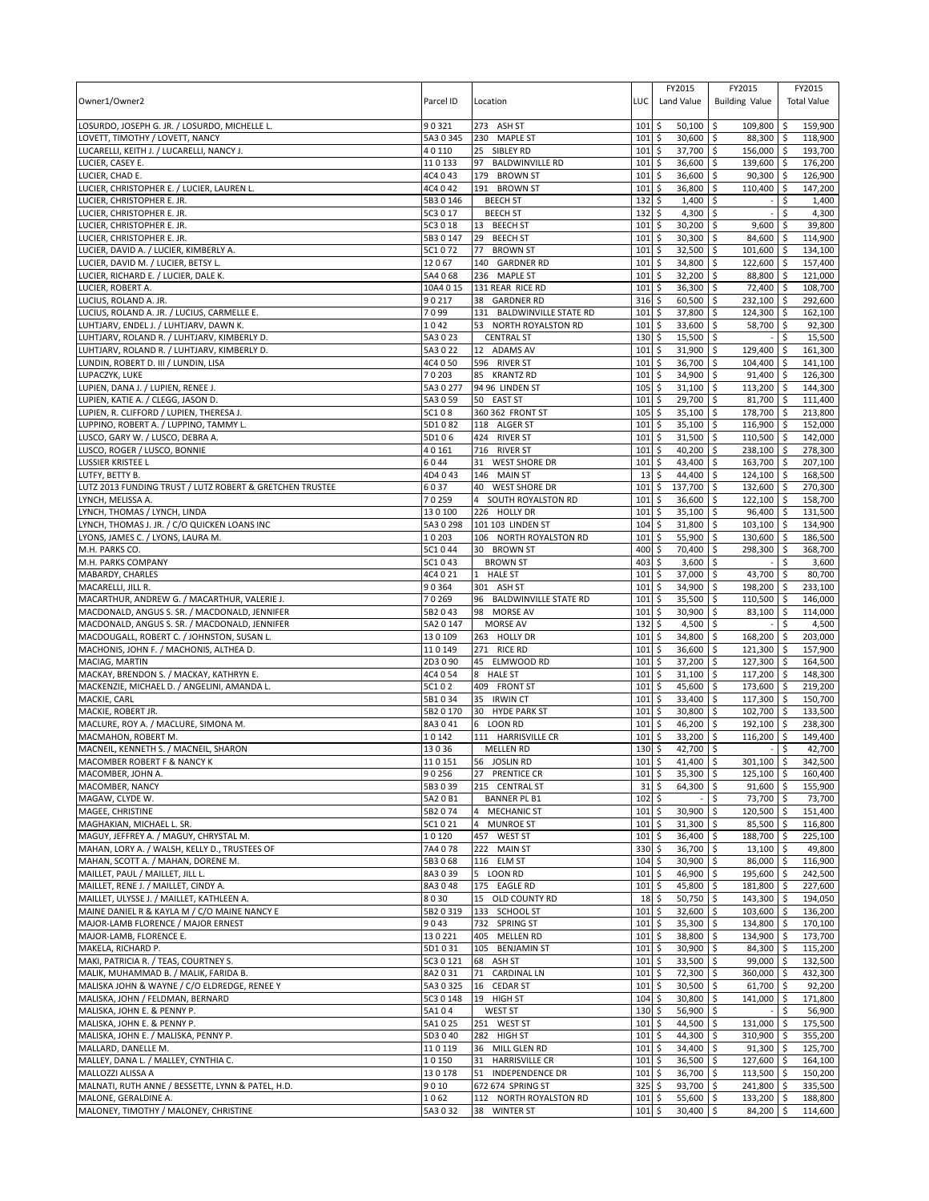| Owner1/Owner2                                                                             | Parcel ID              | Location                                   | LUC                  | FY2015<br>Land Value                 | FY2015<br><b>Building Value</b>                |                          | FY2015<br><b>Total Value</b> |
|-------------------------------------------------------------------------------------------|------------------------|--------------------------------------------|----------------------|--------------------------------------|------------------------------------------------|--------------------------|------------------------------|
|                                                                                           | 90321                  |                                            |                      |                                      | 109,800 \$                                     |                          |                              |
| LOSURDO, JOSEPH G. JR. / LOSURDO, MICHELLE L.<br>LOVETT, TIMOTHY / LOVETT, NANCY          | 5A3 0 345              | 273 ASH ST<br>230 MAPLE ST                 | 101<br>101           | $50,100$ \$<br>\$<br>\$<br>30,600 \$ | 88,300 \$                                      |                          | 159,900<br>118,900           |
| LUCARELLI, KEITH J. / LUCARELLI, NANCY J.                                                 | 40110                  | 25 SIBLEY RD                               | 101                  | \$<br>37,700                         | 156,000 \$<br>\$                               |                          | 193,700                      |
| LUCIER, CASEY E.                                                                          | 110133                 | <b>BALDWINVILLE RD</b><br>97               | 101                  | \$<br>36,600                         | \$<br>139,600 \$                               |                          | 176,200                      |
| LUCIER, CHAD E.                                                                           | 4C4 0 43               | <b>BROWN ST</b><br>179                     | 101                  | 36,600<br>\$                         | $90,300$ \$<br>\$                              |                          | 126,900                      |
| LUCIER, CHRISTOPHER E. / LUCIER, LAUREN L.                                                | 4C4 0 42               | 191<br><b>BROWN ST</b>                     | 101                  | \$<br>36,800                         | \$<br>110,400                                  | \$                       | 147,200                      |
| LUCIER, CHRISTOPHER E. JR.<br>LUCIER, CHRISTOPHER E. JR.                                  | 5B3 0 146<br>5C3 0 17  | <b>BEECH ST</b><br><b>BEECH ST</b>         | 132<br>132           | \$<br>1,400<br>\$<br>4,300           | \$<br>l\$                                      | \$<br>\$                 | 1,400<br>4,300               |
| LUCIER, CHRISTOPHER E. JR.                                                                | 5C3 0 18               | 13 BEECH ST                                | 101                  | \$<br>30,200                         | l\$<br>9,600                                   | \$                       | 39,800                       |
| LUCIER, CHRISTOPHER E. JR.                                                                | 5B3 0 147              | 29<br><b>BEECH ST</b>                      | 101                  | \$<br>30,300 \$                      | 84,600 \$                                      |                          | 114,900                      |
| LUCIER, DAVID A. / LUCIER, KIMBERLY A.                                                    | 5C1072                 | 77<br><b>BROWN ST</b>                      | 101                  | \$<br>32,500                         | \$<br>101,600 \$                               |                          | 134,100                      |
| LUCIER, DAVID M. / LUCIER, BETSY L                                                        | 12067                  | 140 GARDNER RD                             | 101                  | \$<br>34,800                         | \$<br>122,600 \$                               |                          | 157,400                      |
| LUCIER, RICHARD E. / LUCIER, DALE K.                                                      | 5A4 0 68               | 236 MAPLE ST                               | 101                  | 32,200<br>\$                         | \$<br>88,800 \$                                |                          | 121,000                      |
| LUCIER, ROBERT A.                                                                         | 10A4 0 15<br>90217     | 131 REAR RICE RD<br>38 GARDNER RD          | 101<br>316           | \$<br>36,300<br>60,500               | \$<br>72,400 \$<br>232,100 \$                  |                          | 108,700<br>292,600           |
| LUCIUS, ROLAND A. JR.<br>LUCIUS, ROLAND A. JR. / LUCIUS, CARMELLE E.                      | 7099                   | 131 BALDWINVILLE STATE RD                  | 101                  | \$<br>\$<br>37,800                   | l\$<br>\$<br>124,300 \$                        |                          | 162,100                      |
| LUHTJARV, ENDEL J. / LUHTJARV, DAWN K.                                                    | 1042                   | 53 NORTH ROYALSTON RD                      | 101                  | \$<br>33,600                         | l\$<br>58,700 \$                               |                          | 92,300                       |
| LUHTJARV, ROLAND R. / LUHTJARV, KIMBERLY D.                                               | 5A3023                 | <b>CENTRAL ST</b>                          | 130                  | \$<br>$15,500$ \$                    |                                                | \$                       | 15,500                       |
| LUHTJARV, ROLAND R. / LUHTJARV, KIMBERLY D.                                               | 5A3 0 22               | 12 ADAMS AV                                | 101                  | 31,900<br>\$                         | \$<br>129,400 \$                               |                          | 161,300                      |
| LUNDIN, ROBERT D. III / LUNDIN, LISA                                                      | 4C4 0 50               | 596 RIVER ST                               | 101                  | \$<br>36,700                         | \$<br>104,400                                  | l \$                     | 141,100                      |
| LUPACZYK, LUKE                                                                            | 70203<br>5A3 0 277     | 85 KRANTZ RD<br>94 96 LINDEN ST            | 101<br>105           | \$<br>34,900<br>\$<br>31,100         | $91,400$ \$<br>l \$<br>\$<br>113,200 \$        |                          | 126,300<br>144,300           |
| LUPIEN, DANA J. / LUPIEN, RENEE J.<br>LUPIEN, KATIE A. / CLEGG, JASON D.                  | 5A3 0 59               | 50 EAST ST                                 | 101                  | \$<br>29,700                         | \$<br>81,700 \$                                |                          | 111,400                      |
| LUPIEN, R. CLIFFORD / LUPIEN, THERESA J.                                                  | 5C108                  | 360 362 FRONT ST                           | 105                  | \$<br>35,100                         | 178,700 \$<br>\$                               |                          | 213,800                      |
| LUPPINO, ROBERT A. / LUPPINO, TAMMY L.                                                    | 5D1082                 | 118 ALGER ST                               | 101                  | \$<br>35,100                         | \$<br>116,900 \$                               |                          | 152,000                      |
| LUSCO, GARY W. / LUSCO, DEBRA A.                                                          | 5D106                  | 424 RIVER ST                               | 101                  | \$<br>31,500                         | \$<br>110,500 \$                               |                          | 142,000                      |
| LUSCO, ROGER / LUSCO, BONNIE                                                              | 40161                  | 716 RIVER ST                               | 101                  | 40,200<br>\$                         | \$<br>238,100 \$                               |                          | 278,300                      |
| LUSSIER KRISTEE L                                                                         | 6044                   | <b>WEST SHORE DR</b><br>31                 | 101                  | 43,400<br>\$                         | \$<br>163,700 \$                               |                          | 207,100                      |
| LUTFY, BETTY B.<br>LUTZ 2013 FUNDING TRUST / LUTZ ROBERT & GRETCHEN TRUSTEE               | 4D4043<br>6037         | 146 MAIN ST<br>40 WEST SHORE DR            | 13<br>101            | \$<br>44,400<br>137,700<br>\$        | \$<br>124,100 \$<br>\$<br>132,600 \$           |                          | 168,500<br>270,300           |
| LYNCH, MELISSA A.                                                                         | 70259                  | SOUTH ROYALSTON RD                         | 101                  | \$<br>36,600                         | \$<br>$122,100$ \$                             |                          | 158,700                      |
| LYNCH, THOMAS / LYNCH, LINDA                                                              | 130100                 | 226 HOLLY DR                               | 101                  | 35,100<br>\$                         | \$<br>96,400 \$                                |                          | 131,500                      |
| LYNCH, THOMAS J. JR. / C/O QUICKEN LOANS INC                                              | 5A3 0 298              | 101 103 LINDEN ST                          | 104                  | \$<br>31,800                         | 103,100 \$<br>\$                               |                          | 134,900                      |
| LYONS, JAMES C. / LYONS, LAURA M.                                                         | 10203                  | 106 NORTH ROYALSTON RD                     | 101                  | \$<br>55,900                         | \$<br>130,600 \$                               |                          | 186,500                      |
| M.H. PARKS CO.                                                                            | 5C1044                 | 30 BROWN ST                                | 400                  | \$<br>70,400                         | \$<br>298,300 \$                               |                          | 368,700                      |
| M.H. PARKS COMPANY<br>MABARDY, CHARLES                                                    | 5C1043<br>4C4 0 21     | <b>BROWN ST</b><br>1 HALE ST               | 403<br>101           | \$<br>3,600<br>\$<br>37,000 \$       | \$<br>43,700 \$                                | \$                       | 3,600<br>80,700              |
| MACARELLI, JILL R.                                                                        | 90364                  | 301 ASH ST                                 | 101                  | \$<br>34,900                         | \$<br>198,200 \$                               |                          | 233,100                      |
| MACARTHUR, ANDREW G. / MACARTHUR, VALERIE J.                                              | 70269                  | 96<br><b>BALDWINVILLE STATE RD</b>         | 101                  | Ś<br>35,500                          | \$<br>110,500                                  | ا \$                     | 146,000                      |
| MACDONALD, ANGUS S. SR. / MACDONALD, JENNIFER                                             | 5B2043                 | 98 MORSE AV                                | 101                  | 30,900 \$<br>\$                      | 83,100 \$                                      |                          | 114,000                      |
| MACDONALD, ANGUS S. SR. / MACDONALD, JENNIFER                                             | 5A2 0 147              | MORSE AV                                   | 132                  | \$<br>4,500                          | \$                                             | \$                       | 4,500                        |
| MACDOUGALL, ROBERT C. / JOHNSTON, SUSAN L.                                                | 130109                 | 263 HOLLY DR                               | 101                  | \$<br>34,800                         | \$<br>168,200 \$                               |                          | 203,000                      |
| MACHONIS, JOHN F. / MACHONIS, ALTHEA D.<br>MACIAG, MARTIN                                 | 110149<br>2D3090       | 271 RICE RD<br>45 ELMWOOD RD               | 101<br>101           | \$<br>36,600<br>\$<br>37,200         | \$<br>121,300 \$<br>$\sqrt{5}$<br>127,300   \$ |                          | 157,900<br>164,500           |
| MACKAY, BRENDON S. / MACKAY, KATHRYN E.                                                   | 4C4 0 54               | 8 HALE ST                                  | 101                  | \$<br>31,100                         | 117,200 \$<br>l\$                              |                          | 148,300                      |
| MACKENZIE, MICHAEL D. / ANGELINI, AMANDA L.                                               | 5C102                  | 409 FRONT ST                               | 101                  | \$<br>45,600                         | \$<br>173,600 \$                               |                          | 219,200                      |
| MACKIE, CARL                                                                              | 5B1034                 | 35<br><b>IRWIN CT</b>                      | 101                  | \$<br>33,400                         | \$<br>117,300 \$                               |                          | 150,700                      |
| MACKIE, ROBERT JR.                                                                        | 5B2 0 170              | <b>HYDE PARK ST</b><br>30                  | 101                  | \$<br>30,800                         | 102,700 \$<br>l\$                              |                          | 133,500                      |
| MACLURE, ROY A. / MACLURE, SIMONA M.<br>MACMAHON, ROBERT M.                               | 8A3041<br>10142        | 6 LOON RD                                  | 101                  | \$<br>46,200<br>\$                   | \$<br>192,100 \$                               |                          | 238,300                      |
| MACNEIL, KENNETH S. / MACNEIL, SHARON                                                     | 13036                  | 111 HARRISVILLE CR<br><b>MELLEN RD</b>     | 101<br>130           | 33,200<br>\$<br>42,700 \$            | \$<br>116,200                                  | $\ddot{\varsigma}$<br>\$ | 149,400<br>42,700            |
| <b>MACOMBER ROBERT F &amp; NANCY K</b>                                                    | 110151                 | 56 JOSLIN RD                               | $101$ $\overline{S}$ | $41.400$ \$                          | 301.100 \$                                     |                          | 342.500                      |
| MACOMBER, JOHN A.                                                                         | 90256                  | 27 PRENTICE CR                             | 101                  | \$<br>35,300                         | $125,100$ \$<br>\$                             |                          | 160,400                      |
| MACOMBER, NANCY                                                                           | 5B3 0 39               | 215 CENTRAL ST                             | 31                   | \$<br>64,300                         | \$<br>$91,600$ \$                              |                          | 155,900                      |
| MAGAW, CLYDE W.                                                                           | 5A2 0 B1               | <b>BANNER PL B1</b>                        | 102                  | \$                                   | \$<br>73,700 \$                                |                          | 73,700                       |
| MAGEE, CHRISTINE<br>MAGHAKIAN, MICHAEL L. SR.                                             | 5B2074<br>5C1021       | 4 MECHANIC ST<br>4 MUNROE ST               | 101<br>101           | \$<br>30,900 \$<br>\$<br>$31,300$ \$ | 120,500 \$<br>85,500 \$                        |                          | 151,400<br>116,800           |
| MAGUY, JEFFREY A. / MAGUY, CHRYSTAL M.                                                    | 10120                  | 457 WEST ST                                | 101                  | \$<br>36,400 \$                      | 188,700 \$                                     |                          | 225,100                      |
| MAHAN, LORY A. / WALSH, KELLY D., TRUSTEES OF                                             | 7A4 0 78               | 222 MAIN ST                                | 330                  | 36,700 \$<br>\$                      | $13,100$ \$                                    |                          | 49,800                       |
| MAHAN, SCOTT A. / MAHAN, DORENE M.                                                        | 5B3068                 | 116 ELM ST                                 | 104                  | \$<br>30,900 \$                      | 86,000 \$                                      |                          | 116,900                      |
| MAILLET, PAUL / MAILLET, JILL L.                                                          | 8A3039                 | 5 LOON RD                                  | 101                  | \$<br>46,900 \$                      | 195,600 \$                                     |                          | 242,500                      |
| MAILLET, RENE J. / MAILLET, CINDY A.                                                      | 8A3048                 | 175 EAGLE RD                               | 101                  | \$<br>45,800 \$                      | 181,800 \$                                     |                          | 227,600                      |
| MAILLET, ULYSSE J. / MAILLET, KATHLEEN A.<br>MAINE DANIEL R & KAYLA M / C/O MAINE NANCY E | 8030<br>5B2 0 319      | 15 OLD COUNTY RD<br>133 SCHOOL ST          | 18<br>101            | \$<br>$50,750$ \$<br>\$<br>32,600 \$ | 143,300 \$<br>103,600 \$                       |                          | 194,050<br>136,200           |
| MAJOR-LAMB FLORENCE / MAJOR ERNEST                                                        | 9043                   | 732 SPRING ST                              | 101                  | \$<br>35,300 \$                      | 134,800 \$                                     |                          | 170,100                      |
| MAJOR-LAMB, FLORENCE E.                                                                   | 130221                 | 405 MELLEN RD                              | 101                  | \$<br>38,800 \$                      | 134,900 \$                                     |                          | 173,700                      |
| MAKELA, RICHARD P.                                                                        | 5D1031                 | 105 BENJAMIN ST                            | 101                  | $\ddot{s}$<br>30,900 \$              | 84,300 \$                                      |                          | 115,200                      |
| MAKI, PATRICIA R. / TEAS, COURTNEY S.                                                     | 5C3 0 121              | 68 ASH ST                                  | 101                  | \$<br>33,500 \$                      | 99,000 \$                                      |                          | 132,500                      |
| MALIK, MUHAMMAD B. / MALIK, FARIDA B.                                                     | 8A2031                 | 71 CARDINAL LN                             | 101                  | \$<br>72,300 \$                      | 360,000 \$                                     |                          | 432,300                      |
| MALISKA JOHN & WAYNE / C/O ELDREDGE, RENEE Y<br>MALISKA, JOHN / FELDMAN, BERNARD          | 5A3 0 325<br>5C3 0 148 | 16 CEDAR ST<br>19 HIGH ST                  | 101<br>104           | \$<br>$30,500$ \$<br>\$<br>30,800 \$ | 61,700 \$<br>141,000 \$                        |                          | 92,200<br>171,800            |
| MALISKA, JOHN E. & PENNY P.                                                               | 5A104                  | WEST ST                                    | $130 \;$ \$          | 56,900 \$                            |                                                | \$                       | 56,900                       |
| MALISKA, JOHN E. & PENNY P.                                                               | 5A1025                 | 251 WEST ST                                | 101                  | \$<br>44,500 \$                      | 131,000 \$                                     |                          | 175,500                      |
| MALISKA, JOHN E. / MALISKA, PENNY P.                                                      | 5D3040                 | 282 HIGH ST                                | 101                  | \$<br>44,300 \$                      | 310,900 \$                                     |                          | 355,200                      |
| MALLARD, DANELLE M.                                                                       | 110119                 | 36 MILL GLEN RD                            | 101                  | $\frac{1}{2}$<br>$34,400$ \$         | $91,300$ \$                                    |                          | 125,700                      |
| MALLEY, DANA L. / MALLEY, CYNTHIA C.                                                      | 10150                  | <b>HARRISVILLE CR</b><br>31                | 101                  | \$<br>36,500 \$                      | 127,600 \$                                     |                          | 164,100                      |
| MALLOZZI ALISSA A<br>MALNATI, RUTH ANNE / BESSETTE, LYNN & PATEL, H.D.                    | 130178<br>9010         | INDEPENDENCE DR<br>51<br>672 674 SPRING ST | 101<br>325           | \$<br>36,700<br>\$<br>93,700 \$      | \$<br>113,500 \$<br>241,800 \$                 |                          | 150,200<br>335,500           |
| MALONE, GERALDINE A.                                                                      | 1062                   | 112 NORTH ROYALSTON RD                     | 101                  | \$<br>55,600 \$                      | 133,200 \$                                     |                          | 188,800                      |
| MALONEY, TIMOTHY / MALONEY, CHRISTINE                                                     | 5A3032                 | 38 WINTER ST                               | 101                  | \$<br>30,400 \$                      | 84,200 \$                                      |                          | 114,600                      |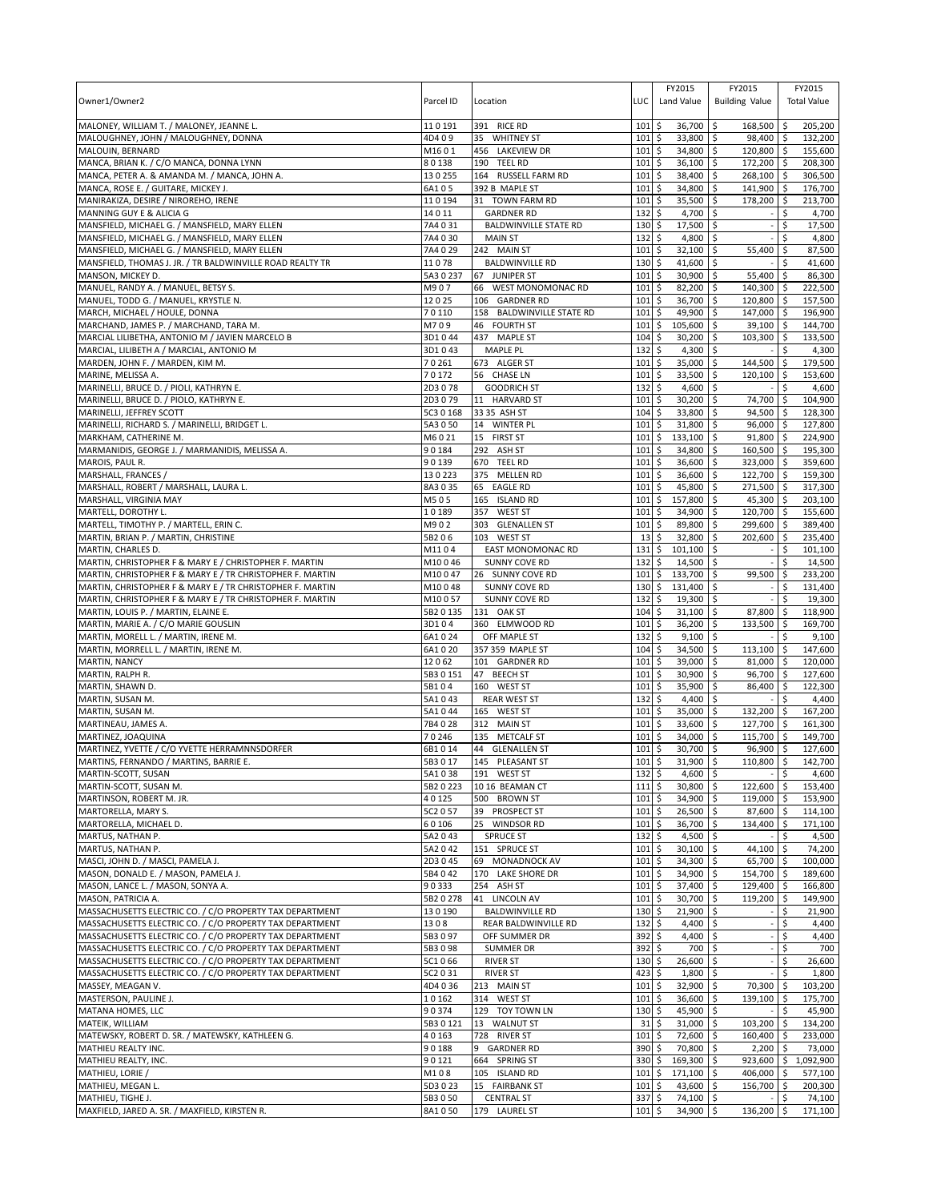| Owner1/Owner2                                                                                                          | Parcel ID           | Location                                 | LUC                | FY2015<br>Land Value                | FY2015<br><b>Building Value</b>      |          | FY2015<br><b>Total Value</b> |
|------------------------------------------------------------------------------------------------------------------------|---------------------|------------------------------------------|--------------------|-------------------------------------|--------------------------------------|----------|------------------------------|
| MALONEY, WILLIAM T. / MALONEY, JEANNE L.                                                                               | 110191              | 391 RICE RD                              | 101                | \$<br>36,700                        | l\$<br>168,500 \$                    |          | 205,200                      |
| MALOUGHNEY, JOHN / MALOUGHNEY, DONNA                                                                                   | 4D409               | 35 WHITNEY ST                            | 101                | \$<br>33,800                        | 5<br>98,400 \$                       |          | 132,200                      |
| MALOUIN, BERNARD                                                                                                       | M1601               | 456 LAKEVIEW DR                          | 101                | 34,800<br>\$                        | 120,800 \$<br>\$                     |          | 155,600                      |
| MANCA, BRIAN K. / C/O MANCA, DONNA LYNN                                                                                | 80138               | 190 TEEL RD                              | 101                | \$<br>36,100                        | \$<br>172,200 \$                     |          | 208,300                      |
| MANCA, PETER A. & AMANDA M. / MANCA, JOHN A.<br>MANCA, ROSE E. / GUITARE, MICKEY J.                                    | 130255<br>6A105     | 164 RUSSELL FARM RD<br>392 B MAPLE ST    | 101<br>101         | 38,400<br>\$<br>\$<br>34,800        | \$<br>268,100 \$<br>\$<br>141,900 \$ |          | 306,500<br>176,700           |
| MANIRAKIZA, DESIRE / NIROREHO, IRENE                                                                                   | 110194              | 31 TOWN FARM RD                          | 101                | \$<br>35,500                        | \$<br>178,200 \$                     |          | 213,700                      |
| MANNING GUY E & ALICIA G                                                                                               | 14011               | <b>GARDNER RD</b>                        | 132                | \$<br>4,700                         | l\$                                  | \$       | 4,700                        |
| MANSFIELD, MICHAEL G. / MANSFIELD, MARY ELLEN                                                                          | 7A4 0 31            | <b>BALDWINVILLE STATE RD</b>             | 130                | 17,500<br>\$                        | \$                                   | \$       | 17,500                       |
| MANSFIELD, MICHAEL G. / MANSFIELD, MARY ELLEN                                                                          | 7A4 0 30            | <b>MAIN ST</b>                           | 132                | \$<br>4,800 \$                      |                                      | \$       | 4,800                        |
| MANSFIELD, MICHAEL G. / MANSFIELD, MARY ELLEN<br>MANSFIELD, THOMAS J. JR. / TR BALDWINVILLE ROAD REALTY TR             | 7A4 0 29<br>11078   | 242 MAIN ST<br><b>BALDWINVILLE RD</b>    | 101<br>130         | 32,100<br>\$<br>\$<br>41,600        | \$<br>55,400<br>\$                   | \$<br>\$ | 87,500<br>41.600             |
| MANSON, MICKEY D.                                                                                                      | 5A30237             | 67 JUNIPER ST                            | 101                | 30,900<br>\$                        | \$<br>55,400 \$                      |          | 86,300                       |
| MANUEL, RANDY A. / MANUEL, BETSY S.                                                                                    | M907                | 66 WEST MONOMONAC RD                     | 101                | \$<br>82,200                        | \$<br>140,300 \$                     |          | 222,500                      |
| MANUEL, TODD G. / MANUEL, KRYSTLE N.                                                                                   | 12025               | 106 GARDNER RD                           | 101                | \$<br>36,700                        | 5<br>120,800 \$                      |          | 157.500                      |
| MARCH, MICHAEL / HOULE, DONNA                                                                                          | 70110               | 158 BALDWINVILLE STATE RD                | 101                | \$<br>49,900                        | \$<br>147,000 \$                     |          | 196,900                      |
| MARCHAND, JAMES P. / MARCHAND, TARA M.<br>MARCIAL LILIBETHA, ANTONIO M / JAVIEN MARCELO B                              | M709<br>3D1044      | 46 FOURTH ST<br>437 MAPLE ST             | 101<br>104         | \$<br>105,600<br>\$<br>$30,200$ \$  | \$<br>$39,100$ \$<br>103,300 \$      |          | 144,700<br>133,500           |
| MARCIAL, LILIBETH A / MARCIAL, ANTONIO M                                                                               | 3D1043              | <b>MAPLE PL</b>                          | 132                | \$<br>4,300                         | \$                                   | Ŝ.       | 4,300                        |
| MARDEN, JOHN F. / MARDEN, KIM M.                                                                                       | 70261               | 673 ALGER ST                             | 101                | \$<br>35,000                        | \$<br>144,500 \$                     |          | 179,500                      |
| MARINE, MELISSA A.                                                                                                     | 70172               | 56 CHASE LN                              | 101                | \$<br>33,500 \$                     | 120,100 \$                           |          | 153,600                      |
| MARINELLI, BRUCE D. / PIOLI, KATHRYN E.                                                                                | 2D3078              | <b>GOODRICH ST</b>                       | 132                | \$<br>4,600                         | \$                                   | \$       | 4,600                        |
| MARINELLI, BRUCE D. / PIOLO, KATHRYN E.<br>MARINELLI, JEFFREY SCOTT                                                    | 2D3079<br>5C3 0 168 | 11 HARVARD ST<br>33 35 ASH ST            | 101<br>104         | \$<br>30,200<br>\$<br>33,800        | 74,700 \$<br>\$<br>94,500 \$<br>l\$  |          | 104,900<br>128,300           |
| MARINELLI, RICHARD S. / MARINELLI, BRIDGET L.                                                                          | 5A3 0 50            | 14 WINTER PL                             | 101                | \$<br>31,800                        | \$<br>96,000 \$                      |          | 127,800                      |
| MARKHAM, CATHERINE M.                                                                                                  | M6021               | 15 FIRST ST                              | 101                | \$<br>133,100                       | 91,800 \$<br>l\$                     |          | 224,900                      |
| MARMANIDIS, GEORGE J. / MARMANIDIS, MELISSA A.                                                                         | 90184               | 292 ASH ST                               | 101                | 34,800<br>\$                        | \$<br>160,500 \$                     |          | 195,300                      |
| MAROIS, PAUL R.                                                                                                        | 90139               | 670 TEEL RD                              | 101                | 36,600<br>\$                        | \$<br>323,000 \$                     |          | 359,600                      |
| MARSHALL, FRANCES /                                                                                                    | 130223              | 375 MELLEN RD                            | 101                | 36,600<br>\$                        | 122,700 \$<br>\$                     |          | 159,300                      |
| MARSHALL, ROBERT / MARSHALL, LAURA L.                                                                                  | 8A3035<br>M505      | 65 EAGLE RD<br>165 ISLAND RD             | 101<br>101         | 45,800<br>\$<br>\$<br>157,800       | \$<br>271,500 \$<br>\$<br>45,300 \$  |          | 317,300<br>203,100           |
| MARSHALL, VIRGINIA MAY<br>MARTELL, DOROTHY L.                                                                          | 10189               | 357<br><b>WEST ST</b>                    | 101                | 34,900<br>\$                        | 120,700 \$<br>\$                     |          | 155,600                      |
| MARTELL, TIMOTHY P. / MARTELL, ERIN C.                                                                                 | M902                | 303 GLENALLEN ST                         | 101                | \$<br>89,800                        | \$<br>299,600 \$                     |          | 389,400                      |
| MARTIN, BRIAN P. / MARTIN, CHRISTINE                                                                                   | 5B206               | 103 WEST ST                              | 13                 | 32,800<br>\$                        | \$<br>202,600 \$                     |          | 235,400                      |
| MARTIN, CHARLES D.                                                                                                     | M1104               | EAST MONOMONAC RD                        | 131                | \$<br>101,100                       | l\$                                  | \$       | 101,100                      |
| MARTIN, CHRISTOPHER F & MARY E / CHRISTOPHER F. MARTIN                                                                 | M10046              | <b>SUNNY COVE RD</b>                     | 132                | 14,500<br>\$                        | \$                                   | \$       | 14,500                       |
| MARTIN, CHRISTOPHER F & MARY E / TR CHRISTOPHER F. MARTIN<br>MARTIN, CHRISTOPHER F & MARY E / TR CHRISTOPHER F. MARTIN | M10047<br>M10048    | 26 SUNNY COVE RD<br><b>SUNNY COVE RD</b> | 101<br>130         | \$<br>133,700 \$<br>\$<br>131,400   | 99,500 \$<br>\$<br>$\sim$            | \$       | 233,200<br>131,400           |
| MARTIN, CHRISTOPHER F & MARY E / TR CHRISTOPHER F. MARTIN                                                              | M10057              | <b>SUNNY COVE RD</b>                     | 132                | \$<br>19,300                        | \$                                   | Ś        | 19,300                       |
| MARTIN, LOUIS P. / MARTIN, ELAINE E.                                                                                   | 5B2 0 135           | 131 OAK ST                               | 104                | 31,100<br>\$                        | l \$<br>87,800 \$                    |          | 118,900                      |
| MARTIN, MARIE A. / C/O MARIE GOUSLIN                                                                                   | 3D104               | 360 ELMWOOD RD                           | 101                | \$<br>36,200                        | \$<br>133,500 \$                     |          | 169,700                      |
| MARTIN, MORELL L. / MARTIN, IRENE M.                                                                                   | 6A1024              | OFF MAPLE ST                             | 132                | \$<br>9,100                         | \$                                   | Ŝ.       | 9,100                        |
| MARTIN, MORRELL L. / MARTIN, IRENE M.                                                                                  | 6A1020<br>12062     | 357 359 MAPLE ST                         | 104<br>101         | \$<br>34,500<br>\$<br>39,000        | \$<br>$113,100$ \$<br>\$             |          | 147,600<br>120,000           |
| MARTIN, NANCY<br>MARTIN, RALPH R.                                                                                      | 5B3 0 151           | 101 GARDNER RD<br>47 BEECH ST            | 101                | \$<br>30,900                        | $81,000$ \$<br>96,700 \$<br>l\$      |          | 127,600                      |
| MARTIN, SHAWN D.                                                                                                       | 5B104               | 160 WEST ST                              | 101                | \$<br>35,900                        | \$<br>86,400 \$                      |          | 122,300                      |
| MARTIN, SUSAN M.                                                                                                       | 5A1043              | <b>REAR WEST ST</b>                      | 132                | 4,400<br>\$                         | \$                                   | \$       | 4,400                        |
| MARTIN, SUSAN M.                                                                                                       | 5A1044              | 165 WEST ST                              | 101                | 35,000<br>\$                        | 132,200 \$<br>S.                     |          | 167,200                      |
| MARTINEAU, JAMES A.<br>MARTINEZ, JOAQUINA                                                                              | 7B4028<br>70246     | 312 MAIN ST<br>135 METCALF ST            | 101<br>101         | 33,600<br>\$<br>\$<br>34,000        | \$<br>127,700 \$<br>\$<br>115,700 \$ |          | 161,300<br>149,700           |
| MARTINEZ, YVETTE / C/O YVETTE HERRAMNNSDORFER                                                                          | 6B1014              | 44 GLENALLEN ST                          | 101                | \$<br>30,700                        | \$<br>96,900 \$                      |          | 127,600                      |
| MARTINS, FERNANDO / MARTINS, BARRIE E.                                                                                 | 5B3017              | 145 PLFASANT ST                          | 101S               | $31.900$ \$                         | $110.800$ \$                         |          | 142.700                      |
| MARTIN-SCOTT, SUSAN                                                                                                    | 5A1038              | 191 WEST ST                              | 132                | 4,600 \$<br>\$                      |                                      | \$       | 4,600                        |
| MARTIN-SCOTT, SUSAN M.                                                                                                 | 5B2 0 223           | 10 16 BEAMAN CT                          | 111                | \$<br>30,800 \$                     | 122,600 \$                           |          | 153,400                      |
| MARTINSON, ROBERT M. JR.                                                                                               | 40125               | 500 BROWN ST                             | 101                | 34,900<br>\$                        | \$<br>119,000 \$                     |          | 153,900                      |
| MARTORELLA, MARY S.<br>MARTORELLA, MICHAEL D.                                                                          | 5C2 0 57<br>60106   | 39 PROSPECT ST<br>25 WINDSOR RD          | 101<br>101         | \$<br>$26,500$ \$<br>36,700<br>\$   | 87,600 \$<br>\$<br>134,400 \$        |          | 114,100<br>171,100           |
| MARTUS, NATHAN P.                                                                                                      | 5A2043              | <b>SPRUCE ST</b>                         | 132                | \$<br>4,500 \$                      |                                      | \$       | 4,500                        |
| MARTUS, NATHAN P.                                                                                                      | 5A2042              | 151 SPRUCE ST                            | 101                | $30,100$ \$<br>\$                   | 44,100 \$                            |          | 74,200                       |
| MASCI, JOHN D. / MASCI, PAMELA J.                                                                                      | 2D3045              | 69 MONADNOCK AV                          | 101                | \$<br>34,300 \$                     | 65,700 \$                            |          | 100,000                      |
| MASON, DONALD E. / MASON, PAMELA J.                                                                                    | 5B4 0 42            | 170 LAKE SHORE DR                        | 101                | \$<br>34,900 \$                     | 154,700 \$                           |          | 189,600                      |
| MASON, LANCE L. / MASON, SONYA A.<br>MASON, PATRICIA A.                                                                | 90333<br>5B20278    | 254 ASH ST<br>41 LINCOLN AV              | 101<br>101         | \$<br>37,400 \$<br>\$<br>30,700     | 129,400 \$<br>\$<br>119,200 \$       |          | 166,800<br>149,900           |
| MASSACHUSETTS ELECTRIC CO. / C/O PROPERTY TAX DEPARTMENT                                                               | 130190              | <b>BALDWINVILLE RD</b>                   | 130                | \$<br>$21,900$ \$                   |                                      | \$       | 21,900                       |
| MASSACHUSETTS ELECTRIC CO. / C/O PROPERTY TAX DEPARTMENT                                                               | 1308                | REAR BALDWINVILLE RD                     | 132                | \$<br>$4,400$ \$                    | $\overline{\phantom{a}}$             | \$       | 4,400                        |
| MASSACHUSETTS ELECTRIC CO. / C/O PROPERTY TAX DEPARTMENT                                                               | 5B3097              | OFF SUMMER DR                            | 392                | \$<br>$4,400$ \$                    |                                      | \$       | 4,400                        |
| MASSACHUSETTS ELECTRIC CO. / C/O PROPERTY TAX DEPARTMENT                                                               | 5B3098              | <b>SUMMER DR</b>                         | 392                | \$<br>700 \$                        | $\sim$                               | \$       | 700                          |
| MASSACHUSETTS ELECTRIC CO. / C/O PROPERTY TAX DEPARTMENT<br>MASSACHUSETTS ELECTRIC CO. / C/O PROPERTY TAX DEPARTMENT   | 5C1066<br>5C2 0 31  | <b>RIVER ST</b><br><b>RIVER ST</b>       | $130 \;$ \$<br>423 | $26,600$ \$<br>\$<br>$1,800$ \$     |                                      | \$<br>\$ | 26,600<br>1,800              |
| MASSEY, MEAGAN V.                                                                                                      | 4D4036              | 213 MAIN ST                              | 101                | \$<br>32,900 \$                     | 70,300 \$                            |          | 103,200                      |
| MASTERSON, PAULINE J.                                                                                                  | 10162               | 314 WEST ST                              | 101                | 36,600 \$<br>\$                     | 139,100 \$                           |          | 175,700                      |
| MATANA HOMES, LLC                                                                                                      | 90374               | 129 TOY TOWN LN                          | 130                | \$<br>45,900 \$                     |                                      | \$       | 45,900                       |
| MATEIK, WILLIAM                                                                                                        | 5B3 0 121           | 13 WALNUT ST                             | 31                 | \$<br>31,000                        | \$<br>103,200 \$                     |          | 134,200                      |
| MATEWSKY, ROBERT D. SR. / MATEWSKY, KATHLEEN G.                                                                        | 40163               | 728 RIVER ST                             | 101<br>390         | 72,600 \$<br>\$                     | 160,400 \$                           |          | 233,000                      |
| MATHIEU REALTY INC.<br>MATHIEU REALTY, INC.                                                                            | 90188<br>90121      | 9 GARDNER RD<br>664 SPRING ST            | 330                | \$<br>70,800 \$<br>\$<br>169,300 \$ | $2,200$ \$<br>923,600 \$             |          | 73,000<br>1,092,900          |
| MATHIEU, LORIE /                                                                                                       | M108                | 105 ISLAND RD                            | 101                | \$<br>171,100                       | \$<br>406,000 \$                     |          | 577,100                      |
| MATHIEU, MEGAN L                                                                                                       | 5D3 0 23            | 15 FAIRBANK ST                           | 101                | \$<br>43,600                        | \$<br>156,700 \$                     |          | 200,300                      |
| MATHIEU, TIGHE J.                                                                                                      | 5B3050              | <b>CENTRAL ST</b>                        | 337                | 74,100 \$<br>\$                     |                                      | \$       | 74,100                       |
| MAXFIELD, JARED A. SR. / MAXFIELD, KIRSTEN R.                                                                          | 8A1050              | 179 LAUREL ST                            | 101                | \$<br>34,900                        | 136,200 \$<br>\$                     |          | 171,100                      |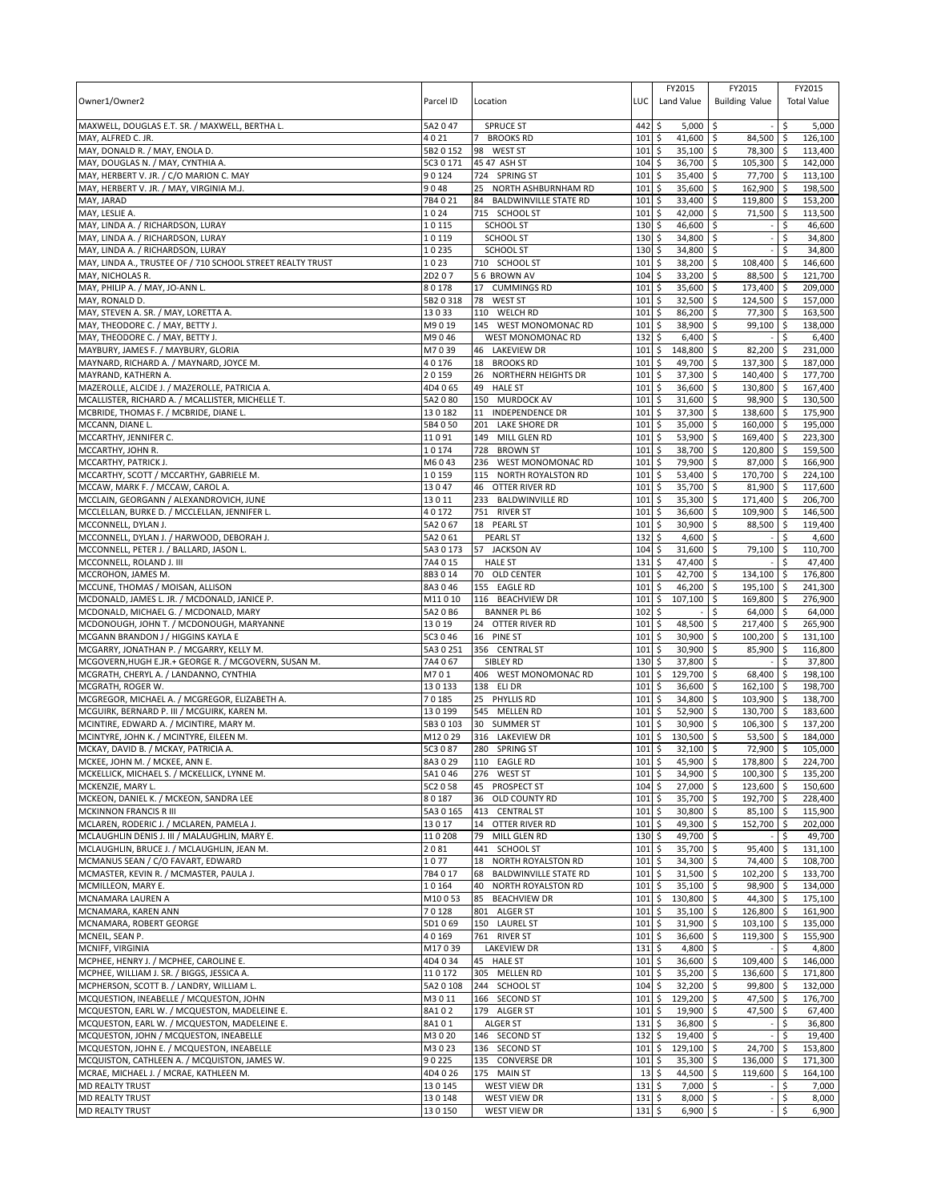| Owner1/Owner2                                                                                | Parcel ID          | Location                                           | LUC         | FY2015<br>Land Value               | FY2015<br><b>Building Value</b>            |          | FY2015<br><b>Total Value</b> |
|----------------------------------------------------------------------------------------------|--------------------|----------------------------------------------------|-------------|------------------------------------|--------------------------------------------|----------|------------------------------|
| MAXWELL, DOUGLAS E.T. SR. / MAXWELL, BERTHA L.                                               | 5A2047             | <b>SPRUCE ST</b>                                   | 442         | \$<br>$5,000$ \$                   |                                            | \$       | 5,000                        |
| MAY, ALFRED C. JR.<br>MAY, DONALD R. / MAY, ENOLA D.                                         | 4021<br>5B2 0 152  | <b>BROOKS RD</b><br>$\overline{7}$<br>98 WEST ST   | 101<br>101  | \$<br>41,600<br>35,100<br>\$       | $\ddot{s}$<br>84,500 \$<br>78,300 \$<br>\$ |          | 126,100<br>113,400           |
| MAY, DOUGLAS N. / MAY, CYNTHIA A.                                                            | 5C3 0 171          | 45 47 ASH ST                                       | 104         | \$<br>36,700                       | \$<br>105,300 \$                           |          | 142,000                      |
| MAY, HERBERT V. JR. / C/O MARION C. MAY                                                      | 90124              | 724 SPRING ST                                      | 101         | 35,400<br>\$                       | \$<br>77,700 \$                            |          | 113,100                      |
| MAY, HERBERT V. JR. / MAY, VIRGINIA M.J.                                                     | 9048               | 25 NORTH ASHBURNHAM RD                             | 101         | \$<br>35,600                       | \$<br>162,900 \$                           |          | 198,500                      |
| MAY, JARAD                                                                                   | 7B4021             | 84<br><b>BALDWINVILLE STATE RD</b>                 | 101         | 33,400<br>\$                       | \$<br>119,800 \$                           |          | 153,200                      |
| MAY, LESLIE A.                                                                               | 1024               | 715 SCHOOL ST                                      | 101         | 42,000<br>\$                       | \$<br>71,500 \$                            |          | 113,500                      |
| MAY, LINDA A. / RICHARDSON, LURAY                                                            | 10115              | <b>SCHOOL ST</b>                                   | 130         | 46,600<br>\$                       | \$                                         | \$       | 46,600                       |
| MAY, LINDA A. / RICHARDSON, LURAY<br>MAY, LINDA A. / RICHARDSON, LURAY                       | 10119<br>10235     | <b>SCHOOL ST</b><br><b>SCHOOL ST</b>               | 130<br>130  | \$<br>34,800<br>34,800<br>\$       | \$<br>\$                                   | \$<br>\$ | 34,800<br>34,800             |
| MAY, LINDA A., TRUSTEE OF / 710 SCHOOL STREET REALTY TRUST                                   | 1023               | 710 SCHOOL ST                                      | 101         | 38,200<br>\$                       | \$<br>108,400 \$                           |          | 146,600                      |
| MAY, NICHOLAS R.                                                                             | 2D207              | 56 BROWN AV                                        | 104         | 33,200<br>\$                       | \$<br>88,500 \$                            |          | 121,700                      |
| MAY, PHILIP A. / MAY, JO-ANN L.                                                              | 80178              | <b>CUMMINGS RD</b><br>17                           | 101         | \$<br>35,600                       | \$<br>173,400 \$                           |          | 209,000                      |
| MAY, RONALD D.                                                                               | 5B2 0 318          | 78 WEST ST                                         | 101         | \$<br>32,500                       | \$<br>124,500 \$                           |          | 157,000                      |
| MAY, STEVEN A. SR. / MAY, LORETTA A.                                                         | 13033              | 110 WELCH RD                                       | 101         | \$<br>86,200                       | \$<br>77,300 \$                            |          | 163,500                      |
| MAY, THEODORE C. / MAY, BETTY J.                                                             | M9019              | 145 WEST MONOMONAC RD                              | 101         | \$<br>38,900                       | \$<br>99,100 \$                            |          | 138,000                      |
| MAY, THEODORE C. / MAY, BETTY J.<br>MAYBURY, JAMES F. / MAYBURY, GLORIA                      | M9046<br>M7039     | WEST MONOMONAC RD<br>46 LAKEVIEW DR                | 132<br>101  | \$<br>$6,400$ \$<br>\$<br>148,800  | \$<br>82,200 \$                            | \$       | 6,400<br>231,000             |
| MAYNARD, RICHARD A. / MAYNARD, JOYCE M.                                                      | 40176              | 18<br><b>BROOKS RD</b>                             | 101         | \$<br>49,700                       | \$<br>137,300 \$                           |          | 187,000                      |
| MAYRAND, KATHERN A.                                                                          | 20159              | 26<br>NORTHERN HEIGHTS DR                          | 101         | \$<br>37,300                       | l\$<br>140,400 \$                          |          | 177,700                      |
| MAZEROLLE, ALCIDE J. / MAZEROLLE, PATRICIA A.                                                | 4D4065             | <b>HALE ST</b><br>49                               | 101         | \$<br>36,600                       | \$<br>130,800 \$                           |          | 167,400                      |
| MCALLISTER, RICHARD A. / MCALLISTER, MICHELLE T.                                             | 5A2080             | 150 MURDOCK AV                                     | 101         | \$<br>31,600                       | \$<br>98,900 \$                            |          | 130,500                      |
| MCBRIDE, THOMAS F. / MCBRIDE, DIANE L.                                                       | 130182             | 11 INDEPENDENCE DR                                 | 101         | \$<br>37,300                       | l\$<br>138,600 \$                          |          | 175,900                      |
| MCCANN, DIANE L.                                                                             | 5B4 0 50           | 201 LAKE SHORE DR                                  | 101         | \$<br>35,000                       | \$<br>160,000 \$                           |          | 195,000                      |
| MCCARTHY, JENNIFER C.                                                                        | 11091              | 149 MILL GLEN RD                                   | 101         | \$<br>53,900                       | l\$<br>169,400 \$                          |          | 223,300                      |
| MCCARTHY, JOHN R.                                                                            | 10174              | 728<br><b>BROWN ST</b>                             | 101         | \$<br>38,700                       | \$<br>120,800 \$                           |          | 159,500                      |
| MCCARTHY, PATRICK J.                                                                         | M6043<br>10159     | 236<br>WEST MONOMONAC RD<br>115 NORTH ROYALSTON RD | 101<br>101  | 79,900<br>\$<br>53,400<br>\$       | \$<br>87,000 \$<br>170,700 \$<br>\$        |          | 166,900<br>224,100           |
| MCCARTHY, SCOTT / MCCARTHY, GABRIELE M.<br>MCCAW, MARK F. / MCCAW, CAROL A.                  | 13047              | 46 OTTER RIVER RD                                  | 101         | 35,700<br>\$                       | \$<br>81,900 \$                            |          | 117,600                      |
| MCCLAIN, GEORGANN / ALEXANDROVICH, JUNE                                                      | 13011              | 233<br><b>BALDWINVILLE RD</b>                      | 101         | \$<br>35,300                       | \$<br>171,400 \$                           |          | 206,700                      |
| MCCLELLAN, BURKE D. / MCCLELLAN, JENNIFER L                                                  | 40172              | 751 RIVER ST                                       | 101         | 36,600<br>\$                       | \$<br>109,900 \$                           |          | 146,500                      |
| MCCONNELL, DYLAN J.                                                                          | 5A2067             | 18 PEARL ST                                        | 101         | \$<br>30,900                       | \$<br>88,500 \$                            |          | 119,400                      |
| MCCONNELL, DYLAN J. / HARWOOD, DEBORAH J.                                                    | 5A2061             | <b>PEARL ST</b>                                    | 132         | 4,600<br>\$                        | \$                                         | \$       | 4,600                        |
| MCCONNELL, PETER J. / BALLARD, JASON L                                                       | 5A3 0 173          | 57 JACKSON AV                                      | 104         | \$<br>31,600                       | \$<br>79,100 \$                            |          | 110,700                      |
| MCCONNELL, ROLAND J. III                                                                     | 7A4 0 15           | <b>HALE ST</b>                                     | 131         | 47,400<br>\$                       | \$                                         | \$       | 47,400                       |
| MCCROHON, JAMES M.                                                                           | 8B3014             | 70 OLD CENTER                                      | 101         | 42,700 \$<br>\$                    | 134,100 \$                                 |          | 176,800                      |
| MCCUNE, THOMAS / MOISAN, ALLISON<br>MCDONALD, JAMES L. JR. / MCDONALD, JANICE P.             | 8A3046<br>M11010   | 155 EAGLE RD<br>116 BEACHVIEW DR                   | 101<br>101  | \$<br>46,200<br>\$<br>107,100      | \$<br>195,100 \$<br>\$<br>169,800 \$       |          | 241,300<br>276,900           |
| MCDONALD, MICHAEL G. / MCDONALD, MARY                                                        | 5A2 0 B6           | <b>BANNER PL B6</b>                                | 102         | \$                                 | 64,000 \$<br>\$                            |          | 64,000                       |
| MCDONOUGH, JOHN T. / MCDONOUGH, MARYANNE                                                     | 13019              | 24 OTTER RIVER RD                                  | 101         | \$<br>48,500                       | \$<br>217,400 \$                           |          | 265,900                      |
| MCGANN BRANDON J / HIGGINS KAYLA E                                                           | 5C3 0 46           | 16 PINE ST                                         | 101         | \$<br>30,900                       | \$<br>100,200 \$                           |          | 131,100                      |
| MCGARRY, JONATHAN P. / MCGARRY, KELLY M.                                                     | 5A3 0 251          | 356 CENTRAL ST                                     | 101         | \$<br>30,900                       | \$<br>85,900 \$                            |          | 116,800                      |
| MCGOVERN, HUGH E.JR.+ GEORGE R. / MCGOVERN, SUSAN M.                                         | 7A4067             | SIBLEY RD                                          | 130         | \$<br>37,800                       | \$                                         | \$       | 37,800                       |
| MCGRATH, CHERYL A. / LANDANNO, CYNTHIA                                                       | M701               | 406 WEST MONOMONAC RD                              | 101         | \$<br>129,700                      | 68,400 \$<br>l\$                           |          | 198,100                      |
| MCGRATH, ROGER W.                                                                            | 130133             | 138 ELI DR                                         | 101         | \$<br>36,600                       | \$<br>162,100 \$                           |          | 198,700                      |
| MCGREGOR, MICHAEL A. / MCGREGOR, ELIZABETH A.<br>MCGUIRK, BERNARD P. III / MCGUIRK, KAREN M. | 70185<br>130199    | 25 PHYLLIS RD<br>545 MELLEN RD                     | 101<br>101  | 34,800<br>\$<br>52,900<br>\$       | \$<br>103,900 \$<br>\$<br>130,700 \$       |          | 138,700<br>183,600           |
| MCINTIRE, EDWARD A. / MCINTIRE, MARY M.                                                      | 5B3 0 103          | 30 SUMMER ST                                       | 101         | 30,900<br>\$                       | \$<br>106,300 \$                           |          | 137,200                      |
| MCINTYRE, JOHN K. / MCINTYRE, EILEEN M.                                                      | M12029             | 316 LAKEVIEW DR                                    | 101         | \$<br>130,500                      | \$<br>$53,500$ \$                          |          | 184.000                      |
| MCKAY, DAVID B. / MCKAY, PATRICIA A.                                                         | 5C3 0 87           | 280 SPRING ST                                      | 101         | \$<br>32,100                       | 72,900 \$<br>\$                            |          | 105,000                      |
| MCKEE, JOHN M. / MCKEE, ANN E.                                                               | 8A3029             | 110 EAGLE RD                                       | 101S        | $45.900$ \$                        | 178,800 \$                                 |          | 224.700                      |
| MCKELLICK, MICHAEL S. / MCKELLICK, LYNNE M.                                                  | 5A1046             | 276 WEST ST                                        | 101         | 34,900<br>\$                       | \$<br>$100,300$ \$                         |          | 135,200                      |
| MCKENZIE, MARY L.                                                                            | 5C2 0 58           | 45<br>PROSPECT ST                                  | 104         | \$<br>27,000                       | \$<br>123,600 \$                           |          | 150,600                      |
| MCKEON, DANIEL K. / MCKEON, SANDRA LEE                                                       | 80187              | 36 OLD COUNTY RD                                   | 101         | \$<br>35,700                       | \$<br>192,700 \$                           |          | 228,400                      |
| <b>MCKINNON FRANCIS R III</b><br>MCLAREN, RODERIC J. / MCLAREN, PAMELA J.                    | 5A3 0 165<br>13017 | 413 CENTRAL ST<br>14 OTTER RIVER RD                | 101<br>101  | \$<br>30,800 \$<br>\$<br>49,300    | 85,100 \$<br>\$<br>152,700 \$              |          | 115,900<br>202,000           |
| MCLAUGHLIN DENIS J. III / MALAUGHLIN, MARY E.                                                | 110208             | 79 MILL GLEN RD                                    | 130         | \$<br>49,700 \$                    |                                            | \$       | 49,700                       |
| MCLAUGHLIN, BRUCE J. / MCLAUGHLIN, JEAN M.                                                   | 2081               | 441 SCHOOL ST                                      | 101         | 35,700 \$<br>\$                    | $95,400$ \$                                |          | 131,100                      |
| MCMANUS SEAN / C/O FAVART, EDWARD                                                            | 1077               | NORTH ROYALSTON RD<br>18                           | 101         | \$<br>$34,300$ \$                  | 74,400 \$                                  |          | 108,700                      |
| MCMASTER, KEVIN R. / MCMASTER, PAULA J.                                                      | 7B4017             | <b>BALDWINVILLE STATE RD</b><br>68                 | 101         | \$<br>$31,500$ \$                  | 102,200 \$                                 |          | 133,700                      |
| MCMILLEON, MARY E.                                                                           | 10164              | NORTH ROYALSTON RD<br>40                           | 101         | \$<br>$35,100$ \$                  | 98,900 \$                                  |          | 134,000                      |
| MCNAMARA LAUREN A                                                                            | M10053             | 85 BEACHVIEW DR                                    | 101         | \$<br>130,800 \$                   | 44,300 \$                                  |          | 175,100                      |
| MCNAMARA, KAREN ANN                                                                          | 70128              | 801 ALGER ST                                       | 101         | \$<br>$35,100$ \$                  | 126,800 \$                                 |          | 161,900                      |
| MCNAMARA, ROBERT GEORGE<br>MCNEIL, SEAN P.                                                   | 5D1069<br>40169    | 150 LAUREL ST<br>761 RIVER ST                      | 101<br>101  | 31,900 \$<br>\$<br>\$<br>36,600    | $103,100$ \$<br>5<br>119,300 \$            |          | 135,000<br>155,900           |
| MCNIFF, VIRGINIA                                                                             | M17039             | <b>LAKEVIEW DR</b>                                 | 131         | \$<br>$4.800$ \$                   |                                            | $-15$    | 4,800                        |
| MCPHEE, HENRY J. / MCPHEE, CAROLINE E.                                                       | 4D4034             | 45 HALE ST                                         | 101         | 5<br>36,600 \$                     | 109,400 \$                                 |          | 146,000                      |
| MCPHEE, WILLIAM J. SR. / BIGGS, JESSICA A.                                                   | 110172             | 305 MELLEN RD                                      | 101         | \$<br>$35,200$ \$                  | 136,600 \$                                 |          | 171,800                      |
| MCPHERSON, SCOTT B. / LANDRY, WILLIAM L.                                                     | 5A2 0 108          | 244 SCHOOL ST                                      | 104         | \$<br>$32,200$ \$                  | 99,800 \$                                  |          | 132,000                      |
| MCQUESTION, INEABELLE / MCQUESTON, JOHN                                                      | M3011              | 166 SECOND ST                                      | 101         | \$<br>129,200 \$                   | 47,500 \$                                  |          | 176,700                      |
| MCQUESTON, EARL W. / MCQUESTON, MADELEINE E.                                                 | 8A102              | 179 ALGER ST                                       | 101         | \$<br>$19,900$ \$                  | 47,500 \$                                  |          | 67,400                       |
| MCQUESTON, EARL W. / MCQUESTON, MADELEINE E.                                                 | 8A101              | <b>ALGER ST</b>                                    | 131         | \$<br>36,800 \$                    |                                            | \$       | 36,800                       |
| MCQUESTON, JOHN / MCQUESTON, INEABELLE                                                       | M3020              | 146 SECOND ST                                      | 132<br>101  | \$<br>19,400 \$                    |                                            | \$       | 19,400                       |
| MCQUESTON, JOHN E. / MCQUESTON, INEABELLE<br>MCQUISTON, CATHLEEN A. / MCQUISTON, JAMES W.    | M3023<br>90225     | 136 SECOND ST<br>135 CONVERSE DR                   | 101         | \$<br>$129,100$ \$<br>35,300<br>\$ | $24,700$ \$<br>\$<br>136,000 \$            |          | 153,800<br>171,300           |
| MCRAE, MICHAEL J. / MCRAE, KATHLEEN M.                                                       | 4D4026             | 175 MAIN ST                                        | 13          | 44,500<br>\$                       | \$<br>119,600 \$                           |          | 164,100                      |
| <b>MD REALTY TRUST</b>                                                                       | 130145             | WEST VIEW DR                                       | 131         | \$<br>$7,000$ \$                   |                                            | \$       | 7,000                        |
| <b>MD REALTY TRUST</b>                                                                       | 130148             | WEST VIEW DR                                       | $131 \;$ \$ | $8,000$ \$                         |                                            | \$       | 8,000                        |
| <b>MD REALTY TRUST</b>                                                                       | 130150             | WEST VIEW DR                                       | 131         | \$<br>$6,900$ \$                   |                                            | \$       | 6,900                        |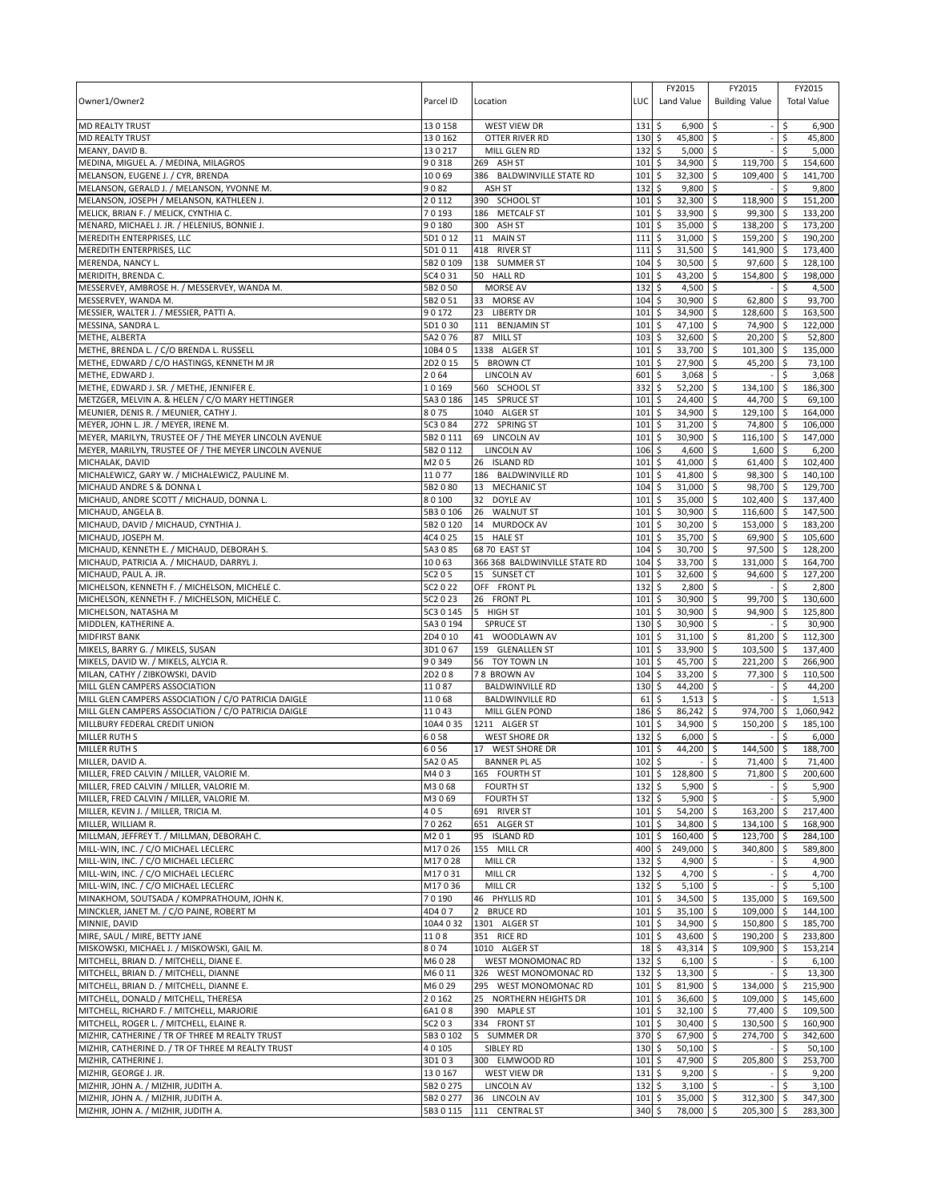| Owner1/Owner2                                                                            | Parcel ID            | Location                                       | LUC                        | FY2015<br>Land Value           | FY2015<br><b>Building Value</b>   |                 | FY2015<br><b>Total Value</b> |
|------------------------------------------------------------------------------------------|----------------------|------------------------------------------------|----------------------------|--------------------------------|-----------------------------------|-----------------|------------------------------|
| <b>MD REALTY TRUST</b>                                                                   | 130158               | <b>WEST VIEW DR</b>                            | 131                        | \$<br>6,900                    | \$                                | \$              | 6,900                        |
| <b>MD REALTY TRUST</b>                                                                   | 130162               | OTTER RIVER RD                                 | 130S                       | 45,800 \$                      |                                   | \$              | 45,800                       |
| MEANY, DAVID B.<br>MEDINA, MIGUEL A. / MEDINA, MILAGROS                                  | 130217<br>90318      | MILL GLEN RD<br>269 ASH ST                     | 132<br>101                 | \$<br>5,000<br>\$<br>34,900 \$ | $\ddot{\circ}$<br>119,700         | \$<br>\$ ا      | 5,000<br>154,600             |
| MELANSON, EUGENE J. / CYR, BRENDA                                                        | 10069                | 386 BALDWINVILLE STATE RD                      | 101                        | \$<br>32,300                   | -\$<br>109,400                    | \$              | 141,700                      |
| MELANSON, GERALD J. / MELANSON, YVONNE M.                                                | 9082                 | ASH ST                                         | 132                        | \$<br>9,800                    | $\mathsf{\overline{S}}$           | \$              | 9,800                        |
| MELANSON, JOSEPH / MELANSON, KATHLEEN J.                                                 | 20112                | 390 SCHOOL ST                                  | 101                        | \$<br>32,300                   | $\ddot{\circ}$<br>118,900         | $\sqrt{5}$      | 151,200                      |
| MELICK, BRIAN F. / MELICK, CYNTHIA C.                                                    | 70193                | 186 METCALF ST                                 | 101                        | \$<br>33,900                   | \$<br>99,300                      | \$              | 133,200                      |
| MENARD, MICHAEL J. JR. / HELENIUS, BONNIE J.                                             | 90180                | 300<br>ASH ST                                  | 101                        | 35,000<br>\$                   | 138,200<br>-\$                    | l \$            | 173,200                      |
| MEREDITH ENTERPRISES, LLC                                                                | 5D1012               | MAIN ST<br>11                                  | 111                        | \$<br>31,000                   | \$<br>159,200 \$                  |                 | 190,200                      |
| MEREDITH ENTERPRISES, LLC                                                                | 5D1011               | 418 RIVER ST                                   | 111                        | \$<br>31,500                   | \$<br>141,900                     | ا \$            | 173,400                      |
| MERENDA, NANCY L.                                                                        | 5B2 0 109            | 138 SUMMER ST<br>50 HALL RD                    | 104<br>101                 | \$<br>30,500                   | \$<br>97,600<br>154,800           | \$ ا<br>l \$    | 128,100                      |
| MERIDITH, BRENDA C.<br>MESSERVEY, AMBROSE H. / MESSERVEY, WANDA M.                       | 5C4 0 31<br>5B2 0 50 | MORSE AV                                       | 132                        | \$<br>43,200<br>\$<br>4,500    | \$<br>\$                          | \$              | 198,000<br>4,500             |
| MESSERVEY, WANDA M.                                                                      | 5B2 0 51             | 33 MORSE AV                                    | 104                        | \$<br>30,900                   | \$<br>62,800                      | ا \$            | 93,700                       |
| MESSIER, WALTER J. / MESSIER, PATTI A.                                                   | 90172                | 23<br><b>LIBERTY DR</b>                        | 101                        | \$<br>34,900                   | \$<br>128,600                     | \$              | 163,500                      |
| MESSINA, SANDRA L.                                                                       | 5D1030               | 111 BENJAMIN ST                                | 101                        | 47,100<br>\$                   | 74,900<br>\$                      | -\$             | 122,000                      |
| METHE, ALBERTA                                                                           | 5A2 0 76             | 87 MILL ST                                     | 103                        | \$<br>32,600                   | 20,200 \$<br>Ŝ.                   |                 | 52,800                       |
| METHE, BRENDA L. / C/O BRENDA L. RUSSELL                                                 | 10B4 05              | 1338 ALGER ST                                  | 101                        | \$<br>33,700                   | \$<br>101,300                     | \$              | 135,000                      |
| METHE, EDWARD / C/O HASTINGS, KENNETH M JR                                               | 2D2015               | 5<br><b>BROWN CT</b>                           | 101                        | \$<br>27,900                   | \$<br>45,200                      | \$              | 73,100                       |
| METHE, EDWARD J.                                                                         | 2064                 | <b>LINCOLN AV</b>                              | 601                        | 3,068<br>\$                    | \$                                | \$              | 3,068                        |
| METHE, EDWARD J. SR. / METHE, JENNIFER E.                                                | 10169                | 560 SCHOOL ST                                  | 332                        | \$<br>52,200                   | \$<br>134,100                     | \$              | 186,300                      |
| METZGER, MELVIN A. & HELEN / C/O MARY HETTINGER<br>MEUNIER, DENIS R. / MEUNIER, CATHY J. | 5A3 0 186<br>8075    | 145 SPRUCE ST<br>1040 ALGER ST                 | 101                        | \$<br>24,400                   | \$<br>44,700                      | -\$             | 69,100                       |
| MEYER, JOHN L. JR. / MEYER, IRENE M.                                                     | 5C3 0 84             | 272 SPRING ST                                  | 101<br>101                 | \$<br>34,900<br>\$<br>31,200   | 129,100<br>\$<br>74,800<br>\$     | -\$<br>\$       | 164,000<br>106,000           |
| MEYER, MARILYN, TRUSTEE OF / THE MEYER LINCOLN AVENUE                                    | 5B2 0 111            | 69 LINCOLN AV                                  | 101                        | \$<br>30,900                   | $116,100$ \$<br>-\$               |                 | 147,000                      |
| MEYER, MARILYN, TRUSTEE OF / THE MEYER LINCOLN AVENUE                                    | 5B2 0 112            | <b>LINCOLN AV</b>                              | 106                        | \$<br>4,600                    | -\$<br>1,600                      | l\$             | 6,200                        |
| MICHALAK, DAVID                                                                          | M205                 | 26 ISLAND RD                                   | 101                        | \$<br>41,000                   | \$<br>61,400                      | l \$            | 102,400                      |
| MICHALEWICZ, GARY W. / MICHALEWICZ, PAULINE M.                                           | 11077                | 186 BALDWINVILLE RD                            | 101                        | \$<br>41,800                   | $\mathsf{\S}$<br>98,300 \$        |                 | 140,100                      |
| MICHAUD ANDRE S & DONNA L                                                                | 5B2080               | 13 MECHANIC ST                                 | 104                        | \$<br>31,000                   | \$<br>98,700                      | l \$            | 129,700                      |
| MICHAUD, ANDRE SCOTT / MICHAUD, DONNA L.                                                 | 80100                | DOYLE AV<br>32                                 | 101                        | \$<br>35,000                   | \$<br>102,400                     | l\$             | 137,400                      |
| MICHAUD, ANGELA B.                                                                       | 5B3 0 106            | 26<br><b>WALNUT ST</b>                         | 101                        | \$<br>30,900                   | \$<br>116,600                     | l\$             | 147,500                      |
| MICHAUD, DAVID / MICHAUD, CYNTHIA J.                                                     | 5B2 0 120            | 14<br><b>MURDOCK AV</b>                        | 101                        | \$<br>30,200                   | \$<br>153,000                     | l\$             | 183,200                      |
| MICHAUD, JOSEPH M.                                                                       | 4C4 0 25             | 15 HALE ST                                     | 101                        | \$<br>35,700                   | 69,900 \$<br>-\$                  |                 | 105,600                      |
| MICHAUD, KENNETH E. / MICHAUD, DEBORAH S.<br>MICHAUD, PATRICIA A. / MICHAUD, DARRYL J.   | 5A3085<br>10063      | 68 70 EAST ST<br>366 368 BALDWINVILLE STATE RD | 104<br>104                 | \$<br>30,700<br>\$<br>33,700   | \$<br>97,500<br>131,000<br>Ŝ.     | <b>S</b><br>۱\$ | 128,200<br>164,700           |
| MICHAUD, PAUL A. JR.                                                                     | 5C2 0 5              | 15 SUNSET CT                                   | 101                        | \$<br>32,600                   | \$<br>94,600                      | ۱\$             | 127,200                      |
| MICHELSON, KENNETH F. / MICHELSON, MICHELE C.                                            | 5C2 0 22             | OFF FRONT PL                                   | 132                        | \$<br>2,800                    | \$                                | \$              | 2,800                        |
| MICHELSON, KENNETH F. / MICHELSON, MICHELE C.                                            | 5C2 0 23             | 26 FRONT PL                                    | 101                        | \$<br>30,900                   | \$<br>99,700                      | \$              | 130,600                      |
| MICHELSON, NATASHA M                                                                     | 5C3 0 145            | 5<br><b>HIGH ST</b>                            | 101                        | 30,900<br>\$                   | 94,900<br>Ŝ.                      | ۱\$             | 125,800                      |
| MIDDLEN, KATHERINE A.                                                                    | 5A3 0 194            | <b>SPRUCE ST</b>                               | 130                        | \$<br>30,900                   | \$                                | \$              | 30,900                       |
| <b>MIDFIRST BANK</b>                                                                     | 2D4 0 10             | 41 WOODLAWN AV                                 | 101                        | 31,100<br>\$                   | 81,200<br>\$                      | l \$            | 112,300                      |
| MIKELS, BARRY G. / MIKELS, SUSAN                                                         | 3D1067               | 159 GLENALLEN ST                               | 101                        | \$<br>33,900                   | \$<br>103,500                     | ۱\$             | 137,400                      |
| MIKELS, DAVID W. / MIKELS, ALYCIA R.                                                     | 90349                | 56 TOY TOWN LN                                 | 101                        | 45,700<br>\$                   | \$<br>221,200                     | -\$             | 266,900                      |
| MILAN, CATHY / ZIBKOWSKI, DAVID<br>MILL GLEN CAMPERS ASSOCIATION                         | 2D208<br>11087       | 78 BROWN AV<br><b>BALDWINVILLE RD</b>          | 104<br>130                 | \$<br>33,200<br>\$<br>44,200   | 77,300<br>Ŝ.                      | ۱\$<br>\$       | 110,500                      |
| MILL GLEN CAMPERS ASSOCIATION / C/O PATRICIA DAIGLE                                      | 11068                | <b>BALDWINVILLE RD</b>                         | 61                         | \$<br>1,513                    | \$<br>\$                          |                 | 44,200<br>1,513              |
| MILL GLEN CAMPERS ASSOCIATION / C/O PATRICIA DAIGLE                                      | 11043                | MILL GLEN POND                                 | 186                        | 86,242<br>\$                   | \$<br>974,700                     | \$              | 1,060,942                    |
| MILLBURY FEDERAL CREDIT UNION                                                            | 10A4 0 35            | 1211 ALGER ST                                  | 101                        | 34,900<br>\$                   | \$<br>150.200                     | -\$             | 185,100                      |
| MILLER RUTH S                                                                            | 6058                 | <b>WEST SHORE DR</b>                           | 132                        | \$<br>6,000                    | \$                                |                 | 6,000                        |
| <b>MILLER RUTH S</b>                                                                     | 6056                 | 17 WEST SHORE DR                               | 101                        | \$<br>44,200                   | \$<br>144,500                     | -\$             | 188,700                      |
| MILLER, DAVID A                                                                          | 5A2 0 A5             | <b>BANNER PL A5</b>                            | 102S                       |                                | $\mathsf{\hat{S}}$<br>$71,400$ \$ |                 | 71,400                       |
| MILLER, FRED CALVIN / MILLER, VALORIE M.                                                 | M403                 | 165 FOURTH ST                                  |                            | $101 \div 128,800 \div$        | 71,800 \$                         |                 | 200,600                      |
| MILLER, FRED CALVIN / MILLER, VALORIE M.                                                 | M3068                | <b>FOURTH ST</b>                               | $132 \div$                 | $5,900$ \$                     |                                   | \$              | 5,900                        |
| MILLER, FRED CALVIN / MILLER, VALORIE M.                                                 | M3069                | <b>FOURTH ST</b>                               | $132 \,$ \$                | $5,900$ \$                     |                                   | <sup>\$</sup>   | 5,900                        |
| MILLER, KEVIN J. / MILLER, TRICIA M.<br>MILLER, WILLIAM R.                               | 405<br>70262         | 691 RIVER ST<br>651 ALGER ST                   | $101 \;$ \$<br>$101 \,$ \$ | $54,200$ \$<br>34,800 \$       | 163,200 \$<br>134,100 \$          |                 | 217,400<br>168,900           |
| MILLMAN, JEFFREY T. / MILLMAN, DEBORAH C.                                                | M201                 | 95 ISLAND RD                                   | 101                        | \$<br>160,400 \$               | 123,700 \$                        |                 | 284,100                      |
| MILL-WIN, INC. / C/O MICHAEL LECLERC                                                     | M17026               | 155 MILL CR                                    | $400 \pm$                  | 249,000 \$                     | 340,800 \$                        |                 | 589,800                      |
| MILL-WIN, INC. / C/O MICHAEL LECLERC                                                     | M17028               | MILL CR                                        | $132 \,$ \$                | 4,900 \$                       |                                   | \$              | 4,900                        |
| MILL-WIN, INC. / C/O MICHAEL LECLERC                                                     | M17031               | MILL CR                                        | $132 \div$                 | $4,700$ \$                     |                                   | \$              | 4,700                        |
| MILL-WIN, INC. / C/O MICHAEL LECLERC                                                     | M17036               | MILL CR                                        | $132 \frac{1}{2}$          | $5,100$ \$                     |                                   | \$              | 5,100                        |
| MINAKHOM, SOUTSADA / KOMPRATHOUM, JOHN K.                                                | 70190                | 46 PHYLLIS RD                                  | $101 \;$ \$                | 34,500 \$                      | 135,000                           | l \$            | 169,500                      |
| MINCKLER, JANET M. / C/O PAINE, ROBERT M                                                 | 4D407                | 2 BRUCE RD                                     | $101 \,$ \$                | $35,100$ \$                    | 109,000 \$                        |                 | 144,100                      |
| MINNIE, DAVID                                                                            | 10A4032              | 1301 ALGER ST                                  | 101                        | \$<br>34,900 \$                | 150,800 \$                        |                 | 185,700                      |
| MIRE, SAUL / MIRE, BETTY JANE<br>MISKOWSKI, MICHAEL J. / MISKOWSKI, GAIL M.              | 1108<br>8074         | 351 RICE RD<br>1010 ALGER ST                   | $101 \,$ \$<br>18          | 43,600<br>43,314 \$            | l\$<br>190,200<br>109,900         | $\sqrt{5}$      | 233,800                      |
| MITCHELL, BRIAN D. / MITCHELL, DIANE E.                                                  | M6028                | WEST MONOMONAC RD                              | $132 \,$ \$                | \$<br>$6,100$ \$               |                                   | \$ ا<br>\$      | 153,214<br>6,100             |
| MITCHELL, BRIAN D. / MITCHELL, DIANNE                                                    | M6011                | 326 WEST MONOMONAC RD                          | 132                        | \$<br>$13,300$ \$              |                                   | \$              | 13,300                       |
| MITCHELL, BRIAN D. / MITCHELL, DIANNE E.                                                 | M6029                | 295 WEST MONOMONAC RD                          | 101                        | 5<br>81,900 \$                 | 134,000                           | -\$             | 215,900                      |
| MITCHELL, DONALD / MITCHELL, THERESA                                                     | 20162                | 25 NORTHERN HEIGHTS DR                         | $101 \,$ \$                | $36,600$ \$                    | 109,000 \$                        |                 | 145,600                      |
| MITCHELL, RICHARD F. / MITCHELL, MARJORIE                                                | 6A108                | 390 MAPLE ST                                   | $101 \,$ \$                | $32,100$ \$                    | 77,400 \$                         |                 | 109,500                      |
| MITCHELL, ROGER L. / MITCHELL, ELAINE R.                                                 | 5C2 0 3              | 334 FRONT ST                                   | 101                        | \$<br>$30,400$ \$              | 130,500 \$                        |                 | 160,900                      |
| MIZHIR, CATHERINE / TR OF THREE M REALTY TRUST                                           | 5B3 0 102            | 5 SUMMER DR                                    | 370 \$                     | 67,900 \$                      | 274,700                           | $\sqrt{5}$      | 342,600                      |
| MIZHIR, CATHERINE D. / TR OF THREE M REALTY TRUST                                        | 40105                | SIBLEY RD                                      | $130 \pm$                  | $50,100$ \$                    |                                   | \$              | 50,100                       |
| MIZHIR, CATHERINE J.<br>MIZHIR, GEORGE J. JR.                                            | 3D103<br>130167      | 300 ELMWOOD RD<br><b>WEST VIEW DR</b>          | $101 \,$ \$<br>$131 \;$ \$ | 47,900 \$<br>$9,200$ \$        | 205,800                           | $\sqrt{5}$      | 253,700                      |
| MIZHIR, JOHN A. / MIZHIR, JUDITH A.                                                      | 5B2 0 275            | <b>LINCOLN AV</b>                              | $132 \,$ \$                | $3,100$ \$                     |                                   | \$<br>Ŝ.        | 9,200<br>3,100               |
| MIZHIR, JOHN A. / MIZHIR, JUDITH A.                                                      | 5B2 0 277            | 36 LINCOLN AV                                  | $101 \,$ \$                | $35,000$   \$                  | 312,300 \$                        |                 | 347,300                      |
| MIZHIR, JOHN A. / MIZHIR, JUDITH A.                                                      | 5B3 0 115            | 111 CENTRAL ST                                 | $340 \;$ \$                | 78,000 \$                      | 205,300 \$                        |                 | 283,300                      |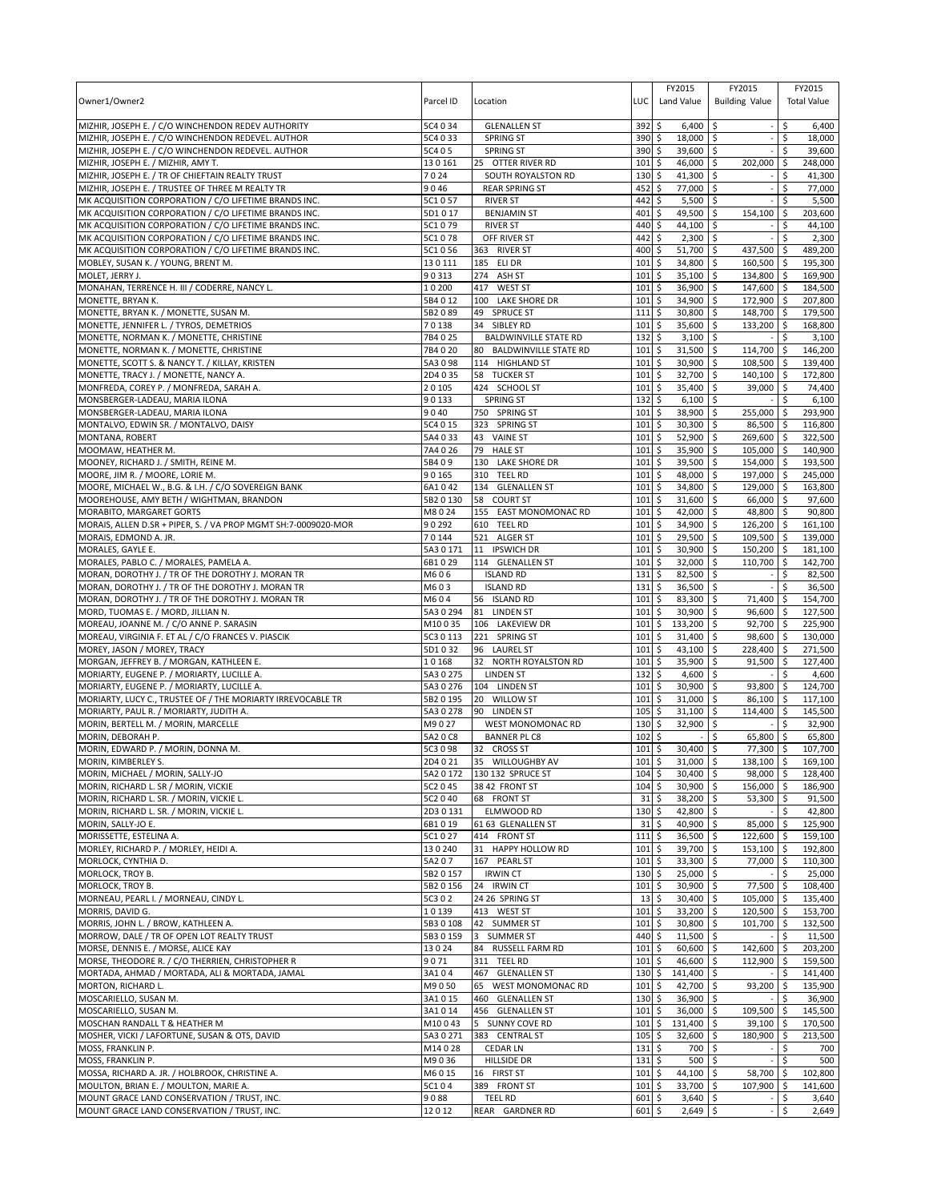| Owner1/Owner2                                                                                          | Parcel ID              | Location                                    | LUC                        | FY2015<br>Land Value                 | FY2015<br><b>Building Value</b>   |                    | FY2015<br><b>Total Value</b> |
|--------------------------------------------------------------------------------------------------------|------------------------|---------------------------------------------|----------------------------|--------------------------------------|-----------------------------------|--------------------|------------------------------|
| MIZHIR, JOSEPH E. / C/O WINCHENDON REDEV AUTHORITY                                                     | 5C4 0 34               | <b>GLENALLEN ST</b>                         | 392                        | \$<br>$6,400$ \$                     |                                   | \$                 | 6,400                        |
| MIZHIR, JOSEPH E. / C/O WINCHENDON REDEVEL. AUTHOR                                                     | 5C4 0 33               | <b>SPRING ST</b>                            | 390                        | \$<br>18,000                         | \$                                | \$                 | 18,000                       |
| MIZHIR, JOSEPH E. / C/O WINCHENDON REDEVEL. AUTHOR<br>MIZHIR, JOSEPH E. / MIZHIR, AMY T.               | 5C4 0 5<br>130161      | <b>SPRING ST</b><br>25 OTTER RIVER RD       | 390<br>101                 | \$<br>39,600 \$<br>\$<br>46,000      | \$<br>202,000                     | \$<br>\$           | 39,600<br>248,000            |
| MIZHIR, JOSEPH E. / TR OF CHIEFTAIN REALTY TRUST                                                       | 7024                   | SOUTH ROYALSTON RD                          | 130                        | 41,300<br>\$                         | <b>S</b>                          | \$                 | 41,300                       |
| MIZHIR, JOSEPH E. / TRUSTEE OF THREE M REALTY TR                                                       | 9046                   | <b>REAR SPRING ST</b>                       | 452                        | \$<br>77,000 \$                      |                                   | \$                 | 77,000                       |
| MK ACQUISITION CORPORATION / C/O LIFETIME BRANDS INC.                                                  | 5C1057                 | <b>RIVER ST</b>                             | 442                        | \$<br>5,500                          | l\$                               | Ś                  | 5,500                        |
| MK ACQUISITION CORPORATION / C/O LIFETIME BRANDS INC.                                                  | 5D1017                 | <b>BENJAMIN ST</b>                          | 401                        | \$<br>49,500                         | l\$<br>154,100                    | $\mathsf{\hat{S}}$ | 203,600                      |
| MK ACQUISITION CORPORATION / C/O LIFETIME BRANDS INC.                                                  | 5C1079                 | <b>RIVER ST</b>                             | 440                        | 44,100<br>\$                         | l\$                               | \$                 | 44,100                       |
| MK ACQUISITION CORPORATION / C/O LIFETIME BRANDS INC.                                                  | 5C1078                 | OFF RIVER ST<br>363 RIVER ST                | 442<br>400                 | \$<br>$2,300$ \$                     |                                   | \$                 | 2,300                        |
| MK ACQUISITION CORPORATION / C/O LIFETIME BRANDS INC.<br>MOBLEY, SUSAN K. / YOUNG, BRENT M.            | 5C1056<br>130111       | 185 ELI DR                                  | 101                        | \$<br>51,700 \$<br>\$<br>34,800      | 437,500<br>\$<br>160,500          | \$<br>-\$          | 489,200<br>195,300           |
| MOLET, JERRY J.                                                                                        | 90313                  | ASH ST<br>274                               | 101                        | 35,100<br>\$                         | 134,800<br>l\$                    | l \$               | 169,900                      |
| MONAHAN, TERRENCE H. III / CODERRE, NANCY L.                                                           | 10200                  | <b>WEST ST</b><br>417                       | 101                        | \$<br>36,900                         | \$<br>147,600 \$                  |                    | 184,500                      |
| MONETTE, BRYAN K.                                                                                      | 5B4 0 12               | 100 LAKE SHORE DR                           | 101                        | 34,900<br>\$                         | 172,900 \$<br>l\$                 |                    | 207,800                      |
| MONETTE, BRYAN K. / MONETTE, SUSAN M.                                                                  | 5B2089                 | 49 SPRUCE ST                                | 111                        | \$<br>30,800                         | \$<br>148,700                     | l\$                | 179,500                      |
| MONETTE, JENNIFER L. / TYROS, DEMETRIOS                                                                | 70138                  | 34 SIBLEY RD                                | 101                        | \$<br>35,600                         | l\$<br>133,200                    | l\$                | 168,800                      |
| MONETTE, NORMAN K. / MONETTE, CHRISTINE                                                                | 7B4025                 | <b>BALDWINVILLE STATE RD</b>                | 132                        | \$<br>$3,100$ \$                     |                                   | \$.                | 3,100                        |
| MONETTE, NORMAN K. / MONETTE, CHRISTINE<br>MONETTE, SCOTT S. & NANCY T. / KILLAY, KRISTEN              | 7B4020<br>5A3098       | 80 BALDWINVILLE STATE RD<br>114 HIGHLAND ST | 101<br>101                 | \$<br>31,500 \$<br>\$<br>30,900      | 114,700<br>\$<br>108,500          | $\zeta$<br>۱\$     | 146,200<br>139,400           |
| MONETTE, TRACY J. / MONETTE, NANCY A.                                                                  | 2D4 0 35               | 58 TUCKER ST                                | 101                        | \$<br>32,700 \$                      | $140,100$ \$                      |                    | 172,800                      |
| MONFREDA, COREY P. / MONFREDA, SARAH A.                                                                | 20105                  | 424 SCHOOL ST                               | 101                        | \$<br>35,400 \$                      | 39,000                            | ۱\$                | 74,400                       |
| MONSBERGER-LADEAU, MARIA ILONA                                                                         | 90133                  | <b>SPRING ST</b>                            | 132                        | \$<br>6,100                          | \$                                |                    | 6,100                        |
| MONSBERGER-LADEAU, MARIA ILONA                                                                         | 9040                   | 750 SPRING ST                               | 101                        | \$<br>38,900                         | 255,000<br>l\$                    | <b>S</b>           | 293,900                      |
| MONTALVO, EDWIN SR. / MONTALVO, DAISY                                                                  | 5C4 0 15               | 323 SPRING ST                               | 101                        | \$<br>30,300                         | S.<br>86,500                      | l\$                | 116,800                      |
| MONTANA, ROBERT                                                                                        | 5A4 0 33               | <b>VAINE ST</b><br>43                       | 101                        | \$<br>52,900                         | 269,600 \$<br>l\$                 |                    | 322,500                      |
| MOOMAW, HEATHER M.                                                                                     | 7A4 0 26               | 79<br><b>HALE ST</b>                        | 101                        | \$<br>35,900                         | \$<br>105,000                     | ۱\$                | 140,900                      |
| MOONEY, RICHARD J. / SMITH, REINE M.                                                                   | 5B409                  | 130 LAKE SHORE DR<br>310 TEEL RD            | 101<br>101                 | 39,500<br>\$<br>\$<br>48,000         | \$<br>154,000<br>\$<br>197,000 \$ | l \$               | 193,500<br>245,000           |
| MOORE, JIM R. / MOORE, LORIE M.<br>MOORE, MICHAEL W., B.G. & I.H. / C/O SOVEREIGN BANK                 | 90165<br>6A1042        | 134 GLENALLEN ST                            | 101                        | \$<br>34,800                         | \$<br>129,000                     | l \$               | 163,800                      |
| MOOREHOUSE, AMY BETH / WIGHTMAN, BRANDON                                                               | 5B2 0 130              | 58<br><b>COURT ST</b>                       | 101                        | \$<br>31,600                         | \$<br>66,000                      | <b>S</b>           | 97,600                       |
| MORABITO, MARGARET GORTS                                                                               | M8024                  | 155 EAST MONOMONAC RD                       | 101                        | 42,000<br>\$                         | 48,800<br>-\$                     | l \$               | 90,800                       |
| MORAIS, ALLEN D.SR + PIPER, S. / VA PROP MGMT SH:7-0009020-MOR                                         | 90292                  | 610 TEEL RD                                 | 101                        | \$<br>34,900                         | \$<br>126,200                     | I\$                | 161,100                      |
| MORAIS, EDMOND A. JR.                                                                                  | 70144                  | 521 ALGER ST                                | 101                        | \$<br>29,500                         | \$<br>109,500                     | ۱\$                | 139,000                      |
| MORALES, GAYLE E.                                                                                      | 5A3 0 171              | 11 IPSWICH DR                               | 101                        | \$<br>30,900                         | \$<br>150,200                     | l\$                | 181,100                      |
| MORALES, PABLO C. / MORALES, PAMELA A.                                                                 | 6B1029                 | 114 GLENALLEN ST                            | 101                        | 32,000<br>\$                         | \$<br>110,700                     | \$                 | 142,700                      |
| MORAN, DOROTHY J. / TR OF THE DOROTHY J. MORAN TR                                                      | M606<br>M603           | <b>ISLAND RD</b><br><b>ISLAND RD</b>        | 131<br>131                 | \$<br>82,500 \$<br>\$<br>36,500      |                                   | \$                 | 82,500                       |
| MORAN, DOROTHY J. / TR OF THE DOROTHY J. MORAN TR<br>MORAN, DOROTHY J. / TR OF THE DOROTHY J. MORAN TR | M604                   | 56 ISLAND RD                                | 101                        | \$<br>83,300                         | l\$<br>71,400<br>-\$              | \$<br>-\$          | 36,500<br>154,700            |
| MORD, TUOMAS E. / MORD, JILLIAN N.                                                                     | 5A3 0 294              | 81 LINDEN ST                                | 101                        | 30,900<br>\$                         | 96,600 \$<br>l \$                 |                    | 127,500                      |
| MOREAU, JOANNE M. / C/O ANNE P. SARASIN                                                                | M10035                 | 106 LAKEVIEW DR                             | 101                        | \$<br>133,200 \$                     | 92,700                            | l \$               | 225,900                      |
| MOREAU, VIRGINIA F. ET AL / C/O FRANCES V. PIASCIK                                                     | 5C3 0 113              | 221 SPRING ST                               | 101                        | \$<br>31,400 \$                      | 98,600 \$                         |                    | 130,000                      |
| MOREY, JASON / MOREY, TRACY                                                                            | 5D1032                 | 96 LAUREL ST                                | 101                        | \$<br>43,100                         | S.<br>228,400                     | l\$                | 271,500                      |
| MORGAN, JEFFREY B. / MORGAN, KATHLEEN E.                                                               | 10168                  | 32 NORTH ROYALSTON RD                       | 101                        | \$<br>35,900                         | l\$<br>91,500                     | l\$                | 127,400                      |
| MORIARTY, EUGENE P. / MORIARTY, LUCILLE A.<br>MORIARTY, EUGENE P. / MORIARTY, LUCILLE A.               | 5A3 0 275<br>5A3 0 276 | <b>LINDEN ST</b>                            | 132<br>101                 | \$<br>4,600<br>\$<br>30,900          | l\$<br>\$<br>93,800               | Ś<br>\$            | 4,600<br>124,700             |
| MORIARTY, LUCY C., TRUSTEE OF / THE MORIARTY IRREVOCABLE TR                                            | 5B2 0 195              | 104 LINDEN ST<br>20 WILLOW ST               | 101                        | 31,000 \$<br>\$                      | 86,100                            | l \$               | 117,100                      |
| MORIARTY, PAUL R. / MORIARTY, JUDITH A.                                                                | 5A30278                | 90 LINDEN ST                                | 105                        | \$<br>31,100                         | S.<br>114,400                     | l \$               | 145,500                      |
| MORIN, BERTELL M. / MORIN, MARCELLE                                                                    | M9027                  | WEST MONOMONAC RD                           | 130                        | \$<br>32,900                         | \$                                | \$                 | 32,900                       |
| MORIN, DEBORAH P.                                                                                      | 5A2 0 C8               | <b>BANNER PL C8</b>                         | 102                        | \$                                   | \$<br>65,800                      | \$                 | 65,800                       |
| MORIN, EDWARD P. / MORIN, DONNA M.                                                                     | 5C3 0 98               | 32 CROSS ST                                 | 101                        | \$<br>30,400                         | \$<br>77,300                      | ۱\$                | 107,700                      |
| MORIN, KIMBERLEY S.                                                                                    | 2D4 0 21               | 35 WILLOUGHBY AV                            | $101$ $\overline{S}$       | $31.000$ S                           | $138.100$ \$                      |                    | 169.100                      |
| MORIN, MICHAEL / MORIN, SALLY-JO                                                                       | 5A2 0 172              | 130 132 SPRUCE ST                           | 104                        | \$<br>$30,400$ \$                    | $98,000$ \$                       |                    | 128,400                      |
| MORIN, RICHARD L. SR / MORIN, VICKIE<br>MORIN, RICHARD L. SR. / MORIN, VICKIE L.                       | 5C2 0 45<br>5C2 0 40   | 38 42 FRONT ST<br>68 FRONT ST               | 104<br>31                  | \$<br>30,900 \$<br>\$<br>38,200 \$   | 156,000 \$<br>53,300              | ا \$               | 186,900<br>91,500            |
| MORIN, RICHARD L. SR. / MORIN, VICKIE L.                                                               | 2D30131                | ELMWOOD RD                                  | 130                        | \$<br>42,800 \$                      |                                   | \$                 | 42,800                       |
| MORIN, SALLY-JO E.                                                                                     | 6B1019                 | 61 63 GLENALLEN ST                          | 31                         | \$<br>40,900 \$                      | 85,000                            | <b>S</b>           | 125,900                      |
| MORISSETTE, ESTELINA A.                                                                                | 5C1027                 | 414 FRONT ST                                | 111                        | \$<br>36,500 \$                      | 122,600                           | ۱\$                | 159,100                      |
| MORLEY, RICHARD P. / MORLEY, HEIDI A.                                                                  | 130240                 | 31 HAPPY HOLLOW RD                          | 101                        | 39,700 \$<br>\$                      | $153,100$ \$                      |                    | 192,800                      |
| MORLOCK, CYNTHIA D.                                                                                    | 5A207                  | 167 PEARL ST                                | 101                        | \$<br>33,300 \$                      | 77,000 \$                         |                    | 110,300                      |
| MORLOCK, TROY B.                                                                                       | 5B2 0 157              | <b>IRWIN CT</b>                             | 130                        | \$<br>25,000 \$                      |                                   | \$                 | 25,000                       |
| MORLOCK, TROY B.<br>MORNEAU, PEARL I. / MORNEAU, CINDY L.                                              | 5B2 0 156<br>5C3 0 2   | 24 IRWIN CT<br>24 26 SPRING ST              | 101<br>13                  | \$<br>30,900 \$<br>\$<br>$30,400$ \$ | 77,500<br>105,000                 | <b>S</b><br>۱\$    | 108,400<br>135,400           |
| MORRIS, DAVID G.                                                                                       | 10139                  | 413 WEST ST                                 | 101                        | \$<br>33,200 \$                      | 120,500 \$                        |                    | 153,700                      |
| MORRIS, JOHN L. / BROW, KATHLEEN A.                                                                    | 5B3 0 108              | 42 SUMMER ST                                | 101                        | \$<br>30,800 \$                      | 101,700 \$                        |                    | 132,500                      |
| MORROW, DALE / TR OF OPEN LOT REALTY TRUST                                                             | 5B3 0 159              | 3 SUMMER ST                                 | 440 \$                     | $11,500$ \$                          |                                   | \$                 | 11,500                       |
| MORSE, DENNIS E. / MORSE, ALICE KAY                                                                    | 13024                  | 84 RUSSELL FARM RD                          | 101                        | $\frac{1}{2}$<br>60,600 \$           | 142,600 \$                        |                    | 203,200                      |
| MORSE, THEODORE R. / C/O THERRIEN, CHRISTOPHER R                                                       | 9071                   | 311 TEEL RD                                 | 101                        | \$<br>46,600 \$                      | 112,900                           | ۱\$                | 159,500                      |
| MORTADA, AHMAD / MORTADA, ALI & MORTADA, JAMAL                                                         | 3A104                  | 467 GLENALLEN ST                            | 130                        | \$<br>141,400 \$                     |                                   | \$                 | 141,400                      |
| MORTON, RICHARD L.                                                                                     | M9050                  | 65 WEST MONOMONAC RD                        | 101                        | \$<br>42,700 \$                      | 93,200                            | l\$<br>\$          | 135,900                      |
| MOSCARIELLO, SUSAN M.<br>MOSCARIELLO, SUSAN M.                                                         | 3A1015<br>3A1014       | 460 GLENALLEN ST<br>456 GLENALLEN ST        | $130 \;$ \$<br>$101 \,$ \$ | 36,900 \$<br>36,000 \$               | 109,500 \$                        |                    | 36,900<br>145,500            |
| MOSCHAN RANDALL T & HEATHER M                                                                          | M10043                 | 5 SUNNY COVE RD                             | 101                        | \$<br>131,400 \$                     | 39,100                            | <b>S</b>           | 170,500                      |
| MOSHER, VICKI / LAFORTUNE, SUSAN & OTS, DAVID                                                          | 5A30271                | 383 CENTRAL ST                              | 105                        | \$<br>32,600 \$                      | 180,900                           | ۱\$                | 213,500                      |
| MOSS, FRANKLIN P.                                                                                      | M14028                 | <b>CEDAR LN</b>                             | 131                        | \$<br>700 \$                         |                                   | \$                 | 700                          |
| MOSS, FRANKLIN P.                                                                                      | M9036                  | HILLSIDE DR                                 | $131 \;$ \$                | $500 \pm 5$                          |                                   | \$                 | 500                          |
| MOSSA, RICHARD A. JR. / HOLBROOK, CHRISTINE A.                                                         | M6015                  | 16 FIRST ST                                 | 101                        | \$<br>44,100 \$                      | 58,700                            | \$                 | 102,800                      |
| MOULTON, BRIAN E. / MOULTON, MARIE A.                                                                  | 5C104                  | 389 FRONT ST                                | 101                        | \$<br>33,700 \$                      | 107,900                           | l \$               | 141,600                      |
| MOUNT GRACE LAND CONSERVATION / TRUST, INC.<br>MOUNT GRACE LAND CONSERVATION / TRUST, INC.             | 9088<br>12012          | <b>TEEL RD</b>                              | 601<br>601 \$              | \$<br>$3,640$ \$<br>2,649 \$         |                                   | \$<br>\$           | 3,640<br>2,649               |
|                                                                                                        |                        | REAR GARDNER RD                             |                            |                                      |                                   |                    |                              |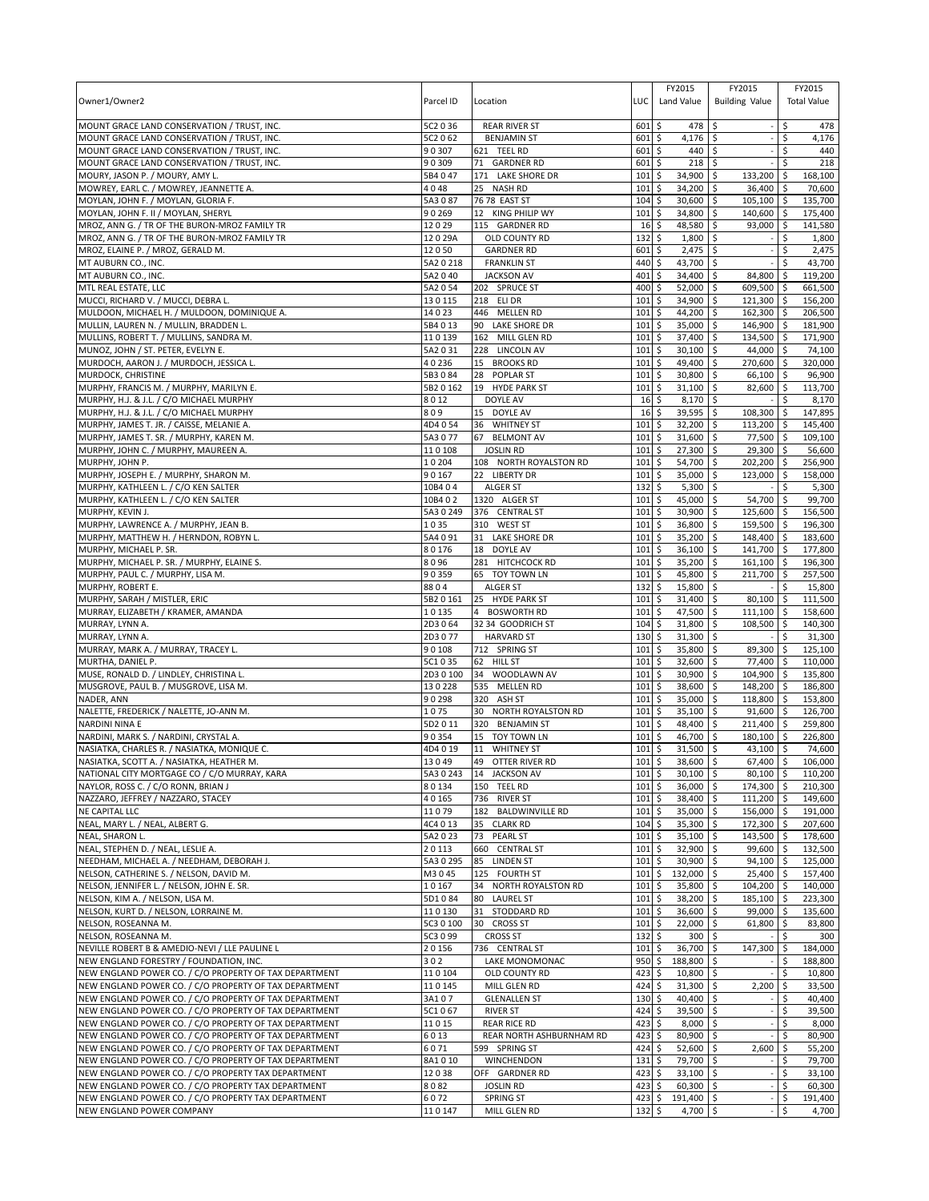| Owner1/Owner2                                                                                              | Parcel ID             | Location                                | LUC        | FY2015<br>Land Value                   | FY2015<br><b>Building Value</b>      |          | FY2015<br><b>Total Value</b> |
|------------------------------------------------------------------------------------------------------------|-----------------------|-----------------------------------------|------------|----------------------------------------|--------------------------------------|----------|------------------------------|
| MOUNT GRACE LAND CONSERVATION / TRUST, INC.                                                                | 5C2 0 36              | <b>REAR RIVER ST</b>                    | 601        | \$<br>478                              | \$                                   | \$       | 478                          |
| MOUNT GRACE LAND CONSERVATION / TRUST, INC.<br>MOUNT GRACE LAND CONSERVATION / TRUST, INC.                 | 5C2 0 62<br>90307     | <b>BENJAMIN ST</b><br>621 TEEL RD       | 601<br>601 | \$<br>4,176<br>\$<br>440               | \$<br>$\overline{\phantom{a}}$<br>\$ | \$<br>\$ | 4,176<br>440                 |
| MOUNT GRACE LAND CONSERVATION / TRUST, INC.                                                                | 90309                 | 71 GARDNER RD                           | 601        | \$<br>218                              | \$                                   | \$       | 218                          |
| MOURY, JASON P. / MOURY, AMY L.                                                                            | 5B4 0 47              | 171 LAKE SHORE DR                       | 101        | 34,900<br>\$                           | \$<br>133,200 \$                     |          | 168,100                      |
| MOWREY, EARL C. / MOWREY, JEANNETTE A.                                                                     | 4048                  | 25 NASH RD                              | 101        | \$<br>34,200                           | \$<br>$36,400$ \$                    |          | 70,600                       |
| MOYLAN, JOHN F. / MOYLAN, GLORIA F.                                                                        | 5A3087                | 76 78 EAST ST                           | 104        | \$<br>30,600                           | \$<br>$105,100$ \$                   |          | 135,700                      |
| MOYLAN, JOHN F. II / MOYLAN, SHERYL                                                                        | 90269                 | 12 KING PHILIP WY                       | 101        | 34,800<br>\$                           | \$<br>140,600 \$                     |          | 175,400                      |
| MROZ, ANN G. / TR OF THE BURON-MROZ FAMILY TR                                                              | 12029                 | 115 GARDNER RD                          | 16         | 48,580<br>\$                           | \$<br>93,000 \$                      |          | 141,580                      |
| MROZ, ANN G. / TR OF THE BURON-MROZ FAMILY TR                                                              | 12029A                | OLD COUNTY RD                           | 132        | $1,800$ \$<br>\$                       |                                      | \$       | 1,800                        |
| MROZ, ELAINE P. / MROZ, GERALD M.<br>MT AUBURN CO., INC.                                                   | 12050<br>5A2 0 218    | <b>GARDNER RD</b>                       | 601<br>440 | \$<br>2,475<br>\$<br>43,700            | \$<br>\$                             | \$<br>\$ | 2,475<br>43,700              |
| MT AUBURN CO., INC.                                                                                        | 5A2 0 40              | <b>FRANKLIN ST</b><br><b>JACKSON AV</b> | 401        | 34,400<br>\$                           | ∣\$<br>84,800 \$                     |          | 119,200                      |
| MTL REAL ESTATE, LLC                                                                                       | 5A2054                | 202 SPRUCE ST                           | 400        | \$<br>52,000                           | l\$<br>609,500 \$                    |          | 661,500                      |
| MUCCI, RICHARD V. / MUCCI, DEBRA L.                                                                        | 130115                | 218 ELI DR                              | 101        | \$<br>34,900                           | <b>S</b><br>121,300 \$               |          | 156,200                      |
| MULDOON, MICHAEL H. / MULDOON, DOMINIQUE A.                                                                | 14023                 | 446 MELLEN RD                           | 101        | 44,200<br>\$                           | \$<br>162,300 \$                     |          | 206,500                      |
| MULLIN, LAUREN N. / MULLIN, BRADDEN L.                                                                     | 5B4013                | 90 LAKE SHORE DR                        | 101        | \$<br>35,000                           | $\sqrt{5}$<br>146,900 \$             |          | 181,900                      |
| MULLINS, ROBERT T. / MULLINS, SANDRA M.                                                                    | 110139                | 162 MILL GLEN RD                        | 101        | l\$<br>37,400 \$                       | 134,500 \$                           |          | 171,900                      |
| MUNOZ, JOHN / ST. PETER, EVELYN E.                                                                         | 5A2031                | 228 LINCOLN AV                          | 101        | \$<br>30,100 \$                        | 44,000 \$                            |          | 74,100                       |
| MURDOCH, AARON J. / MURDOCH, JESSICA L.                                                                    | 40236                 | 15 BROOKS RD                            | 101        | \$<br>49,400                           | \$<br>270,600 \$                     |          | 320,000                      |
| MURDOCK, CHRISTINE                                                                                         | 5B3084                | 28<br><b>POPLAR ST</b>                  | 101        | 5<br>30,800 \$                         | 66,100 \$                            |          | 96,900                       |
| MURPHY, FRANCIS M. / MURPHY, MARILYN E.                                                                    | 5B2 0 162<br>8012     | 19 HYDE PARK ST<br><b>DOYLE AV</b>      | 101<br>16  | \$<br>$31,100$ \$                      | 82,600 \$                            | \$       | 113,700<br>8,170             |
| MURPHY, H.J. & J.L. / C/O MICHAEL MURPHY<br>MURPHY, H.J. & J.L. / C/O MICHAEL MURPHY                       | 809                   | 15 DOYLE AV                             | 16         | \$<br>8,170<br>\$<br>39,595            | \$<br>\$ ا<br>108,300 \$             |          | 147,895                      |
| MURPHY, JAMES T. JR. / CAISSE, MELANIE A.                                                                  | 4D4 0 54              | 36 WHITNEY ST                           | 101        | \$<br>32,200                           | \$<br>113,200 \$                     |          | 145,400                      |
| MURPHY, JAMES T. SR. / MURPHY, KAREN M.                                                                    | 5A3 0 77              | 67 BELMONT AV                           | 101        | l\$<br>31,600 \$                       | 77,500 \$                            |          | 109,100                      |
| MURPHY, JOHN C. / MURPHY, MAUREEN A.                                                                       | 110108                | <b>JOSLIN RD</b>                        | 101        | \$<br>27,300                           | \$<br>29,300 \$                      |          | 56,600                       |
| MURPHY, JOHN P.                                                                                            | 10204                 | 108 NORTH ROYALSTON RD                  | 101        | 54,700<br>\$                           | \$<br>202,200 \$                     |          | 256,900                      |
| MURPHY, JOSEPH E. / MURPHY, SHARON M.                                                                      | 90167                 | 22 LIBERTY DR                           | 101        | \$<br>35,000 \$                        | 123,000 \$                           |          | 158,000                      |
| MURPHY, KATHLEEN L. / C/O KEN SALTER                                                                       | 10B4 04               | ALGER ST                                | 132        | \$<br>5,300                            | \$<br>$\overline{a}$                 | \$       | 5,300                        |
| MURPHY, KATHLEEN L. / C/O KEN SALTER                                                                       | 10B4 0 2              | 1320 ALGER ST                           | 101        | \$<br>45,000                           | \$<br>54,700 \$                      |          | 99,700                       |
| MURPHY, KEVIN J.                                                                                           | 5A3 0 249             | 376 CENTRAL ST                          | 101        | 30,900<br>\$                           | \$<br>125,600 \$                     |          | 156,500                      |
| MURPHY, LAWRENCE A. / MURPHY, JEAN B.                                                                      | 1035<br>5A4 0 91      | 310 WEST ST<br>31 LAKE SHORE DR         | 101<br>101 | \$<br>36,800<br>\$<br>35,200           | \$<br>159,500 \$<br>\$               |          | 196,300                      |
| MURPHY, MATTHEW H. / HERNDON, ROBYN L.<br>MURPHY, MICHAEL P. SR.                                           | 80176                 | 18 DOYLE AV                             | 101        | \$<br>36,100                           | 148,400 \$<br>\$<br>141,700 \$       |          | 183,600<br>177,800           |
| MURPHY, MICHAEL P. SR. / MURPHY, ELAINE S.                                                                 | 8096                  | 281 HITCHCOCK RD                        | 101        | 35,200<br>\$                           | \$<br>$161,100$ \$                   |          | 196,300                      |
| MURPHY, PAUL C. / MURPHY, LISA M.                                                                          | 90359                 | 65 TOY TOWN LN                          | 101        | \$<br>45,800                           | <b>S</b><br>211,700 \$               |          | 257,500                      |
| MURPHY, ROBERT E.                                                                                          | 8804                  | <b>ALGER ST</b>                         | 132        | \$<br>15,800                           | \$<br>$-1$                           | \$       | 15,800                       |
| MURPHY, SARAH / MISTLER, ERIC                                                                              | 5B2 0 161             | 25 HYDE PARK ST                         | 101        | \$<br>31,400                           | \$<br>80,100 \$                      |          | 111,500                      |
| MURRAY, ELIZABETH / KRAMER, AMANDA                                                                         | 10135                 | 4 BOSWORTH RD                           | 101        | 47,500<br>Ŝ.                           | $111,100$ \$<br>l \$                 |          | 158,600                      |
| MURRAY, LYNN A.                                                                                            | 2D3064                | 32 34 GOODRICH ST                       | 104        | l\$<br>31,800 \$                       | 108,500 \$                           |          | 140,300                      |
| MURRAY, LYNN A.                                                                                            | 2D3077                | <b>HARVARD ST</b>                       | 130        | \$<br>31,300                           | $\sqrt{5}$                           | \$       | 31,300                       |
| MURRAY, MARK A. / MURRAY, TRACEY L.                                                                        | 90108                 | 712 SPRING ST                           | 101        | \$<br>35,800                           | \$<br>89,300 \$                      |          | 125,100                      |
| MURTHA, DANIEL P.                                                                                          | 5C1035                | 62 HILL ST                              | 101        | \$<br>32,600                           | l\$<br>77,400 \$                     |          | 110,000                      |
| MUSE, RONALD D. / LINDLEY, CHRISTINA L.<br>MUSGROVE, PAUL B. / MUSGROVE, LISA M.                           | 2D3 0 100<br>130228   | 34 WOODLAWN AV<br>535 MELLEN RD         | 101<br>101 | \$<br>30,900 \$<br>\$<br>38,600        | 104,900 \$<br>\$<br>148,200 \$       |          | 135,800<br>186,800           |
| NADER, ANN                                                                                                 | 90298                 | 320<br>ASH ST                           | 101        | \$<br>35,000                           | \$<br>118,800 \$                     |          | 153,800                      |
| NALETTE, FREDERICK / NALETTE, JO-ANN M.                                                                    | 1075                  | NORTH ROYALSTON RD<br>30                | 101        | \$<br>35,100                           | <b>S</b><br>$91,600$ \$              |          | 126,700                      |
| <b>NARDINI NINA E</b>                                                                                      | 5D2011                | 320 BENJAMIN ST                         | 101        | \$<br>48,400                           | ا \$<br>211,400 \$                   |          | 259,800                      |
| NARDINI, MARK S. / NARDINI, CRYSTAL A.                                                                     | 90354                 | 15<br>TOY TOWN LN                       | 101        | \$<br>46,700                           | \$<br>180,100 \$                     |          | 226,800                      |
| NASIATKA, CHARLES R. / NASIATKA, MONIQUE C.                                                                | 4D4019                | 11<br><b>WHITNEY ST</b>                 | 101        | \$<br>31,500                           | ا \$<br>43,100 \$                    |          | 74,600                       |
| NASIATKA, SCOTT A. / NASIATKA, HEATHER M.                                                                  | 13049                 | 49 OTTER RIVER RD                       | 101S       | 38,600 \$                              | $67.400$ \$                          |          | 106.000                      |
| NATIONAL CITY MORTGAGE CO / C/O MURRAY, KARA                                                               | 5A3 0 243             | 14 JACKSON AV                           | 101        | $30,100$ \$<br>ا \$                    | $80,100$ \$                          |          | 110,200                      |
| NAYLOR, ROSS C. / C/O RONN, BRIAN J                                                                        | 80134                 | 150 TEEL RD                             | 101        | \$<br>36,000 \$                        | 174,300 \$                           |          | 210,300                      |
| NAZZARO, JEFFREY / NAZZARO, STACEY<br><b>NE CAPITAL LLC</b>                                                | 40165<br>11079        | 736 RIVER ST<br>182 BALDWINVILLE RD     | 101<br>101 | \$<br>38,400<br>5<br>35,000 \$         | 5<br>111,200 \$<br>156,000 \$        |          | 149,600<br>191,000           |
| NEAL, MARY L. / NEAL, ALBERT G.                                                                            | 4C4 0 13              | 35 CLARK RD                             | 104        | \$<br>35,300 \$                        | 172,300 \$                           |          | 207,600                      |
| NEAL, SHARON L.                                                                                            | 5A2 0 23              | 73 PEARL ST                             | 101        | \$<br>35,100                           | 5<br>143,500 \$                      |          | 178,600                      |
| NEAL, STEPHEN D. / NEAL, LESLIE A.                                                                         | 20113                 | 660 CENTRAL ST                          | 101        | 32,900 \$<br>\$                        | 99,600 \$                            |          | 132,500                      |
| NEEDHAM, MICHAEL A. / NEEDHAM, DEBORAH J.                                                                  | 5A3 0 295             | 85 LINDEN ST                            | 101        | \$<br>30,900 \$                        | $94,100$ \$                          |          | 125,000                      |
| NELSON, CATHERINE S. / NELSON, DAVID M.                                                                    | M3045                 | 125 FOURTH ST                           | 101        | \$<br>132,000 \$                       | $25,400$ \$                          |          | 157,400                      |
| NELSON, JENNIFER L. / NELSON, JOHN E. SR.                                                                  | 10167                 | 34 NORTH ROYALSTON RD                   | 101        | \$<br>35,800                           | ا \$<br>104,200 \$                   |          | 140,000                      |
| NELSON, KIM A. / NELSON, LISA M.                                                                           | 5D1084                | 80 LAUREL ST                            | 101        | \$<br>38,200                           | \$<br>185,100 \$                     |          | 223,300                      |
| NELSON, KURT D. / NELSON, LORRAINE M.                                                                      | 110130                | 31 STODDARD RD                          | 101        | l\$<br>36,600 \$                       | 99,000 \$                            |          | 135,600                      |
| NELSON, ROSEANNA M.<br>NELSON, ROSEANNA M.                                                                 | 5C3 0 100<br>5C3 0 99 | 30 CROSS ST<br><b>CROSS ST</b>          | 101<br>132 | \$<br>22,000 \$<br>\$<br>$300 \div$    | 61,800 \$                            | \$       | 83,800<br>300                |
| NEVILLE ROBERT B & AMEDIO-NEVI / LLE PAULINE L                                                             | 20156                 | 736 CENTRAL ST                          | 101        | $\sqrt{5}$<br>36,700 \$                | 147,300 \$                           |          | 184,000                      |
| NEW ENGLAND FORESTRY / FOUNDATION, INC.                                                                    | 302                   | LAKE MONOMONAC                          | 950        | $\sqrt{5}$<br>188,800 \$               |                                      | \$       | 188,800                      |
| NEW ENGLAND POWER CO. / C/O PROPERTY OF TAX DEPARTMENT                                                     | 110104                | OLD COUNTY RD                           | 423        | \$<br>10,800 \$                        |                                      | \$       | 10,800                       |
| NEW ENGLAND POWER CO. / C/O PROPERTY OF TAX DEPARTMENT                                                     | 110145                | MILL GLEN RD                            | $424$ \$   | $31,300$ \$                            | $2,200$ \$                           |          | 33,500                       |
| NEW ENGLAND POWER CO. / C/O PROPERTY OF TAX DEPARTMENT                                                     | 3A107                 | <b>GLENALLEN ST</b>                     | 130S       | 40,400 \$                              |                                      | \$       | 40,400                       |
| NEW ENGLAND POWER CO. / C/O PROPERTY OF TAX DEPARTMENT                                                     | 5C1067                | <b>RIVER ST</b>                         | $424$ \$   | 39,500 \$                              |                                      | \$       | 39,500                       |
| NEW ENGLAND POWER CO. / C/O PROPERTY OF TAX DEPARTMENT                                                     | 11015                 | <b>REAR RICE RD</b>                     | 423        | \$<br>$8,000$ \$                       |                                      | \$       | 8,000                        |
| NEW ENGLAND POWER CO. / C/O PROPERTY OF TAX DEPARTMENT                                                     | 6013                  | REAR NORTH ASHBURNHAM RD                | 423        | \$<br>80,900 \$                        |                                      | \$       | 80,900                       |
| NEW ENGLAND POWER CO. / C/O PROPERTY OF TAX DEPARTMENT                                                     | 6071                  | 599 SPRING ST                           | $424$ \$   | $52,600$ \$                            | $2,600$ \$                           |          | 55,200                       |
| NEW ENGLAND POWER CO. / C/O PROPERTY OF TAX DEPARTMENT                                                     | 8A1010                | WINCHENDON                              | 131        | \$<br>79,700 \$                        |                                      | \$       | 79,700                       |
| NEW ENGLAND POWER CO. / C/O PROPERTY TAX DEPARTMENT<br>NEW ENGLAND POWER CO. / C/O PROPERTY TAX DEPARTMENT | 12038<br>8082         | OFF GARDNER RD<br><b>JOSLIN RD</b>      | 423<br>423 | \$<br>$33,100$ \$<br>\$<br>$60,300$ \$ | $\omega$                             | \$<br>\$ | 33,100<br>60,300             |
| NEW ENGLAND POWER CO. / C/O PROPERTY TAX DEPARTMENT                                                        | 6072                  | <b>SPRING ST</b>                        | 423        | \$<br>191,400 \$                       |                                      | \$       | 191,400                      |
| NEW ENGLAND POWER COMPANY                                                                                  | 110147                | MILL GLEN RD                            | 132        | \$<br>4,700 \$                         |                                      | \$       | 4,700                        |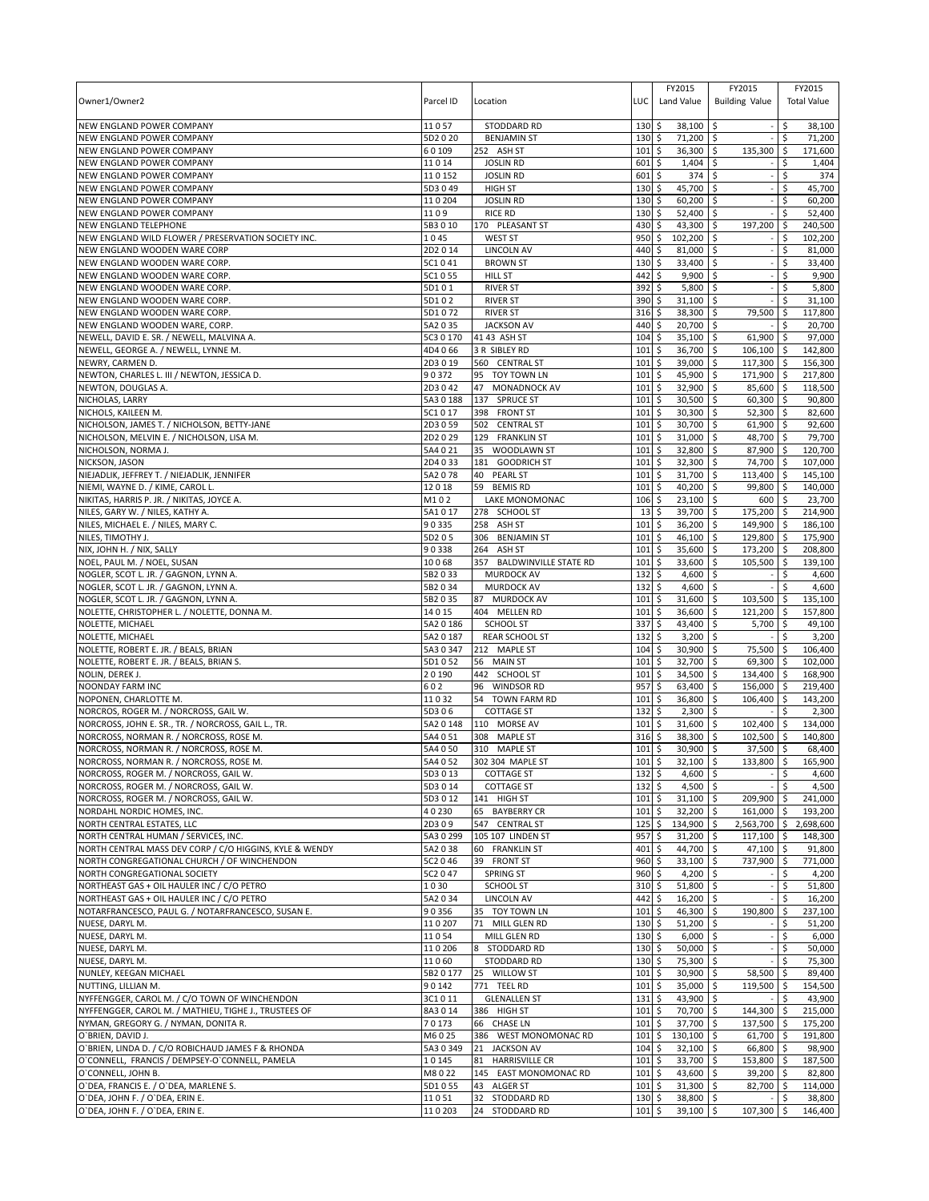| NEW ENGLAND POWER COMPANY<br>5D2 0 20<br><b>BENJAMIN ST</b><br>130<br>\$<br>71,200 \$<br>\$.<br>71,200<br>NEW ENGLAND POWER COMPANY<br>60109<br>252 ASH ST<br>101<br>\$<br>36,300 \$<br>135,300<br>l \$<br>171,600<br>\$<br><b>JOSLIN RD</b><br>1,404<br>\$<br>NEW ENGLAND POWER COMPANY<br>11014<br>601<br>Ś<br>1,404<br>374<br>NEW ENGLAND POWER COMPANY<br>110152<br><b>JOSLIN RD</b><br>601<br>\$<br>l\$<br>\$<br>374<br>\$<br>45,700<br>l\$<br>\$<br>45,700<br>5D3 0 49<br><b>HIGH ST</b><br>130<br>110204<br><b>JOSLIN RD</b><br>130<br>\$<br>$60,200$ \$<br>60,200<br>\$<br>1109<br><b>RICE RD</b><br>130<br>\$<br>52,400 \$<br>\$<br>52,400<br>5B3010<br>170 PLEASANT ST<br>430<br>43,300 \$<br>197,200<br>240,500<br>\$<br>-\$<br>NEW ENGLAND WILD FLOWER / PRESERVATION SOCIETY INC.<br>1045<br><b>WEST ST</b><br>950<br>\$<br>102,200 \$<br>102,200<br>\$.<br>NEW ENGLAND WOODEN WARE CORP<br>2D2014<br><b>LINCOLN AV</b><br>440<br>\$<br>81,000 \$<br>\$<br>81,000<br>5C1041<br>\$<br>33,400<br>  \$<br>\$<br>33,400<br>NEW ENGLAND WOODEN WARE CORP.<br><b>BROWN ST</b><br>130<br>NEW ENGLAND WOODEN WARE CORP.<br><b>HILL ST</b><br>442<br>9,900<br>9,900<br>5C1 0 55<br>\$<br>l \$<br>\$.<br><b>RIVER ST</b><br>\$<br>5,800<br>l\$<br>5,800<br>NEW ENGLAND WOODEN WARE CORP.<br>5D101<br>392<br>\$<br><b>RIVER ST</b><br>\$<br>31,100 \$<br>31,100<br>NEW ENGLAND WOODEN WARE CORP.<br>5D102<br>390<br><b>RIVER ST</b><br>316<br>\$<br>38,300<br>l\$<br>\$<br>117,800<br>NEW ENGLAND WOODEN WARE CORP.<br>5D1072<br>79,500<br>20,700<br>l\$<br>5A2 0 35<br><b>JACKSON AV</b><br>440<br>\$<br>Ŝ.<br>20,700<br>\$<br>35,100 \$<br>61,900<br>97,000<br>5C3 0 170<br>41 43 ASH ST<br>104<br>۱\$<br>4D4 066<br>101<br>\$<br>36,700 \$<br>106,100<br>142,800<br>3 R SIBLEY RD<br><b>S</b><br>2D3019<br>\$<br>39,000<br>\$<br>117,300<br>156,300<br>560 CENTRAL ST<br>101<br>∣\$<br>NEWTON, CHARLES L. III / NEWTON, JESSICA D.<br>45,900<br>171,900<br>217,800<br>90372<br>95 TOY TOWN LN<br>101<br>\$<br>l\$<br>l \$<br>2D3042<br>101<br>\$<br>32,900<br>\$<br>85,600<br>$\sqrt{5}$<br>118,500<br>NEWTON, DOUGLAS A.<br>47<br>MONADNOCK AV<br>\$<br>30,500<br>90,800<br>NICHOLAS, LARRY<br>5A30188<br>137 SPRUCE ST<br>101<br>l\$<br>60,300<br>-\$<br>5C1017<br>398 FRONT ST<br>101<br>\$<br>30,300<br>52,300<br>82,600<br>NICHOLS, KAILEEN M.<br>\$<br>۱\$<br>\$<br>30,700<br>61,900<br>92,600<br>NICHOLSON, JAMES T. / NICHOLSON, BETTY-JANE<br>2D3 0 59<br>502 CENTRAL ST<br>101<br>l\$<br>l\$<br>2D2029<br>101<br>\$<br>31,000 \$<br>48,700 \$<br>79,700<br>129 FRANKLIN ST<br>35 WOODLAWN ST<br>101<br>\$<br>32,800 \$<br>87,900 \$<br>120,700<br>5A4 0 21<br>2D4033<br>101<br>\$<br>32,300<br>  \$<br>74,700<br>l \$<br>107,000<br>181 GOODRICH ST<br>101<br>\$<br>$31.700$ S<br>113,400 \$<br>145,100<br>5A2078<br>40<br><b>PEARL ST</b><br>12018<br>59 BEMIS RD<br>101<br>\$<br>40,200<br>l\$<br>99,800<br>l\$<br>140,000<br>\$<br>NIKITAS, HARRIS P. JR. / NIKITAS, JOYCE A.<br>$23,100$ \$<br>600<br>23,700<br>M102<br><b>LAKE MONOMONAC</b><br>106<br>۱\$<br>NILES, GARY W. / NILES, KATHY A.<br>5A1017<br>278 SCHOOL ST<br>13<br>\$<br>39,700<br>l\$<br>175,200<br>l\$<br>214,900<br>90335<br>258 ASH ST<br>\$<br>36,200 \$<br>149,900<br>186,100<br>NILES, MICHAEL E. / NILES, MARY C.<br>101<br>l \$<br>5D205<br>306 BENJAMIN ST<br>\$<br>46,100 \$<br>129,800 \$<br>175,900<br>NILES, TIMOTHY J.<br>101<br>NIX, JOHN H. / NIX, SALLY<br>90338<br>264<br>ASH ST<br>101<br>\$<br>35,600<br>\$<br>173,200<br>\$<br>208,800<br>NOEL, PAUL M. / NOEL, SUSAN<br>10068<br>357 BALDWINVILLE STATE RD<br>101<br>\$<br>33,600<br>  \$<br>105,500<br>139,100<br>۱\$<br>NOGLER, SCOT L. JR. / GAGNON, LYNN A.<br>\$<br>4,600 \$<br>5B2033<br><b>MURDOCK AV</b><br>132<br>\$<br>4,600<br>NOGLER, SCOT L. JR. / GAGNON, LYNN A.<br>5B2034<br><b>MURDOCK AV</b><br>132<br>\$<br>4,600<br>\$ ا<br>4,600<br>\$<br>5B2035<br>87<br>101<br>\$<br>31,600<br>\$<br>135,100<br><b>MURDOCK AV</b><br>103,500<br>-\$<br>14015<br>404 MELLEN RD<br>101<br>36,600<br>121,200<br>157,800<br>\$<br>∣\$<br>۱\$<br>\$<br>43,400<br>\$<br>\$<br>5A2 0 186<br>SCHOOL ST<br>337<br>5,700<br>49,100<br>3,200<br>\$<br>3,200<br>NOLETTE, MICHAEL<br>5A2 0 187<br><b>REAR SCHOOL ST</b><br>132<br>\$<br>5A3 0 347<br>104<br>\$<br>30,900<br>\$<br>75,500<br>S.<br>106,400<br>NOLETTE, ROBERT E. JR. / BEALS, BRIAN<br>212 MAPLE ST<br>NOLETTE, ROBERT E. JR. / BEALS, BRIAN S.<br>32,700<br>\$<br>69,300<br>102,000<br>5D1052<br>56 MAIN ST<br>101<br>\$<br>۱\$<br>\$<br>34,500<br>\$<br>168,900<br>NOLIN, DEREK J.<br>20190<br>442 SCHOOL ST<br>101<br>134,400 \$<br>\$<br>63,400<br><b>NOONDAY FARM INC</b><br>602<br>96 WINDSOR RD<br>957<br>\$<br>156,000<br>l \$<br>219,400<br>11032<br>\$<br>36,800<br>\$<br>106,400<br>S.<br>143,200<br>NOPONEN, CHARLOTTE M.<br>54<br>TOWN FARM RD<br>101<br>2,300<br>2,300<br>5D306<br><b>COTTAGE ST</b><br>132<br>\$<br>l\$<br>\$<br>5A2 0 148<br>\$<br>31,600<br>102,400<br>134,000<br>110 MORSE AV<br>101<br>\$<br>۱\$<br>38,300<br>102,500<br>140,800<br>NORCROSS, NORMAN R. / NORCROSS, ROSE M.<br>5A4 0 51<br>308 MAPLE ST<br>316<br>\$<br>l\$<br>l \$<br>NORCROSS, NORMAN R. / NORCROSS, ROSE M.<br>5A4 0 50<br>310 MAPLE ST<br>101<br>\$<br>30,900 \$<br>37,500<br>l\$<br>68.400<br>101S<br>$32,100$ \$<br>$133,800$ \$<br>165,900<br>NORCROSS, NORMAN R. / NORCROSS, ROSE M.<br>5A4 0 52<br>302 304 MAPLE ST<br>NORCROSS, ROGER M. / NORCROSS, GAIL W.<br>$132 \;$ \$<br>$4,600$ \$<br>\$<br>5D3 0 13<br><b>COTTAGE ST</b><br>4,600<br>\$<br>NORCROSS, ROGER M. / NORCROSS, GAIL W.<br>$132 \div$<br>4,500 \$<br>5D3 0 14<br><b>COTTAGE ST</b><br>4,500<br>NORCROSS, ROGER M. / NORCROSS, GAIL W.<br>5D3012<br>$101 \,$ \$<br>$31,100$ \$<br>209,900<br>$\sqrt{5}$<br>241,000<br>141 HIGH ST<br>NORDAHL NORDIC HOMES, INC.<br>40230<br>65 BAYBERRY CR<br>$101 \;$ \$<br>193,200<br>$32,200$   \$<br>161,000 \$<br>\$<br>NORTH CENTRAL ESTATES, LLC<br>2D309<br>547 CENTRAL ST<br>125<br>134,900 \$<br>2,563,700 \$<br>2,698,600<br>5A3 0 299<br>\$<br>31,200<br>  \$<br>105 107 LINDEN ST<br>957<br>117,100<br>  \$<br>148,300<br>5A2038<br>$401 \;$ \$<br>44,700 \$<br>47,100 \$<br>91,800<br>60 FRANKLIN ST<br>5C2 0 46<br>39 FRONT ST<br>$960$ \$<br>$33,100$ \$<br>737,900 \$<br>771,000<br>5C2 0 47<br><b>SPRING ST</b><br>$960$ \$<br>$4,200$ \$<br>\$<br>4,200<br>1030<br><b>SCHOOL ST</b><br>310<br>\$<br>51,800 \$<br>\$<br>51,800<br>NORTHEAST GAS + OIL HAULER INC / C/O PETRO<br>5A2 0 34<br><b>LINCOLN AV</b><br>442 \$<br>$16,200$ \$<br>16,200<br>-Ś<br>NOTARFRANCESCO, PAUL G. / NOTARFRANCESCO, SUSAN E.<br>190,800<br>237,100<br>90356<br>35 TOY TOWN LN<br>101<br>\$<br>$46,300$ \$<br>l\$<br>NUESE, DARYL M.<br>110207<br>71 MILL GLEN RD<br>130<br>\$<br>51,200 \$<br>51,200<br>\$<br>\$<br>11054<br>130<br>$6,000$ \$<br>6,000<br>NUESE, DARYL M.<br>MILL GLEN RD<br>110206<br>$130 \;$ \$<br>$50,000$ \$<br>50,000<br>NUESE, DARYL M.<br>STODDARD RD<br>\$<br>\$<br>75,300 \$<br>\$<br>NUESE, DARYL M.<br>11060<br>STODDARD RD<br>130<br>75,300<br>25 WILLOW ST<br>30,900 \$<br>89,400<br>NUNLEY, KEEGAN MICHAEL<br>5B2 0 177<br>101<br>\$<br>58,500<br><b>S</b><br>90142<br>771 TEEL RD<br>101<br>5<br>35,000 \$<br>l\$<br>119,500<br>154,500<br>\$<br>3C1011<br><b>GLENALLEN ST</b><br>131<br>$43,900$ \$<br>\$<br>43,900<br>$101 \;$ \$<br>70,700 \$<br>144,300 \$<br>215,000<br>8A3014<br>386 HIGH ST<br>70173<br>\$<br>37,700 \$<br>66 CHASE LN<br>101<br>137,500 \$<br>175,200<br>101<br>\$<br>130,100 \$<br>61,700<br>191,800<br>M6025<br>386 WEST MONOMONAC RD<br><b>S</b><br>O'BRIEN, LINDA D. / C/O ROBICHAUD JAMES F & RHONDA<br>5A3 0 349<br>98,900<br>21 JACKSON AV<br>104<br>\$<br>$32,100$ \$<br>66,800 \$<br>O'CONNELL, FRANCIS / DEMPSEY-O'CONNELL, PAMELA<br>10145<br>81 HARRISVILLE CR<br>101<br>\$<br>33,700 \$<br>153,800 \$<br>187,500<br>145 EAST MONOMONAC RD<br>$\ddot{s}$<br>43,600 \$<br>O'CONNELL, JOHN B.<br>M8022<br>101<br>$39,200$ \$<br>82,800<br>O'DEA, FRANCIS E. / O'DEA, MARLENE S.<br>5D1055<br>43 ALGER ST<br>$101 \;$ \$<br>$31,300$ \$<br>82,700 \$<br>114,000<br>O'DEA, JOHN F. / O'DEA, ERIN E.<br>32 STODDARD RD<br>$130 \,$ \$<br>$38,800$ \$<br>\$<br>11051<br>38,800<br>24 STODDARD RD<br>$101 \;$ \$<br>$39,100$ \$<br>107,300 \$<br>110203<br>146,400 | Owner1/Owner2                                           | Parcel ID | Location           | LUC | FY2015<br>Land Value | FY2015<br><b>Building Value</b> | FY2015<br><b>Total Value</b> |
|----------------------------------------------------------------------------------------------------------------------------------------------------------------------------------------------------------------------------------------------------------------------------------------------------------------------------------------------------------------------------------------------------------------------------------------------------------------------------------------------------------------------------------------------------------------------------------------------------------------------------------------------------------------------------------------------------------------------------------------------------------------------------------------------------------------------------------------------------------------------------------------------------------------------------------------------------------------------------------------------------------------------------------------------------------------------------------------------------------------------------------------------------------------------------------------------------------------------------------------------------------------------------------------------------------------------------------------------------------------------------------------------------------------------------------------------------------------------------------------------------------------------------------------------------------------------------------------------------------------------------------------------------------------------------------------------------------------------------------------------------------------------------------------------------------------------------------------------------------------------------------------------------------------------------------------------------------------------------------------------------------------------------------------------------------------------------------------------------------------------------------------------------------------------------------------------------------------------------------------------------------------------------------------------------------------------------------------------------------------------------------------------------------------------------------------------------------------------------------------------------------------------------------------------------------------------------------------------------------------------------------------------------------------------------------------------------------------------------------------------------------------------------------------------------------------------------------------------------------------------------------------------------------------------------------------------------------------------------------------------------------------------------------------------------------------------------------------------------------------------------------------------------------------------------------------------------------------------------------------------------------------------------------------------------------------------------------------------------------------------------------------------------------------------------------------------------------------------------------------------------------------------------------------------------------------------------------------------------------------------------------------------------------------------------------------------------------------------------------------------------------------------------------------------------------------------------------------------------------------------------------------------------------------------------------------------------------------------------------------------------------------------------------------------------------------------------------------------------------------------------------------------------------------------------------------------------------------------------------------------------------------------------------------------------------------------------------------------------------------------------------------------------------------------------------------------------------------------------------------------------------------------------------------------------------------------------------------------------------------------------------------------------------------------------------------------------------------------------------------------------------------------------------------------------------------------------------------------------------------------------------------------------------------------------------------------------------------------------------------------------------------------------------------------------------------------------------------------------------------------------------------------------------------------------------------------------------------------------------------------------------------------------------------------------------------------------------------------------------------------------------------------------------------------------------------------------------------------------------------------------------------------------------------------------------------------------------------------------------------------------------------------------------------------------------------------------------------------------------------------------------------------------------------------------------------------------------------------------------------------------------------------------------------------------------------------------------------------------------------------------------------------------------------------------------------------------------------------------------------------------------------------------------------------------------------------------------------------------------------------------------------------------------------------------------------------------------------------------------------------------------------------------------------------------------------------------------------------------------------------------------------------------------------------------------------------------------------------------------------------------------------------------------------------------------------------------------------------------------------------------------------------------------------------------------------------------------------------------------------------------------------------------------------------------------------------------------------------------------------------------------------------------------------------------------------------------------------------------------------------------------------------------------------------------------------------------------------------------------------------------------------------------------------------------------------------------------------------------------------------------------------------------------------------------------------------------------------------------------------------------------------------------------------------------------------------------------------------------------------------------------------------------------------------------------------------------------------------------------------------------------------------------------------------------------------------------------------------------------------------------------------------------------------------------------------------------------------------------------------------------------------------------------------------------------------------------------------------------------------------------------------------------------------------------------------------------------------------------------------------------------------------------------------------------------------------------------------------------------------------|---------------------------------------------------------|-----------|--------------------|-----|----------------------|---------------------------------|------------------------------|
|                                                                                                                                                                                                                                                                                                                                                                                                                                                                                                                                                                                                                                                                                                                                                                                                                                                                                                                                                                                                                                                                                                                                                                                                                                                                                                                                                                                                                                                                                                                                                                                                                                                                                                                                                                                                                                                                                                                                                                                                                                                                                                                                                                                                                                                                                                                                                                                                                                                                                                                                                                                                                                                                                                                                                                                                                                                                                                                                                                                                                                                                                                                                                                                                                                                                                                                                                                                                                                                                                                                                                                                                                                                                                                                                                                                                                                                                                                                                                                                                                                                                                                                                                                                                                                                                                                                                                                                                                                                                                                                                                                                                                                                                                                                                                                                                                                                                                                                                                                                                                                                                                                                                                                                                                                                                                                                                                                                                                                                                                                                                                                                                                                                                                                                                                                                                                                                                                                                                                                                                                                                                                                                                                                                                                                                                                                                                                                                                                                                                                                                                                                                                                                                                                                                                                                                                                                                                                                                                                                                                                                                                                                                                                                                                                                                                                                                                                                                                                                                                                                                                                                                                                                                                                                                                                                                                                                                                                                                                                                                                                                                                                                                                                                                                                                                                                                                                                                      | NEW ENGLAND POWER COMPANY                               | 11057     | <b>STODDARD RD</b> | 130 | \$<br>38,100         | Ŝ.                              | 38,100                       |
|                                                                                                                                                                                                                                                                                                                                                                                                                                                                                                                                                                                                                                                                                                                                                                                                                                                                                                                                                                                                                                                                                                                                                                                                                                                                                                                                                                                                                                                                                                                                                                                                                                                                                                                                                                                                                                                                                                                                                                                                                                                                                                                                                                                                                                                                                                                                                                                                                                                                                                                                                                                                                                                                                                                                                                                                                                                                                                                                                                                                                                                                                                                                                                                                                                                                                                                                                                                                                                                                                                                                                                                                                                                                                                                                                                                                                                                                                                                                                                                                                                                                                                                                                                                                                                                                                                                                                                                                                                                                                                                                                                                                                                                                                                                                                                                                                                                                                                                                                                                                                                                                                                                                                                                                                                                                                                                                                                                                                                                                                                                                                                                                                                                                                                                                                                                                                                                                                                                                                                                                                                                                                                                                                                                                                                                                                                                                                                                                                                                                                                                                                                                                                                                                                                                                                                                                                                                                                                                                                                                                                                                                                                                                                                                                                                                                                                                                                                                                                                                                                                                                                                                                                                                                                                                                                                                                                                                                                                                                                                                                                                                                                                                                                                                                                                                                                                                                                                      |                                                         |           |                    |     |                      |                                 |                              |
|                                                                                                                                                                                                                                                                                                                                                                                                                                                                                                                                                                                                                                                                                                                                                                                                                                                                                                                                                                                                                                                                                                                                                                                                                                                                                                                                                                                                                                                                                                                                                                                                                                                                                                                                                                                                                                                                                                                                                                                                                                                                                                                                                                                                                                                                                                                                                                                                                                                                                                                                                                                                                                                                                                                                                                                                                                                                                                                                                                                                                                                                                                                                                                                                                                                                                                                                                                                                                                                                                                                                                                                                                                                                                                                                                                                                                                                                                                                                                                                                                                                                                                                                                                                                                                                                                                                                                                                                                                                                                                                                                                                                                                                                                                                                                                                                                                                                                                                                                                                                                                                                                                                                                                                                                                                                                                                                                                                                                                                                                                                                                                                                                                                                                                                                                                                                                                                                                                                                                                                                                                                                                                                                                                                                                                                                                                                                                                                                                                                                                                                                                                                                                                                                                                                                                                                                                                                                                                                                                                                                                                                                                                                                                                                                                                                                                                                                                                                                                                                                                                                                                                                                                                                                                                                                                                                                                                                                                                                                                                                                                                                                                                                                                                                                                                                                                                                                                                      |                                                         |           |                    |     |                      |                                 |                              |
|                                                                                                                                                                                                                                                                                                                                                                                                                                                                                                                                                                                                                                                                                                                                                                                                                                                                                                                                                                                                                                                                                                                                                                                                                                                                                                                                                                                                                                                                                                                                                                                                                                                                                                                                                                                                                                                                                                                                                                                                                                                                                                                                                                                                                                                                                                                                                                                                                                                                                                                                                                                                                                                                                                                                                                                                                                                                                                                                                                                                                                                                                                                                                                                                                                                                                                                                                                                                                                                                                                                                                                                                                                                                                                                                                                                                                                                                                                                                                                                                                                                                                                                                                                                                                                                                                                                                                                                                                                                                                                                                                                                                                                                                                                                                                                                                                                                                                                                                                                                                                                                                                                                                                                                                                                                                                                                                                                                                                                                                                                                                                                                                                                                                                                                                                                                                                                                                                                                                                                                                                                                                                                                                                                                                                                                                                                                                                                                                                                                                                                                                                                                                                                                                                                                                                                                                                                                                                                                                                                                                                                                                                                                                                                                                                                                                                                                                                                                                                                                                                                                                                                                                                                                                                                                                                                                                                                                                                                                                                                                                                                                                                                                                                                                                                                                                                                                                                                      |                                                         |           |                    |     |                      |                                 |                              |
|                                                                                                                                                                                                                                                                                                                                                                                                                                                                                                                                                                                                                                                                                                                                                                                                                                                                                                                                                                                                                                                                                                                                                                                                                                                                                                                                                                                                                                                                                                                                                                                                                                                                                                                                                                                                                                                                                                                                                                                                                                                                                                                                                                                                                                                                                                                                                                                                                                                                                                                                                                                                                                                                                                                                                                                                                                                                                                                                                                                                                                                                                                                                                                                                                                                                                                                                                                                                                                                                                                                                                                                                                                                                                                                                                                                                                                                                                                                                                                                                                                                                                                                                                                                                                                                                                                                                                                                                                                                                                                                                                                                                                                                                                                                                                                                                                                                                                                                                                                                                                                                                                                                                                                                                                                                                                                                                                                                                                                                                                                                                                                                                                                                                                                                                                                                                                                                                                                                                                                                                                                                                                                                                                                                                                                                                                                                                                                                                                                                                                                                                                                                                                                                                                                                                                                                                                                                                                                                                                                                                                                                                                                                                                                                                                                                                                                                                                                                                                                                                                                                                                                                                                                                                                                                                                                                                                                                                                                                                                                                                                                                                                                                                                                                                                                                                                                                                                                      | NEW ENGLAND POWER COMPANY                               |           |                    |     |                      |                                 |                              |
|                                                                                                                                                                                                                                                                                                                                                                                                                                                                                                                                                                                                                                                                                                                                                                                                                                                                                                                                                                                                                                                                                                                                                                                                                                                                                                                                                                                                                                                                                                                                                                                                                                                                                                                                                                                                                                                                                                                                                                                                                                                                                                                                                                                                                                                                                                                                                                                                                                                                                                                                                                                                                                                                                                                                                                                                                                                                                                                                                                                                                                                                                                                                                                                                                                                                                                                                                                                                                                                                                                                                                                                                                                                                                                                                                                                                                                                                                                                                                                                                                                                                                                                                                                                                                                                                                                                                                                                                                                                                                                                                                                                                                                                                                                                                                                                                                                                                                                                                                                                                                                                                                                                                                                                                                                                                                                                                                                                                                                                                                                                                                                                                                                                                                                                                                                                                                                                                                                                                                                                                                                                                                                                                                                                                                                                                                                                                                                                                                                                                                                                                                                                                                                                                                                                                                                                                                                                                                                                                                                                                                                                                                                                                                                                                                                                                                                                                                                                                                                                                                                                                                                                                                                                                                                                                                                                                                                                                                                                                                                                                                                                                                                                                                                                                                                                                                                                                                                      | NEW ENGLAND POWER COMPANY                               |           |                    |     |                      |                                 |                              |
|                                                                                                                                                                                                                                                                                                                                                                                                                                                                                                                                                                                                                                                                                                                                                                                                                                                                                                                                                                                                                                                                                                                                                                                                                                                                                                                                                                                                                                                                                                                                                                                                                                                                                                                                                                                                                                                                                                                                                                                                                                                                                                                                                                                                                                                                                                                                                                                                                                                                                                                                                                                                                                                                                                                                                                                                                                                                                                                                                                                                                                                                                                                                                                                                                                                                                                                                                                                                                                                                                                                                                                                                                                                                                                                                                                                                                                                                                                                                                                                                                                                                                                                                                                                                                                                                                                                                                                                                                                                                                                                                                                                                                                                                                                                                                                                                                                                                                                                                                                                                                                                                                                                                                                                                                                                                                                                                                                                                                                                                                                                                                                                                                                                                                                                                                                                                                                                                                                                                                                                                                                                                                                                                                                                                                                                                                                                                                                                                                                                                                                                                                                                                                                                                                                                                                                                                                                                                                                                                                                                                                                                                                                                                                                                                                                                                                                                                                                                                                                                                                                                                                                                                                                                                                                                                                                                                                                                                                                                                                                                                                                                                                                                                                                                                                                                                                                                                                                      | NEW ENGLAND POWER COMPANY                               |           |                    |     |                      |                                 |                              |
|                                                                                                                                                                                                                                                                                                                                                                                                                                                                                                                                                                                                                                                                                                                                                                                                                                                                                                                                                                                                                                                                                                                                                                                                                                                                                                                                                                                                                                                                                                                                                                                                                                                                                                                                                                                                                                                                                                                                                                                                                                                                                                                                                                                                                                                                                                                                                                                                                                                                                                                                                                                                                                                                                                                                                                                                                                                                                                                                                                                                                                                                                                                                                                                                                                                                                                                                                                                                                                                                                                                                                                                                                                                                                                                                                                                                                                                                                                                                                                                                                                                                                                                                                                                                                                                                                                                                                                                                                                                                                                                                                                                                                                                                                                                                                                                                                                                                                                                                                                                                                                                                                                                                                                                                                                                                                                                                                                                                                                                                                                                                                                                                                                                                                                                                                                                                                                                                                                                                                                                                                                                                                                                                                                                                                                                                                                                                                                                                                                                                                                                                                                                                                                                                                                                                                                                                                                                                                                                                                                                                                                                                                                                                                                                                                                                                                                                                                                                                                                                                                                                                                                                                                                                                                                                                                                                                                                                                                                                                                                                                                                                                                                                                                                                                                                                                                                                                                                      | NEW ENGLAND TELEPHONE                                   |           |                    |     |                      |                                 |                              |
|                                                                                                                                                                                                                                                                                                                                                                                                                                                                                                                                                                                                                                                                                                                                                                                                                                                                                                                                                                                                                                                                                                                                                                                                                                                                                                                                                                                                                                                                                                                                                                                                                                                                                                                                                                                                                                                                                                                                                                                                                                                                                                                                                                                                                                                                                                                                                                                                                                                                                                                                                                                                                                                                                                                                                                                                                                                                                                                                                                                                                                                                                                                                                                                                                                                                                                                                                                                                                                                                                                                                                                                                                                                                                                                                                                                                                                                                                                                                                                                                                                                                                                                                                                                                                                                                                                                                                                                                                                                                                                                                                                                                                                                                                                                                                                                                                                                                                                                                                                                                                                                                                                                                                                                                                                                                                                                                                                                                                                                                                                                                                                                                                                                                                                                                                                                                                                                                                                                                                                                                                                                                                                                                                                                                                                                                                                                                                                                                                                                                                                                                                                                                                                                                                                                                                                                                                                                                                                                                                                                                                                                                                                                                                                                                                                                                                                                                                                                                                                                                                                                                                                                                                                                                                                                                                                                                                                                                                                                                                                                                                                                                                                                                                                                                                                                                                                                                                                      |                                                         |           |                    |     |                      |                                 |                              |
|                                                                                                                                                                                                                                                                                                                                                                                                                                                                                                                                                                                                                                                                                                                                                                                                                                                                                                                                                                                                                                                                                                                                                                                                                                                                                                                                                                                                                                                                                                                                                                                                                                                                                                                                                                                                                                                                                                                                                                                                                                                                                                                                                                                                                                                                                                                                                                                                                                                                                                                                                                                                                                                                                                                                                                                                                                                                                                                                                                                                                                                                                                                                                                                                                                                                                                                                                                                                                                                                                                                                                                                                                                                                                                                                                                                                                                                                                                                                                                                                                                                                                                                                                                                                                                                                                                                                                                                                                                                                                                                                                                                                                                                                                                                                                                                                                                                                                                                                                                                                                                                                                                                                                                                                                                                                                                                                                                                                                                                                                                                                                                                                                                                                                                                                                                                                                                                                                                                                                                                                                                                                                                                                                                                                                                                                                                                                                                                                                                                                                                                                                                                                                                                                                                                                                                                                                                                                                                                                                                                                                                                                                                                                                                                                                                                                                                                                                                                                                                                                                                                                                                                                                                                                                                                                                                                                                                                                                                                                                                                                                                                                                                                                                                                                                                                                                                                                                                      |                                                         |           |                    |     |                      |                                 |                              |
|                                                                                                                                                                                                                                                                                                                                                                                                                                                                                                                                                                                                                                                                                                                                                                                                                                                                                                                                                                                                                                                                                                                                                                                                                                                                                                                                                                                                                                                                                                                                                                                                                                                                                                                                                                                                                                                                                                                                                                                                                                                                                                                                                                                                                                                                                                                                                                                                                                                                                                                                                                                                                                                                                                                                                                                                                                                                                                                                                                                                                                                                                                                                                                                                                                                                                                                                                                                                                                                                                                                                                                                                                                                                                                                                                                                                                                                                                                                                                                                                                                                                                                                                                                                                                                                                                                                                                                                                                                                                                                                                                                                                                                                                                                                                                                                                                                                                                                                                                                                                                                                                                                                                                                                                                                                                                                                                                                                                                                                                                                                                                                                                                                                                                                                                                                                                                                                                                                                                                                                                                                                                                                                                                                                                                                                                                                                                                                                                                                                                                                                                                                                                                                                                                                                                                                                                                                                                                                                                                                                                                                                                                                                                                                                                                                                                                                                                                                                                                                                                                                                                                                                                                                                                                                                                                                                                                                                                                                                                                                                                                                                                                                                                                                                                                                                                                                                                                                      |                                                         |           |                    |     |                      |                                 |                              |
|                                                                                                                                                                                                                                                                                                                                                                                                                                                                                                                                                                                                                                                                                                                                                                                                                                                                                                                                                                                                                                                                                                                                                                                                                                                                                                                                                                                                                                                                                                                                                                                                                                                                                                                                                                                                                                                                                                                                                                                                                                                                                                                                                                                                                                                                                                                                                                                                                                                                                                                                                                                                                                                                                                                                                                                                                                                                                                                                                                                                                                                                                                                                                                                                                                                                                                                                                                                                                                                                                                                                                                                                                                                                                                                                                                                                                                                                                                                                                                                                                                                                                                                                                                                                                                                                                                                                                                                                                                                                                                                                                                                                                                                                                                                                                                                                                                                                                                                                                                                                                                                                                                                                                                                                                                                                                                                                                                                                                                                                                                                                                                                                                                                                                                                                                                                                                                                                                                                                                                                                                                                                                                                                                                                                                                                                                                                                                                                                                                                                                                                                                                                                                                                                                                                                                                                                                                                                                                                                                                                                                                                                                                                                                                                                                                                                                                                                                                                                                                                                                                                                                                                                                                                                                                                                                                                                                                                                                                                                                                                                                                                                                                                                                                                                                                                                                                                                                                      |                                                         |           |                    |     |                      |                                 |                              |
|                                                                                                                                                                                                                                                                                                                                                                                                                                                                                                                                                                                                                                                                                                                                                                                                                                                                                                                                                                                                                                                                                                                                                                                                                                                                                                                                                                                                                                                                                                                                                                                                                                                                                                                                                                                                                                                                                                                                                                                                                                                                                                                                                                                                                                                                                                                                                                                                                                                                                                                                                                                                                                                                                                                                                                                                                                                                                                                                                                                                                                                                                                                                                                                                                                                                                                                                                                                                                                                                                                                                                                                                                                                                                                                                                                                                                                                                                                                                                                                                                                                                                                                                                                                                                                                                                                                                                                                                                                                                                                                                                                                                                                                                                                                                                                                                                                                                                                                                                                                                                                                                                                                                                                                                                                                                                                                                                                                                                                                                                                                                                                                                                                                                                                                                                                                                                                                                                                                                                                                                                                                                                                                                                                                                                                                                                                                                                                                                                                                                                                                                                                                                                                                                                                                                                                                                                                                                                                                                                                                                                                                                                                                                                                                                                                                                                                                                                                                                                                                                                                                                                                                                                                                                                                                                                                                                                                                                                                                                                                                                                                                                                                                                                                                                                                                                                                                                                                      |                                                         |           |                    |     |                      |                                 |                              |
|                                                                                                                                                                                                                                                                                                                                                                                                                                                                                                                                                                                                                                                                                                                                                                                                                                                                                                                                                                                                                                                                                                                                                                                                                                                                                                                                                                                                                                                                                                                                                                                                                                                                                                                                                                                                                                                                                                                                                                                                                                                                                                                                                                                                                                                                                                                                                                                                                                                                                                                                                                                                                                                                                                                                                                                                                                                                                                                                                                                                                                                                                                                                                                                                                                                                                                                                                                                                                                                                                                                                                                                                                                                                                                                                                                                                                                                                                                                                                                                                                                                                                                                                                                                                                                                                                                                                                                                                                                                                                                                                                                                                                                                                                                                                                                                                                                                                                                                                                                                                                                                                                                                                                                                                                                                                                                                                                                                                                                                                                                                                                                                                                                                                                                                                                                                                                                                                                                                                                                                                                                                                                                                                                                                                                                                                                                                                                                                                                                                                                                                                                                                                                                                                                                                                                                                                                                                                                                                                                                                                                                                                                                                                                                                                                                                                                                                                                                                                                                                                                                                                                                                                                                                                                                                                                                                                                                                                                                                                                                                                                                                                                                                                                                                                                                                                                                                                                                      |                                                         |           |                    |     |                      |                                 |                              |
|                                                                                                                                                                                                                                                                                                                                                                                                                                                                                                                                                                                                                                                                                                                                                                                                                                                                                                                                                                                                                                                                                                                                                                                                                                                                                                                                                                                                                                                                                                                                                                                                                                                                                                                                                                                                                                                                                                                                                                                                                                                                                                                                                                                                                                                                                                                                                                                                                                                                                                                                                                                                                                                                                                                                                                                                                                                                                                                                                                                                                                                                                                                                                                                                                                                                                                                                                                                                                                                                                                                                                                                                                                                                                                                                                                                                                                                                                                                                                                                                                                                                                                                                                                                                                                                                                                                                                                                                                                                                                                                                                                                                                                                                                                                                                                                                                                                                                                                                                                                                                                                                                                                                                                                                                                                                                                                                                                                                                                                                                                                                                                                                                                                                                                                                                                                                                                                                                                                                                                                                                                                                                                                                                                                                                                                                                                                                                                                                                                                                                                                                                                                                                                                                                                                                                                                                                                                                                                                                                                                                                                                                                                                                                                                                                                                                                                                                                                                                                                                                                                                                                                                                                                                                                                                                                                                                                                                                                                                                                                                                                                                                                                                                                                                                                                                                                                                                                                      | NEW ENGLAND WOODEN WARE, CORP.                          |           |                    |     |                      |                                 |                              |
|                                                                                                                                                                                                                                                                                                                                                                                                                                                                                                                                                                                                                                                                                                                                                                                                                                                                                                                                                                                                                                                                                                                                                                                                                                                                                                                                                                                                                                                                                                                                                                                                                                                                                                                                                                                                                                                                                                                                                                                                                                                                                                                                                                                                                                                                                                                                                                                                                                                                                                                                                                                                                                                                                                                                                                                                                                                                                                                                                                                                                                                                                                                                                                                                                                                                                                                                                                                                                                                                                                                                                                                                                                                                                                                                                                                                                                                                                                                                                                                                                                                                                                                                                                                                                                                                                                                                                                                                                                                                                                                                                                                                                                                                                                                                                                                                                                                                                                                                                                                                                                                                                                                                                                                                                                                                                                                                                                                                                                                                                                                                                                                                                                                                                                                                                                                                                                                                                                                                                                                                                                                                                                                                                                                                                                                                                                                                                                                                                                                                                                                                                                                                                                                                                                                                                                                                                                                                                                                                                                                                                                                                                                                                                                                                                                                                                                                                                                                                                                                                                                                                                                                                                                                                                                                                                                                                                                                                                                                                                                                                                                                                                                                                                                                                                                                                                                                                                                      | NEWELL, DAVID E. SR. / NEWELL, MALVINA A.               |           |                    |     |                      |                                 |                              |
|                                                                                                                                                                                                                                                                                                                                                                                                                                                                                                                                                                                                                                                                                                                                                                                                                                                                                                                                                                                                                                                                                                                                                                                                                                                                                                                                                                                                                                                                                                                                                                                                                                                                                                                                                                                                                                                                                                                                                                                                                                                                                                                                                                                                                                                                                                                                                                                                                                                                                                                                                                                                                                                                                                                                                                                                                                                                                                                                                                                                                                                                                                                                                                                                                                                                                                                                                                                                                                                                                                                                                                                                                                                                                                                                                                                                                                                                                                                                                                                                                                                                                                                                                                                                                                                                                                                                                                                                                                                                                                                                                                                                                                                                                                                                                                                                                                                                                                                                                                                                                                                                                                                                                                                                                                                                                                                                                                                                                                                                                                                                                                                                                                                                                                                                                                                                                                                                                                                                                                                                                                                                                                                                                                                                                                                                                                                                                                                                                                                                                                                                                                                                                                                                                                                                                                                                                                                                                                                                                                                                                                                                                                                                                                                                                                                                                                                                                                                                                                                                                                                                                                                                                                                                                                                                                                                                                                                                                                                                                                                                                                                                                                                                                                                                                                                                                                                                                                      | NEWELL, GEORGE A. / NEWELL, LYNNE M.                    |           |                    |     |                      |                                 |                              |
|                                                                                                                                                                                                                                                                                                                                                                                                                                                                                                                                                                                                                                                                                                                                                                                                                                                                                                                                                                                                                                                                                                                                                                                                                                                                                                                                                                                                                                                                                                                                                                                                                                                                                                                                                                                                                                                                                                                                                                                                                                                                                                                                                                                                                                                                                                                                                                                                                                                                                                                                                                                                                                                                                                                                                                                                                                                                                                                                                                                                                                                                                                                                                                                                                                                                                                                                                                                                                                                                                                                                                                                                                                                                                                                                                                                                                                                                                                                                                                                                                                                                                                                                                                                                                                                                                                                                                                                                                                                                                                                                                                                                                                                                                                                                                                                                                                                                                                                                                                                                                                                                                                                                                                                                                                                                                                                                                                                                                                                                                                                                                                                                                                                                                                                                                                                                                                                                                                                                                                                                                                                                                                                                                                                                                                                                                                                                                                                                                                                                                                                                                                                                                                                                                                                                                                                                                                                                                                                                                                                                                                                                                                                                                                                                                                                                                                                                                                                                                                                                                                                                                                                                                                                                                                                                                                                                                                                                                                                                                                                                                                                                                                                                                                                                                                                                                                                                                                      | NEWRY, CARMEN D.                                        |           |                    |     |                      |                                 |                              |
|                                                                                                                                                                                                                                                                                                                                                                                                                                                                                                                                                                                                                                                                                                                                                                                                                                                                                                                                                                                                                                                                                                                                                                                                                                                                                                                                                                                                                                                                                                                                                                                                                                                                                                                                                                                                                                                                                                                                                                                                                                                                                                                                                                                                                                                                                                                                                                                                                                                                                                                                                                                                                                                                                                                                                                                                                                                                                                                                                                                                                                                                                                                                                                                                                                                                                                                                                                                                                                                                                                                                                                                                                                                                                                                                                                                                                                                                                                                                                                                                                                                                                                                                                                                                                                                                                                                                                                                                                                                                                                                                                                                                                                                                                                                                                                                                                                                                                                                                                                                                                                                                                                                                                                                                                                                                                                                                                                                                                                                                                                                                                                                                                                                                                                                                                                                                                                                                                                                                                                                                                                                                                                                                                                                                                                                                                                                                                                                                                                                                                                                                                                                                                                                                                                                                                                                                                                                                                                                                                                                                                                                                                                                                                                                                                                                                                                                                                                                                                                                                                                                                                                                                                                                                                                                                                                                                                                                                                                                                                                                                                                                                                                                                                                                                                                                                                                                                                                      |                                                         |           |                    |     |                      |                                 |                              |
|                                                                                                                                                                                                                                                                                                                                                                                                                                                                                                                                                                                                                                                                                                                                                                                                                                                                                                                                                                                                                                                                                                                                                                                                                                                                                                                                                                                                                                                                                                                                                                                                                                                                                                                                                                                                                                                                                                                                                                                                                                                                                                                                                                                                                                                                                                                                                                                                                                                                                                                                                                                                                                                                                                                                                                                                                                                                                                                                                                                                                                                                                                                                                                                                                                                                                                                                                                                                                                                                                                                                                                                                                                                                                                                                                                                                                                                                                                                                                                                                                                                                                                                                                                                                                                                                                                                                                                                                                                                                                                                                                                                                                                                                                                                                                                                                                                                                                                                                                                                                                                                                                                                                                                                                                                                                                                                                                                                                                                                                                                                                                                                                                                                                                                                                                                                                                                                                                                                                                                                                                                                                                                                                                                                                                                                                                                                                                                                                                                                                                                                                                                                                                                                                                                                                                                                                                                                                                                                                                                                                                                                                                                                                                                                                                                                                                                                                                                                                                                                                                                                                                                                                                                                                                                                                                                                                                                                                                                                                                                                                                                                                                                                                                                                                                                                                                                                                                                      |                                                         |           |                    |     |                      |                                 |                              |
|                                                                                                                                                                                                                                                                                                                                                                                                                                                                                                                                                                                                                                                                                                                                                                                                                                                                                                                                                                                                                                                                                                                                                                                                                                                                                                                                                                                                                                                                                                                                                                                                                                                                                                                                                                                                                                                                                                                                                                                                                                                                                                                                                                                                                                                                                                                                                                                                                                                                                                                                                                                                                                                                                                                                                                                                                                                                                                                                                                                                                                                                                                                                                                                                                                                                                                                                                                                                                                                                                                                                                                                                                                                                                                                                                                                                                                                                                                                                                                                                                                                                                                                                                                                                                                                                                                                                                                                                                                                                                                                                                                                                                                                                                                                                                                                                                                                                                                                                                                                                                                                                                                                                                                                                                                                                                                                                                                                                                                                                                                                                                                                                                                                                                                                                                                                                                                                                                                                                                                                                                                                                                                                                                                                                                                                                                                                                                                                                                                                                                                                                                                                                                                                                                                                                                                                                                                                                                                                                                                                                                                                                                                                                                                                                                                                                                                                                                                                                                                                                                                                                                                                                                                                                                                                                                                                                                                                                                                                                                                                                                                                                                                                                                                                                                                                                                                                                                                      |                                                         |           |                    |     |                      |                                 |                              |
|                                                                                                                                                                                                                                                                                                                                                                                                                                                                                                                                                                                                                                                                                                                                                                                                                                                                                                                                                                                                                                                                                                                                                                                                                                                                                                                                                                                                                                                                                                                                                                                                                                                                                                                                                                                                                                                                                                                                                                                                                                                                                                                                                                                                                                                                                                                                                                                                                                                                                                                                                                                                                                                                                                                                                                                                                                                                                                                                                                                                                                                                                                                                                                                                                                                                                                                                                                                                                                                                                                                                                                                                                                                                                                                                                                                                                                                                                                                                                                                                                                                                                                                                                                                                                                                                                                                                                                                                                                                                                                                                                                                                                                                                                                                                                                                                                                                                                                                                                                                                                                                                                                                                                                                                                                                                                                                                                                                                                                                                                                                                                                                                                                                                                                                                                                                                                                                                                                                                                                                                                                                                                                                                                                                                                                                                                                                                                                                                                                                                                                                                                                                                                                                                                                                                                                                                                                                                                                                                                                                                                                                                                                                                                                                                                                                                                                                                                                                                                                                                                                                                                                                                                                                                                                                                                                                                                                                                                                                                                                                                                                                                                                                                                                                                                                                                                                                                                                      |                                                         |           |                    |     |                      |                                 |                              |
|                                                                                                                                                                                                                                                                                                                                                                                                                                                                                                                                                                                                                                                                                                                                                                                                                                                                                                                                                                                                                                                                                                                                                                                                                                                                                                                                                                                                                                                                                                                                                                                                                                                                                                                                                                                                                                                                                                                                                                                                                                                                                                                                                                                                                                                                                                                                                                                                                                                                                                                                                                                                                                                                                                                                                                                                                                                                                                                                                                                                                                                                                                                                                                                                                                                                                                                                                                                                                                                                                                                                                                                                                                                                                                                                                                                                                                                                                                                                                                                                                                                                                                                                                                                                                                                                                                                                                                                                                                                                                                                                                                                                                                                                                                                                                                                                                                                                                                                                                                                                                                                                                                                                                                                                                                                                                                                                                                                                                                                                                                                                                                                                                                                                                                                                                                                                                                                                                                                                                                                                                                                                                                                                                                                                                                                                                                                                                                                                                                                                                                                                                                                                                                                                                                                                                                                                                                                                                                                                                                                                                                                                                                                                                                                                                                                                                                                                                                                                                                                                                                                                                                                                                                                                                                                                                                                                                                                                                                                                                                                                                                                                                                                                                                                                                                                                                                                                                                      | NICHOLSON, MELVIN E. / NICHOLSON, LISA M.               |           |                    |     |                      |                                 |                              |
|                                                                                                                                                                                                                                                                                                                                                                                                                                                                                                                                                                                                                                                                                                                                                                                                                                                                                                                                                                                                                                                                                                                                                                                                                                                                                                                                                                                                                                                                                                                                                                                                                                                                                                                                                                                                                                                                                                                                                                                                                                                                                                                                                                                                                                                                                                                                                                                                                                                                                                                                                                                                                                                                                                                                                                                                                                                                                                                                                                                                                                                                                                                                                                                                                                                                                                                                                                                                                                                                                                                                                                                                                                                                                                                                                                                                                                                                                                                                                                                                                                                                                                                                                                                                                                                                                                                                                                                                                                                                                                                                                                                                                                                                                                                                                                                                                                                                                                                                                                                                                                                                                                                                                                                                                                                                                                                                                                                                                                                                                                                                                                                                                                                                                                                                                                                                                                                                                                                                                                                                                                                                                                                                                                                                                                                                                                                                                                                                                                                                                                                                                                                                                                                                                                                                                                                                                                                                                                                                                                                                                                                                                                                                                                                                                                                                                                                                                                                                                                                                                                                                                                                                                                                                                                                                                                                                                                                                                                                                                                                                                                                                                                                                                                                                                                                                                                                                                                      | NICHOLSON, NORMA J.                                     |           |                    |     |                      |                                 |                              |
|                                                                                                                                                                                                                                                                                                                                                                                                                                                                                                                                                                                                                                                                                                                                                                                                                                                                                                                                                                                                                                                                                                                                                                                                                                                                                                                                                                                                                                                                                                                                                                                                                                                                                                                                                                                                                                                                                                                                                                                                                                                                                                                                                                                                                                                                                                                                                                                                                                                                                                                                                                                                                                                                                                                                                                                                                                                                                                                                                                                                                                                                                                                                                                                                                                                                                                                                                                                                                                                                                                                                                                                                                                                                                                                                                                                                                                                                                                                                                                                                                                                                                                                                                                                                                                                                                                                                                                                                                                                                                                                                                                                                                                                                                                                                                                                                                                                                                                                                                                                                                                                                                                                                                                                                                                                                                                                                                                                                                                                                                                                                                                                                                                                                                                                                                                                                                                                                                                                                                                                                                                                                                                                                                                                                                                                                                                                                                                                                                                                                                                                                                                                                                                                                                                                                                                                                                                                                                                                                                                                                                                                                                                                                                                                                                                                                                                                                                                                                                                                                                                                                                                                                                                                                                                                                                                                                                                                                                                                                                                                                                                                                                                                                                                                                                                                                                                                                                                      | NICKSON, JASON                                          |           |                    |     |                      |                                 |                              |
|                                                                                                                                                                                                                                                                                                                                                                                                                                                                                                                                                                                                                                                                                                                                                                                                                                                                                                                                                                                                                                                                                                                                                                                                                                                                                                                                                                                                                                                                                                                                                                                                                                                                                                                                                                                                                                                                                                                                                                                                                                                                                                                                                                                                                                                                                                                                                                                                                                                                                                                                                                                                                                                                                                                                                                                                                                                                                                                                                                                                                                                                                                                                                                                                                                                                                                                                                                                                                                                                                                                                                                                                                                                                                                                                                                                                                                                                                                                                                                                                                                                                                                                                                                                                                                                                                                                                                                                                                                                                                                                                                                                                                                                                                                                                                                                                                                                                                                                                                                                                                                                                                                                                                                                                                                                                                                                                                                                                                                                                                                                                                                                                                                                                                                                                                                                                                                                                                                                                                                                                                                                                                                                                                                                                                                                                                                                                                                                                                                                                                                                                                                                                                                                                                                                                                                                                                                                                                                                                                                                                                                                                                                                                                                                                                                                                                                                                                                                                                                                                                                                                                                                                                                                                                                                                                                                                                                                                                                                                                                                                                                                                                                                                                                                                                                                                                                                                                                      | NIEJADLIK, JEFFREY T. / NIEJADLIK, JENNIFER             |           |                    |     |                      |                                 |                              |
|                                                                                                                                                                                                                                                                                                                                                                                                                                                                                                                                                                                                                                                                                                                                                                                                                                                                                                                                                                                                                                                                                                                                                                                                                                                                                                                                                                                                                                                                                                                                                                                                                                                                                                                                                                                                                                                                                                                                                                                                                                                                                                                                                                                                                                                                                                                                                                                                                                                                                                                                                                                                                                                                                                                                                                                                                                                                                                                                                                                                                                                                                                                                                                                                                                                                                                                                                                                                                                                                                                                                                                                                                                                                                                                                                                                                                                                                                                                                                                                                                                                                                                                                                                                                                                                                                                                                                                                                                                                                                                                                                                                                                                                                                                                                                                                                                                                                                                                                                                                                                                                                                                                                                                                                                                                                                                                                                                                                                                                                                                                                                                                                                                                                                                                                                                                                                                                                                                                                                                                                                                                                                                                                                                                                                                                                                                                                                                                                                                                                                                                                                                                                                                                                                                                                                                                                                                                                                                                                                                                                                                                                                                                                                                                                                                                                                                                                                                                                                                                                                                                                                                                                                                                                                                                                                                                                                                                                                                                                                                                                                                                                                                                                                                                                                                                                                                                                                                      | NIEMI, WAYNE D. / KIME, CAROL L.                        |           |                    |     |                      |                                 |                              |
|                                                                                                                                                                                                                                                                                                                                                                                                                                                                                                                                                                                                                                                                                                                                                                                                                                                                                                                                                                                                                                                                                                                                                                                                                                                                                                                                                                                                                                                                                                                                                                                                                                                                                                                                                                                                                                                                                                                                                                                                                                                                                                                                                                                                                                                                                                                                                                                                                                                                                                                                                                                                                                                                                                                                                                                                                                                                                                                                                                                                                                                                                                                                                                                                                                                                                                                                                                                                                                                                                                                                                                                                                                                                                                                                                                                                                                                                                                                                                                                                                                                                                                                                                                                                                                                                                                                                                                                                                                                                                                                                                                                                                                                                                                                                                                                                                                                                                                                                                                                                                                                                                                                                                                                                                                                                                                                                                                                                                                                                                                                                                                                                                                                                                                                                                                                                                                                                                                                                                                                                                                                                                                                                                                                                                                                                                                                                                                                                                                                                                                                                                                                                                                                                                                                                                                                                                                                                                                                                                                                                                                                                                                                                                                                                                                                                                                                                                                                                                                                                                                                                                                                                                                                                                                                                                                                                                                                                                                                                                                                                                                                                                                                                                                                                                                                                                                                                                                      |                                                         |           |                    |     |                      |                                 |                              |
|                                                                                                                                                                                                                                                                                                                                                                                                                                                                                                                                                                                                                                                                                                                                                                                                                                                                                                                                                                                                                                                                                                                                                                                                                                                                                                                                                                                                                                                                                                                                                                                                                                                                                                                                                                                                                                                                                                                                                                                                                                                                                                                                                                                                                                                                                                                                                                                                                                                                                                                                                                                                                                                                                                                                                                                                                                                                                                                                                                                                                                                                                                                                                                                                                                                                                                                                                                                                                                                                                                                                                                                                                                                                                                                                                                                                                                                                                                                                                                                                                                                                                                                                                                                                                                                                                                                                                                                                                                                                                                                                                                                                                                                                                                                                                                                                                                                                                                                                                                                                                                                                                                                                                                                                                                                                                                                                                                                                                                                                                                                                                                                                                                                                                                                                                                                                                                                                                                                                                                                                                                                                                                                                                                                                                                                                                                                                                                                                                                                                                                                                                                                                                                                                                                                                                                                                                                                                                                                                                                                                                                                                                                                                                                                                                                                                                                                                                                                                                                                                                                                                                                                                                                                                                                                                                                                                                                                                                                                                                                                                                                                                                                                                                                                                                                                                                                                                                                      |                                                         |           |                    |     |                      |                                 |                              |
|                                                                                                                                                                                                                                                                                                                                                                                                                                                                                                                                                                                                                                                                                                                                                                                                                                                                                                                                                                                                                                                                                                                                                                                                                                                                                                                                                                                                                                                                                                                                                                                                                                                                                                                                                                                                                                                                                                                                                                                                                                                                                                                                                                                                                                                                                                                                                                                                                                                                                                                                                                                                                                                                                                                                                                                                                                                                                                                                                                                                                                                                                                                                                                                                                                                                                                                                                                                                                                                                                                                                                                                                                                                                                                                                                                                                                                                                                                                                                                                                                                                                                                                                                                                                                                                                                                                                                                                                                                                                                                                                                                                                                                                                                                                                                                                                                                                                                                                                                                                                                                                                                                                                                                                                                                                                                                                                                                                                                                                                                                                                                                                                                                                                                                                                                                                                                                                                                                                                                                                                                                                                                                                                                                                                                                                                                                                                                                                                                                                                                                                                                                                                                                                                                                                                                                                                                                                                                                                                                                                                                                                                                                                                                                                                                                                                                                                                                                                                                                                                                                                                                                                                                                                                                                                                                                                                                                                                                                                                                                                                                                                                                                                                                                                                                                                                                                                                                                      |                                                         |           |                    |     |                      |                                 |                              |
|                                                                                                                                                                                                                                                                                                                                                                                                                                                                                                                                                                                                                                                                                                                                                                                                                                                                                                                                                                                                                                                                                                                                                                                                                                                                                                                                                                                                                                                                                                                                                                                                                                                                                                                                                                                                                                                                                                                                                                                                                                                                                                                                                                                                                                                                                                                                                                                                                                                                                                                                                                                                                                                                                                                                                                                                                                                                                                                                                                                                                                                                                                                                                                                                                                                                                                                                                                                                                                                                                                                                                                                                                                                                                                                                                                                                                                                                                                                                                                                                                                                                                                                                                                                                                                                                                                                                                                                                                                                                                                                                                                                                                                                                                                                                                                                                                                                                                                                                                                                                                                                                                                                                                                                                                                                                                                                                                                                                                                                                                                                                                                                                                                                                                                                                                                                                                                                                                                                                                                                                                                                                                                                                                                                                                                                                                                                                                                                                                                                                                                                                                                                                                                                                                                                                                                                                                                                                                                                                                                                                                                                                                                                                                                                                                                                                                                                                                                                                                                                                                                                                                                                                                                                                                                                                                                                                                                                                                                                                                                                                                                                                                                                                                                                                                                                                                                                                                                      |                                                         |           |                    |     |                      |                                 |                              |
|                                                                                                                                                                                                                                                                                                                                                                                                                                                                                                                                                                                                                                                                                                                                                                                                                                                                                                                                                                                                                                                                                                                                                                                                                                                                                                                                                                                                                                                                                                                                                                                                                                                                                                                                                                                                                                                                                                                                                                                                                                                                                                                                                                                                                                                                                                                                                                                                                                                                                                                                                                                                                                                                                                                                                                                                                                                                                                                                                                                                                                                                                                                                                                                                                                                                                                                                                                                                                                                                                                                                                                                                                                                                                                                                                                                                                                                                                                                                                                                                                                                                                                                                                                                                                                                                                                                                                                                                                                                                                                                                                                                                                                                                                                                                                                                                                                                                                                                                                                                                                                                                                                                                                                                                                                                                                                                                                                                                                                                                                                                                                                                                                                                                                                                                                                                                                                                                                                                                                                                                                                                                                                                                                                                                                                                                                                                                                                                                                                                                                                                                                                                                                                                                                                                                                                                                                                                                                                                                                                                                                                                                                                                                                                                                                                                                                                                                                                                                                                                                                                                                                                                                                                                                                                                                                                                                                                                                                                                                                                                                                                                                                                                                                                                                                                                                                                                                                                      |                                                         |           |                    |     |                      |                                 |                              |
|                                                                                                                                                                                                                                                                                                                                                                                                                                                                                                                                                                                                                                                                                                                                                                                                                                                                                                                                                                                                                                                                                                                                                                                                                                                                                                                                                                                                                                                                                                                                                                                                                                                                                                                                                                                                                                                                                                                                                                                                                                                                                                                                                                                                                                                                                                                                                                                                                                                                                                                                                                                                                                                                                                                                                                                                                                                                                                                                                                                                                                                                                                                                                                                                                                                                                                                                                                                                                                                                                                                                                                                                                                                                                                                                                                                                                                                                                                                                                                                                                                                                                                                                                                                                                                                                                                                                                                                                                                                                                                                                                                                                                                                                                                                                                                                                                                                                                                                                                                                                                                                                                                                                                                                                                                                                                                                                                                                                                                                                                                                                                                                                                                                                                                                                                                                                                                                                                                                                                                                                                                                                                                                                                                                                                                                                                                                                                                                                                                                                                                                                                                                                                                                                                                                                                                                                                                                                                                                                                                                                                                                                                                                                                                                                                                                                                                                                                                                                                                                                                                                                                                                                                                                                                                                                                                                                                                                                                                                                                                                                                                                                                                                                                                                                                                                                                                                                                                      |                                                         |           |                    |     |                      |                                 |                              |
|                                                                                                                                                                                                                                                                                                                                                                                                                                                                                                                                                                                                                                                                                                                                                                                                                                                                                                                                                                                                                                                                                                                                                                                                                                                                                                                                                                                                                                                                                                                                                                                                                                                                                                                                                                                                                                                                                                                                                                                                                                                                                                                                                                                                                                                                                                                                                                                                                                                                                                                                                                                                                                                                                                                                                                                                                                                                                                                                                                                                                                                                                                                                                                                                                                                                                                                                                                                                                                                                                                                                                                                                                                                                                                                                                                                                                                                                                                                                                                                                                                                                                                                                                                                                                                                                                                                                                                                                                                                                                                                                                                                                                                                                                                                                                                                                                                                                                                                                                                                                                                                                                                                                                                                                                                                                                                                                                                                                                                                                                                                                                                                                                                                                                                                                                                                                                                                                                                                                                                                                                                                                                                                                                                                                                                                                                                                                                                                                                                                                                                                                                                                                                                                                                                                                                                                                                                                                                                                                                                                                                                                                                                                                                                                                                                                                                                                                                                                                                                                                                                                                                                                                                                                                                                                                                                                                                                                                                                                                                                                                                                                                                                                                                                                                                                                                                                                                                                      |                                                         |           |                    |     |                      |                                 |                              |
|                                                                                                                                                                                                                                                                                                                                                                                                                                                                                                                                                                                                                                                                                                                                                                                                                                                                                                                                                                                                                                                                                                                                                                                                                                                                                                                                                                                                                                                                                                                                                                                                                                                                                                                                                                                                                                                                                                                                                                                                                                                                                                                                                                                                                                                                                                                                                                                                                                                                                                                                                                                                                                                                                                                                                                                                                                                                                                                                                                                                                                                                                                                                                                                                                                                                                                                                                                                                                                                                                                                                                                                                                                                                                                                                                                                                                                                                                                                                                                                                                                                                                                                                                                                                                                                                                                                                                                                                                                                                                                                                                                                                                                                                                                                                                                                                                                                                                                                                                                                                                                                                                                                                                                                                                                                                                                                                                                                                                                                                                                                                                                                                                                                                                                                                                                                                                                                                                                                                                                                                                                                                                                                                                                                                                                                                                                                                                                                                                                                                                                                                                                                                                                                                                                                                                                                                                                                                                                                                                                                                                                                                                                                                                                                                                                                                                                                                                                                                                                                                                                                                                                                                                                                                                                                                                                                                                                                                                                                                                                                                                                                                                                                                                                                                                                                                                                                                                                      | NOGLER, SCOT L. JR. / GAGNON, LYNN A.                   |           |                    |     |                      |                                 |                              |
|                                                                                                                                                                                                                                                                                                                                                                                                                                                                                                                                                                                                                                                                                                                                                                                                                                                                                                                                                                                                                                                                                                                                                                                                                                                                                                                                                                                                                                                                                                                                                                                                                                                                                                                                                                                                                                                                                                                                                                                                                                                                                                                                                                                                                                                                                                                                                                                                                                                                                                                                                                                                                                                                                                                                                                                                                                                                                                                                                                                                                                                                                                                                                                                                                                                                                                                                                                                                                                                                                                                                                                                                                                                                                                                                                                                                                                                                                                                                                                                                                                                                                                                                                                                                                                                                                                                                                                                                                                                                                                                                                                                                                                                                                                                                                                                                                                                                                                                                                                                                                                                                                                                                                                                                                                                                                                                                                                                                                                                                                                                                                                                                                                                                                                                                                                                                                                                                                                                                                                                                                                                                                                                                                                                                                                                                                                                                                                                                                                                                                                                                                                                                                                                                                                                                                                                                                                                                                                                                                                                                                                                                                                                                                                                                                                                                                                                                                                                                                                                                                                                                                                                                                                                                                                                                                                                                                                                                                                                                                                                                                                                                                                                                                                                                                                                                                                                                                                      | NOLETTE, CHRISTOPHER L. / NOLETTE, DONNA M.             |           |                    |     |                      |                                 |                              |
|                                                                                                                                                                                                                                                                                                                                                                                                                                                                                                                                                                                                                                                                                                                                                                                                                                                                                                                                                                                                                                                                                                                                                                                                                                                                                                                                                                                                                                                                                                                                                                                                                                                                                                                                                                                                                                                                                                                                                                                                                                                                                                                                                                                                                                                                                                                                                                                                                                                                                                                                                                                                                                                                                                                                                                                                                                                                                                                                                                                                                                                                                                                                                                                                                                                                                                                                                                                                                                                                                                                                                                                                                                                                                                                                                                                                                                                                                                                                                                                                                                                                                                                                                                                                                                                                                                                                                                                                                                                                                                                                                                                                                                                                                                                                                                                                                                                                                                                                                                                                                                                                                                                                                                                                                                                                                                                                                                                                                                                                                                                                                                                                                                                                                                                                                                                                                                                                                                                                                                                                                                                                                                                                                                                                                                                                                                                                                                                                                                                                                                                                                                                                                                                                                                                                                                                                                                                                                                                                                                                                                                                                                                                                                                                                                                                                                                                                                                                                                                                                                                                                                                                                                                                                                                                                                                                                                                                                                                                                                                                                                                                                                                                                                                                                                                                                                                                                                                      | NOLETTE, MICHAEL                                        |           |                    |     |                      |                                 |                              |
|                                                                                                                                                                                                                                                                                                                                                                                                                                                                                                                                                                                                                                                                                                                                                                                                                                                                                                                                                                                                                                                                                                                                                                                                                                                                                                                                                                                                                                                                                                                                                                                                                                                                                                                                                                                                                                                                                                                                                                                                                                                                                                                                                                                                                                                                                                                                                                                                                                                                                                                                                                                                                                                                                                                                                                                                                                                                                                                                                                                                                                                                                                                                                                                                                                                                                                                                                                                                                                                                                                                                                                                                                                                                                                                                                                                                                                                                                                                                                                                                                                                                                                                                                                                                                                                                                                                                                                                                                                                                                                                                                                                                                                                                                                                                                                                                                                                                                                                                                                                                                                                                                                                                                                                                                                                                                                                                                                                                                                                                                                                                                                                                                                                                                                                                                                                                                                                                                                                                                                                                                                                                                                                                                                                                                                                                                                                                                                                                                                                                                                                                                                                                                                                                                                                                                                                                                                                                                                                                                                                                                                                                                                                                                                                                                                                                                                                                                                                                                                                                                                                                                                                                                                                                                                                                                                                                                                                                                                                                                                                                                                                                                                                                                                                                                                                                                                                                                                      |                                                         |           |                    |     |                      |                                 |                              |
|                                                                                                                                                                                                                                                                                                                                                                                                                                                                                                                                                                                                                                                                                                                                                                                                                                                                                                                                                                                                                                                                                                                                                                                                                                                                                                                                                                                                                                                                                                                                                                                                                                                                                                                                                                                                                                                                                                                                                                                                                                                                                                                                                                                                                                                                                                                                                                                                                                                                                                                                                                                                                                                                                                                                                                                                                                                                                                                                                                                                                                                                                                                                                                                                                                                                                                                                                                                                                                                                                                                                                                                                                                                                                                                                                                                                                                                                                                                                                                                                                                                                                                                                                                                                                                                                                                                                                                                                                                                                                                                                                                                                                                                                                                                                                                                                                                                                                                                                                                                                                                                                                                                                                                                                                                                                                                                                                                                                                                                                                                                                                                                                                                                                                                                                                                                                                                                                                                                                                                                                                                                                                                                                                                                                                                                                                                                                                                                                                                                                                                                                                                                                                                                                                                                                                                                                                                                                                                                                                                                                                                                                                                                                                                                                                                                                                                                                                                                                                                                                                                                                                                                                                                                                                                                                                                                                                                                                                                                                                                                                                                                                                                                                                                                                                                                                                                                                                                      |                                                         |           |                    |     |                      |                                 |                              |
|                                                                                                                                                                                                                                                                                                                                                                                                                                                                                                                                                                                                                                                                                                                                                                                                                                                                                                                                                                                                                                                                                                                                                                                                                                                                                                                                                                                                                                                                                                                                                                                                                                                                                                                                                                                                                                                                                                                                                                                                                                                                                                                                                                                                                                                                                                                                                                                                                                                                                                                                                                                                                                                                                                                                                                                                                                                                                                                                                                                                                                                                                                                                                                                                                                                                                                                                                                                                                                                                                                                                                                                                                                                                                                                                                                                                                                                                                                                                                                                                                                                                                                                                                                                                                                                                                                                                                                                                                                                                                                                                                                                                                                                                                                                                                                                                                                                                                                                                                                                                                                                                                                                                                                                                                                                                                                                                                                                                                                                                                                                                                                                                                                                                                                                                                                                                                                                                                                                                                                                                                                                                                                                                                                                                                                                                                                                                                                                                                                                                                                                                                                                                                                                                                                                                                                                                                                                                                                                                                                                                                                                                                                                                                                                                                                                                                                                                                                                                                                                                                                                                                                                                                                                                                                                                                                                                                                                                                                                                                                                                                                                                                                                                                                                                                                                                                                                                                                      |                                                         |           |                    |     |                      |                                 |                              |
|                                                                                                                                                                                                                                                                                                                                                                                                                                                                                                                                                                                                                                                                                                                                                                                                                                                                                                                                                                                                                                                                                                                                                                                                                                                                                                                                                                                                                                                                                                                                                                                                                                                                                                                                                                                                                                                                                                                                                                                                                                                                                                                                                                                                                                                                                                                                                                                                                                                                                                                                                                                                                                                                                                                                                                                                                                                                                                                                                                                                                                                                                                                                                                                                                                                                                                                                                                                                                                                                                                                                                                                                                                                                                                                                                                                                                                                                                                                                                                                                                                                                                                                                                                                                                                                                                                                                                                                                                                                                                                                                                                                                                                                                                                                                                                                                                                                                                                                                                                                                                                                                                                                                                                                                                                                                                                                                                                                                                                                                                                                                                                                                                                                                                                                                                                                                                                                                                                                                                                                                                                                                                                                                                                                                                                                                                                                                                                                                                                                                                                                                                                                                                                                                                                                                                                                                                                                                                                                                                                                                                                                                                                                                                                                                                                                                                                                                                                                                                                                                                                                                                                                                                                                                                                                                                                                                                                                                                                                                                                                                                                                                                                                                                                                                                                                                                                                                                                      |                                                         |           |                    |     |                      |                                 |                              |
|                                                                                                                                                                                                                                                                                                                                                                                                                                                                                                                                                                                                                                                                                                                                                                                                                                                                                                                                                                                                                                                                                                                                                                                                                                                                                                                                                                                                                                                                                                                                                                                                                                                                                                                                                                                                                                                                                                                                                                                                                                                                                                                                                                                                                                                                                                                                                                                                                                                                                                                                                                                                                                                                                                                                                                                                                                                                                                                                                                                                                                                                                                                                                                                                                                                                                                                                                                                                                                                                                                                                                                                                                                                                                                                                                                                                                                                                                                                                                                                                                                                                                                                                                                                                                                                                                                                                                                                                                                                                                                                                                                                                                                                                                                                                                                                                                                                                                                                                                                                                                                                                                                                                                                                                                                                                                                                                                                                                                                                                                                                                                                                                                                                                                                                                                                                                                                                                                                                                                                                                                                                                                                                                                                                                                                                                                                                                                                                                                                                                                                                                                                                                                                                                                                                                                                                                                                                                                                                                                                                                                                                                                                                                                                                                                                                                                                                                                                                                                                                                                                                                                                                                                                                                                                                                                                                                                                                                                                                                                                                                                                                                                                                                                                                                                                                                                                                                                                      |                                                         |           |                    |     |                      |                                 |                              |
|                                                                                                                                                                                                                                                                                                                                                                                                                                                                                                                                                                                                                                                                                                                                                                                                                                                                                                                                                                                                                                                                                                                                                                                                                                                                                                                                                                                                                                                                                                                                                                                                                                                                                                                                                                                                                                                                                                                                                                                                                                                                                                                                                                                                                                                                                                                                                                                                                                                                                                                                                                                                                                                                                                                                                                                                                                                                                                                                                                                                                                                                                                                                                                                                                                                                                                                                                                                                                                                                                                                                                                                                                                                                                                                                                                                                                                                                                                                                                                                                                                                                                                                                                                                                                                                                                                                                                                                                                                                                                                                                                                                                                                                                                                                                                                                                                                                                                                                                                                                                                                                                                                                                                                                                                                                                                                                                                                                                                                                                                                                                                                                                                                                                                                                                                                                                                                                                                                                                                                                                                                                                                                                                                                                                                                                                                                                                                                                                                                                                                                                                                                                                                                                                                                                                                                                                                                                                                                                                                                                                                                                                                                                                                                                                                                                                                                                                                                                                                                                                                                                                                                                                                                                                                                                                                                                                                                                                                                                                                                                                                                                                                                                                                                                                                                                                                                                                                                      | NORCROS, ROGER M. / NORCROSS, GAIL W.                   |           |                    |     |                      |                                 |                              |
|                                                                                                                                                                                                                                                                                                                                                                                                                                                                                                                                                                                                                                                                                                                                                                                                                                                                                                                                                                                                                                                                                                                                                                                                                                                                                                                                                                                                                                                                                                                                                                                                                                                                                                                                                                                                                                                                                                                                                                                                                                                                                                                                                                                                                                                                                                                                                                                                                                                                                                                                                                                                                                                                                                                                                                                                                                                                                                                                                                                                                                                                                                                                                                                                                                                                                                                                                                                                                                                                                                                                                                                                                                                                                                                                                                                                                                                                                                                                                                                                                                                                                                                                                                                                                                                                                                                                                                                                                                                                                                                                                                                                                                                                                                                                                                                                                                                                                                                                                                                                                                                                                                                                                                                                                                                                                                                                                                                                                                                                                                                                                                                                                                                                                                                                                                                                                                                                                                                                                                                                                                                                                                                                                                                                                                                                                                                                                                                                                                                                                                                                                                                                                                                                                                                                                                                                                                                                                                                                                                                                                                                                                                                                                                                                                                                                                                                                                                                                                                                                                                                                                                                                                                                                                                                                                                                                                                                                                                                                                                                                                                                                                                                                                                                                                                                                                                                                                                      | NORCROSS, JOHN E. SR., TR. / NORCROSS, GAIL L., TR.     |           |                    |     |                      |                                 |                              |
|                                                                                                                                                                                                                                                                                                                                                                                                                                                                                                                                                                                                                                                                                                                                                                                                                                                                                                                                                                                                                                                                                                                                                                                                                                                                                                                                                                                                                                                                                                                                                                                                                                                                                                                                                                                                                                                                                                                                                                                                                                                                                                                                                                                                                                                                                                                                                                                                                                                                                                                                                                                                                                                                                                                                                                                                                                                                                                                                                                                                                                                                                                                                                                                                                                                                                                                                                                                                                                                                                                                                                                                                                                                                                                                                                                                                                                                                                                                                                                                                                                                                                                                                                                                                                                                                                                                                                                                                                                                                                                                                                                                                                                                                                                                                                                                                                                                                                                                                                                                                                                                                                                                                                                                                                                                                                                                                                                                                                                                                                                                                                                                                                                                                                                                                                                                                                                                                                                                                                                                                                                                                                                                                                                                                                                                                                                                                                                                                                                                                                                                                                                                                                                                                                                                                                                                                                                                                                                                                                                                                                                                                                                                                                                                                                                                                                                                                                                                                                                                                                                                                                                                                                                                                                                                                                                                                                                                                                                                                                                                                                                                                                                                                                                                                                                                                                                                                                                      |                                                         |           |                    |     |                      |                                 |                              |
|                                                                                                                                                                                                                                                                                                                                                                                                                                                                                                                                                                                                                                                                                                                                                                                                                                                                                                                                                                                                                                                                                                                                                                                                                                                                                                                                                                                                                                                                                                                                                                                                                                                                                                                                                                                                                                                                                                                                                                                                                                                                                                                                                                                                                                                                                                                                                                                                                                                                                                                                                                                                                                                                                                                                                                                                                                                                                                                                                                                                                                                                                                                                                                                                                                                                                                                                                                                                                                                                                                                                                                                                                                                                                                                                                                                                                                                                                                                                                                                                                                                                                                                                                                                                                                                                                                                                                                                                                                                                                                                                                                                                                                                                                                                                                                                                                                                                                                                                                                                                                                                                                                                                                                                                                                                                                                                                                                                                                                                                                                                                                                                                                                                                                                                                                                                                                                                                                                                                                                                                                                                                                                                                                                                                                                                                                                                                                                                                                                                                                                                                                                                                                                                                                                                                                                                                                                                                                                                                                                                                                                                                                                                                                                                                                                                                                                                                                                                                                                                                                                                                                                                                                                                                                                                                                                                                                                                                                                                                                                                                                                                                                                                                                                                                                                                                                                                                                                      |                                                         |           |                    |     |                      |                                 |                              |
|                                                                                                                                                                                                                                                                                                                                                                                                                                                                                                                                                                                                                                                                                                                                                                                                                                                                                                                                                                                                                                                                                                                                                                                                                                                                                                                                                                                                                                                                                                                                                                                                                                                                                                                                                                                                                                                                                                                                                                                                                                                                                                                                                                                                                                                                                                                                                                                                                                                                                                                                                                                                                                                                                                                                                                                                                                                                                                                                                                                                                                                                                                                                                                                                                                                                                                                                                                                                                                                                                                                                                                                                                                                                                                                                                                                                                                                                                                                                                                                                                                                                                                                                                                                                                                                                                                                                                                                                                                                                                                                                                                                                                                                                                                                                                                                                                                                                                                                                                                                                                                                                                                                                                                                                                                                                                                                                                                                                                                                                                                                                                                                                                                                                                                                                                                                                                                                                                                                                                                                                                                                                                                                                                                                                                                                                                                                                                                                                                                                                                                                                                                                                                                                                                                                                                                                                                                                                                                                                                                                                                                                                                                                                                                                                                                                                                                                                                                                                                                                                                                                                                                                                                                                                                                                                                                                                                                                                                                                                                                                                                                                                                                                                                                                                                                                                                                                                                                      |                                                         |           |                    |     |                      |                                 |                              |
|                                                                                                                                                                                                                                                                                                                                                                                                                                                                                                                                                                                                                                                                                                                                                                                                                                                                                                                                                                                                                                                                                                                                                                                                                                                                                                                                                                                                                                                                                                                                                                                                                                                                                                                                                                                                                                                                                                                                                                                                                                                                                                                                                                                                                                                                                                                                                                                                                                                                                                                                                                                                                                                                                                                                                                                                                                                                                                                                                                                                                                                                                                                                                                                                                                                                                                                                                                                                                                                                                                                                                                                                                                                                                                                                                                                                                                                                                                                                                                                                                                                                                                                                                                                                                                                                                                                                                                                                                                                                                                                                                                                                                                                                                                                                                                                                                                                                                                                                                                                                                                                                                                                                                                                                                                                                                                                                                                                                                                                                                                                                                                                                                                                                                                                                                                                                                                                                                                                                                                                                                                                                                                                                                                                                                                                                                                                                                                                                                                                                                                                                                                                                                                                                                                                                                                                                                                                                                                                                                                                                                                                                                                                                                                                                                                                                                                                                                                                                                                                                                                                                                                                                                                                                                                                                                                                                                                                                                                                                                                                                                                                                                                                                                                                                                                                                                                                                                                      |                                                         |           |                    |     |                      |                                 |                              |
|                                                                                                                                                                                                                                                                                                                                                                                                                                                                                                                                                                                                                                                                                                                                                                                                                                                                                                                                                                                                                                                                                                                                                                                                                                                                                                                                                                                                                                                                                                                                                                                                                                                                                                                                                                                                                                                                                                                                                                                                                                                                                                                                                                                                                                                                                                                                                                                                                                                                                                                                                                                                                                                                                                                                                                                                                                                                                                                                                                                                                                                                                                                                                                                                                                                                                                                                                                                                                                                                                                                                                                                                                                                                                                                                                                                                                                                                                                                                                                                                                                                                                                                                                                                                                                                                                                                                                                                                                                                                                                                                                                                                                                                                                                                                                                                                                                                                                                                                                                                                                                                                                                                                                                                                                                                                                                                                                                                                                                                                                                                                                                                                                                                                                                                                                                                                                                                                                                                                                                                                                                                                                                                                                                                                                                                                                                                                                                                                                                                                                                                                                                                                                                                                                                                                                                                                                                                                                                                                                                                                                                                                                                                                                                                                                                                                                                                                                                                                                                                                                                                                                                                                                                                                                                                                                                                                                                                                                                                                                                                                                                                                                                                                                                                                                                                                                                                                                                      |                                                         |           |                    |     |                      |                                 |                              |
|                                                                                                                                                                                                                                                                                                                                                                                                                                                                                                                                                                                                                                                                                                                                                                                                                                                                                                                                                                                                                                                                                                                                                                                                                                                                                                                                                                                                                                                                                                                                                                                                                                                                                                                                                                                                                                                                                                                                                                                                                                                                                                                                                                                                                                                                                                                                                                                                                                                                                                                                                                                                                                                                                                                                                                                                                                                                                                                                                                                                                                                                                                                                                                                                                                                                                                                                                                                                                                                                                                                                                                                                                                                                                                                                                                                                                                                                                                                                                                                                                                                                                                                                                                                                                                                                                                                                                                                                                                                                                                                                                                                                                                                                                                                                                                                                                                                                                                                                                                                                                                                                                                                                                                                                                                                                                                                                                                                                                                                                                                                                                                                                                                                                                                                                                                                                                                                                                                                                                                                                                                                                                                                                                                                                                                                                                                                                                                                                                                                                                                                                                                                                                                                                                                                                                                                                                                                                                                                                                                                                                                                                                                                                                                                                                                                                                                                                                                                                                                                                                                                                                                                                                                                                                                                                                                                                                                                                                                                                                                                                                                                                                                                                                                                                                                                                                                                                                                      |                                                         |           |                    |     |                      |                                 |                              |
|                                                                                                                                                                                                                                                                                                                                                                                                                                                                                                                                                                                                                                                                                                                                                                                                                                                                                                                                                                                                                                                                                                                                                                                                                                                                                                                                                                                                                                                                                                                                                                                                                                                                                                                                                                                                                                                                                                                                                                                                                                                                                                                                                                                                                                                                                                                                                                                                                                                                                                                                                                                                                                                                                                                                                                                                                                                                                                                                                                                                                                                                                                                                                                                                                                                                                                                                                                                                                                                                                                                                                                                                                                                                                                                                                                                                                                                                                                                                                                                                                                                                                                                                                                                                                                                                                                                                                                                                                                                                                                                                                                                                                                                                                                                                                                                                                                                                                                                                                                                                                                                                                                                                                                                                                                                                                                                                                                                                                                                                                                                                                                                                                                                                                                                                                                                                                                                                                                                                                                                                                                                                                                                                                                                                                                                                                                                                                                                                                                                                                                                                                                                                                                                                                                                                                                                                                                                                                                                                                                                                                                                                                                                                                                                                                                                                                                                                                                                                                                                                                                                                                                                                                                                                                                                                                                                                                                                                                                                                                                                                                                                                                                                                                                                                                                                                                                                                                                      |                                                         |           |                    |     |                      |                                 |                              |
|                                                                                                                                                                                                                                                                                                                                                                                                                                                                                                                                                                                                                                                                                                                                                                                                                                                                                                                                                                                                                                                                                                                                                                                                                                                                                                                                                                                                                                                                                                                                                                                                                                                                                                                                                                                                                                                                                                                                                                                                                                                                                                                                                                                                                                                                                                                                                                                                                                                                                                                                                                                                                                                                                                                                                                                                                                                                                                                                                                                                                                                                                                                                                                                                                                                                                                                                                                                                                                                                                                                                                                                                                                                                                                                                                                                                                                                                                                                                                                                                                                                                                                                                                                                                                                                                                                                                                                                                                                                                                                                                                                                                                                                                                                                                                                                                                                                                                                                                                                                                                                                                                                                                                                                                                                                                                                                                                                                                                                                                                                                                                                                                                                                                                                                                                                                                                                                                                                                                                                                                                                                                                                                                                                                                                                                                                                                                                                                                                                                                                                                                                                                                                                                                                                                                                                                                                                                                                                                                                                                                                                                                                                                                                                                                                                                                                                                                                                                                                                                                                                                                                                                                                                                                                                                                                                                                                                                                                                                                                                                                                                                                                                                                                                                                                                                                                                                                                                      | NORTH CENTRAL HUMAN / SERVICES, INC.                    |           |                    |     |                      |                                 |                              |
|                                                                                                                                                                                                                                                                                                                                                                                                                                                                                                                                                                                                                                                                                                                                                                                                                                                                                                                                                                                                                                                                                                                                                                                                                                                                                                                                                                                                                                                                                                                                                                                                                                                                                                                                                                                                                                                                                                                                                                                                                                                                                                                                                                                                                                                                                                                                                                                                                                                                                                                                                                                                                                                                                                                                                                                                                                                                                                                                                                                                                                                                                                                                                                                                                                                                                                                                                                                                                                                                                                                                                                                                                                                                                                                                                                                                                                                                                                                                                                                                                                                                                                                                                                                                                                                                                                                                                                                                                                                                                                                                                                                                                                                                                                                                                                                                                                                                                                                                                                                                                                                                                                                                                                                                                                                                                                                                                                                                                                                                                                                                                                                                                                                                                                                                                                                                                                                                                                                                                                                                                                                                                                                                                                                                                                                                                                                                                                                                                                                                                                                                                                                                                                                                                                                                                                                                                                                                                                                                                                                                                                                                                                                                                                                                                                                                                                                                                                                                                                                                                                                                                                                                                                                                                                                                                                                                                                                                                                                                                                                                                                                                                                                                                                                                                                                                                                                                                                      | NORTH CENTRAL MASS DEV CORP / C/O HIGGINS, KYLE & WENDY |           |                    |     |                      |                                 |                              |
|                                                                                                                                                                                                                                                                                                                                                                                                                                                                                                                                                                                                                                                                                                                                                                                                                                                                                                                                                                                                                                                                                                                                                                                                                                                                                                                                                                                                                                                                                                                                                                                                                                                                                                                                                                                                                                                                                                                                                                                                                                                                                                                                                                                                                                                                                                                                                                                                                                                                                                                                                                                                                                                                                                                                                                                                                                                                                                                                                                                                                                                                                                                                                                                                                                                                                                                                                                                                                                                                                                                                                                                                                                                                                                                                                                                                                                                                                                                                                                                                                                                                                                                                                                                                                                                                                                                                                                                                                                                                                                                                                                                                                                                                                                                                                                                                                                                                                                                                                                                                                                                                                                                                                                                                                                                                                                                                                                                                                                                                                                                                                                                                                                                                                                                                                                                                                                                                                                                                                                                                                                                                                                                                                                                                                                                                                                                                                                                                                                                                                                                                                                                                                                                                                                                                                                                                                                                                                                                                                                                                                                                                                                                                                                                                                                                                                                                                                                                                                                                                                                                                                                                                                                                                                                                                                                                                                                                                                                                                                                                                                                                                                                                                                                                                                                                                                                                                                                      | NORTH CONGREGATIONAL CHURCH / OF WINCHENDON             |           |                    |     |                      |                                 |                              |
|                                                                                                                                                                                                                                                                                                                                                                                                                                                                                                                                                                                                                                                                                                                                                                                                                                                                                                                                                                                                                                                                                                                                                                                                                                                                                                                                                                                                                                                                                                                                                                                                                                                                                                                                                                                                                                                                                                                                                                                                                                                                                                                                                                                                                                                                                                                                                                                                                                                                                                                                                                                                                                                                                                                                                                                                                                                                                                                                                                                                                                                                                                                                                                                                                                                                                                                                                                                                                                                                                                                                                                                                                                                                                                                                                                                                                                                                                                                                                                                                                                                                                                                                                                                                                                                                                                                                                                                                                                                                                                                                                                                                                                                                                                                                                                                                                                                                                                                                                                                                                                                                                                                                                                                                                                                                                                                                                                                                                                                                                                                                                                                                                                                                                                                                                                                                                                                                                                                                                                                                                                                                                                                                                                                                                                                                                                                                                                                                                                                                                                                                                                                                                                                                                                                                                                                                                                                                                                                                                                                                                                                                                                                                                                                                                                                                                                                                                                                                                                                                                                                                                                                                                                                                                                                                                                                                                                                                                                                                                                                                                                                                                                                                                                                                                                                                                                                                                                      | NORTH CONGREGATIONAL SOCIETY                            |           |                    |     |                      |                                 |                              |
|                                                                                                                                                                                                                                                                                                                                                                                                                                                                                                                                                                                                                                                                                                                                                                                                                                                                                                                                                                                                                                                                                                                                                                                                                                                                                                                                                                                                                                                                                                                                                                                                                                                                                                                                                                                                                                                                                                                                                                                                                                                                                                                                                                                                                                                                                                                                                                                                                                                                                                                                                                                                                                                                                                                                                                                                                                                                                                                                                                                                                                                                                                                                                                                                                                                                                                                                                                                                                                                                                                                                                                                                                                                                                                                                                                                                                                                                                                                                                                                                                                                                                                                                                                                                                                                                                                                                                                                                                                                                                                                                                                                                                                                                                                                                                                                                                                                                                                                                                                                                                                                                                                                                                                                                                                                                                                                                                                                                                                                                                                                                                                                                                                                                                                                                                                                                                                                                                                                                                                                                                                                                                                                                                                                                                                                                                                                                                                                                                                                                                                                                                                                                                                                                                                                                                                                                                                                                                                                                                                                                                                                                                                                                                                                                                                                                                                                                                                                                                                                                                                                                                                                                                                                                                                                                                                                                                                                                                                                                                                                                                                                                                                                                                                                                                                                                                                                                                                      | NORTHEAST GAS + OIL HAULER INC / C/O PETRO              |           |                    |     |                      |                                 |                              |
|                                                                                                                                                                                                                                                                                                                                                                                                                                                                                                                                                                                                                                                                                                                                                                                                                                                                                                                                                                                                                                                                                                                                                                                                                                                                                                                                                                                                                                                                                                                                                                                                                                                                                                                                                                                                                                                                                                                                                                                                                                                                                                                                                                                                                                                                                                                                                                                                                                                                                                                                                                                                                                                                                                                                                                                                                                                                                                                                                                                                                                                                                                                                                                                                                                                                                                                                                                                                                                                                                                                                                                                                                                                                                                                                                                                                                                                                                                                                                                                                                                                                                                                                                                                                                                                                                                                                                                                                                                                                                                                                                                                                                                                                                                                                                                                                                                                                                                                                                                                                                                                                                                                                                                                                                                                                                                                                                                                                                                                                                                                                                                                                                                                                                                                                                                                                                                                                                                                                                                                                                                                                                                                                                                                                                                                                                                                                                                                                                                                                                                                                                                                                                                                                                                                                                                                                                                                                                                                                                                                                                                                                                                                                                                                                                                                                                                                                                                                                                                                                                                                                                                                                                                                                                                                                                                                                                                                                                                                                                                                                                                                                                                                                                                                                                                                                                                                                                                      |                                                         |           |                    |     |                      |                                 |                              |
|                                                                                                                                                                                                                                                                                                                                                                                                                                                                                                                                                                                                                                                                                                                                                                                                                                                                                                                                                                                                                                                                                                                                                                                                                                                                                                                                                                                                                                                                                                                                                                                                                                                                                                                                                                                                                                                                                                                                                                                                                                                                                                                                                                                                                                                                                                                                                                                                                                                                                                                                                                                                                                                                                                                                                                                                                                                                                                                                                                                                                                                                                                                                                                                                                                                                                                                                                                                                                                                                                                                                                                                                                                                                                                                                                                                                                                                                                                                                                                                                                                                                                                                                                                                                                                                                                                                                                                                                                                                                                                                                                                                                                                                                                                                                                                                                                                                                                                                                                                                                                                                                                                                                                                                                                                                                                                                                                                                                                                                                                                                                                                                                                                                                                                                                                                                                                                                                                                                                                                                                                                                                                                                                                                                                                                                                                                                                                                                                                                                                                                                                                                                                                                                                                                                                                                                                                                                                                                                                                                                                                                                                                                                                                                                                                                                                                                                                                                                                                                                                                                                                                                                                                                                                                                                                                                                                                                                                                                                                                                                                                                                                                                                                                                                                                                                                                                                                                                      |                                                         |           |                    |     |                      |                                 |                              |
|                                                                                                                                                                                                                                                                                                                                                                                                                                                                                                                                                                                                                                                                                                                                                                                                                                                                                                                                                                                                                                                                                                                                                                                                                                                                                                                                                                                                                                                                                                                                                                                                                                                                                                                                                                                                                                                                                                                                                                                                                                                                                                                                                                                                                                                                                                                                                                                                                                                                                                                                                                                                                                                                                                                                                                                                                                                                                                                                                                                                                                                                                                                                                                                                                                                                                                                                                                                                                                                                                                                                                                                                                                                                                                                                                                                                                                                                                                                                                                                                                                                                                                                                                                                                                                                                                                                                                                                                                                                                                                                                                                                                                                                                                                                                                                                                                                                                                                                                                                                                                                                                                                                                                                                                                                                                                                                                                                                                                                                                                                                                                                                                                                                                                                                                                                                                                                                                                                                                                                                                                                                                                                                                                                                                                                                                                                                                                                                                                                                                                                                                                                                                                                                                                                                                                                                                                                                                                                                                                                                                                                                                                                                                                                                                                                                                                                                                                                                                                                                                                                                                                                                                                                                                                                                                                                                                                                                                                                                                                                                                                                                                                                                                                                                                                                                                                                                                                                      |                                                         |           |                    |     |                      |                                 |                              |
|                                                                                                                                                                                                                                                                                                                                                                                                                                                                                                                                                                                                                                                                                                                                                                                                                                                                                                                                                                                                                                                                                                                                                                                                                                                                                                                                                                                                                                                                                                                                                                                                                                                                                                                                                                                                                                                                                                                                                                                                                                                                                                                                                                                                                                                                                                                                                                                                                                                                                                                                                                                                                                                                                                                                                                                                                                                                                                                                                                                                                                                                                                                                                                                                                                                                                                                                                                                                                                                                                                                                                                                                                                                                                                                                                                                                                                                                                                                                                                                                                                                                                                                                                                                                                                                                                                                                                                                                                                                                                                                                                                                                                                                                                                                                                                                                                                                                                                                                                                                                                                                                                                                                                                                                                                                                                                                                                                                                                                                                                                                                                                                                                                                                                                                                                                                                                                                                                                                                                                                                                                                                                                                                                                                                                                                                                                                                                                                                                                                                                                                                                                                                                                                                                                                                                                                                                                                                                                                                                                                                                                                                                                                                                                                                                                                                                                                                                                                                                                                                                                                                                                                                                                                                                                                                                                                                                                                                                                                                                                                                                                                                                                                                                                                                                                                                                                                                                                      |                                                         |           |                    |     |                      |                                 |                              |
|                                                                                                                                                                                                                                                                                                                                                                                                                                                                                                                                                                                                                                                                                                                                                                                                                                                                                                                                                                                                                                                                                                                                                                                                                                                                                                                                                                                                                                                                                                                                                                                                                                                                                                                                                                                                                                                                                                                                                                                                                                                                                                                                                                                                                                                                                                                                                                                                                                                                                                                                                                                                                                                                                                                                                                                                                                                                                                                                                                                                                                                                                                                                                                                                                                                                                                                                                                                                                                                                                                                                                                                                                                                                                                                                                                                                                                                                                                                                                                                                                                                                                                                                                                                                                                                                                                                                                                                                                                                                                                                                                                                                                                                                                                                                                                                                                                                                                                                                                                                                                                                                                                                                                                                                                                                                                                                                                                                                                                                                                                                                                                                                                                                                                                                                                                                                                                                                                                                                                                                                                                                                                                                                                                                                                                                                                                                                                                                                                                                                                                                                                                                                                                                                                                                                                                                                                                                                                                                                                                                                                                                                                                                                                                                                                                                                                                                                                                                                                                                                                                                                                                                                                                                                                                                                                                                                                                                                                                                                                                                                                                                                                                                                                                                                                                                                                                                                                                      |                                                         |           |                    |     |                      |                                 |                              |
|                                                                                                                                                                                                                                                                                                                                                                                                                                                                                                                                                                                                                                                                                                                                                                                                                                                                                                                                                                                                                                                                                                                                                                                                                                                                                                                                                                                                                                                                                                                                                                                                                                                                                                                                                                                                                                                                                                                                                                                                                                                                                                                                                                                                                                                                                                                                                                                                                                                                                                                                                                                                                                                                                                                                                                                                                                                                                                                                                                                                                                                                                                                                                                                                                                                                                                                                                                                                                                                                                                                                                                                                                                                                                                                                                                                                                                                                                                                                                                                                                                                                                                                                                                                                                                                                                                                                                                                                                                                                                                                                                                                                                                                                                                                                                                                                                                                                                                                                                                                                                                                                                                                                                                                                                                                                                                                                                                                                                                                                                                                                                                                                                                                                                                                                                                                                                                                                                                                                                                                                                                                                                                                                                                                                                                                                                                                                                                                                                                                                                                                                                                                                                                                                                                                                                                                                                                                                                                                                                                                                                                                                                                                                                                                                                                                                                                                                                                                                                                                                                                                                                                                                                                                                                                                                                                                                                                                                                                                                                                                                                                                                                                                                                                                                                                                                                                                                                                      |                                                         |           |                    |     |                      |                                 |                              |
|                                                                                                                                                                                                                                                                                                                                                                                                                                                                                                                                                                                                                                                                                                                                                                                                                                                                                                                                                                                                                                                                                                                                                                                                                                                                                                                                                                                                                                                                                                                                                                                                                                                                                                                                                                                                                                                                                                                                                                                                                                                                                                                                                                                                                                                                                                                                                                                                                                                                                                                                                                                                                                                                                                                                                                                                                                                                                                                                                                                                                                                                                                                                                                                                                                                                                                                                                                                                                                                                                                                                                                                                                                                                                                                                                                                                                                                                                                                                                                                                                                                                                                                                                                                                                                                                                                                                                                                                                                                                                                                                                                                                                                                                                                                                                                                                                                                                                                                                                                                                                                                                                                                                                                                                                                                                                                                                                                                                                                                                                                                                                                                                                                                                                                                                                                                                                                                                                                                                                                                                                                                                                                                                                                                                                                                                                                                                                                                                                                                                                                                                                                                                                                                                                                                                                                                                                                                                                                                                                                                                                                                                                                                                                                                                                                                                                                                                                                                                                                                                                                                                                                                                                                                                                                                                                                                                                                                                                                                                                                                                                                                                                                                                                                                                                                                                                                                                                                      | NUTTING, LILLIAN M.                                     |           |                    |     |                      |                                 |                              |
|                                                                                                                                                                                                                                                                                                                                                                                                                                                                                                                                                                                                                                                                                                                                                                                                                                                                                                                                                                                                                                                                                                                                                                                                                                                                                                                                                                                                                                                                                                                                                                                                                                                                                                                                                                                                                                                                                                                                                                                                                                                                                                                                                                                                                                                                                                                                                                                                                                                                                                                                                                                                                                                                                                                                                                                                                                                                                                                                                                                                                                                                                                                                                                                                                                                                                                                                                                                                                                                                                                                                                                                                                                                                                                                                                                                                                                                                                                                                                                                                                                                                                                                                                                                                                                                                                                                                                                                                                                                                                                                                                                                                                                                                                                                                                                                                                                                                                                                                                                                                                                                                                                                                                                                                                                                                                                                                                                                                                                                                                                                                                                                                                                                                                                                                                                                                                                                                                                                                                                                                                                                                                                                                                                                                                                                                                                                                                                                                                                                                                                                                                                                                                                                                                                                                                                                                                                                                                                                                                                                                                                                                                                                                                                                                                                                                                                                                                                                                                                                                                                                                                                                                                                                                                                                                                                                                                                                                                                                                                                                                                                                                                                                                                                                                                                                                                                                                                                      | NYFFENGGER, CAROL M. / C/O TOWN OF WINCHENDON           |           |                    |     |                      |                                 |                              |
|                                                                                                                                                                                                                                                                                                                                                                                                                                                                                                                                                                                                                                                                                                                                                                                                                                                                                                                                                                                                                                                                                                                                                                                                                                                                                                                                                                                                                                                                                                                                                                                                                                                                                                                                                                                                                                                                                                                                                                                                                                                                                                                                                                                                                                                                                                                                                                                                                                                                                                                                                                                                                                                                                                                                                                                                                                                                                                                                                                                                                                                                                                                                                                                                                                                                                                                                                                                                                                                                                                                                                                                                                                                                                                                                                                                                                                                                                                                                                                                                                                                                                                                                                                                                                                                                                                                                                                                                                                                                                                                                                                                                                                                                                                                                                                                                                                                                                                                                                                                                                                                                                                                                                                                                                                                                                                                                                                                                                                                                                                                                                                                                                                                                                                                                                                                                                                                                                                                                                                                                                                                                                                                                                                                                                                                                                                                                                                                                                                                                                                                                                                                                                                                                                                                                                                                                                                                                                                                                                                                                                                                                                                                                                                                                                                                                                                                                                                                                                                                                                                                                                                                                                                                                                                                                                                                                                                                                                                                                                                                                                                                                                                                                                                                                                                                                                                                                                                      | NYFFENGGER, CAROL M. / MATHIEU, TIGHE J., TRUSTEES OF   |           |                    |     |                      |                                 |                              |
|                                                                                                                                                                                                                                                                                                                                                                                                                                                                                                                                                                                                                                                                                                                                                                                                                                                                                                                                                                                                                                                                                                                                                                                                                                                                                                                                                                                                                                                                                                                                                                                                                                                                                                                                                                                                                                                                                                                                                                                                                                                                                                                                                                                                                                                                                                                                                                                                                                                                                                                                                                                                                                                                                                                                                                                                                                                                                                                                                                                                                                                                                                                                                                                                                                                                                                                                                                                                                                                                                                                                                                                                                                                                                                                                                                                                                                                                                                                                                                                                                                                                                                                                                                                                                                                                                                                                                                                                                                                                                                                                                                                                                                                                                                                                                                                                                                                                                                                                                                                                                                                                                                                                                                                                                                                                                                                                                                                                                                                                                                                                                                                                                                                                                                                                                                                                                                                                                                                                                                                                                                                                                                                                                                                                                                                                                                                                                                                                                                                                                                                                                                                                                                                                                                                                                                                                                                                                                                                                                                                                                                                                                                                                                                                                                                                                                                                                                                                                                                                                                                                                                                                                                                                                                                                                                                                                                                                                                                                                                                                                                                                                                                                                                                                                                                                                                                                                                                      | NYMAN, GREGORY G. / NYMAN, DONITA R.                    |           |                    |     |                      |                                 |                              |
|                                                                                                                                                                                                                                                                                                                                                                                                                                                                                                                                                                                                                                                                                                                                                                                                                                                                                                                                                                                                                                                                                                                                                                                                                                                                                                                                                                                                                                                                                                                                                                                                                                                                                                                                                                                                                                                                                                                                                                                                                                                                                                                                                                                                                                                                                                                                                                                                                                                                                                                                                                                                                                                                                                                                                                                                                                                                                                                                                                                                                                                                                                                                                                                                                                                                                                                                                                                                                                                                                                                                                                                                                                                                                                                                                                                                                                                                                                                                                                                                                                                                                                                                                                                                                                                                                                                                                                                                                                                                                                                                                                                                                                                                                                                                                                                                                                                                                                                                                                                                                                                                                                                                                                                                                                                                                                                                                                                                                                                                                                                                                                                                                                                                                                                                                                                                                                                                                                                                                                                                                                                                                                                                                                                                                                                                                                                                                                                                                                                                                                                                                                                                                                                                                                                                                                                                                                                                                                                                                                                                                                                                                                                                                                                                                                                                                                                                                                                                                                                                                                                                                                                                                                                                                                                                                                                                                                                                                                                                                                                                                                                                                                                                                                                                                                                                                                                                                                      | O'BRIEN, DAVID J.                                       |           |                    |     |                      |                                 |                              |
|                                                                                                                                                                                                                                                                                                                                                                                                                                                                                                                                                                                                                                                                                                                                                                                                                                                                                                                                                                                                                                                                                                                                                                                                                                                                                                                                                                                                                                                                                                                                                                                                                                                                                                                                                                                                                                                                                                                                                                                                                                                                                                                                                                                                                                                                                                                                                                                                                                                                                                                                                                                                                                                                                                                                                                                                                                                                                                                                                                                                                                                                                                                                                                                                                                                                                                                                                                                                                                                                                                                                                                                                                                                                                                                                                                                                                                                                                                                                                                                                                                                                                                                                                                                                                                                                                                                                                                                                                                                                                                                                                                                                                                                                                                                                                                                                                                                                                                                                                                                                                                                                                                                                                                                                                                                                                                                                                                                                                                                                                                                                                                                                                                                                                                                                                                                                                                                                                                                                                                                                                                                                                                                                                                                                                                                                                                                                                                                                                                                                                                                                                                                                                                                                                                                                                                                                                                                                                                                                                                                                                                                                                                                                                                                                                                                                                                                                                                                                                                                                                                                                                                                                                                                                                                                                                                                                                                                                                                                                                                                                                                                                                                                                                                                                                                                                                                                                                                      |                                                         |           |                    |     |                      |                                 |                              |
|                                                                                                                                                                                                                                                                                                                                                                                                                                                                                                                                                                                                                                                                                                                                                                                                                                                                                                                                                                                                                                                                                                                                                                                                                                                                                                                                                                                                                                                                                                                                                                                                                                                                                                                                                                                                                                                                                                                                                                                                                                                                                                                                                                                                                                                                                                                                                                                                                                                                                                                                                                                                                                                                                                                                                                                                                                                                                                                                                                                                                                                                                                                                                                                                                                                                                                                                                                                                                                                                                                                                                                                                                                                                                                                                                                                                                                                                                                                                                                                                                                                                                                                                                                                                                                                                                                                                                                                                                                                                                                                                                                                                                                                                                                                                                                                                                                                                                                                                                                                                                                                                                                                                                                                                                                                                                                                                                                                                                                                                                                                                                                                                                                                                                                                                                                                                                                                                                                                                                                                                                                                                                                                                                                                                                                                                                                                                                                                                                                                                                                                                                                                                                                                                                                                                                                                                                                                                                                                                                                                                                                                                                                                                                                                                                                                                                                                                                                                                                                                                                                                                                                                                                                                                                                                                                                                                                                                                                                                                                                                                                                                                                                                                                                                                                                                                                                                                                                      |                                                         |           |                    |     |                      |                                 |                              |
|                                                                                                                                                                                                                                                                                                                                                                                                                                                                                                                                                                                                                                                                                                                                                                                                                                                                                                                                                                                                                                                                                                                                                                                                                                                                                                                                                                                                                                                                                                                                                                                                                                                                                                                                                                                                                                                                                                                                                                                                                                                                                                                                                                                                                                                                                                                                                                                                                                                                                                                                                                                                                                                                                                                                                                                                                                                                                                                                                                                                                                                                                                                                                                                                                                                                                                                                                                                                                                                                                                                                                                                                                                                                                                                                                                                                                                                                                                                                                                                                                                                                                                                                                                                                                                                                                                                                                                                                                                                                                                                                                                                                                                                                                                                                                                                                                                                                                                                                                                                                                                                                                                                                                                                                                                                                                                                                                                                                                                                                                                                                                                                                                                                                                                                                                                                                                                                                                                                                                                                                                                                                                                                                                                                                                                                                                                                                                                                                                                                                                                                                                                                                                                                                                                                                                                                                                                                                                                                                                                                                                                                                                                                                                                                                                                                                                                                                                                                                                                                                                                                                                                                                                                                                                                                                                                                                                                                                                                                                                                                                                                                                                                                                                                                                                                                                                                                                                                      |                                                         |           |                    |     |                      |                                 |                              |
|                                                                                                                                                                                                                                                                                                                                                                                                                                                                                                                                                                                                                                                                                                                                                                                                                                                                                                                                                                                                                                                                                                                                                                                                                                                                                                                                                                                                                                                                                                                                                                                                                                                                                                                                                                                                                                                                                                                                                                                                                                                                                                                                                                                                                                                                                                                                                                                                                                                                                                                                                                                                                                                                                                                                                                                                                                                                                                                                                                                                                                                                                                                                                                                                                                                                                                                                                                                                                                                                                                                                                                                                                                                                                                                                                                                                                                                                                                                                                                                                                                                                                                                                                                                                                                                                                                                                                                                                                                                                                                                                                                                                                                                                                                                                                                                                                                                                                                                                                                                                                                                                                                                                                                                                                                                                                                                                                                                                                                                                                                                                                                                                                                                                                                                                                                                                                                                                                                                                                                                                                                                                                                                                                                                                                                                                                                                                                                                                                                                                                                                                                                                                                                                                                                                                                                                                                                                                                                                                                                                                                                                                                                                                                                                                                                                                                                                                                                                                                                                                                                                                                                                                                                                                                                                                                                                                                                                                                                                                                                                                                                                                                                                                                                                                                                                                                                                                                                      |                                                         |           |                    |     |                      |                                 |                              |
|                                                                                                                                                                                                                                                                                                                                                                                                                                                                                                                                                                                                                                                                                                                                                                                                                                                                                                                                                                                                                                                                                                                                                                                                                                                                                                                                                                                                                                                                                                                                                                                                                                                                                                                                                                                                                                                                                                                                                                                                                                                                                                                                                                                                                                                                                                                                                                                                                                                                                                                                                                                                                                                                                                                                                                                                                                                                                                                                                                                                                                                                                                                                                                                                                                                                                                                                                                                                                                                                                                                                                                                                                                                                                                                                                                                                                                                                                                                                                                                                                                                                                                                                                                                                                                                                                                                                                                                                                                                                                                                                                                                                                                                                                                                                                                                                                                                                                                                                                                                                                                                                                                                                                                                                                                                                                                                                                                                                                                                                                                                                                                                                                                                                                                                                                                                                                                                                                                                                                                                                                                                                                                                                                                                                                                                                                                                                                                                                                                                                                                                                                                                                                                                                                                                                                                                                                                                                                                                                                                                                                                                                                                                                                                                                                                                                                                                                                                                                                                                                                                                                                                                                                                                                                                                                                                                                                                                                                                                                                                                                                                                                                                                                                                                                                                                                                                                                                                      | O'DEA, JOHN F. / O'DEA, ERIN E.                         |           |                    |     |                      |                                 |                              |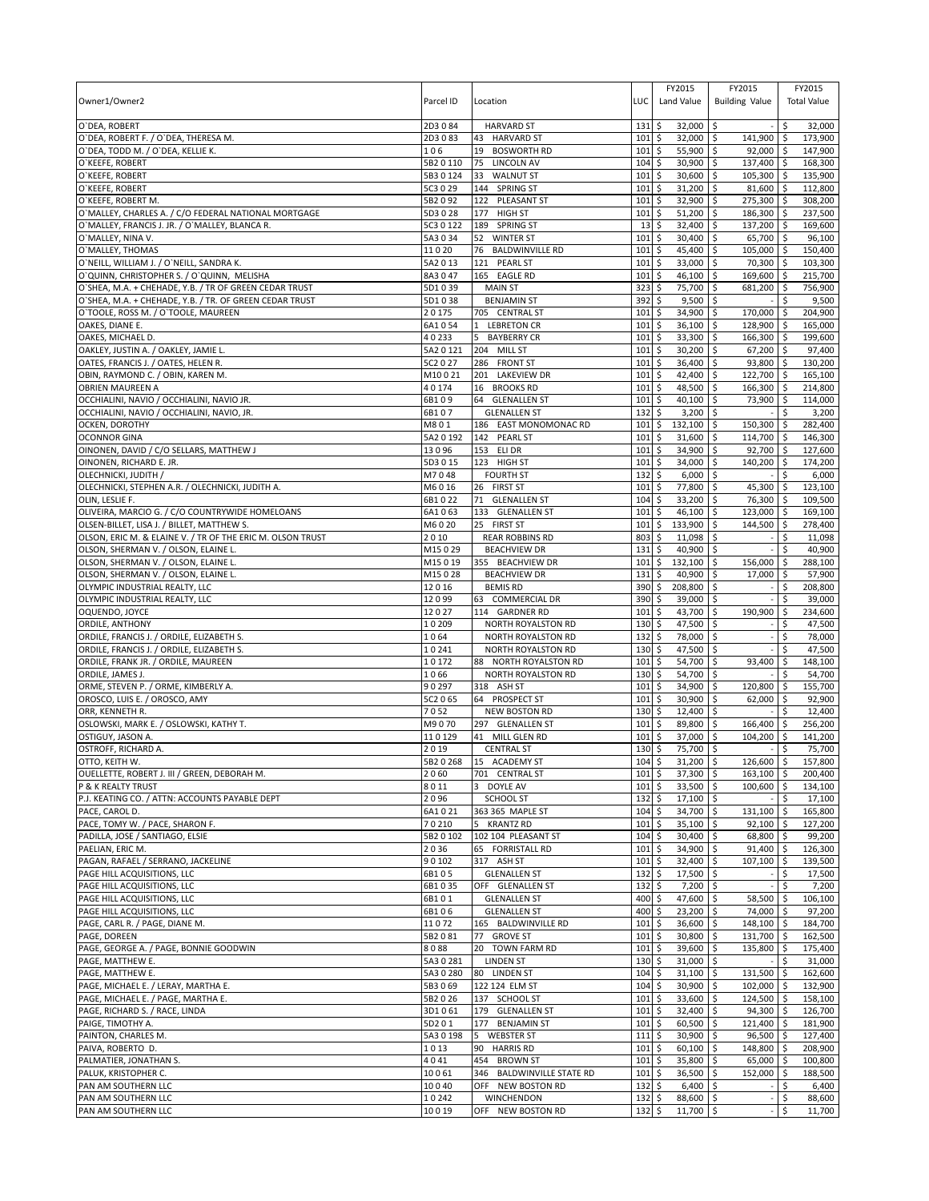|                                                                                                        |                 |                                                  |                   | FY2015                       | FY2015                         | FY2015                              |
|--------------------------------------------------------------------------------------------------------|-----------------|--------------------------------------------------|-------------------|------------------------------|--------------------------------|-------------------------------------|
| Owner1/Owner2                                                                                          | Parcel ID       | Location                                         | LUC               | Land Value                   | <b>Building Value</b>          | <b>Total Value</b>                  |
|                                                                                                        |                 |                                                  |                   |                              |                                |                                     |
| O'DEA, ROBERT                                                                                          | 2D3084          | <b>HARVARD ST</b>                                | 131               | \$<br>$32,000$ \$            |                                | \$<br>32,000                        |
| O'DEA, ROBERT F. / O'DEA, THERESA M.                                                                   | 2D3083          | <b>HARVARD ST</b><br>43                          | 101               | \$<br>32,000 \$              | 141,900 \$                     | 173,900                             |
| O'DEA, TODD M. / O'DEA, KELLIE K.                                                                      | 106             | 19<br><b>BOSWORTH RD</b>                         | 101               | \$<br>55,900                 | \$<br>$92,000$ \$              | 147,900                             |
| O'KEEFE, ROBERT                                                                                        | 5B2 0 110       | 75<br>LINCOLN AV                                 | 104               | \$<br>30,900                 | l\$<br>137,400 \$              | 168,300                             |
| O'KEEFE, ROBERT                                                                                        | 5B3 0 124       | 33<br><b>WALNUT ST</b>                           | 101               | \$<br>30,600 \$              | 105,300 \$                     | 135,900                             |
| O'KEEFE, ROBERT                                                                                        | 5C3 0 29        | 144 SPRING ST                                    | 101               | \$<br>31,200                 | \$<br>81,600 \$                | 112,800                             |
| O'KEEFE, ROBERT M.                                                                                     | 5B2092          | 122 PLEASANT ST                                  | 101               | \$<br>32,900                 | \$<br>275,300 \$               | 308,200                             |
| O'MALLEY, CHARLES A. / C/O FEDERAL NATIONAL MORTGAGE<br>O'MALLEY, FRANCIS J. JR. / O'MALLEY, BLANCA R. | 5D3028          | 177 HIGH ST                                      | 101               | \$<br>51,200                 | l\$<br>186,300 \$              | 237,500                             |
| O'MALLEY, NINA V.                                                                                      | 5C3 0 122       | 189 SPRING ST                                    | 13                | \$<br>32,400<br>30,400 \$    | \$<br>137,200 \$<br>65,700 \$  | 169,600                             |
|                                                                                                        | 5A3034          | <b>WINTER ST</b><br>52<br><b>BALDWINVILLE RD</b> | 101               | \$                           |                                | 96,100<br>150.400                   |
| O'MALLEY, THOMAS                                                                                       | 11020           | 76                                               | 101               | \$<br>45,400                 | \$<br>105,000 \$               |                                     |
| O'NEILL, WILLIAM J. / O'NEILL, SANDRA K.                                                               | 5A2 0 13        | 121 PEARL ST                                     | 101               | 33,000<br>\$                 | \$<br>70,300 \$                | 103,300                             |
| O'QUINN, CHRISTOPHER S. / O'QUINN, MELISHA                                                             | 8A3047          | 165 EAGLE RD<br><b>MAIN ST</b>                   | 101               | \$<br>46,100                 | 5<br>169,600 \$<br>681,200 \$  | 215,700<br>756,900                  |
| O'SHEA, M.A. + CHEHADE, Y.B. / TR OF GREEN CEDAR TRUST                                                 | 5D1039          |                                                  | 323               | 75,700<br>\$                 | \$                             |                                     |
| O'SHEA, M.A. + CHEHADE, Y.B. / TR. OF GREEN CEDAR TRUST                                                | 5D1038          | <b>BENJAMIN ST</b>                               | 392<br>101        | \$<br>9,500                  | \$                             | 9,500                               |
| O'TOOLE, ROSS M. / O'TOOLE, MAUREEN                                                                    | 20175<br>6A1054 | 705 CENTRAL ST                                   | 101               | \$<br>34,900<br>\$<br>36,100 | \$<br>170,000<br>\$<br>128,900 | $\ddot{\varsigma}$<br>204,900<br>\$ |
| OAKES, DIANE E.<br>OAKES, MICHAEL D.                                                                   | 40233           | 1 LEBRETON CR<br><b>BAYBERRY CR</b><br>5         | 101               | \$<br>33,300                 | \$<br>166,300 \$               | 165,000<br>199,600                  |
| OAKLEY, JUSTIN A. / OAKLEY, JAMIE L.                                                                   | 5A2 0 121       | 204 MILL ST                                      | 101               | \$<br>30,200                 | \$<br>67,200 \$                | 97,400                              |
| OATES, FRANCIS J. / OATES, HELEN R.                                                                    | 5C2 0 27        | 286 FRONT ST                                     | 101               | \$<br>36,400                 | \$<br>93,800 \$                | 130,200                             |
| OBIN, RAYMOND C. / OBIN, KAREN M.                                                                      | M10021          | 201 LAKEVIEW DR                                  | 101               | \$<br>42,400                 | 122,700 \$<br>\$               | 165,100                             |
| <b>OBRIEN MAUREEN A</b>                                                                                | 40174           | 16 BROOKS RD                                     | 101               | \$<br>48,500                 | \$<br>166,300 \$               | 214,800                             |
| OCCHIALINI, NAVIO / OCCHIALINI, NAVIO JR.                                                              | 6B109           | 64 GLENALLEN ST                                  | 101               | \$<br>40,100                 | \$<br>73,900 \$                | 114,000                             |
| OCCHIALINI, NAVIO / OCCHIALINI, NAVIO, JR.                                                             | 6B107           | <b>GLENALLEN ST</b>                              | 132               | $3,200$ \$<br>\$             |                                | 3,200<br>\$                         |
| OCKEN, DOROTHY                                                                                         | M801            | 186 EAST MONOMONAC RD                            | 101               | \$<br>132,100                | \$<br>150,300 \$               | 282,400                             |
| <b>OCONNOR GINA</b>                                                                                    | 5A2 0 192       | 142 PEARL ST                                     | 101               | 31,600<br>\$                 | \$<br>114,700 \$               | 146,300                             |
| OINONEN, DAVID / C/O SELLARS, MATTHEW J                                                                | 13096           | 153 ELI DR                                       | 101               | \$<br>34,900                 | \$<br>92,700 \$                | 127,600                             |
| OINONEN, RICHARD E. JR.                                                                                | 5D3 0 15        | 123 HIGH ST                                      | 101               | \$<br>34,000                 | \$<br>140.200 \$               | 174,200                             |
| OLECHNICKI, JUDITH /                                                                                   | M7048           | <b>FOURTH ST</b>                                 | $132 \;$ \$       | $6,000$ \$                   |                                | 6,000<br>\$.                        |
| OLECHNICKI, STEPHEN A.R. / OLECHNICKI, JUDITH A.                                                       | M6016           | 26 FIRST ST                                      | 101               | \$<br>77,800                 | \$<br>45,300                   | \$<br>123,100                       |
| OLIN, LESLIE F.                                                                                        | 6B1022          | 71<br><b>GLENALLEN ST</b>                        | 104               | \$<br>33,200                 | 76,300 \$<br>\$                | 109,500                             |
| OLIVEIRA, MARCIO G. / C/O COUNTRYWIDE HOMELOANS                                                        | 6A1063          | 133 GLENALLEN ST                                 | 101               | \$<br>46,100 \$              | 123,000 \$                     | 169,100                             |
| OLSEN-BILLET, LISA J. / BILLET, MATTHEW S.                                                             | M6020           | 25 FIRST ST                                      | 101               | \$<br>133,900                | \$<br>144,500 \$               | 278,400                             |
| OLSON, ERIC M. & ELAINE V. / TR OF THE ERIC M. OLSON TRUST                                             | 2010            | <b>REAR ROBBINS RD</b>                           | 803               | \$<br>11,098                 | \$                             | \$<br>11,098                        |
| OLSON, SHERMAN V. / OLSON, ELAINE L.                                                                   | M15029          | <b>BEACHVIEW DR</b>                              | 131               | \$<br>40,900 \$              |                                | \$<br>40,900                        |
| OLSON, SHERMAN V. / OLSON, ELAINE L.                                                                   | M15019          | 355 BEACHVIEW DR                                 | 101               | \$<br>132,100                | \$<br>156,000 \$               | 288,100                             |
| OLSON, SHERMAN V. / OLSON, ELAINE L.                                                                   | M15028          | <b>BEACHVIEW DR</b>                              | 131               | \$<br>40,900                 | 17,000 \$<br>l\$               | 57,900                              |
| OLYMPIC INDUSTRIAL REALTY, LLC                                                                         | 12016           | <b>BEMIS RD</b>                                  | 390               | \$<br>208,800                | \$                             | \$<br>208,800                       |
| OLYMPIC INDUSTRIAL REALTY, LLC                                                                         | 12099           | 63 COMMERCIAL DR                                 | 390               | \$<br>39,000                 | l\$                            | 39,000<br>\$                        |
| OQUENDO, JOYCE                                                                                         | 12027           | 114 GARDNER RD                                   | 101               | \$<br>43,700                 | 190,900<br>\$                  | 234,600<br>\$                       |
| ORDILE, ANTHONY                                                                                        | 10209           | NORTH ROYALSTON RD                               | 130               | \$<br>47,500                 | \$                             | \$<br>47,500                        |
| ORDILE, FRANCIS J. / ORDILE, ELIZABETH S.                                                              | 1064            | NORTH ROYALSTON RD                               | 132               | \$<br>78,000                 | \$                             | \$<br>78,000                        |
| ORDILE, FRANCIS J. / ORDILE, ELIZABETH S.                                                              | 10241           | NORTH ROYALSTON RD                               | 130               | 47,500<br>\$                 | \$                             | 47,500<br>\$                        |
| ORDILE, FRANK JR. / ORDILE, MAUREEN                                                                    | 10172           | 88 NORTH ROYALSTON RD                            | 101               | \$<br>54,700                 | \$<br>93,400                   | \$<br>148,100                       |
| ORDILE, JAMES J.                                                                                       | 1066            | NORTH ROYALSTON RD                               | 130               | \$<br>54,700                 | \$                             | 54,700<br>\$                        |
| ORME, STEVEN P. / ORME, KIMBERLY A.                                                                    | 90297           | 318 ASH ST                                       | 101               | \$<br>34,900                 | \$<br>120,800 \$               | 155,700                             |
| OROSCO, LUIS E. / OROSCO, AMY                                                                          | 5C2 0 65        | 64 PROSPECT ST                                   | 101               | \$<br>30,900                 | \$<br>62,000                   | \$<br>92,900                        |
| ORR, KENNETH R.                                                                                        | 7052            | <b>NEW BOSTON RD</b>                             | 130               | \$<br>12,400                 | l\$                            | 12,400<br>\$                        |
| OSLOWSKI, MARK E. / OSLOWSKI, KATHY T.                                                                 | M9070           | 297 GLENALLEN ST                                 | 101               | \$<br>89,800                 | \$<br>166,400                  | 256.200<br>\$                       |
| OSTIGUY, JASON A                                                                                       | 110129          | 41 MILL GLEN RD                                  | 101               | \$<br>37,000                 | \$<br>104.200                  | \$<br>141,200                       |
| OSTROFF, RICHARD A.                                                                                    | 2019            | <b>CENTRAL ST</b>                                | 130               | \$<br>75,700                 | l\$                            | 75,700<br>\$                        |
| OTTO, KEITH W.                                                                                         |                 | 5B2 0 268 15 ACADEMY ST                          | 104S              | $31,200$ \$                  | 126,600 \$                     | 157,800                             |
| OUELLETTE, ROBERT J. III / GREEN, DEBORAH M.                                                           | 2060            | 701 CENTRAL ST                                   | $101 \,$ \$       | 37,300 \$                    | $163,100$ \$                   | 200,400                             |
| P & K REALTY TRUST                                                                                     | 8011            | 3 DOYLE AV                                       | $101 \;$ \$       | 33,500 \$                    | 100,600 \$                     | 134,100                             |
| P.J. KEATING CO. / ATTN: ACCOUNTS PAYABLE DEPT                                                         | 2096            | SCHOOL ST                                        | $132 \,$ \$       | $17,100$ \$                  |                                | \$<br>17,100                        |
| PACE, CAROL D.                                                                                         | 6A1021          | 363 365 MAPLE ST                                 | $104 \,$ \$       | 34,700 \$                    | 131,100 \$                     | 165,800                             |
| PACE, TOMY W. / PACE, SHARON F.                                                                        | 70210           | 5 KRANTZ RD                                      | 101               | \$<br>$35,100$ \$            | $92,100$ \$                    | 127.200                             |
| PADILLA, JOSE / SANTIAGO, ELSIE                                                                        | 5B2 0 102       | 102 104 PLEASANT ST                              | 104               | \$<br>30,400 \$              | 68,800 \$                      | 99,200                              |
| PAELIAN, ERIC M.                                                                                       | 2036            | 65 FORRISTALL RD                                 | 101               | \$<br>34,900 \$              | $91,400$ \$                    | 126,300                             |
| PAGAN, RAFAEL / SERRANO, JACKELINE                                                                     | 90102           | 317 ASH ST                                       | 101               | \$<br>32,400 \$              | 107,100 \$                     | 139,500                             |
| PAGE HILL ACQUISITIONS, LLC                                                                            | 6B105           | <b>GLENALLEN ST</b>                              | 132               | \$<br>17,500 \$              |                                | \$<br>17,500                        |
| PAGE HILL ACQUISITIONS, LLC                                                                            | 6B1035          | OFF GLENALLEN ST                                 | 132               | \$<br>$7,200$ \$             |                                | $\ddot{\varsigma}$<br>7,200         |
| PAGE HILL ACQUISITIONS, LLC                                                                            | 6B101           | <b>GLENALLEN ST</b>                              | 400               | \$<br>47,600 \$              | 58,500 \$                      | 106,100                             |
| PAGE HILL ACQUISITIONS, LLC                                                                            | 6B106           | <b>GLENALLEN ST</b>                              | 400               | \$<br>23,200 \$              | 74,000 \$                      | 97,200                              |
| PAGE, CARL R. / PAGE, DIANE M.                                                                         | 11072           | 165 BALDWINVILLE RD                              | 101               | \$<br>36,600                 | \$<br>148,100 \$               | 184,700                             |
| PAGE, DOREEN                                                                                           | 5B2081          | 77 GROVE ST                                      | 101               | \$<br>30,800                 | <b>S</b><br>131,700 \$         | 162,500                             |
| PAGE, GEORGE A. / PAGE, BONNIE GOODWIN                                                                 | 8088            | 20 TOWN FARM RD                                  | 101               | \$<br>39,600 \$              | 135,800 \$                     | 175,400                             |
| PAGE, MATTHEW E.                                                                                       | 5A30281         | <b>LINDEN ST</b>                                 | 130               | \$<br>$31,000$ \$            |                                | \$<br>31,000                        |
| PAGE, MATTHEW E.                                                                                       | 5A3 0 280       | 80 LINDEN ST                                     | 104               | \$<br>31,100 \$              | 131,500 \$                     | 162,600                             |
| PAGE, MICHAEL E. / LERAY, MARTHA E.                                                                    | 5B3069          | 122 124 ELM ST                                   | 104               | 30,900 \$<br>\$              | 102,000 \$                     | 132,900                             |
| PAGE, MICHAEL E. / PAGE, MARTHA E.                                                                     | 5B2 0 26        | 137 SCHOOL ST                                    | 101               | \$<br>33,600 \$              | 124,500 \$                     | 158,100                             |
| PAGE, RICHARD S. / RACE, LINDA                                                                         | 3D1061          | 179 GLENALLEN ST                                 | 101               | \$<br>32,400 \$              | $94,300$ \$                    | 126,700                             |
| PAIGE, TIMOTHY A.                                                                                      | 5D201           | 177 BENJAMIN ST                                  | 101               | \$<br>60,500 \$              | 121,400 \$                     | 181,900                             |
| PAINTON, CHARLES M.                                                                                    | 5A3 0 198       | <b>WEBSTER ST</b><br>5                           | 111               | \$<br>30,900 \$              | $96,500$ \$                    | 127,400                             |
| PAIVA, ROBERTO D.                                                                                      | 1013            | 90 HARRIS RD                                     | 101               | \$<br>$60,100$ \$            | 148,800 \$                     | 208,900                             |
| PALMATIER, JONATHAN S.                                                                                 | 4041            | 454 BROWN ST                                     | 101               | 35,800 \$<br>\$              | 65,000 \$                      | 100,800                             |
| PALUK, KRISTOPHER C.                                                                                   | 10061           | 346 BALDWINVILLE STATE RD                        | 101               | \$<br>36,500 \$              | 152,000 \$                     | 188,500                             |
| PAN AM SOUTHERN LLC                                                                                    | 10040           | OFF NEW BOSTON RD                                | 132               | \$<br>$6,400$ \$             | $\sim$                         | \$<br>6,400                         |
| PAN AM SOUTHERN LLC                                                                                    | 10242           | WINCHENDON                                       | $132 \,$ \$       | 88,600 \$                    |                                | \$<br>88,600                        |
| PAN AM SOUTHERN LLC                                                                                    | 10019           | OFF NEW BOSTON RD                                | $132 \frac{1}{2}$ | 11,700 \$                    |                                | \$<br>11,700                        |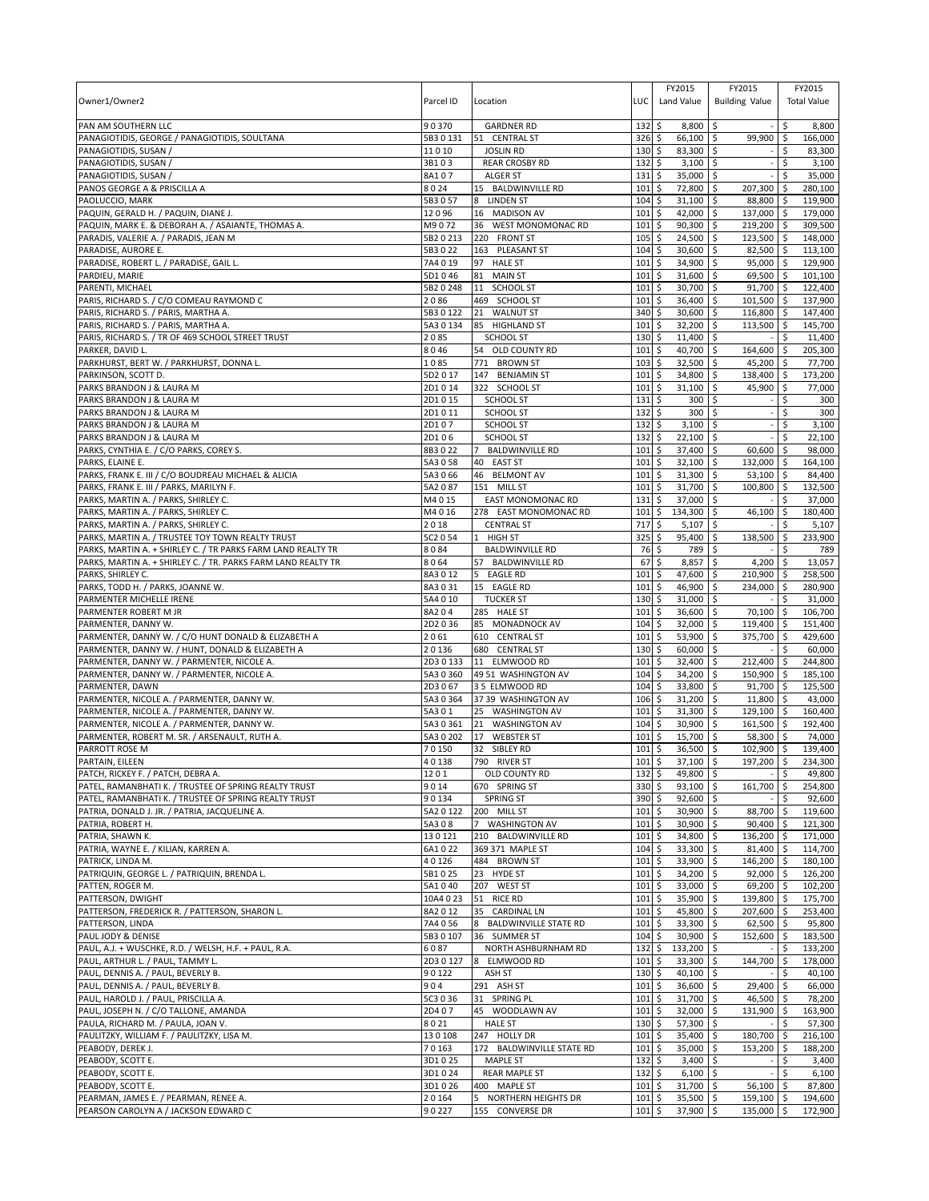| Owner1/Owner2<br>PAN AM SOUTHERN LLC                                                        | Parcel ID<br>90370     | Location<br><b>GARDNER RD</b>                         | LUC                        | FY2015<br>Land Value                 | FY2015<br><b>Building Value</b> | \$.          | FY2015<br><b>Total Value</b> |
|---------------------------------------------------------------------------------------------|------------------------|-------------------------------------------------------|----------------------------|--------------------------------------|---------------------------------|--------------|------------------------------|
| PANAGIOTIDIS, GEORGE / PANAGIOTIDIS, SOULTANA                                               | 5B3 0 131              | 51 CENTRAL ST                                         | 132<br>326                 | \$<br>8,800<br>\$<br>66,100          | -\$<br>\$<br>99,900             | \$           | 8,800<br>166,000             |
| PANAGIOTIDIS, SUSAN /                                                                       | 11010                  | <b>JOSLIN RD</b>                                      | 130                        | \$<br>83,300                         | \$                              | \$           | 83,300                       |
| PANAGIOTIDIS, SUSAN                                                                         | 3B103                  | <b>REAR CROSBY RD</b>                                 | 132                        | \$<br>3,100                          | \$                              | Ś            | 3,100                        |
| PANAGIOTIDIS, SUSAN /                                                                       | 8A107                  | <b>ALGER ST</b>                                       | 131                        | 35,000<br>\$                         | \$                              | \$           | 35,000                       |
| PANOS GEORGE A & PRISCILLA A                                                                | 8024                   | 15 BALDWINVILLE RD                                    | 101                        | \$<br>72,800                         | \$<br>207,300                   | -\$          | 280,100                      |
| PAOLUCCIO, MARK                                                                             | 5B3057                 | <b>LINDEN ST</b><br>8                                 | 104                        | \$<br>31,100                         | \$<br>88,800                    | I\$          | 119,900                      |
| PAQUIN, GERALD H. / PAQUIN, DIANE J.<br>PAQUIN, MARK E. & DEBORAH A. / ASAIANTE, THOMAS A.  | 12096<br>M9072         | 16 MADISON AV<br>36<br><b>WEST MONOMONAC RD</b>       | 101<br>101                 | \$<br>42,000<br>90,300<br>\$         | \$<br>137,000<br>\$<br>219,200  | l \$<br>\$   | 179,000<br>309,500           |
| PARADIS, VALERIE A. / PARADIS, JEAN M                                                       | 5B2 0 213              | 220 FRONT ST                                          | 105                        | \$<br>24,500                         | \$<br>123,500 \$                |              | 148,000                      |
| PARADISE, AURORE E.                                                                         | 5B3 0 22               | 163 PLEASANT ST                                       | 104                        | \$<br>30,600                         | \$<br>82,500                    | \$           | 113,100                      |
| PARADISE, ROBERT L. / PARADISE, GAIL L                                                      | 7A4019                 | 97<br><b>HALE ST</b>                                  | 101                        | \$<br>34,900                         | 95,000<br>\$                    | ۱\$          | 129,900                      |
| PARDIEU, MARIE                                                                              | 5D1046                 | 81<br><b>MAIN ST</b>                                  | 101                        | \$<br>31,600                         | 69,500<br>-\$                   | <b>S</b>     | 101,100                      |
| PARENTI, MICHAEL                                                                            | 5B2 0 248              | 11<br><b>SCHOOL ST</b>                                | 101                        | \$<br>30,700                         | \$<br>91,700                    | l\$          | 122,400                      |
| PARIS, RICHARD S. / C/O COMEAU RAYMOND C                                                    | 2086                   | 469 SCHOOL ST                                         | 101                        | \$<br>36,400                         | 101,500 \$<br>\$                |              | 137,900                      |
| PARIS, RICHARD S. / PARIS, MARTHA A.<br>PARIS, RICHARD S. / PARIS, MARTHA A.                | 5B3 0 122<br>5A3 0 134 | 21<br><b>WALNUT ST</b><br>85 HIGHLAND ST              | 340<br>101                 | \$<br>30,600<br>\$<br>32,200         | \$<br>116,800<br>\$<br>113,500  | l \$<br>-\$  | 147,400<br>145,700           |
| PARIS, RICHARD S. / TR OF 469 SCHOOL STREET TRUST                                           | 2085                   | <b>SCHOOL ST</b>                                      | 130                        | \$<br>$11,400$ \$                    |                                 | \$.          | 11,400                       |
| PARKER, DAVID L.                                                                            | 8046                   | 54 OLD COUNTY RD                                      | 101                        | \$<br>40,700                         | \$<br>164,600                   | \$           | 205,300                      |
| PARKHURST, BERT W. / PARKHURST, DONNA L.                                                    | 1085                   | 771<br><b>BROWN ST</b>                                | 103                        | \$<br>32,500                         | \$<br>45,200                    | -\$          | 77,700                       |
| PARKINSON, SCOTT D.                                                                         | 5D2017                 | 147<br><b>BENJAMIN ST</b>                             | 101                        | \$<br>34,800                         | \$<br>138,400 \$                |              | 173,200                      |
| PARKS BRANDON J & LAURA M                                                                   | 2D1014                 | 322 SCHOOL ST                                         | 101                        | \$<br>31,100                         | \$<br>45,900                    | ۱\$          | 77,000                       |
| PARKS BRANDON J & LAURA M                                                                   | 2D1015                 | <b>SCHOOL ST</b>                                      | 131                        | \$<br>300                            | \$                              | Ś            | 300                          |
| PARKS BRANDON J & LAURA M<br>PARKS BRANDON J & LAURA M                                      | 2D1011<br>2D107        | <b>SCHOOL ST</b><br><b>SCHOOL ST</b>                  | 132<br>132                 | \$<br>300<br>\$<br>3,100             | \$<br>\$                        | \$<br>\$     | 300<br>3,100                 |
| PARKS BRANDON J & LAURA M                                                                   | 2D106                  | <b>SCHOOL ST</b>                                      | 132                        | \$<br>22,100                         | -\$                             | \$           | 22,100                       |
| PARKS, CYNTHIA E. / C/O PARKS, COREY S.                                                     | 8B3022                 | $\overline{7}$<br><b>BALDWINVILLE RD</b>              | 101                        | \$<br>37,400                         | \$<br>60,600                    | \$           | 98,000                       |
| PARKS, ELAINE E.                                                                            | 5A3 0 58               | 40 EAST ST                                            | 101                        | 32,100<br>\$                         | \$<br>132,000                   | -\$          | 164,100                      |
| PARKS, FRANK E. III / C/O BOUDREAU MICHAEL & ALICIA                                         | 5A3 0 66               | 46 BELMONT AV                                         | 101                        | \$<br>31,300                         | Ŝ.<br>53,100                    | l \$         | 84,400                       |
| PARKS, FRANK E. III / PARKS, MARILYN F.                                                     | 5A2087                 | 151 MILL ST                                           | 101                        | \$<br>31,700                         | \$<br>100,800                   | \$           | 132,500                      |
| PARKS, MARTIN A. / PARKS, SHIRLEY C.                                                        | M4015                  | <b>EAST MONOMONAC RD</b>                              | 131                        | \$<br>37,000                         | \$                              |              | 37,000                       |
| PARKS, MARTIN A. / PARKS, SHIRLEY C.                                                        | M4016<br>2018          | 278 EAST MONOMONAC RD                                 | 101<br>717                 | 134,300<br>\$<br>\$<br>5,107         | \$<br>46,100<br>\$              | \$<br>\$     | 180,400                      |
| PARKS, MARTIN A. / PARKS, SHIRLEY C.<br>PARKS, MARTIN A. / TRUSTEE TOY TOWN REALTY TRUST    | 5C2 0 54               | <b>CENTRAL ST</b><br><b>HIGH ST</b><br>1              | 325                        | 95,400<br>\$                         | \$<br>138,500                   | \$           | 5,107<br>233,900             |
| PARKS, MARTIN A. + SHIRLEY C. / TR PARKS FARM LAND REALTY TR                                | 8084                   | <b>BALDWINVILLE RD</b>                                | 76                         | \$<br>789                            | \$                              | Ś            | 789                          |
| PARKS, MARTIN A. + SHIRLEY C. / TR. PARKS FARM LAND REALTY TR                               | 8064                   | 57 BALDWINVILLE RD                                    | 67                         | \$<br>8,857                          | \$<br>4,200                     | -\$          | 13,057                       |
| PARKS, SHIRLEY C.                                                                           | 8A3012                 | <b>EAGLE RD</b><br>5                                  | 101                        | \$<br>47,600                         | 210,900 \$<br>\$                |              | 258,500                      |
| PARKS, TODD H. / PARKS, JOANNE W.                                                           | 8A3031                 | 15 EAGLE RD                                           | 101                        | \$<br>46,900                         | \$<br>234,000                   | \$           | 280,900                      |
| PARMENTER MICHELLE IRENE                                                                    | 5A4 0 10               | <b>TUCKER ST</b>                                      | 130                        | \$<br>31,000                         | \$                              |              | 31,000                       |
| PARMENTER ROBERT M JR                                                                       | 8A204                  | 285 HALE ST                                           | 101<br>104                 | 36,600<br>\$<br>\$                   | 70,100<br>S.                    | l \$<br>l \$ | 106,700                      |
| PARMENTER, DANNY W.<br>PARMENTER, DANNY W. / C/O HUNT DONALD & ELIZABETH A                  | 2D2036<br>2061         | 85 MONADNOCK AV<br>610 CENTRAL ST                     | 101                        | 32,000<br>\$<br>53,900               | \$<br>119,400<br>\$<br>375,700  | \$ ا         | 151,400<br>429,600           |
| PARMENTER, DANNY W. / HUNT, DONALD & ELIZABETH A                                            | 20136                  | 680 CENTRAL ST                                        | 130                        | \$<br>60,000                         | \$                              | Ŝ.           | 60,000                       |
| PARMENTER, DANNY W. / PARMENTER, NICOLE A.                                                  | 2D30133                | 11 ELMWOOD RD                                         | 101                        | \$<br>32,400                         | $\mathsf{\hat{S}}$<br>212,400   | l\$          | 244,800                      |
| PARMENTER, DANNY W. / PARMENTER, NICOLE A.                                                  | 5A3 0 360              | 49 51 WASHINGTON AV                                   | 104                        | \$<br>34,200                         | \$<br>150,900 \$                |              | 185,100                      |
| PARMENTER, DAWN                                                                             | 2D3067                 | 35 ELMWOOD RD                                         | 104                        | \$<br>33,800                         | \$<br>91.700                    | $\sqrt{5}$   | 125,500                      |
| PARMENTER, NICOLE A. / PARMENTER, DANNY W.                                                  | 5A3 0 364              | 37 39 WASHINGTON AV                                   | 106                        | \$<br>31,200                         | 11,800<br>-\$                   | l \$         | 43,000                       |
| PARMENTER, NICOLE A. / PARMENTER, DANNY W.                                                  | 5A301<br>5A3 0 361     | 25 WASHINGTON AV<br><b>WASHINGTON AV</b>              | 101                        | \$<br>31,300                         | 129,100<br>-\$                  | ۱\$          | 160,400                      |
| PARMENTER, NICOLE A. / PARMENTER, DANNY W.<br>PARMENTER, ROBERT M. SR. / ARSENAULT, RUTH A. | 5A3 0 202              | 21<br>17<br><b>WEBSTER ST</b>                         | 104<br>101                 | \$<br>30,900<br>\$<br>15,700         | \$<br>161,500<br>\$<br>58,300   | ا \$         | 192,400<br>74,000            |
| PARROTT ROSE M                                                                              | 70150                  | 32 SIBLEY RD                                          | 101                        | \$<br>36,500                         | 102,900 \$<br>-\$               |              | 139,400                      |
| PARTAIN, EILEEN                                                                             | 40138                  | 790 RIVER ST                                          | $101 \overline{\smash{5}}$ | $37.100$ \$                          | 197.200 \$                      |              | 234.300                      |
| PATCH, RICKEY F. / PATCH, DEBRA A.                                                          | 1201                   | OLD COUNTY RD                                         | 132                        | 49,800 \$<br>\$                      |                                 | \$           | 49,800                       |
| PATEL, RAMANBHATI K. / TRUSTEE OF SPRING REALTY TRUST                                       | 9014                   | 670 SPRING ST                                         | 330 \$                     | 93,100 \$                            | 161,700                         | \$           | 254.800                      |
| PATEL, RAMANBHATI K. / TRUSTEE OF SPRING REALTY TRUST                                       | 90134                  | <b>SPRING ST</b>                                      | 390                        | \$<br>$92,600$ \$                    |                                 | Ŝ.           | 92,600                       |
| PATRIA, DONALD J. JR. / PATRIA, JACQUELINE A.<br>PATRIA, ROBERT H.                          | 5A2 0 122<br>5A308     | 200 MILL ST<br><b>WASHINGTON AV</b><br>$\overline{7}$ | 101<br>101                 | \$<br>$30,900$ \$<br>\$<br>30,900 \$ | 88,700 \$<br>$90,400$ \$        |              | 119,600<br>121,300           |
| PATRIA, SHAWN K.                                                                            | 130121                 | 210 BALDWINVILLE RD                                   | 101                        | \$<br>34,800 \$                      | 136,200                         | l \$         | 171,000                      |
| PATRIA, WAYNE E. / KILIAN, KARREN A.                                                        | 6A1022                 | 369 371 MAPLE ST                                      | 104                        | \$<br>33,300 \$                      | 81,400 \$                       |              | 114,700                      |
| PATRICK, LINDA M.                                                                           | 40126                  | 484 BROWN ST                                          | 101                        | \$<br>33,900 \$                      | 146,200 \$                      |              | 180,100                      |
| PATRIQUIN, GEORGE L. / PATRIQUIN, BRENDA L.                                                 | 5B1025                 | 23 HYDE ST                                            | 101                        | \$<br>34,200 \$                      | $92,000$ \$                     |              | 126,200                      |
| PATTEN, ROGER M.                                                                            | 5A1040                 | 207 WEST ST                                           | 101                        | \$<br>33,000 \$                      | 69,200 \$                       |              | 102,200                      |
| PATTERSON, DWIGHT                                                                           | 10A4 0 23              | 51 RICE RD                                            | 101                        | \$<br>$35,900$ \$                    | 139,800                         | ۱\$          | 175,700                      |
| PATTERSON, FREDERICK R. / PATTERSON, SHARON L.<br>PATTERSON, LINDA                          | 8A2012<br>7A4 0 56     | 35<br><b>CARDINAL LN</b><br>8 BALDWINVILLE STATE RD   | 101<br>101                 | \$<br>45,800 \$<br>\$<br>33,300 \$   | 207,600 \$<br>$62,500$ \$       |              | 253,400<br>95,800            |
| PAUL JODY & DENISE                                                                          | 5B3 0 107              | 36 SUMMER ST                                          | 104                        | \$<br>30,900 \$                      | 152,600 \$                      |              | 183,500                      |
| PAUL, A.J. + WUSCHKE, R.D. / WELSH, H.F. + PAUL, R.A.                                       | 6087                   | NORTH ASHBURNHAM RD                                   | 132                        | \$<br>133,200 \$                     |                                 | \$           | 133,200                      |
| PAUL, ARTHUR L. / PAUL, TAMMY L.                                                            | 2D30127                | 8 ELMWOOD RD                                          | 101                        | \$<br>33,300 \$                      | 144,700                         | l\$          | 178,000                      |
| PAUL, DENNIS A. / PAUL, BEVERLY B.                                                          | 90122                  | ASH ST                                                | $130 \;$ \$                | $40,100$ \$                          |                                 | \$           | 40,100                       |
| PAUL, DENNIS A. / PAUL, BEVERLY B.                                                          | 904                    | 291 ASH ST                                            | $101 \,$ \$                | 36,600 \$                            | 29,400                          | l\$          | 66,000                       |
| PAUL, HAROLD J. / PAUL, PRISCILLA A.                                                        | 5C3 0 36               | 31 SPRING PL                                          | $101 \,$ \$                | 31,700 \$                            | 46,500 \$                       |              | 78,200                       |
| PAUL, JOSEPH N. / C/O TALLONE, AMANDA<br>PAULA, RICHARD M. / PAULA, JOAN V.                 | 2D407<br>8021          | 45 WOODLAWN AV<br><b>HALE ST</b>                      | $101 \;$ \$<br>130         | 32,000 \$<br>\$<br>57,300 \$         | 131,900 \$                      | \$           | 163,900<br>57,300            |
| PAULITZKY, WILLIAM F. / PAULITZKY, LISA M.                                                  | 130108                 | 247 HOLLY DR                                          | $101 \;$ \$                | 35,400 \$                            | 180,700                         | <b>S</b>     | 216,100                      |
| PEABODY, DEREK J.                                                                           | 70163                  | 172 BALDWINVILLE STATE RD                             | $101 \,$ \$                | $35,000$ \$                          | 153,200 \$                      |              | 188,200                      |
| PEABODY, SCOTT E.                                                                           | 3D1025                 | <b>MAPLE ST</b>                                       | 132                        | \$<br>$3,400$ \$                     |                                 | \$           | 3,400                        |
| PEABODY, SCOTT E.                                                                           | 3D1024                 | <b>REAR MAPLE ST</b>                                  | 132                        | 5<br>$6,100$ \$                      |                                 |              | 6,100                        |
| PEABODY, SCOTT E.                                                                           | 3D1 0 26               | 400 MAPLE ST                                          | 101                        | \$<br>31,700 \$                      | 56,100                          | -\$          | 87,800                       |
| PEARMAN, JAMES E. / PEARMAN, RENEE A.                                                       | 20164                  | 5 NORTHERN HEIGHTS DR                                 | 101                        | \$<br>$35,500$ \$                    | 159,100 \$                      |              | 194,600                      |
| PEARSON CAROLYN A / JACKSON EDWARD C                                                        | 90227                  | 155 CONVERSE DR                                       | $101 \,$ \$                | 37,900 \$                            | $135,000$ \$                    |              | 172,900                      |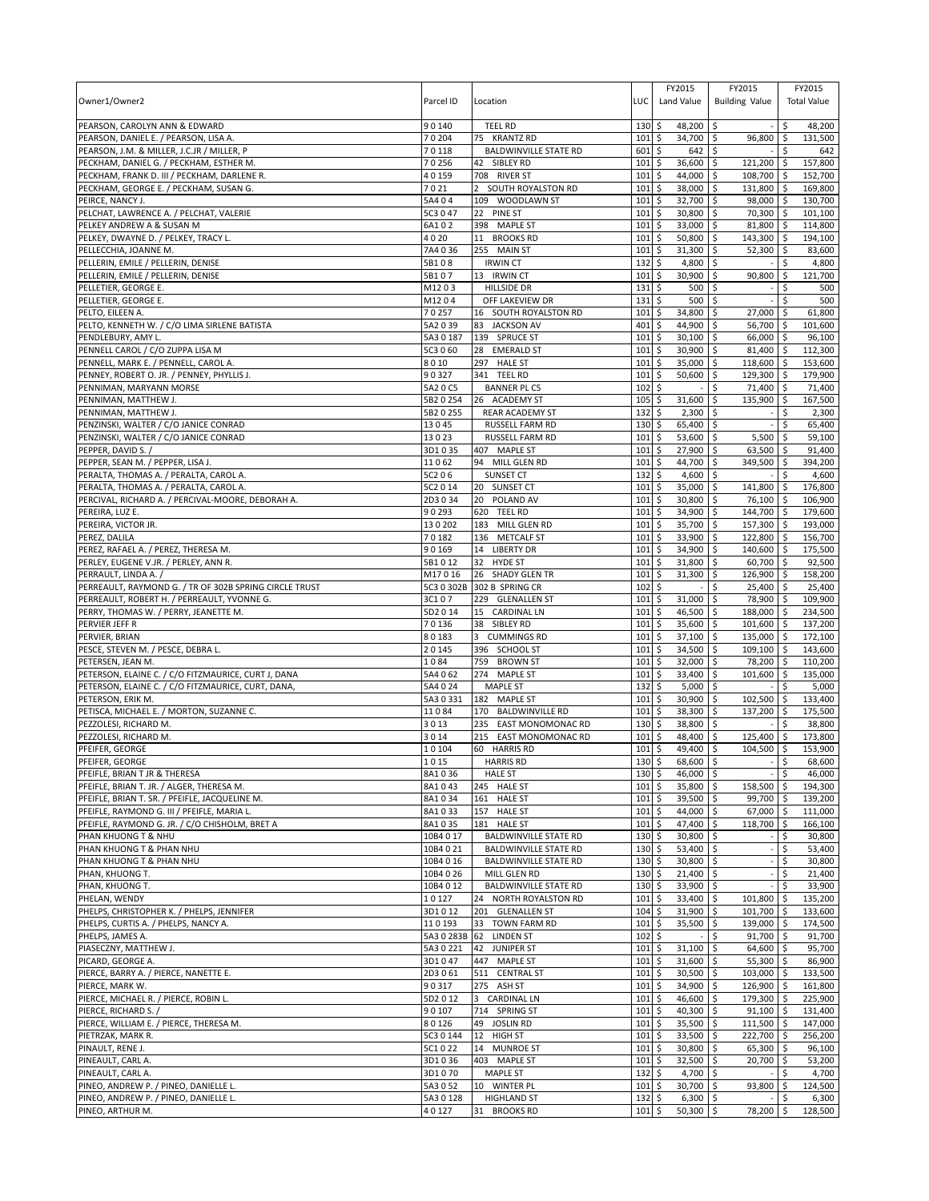|                                                                                             |                    |                                          |             | FY2015                                          | FY2015                               | FY2015                 |
|---------------------------------------------------------------------------------------------|--------------------|------------------------------------------|-------------|-------------------------------------------------|--------------------------------------|------------------------|
| Owner1/Owner2                                                                               | Parcel ID          | Location                                 | LUC         | Land Value                                      | <b>Building Value</b>                | <b>Total Value</b>     |
| PEARSON, CAROLYN ANN & EDWARD                                                               | 90140              | <b>TEEL RD</b>                           | 130         | \$<br>48,200                                    | l\$<br>$\sim$                        | \$<br>48,200           |
| PEARSON, DANIEL E. / PEARSON, LISA A                                                        | 70204              | 75 KRANTZ RD                             | 101         | \$<br>34,700 \$                                 | 96,800 \$                            | 131,500                |
| PEARSON, J.M. & MILLER, J.C.JR / MILLER, P                                                  | 70118              | <b>BALDWINVILLE STATE RD</b>             | 601         | \$<br>642                                       | $\overline{\phantom{a}}$             | \$<br>642              |
| PECKHAM, DANIEL G. / PECKHAM, ESTHER M.                                                     | 70256              | 42 SIBLEY RD                             | 101         | 36,600<br>\$                                    | l\$<br>121,200 \$                    | 157,800                |
| PECKHAM, FRANK D. III / PECKHAM, DARLENE R.                                                 | 40159              | 708 RIVER ST                             | 101         | 44,000<br>\$                                    | l\$<br>108,700 \$                    | 152,700                |
| PECKHAM, GEORGE E. / PECKHAM, SUSAN G.                                                      | 7021               | 2 SOUTH ROYALSTON RD                     | 101         | \$<br>38,000                                    | $\sqrt{5}$<br>131,800 \$             | 169,800                |
| PEIRCE, NANCY J.                                                                            | 5A404              | 109 WOODLAWN ST                          | 101         | \$<br>32,700                                    | \$<br>98,000 \$                      | 130,700                |
| PELCHAT, LAWRENCE A. / PELCHAT, VALERIE                                                     | 5C3 0 47           | 22 PINE ST                               | 101         | \$<br>30,800                                    | 70,300 \$<br>∣\$                     | 101,100                |
| PELKEY ANDREW A & SUSAN M                                                                   | 6A102              | 398 MAPLE ST                             | 101         | \$<br>33,000                                    | <b>S</b><br>81,800 \$                | 114,800                |
| PELKEY, DWAYNE D. / PELKEY, TRACY L.                                                        | 4020               | 11 BROOKS RD                             | 101         | \$<br>50,800                                    | <b>S</b><br>143,300 \$               | 194,100                |
| PELLECCHIA, JOANNE M.                                                                       | 7A4036             | 255 MAIN ST                              | 101         | \$<br>31,300                                    | \$<br>$52,300$ \$                    | 83,600                 |
| PELLERIN, EMILE / PELLERIN, DENISE<br>PELLERIN, EMILE / PELLERIN, DENISE                    | 5B108<br>5B107     | <b>IRWIN CT</b><br>13 IRWIN CT           | 132<br>101  | \$<br>4,800<br>$\ddot{\mathsf{S}}$<br>30,900    | \$<br>l\$<br>90,800 \$               | \$<br>4,800<br>121,700 |
| PELLETIER, GEORGE E.                                                                        | M1203              | <b>HILLSIDE DR</b>                       | 131         | \$<br>500                                       | \$                                   | 500<br>\$              |
| PELLETIER, GEORGE E.                                                                        | M1204              | OFF LAKEVIEW DR                          | 131         | \$<br>500                                       | \$                                   | Ś<br>500               |
| PELTO, EILEEN A.                                                                            | 70257              | 16 SOUTH ROYALSTON RD                    | 101         | 34,800<br>\$                                    | \$<br>27,000 \$                      | 61,800                 |
| PELTO, KENNETH W. / C/O LIMA SIRLENE BATISTA                                                | 5A2 0 39           | 83 JACKSON AV                            | 401         | \$<br>44,900                                    | \$<br>56,700 \$                      | 101,600                |
| PENDLEBURY, AMY L.                                                                          | 5A3 0 187          | 139 SPRUCE ST                            | 101         | \$<br>30,100                                    | \$<br>66,000 \$                      | 96,100                 |
| PENNELL CAROL / C/O ZUPPA LISA M                                                            | 5C3 0 60           | 28 EMERALD ST                            | 101         | \$<br>30,900                                    | \$<br>81,400 \$                      | 112,300                |
| PENNELL, MARK E. / PENNELL, CAROL A.                                                        | 8010               | 297 HALE ST                              | 101         | \$<br>35,000                                    | \$<br>118,600 \$                     | 153,600                |
| PENNEY, ROBERT O. JR. / PENNEY, PHYLLIS J.                                                  | 90327              | 341 TEEL RD                              | 101         | \$<br>50,600                                    | \$<br>129,300 \$                     | 179,900                |
| PENNIMAN, MARYANN MORSE                                                                     | 5A2 0 C5           | <b>BANNER PL C5</b>                      | 102         | \$                                              | \$<br>71,400 \$                      | 71,400                 |
| PENNIMAN, MATTHEW J.                                                                        | 5B2 0 254          | 26 ACADEMY ST                            | 105         | \$<br>31,600                                    | \$<br>135,900 \$                     | 167,500                |
| PENNIMAN, MATTHEW J.                                                                        | 5B2 0 255          | <b>REAR ACADEMY ST</b>                   | 132         | 2,300<br>\$                                     | <b>S</b><br>÷,                       | \$<br>2,300            |
| PENZINSKI, WALTER / C/O JANICE CONRAD                                                       | 13045              | RUSSELL FARM RD                          | 130         | \$<br>65,400                                    | \$                                   | \$<br>65,400           |
| PENZINSKI, WALTER / C/O JANICE CONRAD                                                       | 13023              | <b>RUSSELL FARM RD</b>                   | 101<br>101  | \$<br>53,600                                    | l\$<br>$5,500$ \$<br>\$              | 59,100                 |
| PEPPER, DAVID S. /<br>PEPPER, SEAN M. / PEPPER, LISA J.                                     | 3D1035<br>11062    | 407 MAPLE ST<br>94 MILL GLEN RD          | 101         | \$<br>27,900<br>\$<br>44,700                    | $63,500$ \$<br>l\$<br>349,500 \$     | 91,400<br>394,200      |
| PERALTA, THOMAS A. / PERALTA, CAROL A.                                                      | 5C206              | SUNSET CT                                | 132         | $\ddot{\mathsf{S}}$<br>4,600 \$                 |                                      | 4,600<br>\$            |
| PERALTA, THOMAS A. / PERALTA, CAROL A.                                                      | 5C2 0 14           | 20 SUNSET CT                             | 101         | \$<br>35,000                                    | \$<br>141,800 \$                     | 176,800                |
| PERCIVAL, RICHARD A. / PERCIVAL-MOORE, DEBORAH A.                                           | 2D3034             | 20 POLAND AV                             | 101         | \$<br>30,800                                    | 76,100 \$<br>\$                      | 106,900                |
| PEREIRA, LUZ E.                                                                             | 90293              | 620 TEEL RD                              | 101         | \$<br>34,900 \$                                 | 144,700 \$                           | 179,600                |
| PEREIRA, VICTOR JR.                                                                         | 130202             | 183 MILL GLEN RD                         | 101         | 35,700<br>\$                                    | <b>S</b><br>157,300 \$               | 193,000                |
| PEREZ, DALILA                                                                               | 70182              | 136 METCALF ST                           | 101         | \$<br>33,900                                    | \$<br>122,800 \$                     | 156,700                |
| PEREZ, RAFAEL A. / PEREZ, THERESA M.                                                        | 90169              | 14 LIBERTY DR                            | 101         | \$<br>34,900                                    | \$ ا<br>140,600 \$                   | 175,500                |
| PERLEY, EUGENE V.JR. / PERLEY, ANN R.                                                       | 5B1012             | 32 HYDE ST                               | 101         | \$<br>31,800                                    | \$<br>60,700 \$                      | 92,500                 |
| PERRAULT, LINDA A. /                                                                        | M17016             | 26 SHADY GLEN TR                         | 101         | \$<br>31,300                                    | \$<br>126,900 \$                     | 158,200                |
| PERREAULT, RAYMOND G. / TR OF 302B SPRING CIRCLE TRUST                                      |                    | 5C3 0 302B 302 B SPRING CR               | 102         | \$                                              | \$<br>25,400 \$                      | 25,400                 |
| PERREAULT, ROBERT H. / PERREAULT, YVONNE G.                                                 | 3C107              | 229 GLENALLEN ST                         | 101         | \$<br>31,000                                    | \$<br>78,900 \$                      | 109,900                |
| PERRY, THOMAS W. / PERRY, JEANETTE M.                                                       | 5D2 0 14           | 15 CARDINAL LN                           | 101         | \$<br>46,500                                    | l\$<br>188,000 \$                    | 234,500                |
| PERVIER JEFF R                                                                              | 70136<br>80183     | 38 SIBLEY RD                             | 101<br>101  | \$<br>35,600<br>\$                              | \$<br>101,600 \$                     | 137,200                |
| PERVIER, BRIAN<br>PESCE, STEVEN M. / PESCE, DEBRA L.                                        | 20145              | 3<br><b>CUMMINGS RD</b><br>396 SCHOOL ST | 101         | 37,100<br>34,500<br>\$                          | \$<br>135,000 \$<br>\$<br>109,100 \$ | 172,100<br>143,600     |
| PETERSEN, JEAN M.                                                                           | 1084               | 759 BROWN ST                             | 101         | \$<br>32,000                                    | \$<br>78,200 \$                      | 110,200                |
| PETERSON, ELAINE C. / C/O FITZMAURICE, CURT J, DANA                                         | 5A4 0 62           | 274 MAPLE ST                             | 101         | \$<br>33,400                                    | \$<br>101,600 \$                     | 135,000                |
| PETERSON, ELAINE C. / C/O FITZMAURICE, CURT, DANA,                                          | 5A4 0 24           | <b>MAPLE ST</b>                          | 132         | \$<br>5,000                                     | \$                                   | \$<br>5,000            |
| PETERSON, ERIK M.                                                                           | 5A3 0 331          | 182 MAPLE ST                             | 101         | \$<br>30,900                                    | \$<br>102,500 \$                     | 133,400                |
| PETISCA, MICHAEL E. / MORTON, SUZANNE C.                                                    | 11084              | 170 BALDWINVILLE RD                      | 101         | \$<br>38,300                                    | \$<br>137,200 \$                     | 175,500                |
| PEZZOLESI. RICHARD M.                                                                       | 3013               | 235 EAST MONOMONAC RD                    | 130         | \$<br>38,800                                    | \$<br>$\overline{a}$                 | -\$<br>38,800          |
| PEZZOLESI, RICHARD M.                                                                       | 3014               | 215 EAST MONOMONAC RD                    | 101         | \$<br>48,400                                    | \$<br>125,400 \$                     | 173,800                |
| PFEIFER, GEORGE                                                                             | 10104              | 60 HARRIS RD                             | 101         | \$<br>49,400                                    | 104,500 \$<br>\$                     | 153,900                |
| PFEIFER, GEORGE                                                                             | 1015               | <b>HARRIS RD</b>                         | 130S        | 68,600 \$                                       |                                      | $-5$<br>68,600         |
| PFEIFLE, BRIAN T JR & THERESA                                                               | 8A1036             | <b>HALE ST</b>                           | $130 \pm$   | 46,000 \$                                       |                                      | l \$<br>46,000         |
| PFEIFLE, BRIAN T. JR. / ALGER, THERESA M.<br>PFEIFLE, BRIAN T. SR. / PFEIFLE, JACQUELINE M. | 8A1043<br>8A1034   | 245 HALE ST<br>161 HALE ST               | 101<br>101  | l\$<br>35,800 \$<br>$\mathsf{S}$<br>$39,500$ \$ | 158,500 \$<br>99,700 \$              | 194,300<br>139,200     |
| PFEIFLE, RAYMOND G. III / PFEIFLE, MARIA L.                                                 | 8A1033             | 157 HALE ST                              | $101 \,$ \$ | 44,000 \$                                       | 67,000 \$                            | 111,000                |
| PFEIFLE, RAYMOND G. JR. / C/O CHISHOLM, BRET A                                              | 8A1035             | 181 HALE ST                              | 101         | \$<br>47,400 \$                                 | 118,700 \$                           | 166,100                |
| PHAN KHUONG T & NHU                                                                         | 10B4 0 17          | <b>BALDWINVILLE STATE RD</b>             | 130         | \$<br>30,800 \$                                 |                                      | 30,800<br>\$           |
| PHAN KHUONG T & PHAN NHU                                                                    | 10B4 0 21          | <b>BALDWINVILLE STATE RD</b>             | $130 \;$ \$ | $53,400$ \$                                     | $\overline{\phantom{a}}$             | \$<br>53,400           |
| PHAN KHUONG T & PHAN NHU                                                                    | 10B4 0 16          | <b>BALDWINVILLE STATE RD</b>             | 130         | 5<br>30,800 \$                                  |                                      | \$<br>30,800           |
| PHAN, KHUONG T.                                                                             | 10B4 0 26          | MILL GLEN RD                             | 130         | \$<br>$21,400$ \$                               |                                      | \$<br>21,400           |
| PHAN, KHUONG T.                                                                             | 10B4 0 12          | <b>BALDWINVILLE STATE RD</b>             | $130 \;$ \$ | 33,900 \$                                       |                                      | - \$<br>33,900         |
| PHELAN, WENDY                                                                               | 10127              | 24 NORTH ROYALSTON RD                    | 101         | \$<br>33,400 \$                                 | 101,800 \$                           | 135,200                |
| PHELPS, CHRISTOPHER K. / PHELPS, JENNIFER                                                   | 3D1012             | 201 GLENALLEN ST                         | $104 \,$ \$ | 31,900 \$                                       | 101,700 \$                           | 133,600                |
| PHELPS, CURTIS A. / PHELPS, NANCY A.                                                        | 110193             | 33 TOWN FARM RD                          | 101         | \$<br>35,500 \$                                 | 139,000 \$                           | 174,500                |
| PHELPS, JAMES A.                                                                            | 5A3 0 283B         | 62 LINDEN ST                             | 102         | \$                                              | \$<br>$91,700$ \$                    | 91,700                 |
| PIASECZNY, MATTHEW J.                                                                       | 5A3 0 221          | 42 JUNIPER ST                            | 101         | \$<br>$31,100$ \$                               | 64,600 \$                            | 95,700                 |
| PICARD, GEORGE A.<br>PIERCE, BARRY A. / PIERCE, NANETTE E.                                  | 3D1047<br>2D3 0 61 | 447 MAPLE ST                             | 101<br>101  | \$<br>31,600<br>\$<br>30,500                    | \$<br>$55,300$ \$<br>\$              | 86,900<br>133,500      |
| PIERCE, MARK W.                                                                             | 90317              | 511 CENTRAL ST<br>275 ASH ST             | 101         | 34,900<br>\$                                    | 103,000 \$<br>126,900 \$<br>l\$      | 161,800                |
| PIERCE, MICHAEL R. / PIERCE, ROBIN L.                                                       | 5D2 0 12           | 3 CARDINAL LN                            | 101         | \$<br>46,600 \$                                 | 179,300 \$                           | 225,900                |
| PIERCE, RICHARD S. /                                                                        | 90107              | 714 SPRING ST                            | 101         | \$<br>40,300 \$                                 | $91,100$ \$                          | 131,400                |
| PIERCE, WILLIAM E. / PIERCE, THERESA M.                                                     | 80126              | 49 JOSLIN RD                             | 101         | \$<br>35,500                                    | \$<br>111,500 \$                     | 147,000                |
| PIETRZAK, MARK R.                                                                           | 5C3 0 144          | 12 HIGH ST                               | 101         | 33,500<br>\$                                    | 222,700 \$<br>  \$                   | 256,200                |
| PINAULT, RENE J.                                                                            | 5C1022             | 14 MUNROE ST                             | $101 \;$ \$ | 30,800 \$                                       | 65,300 \$                            | 96,100                 |
| PINEAULT, CARL A.                                                                           | 3D1036             | 403 MAPLE ST                             | 101         | \$<br>$32,500$ \$                               | 20,700 \$                            | 53,200                 |
| PINEAULT, CARL A.                                                                           | 3D1070             | <b>MAPLE ST</b>                          | 132         | \$<br>4,700 \$                                  |                                      | \$<br>4,700            |
| PINEO, ANDREW P. / PINEO, DANIELLE L.                                                       | 5A3 0 52           | 10 WINTER PL                             | $101 \,$ \$ | 30,700 \$                                       | 93,800 \$                            | 124,500                |
| PINEO, ANDREW P. / PINEO, DANIELLE L.                                                       | 5A30128            | <b>HIGHLAND ST</b>                       | $132 \,$ \$ | $6,300$ \$                                      |                                      | \$<br>6,300            |
| PINEO, ARTHUR M.                                                                            | 40127              | 31 BROOKS RD                             | $101 \;$ \$ | $50,300$ \$                                     | 78,200 \$                            | 128,500                |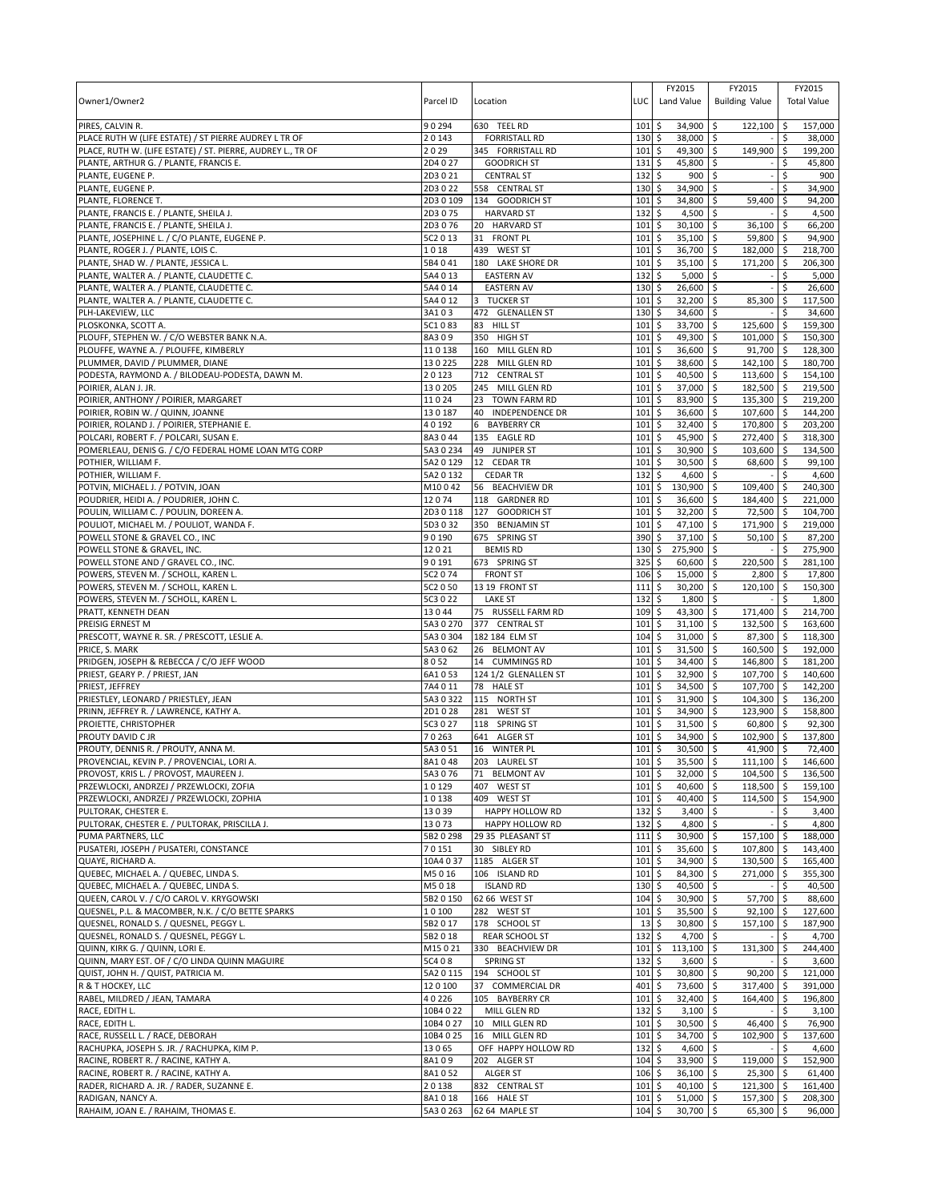| Owner1/Owner2                                                                                                        | Parcel ID              | Location                                                  | LUC                        | FY2015<br>Land Value               | FY2015<br><b>Building Value</b>     |                        | FY2015<br><b>Total Value</b> |
|----------------------------------------------------------------------------------------------------------------------|------------------------|-----------------------------------------------------------|----------------------------|------------------------------------|-------------------------------------|------------------------|------------------------------|
| PIRES, CALVIN R.                                                                                                     | 90294                  | 630 TEEL RD                                               | 101                        | \$<br>34.900                       | \$<br>122,100                       | \$                     | 157,000                      |
| PLACE RUTH W (LIFE ESTATE) / ST PIERRE AUDREY L TR OF<br>PLACE, RUTH W. (LIFE ESTATE) / ST. PIERRE, AUDREY L., TR OF | 20143<br>2029          | <b>FORRISTALL RD</b><br>345 FORRISTALL RD                 | 130<br>101                 | \$<br>38,000 \$<br>\$<br>49,300 \$ | 149,900                             | \$                     | 38,000<br>199,200            |
| PLANTE, ARTHUR G. / PLANTE, FRANCIS E.                                                                               | 2D4 0 27               | <b>GOODRICH ST</b>                                        | 131                        | \$<br>45,800                       | \$                                  | Ŝ.                     | 45,800                       |
| PLANTE, EUGENE P.                                                                                                    | 2D3021                 | <b>CENTRAL ST</b>                                         | 132                        | \$<br>900                          | l\$                                 | \$                     | 900                          |
| PLANTE, EUGENE P.                                                                                                    | 2D3022                 | 558 CENTRAL ST                                            | 130                        | \$<br>34,900                       | l\$                                 | \$                     | 34,900                       |
| PLANTE, FLORENCE T.                                                                                                  | 2D3 0 109              | 134 GOODRICH ST                                           | 101                        | \$<br>34,800                       | $\sqrt{5}$<br>59,400                | \$                     | 94,200                       |
| PLANTE, FRANCIS E. / PLANTE, SHEILA J.                                                                               | 2D3075                 | <b>HARVARD ST</b>                                         | 132                        | \$<br>4,500                        | ∣\$                                 | Ŝ.                     | 4,500                        |
| PLANTE, FRANCIS E. / PLANTE, SHEILA J.                                                                               | 2D3076                 | 20 HARVARD ST                                             | 101                        | \$<br>30,100                       | l\$<br>36,100                       | \$                     | 66,200                       |
| PLANTE, JOSEPHINE L. / C/O PLANTE, EUGENE P.                                                                         | 5C2 0 13               | 31<br><b>FRONT PL</b>                                     | 101                        | \$<br>35,100                       | \$ ا<br>59,800 \$                   |                        | 94,900                       |
| PLANTE, ROGER J. / PLANTE, LOIS C.                                                                                   | 1018                   | 439 WEST ST                                               | 101                        | 36,700<br>\$                       | \$<br>182.000                       | \$                     | 218,700                      |
| PLANTE, SHAD W. / PLANTE, JESSICA L.<br>PLANTE, WALTER A. / PLANTE, CLAUDETTE C.                                     | 5B4041<br>5A4 0 13     | 180 LAKE SHORE DR<br><b>EASTERN AV</b>                    | 101<br>132                 | \$<br>35,100<br>\$<br>5,000        | \$<br>171,200<br>l\$                | \$ ا<br>\$             | 206,300<br>5,000             |
| PLANTE, WALTER A. / PLANTE, CLAUDETTE C.                                                                             | 5A4 0 14               | <b>EASTERN AV</b>                                         | 130                        | \$<br>26,600                       | l\$                                 | \$                     | 26,600                       |
| PLANTE, WALTER A. / PLANTE, CLAUDETTE C.                                                                             | 5A4 0 12               | <b>TUCKER ST</b><br>3                                     | 101                        | 32,200<br>\$                       | \$<br>85,300                        | $\ddot{\varsigma}$     | 117,500                      |
| PLH-LAKEVIEW, LLC                                                                                                    | 3A103                  | 472 GLENALLEN ST                                          | 130                        | \$<br>34,600                       | \$                                  | Ŝ.                     | 34,600                       |
| PLOSKONKA, SCOTT A.                                                                                                  | 5C1083                 | <b>HILL ST</b><br>83                                      | 101                        | \$<br>33,700                       | \$<br>125,600                       | l\$                    | 159,300                      |
| PLOUFF, STEPHEN W. / C/O WEBSTER BANK N.A.                                                                           | 8A309                  | 350 HIGH ST                                               | 101                        | \$<br>49,300                       | \$<br>101,000                       | I\$                    | 150,300                      |
| PLOUFFE, WAYNE A. / PLOUFFE, KIMBERLY                                                                                | 110138                 | 160 MILL GLEN RD                                          | 101                        | \$<br>36,600                       | $\zeta$<br>91,700                   | \$                     | 128,300                      |
| PLUMMER, DAVID / PLUMMER, DIANE                                                                                      | 130225                 | 228 MILL GLEN RD                                          | 101                        | \$<br>38,600                       | l\$<br>142,100                      | l\$                    | 180,700                      |
| PODESTA, RAYMOND A. / BILODEAU-PODESTA, DAWN M.                                                                      | 20123                  | 712 CENTRAL ST                                            | 101                        | \$<br>40,500 \$                    | $113,600$ \$                        |                        | 154,100                      |
| POIRIER, ALAN J. JR.                                                                                                 | 130205                 | 245 MILL GLEN RD                                          | 101                        | \$<br>37,000                       | l\$<br>182,500                      | <b>S</b>               | 219,500                      |
| POIRIER, ANTHONY / POIRIER, MARGARET<br>POIRIER, ROBIN W. / QUINN, JOANNE                                            | 11024<br>130187        | 23<br><b>TOWN FARM RD</b><br><b>INDEPENDENCE DR</b><br>40 | 101<br>101                 | \$<br>83,900<br>36,600<br>\$       | \$<br>135,300<br>107,600<br>l\$     | $\sqrt{5}$<br><b>S</b> | 219,200<br>144,200           |
| POIRIER, ROLAND J. / POIRIER, STEPHANIE E.                                                                           | 40192                  | 6<br><b>BAYBERRY CR</b>                                   | 101                        | \$<br>32,400                       | \$<br>170,800 \$                    |                        | 203.200                      |
| POLCARI, ROBERT F. / POLCARI, SUSAN E.                                                                               | 8A3044                 | 135 EAGLE RD                                              | 101                        | \$<br>45,900                       | \$<br>272,400                       | <b>S</b>               | 318,300                      |
| POMERLEAU, DENIS G. / C/O FEDERAL HOME LOAN MTG CORP                                                                 | 5A3 0 234              | 49<br>JUNIPER ST                                          | 101                        | \$<br>30,900                       | \$<br>103,600                       | ۱\$                    | 134,500                      |
| POTHIER, WILLIAM F.                                                                                                  | 5A2 0 129              | 12 CEDAR TR                                               | 101                        | $30,500$ \$<br>\$                  | 68,600                              | l\$                    | 99,100                       |
| POTHIER, WILLIAM F.                                                                                                  | 5A2 0 132              | <b>CEDAR TR</b>                                           | 132                        | \$<br>$4,600$ \$                   |                                     | Ŝ.                     | 4,600                        |
| POTVIN, MICHAEL J. / POTVIN, JOAN                                                                                    | M10042                 | 56 BEACHVIEW DR                                           | 101                        | \$<br>130,900                      | $\overline{\phantom{a}}$<br>109.400 | \$                     | 240,300                      |
| POUDRIER, HEIDI A. / POUDRIER, JOHN C.                                                                               | 12074                  | 118 GARDNER RD                                            | 101                        | \$<br>36,600                       | \$<br>184,400                       | l \$                   | 221.000                      |
| POULIN, WILLIAM C. / POULIN, DOREEN A                                                                                | 2D30118                | 127 GOODRICH ST                                           | 101                        | \$<br>32,200                       | l\$<br>72,500 \$                    |                        | 104,700                      |
| POULIOT, MICHAEL M. / POULIOT, WANDA F.<br>POWELL STONE & GRAVEL CO., INC                                            | 5D3032<br>90190        | 350 BENJAMIN ST<br>675 SPRING ST                          | 101<br>390                 | \$<br>47,100<br>\$<br>37,100       | l\$<br>171,900 \$<br>  \$<br>50,100 | <b>S</b>               | 219,000<br>87,200            |
| POWELL STONE & GRAVEL, INC.                                                                                          | 12021                  | <b>BEMIS RD</b>                                           | 130                        | \$<br>275,900                      | ∣\$                                 | -\$                    | 275,900                      |
| POWELL STONE AND / GRAVEL CO., INC.                                                                                  | 90191                  | 673 SPRING ST                                             | 325                        | \$<br>60,600                       | l\$<br>220,500                      | \$                     | 281,100                      |
| POWERS, STEVEN M. / SCHOLL, KAREN L.                                                                                 | 5C2 0 74               | <b>FRONT ST</b>                                           | 106                        | \$<br>15,000                       | \$ ا<br>2,800                       | l \$                   | 17,800                       |
| POWERS, STEVEN M. / SCHOLL, KAREN L.                                                                                 | 5C2 0 50               | 13 19 FRONT ST                                            | 111                        | 30,200<br>\$                       | 120,100<br>\$                       | \$                     | 150,300                      |
| POWERS, STEVEN M. / SCHOLL, KAREN L.                                                                                 | 5C3 0 22               | <b>LAKE ST</b>                                            | 132                        | \$<br>1,800                        | \$                                  | Ŝ.                     | 1,800                        |
| PRATT, KENNETH DEAN                                                                                                  | 13044                  | 75 RUSSELL FARM RD                                        | 109                        | \$<br>43,300                       | \$<br>171,400                       | l \$                   | 214,700                      |
| PREISIG ERNEST M                                                                                                     | 5A3 0 270              | 377 CENTRAL ST                                            | 101                        | \$<br>31,100                       | l\$<br>132,500                      | <b>S</b>               | 163,600                      |
| PRESCOTT, WAYNE R. SR. / PRESCOTT, LESLIE A.                                                                         | 5A3 0 304              | 182 184 ELM ST                                            | 104                        | \$<br>31,000                       | \$<br>87,300                        | <b>S</b>               | 118,300                      |
| PRICE, S. MARK                                                                                                       | 5A3062<br>8052         | 26 BELMONT AV                                             | 101                        | 31,500<br>\$                       | 160,500<br>\$                       | l\$                    | 192,000<br>181,200           |
| PRIDGEN, JOSEPH & REBECCA / C/O JEFF WOOD<br>PRIEST, GEARY P. / PRIEST, JAN                                          | 6A1053                 | 14 CUMMINGS RD<br>124 1/2 GLENALLEN ST                    | 101<br>101                 | \$<br>34,400<br>\$<br>32,900       | \$<br>146,800<br>\$<br>107,700      | ۱\$<br>I\$             | 140,600                      |
| PRIEST, JEFFREY                                                                                                      | 7A4011                 | 78 HALE ST                                                | 101                        | \$<br>34,500                       | \$<br>107,700                       | $\sqrt{5}$             | 142,200                      |
| PRIESTLEY, LEONARD / PRIESTLEY, JEAN                                                                                 | 5A3 0 322              | 115 NORTH ST                                              | 101                        | \$<br>31,900                       | l\$<br>104,300                      | <b>S</b>               | 136,200                      |
| PRINN, JEFFREY R. / LAWRENCE, KATHY A.                                                                               | 2D1028                 | <b>WEST ST</b><br>281                                     | 101                        | \$<br>34,900                       | 123,900 \$<br>l\$                   |                        | 158,800                      |
| PROIETTE, CHRISTOPHER                                                                                                | 5C3 0 27               | 118 SPRING ST                                             | 101                        | \$<br>31,500                       | l\$<br>60,800                       | l \$                   | 92,300                       |
| PROUTY DAVID C JR                                                                                                    | 70263                  | 641 ALGER ST                                              | 101                        | \$<br>34,900                       | \$<br>102,900                       | \$                     | 137,800                      |
| PROUTY, DENNIS R. / PROUTY, ANNA M.                                                                                  | 5A3051                 | 16 WINTER PL                                              | 101                        | \$<br>30,500                       | 41,900<br>l\$                       | l \$                   | 72,400                       |
| PROVENCIAL, KEVIN P. / PROVENCIAL, LORI A                                                                            | 8A1048                 | 203 LAUREL ST                                             | $101$ \$                   | 35,500 \$                          | $111,100$ \$                        |                        | 146,600                      |
| PROVOST, KRIS L. / PROVOST, MAUREEN J.<br>PRZEWLOCKI, ANDRZEJ / PRZEWLOCKI, ZOFIA                                    | 5A3076<br>10129        | 71 BELMONT AV<br>407 WEST ST                              | $101 \,$ \$<br>$101 \;$ \$ | $32,000$ \$<br>40,600 \$           | 104,500 \$<br>118,500 \$            |                        | 136,500<br>159,100           |
| PRZEWLOCKI, ANDRZEJ / PRZEWLOCKI, ZOPHIA                                                                             | 10138                  | 409 WEST ST                                               | $101 \,$ \$                | 40,400 \$                          | 114,500 \$                          |                        | 154,900                      |
| PULTORAK, CHESTER E.                                                                                                 | 13039                  | HAPPY HOLLOW RD                                           | $132 \,$ \$                | $3,400$ \$                         |                                     | \$.                    | 3,400                        |
| PULTORAK, CHESTER E. / PULTORAK, PRISCILLA J.                                                                        | 13073                  | <b>HAPPY HOLLOW RD</b>                                    | 132                        | \$<br>4,800 \$                     |                                     | \$                     | 4,800                        |
| PUMA PARTNERS, LLC                                                                                                   | 5B2 0 298              | 29 35 PLEASANT ST                                         | 1115                       | 30,900 \$                          | 157,100                             | ۱\$                    | 188,000                      |
| PUSATERI, JOSEPH / PUSATERI, CONSTANCE                                                                               | 70151                  | 30 SIBLEY RD                                              | $101 \,$ \$                | $35,600$ \$                        | 107,800 \$                          |                        | 143,400                      |
| QUAYE, RICHARD A.                                                                                                    | 10A4037                | 1185 ALGER ST                                             | 101                        | \$<br>34,900 \$                    | 130,500 \$                          |                        | 165,400                      |
| QUEBEC, MICHAEL A. / QUEBEC, LINDA S.                                                                                | M5016                  | 106 ISLAND RD                                             | 101                        | \$<br>84,300 \$                    | 271,000 \$                          |                        | 355,300                      |
| QUEBEC, MICHAEL A. / QUEBEC, LINDA S.<br>QUEEN, CAROL V. / C/O CAROL V. KRYGOWSKI                                    | M5018                  | <b>ISLAND RD</b>                                          | $130 \;$ \$                | 40,500 \$<br>$30,900$ \$           |                                     | l\$                    | 40,500                       |
| QUESNEL, P.L. & MACOMBER, N.K. / C/O BETTE SPARKS                                                                    | 5B2 0 150<br>10100     | 62 66 WEST ST<br>282 WEST ST                              | 104<br>$101 \;$ \$         | \$<br>35,500 \$                    | 57,700 \$<br>$92,100$ \$            |                        | 88,600<br>127,600            |
| QUESNEL, RONALD S. / QUESNEL, PEGGY L.                                                                               | 5B2017                 | 178 SCHOOL ST                                             | 13                         | \$<br>30,800 \$                    | 157,100 \$                          |                        | 187,900                      |
| QUESNEL, RONALD S. / QUESNEL, PEGGY L.                                                                               | 5B2018                 | <b>REAR SCHOOL ST</b>                                     | 132                        | \$<br>4,700 \$                     |                                     | \$                     | 4,700                        |
| QUINN, KIRK G. / QUINN, LORI E.                                                                                      | M15021                 | 330 BEACHVIEW DR                                          | 101                        | \$<br>113,100 \$                   | 131,300                             | \$                     | 244,400                      |
| QUINN, MARY EST. OF / C/O LINDA QUINN MAGUIRE                                                                        | 5C408                  | <b>SPRING ST</b>                                          | 132                        | \$<br>$3,600$ \$                   |                                     | \$                     | 3,600                        |
| QUIST, JOHN H. / QUIST, PATRICIA M.                                                                                  | 5A2 0 115              | 194 SCHOOL ST                                             | 101                        | \$<br>30,800 \$                    | 90,200                              | ۱\$                    | 121,000                      |
| R & T HOCKEY, LLC                                                                                                    | 120100                 | 37 COMMERCIAL DR                                          | 401                        | 73,600 \$<br>\$                    | 317,400 \$                          |                        | 391,000                      |
| RABEL, MILDRED / JEAN, TAMARA                                                                                        | 40226                  | 105 BAYBERRY CR                                           | 101                        | \$<br>$32,400$ \$                  | 164,400 \$                          |                        | 196,800                      |
| RACE, EDITH L.                                                                                                       | 10B4 0 22              | MILL GLEN RD                                              | 132                        | \$<br>$3,100$ \$                   |                                     | \$                     | 3,100                        |
| RACE, EDITH L.<br>RACE, RUSSELL L. / RACE, DEBORAH                                                                   | 10B4 0 27<br>10B4 0 25 | 10 MILL GLEN RD<br>16 MILL GLEN RD                        | 101<br>101                 | 5<br>30,500 \$<br>\$<br>34,700 \$  | 46,400<br>102,900                   | l \$<br>$\sqrt{5}$     | 76,900<br>137,600            |
| RACHUPKA, JOSEPH S. JR. / RACHUPKA, KIM P.                                                                           | 13065                  | OFF HAPPY HOLLOW RD                                       | 132                        | \$<br>4,600 \$                     |                                     | \$                     | 4,600                        |
| RACINE, ROBERT R. / RACINE, KATHY A.                                                                                 | 8A109                  | 202 ALGER ST                                              | 104                        | \$<br>33,900 \$                    | 119,000                             | <b>S</b>               | 152,900                      |
| RACINE, ROBERT R. / RACINE, KATHY A.                                                                                 | 8A1052                 | <b>ALGER ST</b>                                           | 106                        | \$<br>$36,100$ \$                  | 25,300                              | l\$                    | 61,400                       |
| RADER, RICHARD A. JR. / RADER, SUZANNE E.                                                                            | 20138                  | 832 CENTRAL ST                                            | $101 \,$ \$                | $40,100$ \$                        | $121,300$ \$                        |                        | 161,400                      |
| RADIGAN, NANCY A.                                                                                                    | 8A1018                 | 166 HALE ST                                               | 101                        | \$<br>$51,000$ \$                  | 157,300 \$                          |                        | 208,300                      |
| RAHAIM, JOAN E. / RAHAIM, THOMAS E.                                                                                  | 5A3 0 263              | 62 64 MAPLE ST                                            | $104 \pm$                  | 30,700 \$                          | $65,300$ \$                         |                        | 96,000                       |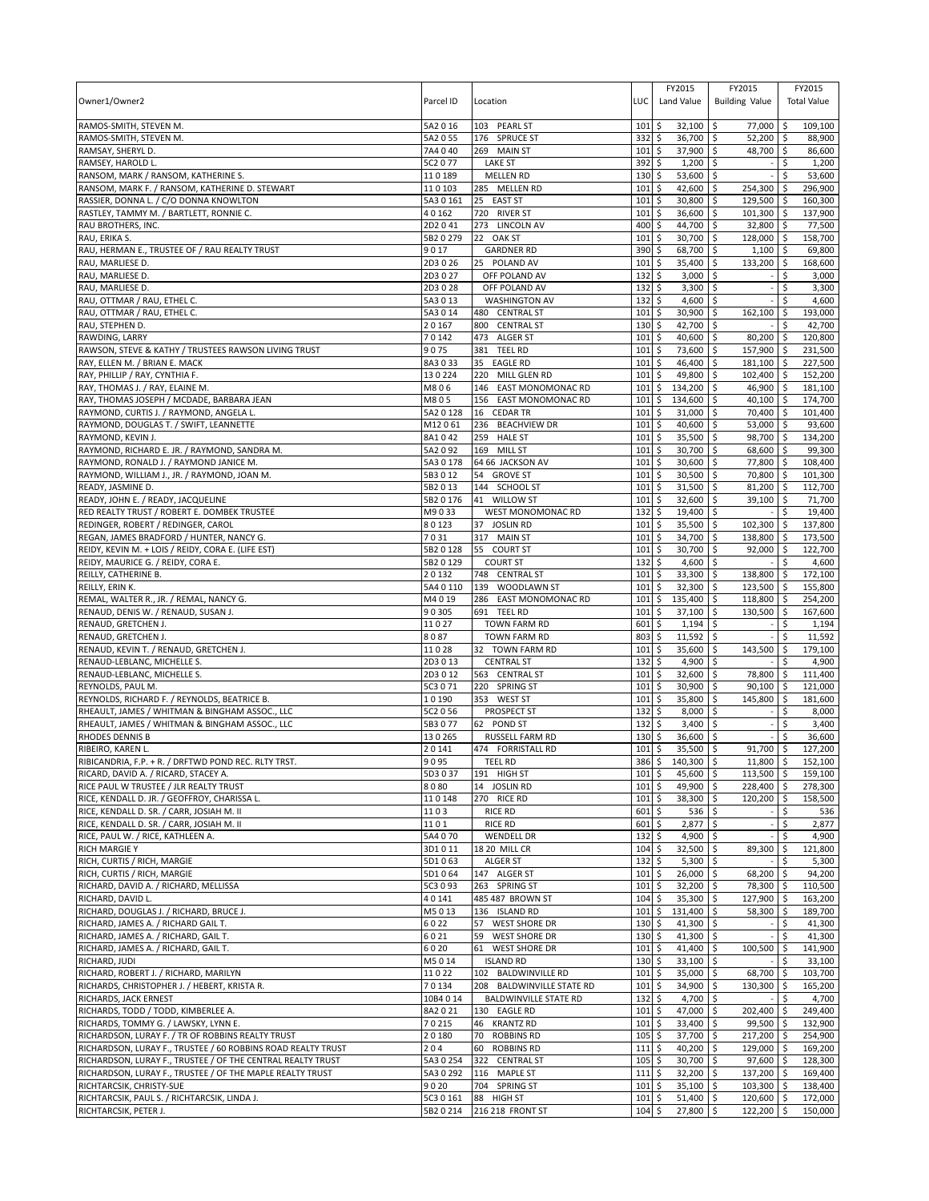| Owner1/Owner2                                                                  | Parcel ID             | Location                                     | LUC                        | FY2015<br>Land Value             | FY2015<br><b>Building Value</b>     |            | FY2015<br><b>Total Value</b> |
|--------------------------------------------------------------------------------|-----------------------|----------------------------------------------|----------------------------|----------------------------------|-------------------------------------|------------|------------------------------|
| RAMOS-SMITH, STEVEN M.                                                         | 5A2 0 16              | 103 PEARL ST                                 | 101                        | \$<br>32,100                     | 77,000<br>\$                        | -\$        | 109.100                      |
| RAMOS-SMITH, STEVEN M.                                                         | 5A2 0 55              | 176 SPRUCE ST                                | 332                        | \$<br>36,700                     | $52,200$ \$<br>S.                   |            | 88,900                       |
| RAMSAY, SHERYL D.<br>RAMSEY, HAROLD L.                                         | 7A4 040<br>5C2 0 77   | 269 MAIN ST<br><b>LAKE ST</b>                | 101<br>392                 | \$<br>37,900<br>\$<br>$1,200$ \$ | \$<br>48,700 \$                     | \$         | 86,600<br>1,200              |
| RANSOM, MARK / RANSOM, KATHERINE S.                                            | 110189                | <b>MELLEN RD</b>                             | 130                        | \$<br>53,600                     | -\$                                 | Ŝ.         | 53,600                       |
| RANSOM, MARK F. / RANSOM, KATHERINE D. STEWART                                 | 110103                | 285 MELLEN RD                                | 101                        | \$<br>42,600                     | $\mathsf{\hat{S}}$<br>254,300       | -\$        | 296,900                      |
| RASSIER, DONNA L. / C/O DONNA KNOWLTON                                         | 5A3 0 161             | 25 EAST ST                                   | 101                        | \$<br>30,800                     | \$<br>129,500 \$                    |            | 160,300                      |
| RASTLEY, TAMMY M. / BARTLETT, RONNIE C.                                        | 40162                 | 720 RIVER ST                                 | 101                        | \$<br>36,600                     | \$<br>101,300                       | -\$        | 137,900                      |
| RAU BROTHERS, INC.                                                             | 2D2041                | 273 LINCOLN AV                               | 400                        | 44,700<br>\$                     | 32,800<br>-\$                       | l \$       | 77,500                       |
| RAU, ERIKA S.                                                                  | 5B2 0 279             | 22 OAK ST                                    | 101                        | \$<br>30,700                     | $\ddot{\circ}$<br>128,000 \$        |            | 158,700                      |
| RAU, HERMAN E., TRUSTEE OF / RAU REALTY TRUST                                  | 9017                  | <b>GARDNER RD</b>                            | 390                        | \$<br>68,700                     | \$<br>1,100                         | \$         | 69,800                       |
| RAU, MARLIESE D.                                                               | 2D3026                | 25 POLAND AV                                 | 101                        | \$<br>35,400                     | \$<br>133,200                       | -\$        | 168,600                      |
| RAU, MARLIESE D                                                                | 2D3027                | OFF POLAND AV                                | 132                        | \$<br>3,000                      | -\$                                 | \$.        | 3,000                        |
| RAU, MARLIESE D.<br>RAU, OTTMAR / RAU, ETHEL C.                                | 2D3028<br>5A3013      | OFF POLAND AV<br><b>WASHINGTON AV</b>        | 132<br>132                 | \$<br>3,300<br>\$<br>$4,600$ \$  | \$                                  | \$         | 3,300<br>4,600               |
| RAU, OTTMAR / RAU, ETHEL C.                                                    | 5A3014                | 480 CENTRAL ST                               | 101                        | \$<br>30,900                     | \$<br>162,100                       | \$         | 193,000                      |
| RAU, STEPHEN D.                                                                | 20167                 | 800 CENTRAL ST                               | 130                        | \$<br>42,700                     | \$                                  | Ŝ.         | 42,700                       |
| RAWDING, LARRY                                                                 | 70142                 | 473 ALGER ST                                 | 101                        | \$<br>40,600                     | 80,200<br>-\$                       | <b>S</b>   | 120,800                      |
| RAWSON, STEVE & KATHY / TRUSTEES RAWSON LIVING TRUST                           | 9075                  | <b>TEEL RD</b><br>381                        | 101                        | \$<br>73,600                     | \$<br>157,900                       | -\$        | 231,500                      |
| RAY, ELLEN M. / BRIAN E. MACK                                                  | 8A3033                | 35<br><b>EAGLE RD</b>                        | 101                        | \$<br>46,400                     | \$<br>181,100                       | -\$        | 227,500                      |
| RAY, PHILLIP / RAY, CYNTHIA F.                                                 | 130224                | 220<br>MILL GLEN RD                          | 101                        | 49,800<br>\$                     | 102,400<br>\$                       | <b>S</b>   | 152,200                      |
| RAY, THOMAS J. / RAY, ELAINE M.                                                | M806                  | EAST MONOMONAC RD<br>146                     | 101                        | \$<br>134,200                    | \$<br>46,900                        | $\sqrt{5}$ | 181,100                      |
| RAY, THOMAS JOSEPH / MCDADE, BARBARA JEAN                                      | M805                  | 156 EAST MONOMONAC RD                        | 101                        | \$<br>134,600                    | \$<br>$40,100$ \$                   |            | 174,700                      |
| RAYMOND, CURTIS J. / RAYMOND, ANGELA L                                         | 5A2 0 128             | 16<br><b>CEDAR TR</b>                        | 101                        | \$<br>31,000                     | 70,400<br>\$                        | l \$       | 101,400                      |
| RAYMOND, DOUGLAS T. / SWIFT, LEANNETTE                                         | M12061                | 236 BEACHVIEW DR                             | 101                        | \$<br>40,600                     | 53,000<br>\$                        | \$         | 93,600                       |
| RAYMOND, KEVIN J.<br>RAYMOND, RICHARD E. JR. / RAYMOND, SANDRA M.              | 8A1042<br>5A2 0 92    | 259 HALE ST<br>169 MILL ST                   | 101<br>101                 | \$<br>35,500<br>\$<br>30,700     | 98,700 \$<br>\$<br>-\$<br>68,600 \$ |            | 134,200<br>99,300            |
| RAYMOND, RONALD J. / RAYMOND JANICE M.                                         | 5A30178               | 64 66 JACKSON AV                             | 101                        | \$<br>30,600                     | \$<br>77,800                        | \$         | 108,400                      |
| RAYMOND, WILLIAM J., JR. / RAYMOND, JOAN M.                                    | 5B3 0 12              | 54 GROVE ST                                  | 101                        | \$<br>30,500                     | \$<br>70,800 \$                     |            | 101,300                      |
| READY, JASMINE D.                                                              | 5B2013                | 144 SCHOOL ST                                | 101                        | \$<br>31,500                     | \$<br>81,200                        | l \$       | 112,700                      |
| READY, JOHN E. / READY, JACQUELINE                                             | 5B2 0 176             | <b>WILLOW ST</b><br>41                       | 101                        | \$<br>32,600                     | \$<br>39,100                        | \$ ا       | 71,700                       |
| RED REALTY TRUST / ROBERT E. DOMBEK TRUSTEE                                    | M9033                 | <b>WEST MONOMONAC RD</b>                     | 132                        | \$<br>19,400                     | \$                                  | Ŝ.         | 19,400                       |
| REDINGER, ROBERT / REDINGER, CAROL                                             | 80123                 | 37 JOSLIN RD                                 | 101                        | \$<br>35,500                     | \$<br>102,300                       | -\$        | 137,800                      |
| REGAN, JAMES BRADFORD / HUNTER, NANCY G.                                       | 7031                  | 317 MAIN ST                                  | 101                        | 34,700<br>\$                     | 138,800 \$<br>-\$                   |            | 173,500                      |
| REIDY, KEVIN M. + LOIS / REIDY, CORA E. (LIFE EST)                             | 5B2 0 128             | 55 COURT ST                                  | 101                        | \$<br>30,700                     | \$<br>92,000                        | l \$       | 122,700                      |
| REIDY, MAURICE G. / REIDY, CORA E.                                             | 5B2 0 129             | <b>COURT ST</b>                              | 132                        | \$<br>4,600                      | \$                                  | Ŝ.         | 4,600                        |
| REILLY, CATHERINE B.                                                           | 20132                 | 748 CENTRAL ST                               | 101                        | \$<br>33,300                     | 138,800<br>\$                       | <b>S</b>   | 172,100                      |
| REILLY, ERIN K.                                                                | 5A4 0 110             | 139 WOODLAWN ST                              | 101                        | \$<br>32,300                     | \$<br>123,500                       | -\$        | 155,800                      |
| REMAL, WALTER R., JR. / REMAL, NANCY G.<br>RENAUD, DENIS W. / RENAUD, SUSAN J. | M4019<br>90305        | 286 EAST MONOMONAC RD<br>691 TEEL RD         | 101<br>101                 | 135,400<br>\$<br>37,100<br>\$    | \$<br>118,800<br>130,500<br>-\$     | \$<br>\$ ا | 254,200<br>167,600           |
| RENAUD, GRETCHEN J.                                                            | 11027                 | TOWN FARM RD                                 | 601                        | \$<br>1,194                      | \$                                  | \$         | 1,194                        |
| RENAUD, GRETCHEN J.                                                            | 8087                  | TOWN FARM RD                                 | 803                        | \$<br>11,592                     | \$                                  | Ś          | 11,592                       |
| RENAUD, KEVIN T. / RENAUD, GRETCHEN J.                                         | 11028                 | 32 TOWN FARM RD                              | 101                        | \$<br>35,600                     | \$<br>143,500                       | \$         | 179,100                      |
| RENAUD-LEBLANC, MICHELLE S.                                                    | 2D3013                | <b>CENTRAL ST</b>                            | 132                        | \$<br>4,900                      | \$                                  | Ŝ.         | 4,900                        |
| RENAUD-LEBLANC, MICHELLE S.                                                    | 2D3012                | 563 CENTRAL ST                               | 101                        | \$<br>32,600                     | \$<br>78,800                        | <b>S</b>   | 111,400                      |
| REYNOLDS, PAUL M.                                                              | 5C3 0 71              | 220 SPRING ST                                | 101                        | \$<br>30,900                     | \$<br>90.100                        | -\$        | 121,000                      |
| REYNOLDS, RICHARD F. / REYNOLDS, BEATRICE B.                                   | 10190                 | 353 WEST ST                                  | 101                        | \$<br>35,800                     | \$<br>145,800                       | \$         | 181,600                      |
| RHEAULT, JAMES / WHITMAN & BINGHAM ASSOC., LLC                                 | 5C2 0 56              | PROSPECT ST                                  | 132                        | 8,000<br>\$                      | S.                                  | \$         | 8,000                        |
| RHEAULT, JAMES / WHITMAN & BINGHAM ASSOC., LLC<br><b>RHODES DENNIS B</b>       | 5B3077<br>130265      | 62 POND ST<br>RUSSELL FARM RD                | 132<br>130                 | \$<br>3,400                      | \$                                  | \$         | 3,400<br>36,600              |
| RIBEIRO, KAREN L.                                                              | 20141                 | 474 FORRISTALL RD                            | 101                        | \$<br>36,600<br>\$<br>35,500     | \$<br>\$<br>91,700                  | -\$        | 127.200                      |
| RIBICANDRIA, F.P. + R. / DRFTWD POND REC. RLTY TRST.                           | 9095                  | <b>TEEL RD</b>                               | 386 <sup>5</sup>           | $140,300$ 5                      | $11,800$ \$                         |            | 152,100                      |
| RICARD, DAVID A. / RICARD, STACEY A.                                           | 5D3037                | 191 HIGH ST                                  | $101 \;$ \$                | 45,600 \$                        | $113,500$ \$                        |            | 159,100                      |
| RICE PAUL W TRUSTEE / JLR REALTY TRUST                                         | 8080                  | 14 JOSLIN RD                                 | $101 \,$ \$                | 49,900 \$                        | 228,400 \$                          |            | 278,300                      |
| RICE, KENDALL D. JR. / GEOFFROY, CHARISSA L.                                   | 110148                | 270 RICE RD                                  | $101 \;$ \$                | 38,300 \$                        | 120,200                             | l \$       | 158,500                      |
| RICE, KENDALL D. SR. / CARR, JOSIAH M. II                                      | 1103                  | <b>RICE RD</b>                               | $601$ \$                   | $536$ \$                         |                                     | \$.        | 536                          |
| RICE, KENDALL D. SR. / CARR, JOSIAH M. II                                      | 1101                  | <b>RICE RD</b>                               | $601$ \$                   | $2,877$ \$                       |                                     | \$         | 2,877                        |
| RICE, PAUL W. / RICE, KATHLEEN A.                                              | 5A4 070               | <b>WENDELL DR</b>                            | 132                        | \$<br>4,900 \$                   |                                     | \$         | 4,900                        |
| <b>RICH MARGIE Y</b><br>RICH, CURTIS / RICH, MARGIE                            | 3D1011                | 18 20 MILL CR                                | $104 \,$ \$<br>$132 \,$ \$ | 32,500 \$<br>$5,300$ \$          | 89,300                              | \$ ا<br>\$ | 121,800                      |
| RICH, CURTIS / RICH, MARGIE                                                    | 5D1063<br>5D1064      | ALGER ST<br>147 ALGER ST                     | $101 \;$ \$                | 26,000 \$                        | 68,200                              | ا \$       | 5,300<br>94,200              |
| RICHARD, DAVID A. / RICHARD, MELLISSA                                          | 5C3 0 93              | 263 SPRING ST                                | 101                        | \$<br>32,200 \$                  | 78,300                              | <b>S</b>   | 110,500                      |
| RICHARD, DAVID L.                                                              | 40141                 | 485 487 BROWN ST                             | $104 \,$ \$                | 35,300 \$                        | 127,900 \$                          |            | 163,200                      |
| RICHARD, DOUGLAS J. / RICHARD, BRUCE J.                                        | M5013                 | 136 ISLAND RD                                | $101 \;$ \$                | 131,400 \$                       | 58,300 \$                           |            | 189,700                      |
| RICHARD, JAMES A. / RICHARD GAIL T.                                            | 6022                  | <b>WEST SHORE DR</b><br>57                   | $130 \;$ \$                | 41,300 \$                        |                                     | \$         | 41,300                       |
| RICHARD, JAMES A. / RICHARD, GAIL T.                                           | 6021                  | 59<br><b>WEST SHORE DR</b>                   | $130 \;$ \$                | 41,300 \$                        |                                     |            | 41,300                       |
| RICHARD, JAMES A. / RICHARD, GAIL T.                                           | 6020                  | <b>WEST SHORE DR</b><br>61                   | $101 \;$ \$                | 41,400 \$                        | 100,500                             | \$         | 141,900                      |
| RICHARD, JUDI                                                                  | M5014                 | <b>ISLAND RD</b>                             | $130 \;$ \$                | $33,100$ \$                      |                                     | \$         | 33,100                       |
| RICHARD, ROBERT J. / RICHARD, MARILYN                                          | 11022                 | 102 BALDWINVILLE RD                          | 101                        | \$<br>35,000 \$                  | 68,700 \$                           |            | 103,700                      |
| RICHARDS, CHRISTOPHER J. / HEBERT, KRISTA R.                                   | 70134                 | 208 BALDWINVILLE STATE RD                    | 101                        | \$<br>34,900 \$                  | 130,300                             | l \$       | 165,200                      |
| RICHARDS, JACK ERNEST<br>RICHARDS, TODD / TODD, KIMBERLEE A.                   | 10B4 0 14<br>8A2 0 21 | <b>BALDWINVILLE STATE RD</b><br>130 EAGLE RD | $132 \,$ \$<br>$101 \;$ \$ | $4,700$ \$<br>47,000 \$          | 202,400 \$                          | \$         | 4,700<br>249,400             |
| RICHARDS, TOMMY G. / LAWSKY, LYNN E.                                           | 70215                 | 46 KRANTZ RD                                 | 101                        | \$<br>$33,400$ \$                | 99,500 \$                           |            | 132,900                      |
| RICHARDSON, LURAY F. / TR OF ROBBINS REALTY TRUST                              | 20180                 | 70 ROBBINS RD                                | $105$ \$                   | 37,700 \$                        | 217,200 \$                          |            | 254,900                      |
| RICHARDSON, LURAY F., TRUSTEE / 60 ROBBINS ROAD REALTY TRUST                   | 204                   | 60 ROBBINS RD                                | 1115                       | $40,200$ \$                      | 129,000 \$                          |            | 169,200                      |
| RICHARDSON, LURAY F., TRUSTEE / OF THE CENTRAL REALTY TRUST                    | 5A3 0 254             | 322 CENTRAL ST                               | $105 \pm 5$                | 30,700 \$                        | 97,600 \$                           |            | 128,300                      |
| RICHARDSON, LURAY F., TRUSTEE / OF THE MAPLE REALTY TRUST                      | 5A3 0 292             | 116 MAPLE ST                                 | 1115                       | $32,200$ \$                      | 137,200 \$                          |            | 169,400                      |
| RICHTARCSIK, CHRISTY-SUE                                                       | 9020                  | 704 SPRING ST                                | $101 \;$ \$                | $35,100$ \$                      | 103,300 \$                          |            | 138,400                      |
| RICHTARCSIK, PAUL S. / RICHTARCSIK, LINDA J.                                   | 5C3 0 161             | 88 HIGH ST                                   | $101 \;$ \$                | $51,400$ \$                      | 120,600 \$                          |            | 172,000                      |
| RICHTARCSIK, PETER J.                                                          | 5B2 0 214             | 216 218 FRONT ST                             | $104 \,$ \$                | 27,800 \$                        | 122,200 \$                          |            | 150,000                      |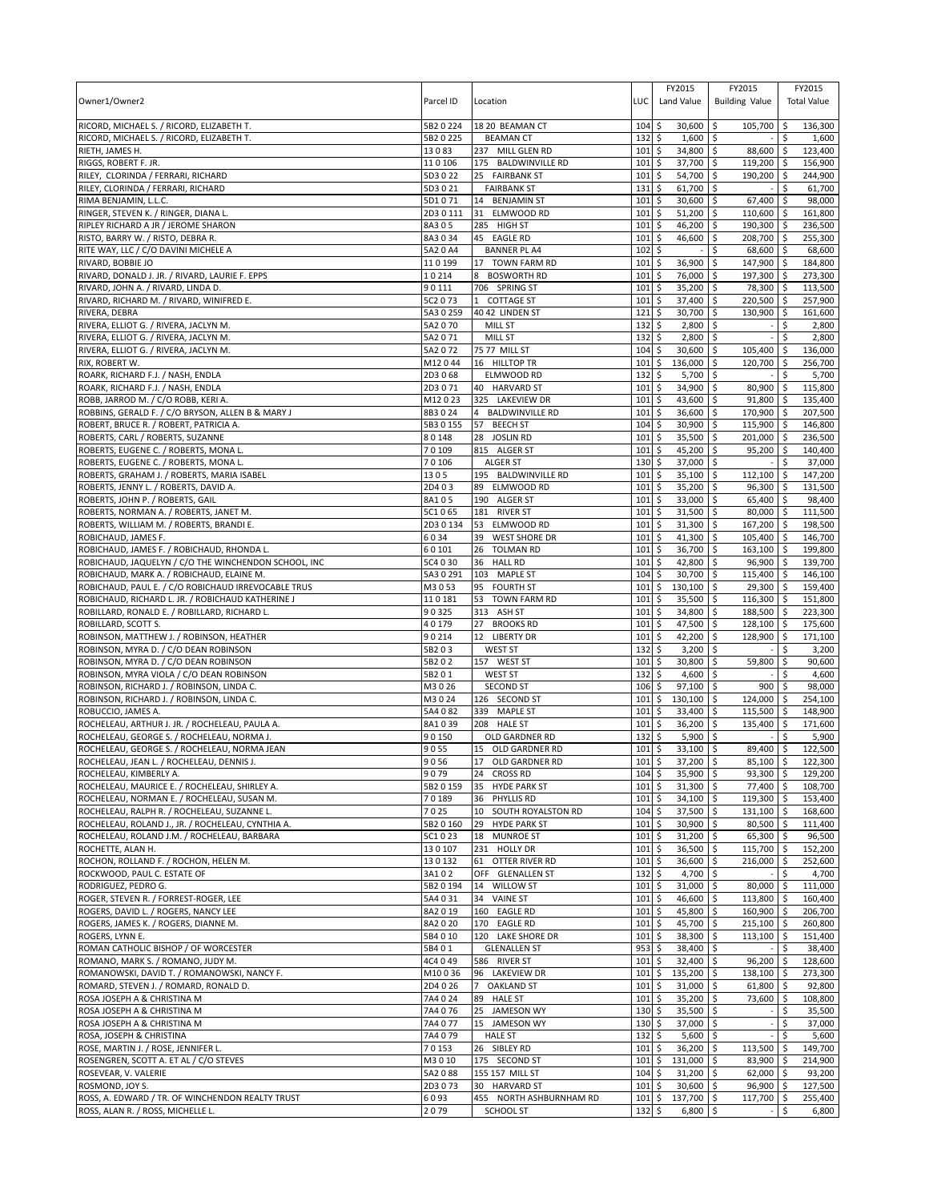| Owner1/Owner2                                                                                            | Parcel ID          | Location                                     | LUC                | FY2015<br>Land Value                   | FY2015<br><b>Building Value</b>        |                 | FY2015<br><b>Total Value</b> |
|----------------------------------------------------------------------------------------------------------|--------------------|----------------------------------------------|--------------------|----------------------------------------|----------------------------------------|-----------------|------------------------------|
| RICORD, MICHAEL S. / RICORD, ELIZABETH T.                                                                | 5B2 0 224          | 18 20 BEAMAN CT                              | 104                | \$<br>30,600                           | -\$<br>105,700                         | -\$             | 136,300                      |
| RICORD, MICHAEL S. / RICORD, ELIZABETH T.<br>RIETH, JAMES H.                                             | 5B2 0 225<br>13083 | <b>BEAMAN CT</b><br>237 MILL GLEN RD         | 132<br>101         | \$<br>1,600<br>34,800 \$<br>\$         | l \$<br>88,600                         | \$<br>-\$       | 1,600<br>123,400             |
| RIGGS, ROBERT F. JR.                                                                                     | 110106             | 175 BALDWINVILLE RD                          | 101                | \$<br>37,700                           | \$<br>119,200                          | \$ ا            | 156,900                      |
| RILEY, CLORINDA / FERRARI, RICHARD                                                                       | 5D3 0 22           | 25 FAIRBANK ST                               | 101                | 54,700<br>\$                           | \$<br>190,200                          | -\$             | 244,900                      |
| RILEY, CLORINDA / FERRARI, RICHARD                                                                       | 5D3 0 21           | <b>FAIRBANK ST</b>                           | 131                | \$<br>61,700                           | \$                                     | \$              | 61,700                       |
| RIMA BENJAMIN, L.L.C.                                                                                    | 5D1071             | 14 BENJAMIN ST                               | 101                | \$<br>30,600                           | 67,400<br>\$                           | \$ ا            | 98,000                       |
| RINGER, STEVEN K. / RINGER, DIANA L                                                                      | 2D3 0 111          | 31<br>ELMWOOD RD                             | 101                | \$<br>51,200                           | \$<br>110,600                          | l \$            | 161,800                      |
| RIPLEY RICHARD A JR / JEROME SHARON                                                                      | 8A305              | 285 HIGH ST                                  | 101                | 46,200<br>\$                           | 190,300<br>Ŝ.                          | \$              | 236,500                      |
| RISTO, BARRY W. / RISTO, DEBRA R.<br>RITE WAY, LLC / C/O DAVINI MICHELE A                                | 8A3034<br>5A20A4   | 45 EAGLE RD<br><b>BANNER PL A4</b>           | 101<br>102         | \$<br>46,600<br>\$                     | 208,700 \$<br>-\$<br>\$<br>68,600      | <b>S</b>        | 255,300<br>68,600            |
| RIVARD, BOBBIE JO                                                                                        | 110199             | 17 TOWN FARM RD                              | 101                | \$<br>36,900                           | 147,900<br>\$                          | ا \$            | 184.800                      |
| RIVARD, DONALD J. JR. / RIVARD, LAURIE F. EPPS                                                           | 10214              | 8<br><b>BOSWORTH RD</b>                      | 101                | \$<br>76,000                           | 197,300<br>\$                          | <b>S</b>        | 273,300                      |
| RIVARD, JOHN A. / RIVARD, LINDA D.                                                                       | 90111              | 706 SPRING ST                                | 101                | \$<br>35,200                           | \$<br>78,300                           | l \$            | 113,500                      |
| RIVARD, RICHARD M. / RIVARD, WINIFRED E.                                                                 | 5C2 073            | 1 COTTAGE ST                                 | 101                | \$<br>37,400                           | 5<br>220,500 \$                        |                 | 257,900                      |
| RIVERA, DEBRA                                                                                            | 5A3 0 259          | 40 42 LINDEN ST                              | 121                | \$<br>30,700                           | \$<br>130,900                          | l \$            | 161,600                      |
| RIVERA, ELLIOT G. / RIVERA, JACLYN M.                                                                    | 5A2 0 70           | <b>MILL ST</b>                               | 132                | \$<br>2,800                            | $\mathsf{\hat{S}}$                     | Ŝ.              | 2,800                        |
| RIVERA, ELLIOT G. / RIVERA, JACLYN M.                                                                    | 5A2071             | MILL ST                                      | 132                | 5<br>$2,800$ \$                        |                                        | \$              | 2,800                        |
| RIVERA, ELLIOT G. / RIVERA, JACLYN M.<br>RIX, ROBERT W.                                                  | 5A2072<br>M12044   | 75 77 MILL ST<br>16 HILLTOP TR               | 104<br>101         | \$<br>30,600<br>\$<br>136,000          | \$<br>105,400<br>\$<br>120,700         | \$<br>\$        | 136,000<br>256,700           |
| ROARK, RICHARD F.J. / NASH, ENDLA                                                                        | 2D3068             | ELMWOOD RD                                   | 132                | \$<br>$5,700$ \$                       |                                        | \$              | 5,700                        |
| ROARK, RICHARD F.J. / NASH, ENDLA                                                                        | 2D3071             | 40 HARVARD ST                                | 101                | \$<br>34,900                           | \$<br>80,900                           | \$              | 115,800                      |
| ROBB, JARROD M. / C/O ROBB, KERI A.                                                                      | M12023             | 325 LAKEVIEW DR                              | 101                | \$<br>43,600                           | 91.800<br>\$                           | -\$             | 135,400                      |
| ROBBINS, GERALD F. / C/O BRYSON, ALLEN B & MARY J                                                        | 8B3024             | 4 BALDWINVILLE RD                            | 101                | \$<br>36,600                           | 170,900 \$<br>-\$                      |                 | 207,500                      |
| ROBERT, BRUCE R. / ROBERT, PATRICIA A.                                                                   | 5B3 0 155          | 57<br><b>BEECH ST</b>                        | 104                | \$<br>30,900                           | $\mathsf{\hat{S}}$<br>115,900          | l\$             | 146.800                      |
| ROBERTS, CARL / ROBERTS, SUZANNE                                                                         | 80148              | 28 JOSLIN RD                                 | 101                | \$<br>35,500                           | 201,000 \$<br>-\$                      |                 | 236,500                      |
| ROBERTS, EUGENE C. / ROBERTS, MONA L.                                                                    | 70109              | 815 ALGER ST                                 | 101                | \$<br>45,200                           | \$<br>95,200                           | l\$             | 140,400                      |
| ROBERTS, EUGENE C. / ROBERTS, MONA L.                                                                    | 70106              | ALGER ST                                     | 130                | 37,000<br>\$                           | \$                                     | Ŝ.              | 37,000                       |
| ROBERTS, GRAHAM J. / ROBERTS, MARIA ISABEL<br>ROBERTS, JENNY L. / ROBERTS, DAVID A.                      | 1305<br>2D403      | 195 BALDWINVILLE RD<br>89 ELMWOOD RD         | 101<br>101         | \$<br>35,100<br>\$<br>35,200           | 5<br>$112,100$ \$<br>\$<br>$96,300$ \$ |                 | 147,200<br>131,500           |
| ROBERTS, JOHN P. / ROBERTS, GAIL                                                                         | 8A105              | 190 ALGER ST                                 | 101                | \$<br>33,000                           | \$<br>65.400                           |                 | 98.400                       |
| ROBERTS, NORMAN A. / ROBERTS, JANET M.                                                                   | 5C1065             | 181<br><b>RIVER ST</b>                       | 101                | 31,500<br>\$                           | 80,000<br>Ŝ.                           | ۱\$             | 111,500                      |
| ROBERTS, WILLIAM M. / ROBERTS, BRANDI E.                                                                 | 2D30134            | 53<br>ELMWOOD RD                             | 101                | \$<br>31,300                           | \$<br>167,200 \$                       |                 | 198,500                      |
| ROBICHAUD, JAMES F.                                                                                      | 6034               | 39<br><b>WEST SHORE DR</b>                   | 101                | 41,300<br>\$                           | \$<br>105,400 \$                       |                 | 146,700                      |
| ROBICHAUD, JAMES F. / ROBICHAUD, RHONDA L.                                                               | 60101              | 26<br><b>TOLMAN RD</b>                       | 101                | \$<br>36,700                           | -\$<br>163,100                         | l\$             | 199,800                      |
| ROBICHAUD, JAQUELYN / C/O THE WINCHENDON SCHOOL, INC                                                     | 5C4 0 30           | 36<br><b>HALL RD</b>                         | 101                | \$<br>42,800                           | 96,900<br>S.                           | <b>S</b>        | 139,700                      |
| ROBICHAUD, MARK A. / ROBICHAUD, ELAINE M.                                                                | 5A3 0 291          | 103 MAPLE ST                                 | 104                | \$<br>30,700 \$                        | 115,400 \$                             |                 | 146,100                      |
| ROBICHAUD, PAUL E. / C/O ROBICHAUD IRREVOCABLE TRUS<br>ROBICHAUD, RICHARD L. JR. / ROBICHAUD KATHERINE J | M3053<br>110181    | 95 FOURTH ST<br>53<br><b>TOWN FARM RD</b>    | 101<br>101         | \$<br>130,100<br>\$<br>35,500          | -\$<br>29,300<br>116,300<br>Ŝ.         | <b>S</b><br>۱\$ | 159,400<br>151,800           |
| ROBILLARD, RONALD E. / ROBILLARD, RICHARD L                                                              | 90325              | 313 ASH ST                                   | 101                | 34,800<br>\$                           | 188,500 \$<br>S.                       |                 | 223,300                      |
| ROBILLARD, SCOTT S.                                                                                      | 40179              | <b>BROOKS RD</b><br>27                       | 101                | \$<br>47,500                           | \$<br>128,100                          | l \$            | 175,600                      |
| ROBINSON, MATTHEW J. / ROBINSON, HEATHER                                                                 | 90214              | 12<br><b>LIBERTY DR</b>                      | 101                | \$<br>42,200                           | \$<br>128,900                          | \$              | 171,100                      |
| ROBINSON, MYRA D. / C/O DEAN ROBINSON                                                                    | 5B203              | <b>WEST ST</b>                               | 132                | \$<br>3,200                            | \$                                     | Ŝ.              | 3,200                        |
| ROBINSON, MYRA D. / C/O DEAN ROBINSON                                                                    | 5B202              | 157 WEST ST                                  | 101                | \$<br>30,800                           | $\mathsf{\hat{S}}$<br>59,800           | S.              | 90,600                       |
| ROBINSON, MYRA VIOLA / C/O DEAN ROBINSON                                                                 | 5B201              | <b>WEST ST</b>                               | 132                | \$<br>$4,600$ \$                       |                                        | \$              | 4,600                        |
| ROBINSON, RICHARD J. / ROBINSON, LINDA C.<br>ROBINSON, RICHARD J. / ROBINSON, LINDA C.                   | M3026              | <b>SECOND ST</b>                             | 106<br>101         | 97,100<br>\$<br>\$                     | \$ ا<br>900                            | \$              | 98,000                       |
| ROBUCCIO, JAMES A.                                                                                       | M3024<br>5A4 0 82  | 126 SECOND ST<br>339 MAPLE ST                | 101                | 130,100<br>\$<br>33,400                | 124,000<br>-\$<br>115,500<br>-\$       | ۱\$<br>l \$     | 254,100<br>148,900           |
| ROCHELEAU, ARTHUR J. JR. / ROCHELEAU, PAULA A.                                                           | 8A1039             | 208 HALE ST                                  | 101                | \$<br>36,200                           | \$<br>135,400                          | \$ ا            | 171,600                      |
| ROCHELEAU, GEORGE S. / ROCHELEAU, NORMA J.                                                               | 90150              | OLD GARDNER RD                               | 132                | \$<br>5,900                            | \$                                     |                 | 5,900                        |
| ROCHELEAU, GEORGE S. / ROCHELEAU, NORMA JEAN                                                             | 9055               | 15 OLD GARDNER RD                            | $101 \;$ \$        | 33,100 \$                              | 89,400                                 | $\sqrt{5}$      | 122,500                      |
| ROCHELEAU, JEAN L. / ROCHELEAU, DENNIS J.                                                                | 9056               | 17 OLD GARDNER RD                            | $101\overline{s}$  | $37.200$ \$                            | 85.100 \$                              |                 | 122.300                      |
| ROCHELEAU, KIMBERLY A.                                                                                   | 9079               | 24 CROSS RD                                  | 104                | 35,900 \$<br>\$                        | $93,300$ \$                            |                 | 129,200                      |
| ROCHELEAU, MAURICE E. / ROCHELEAU, SHIRLEY A.                                                            | 5B2 0 159          | 35<br><b>HYDE PARK ST</b>                    | 101                | \$<br>31,300 \$                        | 77,400 \$                              |                 | 108,700                      |
| ROCHELEAU, NORMAN E. / ROCHELEAU, SUSAN M.                                                               | 70189<br>7025      | 36<br>PHYLLIS RD<br>10<br>SOUTH ROYALSTON RD | 101<br>104         | \$<br>$34,100$ \$<br>\$<br>$37,500$ \$ | 119,300<br>$131,100$ \$                | ۱\$             | 153,400<br>168,600           |
| ROCHELEAU, RALPH R. / ROCHELEAU, SUZANNE L.<br>ROCHELEAU, ROLAND J., JR. / ROCHELEAU, CYNTHIA A.         | 5B2 0 160          | 29<br><b>HYDE PARK ST</b>                    | 101                | \$<br>30,900 \$                        | 80,500 \$                              |                 | 111,400                      |
| ROCHELEAU, ROLAND J.M. / ROCHELEAU, BARBARA                                                              | 5C1023             | 18<br><b>MUNROE ST</b>                       | 101                | \$<br>31,200                           | 65,300<br>ا \$                         | <b>S</b>        | 96,500                       |
| ROCHETTE, ALAN H.                                                                                        | 130107             | 231 HOLLY DR                                 | 101                | \$<br>36,500 \$                        | 115,700 \$                             |                 | 152,200                      |
| ROCHON, ROLLAND F. / ROCHON, HELEN M.                                                                    | 130132             | OTTER RIVER RD<br>61                         | 101                | \$<br>36,600                           | \$<br>216,000                          | $\sqrt{5}$      | 252,600                      |
| ROCKWOOD, PAUL C. ESTATE OF                                                                              | 3A1 0 2            | OFF GLENALLEN ST                             | 132                | \$<br>4,700 \$                         |                                        | \$              | 4,700                        |
| RODRIGUEZ, PEDRO G.                                                                                      | 5B2 0 194          | 14 WILLOW ST                                 | 101                | \$<br>31,000 \$                        | 80,000                                 | \$              | 111,000                      |
| ROGER, STEVEN R. / FORREST-ROGER, LEE<br>ROGERS, DAVID L. / ROGERS, NANCY LEE                            | 5A4 0 31           | 34 VAINE ST                                  | 101<br>101         | \$<br>46,600 \$<br>\$<br>45,800 \$     | 113,800<br>160,900 \$                  | l \$            | 160,400<br>206,700           |
| ROGERS, JAMES K. / ROGERS, DIANNE M.                                                                     | 8A2 0 19<br>8A2020 | 160 EAGLE RD<br>170 EAGLE RD                 | 101                | \$<br>45,700 \$                        | $215,100$ \$                           |                 | 260,800                      |
| ROGERS, LYNN E.                                                                                          | 5B4010             | 120 LAKE SHORE DR                            | 101                | l\$<br>38,300 \$                       | $113,100$ \$                           |                 | 151,400                      |
| ROMAN CATHOLIC BISHOP / OF WORCESTER                                                                     | 5B401              | <b>GLENALLEN ST</b>                          | 953                | $\ddot{s}$<br>38,400 \$                |                                        | \$              | 38,400                       |
| ROMANO, MARK S. / ROMANO, JUDY M.                                                                        | 4C4 0 49           | 586 RIVER ST                                 | 101                | \$<br>32,400 \$                        | 96,200 \$                              |                 | 128,600                      |
| ROMANOWSKI, DAVID T. / ROMANOWSKI, NANCY F.                                                              | M10036             | 96 LAKEVIEW DR                               | $101 \;$ \$        | 135,200 \$                             | 138,100 \$                             |                 | 273,300                      |
| ROMARD, STEVEN J. / ROMARD, RONALD D.                                                                    | 2D4026             | 7 OAKLAND ST                                 | 101                | \$<br>$31,000$ \$                      | 61,800                                 | l\$             | 92,800                       |
| ROSA JOSEPH A & CHRISTINA M                                                                              | 7A4 0 24           | 89 HALE ST                                   | 101                | 5<br>35,200 \$                         | 73,600 \$                              |                 | 108,800                      |
| ROSA JOSEPH A & CHRISTINA M<br>ROSA JOSEPH A & CHRISTINA M                                               | 7A4 076<br>7A4 077 | 25 JAMESON WY<br>15 JAMESON WY               | $130 \;$ \$<br>130 | 35,500 \$<br>\$<br>37,000              | $\ddot{\circ}$                         | \$<br>\$        | 35,500<br>37,000             |
| ROSA, JOSEPH & CHRISTINA                                                                                 | 7A4 079            | <b>HALE ST</b>                               | $132 \,$ \$        | $5,600$ \$                             |                                        | \$              | 5,600                        |
| ROSE, MARTIN J. / ROSE, JENNIFER L.                                                                      | 70153              | 26 SIBLEY RD                                 | $101 \,$ \$        | $36,200$ \$                            | 113,500                                | l \$            | 149,700                      |
| ROSENGREN, SCOTT A. ET AL / C/O STEVES                                                                   | M3010              | 175 SECOND ST                                | 101                | \$<br>131,000 \$                       | 83,900                                 | ۱\$             | 214,900                      |
| ROSEVEAR, V. VALERIE                                                                                     | 5A2088             | 155 157 MILL ST                              | 104                | \$<br>31,200 \$                        | $62,000$ \$                            |                 | 93,200                       |
| ROSMOND, JOY S.                                                                                          | 2D3073             | 30 HARVARD ST                                | 101                | \$<br>30,600                           | 96,900 \$<br>l \$                      |                 | 127,500                      |
| ROSS, A. EDWARD / TR. OF WINCHENDON REALTY TRUST                                                         | 6093               | 455 NORTH ASHBURNHAM RD                      | 101                | $\mathsf{S}$<br>137,700 \$             | 117,700 \$                             |                 | 255,400                      |
| ROSS, ALAN R. / ROSS, MICHELLE L.                                                                        | 2079               | SCHOOL ST                                    | $132 \;$ \$        | $6,800$ \$                             | $\overline{\phantom{a}}$               | -\$             | 6,800                        |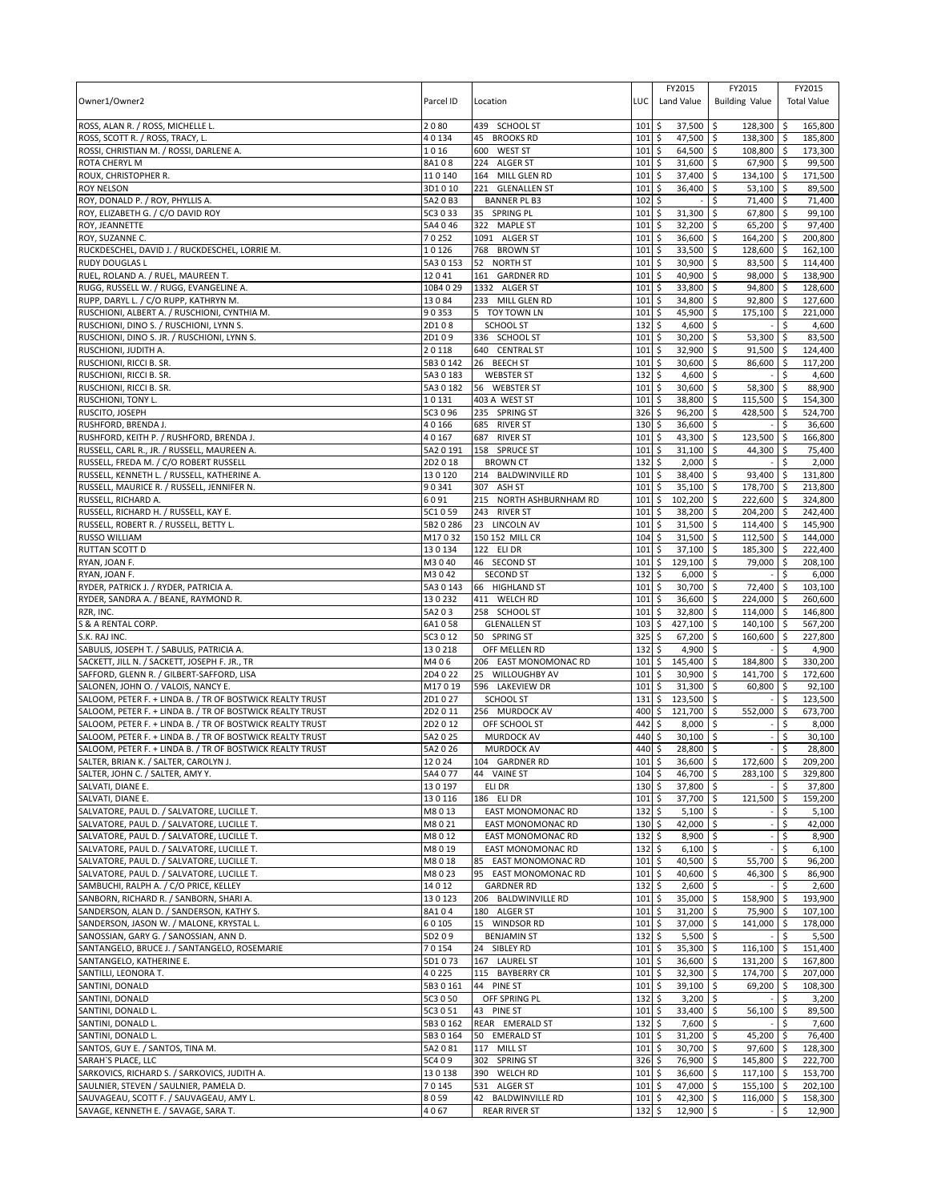| Owner1/Owner2                                                                                                          | Parcel ID           | Location                                 | LUC        | FY2015<br>Land Value                 | FY2015<br><b>Building Value</b>      |                    | FY2015<br><b>Total Value</b> |
|------------------------------------------------------------------------------------------------------------------------|---------------------|------------------------------------------|------------|--------------------------------------|--------------------------------------|--------------------|------------------------------|
| ROSS, ALAN R. / ROSS, MICHELLE L.                                                                                      | 2080                | 439 SCHOOL ST                            | 101        | \$<br>37,500                         | l \$<br>$128,300$ \$                 |                    | 165,800                      |
| ROSS, SCOTT R. / ROSS, TRACY, L.                                                                                       | 40134               | 45 BROOKS RD                             | 101        | \$<br>47,500                         | $\ddot{s}$<br>138,300 \$             |                    | 185,800                      |
| ROSSI, CHRISTIAN M. / ROSSI, DARLENE A.                                                                                | 1016                | 600 WEST ST                              | 101        | 64,500<br>\$                         | \$<br>108,800 \$                     |                    | 173,300                      |
| ROTA CHERYL M<br>ROUX, CHRISTOPHER R.                                                                                  | 8A108<br>110140     | 224 ALGER ST<br>164 MILL GLEN RD         | 101<br>101 | \$<br>31,600<br>37,400<br>\$         | \$<br>67,900 \$<br>\$<br>134,100 \$  |                    | 99,500<br>171,500            |
| <b>ROY NELSON</b>                                                                                                      | 3D1010              | 221<br><b>GLENALLEN ST</b>               | 101        | 36,400<br>\$                         | \$<br>$53,100$ \$                    |                    | 89,500                       |
| ROY, DONALD P. / ROY, PHYLLIS A.                                                                                       | 5A2 0 B3            | <b>BANNER PL B3</b>                      | 102        | \$                                   | \$<br>71,400 \$                      |                    | 71,400                       |
| ROY, ELIZABETH G. / C/O DAVID ROY                                                                                      | 5C3 0 33            | 35 SPRING PL                             | 101        | \$<br>31,300                         | \$<br>67,800 \$                      |                    | 99,100                       |
| ROY, JEANNETTE                                                                                                         | 5A4 0 46            | 322 MAPLE ST                             | 101        | 32,200<br>\$                         | 65,200 \$<br>\$                      |                    | 97,400                       |
| ROY, SUZANNE C.                                                                                                        | 70252               | 1091 ALGER ST                            | 101        | \$<br>36,600                         | 164,200 \$<br>\$                     |                    | 200,800                      |
| RUCKDESCHEL, DAVID J. / RUCKDESCHEL, LORRIE M.<br><b>RUDY DOUGLAS L</b>                                                | 10126<br>5A3 0 153  | 768 BROWN ST<br>52 NORTH ST              | 101<br>101 | 33,500<br>\$<br>30,900<br>\$         | \$<br>128,600 \$<br>\$<br>83,500 \$  |                    | 162,100<br>114,400           |
| RUEL, ROLAND A. / RUEL, MAUREEN T.                                                                                     | 12041               | 161 GARDNER RD                           | 101        | 40,900<br>\$                         | \$<br>98,000 \$                      |                    | 138,900                      |
| RUGG, RUSSELL W. / RUGG, EVANGELINE A.                                                                                 | 10B4 0 29           | 1332 ALGER ST                            | 101        | \$<br>33,800                         | \$<br>94,800 \$                      |                    | 128,600                      |
| RUPP, DARYL L. / C/O RUPP, KATHRYN M.                                                                                  | 13084               | 233 MILL GLEN RD                         | 101        | \$<br>34,800                         | \$<br>92,800 \$                      |                    | 127,600                      |
| RUSCHIONI, ALBERT A. / RUSCHIONI, CYNTHIA M.                                                                           | 90353               | 5 TOY TOWN LN                            | 101        | \$<br>45,900                         | \$<br>175,100 \$                     |                    | 221,000                      |
| RUSCHIONI, DINO S. / RUSCHIONI, LYNN S.                                                                                | 2D108               | SCHOOL ST                                | 132        | $\zeta$<br>4,600                     | \$                                   | Ŝ.                 | 4,600                        |
| RUSCHIONI, DINO S. JR. / RUSCHIONI, LYNN S.                                                                            | 2D109<br>20118      | 336 SCHOOL ST                            | 101<br>101 | \$<br>30,200<br>\$                   | 53,300 \$<br>5                       |                    | 83,500                       |
| RUSCHIONI, JUDITH A.<br>RUSCHIONI, RICCI B. SR.                                                                        | 5B3 0 142           | 640 CENTRAL ST<br>26 BEECH ST            | 101        | 32,900<br>\$<br>30,600               | \$<br>$91,500$ \$<br>\$<br>86,600 \$ |                    | 124,400<br>117,200           |
| RUSCHIONI, RICCI B. SR.                                                                                                | 5A30183             | <b>WEBSTER ST</b>                        | 132        | \$<br>4,600                          | 5                                    | \$                 | 4,600                        |
| RUSCHIONI, RICCI B. SR.                                                                                                | 5A3 0 182           | 56 WEBSTER ST                            | 101        | \$<br>30,600                         | \$<br>58,300 \$                      |                    | 88,900                       |
| RUSCHIONI, TONY L.                                                                                                     | 10131               | 403 A WEST ST                            | 101        | \$<br>38,800                         | \$<br>115,500 \$                     |                    | 154,300                      |
| RUSCITO, JOSEPH                                                                                                        | 5C3 0 96            | 235 SPRING ST                            | 326        | \$<br>96,200                         | l\$<br>428,500 \$                    |                    | 524,700                      |
| RUSHFORD, BRENDA J.                                                                                                    | 40166               | 685 RIVER ST                             | 130        | \$<br>36,600                         | \$                                   | \$                 | 36,600                       |
| RUSHFORD, KEITH P. / RUSHFORD, BRENDA J.<br>RUSSELL, CARL R., JR. / RUSSELL, MAUREEN A.                                | 40167<br>5A2 0 191  | 687 RIVER ST<br>158 SPRUCE ST            | 101<br>101 | 43,300<br>\$<br>\$<br>31,100         | 5<br>123,500 \$<br>\$<br>44,300 \$   |                    | 166,800<br>75,400            |
| RUSSELL, FREDA M. / C/O ROBERT RUSSELL                                                                                 | 2D2018              | <b>BROWN CT</b>                          | 132        | 2,000<br>\$                          | \$                                   | \$                 | 2,000                        |
| RUSSELL, KENNETH L. / RUSSELL, KATHERINE A.                                                                            | 130120              | 214 BALDWINVILLE RD                      | 101        | \$<br>38,400                         | 93,400 \$<br>\$                      |                    | 131,800                      |
| RUSSELL, MAURICE R. / RUSSELL, JENNIFER N.                                                                             | 90341               | 307 ASH ST                               | 101        | \$<br>35,100                         | \$<br>178,700 \$                     |                    | 213,800                      |
| RUSSELL, RICHARD A.                                                                                                    | 6091                | 215<br>NORTH ASHBURNHAM RD               | 101        | \$<br>102,200                        | \$<br>222,600 \$                     |                    | 324,800                      |
| RUSSELL, RICHARD H. / RUSSELL, KAY E.                                                                                  | 5C1059              | 243 RIVER ST                             | 101        | 38,200<br>\$                         | 204,200 \$<br>\$                     |                    | 242,400                      |
| RUSSELL, ROBERT R. / RUSSELL, BETTY L.<br><b>RUSSO WILLIAM</b>                                                         | 5B2 0 286<br>M17032 | 23 LINCOLN AV<br>150 152 MILL CR         | 101<br>104 | \$<br>31,500<br>31,500<br>\$         | \$<br>114,400 \$<br>112,500 \$<br>\$ |                    | 145,900<br>144,000           |
| RUTTAN SCOTT D                                                                                                         | 130134              | 122 ELI DR                               | 101        | \$<br>37,100                         | \$<br>185,300 \$                     |                    | 222,400                      |
| RYAN, JOAN F.                                                                                                          | M3040               | 46 SECOND ST                             | 101        | 129,100<br>\$                        | \$<br>79,000 \$                      |                    | 208,100                      |
| RYAN, JOAN F.                                                                                                          | M3042               | <b>SECOND ST</b>                         | 132        | 6,000<br>\$                          | \$                                   | \$                 | 6,000                        |
| RYDER, PATRICK J. / RYDER, PATRICIA A.                                                                                 | 5A3 0 143           | 66 HIGHLAND ST                           | 101        | \$<br>30,700                         | \$<br>72,400 \$                      |                    | 103,100                      |
| RYDER, SANDRA A. / BEANE, RAYMOND R.                                                                                   | 130232              | 411 WELCH RD                             | 101        | 36,600<br>\$                         | \$<br>224,000 \$                     |                    | 260,600                      |
| RZR, INC.                                                                                                              | 5A203               | 258 SCHOOL ST                            | 101        | 32,800<br>\$                         | 114,000 \$<br>\$                     |                    | 146,800                      |
| S & A RENTAL CORP.<br>S.K. RAJ INC.                                                                                    | 6A1058<br>5C3 0 12  | <b>GLENALLEN ST</b><br>50 SPRING ST      | 103<br>325 | 427,100<br>\$<br>\$<br>67,200        | \$<br>140,100 \$<br>\$<br>160,600 \$ |                    | 567,200<br>227,800           |
| SABULIS, JOSEPH T. / SABULIS, PATRICIA A.                                                                              | 130218              | OFF MELLEN RD                            | 132        | \$<br>4,900                          | l\$                                  | \$                 | 4,900                        |
| SACKETT, JILL N. / SACKETT, JOSEPH F. JR., TR                                                                          | M406                | 206 EAST MONOMONAC RD                    | 101        | \$<br>145,400                        | \$<br>184,800 \$                     |                    | 330,200                      |
| SAFFORD, GLENN R. / GILBERT-SAFFORD, LISA                                                                              | 2D4022              | 25 WILLOUGHBY AV                         | 101        | \$<br>30,900                         | 141,700 \$<br>\$                     |                    | 172,600                      |
| SALONEN, JOHN O. / VALOIS, NANCY E.                                                                                    | M17019              | 596 LAKEVIEW DR                          | 101        | \$<br>31,300                         | \$<br>60,800 \$                      |                    | 92,100                       |
| SALOOM, PETER F. + LINDA B. / TR OF BOSTWICK REALTY TRUST                                                              | 2D1027              | <b>SCHOOL ST</b>                         | 131        | \$<br>123,500                        | \$                                   | \$                 | 123,500                      |
| SALOOM, PETER F. + LINDA B. / TR OF BOSTWICK REALTY TRUST<br>SALOOM, PETER F. + LINDA B. / TR OF BOSTWICK REALTY TRUST | 2D2011<br>2D2012    | 256 MURDOCK AV<br>OFF SCHOOL ST          | 400<br>442 | \$<br>121,700<br>8,000<br>\$         | \$<br>552,000 \$<br>\$               | \$                 | 673,700<br>8,000             |
| SALOOM, PETER F. + LINDA B. / TR OF BOSTWICK REALTY TRUST                                                              | 5A2 0 25            | <b>MURDOCK AV</b>                        | 440        | \$<br>30,100                         | \$                                   | \$                 | 30,100                       |
| SALOOM, PETER F. + LINDA B. / TR OF BOSTWICK REALTY TRUST                                                              | 5A2 0 26            | <b>MURDOCK AV</b>                        | 440        | \$<br>28,800                         | l\$                                  | $\ddot{\varsigma}$ | 28,800                       |
| SALTER, BRIAN K. / SALTER, CAROLYN J.                                                                                  | 12024               | 104 GARDNER RD                           | 101        | l \$<br>$36.600$ \$                  | 172.600S                             |                    | 209.200                      |
| SALTER, JOHN C. / SALTER, AMY Y.                                                                                       | 5A4 077             | 44 VAINE ST                              | 104        | \$<br>46,700                         | \$<br>283,100 \$                     |                    | 329,800                      |
| SALVATI. DIANE E.                                                                                                      | 130197              | ELI DR                                   | 130        | \$<br>37,800 \$                      |                                      | \$                 | 37,800                       |
| SALVATI, DIANE E.<br>SALVATORE, PAUL D. / SALVATORE, LUCILLE T.                                                        | 130116<br>M8013     | 186 ELI DR<br>EAST MONOMONAC RD          | 101<br>132 | \$<br>37,700<br>\$<br>$5,100$ \$     | 5<br>121,500 \$                      | \$                 | 159,200<br>5,100             |
| SALVATORE, PAUL D. / SALVATORE, LUCILLE T.                                                                             | M8021               | <b>EAST MONOMONAC RD</b>                 | 130        | \$<br>42,000 \$                      | $\sim$                               | \$                 | 42,000                       |
| SALVATORE, PAUL D. / SALVATORE, LUCILLE T.                                                                             | M8012               | <b>EAST MONOMONAC RD</b>                 | 132        | \$<br>8,900 \$                       |                                      | \$                 | 8,900                        |
| SALVATORE, PAUL D. / SALVATORE, LUCILLE T.                                                                             | M8019               | EAST MONOMONAC RD                        | 132        | $6,100$ \$<br>\$                     |                                      | \$                 | 6,100                        |
| SALVATORE, PAUL D. / SALVATORE, LUCILLE T.                                                                             | M8018               | EAST MONOMONAC RD<br>85                  | 101        | \$<br>40,500 \$                      | 55,700 \$                            |                    | 96,200                       |
| SALVATORE, PAUL D. / SALVATORE, LUCILLE T.                                                                             | M8023               | 95 EAST MONOMONAC RD                     | 101        | \$<br>40,600                         | $\ddot{s}$<br>46,300 \$              |                    | 86,900                       |
| SAMBUCHI, RALPH A. / C/O PRICE, KELLEY<br>SANBORN, RICHARD R. / SANBORN, SHARI A.                                      | 14012<br>130123     | <b>GARDNER RD</b><br>206 BALDWINVILLE RD | 132<br>101 | \$<br>$2,600$ \$<br>\$<br>35,000 \$  | 158,900 \$                           | \$                 | 2,600<br>193,900             |
| SANDERSON, ALAN D. / SANDERSON, KATHY S.                                                                               | 8A104               | 180 ALGER ST                             | 101        | \$<br>$31,200$ \$                    | 75,900 \$                            |                    | 107,100                      |
| SANDERSON, JASON W. / MALONE, KRYSTAL L.                                                                               | 60105               | 15 WINDSOR RD                            | 101        | 37,000 \$<br>\$                      | 141,000 \$                           |                    | 178,000                      |
| SANOSSIAN, GARY G. / SANOSSIAN, ANN D.                                                                                 | 5D209               | <b>BENJAMIN ST</b>                       | 132        | \$<br>5,500                          | l\$                                  | \$                 | 5,500                        |
| SANTANGELO, BRUCE J. / SANTANGELO, ROSEMARIE                                                                           | 70154               | 24 SIBLEY RD                             | 101        | \$<br>$35,300$ \$                    | $116,100$ \$                         |                    | 151,400                      |
| SANTANGELO, KATHERINE E.                                                                                               | 5D1073              | 167 LAUREL ST                            | 101        | \$<br>36,600 \$                      | 131,200 \$                           |                    | 167,800                      |
| SANTILLI, LEONORA T.<br>SANTINI, DONALD                                                                                | 40225<br>5B3 0 161  | 115 BAYBERRY CR<br>44 PINE ST            | 101<br>101 | \$<br>$32,300$ \$<br>\$<br>39,100 \$ | 174,700 \$<br>69,200 \$              |                    | 207,000<br>108,300           |
| SANTINI, DONALD                                                                                                        | 5C3 0 50            | OFF SPRING PL                            | 132        | \$<br>$3,200$ \$                     |                                      | \$                 | 3,200                        |
| SANTINI, DONALD L.                                                                                                     | 5C3 0 51            | 43 PINE ST                               | 101        | \$<br>33,400 \$                      | 56,100 \$                            |                    | 89,500                       |
| SANTINI, DONALD L.                                                                                                     | 5B3 0 162           | REAR EMERALD ST                          | 132        | \$<br>7,600                          | l\$                                  | \$                 | 7,600                        |
| SANTINI, DONALD L.                                                                                                     | 5B3 0 164           | 50 EMERALD ST                            | 101        | \$<br>$31,200$ \$                    | 45,200 \$                            |                    | 76,400                       |
| SANTOS, GUY E. / SANTOS, TINA M.                                                                                       | 5A2081              | 117 MILL ST                              | 101        | \$<br>30,700 \$                      | 97,600 \$                            |                    | 128,300                      |
| SARAH'S PLACE, LLC<br>SARKOVICS, RICHARD S. / SARKOVICS, JUDITH A.                                                     | 5C409<br>130138     | 302 SPRING ST<br>390 WELCH RD            | 326<br>101 | \$<br>76,900<br>\$<br>36,600         | l\$<br>145,800 \$                    |                    | 222,700<br>153,700           |
| SAULNIER, STEVEN / SAULNIER, PAMELA D.                                                                                 | 70145               | 531 ALGER ST                             | 101        | 47,000<br>\$                         | \$<br>117,100 \$<br>5<br>155,100 \$  |                    | 202,100                      |
| SAUVAGEAU, SCOTT F. / SAUVAGEAU, AMY L.                                                                                | 8059                | 42 BALDWINVILLE RD                       | 101        | \$<br>$42,300$ \$                    | 116,000 \$                           |                    | 158,300                      |
| SAVAGE, KENNETH E. / SAVAGE, SARA T.                                                                                   | 4067                | <b>REAR RIVER ST</b>                     | 132        | \$<br>12,900 \$                      | $\sim$                               | \$                 | 12,900                       |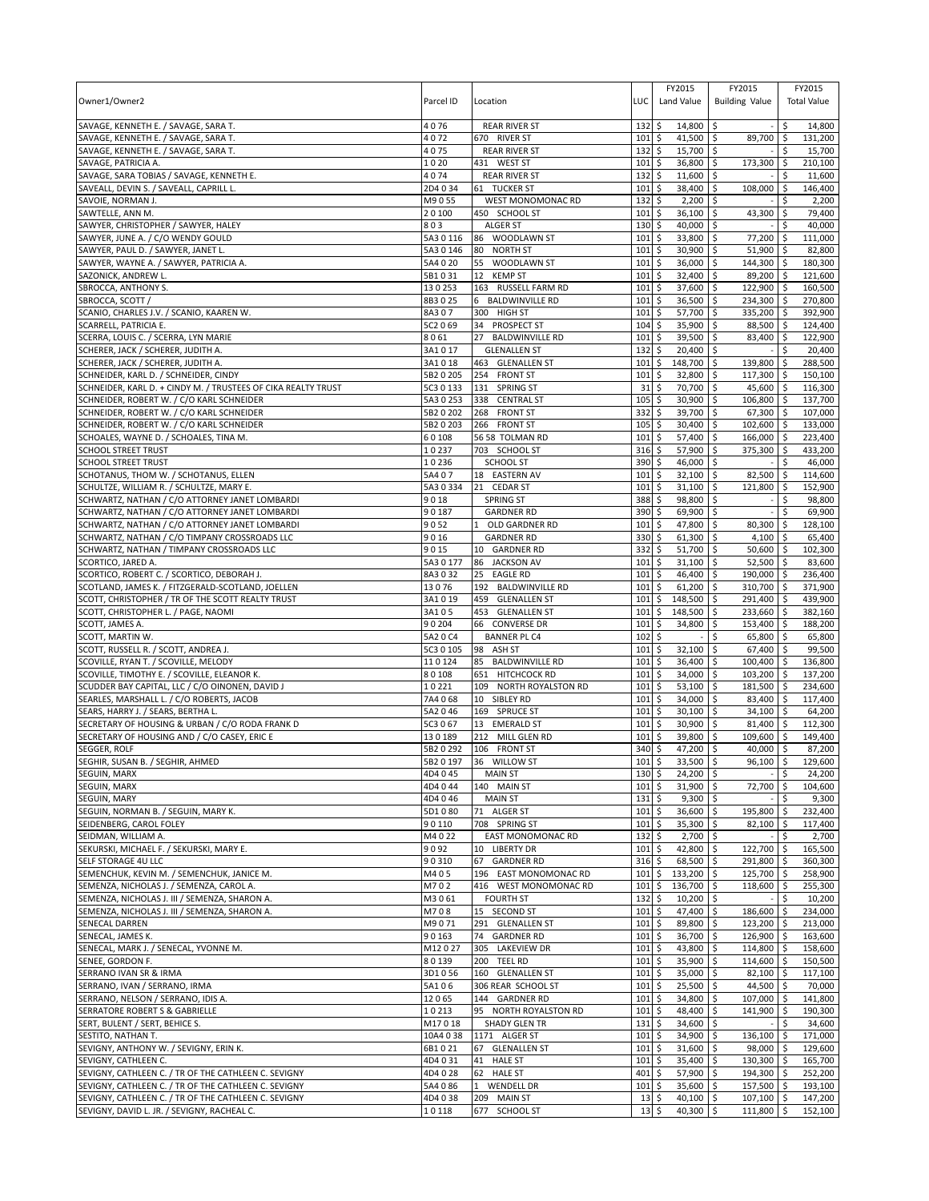| Owner1/Owner2                                                                              | Parcel ID              | Location                                  | LUC                      | FY2015<br>Land Value               | FY2015<br><b>Building Value</b>       |            | FY2015<br><b>Total Value</b> |
|--------------------------------------------------------------------------------------------|------------------------|-------------------------------------------|--------------------------|------------------------------------|---------------------------------------|------------|------------------------------|
| SAVAGE, KENNETH E. / SAVAGE, SARA T.                                                       | 4076                   | <b>REAR RIVER ST</b>                      | 132                      | 14,800 \$<br>\$                    |                                       | \$         | 14,800                       |
| SAVAGE, KENNETH E. / SAVAGE, SARA T.<br>SAVAGE, KENNETH E. / SAVAGE, SARA T.               | 4072<br>4075           | 670 RIVER ST<br><b>REAR RIVER ST</b>      | 101<br>132               | \$<br>41,500<br>\$<br>15,700 \$    | \$<br>89,700                          | -\$<br>\$  | 131,200<br>15,700            |
| SAVAGE, PATRICIA A.                                                                        | LO 20                  | 431 WEST ST                               | 101                      | \$<br>36,800                       | \$<br>173,300                         | \$         | 210,100                      |
| SAVAGE, SARA TOBIAS / SAVAGE, KENNETH E.                                                   | 4074                   | <b>REAR RIVER ST</b>                      | 132                      | 11,600<br>\$                       | \$                                    | \$         | 11,600                       |
| SAVEALL, DEVIN S. / SAVEALL, CAPRILL L.                                                    | 2D4034                 | 61 TUCKER ST                              | 101                      | \$<br>38,400                       | \$<br>108,000                         | \$         | 146,400                      |
| SAVOIE, NORMAN J.                                                                          | M9055                  | WEST MONOMONAC RD                         | 132                      | \$<br>2,200                        | \$                                    | Ś          | 2,200                        |
| SAWTELLE, ANN M.                                                                           | 20100                  | 450 SCHOOL ST                             | 101                      | \$<br>36,100                       | \$<br>43,300                          | \$         | 79,400                       |
| SAWYER, CHRISTOPHER / SAWYER, HALEY                                                        | 803                    | <b>ALGER ST</b>                           | 130                      | \$<br>40,000                       | l\$                                   | \$         | 40,000                       |
| SAWYER, JUNE A. / C/O WENDY GOULD<br>SAWYER, PAUL D. / SAWYER, JANET L.                    | 5A3 0 116<br>5A3 0 146 | 86 WOODLAWN ST<br>80 NORTH ST             | 101<br>101               | \$<br>33,800<br>\$<br>30,900       | 77,200<br>l\$<br>\$<br>51,900         | ۱\$<br>\$  | 111,000<br>82,800            |
| SAWYER, WAYNE A. / SAWYER, PATRICIA A.                                                     | 5A4 0 20               | WOODLAWN ST<br>55                         | 101                      | \$<br>36,000                       | \$<br>144,300                         | <b>S</b>   | 180.300                      |
| SAZONICK. ANDREW L.                                                                        | 5B1031                 | 12 KEMP ST                                | 101                      | \$<br>32,400                       | l\$<br>89,200 \$                      |            | 121,600                      |
| SBROCCA, ANTHONY S.                                                                        | 130253                 | 163 RUSSELL FARM RD                       | 101                      | \$<br>37,600                       | \$<br>122,900 \$                      |            | 160,500                      |
| SBROCCA, SCOTT /                                                                           | 8B3025                 | 6 BALDWINVILLE RD                         | 101                      | \$<br>36,500 \$                    | 234,300 \$                            |            | 270,800                      |
| SCANIO, CHARLES J.V. / SCANIO, KAAREN W.                                                   | 8A307                  | 300 HIGH ST                               | 101                      | \$<br>57,700                       | l\$<br>335,200                        | l\$        | 392,900                      |
| SCARRELL, PATRICIA E.                                                                      | 5C2 069                | 34 PROSPECT ST                            | 104                      | \$<br>35,900                       | l\$<br>88,500                         | l\$        | 124,400                      |
| SCERRA, LOUIS C. / SCERRA, LYN MARIE<br>SCHERER, JACK / SCHERER, JUDITH A.                 | 8061<br>3A1017         | 27 BALDWINVILLE RD<br><b>GLENALLEN ST</b> | 101<br>132               | \$<br>39,500 \$<br>\$<br>20,400    | 83,400 \$<br>$\overline{\phantom{a}}$ | \$         | 122,900<br>20,400            |
| SCHERER, JACK / SCHERER, JUDITH A.                                                         | 3A1018                 | 463 GLENALLEN ST                          | 101                      | \$<br>148,700                      | \$<br>139,800                         | l \$       | 288,500                      |
| SCHNEIDER, KARL D. / SCHNEIDER, CINDY                                                      | 5B2 0 205              | 254 FRONT ST                              | 101                      | \$<br>32,800                       | 5<br>$117,300$ \$                     |            | 150,100                      |
| SCHNEIDER, KARL D. + CINDY M. / TRUSTEES OF CIKA REALTY TRUST                              | 5C3 0 133              | 131 SPRING ST                             | 31                       | 70,700<br>\$                       | \$<br>45,600                          | l\$        | 116,300                      |
| SCHNEIDER, ROBERT W. / C/O KARL SCHNEIDER                                                  | 5A3 0 253              | 338 CENTRAL ST                            | 105                      | \$<br>30,900                       | \$<br>106,800                         | ۱\$        | 137,700                      |
| SCHNEIDER, ROBERT W. / C/O KARL SCHNEIDER                                                  | 5B2 0 202              | 268 FRONT ST                              | 332                      | \$<br>39,700                       | l\$<br>67,300 \$                      |            | 107,000                      |
| SCHNEIDER, ROBERT W. / C/O KARL SCHNEIDER                                                  | 5B2 0 203              | 266 FRONT ST                              | 105                      | \$<br>30,400                       | l\$<br>102,600                        | l \$       | 133,000                      |
| SCHOALES, WAYNE D. / SCHOALES, TINA M.<br>SCHOOL STREET TRUST                              | 60108<br>10237         | 56 58 TOLMAN RD<br>703 SCHOOL ST          | 101<br>316               | \$<br>57,400<br>57,900<br>\$       | \$<br>166,000<br>375,300<br>\$        | I\$<br>\$  | 223,400<br>433,200           |
| SCHOOL STREET TRUST                                                                        | 10236                  | <b>SCHOOL ST</b>                          | 390                      | \$<br>46,000                       | \$                                    | \$         | 46,000                       |
| SCHOTANUS, THOM W. / SCHOTANUS, ELLEN                                                      | 5A4 07                 | 18 EASTERN AV                             | 101                      | \$<br>32,100                       | \$<br>82,500                          | l \$       | 114,600                      |
| SCHULTZE, WILLIAM R. / SCHULTZE, MARY E.                                                   | 5A3 0 334              | 21 CEDAR ST                               | 101                      | \$<br>31,100                       | \$<br>121,800                         | \$         | 152,900                      |
| SCHWARTZ, NATHAN / C/O ATTORNEY JANET LOMBARDI                                             | 9018                   | <b>SPRING ST</b>                          | 388                      | \$<br>98,800                       | \$                                    |            | 98,800                       |
| SCHWARTZ, NATHAN / C/O ATTORNEY JANET LOMBARDI                                             | 90187                  | <b>GARDNER RD</b>                         | 390                      | 69,900<br>\$                       | l\$                                   | \$         | 69,900                       |
| SCHWARTZ, NATHAN / C/O ATTORNEY JANET LOMBARDI                                             | 9052                   | 1<br>OLD GARDNER RD                       | 101                      | \$<br>47,800                       | \$<br>80,300                          | <b>S</b>   | 128,100                      |
| SCHWARTZ, NATHAN / C/O TIMPANY CROSSROADS LLC<br>SCHWARTZ, NATHAN / TIMPANY CROSSROADS LLC | 9016<br>9015           | <b>GARDNER RD</b><br>10 GARDNER RD        | 330<br>332               | 61,300 \$<br>\$<br>\$<br>51,700    | 4,100<br>l\$<br>$50,600$ \$           | l \$       | 65,400<br>102,300            |
| SCORTICO, JARED A.                                                                         | 5A30177                | 86<br><b>JACKSON AV</b>                   | 101                      | \$<br>31,100                       | l\$<br>52,500                         | l\$        | 83,600                       |
| SCORTICO, ROBERT C. / SCORTICO, DEBORAH J.                                                 | 8A3032                 | 25<br><b>EAGLE RD</b>                     | 101                      | \$<br>46,400 \$                    | 190,000 \$                            |            | 236,400                      |
| SCOTLAND, JAMES K. / FITZGERALD-SCOTLAND, JOELLEN                                          | 13076                  | 192 BALDWINVILLE RD                       | 101                      | \$<br>61,200                       | \$<br>310,700                         | ۱\$        | 371,900                      |
| SCOTT, CHRISTOPHER / TR OF THE SCOTT REALTY TRUST                                          | 3A1 0 19               | 459<br><b>GLENALLEN ST</b>                | 101                      | \$<br>148,500                      | \$<br>291,400                         | l\$        | 439,900                      |
| SCOTT, CHRISTOPHER L. / PAGE, NAOMI                                                        | 3A105                  | 453 GLENALLEN ST                          | 101                      | 148,500<br>\$                      | l\$<br>233,660 \$                     |            | 382,160                      |
| SCOTT, JAMES A.                                                                            | 90204                  | 66 CONVERSE DR                            | 101                      | \$<br>34,800                       | \$<br>153,400                         | l\$        | 188,200                      |
| SCOTT, MARTIN W.<br>SCOTT, RUSSELL R. / SCOTT, ANDREA J.                                   | 5A2 0 C4<br>5C3 0 105  | <b>BANNER PL C4</b><br>98 ASH ST          | 102<br>101               | \$<br>\$<br>32,100                 | \$<br>65,800<br>\$<br>67,400          | ۱\$<br>l\$ | 65,800<br>99,500             |
| SCOVILLE, RYAN T. / SCOVILLE, MELODY                                                       | 110124                 | 85<br><b>BALDWINVILLE RD</b>              | 101                      | \$<br>36,400                       | l\$<br>100,400                        | l\$        | 136,800                      |
| SCOVILLE, TIMOTHY E. / SCOVILLE, ELEANOR K.                                                | 80108                  | 651 HITCHCOCK RD                          | 101                      | \$<br>34,000                       | l\$<br>103,200 \$                     |            | 137,200                      |
| SCUDDER BAY CAPITAL, LLC / C/O OINONEN, DAVID J                                            | 10221                  | 109 NORTH ROYALSTON RD                    | 101                      | \$<br>53,100                       | \$<br>181,500                         | <b>S</b>   | 234.600                      |
| SEARLES, MARSHALL L. / C/O ROBERTS, JACOB                                                  | 7A4068                 | 10 SIBLEY RD                              | 101                      | \$<br>34,000                       | 83,400<br>l\$                         | I\$        | 117,400                      |
| SEARS, HARRY J. / SEARS, BERTHA L.                                                         | 5A2046                 | 169 SPRUCE ST                             | 101                      | \$<br>30,100                       | l\$<br>34,100 \$                      |            | 64,200                       |
| SECRETARY OF HOUSING & URBAN / C/O RODA FRANK D                                            | 5C3 0 67               | 13 EMERALD ST                             | 101                      | \$<br>30,900                       | \$<br>81,400 \$                       |            | 112,300                      |
| SECRETARY OF HOUSING AND / C/O CASEY, ERIC E                                               | 130189<br>5B2 0 292    | 212 MILL GLEN RD<br>106 FRONT ST          | 101<br>340               | \$<br>39,800<br>\$<br>47,200       | \$<br>109,600<br>\$<br>40,000 \$      | \$ ا       | 149.400<br>87,200            |
| <b>SEGGER, ROLF</b><br>SEGHIR, SUSAN B. / SEGHIR, AHMED                                    | 5B2 0 197              | 36 WILLOW ST                              | 101S                     | 33.500 \$                          | $96.100$ \$                           |            | 129.600                      |
| SEGUIN, MARX                                                                               | 4D4045                 | <b>MAIN ST</b>                            | $130 \;$ \$              | $24,200$ \$                        |                                       | \$         | 24,200                       |
| SEGUIN, MARX                                                                               | 4D4044                 | 140 MAIN ST                               | 101                      | \$<br>31,900 \$                    | 72,700                                | \$         | 104.600                      |
| SEGUIN, MARY                                                                               | 4D4046                 | <b>MAIN ST</b>                            | 131                      | \$<br>$9,300$ \$                   |                                       | Ŝ.         | 9,300                        |
| SEGUIN, NORMAN B. / SEGUIN, MARY K.                                                        | 5D1080                 | 71 ALGER ST                               | 101                      | \$<br>36,600 \$                    | 195,800                               | l \$       | 232,400                      |
| SEIDENBERG, CAROL FOLEY                                                                    | 90110                  | 708 SPRING ST                             | 101                      | \$<br>35,300 \$                    | 82,100                                | \$         | 117,400                      |
| SEIDMAN, WILLIAM A.                                                                        | M4022                  | EAST MONOMONAC RD                         | 132                      | \$<br>2,700 \$                     | 122,700                               | \$         | 2,700                        |
| SEKURSKI, MICHAEL F. / SEKURSKI, MARY E.<br>SELF STORAGE 4U LLC                            | 9092<br>90310          | 10 LIBERTY DR<br>67 GARDNER RD            | 101<br>316               | \$<br>42,800 \$<br>\$<br>68,500 \$ | 291,800 \$                            | ا \$       | 165,500<br>360,300           |
| SEMENCHUK, KEVIN M. / SEMENCHUK, JANICE M.                                                 | M405                   | 196 EAST MONOMONAC RD                     | 101                      | \$<br>133,200 \$                   | 125,700 \$                            |            | 258,900                      |
| SEMENZA, NICHOLAS J. / SEMENZA, CAROL A.                                                   | M702                   | 416 WEST MONOMONAC RD                     | 101                      | \$<br>136,700 \$                   | 118,600 \$                            |            | 255,300                      |
| SEMENZA, NICHOLAS J. III / SEMENZA, SHARON A.                                              | M3061                  | <b>FOURTH ST</b>                          | 132                      | $10,200$ \$<br>\$                  |                                       | \$         | 10,200                       |
| SEMENZA, NICHOLAS J. III / SEMENZA, SHARON A.                                              | M708                   | 15 SECOND ST                              | $101 \;$ \$              | 47,400 \$                          | 186,600 \$                            |            | 234,000                      |
| SENECAL DARREN                                                                             | M9071                  | 291 GLENALLEN ST                          | 101                      | \$<br>89,800 \$                    | $123,200$ \$                          |            | 213,000                      |
| SENECAL, JAMES K.                                                                          | 90163                  | 74 GARDNER RD                             | 101                      | \$<br>36,700 \$                    | 126,900 \$                            |            | 163,600                      |
| SENECAL, MARK J. / SENECAL, YVONNE M.                                                      | M12027                 | 305 LAKEVIEW DR                           | $101 \;$ \$              | 43,800 \$                          | 114,800 \$                            |            | 158,600                      |
| SENEE, GORDON F.<br>SERRANO IVAN SR & IRMA                                                 | 80139<br>3D1056        | 200 TEEL RD<br>160 GLENALLEN ST           | $101 \;$ \$<br>101       | 35,900 \$<br>\$<br>35,000 \$       | 114,600 \$<br>82,100 \$               |            | 150,500<br>117,100           |
| SERRANO, IVAN / SERRANO, IRMA                                                              | 5A106                  | 306 REAR SCHOOL ST                        | 101                      | \$<br>$25,500$ \$                  | 44,500 \$                             |            | 70,000                       |
| SERRANO, NELSON / SERRANO, IDIS A.                                                         | 12065                  | 144 GARDNER RD                            | 101                      | 5<br>34,800 \$                     | 107,000 \$                            |            | 141,800                      |
| SERRATORE ROBERT S & GABRIELLE                                                             | 10213                  | 95 NORTH ROYALSTON RD                     | 101                      | \$<br>48,400 \$                    | 141,900 \$                            |            | 190,300                      |
| SERT, BULENT / SERT, BEHICE S.                                                             | M17018                 | <b>SHADY GLEN TR</b>                      | 131                      | \$<br>34,600 \$                    |                                       | \$         | 34,600                       |
| SESTITO, NATHAN T.                                                                         | 10A4 0 38              | 1171 ALGER ST                             | 101                      | \$<br>34,900 \$                    | 136,100                               | ا \$       | 171,000                      |
| SEVIGNY, ANTHONY W. / SEVIGNY, ERIN K.<br>SEVIGNY, CATHLEEN C.                             | 6B1021<br>4D4031       | 67 GLENALLEN ST<br>41 HALE ST             | 101<br>101               | 5<br>31,600 \$<br>35,400 \$        | 98,000 \$<br>130,300 \$               |            | 129,600<br>165,700           |
| SEVIGNY, CATHLEEN C. / TR OF THE CATHLEEN C. SEVIGNY                                       | 4D4028                 | 62<br><b>HALE ST</b>                      | 401                      | \$<br>\$<br>57,900                 | \$<br>194,300                         | ۱\$        | 252,200                      |
| SEVIGNY, CATHLEEN C. / TR OF THE CATHLEEN C. SEVIGNY                                       | 5A4 0 86               | <b>WENDELL DR</b><br>$\mathbf{1}$         | 101                      | 35,600 \$<br>\$                    | 157,500 \$                            |            | 193,100                      |
| SEVIGNY, CATHLEEN C. / TR OF THE CATHLEEN C. SEVIGNY                                       | 4D4038                 | 209 MAIN ST                               | 13                       | \$<br>$40,100$ \$                  | $107,100$ \$                          |            | 147,200                      |
| SEVIGNY, DAVID L. JR. / SEVIGNY, RACHEAL C.                                                | 10118                  | 677 SCHOOL ST                             | $13\overline{\smash{5}}$ | $40,300$ \$                        | 111,800 \$                            |            | 152,100                      |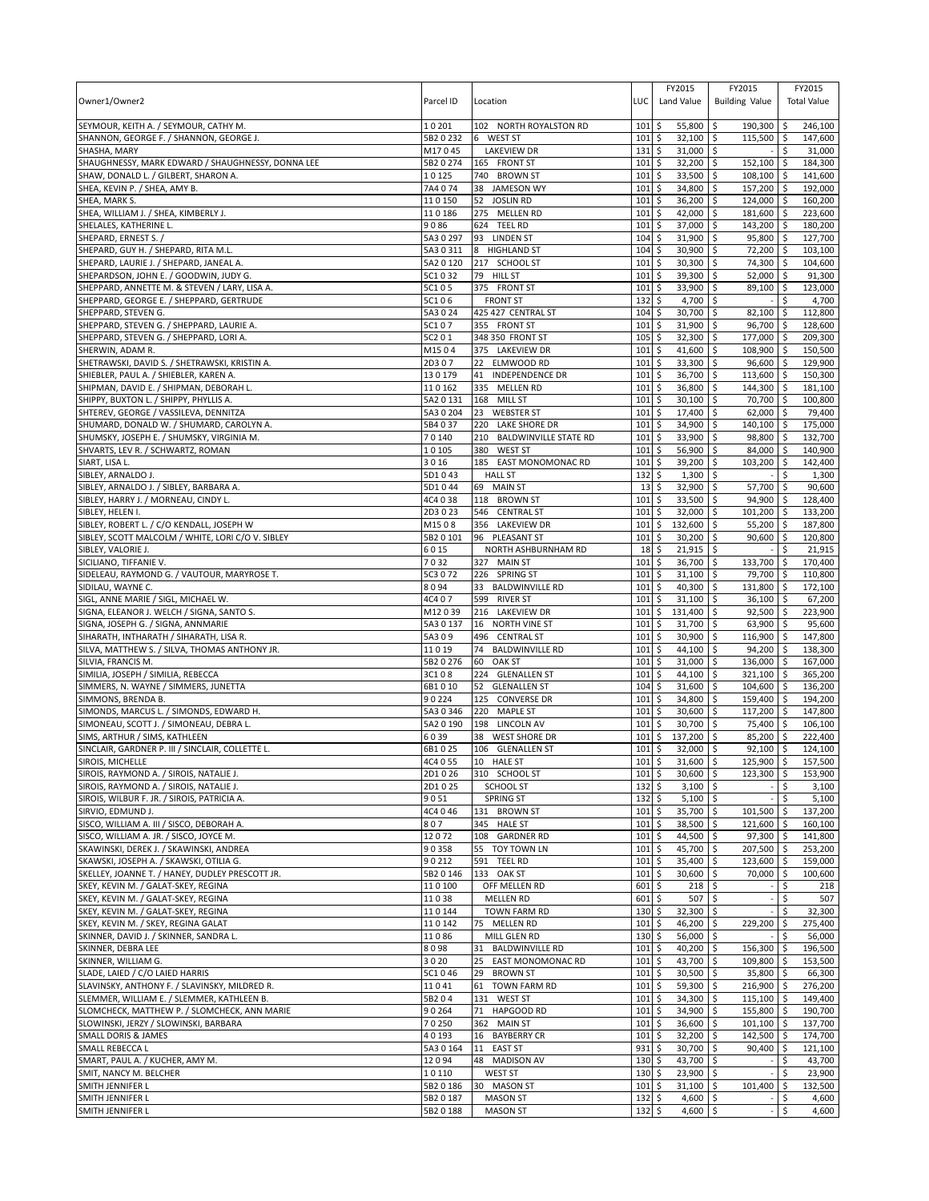| Owner1/Owner2                                                                                  | Parcel ID           | Location                                          | LUC              | FY2015<br>Land Value               | FY2015<br><b>Building Value</b>        |                    | FY2015<br><b>Total Value</b> |
|------------------------------------------------------------------------------------------------|---------------------|---------------------------------------------------|------------------|------------------------------------|----------------------------------------|--------------------|------------------------------|
| SEYMOUR, KEITH A. / SEYMOUR, CATHY M.                                                          | 10201               | 102 NORTH ROYALSTON RD                            | 101              | 55,800 \$<br>\$                    | $190,300$ \$                           |                    | 246,100                      |
| SHANNON, GEORGE F. / SHANNON, GEORGE J.                                                        | 5B2 0 232           | <b>WEST ST</b><br>6                               | 101              | \$<br>$32,100$ \$                  | 115,500 \$                             |                    | 147,600                      |
| SHASHA, MARY                                                                                   | M17045              | <b>LAKEVIEW DR</b>                                | 131              | \$<br>31,000 \$                    |                                        | \$                 | 31,000                       |
| SHAUGHNESSY, MARK EDWARD / SHAUGHNESSY, DONNA LEE                                              | 5B2 0 274           | 165 FRONT ST                                      | 101              | \$<br>32,200                       | \$<br>152,100                          | \$                 | 184,300                      |
| SHAW, DONALD L. / GILBERT, SHARON A.                                                           | 10125               | 740 BROWN ST                                      | 101              | 33,500<br>\$                       | \$<br>108,100 \$                       |                    | 141,600<br>192,000           |
| SHEA, KEVIN P. / SHEA, AMY B.<br>SHEA, MARK S.                                                 | 7A4074<br>110150    | 38<br><b>JAMESON WY</b><br>52<br><b>JOSLIN RD</b> | 101<br>101       | \$<br>34,800<br>\$<br>36,200       | \$<br>157,200 \$<br>\$<br>124,000 \$   |                    | 160,200                      |
| SHEA, WILLIAM J. / SHEA, KIMBERLY J.                                                           | 110186              | 275 MELLEN RD                                     | 101              | \$<br>42,000                       | \$<br>181,600 \$                       |                    | 223,600                      |
| SHELALES, KATHERINE L.                                                                         | 9086                | 624 TEEL RD                                       | 101              | \$<br>37,000                       | \$<br>143,200 \$                       |                    | 180,200                      |
| SHEPARD, ERNEST S. /                                                                           | 5A3 0 297           | 93 LINDEN ST                                      | 104              | \$<br>31,900                       | 95,800 \$<br>\$                        |                    | 127,700                      |
| SHEPARD, GUY H. / SHEPARD, RITA M.L.                                                           | 5A30311             | 8<br><b>HIGHLAND ST</b>                           | 104              | \$<br>30,900                       | \$<br>72,200 \$                        |                    | 103,100                      |
| SHEPARD, LAURIE J. / SHEPARD, JANEAL A.                                                        | 5A2 0 120           | 217 SCHOOL ST                                     | 101              | \$<br>30,300                       | \$<br>74,300 \$                        |                    | 104,600                      |
| SHEPARDSON, JOHN E. / GOODWIN, JUDY G.                                                         | 5C1032              | 79 HILL ST                                        | 101              | 39,300<br>\$                       | 52,000 \$<br>\$                        |                    | 91,300                       |
| SHEPPARD, ANNETTE M. & STEVEN / LARY, LISA A.                                                  | 5C105               | 375 FRONT ST<br><b>FRONT ST</b>                   | 101              | \$<br>33,900                       | \$<br>89,100 \$                        |                    | 123,000                      |
| SHEPPARD, GEORGE E. / SHEPPARD, GERTRUDE<br>SHEPPARD, STEVEN G.                                | 5C106<br>5A3024     | 425 427 CENTRAL ST                                | 132<br>104       | \$<br>4,700 \$<br>\$<br>30,700     | \$<br>82,100 \$                        | \$.                | 4,700<br>112,800             |
| SHEPPARD, STEVEN G. / SHEPPARD, LAURIE A.                                                      | 5C107               | 355 FRONT ST                                      | 101              | \$<br>31,900                       | <b>S</b><br>96,700 \$                  |                    | 128,600                      |
| SHEPPARD, STEVEN G. / SHEPPARD, LORI A.                                                        | 5C201               | 348 350 FRONT ST                                  | 105              | \$<br>$32,300$ \$                  | 177,000 \$                             |                    | 209,300                      |
| SHERWIN, ADAM R.                                                                               | M1504               | 375 LAKEVIEW DR                                   | 101              | \$<br>41,600                       | $\overline{\phantom{a}}$<br>108,900 \$ |                    | 150,500                      |
| SHETRAWSKI, DAVID S. / SHETRAWSKI, KRISTIN A.                                                  | 2D307               | 22 ELMWOOD RD                                     | 101              | \$<br>33,300                       | \$<br>96,600 \$                        |                    | 129,900                      |
| SHIEBLER, PAUL A. / SHIEBLER, KAREN A.                                                         | 130179              | <b>INDEPENDENCE DR</b><br>41                      | 101              | \$<br>36,700                       | <b>S</b><br>113,600 \$                 |                    | 150,300                      |
| SHIPMAN, DAVID E. / SHIPMAN, DEBORAH L.                                                        | 110162              | 335 MELLEN RD                                     | 101              | \$<br>36,800                       | \$<br>144,300 \$                       |                    | 181,100                      |
| SHIPPY, BUXTON L. / SHIPPY, PHYLLIS A.                                                         | 5A2 0 131           | 168 MILL ST<br>23                                 | 101<br>101       | \$<br>30,100                       | \$<br>70,700 \$                        |                    | 100,800                      |
| SHTEREV, GEORGE / VASSILEVA, DENNITZA<br>SHUMARD, DONALD W. / SHUMARD, CAROLYN A.              | 5A3 0 204<br>5B4037 | <b>WEBSTER ST</b><br>220 LAKE SHORE DR            | 101              | \$<br>17,400<br>\$<br>34,900       | $62,000$ \$<br>\$<br>\$<br>140,100 \$  |                    | 79,400<br>175,000            |
| SHUMSKY, JOSEPH E. / SHUMSKY, VIRGINIA M.                                                      | 70140               | 210<br><b>BALDWINVILLE STATE RD</b>               | 101              | \$<br>33,900                       | \$<br>98,800 \$                        |                    | 132,700                      |
| SHVARTS, LEV R. / SCHWARTZ, ROMAN                                                              | 10105               | 380<br><b>WEST ST</b>                             | 101              | \$<br>56,900                       | \$<br>84,000 \$                        |                    | 140,900                      |
| SIART, LISA L.                                                                                 | 3016                | 185<br>EAST MONOMONAC RD                          | 101              | 39,200<br>\$                       | \$<br>103.200                          | $\ddot{\varsigma}$ | 142,400                      |
| SIBLEY, ARNALDO J.                                                                             | 5D1043              | <b>HALL ST</b>                                    | 132              | \$<br>1,300                        | \$                                     | \$                 | 1,300                        |
| SIBLEY, ARNALDO J. / SIBLEY, BARBARA A.                                                        | 5D1044              | 69 MAIN ST                                        | 13               | \$<br>32,900                       | 57,700<br>\$                           | \$                 | 90,600                       |
| SIBLEY, HARRY J. / MORNEAU, CINDY L                                                            | 4C4 0 38            | 118 BROWN ST                                      | 101              | \$<br>33,500                       | \$<br>94,900 \$                        |                    | 128,400                      |
| SIBLEY, HELEN I.                                                                               | 2D3023              | 546 CENTRAL ST                                    | 101              | 32,000<br>\$                       | \$<br>101,200 \$                       |                    | 133,200                      |
| SIBLEY, ROBERT L. / C/O KENDALL, JOSEPH W<br>SIBLEY, SCOTT MALCOLM / WHITE, LORI C/O V. SIBLEY | M1508<br>5B2 0 101  | 356 LAKEVIEW DR<br>96 PLEASANT ST                 | 101<br>101       | \$<br>132,600<br>\$<br>30,200      | 55,200 \$<br>\$<br>90,600 \$<br>\$     |                    | 187,800<br>120,800           |
| SIBLEY, VALORIE J.                                                                             | 6015                | NORTH ASHBURNHAM RD                               | 18               | \$<br>21,915                       | \$                                     | \$                 | 21,915                       |
| SICILIANO, TIFFANIE V.                                                                         | 7032                | 327<br><b>MAIN ST</b>                             | 101              | 36,700<br>\$                       | l\$<br>133,700 \$                      |                    | 170,400                      |
| SIDELEAU, RAYMOND G. / VAUTOUR, MARYROSE T.                                                    | 5C3 0 72            | 226 SPRING ST                                     | 101              | \$<br>$31,100$ \$                  | 79,700 \$                              |                    | 110,800                      |
| SIDILAU, WAYNE C.                                                                              | 8094                | 33 BALDWINVILLE RD                                | 101              | \$<br>40,300                       | \$<br>131,800 \$                       |                    | 172,100                      |
| SIGL, ANNE MARIE / SIGL, MICHAEL W                                                             | 4C407               | 599 RIVER ST                                      | 101              | \$<br>31,100                       | \$<br>$36,100$ \$                      |                    | 67,200                       |
| SIGNA, ELEANOR J. WELCH / SIGNA, SANTO S.                                                      | M12039              | 216 LAKEVIEW DR                                   | 101              | \$<br>131,400 \$                   | $92,500$ \$                            |                    | 223,900                      |
| SIGNA, JOSEPH G. / SIGNA, ANNMARIE                                                             | 5A3 0 137           | 16 NORTH VINE ST                                  | 101              | 31,700<br>\$                       | \$<br>63,900 \$                        |                    | 95,600                       |
| SIHARATH, INTHARATH / SIHARATH, LISA R.<br>SILVA, MATTHEW S. / SILVA, THOMAS ANTHONY JR.       | 5A309<br>11019      | 496 CENTRAL ST<br>74 BALDWINVILLE RD              | 101<br>101       | \$<br>30,900<br>\$<br>44,100       | \$<br>116,900 \$<br>l\$<br>94,200 \$   |                    | 147,800<br>138,300           |
| SILVIA, FRANCIS M.                                                                             | 5B2 0 276           | 60<br><b>OAK ST</b>                               | 101              | \$<br>31,000                       | $\ddot{\mathsf{S}}$<br>136,000 \$      |                    | 167,000                      |
| SIMILIA, JOSEPH / SIMILIA, REBECCA                                                             | 3C108               | 224 GLENALLEN ST                                  | 101              | \$<br>44,100                       | l\$<br>321,100 \$                      |                    | 365,200                      |
| SIMMERS, N. WAYNE / SIMMERS, JUNETTA                                                           | 6B1010              | 52 GLENALLEN ST                                   | 104              | \$<br>31,600                       | \$<br>104,600 \$                       |                    | 136,200                      |
| SIMMONS, BRENDA B.                                                                             | 90224               | 125 CONVERSE DR                                   | 101              | \$<br>34,800                       | \$<br>159,400 \$                       |                    | 194,200                      |
| SIMONDS, MARCUS L. / SIMONDS, EDWARD H.                                                        | 5A3 0 346           | 220<br><b>MAPLE ST</b>                            | 101              | \$<br>30,600                       | 117,200 \$<br>l\$                      |                    | 147,800                      |
| SIMONEAU, SCOTT J. / SIMONEAU, DEBRA L.                                                        | 5A2 0 190           | 198 LINCOLN AV                                    | 101              | 30,700<br>\$                       | \$<br>75,400 \$                        |                    | 106,100                      |
| SIMS, ARTHUR / SIMS, KATHLEEN                                                                  | 6039<br>6B1025      | <b>WEST SHORE DR</b><br>38<br>106 GLENALLEN ST    | 101<br>101       | \$<br>137,200                      | 85,200<br>\$<br>$92,100$ \$            | \$                 | 222.400<br>124,100           |
| SINCLAIR, GARDNER P. III / SINCLAIR, COLLETTE L.<br>SIROIS, MICHELLE                           | 4C4 0 55            | 10 HALE ST                                        | 101 <sub>5</sub> | \$<br>32,000<br>31,600 \$          | l\$<br>125,900 \$                      |                    | 157.500                      |
| SIROIS, RAYMOND A. / SIROIS, NATALIE J.                                                        | 2D1026              | 310 SCHOOL ST                                     | 101              | \$<br>30,600 \$                    | 123,300 \$                             |                    | 153,900                      |
| SIROIS, RAYMOND A. / SIROIS, NATALIE J.                                                        | 2D1025              | <b>SCHOOL ST</b>                                  | 132              | \$<br>$3,100$ \$                   |                                        | \$                 | 3,100                        |
| SIROIS, WILBUR F. JR. / SIROIS, PATRICIA A.                                                    | 9051                | <b>SPRING ST</b>                                  | 132              | \$<br>$5,100$ \$                   |                                        | \$                 | 5,100                        |
| SIRVIO, EDMUND J.                                                                              | 4C4 0 46            | 131 BROWN ST                                      | 101              | \$<br>35,700 \$                    | 101,500 \$                             |                    | 137,200                      |
| SISCO, WILLIAM A. III / SISCO, DEBORAH A.                                                      | 807                 | 345 HALE ST                                       | 101              | \$<br>38,500 \$                    | 121,600 \$                             |                    | 160,100                      |
| SISCO, WILLIAM A. JR. / SISCO, JOYCE M.                                                        | 12072               | 108 GARDNER RD                                    | 101              | \$<br>44,500 \$                    | 97,300 \$                              |                    | 141,800                      |
| SKAWINSKI, DEREK J. / SKAWINSKI, ANDREA<br>SKAWSKI, JOSEPH A. / SKAWSKI, OTILIA G.             | 90358<br>90212      | 55 TOY TOWN LN<br>591 TEEL RD                     | 101<br>101       | 45,700 \$<br>\$<br>\$<br>35,400 \$ | 207,500 \$<br>123,600 \$               |                    | 253,200<br>159,000           |
| SKELLEY, JOANNE T. / HANEY, DUDLEY PRESCOTT JR.                                                | 5B2 0 146           | 133 OAK ST                                        | 101              | \$<br>30,600 \$                    | 70,000 \$                              |                    | 100,600                      |
| SKEY, KEVIN M. / GALAT-SKEY, REGINA                                                            | 110100              | OFF MELLEN RD                                     | 601              | \$<br>$218$ \$                     |                                        | \$                 | 218                          |
| SKEY, KEVIN M. / GALAT-SKEY, REGINA                                                            | 11038               | <b>MELLEN RD</b>                                  | 601              | \$<br>$507$ \$                     |                                        | \$                 | 507                          |
| SKEY, KEVIN M. / GALAT-SKEY, REGINA                                                            | 110144              | TOWN FARM RD                                      | 130              | \$<br>32,300 \$                    |                                        | \$                 | 32,300                       |
| SKEY, KEVIN M. / SKEY, REGINA GALAT                                                            | 110142              | 75 MELLEN RD                                      | 101              | \$<br>46,200 \$                    | 229,200                                | -\$                | 275,400                      |
| SKINNER, DAVID J. / SKINNER, SANDRA L.                                                         | 11086               | MILL GLEN RD                                      | 130              | \$<br>56,000 \$                    |                                        | Ŝ.                 | 56,000                       |
| SKINNER, DEBRA LEE                                                                             | 8098                | <b>BALDWINVILLE RD</b><br>31                      | 101              | \$<br>40,200 \$                    | 156,300 \$                             |                    | 196,500                      |
| SKINNER, WILLIAM G.<br>SLADE, LAIED / C/O LAIED HARRIS                                         | 3020<br>5C1046      | 25<br>EAST MONOMONAC RD<br>29 BROWN ST            | 101<br>101       | \$<br>43,700 \$<br>\$<br>30,500 \$ | 109,800 \$<br>35,800 \$                |                    | 153,500<br>66,300            |
| SLAVINSKY, ANTHONY F. / SLAVINSKY, MILDRED R.                                                  | 11041               | 61 TOWN FARM RD                                   | 101              | \$<br>59,300 \$                    | 216,900 \$                             |                    | 276,200                      |
| SLEMMER, WILLIAM E. / SLEMMER, KATHLEEN B.                                                     | 5B204               | 131 WEST ST                                       | 101              | \$<br>$34,300$ \$                  | $115,100$ \$                           |                    | 149,400                      |
| SLOMCHECK, MATTHEW P. / SLOMCHECK, ANN MARIE                                                   | 90264               | 71 HAPGOOD RD                                     | $101 \;$ \$      | 34,900 \$                          | 155,800 \$                             |                    | 190,700                      |
| SLOWINSKI, JERZY / SLOWINSKI, BARBARA                                                          | 70250               | 362 MAIN ST                                       | 101              | \$<br>36,600 \$                    | $101,100$ \$                           |                    | 137,700                      |
| SMALL DORIS & JAMES                                                                            | 40193               | 16 BAYBERRY CR                                    | 101              | \$<br>$32,200$ \$                  | 142,500 \$                             |                    | 174,700                      |
| SMALL REBECCA L                                                                                | 5A3 0 164           | 11<br><b>EAST ST</b>                              | 931              | $\ddot{\mathsf{S}}$<br>30,700 \$   | $90,400$ \$                            |                    | 121,100                      |
| SMART, PAUL A. / KUCHER, AMY M.<br>SMIT, NANCY M. BELCHER                                      | 12094<br>10110      | <b>MADISON AV</b><br>48<br><b>WEST ST</b>         | 130<br>130       | \$<br>43,700 \$<br>\$<br>23,900 \$ |                                        | \$<br>\$           | 43,700<br>23,900             |
| SMITH JENNIFER L                                                                               | 5B2 0 186           | 30 MASON ST                                       | 101              | 31,100 \$<br>\$                    | 101,400                                | \$                 | 132,500                      |
| SMITH JENNIFER L                                                                               | 5B2 0 187           | <b>MASON ST</b>                                   | 132              | \$<br>$4,600$ \$                   |                                        | \$                 | 4,600                        |
| SMITH JENNIFER L                                                                               | 5B2 0 188           | <b>MASON ST</b>                                   | 132              | \$<br>4,600 \$                     |                                        | \$                 | 4,600                        |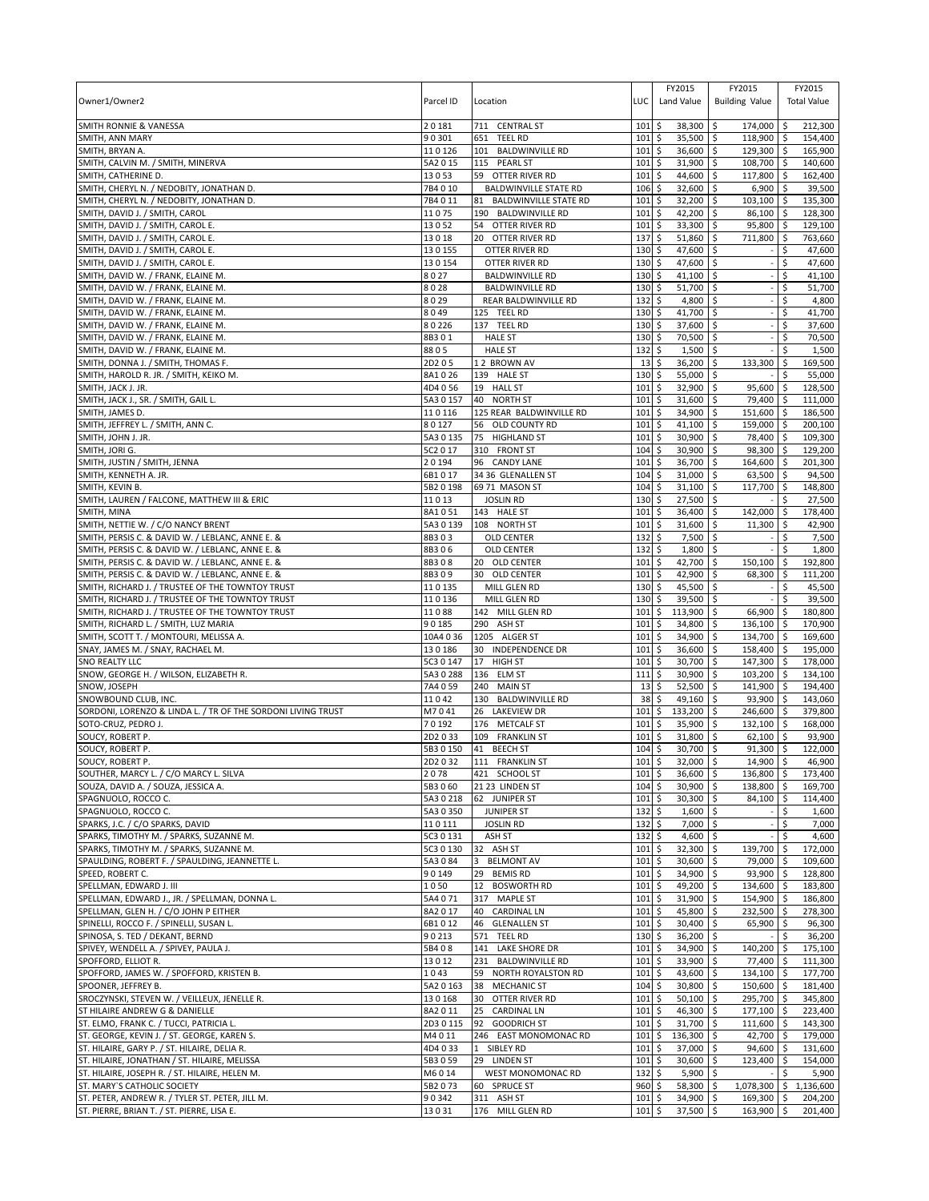| Owner1/Owner2                                                                                  | Parcel ID              | Location                                          | LUC                        | FY2015<br>Land Value               | FY2015<br><b>Building Value</b>       | FY2015<br><b>Total Value</b> |
|------------------------------------------------------------------------------------------------|------------------------|---------------------------------------------------|----------------------------|------------------------------------|---------------------------------------|------------------------------|
| <b>SMITH RONNIE &amp; VANESSA</b>                                                              | 20181                  | 711 CENTRAL ST                                    | 101                        | \$<br>38,300                       | \$<br>174,000 \$                      | 212,300                      |
| SMITH, ANN MARY                                                                                | 90301                  | 651<br><b>TEEL RD</b>                             | 101                        | \$<br>35,500                       | 118,900 \$<br>l \$                    | 154.400                      |
| SMITH, BRYAN A.                                                                                | 110126                 | 101 BALDWINVILLE RD                               | 101                        | \$<br>36,600 \$                    | 129,300 \$                            | 165,900                      |
| SMITH, CALVIN M. / SMITH, MINERVA                                                              | 5A2015                 | 115 PEARL ST                                      | 101                        | \$<br>31,900                       | 5<br>108,700 \$                       | 140,600                      |
| SMITH, CATHERINE D.<br>SMITH, CHERYL N. / NEDOBITY, JONATHAN D.                                | 13053<br>7B4010        | 59 OTTER RIVER RD<br><b>BALDWINVILLE STATE RD</b> | 101<br>106                 | \$<br>44,600<br>\$<br>32,600       | S.<br>117,800 \$<br>l\$<br>$6,900$ \$ | 162,400<br>39,500            |
| SMITH, CHERYL N. / NEDOBITY, JONATHAN D.                                                       | 7B4011                 | <b>BALDWINVILLE STATE RD</b><br>81                | 101                        | \$<br>32,200 \$                    | $103,100$ \$                          | 135,300                      |
| SMITH, DAVID J. / SMITH, CAROL                                                                 | 11075                  | 190 BALDWINVILLE RD                               | 101                        | \$<br>42,200                       | \$<br>86,100 \$                       | 128,300                      |
| SMITH, DAVID J. / SMITH, CAROL E.                                                              | 13052                  | 54 OTTER RIVER RD                                 | 101                        | 33,300<br>\$                       | 95,800 \$<br>l\$                      | 129,100                      |
| SMITH, DAVID J. / SMITH, CAROL E.                                                              | 13018                  | 20 OTTER RIVER RD                                 | 137                        | \$<br>51,860                       | 5<br>711,800 \$                       | 763,660                      |
| SMITH, DAVID J. / SMITH, CAROL E.                                                              | 130155                 | OTTER RIVER RD                                    | 130                        | \$<br>47,600                       | \$                                    | 47,600<br>\$                 |
| SMITH, DAVID J. / SMITH, CAROL E.                                                              | 130154                 | OTTER RIVER RD                                    | 130                        | \$<br>47,600                       | \$                                    | \$<br>47,600                 |
| SMITH, DAVID W. / FRANK, ELAINE M.<br>SMITH, DAVID W. / FRANK, ELAINE M.                       | 8027<br>8028           | <b>BALDWINVILLE RD</b><br><b>BALDWINVILLE RD</b>  | 130<br>130                 | \$<br>$41,100$ \$<br>\$<br>51,700  | \$                                    | \$<br>41,100<br>\$<br>51,700 |
| SMITH, DAVID W. / FRANK, ELAINE M.                                                             | 8029                   | REAR BALDWINVILLE RD                              | 132                        | \$<br>4,800                        | l\$                                   | 4,800<br>\$                  |
| SMITH, DAVID W. / FRANK, ELAINE M.                                                             | 8049                   | 125 TEEL RD                                       | 130                        | \$<br>41,700                       | \$                                    | \$<br>41,700                 |
| SMITH, DAVID W. / FRANK, ELAINE M.                                                             | 80226                  | 137 TEEL RD                                       | 130                        | 37,600<br>\$                       | \$                                    | \$<br>37,600                 |
| SMITH, DAVID W. / FRANK, ELAINE M.                                                             | 8B301                  | <b>HALE ST</b>                                    | 130                        | 70,500<br>\$                       | l\$                                   | \$<br>70,500                 |
| SMITH, DAVID W. / FRANK, ELAINE M.                                                             | 8805                   | <b>HALE ST</b>                                    | 132                        | \$<br>1,500                        | \$                                    | \$<br>1,500                  |
| SMITH, DONNA J. / SMITH, THOMAS F.                                                             | 2D205                  | 12 BROWN AV                                       | 13                         | \$<br>36,200                       | \$<br>133,300                         | \$<br>169,500                |
| SMITH, HAROLD R. JR. / SMITH, KEIKO M.                                                         | 8A1026                 | 139 HALE ST                                       | 130                        | 55,000<br>\$                       | l\$                                   | \$<br>55,000                 |
| SMITH, JACK J. JR.<br>SMITH, JACK J., SR. / SMITH, GAIL L.                                     | 4D4056<br>5A3 0 157    | 19 HALL ST<br>40 NORTH ST                         | 101<br>101                 | \$<br>32,900<br>31,600<br>\$       | \$<br>95,600<br>\$<br>79,400 \$       | \$<br>128,500<br>111,000     |
| SMITH, JAMES D.                                                                                | 110116                 | 125 REAR BALDWINVILLE RD                          | 101                        | 34,900<br>\$                       | \$<br>151,600 \$                      | 186,500                      |
| SMITH, JEFFREY L. / SMITH, ANN C.                                                              | 80127                  | 56 OLD COUNTY RD                                  | 101                        | 41,100<br>\$                       | \$<br>159,000 \$                      | 200,100                      |
| SMITH, JOHN J. JR.                                                                             | 5A3 0 135              | 75<br><b>HIGHLAND ST</b>                          | 101                        | \$<br>30,900                       | 78,400 \$<br>\$                       | 109,300                      |
| SMITH, JORI G.                                                                                 | 5C2 0 17               | 310 FRONT ST                                      | 104                        | \$<br>30,900                       | \$<br>98,300 \$                       | 129,200                      |
| SMITH, JUSTIN / SMITH, JENNA                                                                   | 20194                  | 96 CANDY LANE                                     | 101                        | \$<br>36,700                       | \$<br>164,600 \$                      | 201,300                      |
| SMITH, KENNETH A. JR.                                                                          | 6B1017                 | 34 36 GLENALLEN ST                                | 104                        | \$<br>31,000                       | <b>S</b><br>$63,500$ \$               | 94,500                       |
| SMITH, KEVIN B.                                                                                | 5B2 0 198              | 69 71 MASON ST                                    | 104                        | \$<br>31,100                       | \$<br>117,700 \$                      | 148,800                      |
| SMITH, LAUREN / FALCONE, MATTHEW III & ERIC                                                    | 11013                  | <b>JOSLIN RD</b>                                  | 130                        | \$<br>27,500                       | \$                                    | 27,500<br>\$                 |
| SMITH, MINA<br>SMITH, NETTIE W. / C/O NANCY BRENT                                              | 8A1051<br>5A3 0 139    | 143 HALE ST<br>108 NORTH ST                       | 101<br>101                 | \$<br>36,400<br>\$<br>31,600       | \$<br>142,000 \$<br>\$<br>$11,300$ \$ | 178,400<br>42,900            |
| SMITH, PERSIS C. & DAVID W. / LEBLANC, ANNE E. &                                               | 8B303                  | <b>OLD CENTER</b>                                 | 132                        | \$<br>$7,500$ \$                   |                                       | 7,500<br>\$                  |
| SMITH, PERSIS C. & DAVID W. / LEBLANC, ANNE E. &                                               | 8B306                  | <b>OLD CENTER</b>                                 | 132                        | \$<br>1,800                        | \$                                    | \$<br>1,800                  |
| SMITH, PERSIS C. & DAVID W. / LEBLANC, ANNE E. &                                               | 8B308                  | 20 OLD CENTER                                     | 101                        | \$<br>42,700                       | 150,100<br>\$                         | 192,800<br>l \$              |
| SMITH, PERSIS C. & DAVID W. / LEBLANC, ANNE E. &                                               | 8B309                  | 30 OLD CENTER                                     | 101                        | 42,900<br>\$                       | l\$<br>68,300 \$                      | 111,200                      |
| SMITH, RICHARD J. / TRUSTEE OF THE TOWNTOY TRUST                                               | 110135                 | MILL GLEN RD                                      | 130                        | \$<br>45,500                       | \$                                    | 45,500<br>\$                 |
| SMITH, RICHARD J. / TRUSTEE OF THE TOWNTOY TRUST                                               | 110136                 | MILL GLEN RD                                      | 130                        | \$<br>39,500                       | \$                                    | 39,500                       |
| SMITH, RICHARD J. / TRUSTEE OF THE TOWNTOY TRUST                                               | 11088                  | 142 MILL GLEN RD                                  | 101                        | 113,900<br>\$                      | 66,900 \$<br>\$                       | 180,800                      |
| SMITH, RICHARD L. / SMITH, LUZ MARIA<br>SMITH, SCOTT T. / MONTOURI, MELISSA A.                 | 90185<br>10A4 0 36     | 290 ASH ST<br>1205 ALGER ST                       | 101<br>101                 | \$<br>34,800<br>34,900<br>\$       | \$<br>136,100 \$<br>134,700 \$<br>\$  | 170,900<br>169,600           |
| SNAY, JAMES M. / SNAY, RACHAEL M.                                                              | 130186                 | 30 INDEPENDENCE DR                                | 101                        | \$<br>36,600                       | \$<br>158,400 \$                      | 195,000                      |
| SNO REALTY LLC                                                                                 | 5C3 0 147              | 17 HIGH ST                                        | 101                        | 30,700<br>\$                       | \$<br>147,300 \$                      | 178,000                      |
| SNOW, GEORGE H. / WILSON, ELIZABETH R.                                                         | 5A30288                | 136 ELM ST                                        | 111                        | \$<br>30,900                       | 103,200 \$<br>\$                      | 134,100                      |
| SNOW, JOSEPH                                                                                   | 7A4059                 | 240 MAIN ST                                       | 13                         | \$<br>52,500                       | \$<br>141,900 \$                      | 194.400                      |
| SNOWBOUND CLUB, INC.                                                                           | 11042                  | 130<br><b>BALDWINVILLE RD</b>                     | 38                         | 49,160<br>\$                       | \$<br>93,900 \$                       | 143,060                      |
| SORDONI, LORENZO & LINDA L. / TR OF THE SORDONI LIVING TRUST                                   | M7041                  | 26<br><b>LAKEVIEW DR</b>                          | 101                        | 133,200<br>\$                      | \$<br>246,600 \$                      | 379,800                      |
| SOTO-CRUZ, PEDRO J.                                                                            | 70192                  | 176 METCALF ST                                    | 101                        | 35,900<br>\$                       | 132,100 \$<br>\$<br>$62,100$ \$       | 168,000                      |
| SOUCY, ROBERT P.<br>SOUCY, ROBERT P.                                                           | 2D2033<br>5B3 0 150    | 109 FRANKLIN ST<br>41<br><b>BEECH ST</b>          | 101<br>104                 | \$<br>31,800<br>\$<br>30,700       | \$<br>\$<br>$91,300$ \$               | 93,900<br>122,000            |
| SOUCY, ROBERT P.                                                                               | 2D2032                 | 111 FRANKLIN ST                                   | 101S                       | 32,000 \$                          | 14,900 \$                             | 46,900                       |
| SOUTHER, MARCY L. / C/O MARCY L. SILVA                                                         | 2078                   | 421 SCHOOL ST                                     | $101 \,$ \$                | 36,600 \$                          | 136,800 \$                            | 173,400                      |
| SOUZA, DAVID A. / SOUZA, JESSICA A.                                                            | 5B3 0 60               | 21 23 LINDEN ST                                   | $104 \,$ \$                | 30,900 \$                          | 138,800 \$                            | 169,700                      |
| SPAGNUOLO, ROCCO C.                                                                            | 5A30218                | 62 JUNIPER ST                                     | $101 \;$ \$                | 30,300 \$                          | 84,100 \$                             | 114,400                      |
| SPAGNUOLO, ROCCO C.                                                                            | 5A3 0 350              | JUNIPER ST                                        | $132 \,$ \$                | $1,600$ \$                         |                                       | Ŝ.<br>1,600                  |
| SPARKS, J.C. / C/O SPARKS, DAVID<br>SPARKS, TIMOTHY M. / SPARKS, SUZANNE M.                    | 110111                 | <b>JOSLIN RD</b>                                  | $132 \div$                 | $7,000$ \$                         |                                       | \$<br>7,000                  |
| SPARKS, TIMOTHY M. / SPARKS, SUZANNE M.                                                        | 5C3 0 131<br>5C3 0 130 | ASH ST<br>32 ASH ST                               | $132 \,$ \$<br>$101 \;$ \$ | $4,600$ \$<br>32,300 \$            | 139,700 \$                            | \$<br>4,600<br>172,000       |
| SPAULDING, ROBERT F. / SPAULDING, JEANNETTE L.                                                 | 5A3084                 | <b>BELMONT AV</b><br>3                            | 101                        | $\ddot{\circ}$<br>30,600 \$        | 79,000 \$                             | 109,600                      |
| SPEED, ROBERT C.                                                                               | 90149                  | 29<br><b>BEMIS RD</b>                             | 101                        | \$<br>34,900 \$                    | 93,900 \$                             | 128,800                      |
| SPELLMAN, EDWARD J. III                                                                        | 1050                   | 12 BOSWORTH RD                                    | 101                        | \$<br>49,200 \$                    | 134,600 \$                            | 183,800                      |
| SPELLMAN, EDWARD J., JR. / SPELLMAN, DONNA L.                                                  | 5A4 0 71               | 317 MAPLE ST                                      | $101 \;$ \$                | $31,900$ \$                        | 154,900 \$                            | 186,800                      |
| SPELLMAN, GLEN H. / C/O JOHN P EITHER                                                          | 8A2 0 17               | 40 CARDINAL LN                                    | 101                        | $\ddot{\circ}$<br>45,800 \$        | 232,500 \$                            | 278,300                      |
| SPINELLI, ROCCO F. / SPINELLI, SUSAN L.                                                        | 6B1012                 | 46 GLENALLEN ST                                   | 101                        | \$<br>30,400 \$                    | 65,900 \$                             | 96,300                       |
| SPINOSA, S. TED / DEKANT, BERND                                                                | 90213                  | 571 TEEL RD                                       | 130                        | \$<br>36,200 \$                    |                                       | \$<br>36,200                 |
| SPIVEY, WENDELL A. / SPIVEY, PAULA J.<br>SPOFFORD, ELLIOT R.                                   | 5B408<br>13012         | 141 LAKE SHORE DR<br>231 BALDWINVILLE RD          | 101<br>101                 | 34,900 \$<br>\$<br>\$<br>33,900 \$ | 140,200 \$<br>77,400 \$               | 175,100<br>111,300           |
| SPOFFORD, JAMES W. / SPOFFORD, KRISTEN B.                                                      | 1043                   | 59 NORTH ROYALSTON RD                             | 101                        | \$<br>43,600 \$                    | 134,100 \$                            | 177,700                      |
| SPOONER, JEFFREY B.                                                                            | 5A2 0 163              | <b>MECHANIC ST</b><br>38                          | 104                        | \$<br>30,800 \$                    | 150,600 \$                            | 181,400                      |
| SROCZYNSKI, STEVEN W. / VEILLEUX, JENELLE R.                                                   | 130168                 | 30 OTTER RIVER RD                                 | 101                        | \$<br>$50,100$ \$                  | 295,700 \$                            | 345,800                      |
| ST HILAIRE ANDREW G & DANIELLE                                                                 | 8A2011                 | 25<br><b>CARDINAL LN</b>                          | 101                        | \$<br>46,300 \$                    | 177,100 \$                            | 223,400                      |
| ST. ELMO, FRANK C. / TUCCI, PATRICIA L.                                                        | 2D3 0 115              | 92 GOODRICH ST                                    | 101                        | \$<br>$31,700$ \$                  | 111,600 \$                            | 143,300                      |
| ST. GEORGE, KEVIN J. / ST. GEORGE, KAREN S.                                                    | M4011                  | 246 EAST MONOMONAC RD                             | 101                        | \$<br>136,300 \$                   | 42,700 \$                             | 179,000                      |
| ST. HILAIRE, GARY P. / ST. HILAIRE, DELIA R.                                                   | 4D4033                 | 1 SIBLEY RD<br>29 LINDEN ST                       | 101<br>101                 | 37,000 \$<br>\$                    | $94,600$ \$                           | 131,600                      |
| ST. HILAIRE, JONATHAN / ST. HILAIRE, MELISSA<br>ST. HILAIRE, JOSEPH R. / ST. HILAIRE, HELEN M. | 5B3059<br>M6014        | WEST MONOMONAC RD                                 | $132 \,$ \$                | \$<br>30,600 \$<br>$5,900$ \$      | 123,400 \$                            | 154,000<br>\$<br>5,900       |
| ST. MARY'S CATHOLIC SOCIETY                                                                    | 5B2073                 | 60 SPRUCE ST                                      | $960$ \$                   | 58,300 \$                          | 1,078,300 \$                          | 1,136,600                    |
| ST. PETER, ANDREW R. / TYLER ST. PETER, JILL M.                                                | 90342                  | 311 ASH ST                                        | $101 \,$ \$                | $34,900$ \$                        | 169,300 \$                            | 204,200                      |
| ST. PIERRE, BRIAN T. / ST. PIERRE, LISA E.                                                     | 13031                  | 176 MILL GLEN RD                                  | $101 \;$ \$                | 37,500 \$                          | 163,900 \$                            | 201,400                      |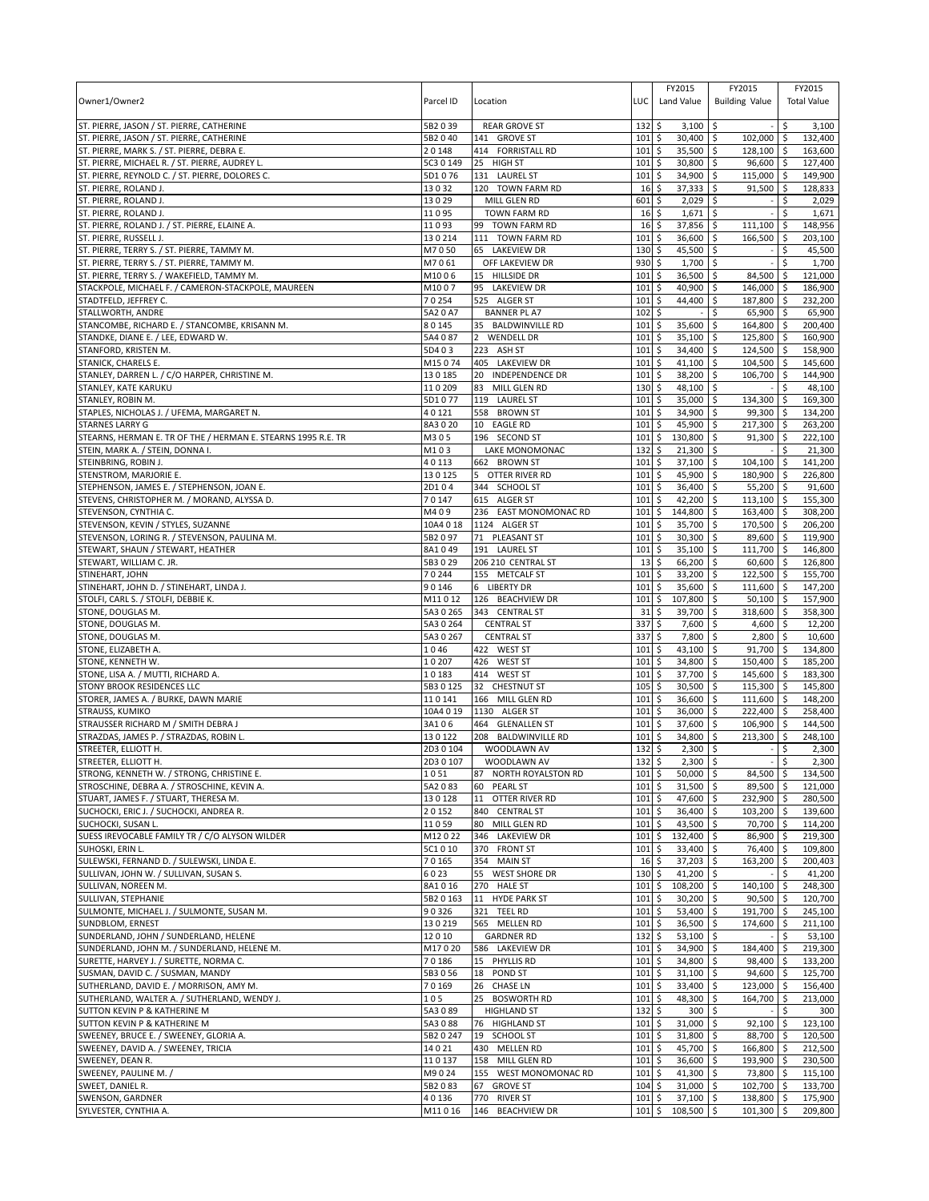| Owner1/Owner2                                                                                | Parcel ID          | Location                                | LUC                        | FY2015<br>Land Value                     | FY2015<br><b>Building Value</b>        | FY2015<br><b>Total Value</b>     |
|----------------------------------------------------------------------------------------------|--------------------|-----------------------------------------|----------------------------|------------------------------------------|----------------------------------------|----------------------------------|
| ST. PIERRE, JASON / ST. PIERRE, CATHERINE                                                    | 5B2039             | <b>REAR GROVE ST</b>                    | 132                        | \$<br>3,100                              | l\$                                    | \$<br>3,100                      |
| ST. PIERRE, JASON / ST. PIERRE, CATHERINE                                                    | 5B2040             | 141 GROVE ST                            | 101                        | 30,400<br>\$                             | 102,000 \$<br>l \$                     | 132,400                          |
| ST. PIERRE, MARK S. / ST. PIERRE, DEBRA E.<br>ST. PIERRE, MICHAEL R. / ST. PIERRE, AUDREY L. | 20148<br>5C3 0 149 | 414 FORRISTALL RD<br>25 HIGH ST         | 101<br>101                 | $\ddot{\circ}$<br>35,500<br>\$<br>30,800 | \$<br>128,100 \$<br>\$<br>96,600 \$    | 163,600<br>127.400               |
| ST. PIERRE, REYNOLD C. / ST. PIERRE, DOLORES C.                                              | 5D1076             | 131 LAUREL ST                           | 101                        | \$<br>34,900                             | \$<br>115,000 \$                       | 149,900                          |
| ST. PIERRE, ROLAND J.                                                                        | 13032              | 120 TOWN FARM RD                        | 16                         | \$<br>37,333                             | $\ddot{\mathsf{S}}$<br>$91,500$ \$     | 128,833                          |
| ST. PIERRE, ROLAND J.                                                                        | 13029              | MILL GLEN RD                            | 601                        | \$<br>2,029                              | \$                                     | \$<br>2,029                      |
| ST. PIERRE, ROLAND J.                                                                        | 11095              | <b>TOWN FARM RD</b>                     | 16                         | \$<br>1,671                              | \$                                     | \$<br>1,671                      |
| ST. PIERRE, ROLAND J. / ST. PIERRE, ELAINE A.                                                | 11093              | 99 TOWN FARM RD                         | 16                         | 37,856<br>\$                             | \$<br>$111,100$ \$                     | 148,956                          |
| ST. PIERRE, RUSSELL J.                                                                       | 130214             | 111 TOWN FARM RD                        | 101                        | \$<br>36,600                             | \$<br>166,500 \$                       | 203,100                          |
| ST. PIERRE, TERRY S. / ST. PIERRE, TAMMY M.<br>ST. PIERRE, TERRY S. / ST. PIERRE, TAMMY M.   | M7050<br>M7061     | 65 LAKEVIEW DR<br>OFF LAKEVIEW DR       | 130<br>930                 | \$<br>45,500<br>\$<br>1,700              | \$                                     | 45,500<br>\$<br>\$<br>1,700      |
| ST. PIERRE, TERRY S. / WAKEFIELD, TAMMY M.                                                   | M1006              | 15 HILLSIDE DR                          | 101                        | \$<br>36,500                             | \$<br>\$<br>84,500 \$                  | 121,000                          |
| STACKPOLE, MICHAEL F. / CAMERON-STACKPOLE, MAUREEN                                           | M1007              | 95 LAKEVIEW DR                          | 101                        | \$<br>40,900                             | \$<br>146,000 \$                       | 186,900                          |
| STADTFELD, JEFFREY C.                                                                        | 70254              | 525 ALGER ST                            | 101                        | \$<br>44,400                             | \$<br>187,800 \$                       | 232,200                          |
| STALLWORTH, ANDRE                                                                            | 5A2 0 A7           | <b>BANNER PL A7</b>                     | 102                        | \$                                       | \$<br>65,900 \$                        | 65,900                           |
| STANCOMBE, RICHARD E. / STANCOMBE, KRISANN M.                                                | 80145              | 35 BALDWINVILLE RD                      | 101                        | \$<br>35,600                             | \$<br>164,800 \$                       | 200,400                          |
| STANDKE, DIANE E. / LEE, EDWARD W.                                                           | 5A4 087            | 2 WENDELL DR                            | 101                        | \$<br>35,100                             | \$<br>125,800 \$                       | 160,900                          |
| STANFORD, KRISTEN M.                                                                         | 5D403              | 223 ASH ST                              | 101                        | \$<br>34,400                             | \$<br>124,500 \$                       | 158,900                          |
| STANICK, CHARELS E.<br>STANLEY, DARREN L. / C/O HARPER, CHRISTINE M.                         | M15074<br>130185   | 405 LAKEVIEW DR<br>20 INDEPENDENCE DR   | 101<br>101                 | $\zeta$<br>41,100<br>38,200<br>\$        | \$<br>104,500 \$<br>106,700 \$<br>\$   | 145,600<br>144,900               |
| STANLEY, KATE KARUKU                                                                         | 110209             | 83<br>MILL GLEN RD                      | 130                        | \$<br>48,100                             | \$                                     | \$<br>48,100                     |
| STANLEY, ROBIN M.                                                                            | 5D1077             | 119 LAUREL ST                           | 101                        | \$<br>35,000                             | \$<br>134,300 \$                       | 169,300                          |
| STAPLES, NICHOLAS J. / UFEMA, MARGARET N.                                                    | 40121              | 558 BROWN ST                            | 101                        | 34,900<br>\$                             | \$<br>99,300 \$                        | 134,200                          |
| <b>STARNES LARRY G</b>                                                                       | 8A3020             | 10 EAGLE RD                             | 101                        | 45,900<br>\$                             | \$<br>217,300 \$                       | 263,200                          |
| STEARNS, HERMAN E. TR OF THE / HERMAN E. STEARNS 1995 R.E. TR                                | M305               | 196 SECOND ST                           | 101                        | \$<br>130,800                            | \$<br>$91,300$ \$                      | 222,100                          |
| STEIN, MARK A. / STEIN, DONNA I.                                                             | M103               | <b>LAKE MONOMONAC</b>                   | 132                        | \$<br>21,300                             | \$                                     | 21,300<br>$-15$                  |
| STEINBRING, ROBIN J.                                                                         | 40113              | 662 BROWN ST                            | 101                        | \$<br>37,100                             | \$<br>104,100 \$                       | 141,200                          |
| STENSTROM, MARJORIE E.<br>STEPHENSON, JAMES E. / STEPHENSON, JOAN E.                         | 130125<br>2D104    | 5 OTTER RIVER RD<br>344 SCHOOL ST       | 101<br>101                 | \$<br>45,900<br>36,400<br>\$             | \$<br>180,900 \$<br>\$<br>55,200 \$    | 226,800<br>91,600                |
| STEVENS, CHRISTOPHER M. / MORAND, ALYSSA D.                                                  | 70147              | 615 ALGER ST                            | 101                        | \$<br>42,200                             | \$<br>$113,100$ \$                     | 155,300                          |
| STEVENSON, CYNTHIA C.                                                                        | M409               | 236 EAST MONOMONAC RD                   | 101                        | 144,800<br>\$                            | \$<br>163,400 \$                       | 308,200                          |
| STEVENSON, KEVIN / STYLES, SUZANNE                                                           | 10A4 0 18          | 1124 ALGER ST                           | 101                        | \$<br>35,700                             | \$<br>170,500 \$                       | 206,200                          |
| STEVENSON, LORING R. / STEVENSON, PAULINA M.                                                 | 5B2097             | 71 PLEASANT ST                          | 101                        | \$<br>30,300                             | \$<br>89,600 \$                        | 119,900                          |
| STEWART, SHAUN / STEWART, HEATHER                                                            | 8A1049             | 191 LAUREL ST                           | 101                        | \$<br>35,100                             | \$<br>111,700 \$                       | 146,800                          |
| STEWART, WILLIAM C. JR.                                                                      | 5B3029             | 206 210 CENTRAL ST                      | 13                         | \$<br>66,200                             | \$<br>60,600 \$                        | 126,800                          |
| STINEHART, JOHN                                                                              | 70244<br>90146     | 155 METCALF ST<br>6 LIBERTY DR          | 101<br>101                 | 33,200<br>\$                             | \$<br>122,500 \$                       | 155,700                          |
| STINEHART, JOHN D. / STINEHART, LINDA J.<br>STOLFI, CARL S. / STOLFI, DEBBIE K.              | M11012             | 126 BEACHVIEW DR                        | 101                        | \$<br>35,600<br>\$<br>107,800            | \$<br>111,600 \$<br>\$<br>$50,100$ \$  | 147,200<br>157,900               |
| STONE, DOUGLAS M.                                                                            | 5A3 0 265          | 343 CENTRAL ST                          | 31                         | 39,700<br>S                              | 318,600 \$<br>\$                       | 358,300                          |
| STONE, DOUGLAS M.                                                                            | 5A3 0 264          | <b>CENTRAL ST</b>                       | 337                        | \$<br>7,600                              | \$<br>$4,600$ \$                       | 12,200                           |
| STONE, DOUGLAS M.                                                                            | 5A3 0 267          | <b>CENTRAL ST</b>                       | 337                        | \$<br>7,800                              | $2,800$ \$<br>\$                       | 10,600                           |
| STONE, ELIZABETH A.                                                                          | 1046               | 422 WEST ST                             | 101                        | \$<br>43,100                             | \$<br>91,700 \$                        | 134,800                          |
| STONE, KENNETH W.                                                                            | 10207              | 426 WEST ST                             | 101                        | 34,800<br>\$                             | \$<br>150,400 \$                       | 185,200                          |
| STONE, LISA A. / MUTTI, RICHARD A.<br>STONY BROOK RESIDENCES LLC                             | 10183<br>5B3 0 125 | 414 WEST ST<br>32 CHESTNUT ST           | 101<br>105                 | \$<br>37,700<br>\$<br>30,500             | \$<br>145,600 \$<br>\$<br>115,300 \$   | 183,300<br>145,800               |
| STORER, JAMES A. / BURKE, DAWN MARIE                                                         | 110141             | 166 MILL GLEN RD                        | 101                        | \$<br>36,600                             | \$<br>111,600 \$                       | 148,200                          |
| STRAUSS, KUMIKO                                                                              | 10A4 0 19          | 1130 ALGER ST                           | 101                        | 36,000<br>\$                             | 222,400 \$<br>\$                       | 258,400                          |
| STRAUSSER RICHARD M / SMITH DEBRA J                                                          | 3A106              | 464 GLENALLEN ST                        | 101                        | \$<br>37,600                             | \$<br>106,900 \$                       | 144,500                          |
| STRAZDAS, JAMES P. / STRAZDAS, ROBIN L.                                                      | 130122             | 208 BALDWINVILLE RD                     | 101                        | 34,800<br>\$                             | \$<br>213,300 \$                       | 248,100                          |
| STREETER, ELLIOTT H.                                                                         | 2D3 0 104          | WOODLAWN AV                             | 132                        | \$<br>2,300                              | \$                                     | \$<br>2,300                      |
| STREETER, ELLIOTT H.                                                                         | 2D3 0 107          | WOODLAWN AV                             | $132 \frac{1}{5}$          | 2,300                                    | $\overline{\mathsf{s}}$                | $\overline{\mathsf{s}}$<br>2,300 |
| STRONG, KENNETH W. / STRONG, CHRISTINE E.<br>STROSCHINE, DEBRA A. / STROSCHINE, KEVIN A.     | 1051<br>5A2083     | 87 NORTH ROYALSTON RD<br>60 PEARL ST    | $101 \,$ \$<br>$101 \,$ \$ | $50,000$ \$<br>$31,500$ \$               | 84,500 \$<br>89,500 \$                 | 134,500<br>121.000               |
| STUART, JAMES F. / STUART, THERESA M.                                                        | 130128             | 11 OTTER RIVER RD                       | $101 \;$ \$                | 47,600 \$                                | 232,900 \$                             | 280,500                          |
| SUCHOCKI, ERIC J. / SUCHOCKI, ANDREA R.                                                      | 20152              | 840 CENTRAL ST                          | $101 \,$ \$                | $36,400$ \$                              | 103,200 \$                             | 139,600                          |
| SUCHOCKI, SUSAN L.                                                                           | 11059              | 80 MILL GLEN RD                         | 101                        | $\ddot{s}$<br>$43,500$ \$                | 70,700 \$                              | 114,200                          |
| SUESS IREVOCABLE FAMILY TR / C/O ALYSON WILDER                                               | M12022             | 346 LAKEVIEW DR                         | 101                        | \$<br>132,400 \$                         | 86,900 \$                              | 219,300                          |
| SUHOSKI, ERIN L.                                                                             | 5C1010             | 370 FRONT ST                            | 101                        | 33,400 \$<br>l \$                        | 76,400 \$                              | 109,800                          |
| SULEWSKI, FERNAND D. / SULEWSKI, LINDA E.                                                    | 70165              | 354 MAIN ST                             | 16                         | \$<br>$37,203$ \$                        | 163,200 \$                             | 200,403                          |
| SULLIVAN, JOHN W. / SULLIVAN, SUSAN S.<br>SULLIVAN, NOREEN M.                                | 6023<br>8A1016     | 55 WEST SHORE DR<br>270 HALE ST         | $130 \;$ \$<br>$101 \,$ \$ | $41,200$ \$<br>108,200 \$                | 140,100 \$                             | 41,200<br>$-15$<br>248,300       |
| SULLIVAN, STEPHANIE                                                                          | 5B2 0 163          | 11 HYDE PARK ST                         | 101                        | \$<br>$30,200$ \$                        | 90,500 \$                              | 120,700                          |
| SULMONTE, MICHAEL J. / SULMONTE, SUSAN M.                                                    | 90326              | 321 TEEL RD                             | 101                        | $\ddot{\circ}$<br>$53,400$ \$            | 191,700 \$                             | 245,100                          |
| SUNDBLOM, ERNEST                                                                             | 130219             | 565 MELLEN RD                           | 101                        | $36,500$ \$<br>\$                        | 174,600 \$                             | 211,100                          |
| SUNDERLAND, JOHN / SUNDERLAND, HELENE                                                        | 12010              | <b>GARDNER RD</b>                       | 132                        | \$<br>53,100                             | $\ddot{\mathsf{s}}$                    | 53,100                           |
| SUNDERLAND, JOHN M. / SUNDERLAND, HELENE M.                                                  | M17020             | 586 LAKEVIEW DR                         | 101                        | 34,900 \$<br>\$                          | 184,400 \$                             | 219,300                          |
| SURETTE, HARVEY J. / SURETTE, NORMA C.                                                       | 70186              | 15 PHYLLIS RD                           | 101                        | \$<br>34,800 \$                          | $98,400$ \$                            | 133,200                          |
| SUSMAN, DAVID C. / SUSMAN, MANDY                                                             | 5B3 0 56           | 18 POND ST                              | 101                        | \$<br>$31,100$ \$                        | 94,600 \$                              | 125,700                          |
| SUTHERLAND, DAVID E. / MORRISON, AMY M.<br>SUTHERLAND, WALTER A. / SUTHERLAND, WENDY J.      | 70169<br>105       | 26 CHASE LN<br>25<br><b>BOSWORTH RD</b> | 101<br>101                 | \$<br>33,400<br>\$<br>48,300             | \$ ا<br>123,000 \$<br>\$<br>164,700 \$ | 156,400<br>213,000               |
| SUTTON KEVIN P & KATHERINE M                                                                 | 5A3089             | <b>HIGHLAND ST</b>                      | 132                        | \$<br>$300 \div$                         |                                        | \$<br>300                        |
| SUTTON KEVIN P & KATHERINE M                                                                 | 5A3088             | 76 HIGHLAND ST                          | 101                        | \$<br>$31,000$ \$                        | $92,100$ \$                            | 123,100                          |
| SWEENEY, BRUCE E. / SWEENEY, GLORIA A.                                                       | 5B2 0 247          | 19 SCHOOL ST                            | 101                        | \$<br>31,800 \$                          | 88,700 \$                              | 120,500                          |
| SWEENEY, DAVID A. / SWEENEY, TRICIA                                                          | 14021              | 430 MELLEN RD                           | 101                        | 45,700 \$<br>\$                          | 166,800 \$                             | 212,500                          |
| SWEENEY, DEAN R.                                                                             | 110137             | 158 MILL GLEN RD                        | 101                        | $\ddot{\mathsf{S}}$<br>36,600            | \$<br>193,900 \$                       | 230,500                          |
| SWEENEY, PAULINE M. /                                                                        | M9024              | 155 WEST MONOMONAC RD                   | 101                        | \$<br>$41,300$ \$                        | 73,800 \$                              | 115,100                          |
| SWEET, DANIEL R.<br>SWENSON, GARDNER                                                         | 5B2083<br>40136    | 67 GROVE ST<br>770 RIVER ST             | $104 \,$ \$<br>1015        | 31,000 \$<br>$37,100$ \$                 | 102,700 \$<br>138,800 \$               | 133,700<br>175,900               |
| SYLVESTER, CYNTHIA A.                                                                        | M11016             | 146 BEACHVIEW DR                        | $101 \;$ \$                | 108,500 \$                               | $101,300$ \$                           | 209,800                          |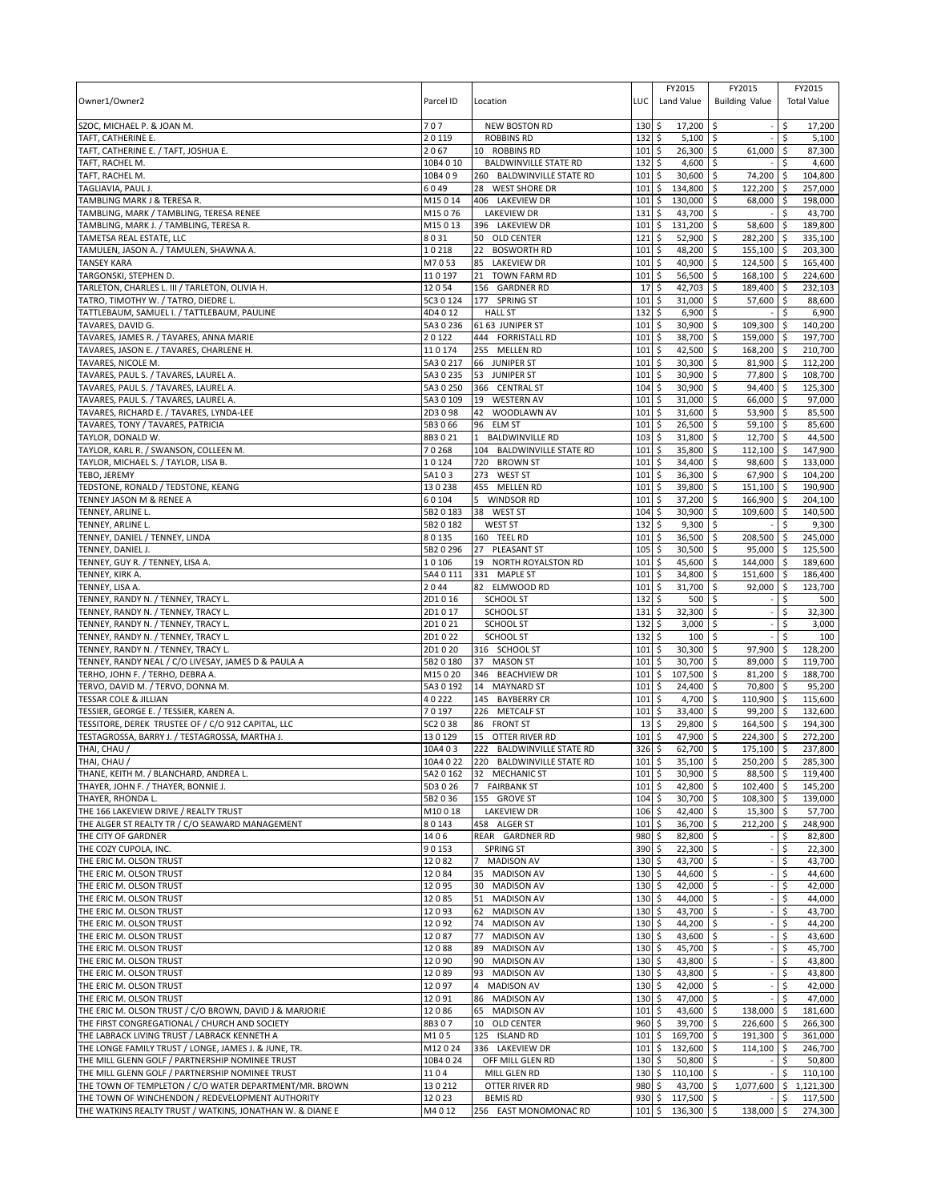| Owner1/Owner2                                                                                             | Parcel ID             | Location                                                  | LUC         | FY2015<br>Land Value                | FY2015<br><b>Building Value</b>     | FY2015<br><b>Total Value</b>  |
|-----------------------------------------------------------------------------------------------------------|-----------------------|-----------------------------------------------------------|-------------|-------------------------------------|-------------------------------------|-------------------------------|
| SZOC, MICHAEL P. & JOAN M.                                                                                | 707                   | <b>NEW BOSTON RD</b>                                      | 130         | \$<br>$17,200$ \$                   |                                     | \$<br>17,200                  |
| TAFT, CATHERINE E.                                                                                        | 20119                 | <b>ROBBINS RD</b>                                         | 132         | $5,100$ \$<br>\$                    |                                     | 5,100<br>\$                   |
| TAFT, CATHERINE E. / TAFT, JOSHUA E.                                                                      | 2067                  | 10 ROBBINS RD                                             | 101         | \$<br>26,300                        | \$<br>61,000                        | \$<br>87,300                  |
| TAFT, RACHEL M.<br>TAFT, RACHEL M.                                                                        | 10B4 0 10<br>10B409   | <b>BALDWINVILLE STATE RD</b><br>260 BALDWINVILLE STATE RD | 132<br>101  | \$<br>4,600<br>\$<br>30,600         | \$<br>\$<br>74,200                  | 4,600<br>\$<br>104,800<br>-\$ |
| TAGLIAVIA, PAUL J.                                                                                        | 6049                  | 28 WEST SHORE DR                                          | 101         | \$<br>134,800                       | 122,200<br>\$                       | \$<br>257,000                 |
| TAMBLING MARK J & TERESA R.                                                                               | M15014                | 406 LAKEVIEW DR                                           | 101         | \$<br>130,000                       | \$<br>68,000 \$                     | 198,000                       |
| TAMBLING, MARK / TAMBLING, TERESA RENEE                                                                   | M15076                | <b>LAKEVIEW DR</b>                                        | 131         | 43,700<br>\$                        | \$                                  | \$<br>43,700                  |
| TAMBLING, MARK J. / TAMBLING, TERESA R.                                                                   | M15013                | 396 LAKEVIEW DR                                           | 101         | \$<br>131,200                       | \$<br>58,600                        | \$<br>189,800                 |
| TAMETSA REAL ESTATE. LLC                                                                                  | 8031                  | 50 OLD CENTER                                             | 121         | \$<br>52,900                        | 282,200 \$<br>\$                    | 335,100                       |
| TAMULEN, JASON A. / TAMULEN, SHAWNA A                                                                     | 10218                 | 22<br><b>BOSWORTH RD</b>                                  | 101         | \$<br>48,200                        | \$<br>155,100 \$                    | 203,300                       |
| <b>TANSEY KARA</b>                                                                                        | M7053                 | 85<br><b>LAKEVIEW DR</b>                                  | 101         | 40,900<br>\$                        | \$<br>124,500 \$                    | 165,400                       |
| TARGONSKI, STEPHEN D.                                                                                     | 110197                | 21<br><b>TOWN FARM RD</b>                                 | 101         | \$<br>56,500                        | 168,100 \$<br>\$                    | 224,600                       |
| TARLETON, CHARLES L. III / TARLETON, OLIVIA H.                                                            | 12054<br>5C3 0 124    | 156 GARDNER RD<br>177 SPRING ST                           | 17          | \$<br>42,703                        | \$<br>189,400 \$<br>57,600 \$       | 232,103                       |
| TATRO, TIMOTHY W. / TATRO, DIEDRE L.<br>TATTLEBAUM, SAMUEL I. / TATTLEBAUM, PAULINE                       | 4D4012                | <b>HALL ST</b>                                            | 101<br>132  | 31,000<br>\$<br>\$<br>6,900         | \$<br>l\$                           | 88,600<br>Ŝ.<br>6,900         |
| TAVARES, DAVID G.                                                                                         | 5A3 0 236             | 61 63 JUNIPER ST                                          | 101         | \$<br>30,900                        | \$<br>109,300                       | \$<br>140,200                 |
| TAVARES, JAMES R. / TAVARES, ANNA MARIE                                                                   | 20122                 | 444 FORRISTALL RD                                         | 101         | \$<br>38,700                        | \$<br>159,000 \$                    | 197,700                       |
| TAVARES, JASON E. / TAVARES, CHARLENE H.                                                                  | 110174                | 255 MELLEN RD                                             | 101         | \$<br>42,500                        | \$<br>168,200 \$                    | 210,700                       |
| TAVARES, NICOLE M.                                                                                        | 5A30217               | 66 JUNIPER ST                                             | 101         | \$<br>30,300                        | \$<br>81,900 \$                     | 112,200                       |
| TAVARES, PAUL S. / TAVARES, LAUREL A.                                                                     | 5A3 0 235             | 53 JUNIPER ST                                             | 101         | \$<br>30,900                        | 77,800 \$<br>l\$                    | 108,700                       |
| TAVARES, PAUL S. / TAVARES, LAUREL A.                                                                     | 5A3 0 250             | 366 CENTRAL ST                                            | 104         | \$<br>30,900                        | \$<br>94,400 \$                     | 125,300                       |
| TAVARES, PAUL S. / TAVARES, LAUREL A.                                                                     | 5A3 0 109             | 19 WESTERN AV                                             | 101         | \$<br>31,000                        | 66,000 \$<br>\$                     | 97,000                        |
| TAVARES, RICHARD E. / TAVARES, LYNDA-LEE                                                                  | 2D3098                | 42<br>WOODLAWN AV                                         | 101         | \$<br>31,600                        | 53,900 \$<br>\$                     | 85,500                        |
| TAVARES, TONY / TAVARES, PATRICIA                                                                         | 5B3066                | 96<br><b>ELM ST</b>                                       | 101         | \$<br>26,500                        | \$<br>$59,100$ \$                   | 85,600                        |
| TAYLOR, DONALD W.                                                                                         | 8B3021                | <b>BALDWINVILLE RD</b><br>$\mathbf{1}$                    | 103         | \$<br>31,800                        | 12,700<br>\$                        | 44,500<br>\$                  |
| TAYLOR, KARL R. / SWANSON, COLLEEN M.                                                                     | 70268<br>10124        | 104 BALDWINVILLE STATE RD<br>720 BROWN ST                 | 101<br>101  | 35,800<br>\$<br>\$                  | 112,100 \$<br>\$<br>\$<br>98,600 \$ | 147,900                       |
| TAYLOR, MICHAEL S. / TAYLOR, LISA B.<br>TEBO, JEREMY                                                      | 5A103                 | 273 WEST ST                                               | 101         | 34,400<br>36,300<br>\$              | 67,900 \$<br>\$                     | 133,000<br>104,200            |
| TEDSTONE, RONALD / TEDSTONE, KEANG                                                                        | 130238                | 455 MELLEN RD                                             | 101         | \$<br>39,800                        | \$<br>151,100 \$                    | 190,900                       |
| TENNEY JASON M & RENEE A                                                                                  | 60104                 | 5<br><b>WINDSOR RD</b>                                    | 101         | 37,200<br>\$                        | \$<br>166,900                       | l \$<br>204,100               |
| TENNEY, ARLINE L                                                                                          | 5B2 0 183             | 38 WEST ST                                                | 104         | \$<br>30,900                        | \$<br>109,600 \$                    | 140,500                       |
| TENNEY, ARLINE L.                                                                                         | 5B2 0 182             | <b>WEST ST</b>                                            | 132         | \$<br>9,300                         | \$                                  | \$<br>9,300                   |
| TENNEY, DANIEL / TENNEY, LINDA                                                                            | 80135                 | 160 TEEL RD                                               | 101         | \$<br>36,500                        | \$<br>208,500                       | 245,000<br>-\$                |
| TENNEY, DANIEL J.                                                                                         | 5B2 0 296             | 27<br>PLEASANT ST                                         | 105         | 30,500<br>\$                        | 95,000 \$<br>\$                     | 125,500                       |
| TENNEY, GUY R. / TENNEY, LISA A.                                                                          | 10106                 | 19 NORTH ROYALSTON RD                                     | 101         | \$<br>45,600                        | \$<br>144,000 \$                    | 189,600                       |
| TENNEY, KIRK A.                                                                                           | 5A4 0 111             | 331 MAPLE ST                                              | 101         | \$<br>34,800                        | \$<br>151,600                       | 186,400<br>-\$                |
| TENNEY, LISA A.                                                                                           | 2044                  | 82 ELMWOOD RD                                             | 101         | \$<br>31,700                        | \$<br>92,000 \$                     | 123,700                       |
| TENNEY, RANDY N. / TENNEY, TRACY L.                                                                       | 2D1016                | SCHOOL ST                                                 | 132         | \$<br>500                           | \$                                  | \$<br>500                     |
| TENNEY, RANDY N. / TENNEY, TRACY L.<br>TENNEY, RANDY N. / TENNEY, TRACY L.                                | 2D1017<br>2D1021      | <b>SCHOOL ST</b><br><b>SCHOOL ST</b>                      | 131<br>132  | \$<br>32,300<br>\$<br>3,000         | Ŝ.<br>\$                            | 32,300<br>Ś<br>\$<br>3,000    |
| TENNEY, RANDY N. / TENNEY, TRACY L.                                                                       | 2D1022                | SCHOOL ST                                                 | 132         | \$<br>100                           | \$                                  | Ŝ.<br>100                     |
| TENNEY, RANDY N. / TENNEY, TRACY L.                                                                       | 2D1020                | 316 SCHOOL ST                                             | 101         | \$<br>30,300                        | 97,900 \$<br>۱\$                    | 128,200                       |
| TENNEY, RANDY NEAL / C/O LIVESAY, JAMES D & PAULA A                                                       | 5B2 0 180             | 37 MASON ST                                               | 101         | \$<br>30,700                        | \$<br>89,000 \$                     | 119,700                       |
| TERHO, JOHN F. / TERHO, DEBRA A.                                                                          | M15020                | 346 BEACHVIEW DR                                          | 101         | \$<br>107,500                       | 81,200 \$<br>\$                     | 188,700                       |
| TERVO, DAVID M. / TERVO, DONNA M.                                                                         | 5A3 0 192             | 14 MAYNARD ST                                             | 101         | 24,400<br>\$                        | 70,800 \$<br>\$                     | 95,200                        |
| <b>TESSAR COLE &amp; JILLIAN</b>                                                                          | 40222                 | 145 BAYBERRY CR                                           | 101         | \$<br>4,700                         | \$<br>110,900 \$                    | 115,600                       |
| TESSIER, GEORGE E. / TESSIER, KAREN A.                                                                    | 70197                 | 226 METCALF ST                                            | 101         | \$<br>33,400                        | 99,200 \$<br>\$                     | 132,600                       |
| TESSITORE, DEREK TRUSTEE OF / C/O 912 CAPITAL, LLC                                                        | 5C2 0 38              | 86<br><b>FRONT ST</b>                                     | 13          | \$<br>29,800                        | 164,500 \$<br>\$                    | 194,300                       |
| TESTAGROSSA, BARRY J. / TESTAGROSSA, MARTHA J.                                                            | 130129                | 15<br>OTTER RIVER RD                                      | 101         | 47,900<br>\$                        | 224,300 \$<br>\$                    | 272,200                       |
| THAI, CHAU /                                                                                              | 10A403                | 222 BALDWINVILLE STATE RD                                 | 326         | \$<br>62,700                        | 5<br>175,100 \$                     | 237,800                       |
| THAI, CHAU /                                                                                              |                       | 10A4 0 22 220 BALDWINVILLE STATE RD                       | $101 \;$ \$ | 35,100 \$                           | 250,200 \$                          | 285,300                       |
| THANE, KEITH M. / BLANCHARD, ANDREA L.<br>THAYER, JOHN F. / THAYER, BONNIE J.                             | 5A2 0 162<br>5D3 0 26 | 32 MECHANIC ST<br>7 FAIRBANK ST                           | 101<br>101  | \$<br>30,900 \$<br>42,800<br>\$     | 88,500 \$<br>102,400 \$<br>\$       | 119,400<br>145,200            |
| THAYER, RHONDA L.                                                                                         | 5B2036                | 155 GROVE ST                                              | 104         | \$<br>30,700 \$                     | 108,300 \$                          | 139,000                       |
| THE 166 LAKEVIEW DRIVE / REALTY TRUST                                                                     | M10018                | <b>LAKEVIEW DR</b>                                        | 106         | \$<br>42,400                        | $15,300$ \$<br>\$                   | 57,700                        |
| THE ALGER ST REALTY TR / C/O SEAWARD MANAGEMENT                                                           | 80143                 | 458 ALGER ST                                              | 101         | \$<br>36,700                        | \$<br>212,200 \$                    | 248,900                       |
| THE CITY OF GARDNER                                                                                       | 1406                  | REAR GARDNER RD                                           | 980         | \$<br>82,800 \$                     |                                     | \$<br>82,800                  |
| THE COZY CUPOLA, INC.                                                                                     | 90153                 | <b>SPRING ST</b>                                          | 390         | \$<br>$22,300$ \$                   |                                     | \$<br>22,300                  |
| THE ERIC M. OLSON TRUST                                                                                   | 12082                 | <b>MADISON AV</b>                                         | 130         | 43,700 \$<br>\$                     |                                     | \$<br>43,700                  |
| THE ERIC M. OLSON TRUST                                                                                   | 12084                 | 35<br><b>MADISON AV</b>                                   | 130         | \$<br>44,600 \$                     |                                     | \$<br>44,600                  |
| THE ERIC M. OLSON TRUST                                                                                   | 12095                 | 30<br><b>MADISON AV</b>                                   | 130         | 42,000 \$<br>\$                     |                                     | \$<br>42,000                  |
| THE ERIC M. OLSON TRUST                                                                                   | 12085                 | 51<br><b>MADISON AV</b>                                   | 130         | \$<br>44,000 \$                     |                                     | \$<br>44,000                  |
| THE ERIC M. OLSON TRUST<br>THE ERIC M. OLSON TRUST                                                        | 12093<br>12092        | <b>MADISON AV</b><br>62<br>74<br><b>MADISON AV</b>        | 130<br>130  | \$<br>43,700 \$<br>\$<br>44,200 \$  |                                     | 43,700<br>\$<br>\$<br>44,200  |
| THE ERIC M. OLSON TRUST                                                                                   | 12087                 | 77<br><b>MADISON AV</b>                                   | $130 \;$ \$ | 43,600 \$                           |                                     | \$<br>43,600                  |
| THE ERIC M. OLSON TRUST                                                                                   | 12088                 | <b>MADISON AV</b><br>89                                   | $130 \;$ \$ | 45,700 \$                           |                                     | \$<br>45,700                  |
| THE ERIC M. OLSON TRUST                                                                                   | 12090                 | 90<br><b>MADISON AV</b>                                   | 130         | \$<br>43,800 \$                     |                                     | \$<br>43,800                  |
| THE ERIC M. OLSON TRUST                                                                                   | 12089                 | 93<br><b>MADISON AV</b>                                   | 130         | \$<br>43,800 \$                     |                                     | \$<br>43,800                  |
| THE ERIC M. OLSON TRUST                                                                                   | 12097                 | <b>MADISON AV</b><br>$\overline{4}$                       | $130 \;$ \$ | 42,000 \$                           |                                     | \$<br>42,000                  |
| THE ERIC M. OLSON TRUST                                                                                   | 12091                 | <b>MADISON AV</b><br>86                                   | $130 \;$ \$ | 47,000 \$                           |                                     | 47,000<br>\$                  |
| THE ERIC M. OLSON TRUST / C/O BROWN, DAVID J & MARJORIE                                                   | 12086                 | <b>MADISON AV</b><br>65                                   | 101         | \$<br>43,600 \$                     | 138,000 \$                          | 181,600                       |
| THE FIRST CONGREGATIONAL / CHURCH AND SOCIETY                                                             | 8B307                 | 10<br><b>OLD CENTER</b>                                   | 960         | \$<br>39,700 \$                     | 226,600 \$                          | 266,300                       |
| THE LABRACK LIVING TRUST / LABRACK KENNETH A                                                              | M105                  | 125 ISLAND RD                                             | 101         | \$<br>169,700 \$                    | 191,300 \$                          | 361,000                       |
| THE LONGE FAMILY TRUST / LONGE, JAMES J. & JUNE, TR.                                                      | M12024                | 336 LAKEVIEW DR                                           | 101         | \$<br>132,600 \$                    | $114,100$ \$                        | 246,700                       |
| THE MILL GLENN GOLF / PARTNERSHIP NOMINEE TRUST                                                           | 10B4 0 24             | OFF MILL GLEN RD                                          | 130         | \$<br>50,800                        | l\$                                 | \$<br>50,800                  |
| THE MILL GLENN GOLF / PARTNERSHIP NOMINEE TRUST<br>THE TOWN OF TEMPLETON / C/O WATER DEPARTMENT/MR. BROWN | 1104<br>130212        | MILL GLEN RD<br>OTTER RIVER RD                            | 130<br>980  | 110,100 \$<br>\$<br>\$<br>43,700 \$ | $1,077,600$ \$                      | 110,100<br>\$<br>1,121,300    |
| THE TOWN OF WINCHENDON / REDEVELOPMENT AUTHORITY                                                          | 12023                 | <b>BEMIS RD</b>                                           | 930         | \$<br>$117,500$ \$                  |                                     | \$<br>117,500                 |
| THE WATKINS REALTY TRUST / WATKINS, JONATHAN W. & DIANE E                                                 | M4012                 | 256 EAST MONOMONAC RD                                     | 101         | \$<br>136,300 \$                    | 138,000 \$                          | 274,300                       |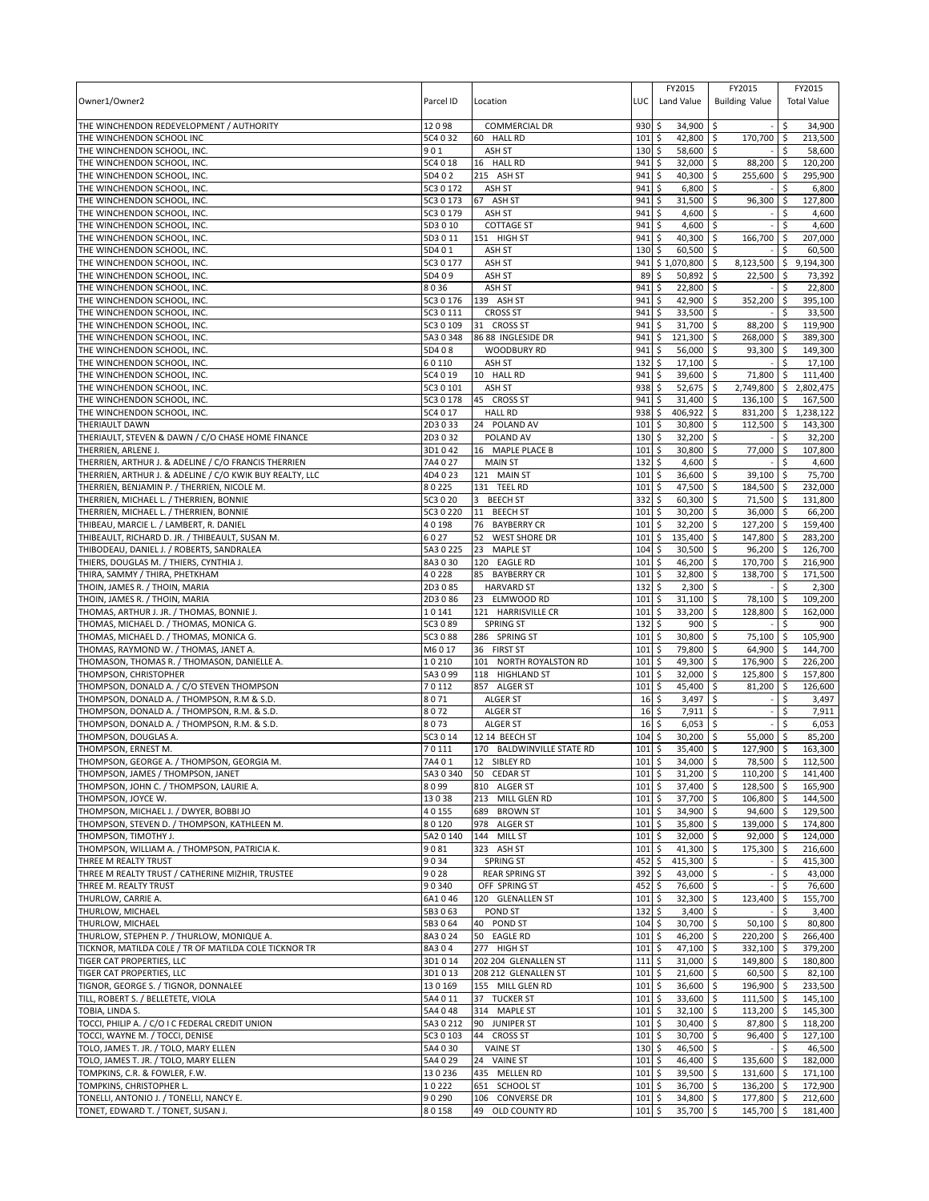| Owner1/Owner2                                                                              | Parcel ID            | Location                                               | LUC              | FY2015<br>Land Value                 | FY2015<br><b>Building Value</b>                   |               | FY2015<br><b>Total Value</b> |
|--------------------------------------------------------------------------------------------|----------------------|--------------------------------------------------------|------------------|--------------------------------------|---------------------------------------------------|---------------|------------------------------|
| THE WINCHENDON REDEVELOPMENT / AUTHORITY                                                   | 12098                | <b>COMMERCIAL DR</b>                                   | 930              | 34,900 \$<br>\$                      |                                                   | \$.           | 34,900                       |
| THE WINCHENDON SCHOOL INC<br>THE WINCHENDON SCHOOL, INC.                                   | 5C4 0 32<br>901      | 60 HALL RD<br>ASH ST                                   | 101<br>130       | \$<br>42,800 \$<br>58,600 \$<br>\$   | 170,700                                           | l\$<br>\$     | 213,500<br>58,600            |
| THE WINCHENDON SCHOOL, INC.                                                                | 5C4 0 18             | 16 HALL RD                                             | 941              | \$<br>32,000                         | \$<br>88,200                                      | \$            | 120,200                      |
| THE WINCHENDON SCHOOL, INC.                                                                | 5D402                | 215 ASH ST                                             | 941              | 40,300<br>\$                         | 255,600<br>-\$                                    | -\$           | 295,900                      |
| THE WINCHENDON SCHOOL, INC.                                                                | 5C3 0 172            | ASH ST                                                 | 941              | \$<br>6,800                          | \$                                                | \$            | 6,800                        |
| THE WINCHENDON SCHOOL, INC.                                                                | 5C3 0 173            | 67 ASH ST                                              | 941              | \$<br>31,500                         | 96,300<br>\$                                      | \$            | 127,800                      |
| THE WINCHENDON SCHOOL, INC.                                                                | 5C3 0 179            | ASH ST                                                 | 941              | \$<br>4,600                          | \$                                                | \$            | 4,600                        |
| THE WINCHENDON SCHOOL, INC.<br>THE WINCHENDON SCHOOL, INC.                                 | 5D3010<br>5D3011     | <b>COTTAGE ST</b><br>151 HIGH ST                       | 941<br>941       | \$<br>4,600<br>\$<br>40,300 \$       | -\$<br>166,700                                    | \$<br>l \$    | 4,600<br>207,000             |
| THE WINCHENDON SCHOOL, INC.                                                                | 5D401                | ASH ST                                                 | 130              | 60,500<br>\$                         | l\$                                               |               | 60,500                       |
| THE WINCHENDON SCHOOL, INC.                                                                | 5C3 0 177            | ASH ST                                                 | 941              | \$1,070,800                          | 8,123,500<br>\$                                   | \$            | 9,194,300                    |
| THE WINCHENDON SCHOOL, INC.                                                                | 5D409                | ASH ST                                                 | 89               | \$<br>50,892                         | \$<br>22,500                                      | \$            | 73,392                       |
| THE WINCHENDON SCHOOL, INC.                                                                | 8036                 | ASH ST                                                 | 941              | \$<br>22,800                         | \$                                                | \$            | 22,800                       |
| THE WINCHENDON SCHOOL, INC.                                                                | 5C3 0 176            | 139 ASH ST                                             | 941              | \$<br>42,900 \$                      | 352,200                                           | <b>S</b>      | 395,100                      |
| THE WINCHENDON SCHOOL, INC.                                                                | 5C3 0 111            | <b>CROSS ST</b>                                        | 941              | \$<br>33,500                         | l\$                                               | Ŝ.            | 33,500                       |
| THE WINCHENDON SCHOOL, INC.<br>THE WINCHENDON SCHOOL, INC.                                 | 5C3 0 109<br>5A30348 | 31 CROSS ST<br>86 88 INGLESIDE DR                      | 941<br>941       | \$<br>31,700 \$<br>\$<br>121,300 \$  | 88,200<br>268,000 \$                              | Ŝ.            | 119,900<br>389,300           |
| THE WINCHENDON SCHOOL, INC.                                                                | 5D408                | <b>WOODBURY RD</b>                                     | 941              | \$<br>56,000                         | \$<br>93,300 \$                                   |               | 149,300                      |
| THE WINCHENDON SCHOOL, INC.                                                                | 60110                | ASH ST                                                 | 132              | \$<br>17,100                         | l\$                                               | Ŝ.            | 17,100                       |
| THE WINCHENDON SCHOOL, INC.                                                                | 5C4 0 19             | 10 HALL RD                                             | 941              | \$<br>39,600 \$                      | 71,800                                            | l \$          | 111,400                      |
| THE WINCHENDON SCHOOL, INC.                                                                | 5C3 0 101            | ASH ST                                                 | 938              | \$<br>52,675                         | \$<br>2,749,800                                   | l \$          | 2,802,475                    |
| THE WINCHENDON SCHOOL, INC.                                                                | 5C3 0 178            | 45 CROSS ST                                            | 941              | \$<br>31,400                         | 136,100<br>\$                                     | -\$           | 167,500                      |
| THE WINCHENDON SCHOOL, INC.                                                                | 5C4 0 17             | <b>HALL RD</b><br>24 POLAND AV                         | 938<br>101       | \$<br>406,922<br>\$<br>30,800        | 831,200 \$<br>\$<br>$\mathsf{\hat{S}}$<br>112.500 | \$            | 1,238,122                    |
| THERIAULT DAWN<br>THERIAULT, STEVEN & DAWN / C/O CHASE HOME FINANCE                        | 2D3033<br>2D3032     | POLAND AV                                              | $130 \;$ \$      | 32,200                               | l\$                                               | \$            | 143,300<br>32,200            |
| THERRIEN, ARLENE J.                                                                        | 3D1042               | 16 MAPLE PLACE B                                       | 101              | \$<br>30,800                         | \$<br>77,000                                      | \$            | 107,800                      |
| THERRIEN, ARTHUR J. & ADELINE / C/O FRANCIS THERRIEN                                       | 7A4 0 27             | <b>MAIN ST</b>                                         | 132              | \$<br>4,600                          | \$                                                | Ŝ.            | 4,600                        |
| THERRIEN, ARTHUR J. & ADELINE / C/O KWIK BUY REALTY, LLC                                   | 4D4023               | 121 MAIN ST                                            | 101              | \$<br>36,600                         | -\$<br>39,100 \$                                  |               | 75,700                       |
| THERRIEN, BENJAMIN P. / THERRIEN, NICOLE M.                                                | 80225                | 131 TEEL RD                                            | 101              | \$<br>47,500                         | Ŝ.<br>184,500 \$                                  |               | 232,000                      |
| THERRIEN, MICHAEL L. / THERRIEN, BONNIE                                                    | 5C3 0 20             | 3 BEECH ST                                             | 332              | \$<br>60,300                         | \$<br>71,500                                      | \$ ا          | 131,800                      |
| THERRIEN, MICHAEL L. / THERRIEN, BONNIE                                                    | 5C3 0 220            | <b>BEECH ST</b><br>11                                  | 101              | 30,200<br>\$                         | 36,000<br>Ŝ.                                      | l\$           | 66,200                       |
| THIBEAU, MARCIE L. / LAMBERT, R. DANIEL<br>THIBEAULT, RICHARD D. JR. / THIBEAULT, SUSAN M. | 40198<br>6027        | 76<br><b>BAYBERRY CR</b><br><b>WEST SHORE DR</b><br>52 | 101<br>101       | \$<br>32,200<br>\$<br>135,400        | 127,200 \$<br>-\$<br>\$<br>147,800 \$             |               | 159,400<br>283,200           |
| THIBODEAU, DANIEL J. / ROBERTS, SANDRALEA                                                  | 5A3 0 225            | 23<br><b>MAPLE ST</b>                                  | 104              | \$<br>30,500                         | 96,200<br>Ŝ.                                      | l \$          | 126,700                      |
| THIERS, DOUGLAS M. / THIERS, CYNTHIA J.                                                    | 8A3030               | 120 EAGLE RD                                           | 101              | \$<br>46,200                         | -\$<br>170,700                                    | -\$           | 216,900                      |
| THIRA, SAMMY / THIRA, PHETKHAM                                                             | 40228                | 85 BAYBERRY CR                                         | 101              | \$<br>32,800                         | 138,700<br>\$                                     | \$ ا          | 171,500                      |
| THOIN, JAMES R. / THOIN, MARIA                                                             | 2D3 0 85             | <b>HARVARD ST</b>                                      | 132              | \$<br>2,300                          | \$                                                | \$            | 2,300                        |
| THOIN, JAMES R. / THOIN, MARIA                                                             | 2D3086               | 23 ELMWOOD RD                                          | 101              | \$<br>31,100                         | Ŝ.<br>78,100                                      | \$            | 109,200                      |
| THOMAS, ARTHUR J. JR. / THOMAS, BONNIE J.<br>THOMAS, MICHAEL D. / THOMAS, MONICA G.        | 10141<br>5C3 0 89    | 121 HARRISVILLE CR<br><b>SPRING ST</b>                 | 101<br>132       | 33,200<br>Ŝ.<br>\$<br>900            | 128,800<br>-\$<br>\$                              | -\$<br>\$.    | 162,000<br>900               |
| THOMAS, MICHAEL D. / THOMAS, MONICA G.                                                     | 5C3 0 88             | 286 SPRING ST                                          | 101              | \$<br>30,800                         | \$<br>75,100                                      | -\$           | 105,900                      |
| THOMAS, RAYMOND W. / THOMAS, JANET A.                                                      | M6017                | 36 FIRST ST                                            | 101              | \$<br>79,800                         | 64,900<br>Ŝ.                                      | l\$           | 144,700                      |
| THOMASON, THOMAS R. / THOMASON, DANIELLE A.                                                | 10210                | 101 NORTH ROYALSTON RD                                 | 101              | \$<br>49,300                         | \$<br>176,900                                     | l\$           | 226,200                      |
| THOMPSON, CHRISTOPHER                                                                      | 5A3 0 99             | 118 HIGHLAND ST                                        | 101              | \$<br>32,000                         | \$<br>125,800 \$                                  |               | 157,800                      |
| THOMPSON, DONALD A. / C/O STEVEN THOMPSON                                                  | 70112                | 857 ALGER ST                                           | 101              | \$<br>45,400                         | \$<br>81,200                                      | ۱\$           | 126.600                      |
| THOMPSON, DONALD A. / THOMPSON, R.M & S.D.<br>THOMPSON, DONALD A. / THOMPSON, R.M. & S.D.  | 8071<br>8072         | <b>ALGER ST</b>                                        | 16<br>16         | 3,497<br>\$<br>7,911                 | \$<br>-\$                                         | Ŝ.<br>\$.     | 3,497<br>7,911               |
| THOMPSON, DONALD A. / THOMPSON, R.M. & S.D.                                                | 8073                 | <b>ALGER ST</b><br><b>ALGER ST</b>                     | 16               | \$<br>\$<br>6,053                    | \$                                                | \$            | 6,053                        |
| THOMPSON, DOUGLAS A.                                                                       | 5C3 0 14             | 12 14 BEECH ST                                         | 104              | \$<br>30,200                         | \$<br>55,000                                      |               | 85,200                       |
| THOMPSON, ERNEST M.                                                                        | 70111                | 170 BALDWINVILLE STATE RD                              | $101 \,$ \$      | 35,400 \$                            | 127,900 \$                                        |               | 163,300                      |
| THOMPSON, GEORGE A. / THOMPSON, GEORGIA M.                                                 | 7A401                | 12 SIBLEY RD                                           | 101 <sup>5</sup> | 34.000 \$                            | 78.500 \$                                         |               | 112.500                      |
| THOMPSON, JAMES / THOMPSON, JANET                                                          | 5A3 0 340            | 50 CEDAR ST                                            | 101              | \$<br>31,200                         | \$<br>110,200 \$                                  |               | 141,400                      |
| THOMPSON, JOHN C. / THOMPSON, LAURIE A.                                                    | 8099                 | 810 ALGER ST                                           | 101              | \$<br>37,400                         | \$<br>128,500                                     | l\$           | 165,900                      |
| THOMPSON, JOYCE W.<br>THOMPSON, MICHAEL J. / DWYER, BOBBI JO                               | 13038<br>40155       | 213 MILL GLEN RD<br>689 BROWN ST                       | 101<br>101       | \$<br>37,700<br>\$<br>34,900 \$      | 5<br>106,800<br>94,600 \$                         | l\$           | 144,500<br>129,500           |
| THOMPSON, STEVEN D. / THOMPSON, KATHLEEN M.                                                | 80120                | 978 ALGER ST                                           | 101              | \$<br>35,800 \$                      | 139,000 \$                                        |               | 174,800                      |
| THOMPSON, TIMOTHY J.                                                                       | 5A2 0 140            | 144 MILL ST                                            | 101              | \$<br>32,000                         | 92,000<br>  \$                                    | <b>S</b>      | 124,000                      |
| THOMPSON, WILLIAM A. / THOMPSON, PATRICIA K.                                               | 9081                 | 323 ASH ST                                             | 101              | \$<br>$41,300$ \$                    | 175,300 \$                                        |               | 216,600                      |
| THREE M REALTY TRUST                                                                       | 9034                 | <b>SPRING ST</b>                                       | 452              | \$<br>415,300 \$                     |                                                   | \$            | 415,300                      |
| THREE M REALTY TRUST / CATHERINE MIZHIR, TRUSTEE                                           | 9028                 | <b>REAR SPRING ST</b>                                  | 392              | \$<br>43,000 \$                      |                                                   | \$            | 43,000                       |
| THREE M. REALTY TRUST                                                                      | 90340                | OFF SPRING ST                                          | 452              | \$<br>76,600 \$                      |                                                   | \$            | 76,600<br>155,700            |
| THURLOW, CARRIE A.<br>THURLOW, MICHAEL                                                     | 6A1046<br>5B3063     | 120 GLENALLEN ST<br>POND ST                            | 101<br>132       | \$<br>32,300 \$<br>\$<br>$3,400$ \$  | 123,400                                           | \$<br>\$      | 3,400                        |
| THURLOW. MICHAEL                                                                           | 5B3064               | 40 POND ST                                             | 104              | \$<br>30,700 \$                      | 50,100                                            | l \$          | 80,800                       |
| THURLOW, STEPHEN P. / THURLOW, MONIQUE A.                                                  | 8A3024               | 50 EAGLE RD                                            | 101              | l\$<br>46,200 \$                     | 220,200                                           | l\$           | 266,400                      |
| TICKNOR, MATILDA COLE / TR OF MATILDA COLE TICKNOR TR                                      | 8A304                | 277 HIGH ST                                            | 101              | $\ddot{\circ}$<br>47,100 \$          | 332,100 \$                                        |               | 379,200                      |
| TIGER CAT PROPERTIES, LLC                                                                  | 3D1014               | 202 204 GLENALLEN ST                                   | 111              | \$<br>$31,000$ \$                    | 149,800 \$                                        |               | 180,800                      |
| TIGER CAT PROPERTIES, LLC                                                                  | 3D1013               | 208 212 GLENALLEN ST                                   | $101 \;$ \$      | 21,600 \$                            | $60,500$ \$                                       |               | 82,100                       |
| TIGNOR, GEORGE S. / TIGNOR, DONNALEE<br>TILL, ROBERT S. / BELLETETE, VIOLA                 | 130169<br>5A4 0 11   | 155 MILL GLEN RD<br>37 TUCKER ST                       | 101<br>101       | 5<br>36,600 \$<br>5<br>33,600 \$     | 196,900 \$<br>111,500 \$                          |               | 233,500<br>145,100           |
| TOBIA, LINDA S.                                                                            | 5A4 0 48             | 314 MAPLE ST                                           | $101 \;$ \$      | $32,100$ \$                          | 113,200 \$                                        |               | 145,300                      |
| TOCCI, PHILIP A. / C/O I C FEDERAL CREDIT UNION                                            | 5A3 0 212            | 90 JUNIPER ST                                          | 101              | \$<br>30,400                         | \$<br>87,800                                      | <b>S</b>      | 118,200                      |
| TOCCI, WAYNE M. / TOCCI, DENISE                                                            | 5C3 0 103            | 44 CROSS ST                                            | $101 \;$ \$      | 30,700 \$                            | 96,400                                            | $\frac{1}{2}$ | 127,100                      |
| TOLO, JAMES T. JR. / TOLO, MARY ELLEN                                                      | 5A4 0 30             | <b>VAINE ST</b>                                        | $130 \;$ \$      | 46,500 \$                            |                                                   | \$            | 46,500                       |
| TOLO, JAMES T. JR. / TOLO, MARY ELLEN                                                      | 5A4 0 29             | 24 VAINE ST                                            | 101              | \$<br>46,400 \$                      | 135,600                                           | ا \$          | 182,000                      |
| TOMPKINS, C.R. & FOWLER, F.W.                                                              | 130236               | 435 MELLEN RD                                          | 101              | \$<br>39,500                         | \$<br>131,600                                     | ۱\$           | 171,100                      |
| TOMPKINS, CHRISTOPHER L.<br>TONELLI, ANTONIO J. / TONELLI, NANCY E.                        | 10222<br>90290       | 651 SCHOOL ST<br>106 CONVERSE DR                       | 101<br>101       | 36,700 \$<br>\$<br>\$<br>$34,800$ \$ | 136,200<br>177,800 \$                             | ۱\$           | 172,900<br>212,600           |
| TONET, EDWARD T. / TONET, SUSAN J.                                                         | 80158                | 49 OLD COUNTY RD                                       | 101              | l\$<br>35,700 \$                     | 145,700 \$                                        |               | 181,400                      |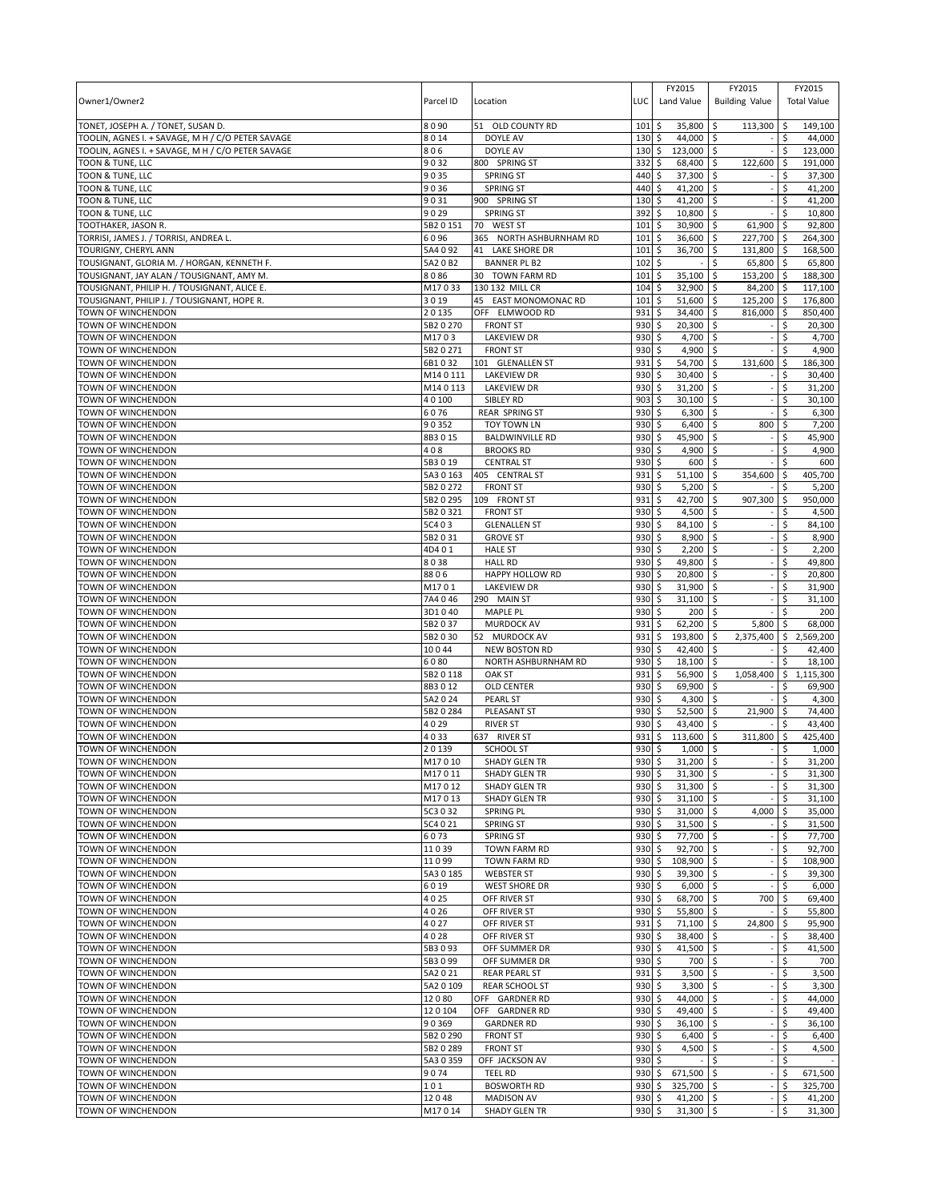| Owner1/Owner2                                                         | Parcel ID              | Location                                     | LUC                | FY2015<br>Land Value                  | FY2015<br><b>Building Value</b> | FY2015<br><b>Total Value</b>            |
|-----------------------------------------------------------------------|------------------------|----------------------------------------------|--------------------|---------------------------------------|---------------------------------|-----------------------------------------|
| TONET, JOSEPH A. / TONET, SUSAN D.                                    | 8090                   | 51 OLD COUNTY RD                             | 101                | \$<br>35,800                          | \$<br>113,300                   | 149,100<br>-\$                          |
| TOOLIN, AGNES I. + SAVAGE, M H / C/O PETER SAVAGE                     | 8014                   | DOYLE AV                                     | 130                | \$<br>44,000                          | \$                              | \$<br>44,000                            |
| TOOLIN, AGNES I. + SAVAGE, M H / C/O PETER SAVAGE<br>TOON & TUNE, LLC | 806<br>9032            | DOYLE AV<br>800 SPRING ST                    | 130<br>332         | \$<br>123,000<br>\$<br>68,400         | \$<br>\$<br>122,600             | Ś<br>123,000<br>191,000                 |
| TOON & TUNE, LLC                                                      | 9035                   | <b>SPRING ST</b>                             | 440                | 37,300<br>\$                          | \$                              | Ś<br>37,300                             |
| TOON & TUNE, LLC                                                      | 9036                   | <b>SPRING ST</b>                             | 440                | \$<br>41,200                          | \$                              | \$<br>41,200                            |
| TOON & TUNE, LLC                                                      | 9031                   | 900 SPRING ST                                | 130                | 41,200<br>\$                          | \$                              | 41,200<br>Ś                             |
| TOON & TUNE, LLC                                                      | 9029                   | <b>SPRING ST</b>                             | 392                | 10,800<br>\$                          | \$                              | \$<br>10,800                            |
| TOOTHAKER, JASON R.                                                   | 5B2 0 151              | 70 WEST ST                                   | 101                | \$<br>30,900                          | \$<br>61,900                    | \$.<br>92,800                           |
| TORRISI, JAMES J. / TORRISI, ANDREA L.                                | 6096                   | 365 NORTH ASHBURNHAM RD                      | 101                | \$<br>36,600                          | 227,700<br>\$                   | 264,300<br>I\$                          |
| TOURIGNY, CHERYL ANN<br>TOUSIGNANT, GLORIA M. / HORGAN, KENNETH F.    | 5A4 0 92<br>5A2 0 B2   | 41 LAKE SHORE DR<br><b>BANNER PL B2</b>      | 101<br>102         | \$<br>36,700<br>\$                    | \$<br>131,800<br>Ś<br>65,800    | \$<br>168.500<br>-\$<br>65,800          |
| TOUSIGNANT, JAY ALAN / TOUSIGNANT, AMY M.                             | 8086                   | 30 TOWN FARM RD                              | 101                | \$<br>35,100                          | \$<br>153,200                   | 188,300<br>l \$                         |
| TOUSIGNANT, PHILIP H. / TOUSIGNANT, ALICE E.                          | M17033                 | 130 132 MILL CR                              | 104                | \$<br>32,900                          | 84,200<br>\$                    | 117,100<br>l\$                          |
| TOUSIGNANT, PHILIP J. / TOUSIGNANT, HOPE R.                           | 3019                   | 45 EAST MONOMONAC RD                         | 101                | \$<br>51,600                          | \$<br>125,200                   | 176,800<br>l\$                          |
| TOWN OF WINCHENDON                                                    | 20135                  | OFF ELMWOOD RD                               | 931                | \$<br>34,400                          | \$<br>816,000                   | l \$<br>850,400                         |
| TOWN OF WINCHENDON                                                    | 5B2 0 270              | <b>FRONT ST</b>                              | 930                | \$<br>20,300                          | \$                              | \$<br>20,300                            |
| TOWN OF WINCHENDON                                                    | M1703                  | <b>LAKEVIEW DR</b>                           | 930                | \$<br>4,700                           | l\$                             | \$<br>4,700                             |
| TOWN OF WINCHENDON                                                    | 5B2 0 271              | <b>FRONT ST</b>                              | 930                | \$<br>4,900                           | \$                              | \$<br>4,900                             |
| TOWN OF WINCHENDON<br>TOWN OF WINCHENDON                              | 6B1032<br>M140111      | 101 GLENALLEN ST<br><b>LAKEVIEW DR</b>       | 931<br>930         | \$<br>54,700<br>\$<br>30,400          | \$<br>131,600<br>S.             | S.<br>186,300<br>\$<br>30,400           |
| TOWN OF WINCHENDON                                                    | M140113                | <b>LAKEVIEW DR</b>                           | 930                | \$<br>31,200                          | \$                              | 31,200<br>\$                            |
| <b>TOWN OF WINCHENDON</b>                                             | 40100                  | SIBLEY RD                                    | 903                | \$<br>30,100                          | \$                              | 30,100<br>Ś                             |
| TOWN OF WINCHENDON                                                    | 6076                   | <b>REAR SPRING ST</b>                        | 930                | 6,300<br>\$                           | \$                              | \$<br>6,300                             |
| TOWN OF WINCHENDON                                                    | 90352                  | TOY TOWN LN                                  | 930                | \$<br>6,400                           | \$<br>800                       | \$<br>7,200                             |
| TOWN OF WINCHENDON                                                    | 8B3015                 | <b>BALDWINVILLE RD</b>                       | 930                | \$<br>45,900                          | \$                              | 45,900<br>\$                            |
| <b>TOWN OF WINCHENDON</b>                                             | 408                    | <b>BROOKS RD</b>                             | 930                | \$<br>4,900                           | \$                              | \$<br>4,900                             |
| TOWN OF WINCHENDON<br>TOWN OF WINCHENDON                              | 5B3019                 | <b>CENTRAL ST</b>                            | 930<br>931         | \$<br>600<br>\$<br>51,100             | \$<br>\$<br>354,600             | Ŝ.<br>600<br>\$.                        |
| TOWN OF WINCHENDON                                                    | 5A3 0 163<br>5B2 0 272 | 405 CENTRAL ST<br><b>FRONT ST</b>            | 930                | \$<br>5,200                           | \$                              | 405,700<br>Ś<br>5,200                   |
| TOWN OF WINCHENDON                                                    | 5B2 0 295              | 109 FRONT ST                                 | 931                | \$<br>42,700                          | \$<br>907,300                   | \$<br>950,000                           |
| TOWN OF WINCHENDON                                                    | 5B2 0 321              | <b>FRONT ST</b>                              | 930                | 4,500<br>\$                           | \$                              | Ś<br>4,500                              |
| TOWN OF WINCHENDON                                                    | 5C4 03                 | <b>GLENALLEN ST</b>                          | 930                | \$<br>84,100                          | \$                              | \$<br>84,100                            |
| TOWN OF WINCHENDON                                                    | 5B2031                 | <b>GROVE ST</b>                              | 930                | 8,900<br>\$                           | \$                              | 8,900<br>\$                             |
| TOWN OF WINCHENDON                                                    | 4D401                  | <b>HALE ST</b>                               | 930                | \$<br>2,200                           | \$                              | \$<br>2,200                             |
| TOWN OF WINCHENDON                                                    | 8038                   | <b>HALL RD</b>                               | 930                | \$<br>49,800                          | \$                              | 49,800<br>\$                            |
| TOWN OF WINCHENDON<br>TOWN OF WINCHENDON                              | 8806<br>M1701          | HAPPY HOLLOW RD<br><b>LAKEVIEW DR</b>        | 930<br>930         | 20,800<br>\$<br>31,900<br>\$          | \$<br>\$                        | 20,800<br>\$<br>\$<br>31,900            |
| TOWN OF WINCHENDON                                                    | 7A4 046                | 290 MAIN ST                                  | 930                | Ś<br>31,100                           | \$                              | 31,100<br>Ś                             |
| TOWN OF WINCHENDON                                                    | 3D1040                 | MAPLE PL                                     | 930                | \$<br>200                             | l \$                            | 200<br>\$                               |
| TOWN OF WINCHENDON                                                    | 5B2037                 | MURDOCK AV                                   | 931                | \$<br>62,200                          | \$<br>5,800                     | \$<br>68,000                            |
| TOWN OF WINCHENDON                                                    | 5B2030                 | 52 MURDOCK AV                                | 931                | \$<br>193,800                         | \$<br>2,375,400                 | \$<br>2,569,200                         |
| TOWN OF WINCHENDON                                                    | 10044                  | <b>NEW BOSTON RD</b>                         | 930                | \$<br>42,400                          | \$                              | \$<br>42,400                            |
| TOWN OF WINCHENDON                                                    | 6080                   | NORTH ASHBURNHAM RD                          | 930                | \$<br>18,100                          | \$                              | \$<br>18,100                            |
| TOWN OF WINCHENDON<br>TOWN OF WINCHENDON                              | 5B2 0 118<br>8B3012    | <b>OAK ST</b><br><b>OLD CENTER</b>           | 931<br>930         | \$<br>56,900<br>\$<br>69,900          | \$<br>1,058,400<br>\$           | $\sqrt{5}$<br>1,115,300<br>\$<br>69,900 |
| TOWN OF WINCHENDON                                                    | 5A2 0 24               | <b>PEARL ST</b>                              | 930                | \$<br>4,300                           | l\$                             | 4,300<br>Ŝ.                             |
| TOWN OF WINCHENDON                                                    | 5B2 0 284              | PLEASANT ST                                  | 930                | \$<br>52,500                          | \$<br>21,900                    | \$<br>74,400                            |
| TOWN OF WINCHENDON                                                    | 4029                   | <b>RIVER ST</b>                              | 930                | 43,400<br>\$                          | \$                              | 43,400<br>\$                            |
| <b>TOWN OF WINCHENDON</b>                                             | 4033                   | 637 RIVER ST                                 | 931                | \$<br>113,600                         | \$<br>311,800                   | 425,400<br>\$                           |
| TOWN OF WINCHENDON                                                    | 20139                  | <b>SCHOOL ST</b>                             | 930                | \$<br>1,000                           | -\$                             | 1,000<br>\$                             |
| <b>TOWN OF WINCHENDON</b><br>TOWN OF WINCHENDON                       | M17010                 | <b>SHADY GLEN TR</b>                         | 930S               | 31.200                                | \$                              | \$<br>31.200                            |
| TOWN OF WINCHENDON                                                    | M17011<br>M17012       | <b>SHADY GLEN TR</b><br><b>SHADY GLEN TR</b> | $930 \;$ \$<br>930 | $31,300$ \$<br>\$<br>$31,300$ \$      |                                 | \$<br>31,300<br>\$<br>31,300            |
| TOWN OF WINCHENDON                                                    | M17013                 | <b>SHADY GLEN TR</b>                         | 930                | \$<br>$31,100$ \$                     |                                 | \$<br>31,100                            |
| TOWN OF WINCHENDON                                                    | 5C3 0 32               | SPRING PL                                    | 930                | \$<br>$31,000$ \$                     | 4,000                           | -\$<br>35,000                           |
| TOWN OF WINCHENDON                                                    | 5C4 0 21               | <b>SPRING ST</b>                             | 930                | \$<br>31,500                          | l\$                             | \$<br>31,500                            |
| TOWN OF WINCHENDON                                                    | 6073                   | <b>SPRING ST</b>                             | 930                | \$<br>77,700                          | l\$                             | Ś<br>77,700                             |
| TOWN OF WINCHENDON                                                    | 11039                  | TOWN FARM RD                                 | 930                | \$<br>92,700 \$                       |                                 | \$<br>92,700                            |
| TOWN OF WINCHENDON                                                    | 11099                  | TOWN FARM RD                                 | 930                | \$<br>108,900                         | \$                              | \$<br>108,900                           |
| TOWN OF WINCHENDON<br>TOWN OF WINCHENDON                              | 5A30185<br>6019        | <b>WEBSTER ST</b><br><b>WEST SHORE DR</b>    | 930<br>930         | \$<br>$39,300$ \$<br>\$<br>$6,000$ \$ |                                 | \$<br>39,300<br>\$<br>6,000             |
| TOWN OF WINCHENDON                                                    | 4025                   | OFF RIVER ST                                 | 930                | \$<br>68,700 \$                       | 700                             | 69,400<br>\$.                           |
| TOWN OF WINCHENDON                                                    | 4026                   | OFF RIVER ST                                 | 930                | \$<br>55,800 \$                       |                                 | \$<br>55,800                            |
| TOWN OF WINCHENDON                                                    | 4027                   | OFF RIVER ST                                 | 931                | $71,100$ \$<br>\$                     | 24,800                          | \$<br>95,900                            |
| TOWN OF WINCHENDON                                                    | 4028                   | OFF RIVER ST                                 | 930                | \$<br>38,400                          | \$                              | \$<br>38,400                            |
| TOWN OF WINCHENDON                                                    | 5B3093                 | OFF SUMMER DR                                | 930 \$             | 41,500 \$                             |                                 | \$<br>41,500                            |
| TOWN OF WINCHENDON                                                    | 5B3099                 | OFF SUMMER DR                                | 930 \$             | 700 \$                                |                                 | \$<br>700                               |
| TOWN OF WINCHENDON                                                    | 5A2 0 21               | <b>REAR PEARL ST</b>                         | 931<br>930         | \$<br>$3,500$ \$<br>\$                |                                 | \$<br>3,500<br>\$                       |
| TOWN OF WINCHENDON<br>TOWN OF WINCHENDON                              | 5A2 0 109<br>12080     | <b>REAR SCHOOL ST</b><br>OFF GARDNER RD      | 930 \$             | $3,300$ \$<br>44,000 \$               |                                 | 3,300<br>\$<br>44,000                   |
| TOWN OF WINCHENDON                                                    | 120104                 | OFF GARDNER RD                               | 930                | \$<br>49,400 \$                       |                                 | \$<br>49,400                            |
| TOWN OF WINCHENDON                                                    | 90369                  | <b>GARDNER RD</b>                            | 930                | \$<br>36,100                          | \$                              | \$<br>36,100                            |
| TOWN OF WINCHENDON                                                    | 5B2 0 290              | <b>FRONT ST</b>                              | 930                | \$<br>$6,400$ \$                      |                                 | \$<br>6,400                             |
| TOWN OF WINCHENDON                                                    | 5B2 0 289              | <b>FRONT ST</b>                              | 930 \$             | $4,500$ \$                            |                                 | \$<br>4,500                             |
| TOWN OF WINCHENDON                                                    | 5A3 0 359              | OFF JACKSON AV                               | 930                | \$                                    | \$                              | \$                                      |
| TOWN OF WINCHENDON                                                    | 9074                   | <b>TEEL RD</b>                               | 930                | \$<br>671,500                         | \$                              | \$<br>671,500                           |
| TOWN OF WINCHENDON<br>TOWN OF WINCHENDON                              | 101<br>12048           | <b>BOSWORTH RD</b><br><b>MADISON AV</b>      | 930<br>930         | 325,700 \$<br>\$<br>\$<br>$41,200$ \$ |                                 | \$<br>325,700<br>\$<br>41,200           |
|                                                                       | M17014                 | <b>SHADY GLEN TR</b>                         | 930                | \$<br>$31,300$ \$                     |                                 | \$<br>31,300                            |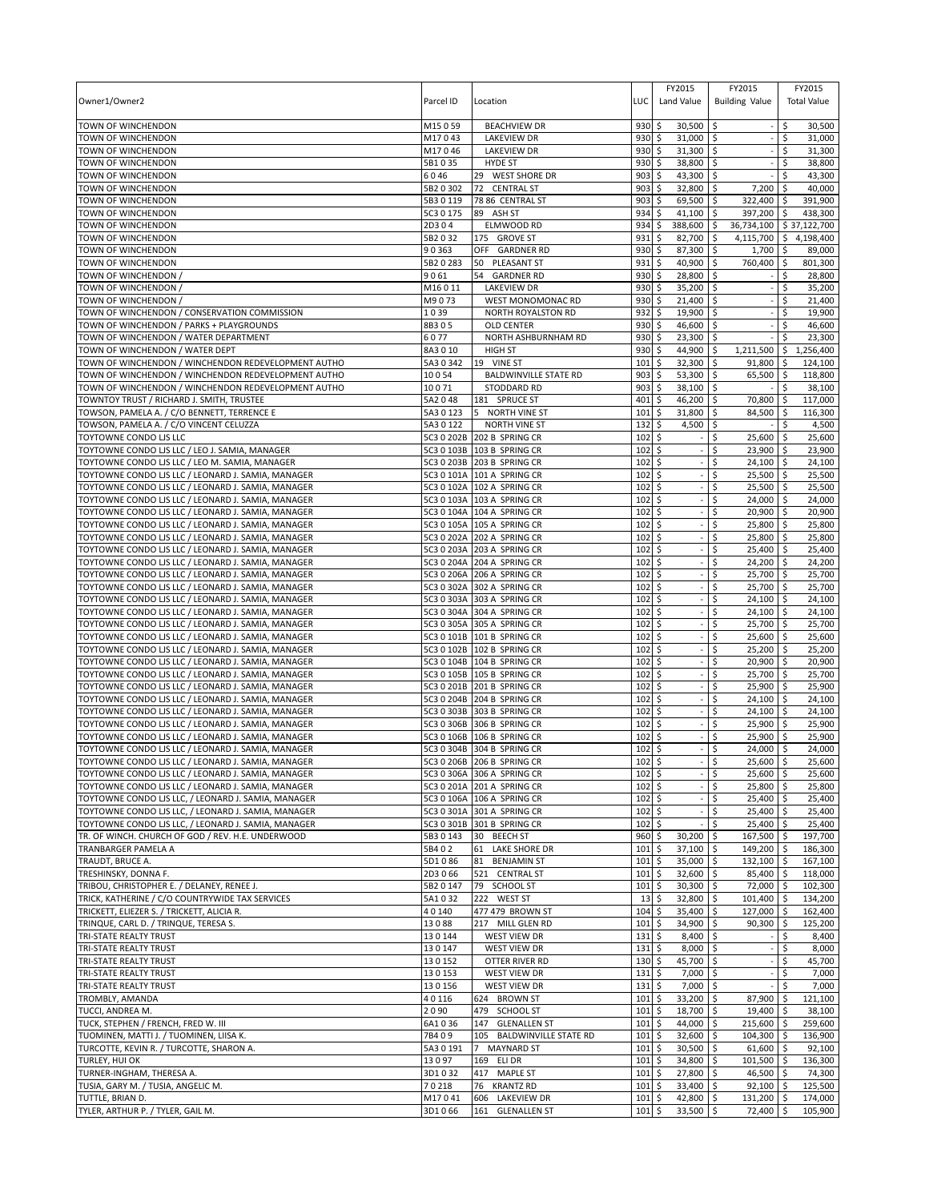|                                                     |                        |                                  |             | FY2015                      | FY2015                           | FY2015                   |
|-----------------------------------------------------|------------------------|----------------------------------|-------------|-----------------------------|----------------------------------|--------------------------|
| Owner1/Owner2                                       | Parcel ID              | Location                         | LUC         | Land Value                  | <b>Building Value</b>            | <b>Total Value</b>       |
|                                                     |                        |                                  |             |                             |                                  |                          |
| TOWN OF WINCHENDON                                  | M15059                 | <b>BEACHVIEW DR</b>              | 930         | \$<br>30,500                | \$                               | \$<br>30,500             |
| TOWN OF WINCHENDON                                  | M17043                 | <b>LAKEVIEW DR</b>               | 930         | 31,000<br>-S                | \$                               | \$<br>31,000             |
| TOWN OF WINCHENDON                                  | M17046                 | LAKEVIEW DR                      | 930         | \$<br>31,300                | \$                               | \$<br>31,300             |
| TOWN OF WINCHENDON                                  | 5B1 0 35               | <b>HYDE ST</b>                   | 930         | \$<br>38,800                | \$                               | \$<br>38,800             |
| TOWN OF WINCHENDON                                  | 6046                   | 29 WEST SHORE DR                 | 903         | 43,300                      | \$                               | \$<br>43,300             |
| TOWN OF WINCHENDON                                  | 5B2 0 302              | 72 CENTRAL ST                    | 903         | \$<br>32,800                | \$<br>$7,200$ \$                 | 40,000                   |
| TOWN OF WINCHENDON                                  | 5B3 0 119<br>5C3 0 175 | 78 86 CENTRAL ST<br>89 ASH ST    | 903<br>934  | \$<br>69,500<br>41,100      | \$<br>322,400 \$<br>397,200 \$   | 391,900<br>438,300       |
| TOWN OF WINCHENDON                                  | 2D304                  |                                  | 934         | \$<br>388,600<br>\$         | \$                               | 36,734,100 \$ 37,122,700 |
| TOWN OF WINCHENDON                                  |                        | ELMWOOD RD<br>175 GROVE ST       |             |                             | \$                               |                          |
| TOWN OF WINCHENDON                                  | 5B2032                 |                                  | 931         | 82,700<br>\$                | \$<br>$1,700$ \$                 | 4,115,700 \$ 4,198,400   |
| TOWN OF WINCHENDON                                  | 90363                  | OFF GARDNER RD                   | 930         | 87,300<br>\$                | \$                               | 89,000<br>801,300        |
| TOWN OF WINCHENDON                                  | 5B2 0 283              | 50 PLEASANT ST                   | 931         | \$<br>40,900                | \$<br>760,400 \$                 |                          |
| TOWN OF WINCHENDON                                  | 9061                   | 54 GARDNER RD                    | 930         | 28,800<br>\$                | \$                               | \$<br>28,800             |
| TOWN OF WINCHENDON /                                | M16011                 | <b>LAKEVIEW DR</b>               | 930         | \$<br>35,200                | \$                               | \$<br>35,200             |
| TOWN OF WINCHENDON                                  | M9073                  | WEST MONOMONAC RD                | 930         | \$<br>21,400                | \$                               | \$<br>21,400             |
| TOWN OF WINCHENDON / CONSERVATION COMMISSION        | 1039                   | NORTH ROYALSTON RD               | 932         | \$<br>19,900                | \$<br>$\overline{\phantom{a}}$   | \$<br>19,900             |
| TOWN OF WINCHENDON / PARKS + PLAYGROUNDS            | 8B305                  | <b>OLD CENTER</b>                | 930         | \$<br>46,600                | \$                               | Ŝ.<br>46,600             |
| TOWN OF WINCHENDON / WATER DEPARTMENT               | 6077                   | NORTH ASHBURNHAM RD              | 930         | \$<br>23,300                | l \$                             | 23,300<br>-Ś             |
| TOWN OF WINCHENDON / WATER DEPT                     | 8A3010                 | HIGH ST                          | 930         | 44,900<br>\$                | \$<br>$1,211,500$ \$             | 1,256,400                |
| TOWN OF WINCHENDON / WINCHENDON REDEVELOPMENT AUTHO | 5A3 0 342              | 19 VINE ST                       | 101         | \$<br>32,300                | \$<br>$91,800$ \$                | 124,100                  |
| TOWN OF WINCHENDON / WINCHENDON REDEVELOPMENT AUTHO | 10054                  | <b>BALDWINVILLE STATE RD</b>     | 903         | 53,300<br>\$                | -\$<br>$65,500$ \$               | 118,800                  |
| TOWN OF WINCHENDON / WINCHENDON REDEVELOPMENT AUTHO | 10071                  | STODDARD RD                      | 903         | \$<br>38,100                | \$                               | \$<br>38,100             |
| TOWNTOY TRUST / RICHARD J. SMITH, TRUSTEE           | 5A2048                 | 181 SPRUCE ST<br>5 NORTH VINE ST | 401         | \$<br>46,200                | \$<br>70,800 \$                  | 117,000                  |
| TOWSON, PAMELA A. / C/O BENNETT, TERRENCE E         | 5A30123                |                                  | 101         | 31,800<br>\$                | \$<br>84,500 \$                  | 116,300                  |
| TOWSON, PAMELA A. / C/O VINCENT CELUZZA             | 5A3 0 122              | <b>NORTH VINE ST</b>             | 132         | 4,500<br>\$                 | \$                               | \$<br>4,500              |
| TOYTOWNE CONDO LIS LLC                              |                        | 5C3 0 202B 202 B SPRING CR       | 102         | \$                          | \$<br>25,600 \$                  | 25,600                   |
| TOYTOWNE CONDO LIS LLC / LEO J. SAMIA, MANAGER      |                        | 5C3 0 103B 103 B SPRING CR       | 102         | \$                          | \$<br>23,900 \$                  | 23,900                   |
| TOYTOWNE CONDO LIS LLC / LEO M. SAMIA, MANAGER      |                        | 5C3 0 203B 203 B SPRING CR       | 102         | \$                          | \$<br>$24,100$ \$                | 24,100                   |
| TOYTOWNE CONDO LIS LLC / LEONARD J. SAMIA, MANAGER  |                        | 5C3 0 101A 101 A SPRING CR       | 102         | \$                          | 25,500 \$<br>\$                  | 25,500                   |
| TOYTOWNE CONDO LIS LLC / LEONARD J. SAMIA, MANAGER  |                        | 5C3 0 102A 102 A SPRING CR       | 102         | \$                          | \$<br>$25,500$ \$                | 25,500                   |
| TOYTOWNE CONDO LIS LLC / LEONARD J. SAMIA, MANAGER  |                        | 5C3 0 103A 103 A SPRING CR       | 102         | \$                          | 24,000 \$<br>\$                  | 24,000                   |
| TOYTOWNE CONDO LIS LLC / LEONARD J. SAMIA, MANAGER  |                        | 5C3 0 104A 104 A SPRING CR       | 102         | \$                          | \$<br>20,900 \$                  | 20,900                   |
| TOYTOWNE CONDO LIS LLC / LEONARD J. SAMIA, MANAGER  |                        | 5C3 0 105A 105 A SPRING CR       | 102         | \$                          | \$<br>25,800 \$                  | 25,800                   |
| TOYTOWNE CONDO LIS LLC / LEONARD J. SAMIA, MANAGER  |                        | 5C3 0 202A 202 A SPRING CR       | 102         | \$                          | \$<br>25,800 \$                  | 25,800                   |
| TOYTOWNE CONDO LIS LLC / LEONARD J. SAMIA, MANAGER  |                        | 5C3 0 203A 203 A SPRING CR       | 102         | \$                          | \$<br>$25,400$ \$                | 25,400                   |
| TOYTOWNE CONDO LIS LLC / LEONARD J. SAMIA, MANAGER  |                        | 5C3 0 204A 204 A SPRING CR       | 102         | \$                          | Ś<br>24,200 \$                   | 24,200                   |
| TOYTOWNE CONDO LIS LLC / LEONARD J. SAMIA, MANAGER  |                        | 5C3 0 206A 206 A SPRING CR       | 102         | \$                          | \$<br>$25,700$ \$                | 25,700                   |
| TOYTOWNE CONDO LIS LLC / LEONARD J. SAMIA, MANAGER  |                        | 5C3 0 302A 302 A SPRING CR       | 102         | \$                          | \$<br>25,700 \$                  | 25,700                   |
| TOYTOWNE CONDO LIS LLC / LEONARD J. SAMIA, MANAGER  |                        | 5C3 0 303A 303 A SPRING CR       | 102         | \$                          | \$<br>$24,100$ \$                | 24,100                   |
| TOYTOWNE CONDO LIS LLC / LEONARD J. SAMIA, MANAGER  |                        | 5C3 0 304A 304 A SPRING CR       | 102         | \$                          | \$<br>$24,100$ \$                | 24,100                   |
| TOYTOWNE CONDO LIS LLC / LEONARD J. SAMIA, MANAGER  |                        | 5C3 0 305A 305 A SPRING CR       | 102         | \$                          | \$<br>25,700 \$                  | 25,700                   |
| TOYTOWNE CONDO LIS LLC / LEONARD J. SAMIA, MANAGER  |                        | 5C3 0 101B 101 B SPRING CR       | $102 \div$  |                             | \$<br>25,600 \$                  | 25,600                   |
| TOYTOWNE CONDO LIS LLC / LEONARD J. SAMIA, MANAGER  |                        | 5C3 0 102B 102 B SPRING CR       | 102         | \$                          | \$<br>25,200 \$                  | 25,200                   |
| TOYTOWNE CONDO LIS LLC / LEONARD J. SAMIA, MANAGER  |                        | 5C3 0 104B 104 B SPRING CR       | 102         | S.                          | \$<br>20,900 \$                  | 20,900                   |
| TOYTOWNE CONDO LIS LLC / LEONARD J. SAMIA, MANAGER  |                        | 5C3 0 105B 105 B SPRING CR       | 102S        |                             | \$<br>25,700 \$                  | 25,700                   |
| TOYTOWNE CONDO LIS LLC / LEONARD J. SAMIA, MANAGER  |                        | 5C3 0 201B 201 B SPRING CR       | $102 \div$  |                             | \$<br>25,900 \$                  | 25,900                   |
| TOYTOWNE CONDO LIS LLC / LEONARD J. SAMIA, MANAGER  |                        | 5C3 0 204B 204 B SPRING CR       | 102         | \$                          | \$<br>$24,100$ \$                | 24,100                   |
| TOYTOWNE CONDO LJS LLC / LEONARD J. SAMIA, MANAGER  |                        | 5C3 0 303B 303 B SPRING CR       | 102         | \$                          | $24,100$ \$<br>\$                | 24,100                   |
| TOYTOWNE CONDO LIS LLC / LEONARD J. SAMIA, MANAGER  |                        | 5C3 0 306B 306 B SPRING CR       | 102S        |                             | \$<br>25,900 \$                  | 25,900                   |
| TOYTOWNE CONDO LIS LLC / LEONARD J. SAMIA, MANAGER  |                        | 5C3 0 106B 106 B SPRING CR       | 102         | l\$                         | 25,900 \$<br>\$                  | 25,900                   |
| TOYTOWNE CONDO LJS LLC / LEONARD J. SAMIA, MANAGER  |                        | 5C3 0 304B 304 B SPRING CR       | 102         | \$                          | \$<br>24,000 \$                  | 24,000                   |
| TOYTOWNE CONDO LIS LLC / LEONARD J. SAMIA, MANAGER  |                        | 5C3 0 206B 206 B SPRING CR       | $102 \div$  |                             | $\hat{\varsigma}$<br>25,600 \$   | 25,600                   |
| TOYTOWNE CONDO LJS LLC / LEONARD J. SAMIA, MANAGER  |                        | 5C3 0 306A 306 A SPRING CR       | $102 \,$ \$ |                             | \$<br>$25,600$ \$                | 25,600                   |
| TOYTOWNE CONDO LJS LLC / LEONARD J. SAMIA, MANAGER  |                        | 5C3 0 201A 201 A SPRING CR       | $102 \div$  |                             | \$<br>25,800 \$                  | 25,800                   |
| TOYTOWNE CONDO LJS LLC, / LEONARD J. SAMIA, MANAGER |                        | 5C3 0 106A 106 A SPRING CR       | $102 \div$  |                             | \$<br>25,400 \$                  | 25,400                   |
| TOYTOWNE CONDO LIS LLC, / LEONARD J. SAMIA, MANAGER |                        | 5C3 0 301A 301 A SPRING CR       | $102 \div$  |                             | \$<br>25,400 \$                  | 25,400                   |
| TOYTOWNE CONDO LIS LLC, / LEONARD J. SAMIA, MANAGER |                        | 5C3 0 301B 301 B SPRING CR       | $102 \pm 5$ |                             | \$<br>$25,400$ \$                | 25,400                   |
| TR. OF WINCH. CHURCH OF GOD / REV. H.E. UNDERWOOD   | 5B3 0 143              | 30 BEECH ST                      | $960$ \$    | 30,200                      | 167,500 \$<br>\$                 | 197,700                  |
| TRANBARGER PAMELA A                                 | 5B402                  | 61 LAKE SHORE DR                 | 101         | 5<br>37,100                 | \$<br>149,200 \$                 | 186,300                  |
| TRAUDT, BRUCE A.                                    | 5D1086                 | 81 BENJAMIN ST                   | 101         | \$<br>35,000                | \$<br>$132,100$ \$               | 167,100                  |
| TRESHINSKY, DONNA F.                                | 2D3066                 | 521 CENTRAL ST                   | 101         | $\ddot{\circ}$<br>32,600 \$ | 85,400 \$                        | 118,000                  |
| TRIBOU, CHRISTOPHER E. / DELANEY, RENEE J.          | 5B2 0 147              | 79 SCHOOL ST                     | 101         | \$<br>$30,300$ \$           | 72,000 \$                        | 102.300                  |
| TRICK, KATHERINE / C/O COUNTRYWIDE TAX SERVICES     | 5A1032                 | 222 WEST ST                      | 13          | \$<br>32,800                | \$<br>101,400 \$                 | 134,200                  |
| TRICKETT, ELIEZER S. / TRICKETT, ALICIA R.          | 40140                  | 477 479 BROWN ST                 | 104         | 35,400<br>\$                | 127,000 \$<br>-\$                | 162,400                  |
| TRINQUE, CARL D. / TRINQUE, TERESA S.               | 13088                  | 217 MILL GLEN RD                 | $101 \;$ \$ | 34,900                      | \$<br>$90,300$ \$                | 125,200                  |
| TRI-STATE REALTY TRUST                              | 130144                 | WEST VIEW DR                     | $131 \;$ \$ | $8,400$ \$                  | $\sim$                           | \$<br>8,400              |
| TRI-STATE REALTY TRUST                              | 130147                 | <b>WEST VIEW DR</b>              | $131 \;$ \$ | $8,000$ \$                  |                                  | $-15$<br>8,000           |
| TRI-STATE REALTY TRUST                              | 130152                 | OTTER RIVER RD                   | $130 \;$ \$ | 45,700 \$                   | $-15$                            | 45,700                   |
| TRI-STATE REALTY TRUST                              | 130153                 | WEST VIEW DR                     | $131 \;$ \$ | $7,000$ \$                  |                                  | 7,000<br>$-15$           |
| TRI-STATE REALTY TRUST                              | 130156                 | WEST VIEW DR                     | $131 \;$ \$ | $7,000$ \$                  | $-15$                            | 7,000                    |
| TROMBLY, AMANDA                                     | 40116                  | 624 BROWN ST                     | $101 \;$ \$ | $33,200$ \$                 | 87,900 \$                        | 121,100                  |
| TUCCI, ANDREA M.                                    | 2090                   | 479 SCHOOL ST                    | $101 \,$ \$ | $18,700$ \$                 | 19,400 \$                        | 38,100                   |
| TUCK, STEPHEN / FRENCH, FRED W. III                 | 6A1036                 | 147 GLENALLEN ST                 | 101         | \$<br>44,000 \$             | 215,600 \$                       | 259,600                  |
| TUOMINEN, MATTI J. / TUOMINEN, LIISA K.             | 7B409                  | 105 BALDWINVILLE STATE RD        | 101         | \$<br>32,600                | \$<br>104,300 \$                 | 136,900                  |
| TURCOTTE, KEVIN R. / TURCOTTE, SHARON A.            | 5A3 0 191              | 7 MAYNARD ST                     | $101 \;$ \$ | $30,500$ \$                 | 61,600 \$                        | 92,100                   |
| TURLEY, HUI OK                                      | 13097                  | 169 ELI DR                       | $101 \,$ \$ | 34,800 \$                   | $101,500$ \$                     | 136,300                  |
| TURNER-INGHAM, THERESA A.                           | 3D1032                 | 417 MAPLE ST                     | $101 \;$ \$ | 27,800 \$                   | 46,500 \$                        | 74,300                   |
| TUSIA, GARY M. / TUSIA, ANGELIC M.                  | 70218                  | 76 KRANTZ RD                     | 101         | \$<br>33,400 \$             | $92,100$ \$                      | 125,500                  |
| TUTTLE, BRIAN D.                                    | M17041                 | 606 LAKEVIEW DR                  | 101         | 42,800<br>Ŝ.                | $\ddot{\varsigma}$<br>131,200 \$ | 174,000                  |
| TYLER, ARTHUR P. / TYLER, GAIL M.                   | 3D1066                 | 161 GLENALLEN ST                 | $101 \;$ \$ | $33,500$ \$                 | 72,400 \$                        | 105,900                  |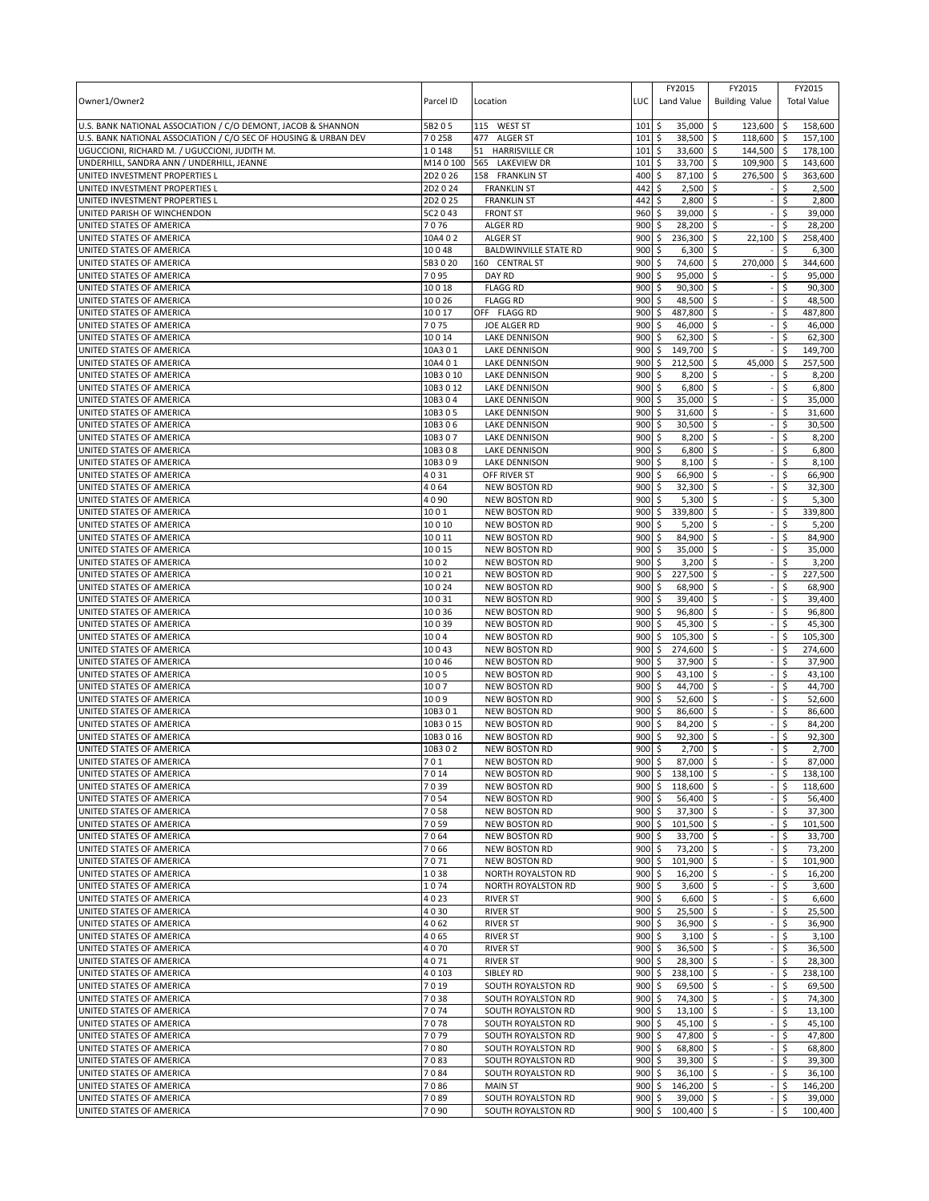|                                                                             |                  |                                       |            | FY2015                         | FY2015                         | FY2015                          |
|-----------------------------------------------------------------------------|------------------|---------------------------------------|------------|--------------------------------|--------------------------------|---------------------------------|
| Owner1/Owner2                                                               | Parcel ID        | Location                              | LUC        | Land Value                     | <b>Building Value</b>          | <b>Total Value</b>              |
|                                                                             |                  |                                       |            |                                |                                |                                 |
| U.S. BANK NATIONAL ASSOCIATION / C/O DEMONT, JACOB & SHANNON                | 5B205            | 115 WEST ST                           | 101        | \$<br>35,000                   | \$<br>123,600                  | 158,600<br>-\$                  |
| U.S. BANK NATIONAL ASSOCIATION / C/O SEC OF HOUSING & URBAN DEV             | 70258            | 477 ALGER ST                          | 101        | 38,500<br>\$                   | 118,600<br>l\$                 | ۱\$<br>157,100                  |
| UGUCCIONI, RICHARD M. / UGUCCIONI, JUDITH M.                                | 10148<br>M140100 | <b>HARRISVILLE CR</b><br>51           | 101        | \$<br>33,600                   | \$<br>144,500                  | l\$<br>178,100                  |
| UNDERHILL, SANDRA ANN / UNDERHILL, JEANNE<br>UNITED INVESTMENT PROPERTIES L | 2D2026           | 565<br>LAKEVIEW DR<br>158 FRANKLIN ST | 101<br>400 | 33,700<br>\$<br>\$<br>87,100   | \$<br>109,900<br>\$<br>276,500 | 143,600<br>-\$<br>S,<br>363,600 |
| UNITED INVESTMENT PROPERTIES L                                              | 2D2024           | <b>FRANKLIN ST</b>                    | 442        | \$<br>2,500                    | \$                             | Ŝ.<br>2,500                     |
| UNITED INVESTMENT PROPERTIES L                                              | 2D2 0 25         | <b>FRANKLIN ST</b>                    | 442        | \$<br>2,800                    | S.                             | Ś<br>2,800                      |
| UNITED PARISH OF WINCHENDON                                                 | 5C2 0 43         | <b>FRONT ST</b>                       | 960        | \$<br>39,000                   | \$                             | Ś<br>39,000                     |
| UNITED STATES OF AMERICA                                                    | 7076             | ALGER RD                              | 900        | 28,200<br>Ś                    | \$                             | 28,200                          |
| UNITED STATES OF AMERICA                                                    | 10A402           | <b>ALGER ST</b>                       | 900        | \$<br>236,300                  | \$<br>22,100                   | \$<br>258.400                   |
| UNITED STATES OF AMERICA                                                    | 10048            | <b>BALDWINVILLE STATE RD</b>          | 900        | \$<br>6,300                    | \$                             | \$<br>6,300                     |
| UNITED STATES OF AMERICA                                                    | 5B3020           | 160 CENTRAL ST                        | 900        | \$<br>74,600                   | \$<br>270,000                  | \$<br>344,600                   |
| UNITED STATES OF AMERICA                                                    | 7095             | DAY RD                                | 900        | \$<br>95,000                   | \$                             | \$<br>95,000                    |
| UNITED STATES OF AMERICA                                                    | 10018            | <b>FLAGG RD</b>                       | 900        | \$<br>90,300                   | -\$                            | \$<br>90,300                    |
| UNITED STATES OF AMERICA                                                    | 10026            | <b>FLAGG RD</b>                       | 900        | 48,500<br>\$                   | ۱\$                            | Ś<br>48,500                     |
| UNITED STATES OF AMERICA                                                    | 10017            | OFF FLAGG RD                          | 900        | \$<br>487,800                  | l\$                            | \$<br>487,800                   |
| UNITED STATES OF AMERICA                                                    | 7075             | JOE ALGER RD                          | 900        | \$<br>46,000                   | \$                             | Ś<br>46,000                     |
| UNITED STATES OF AMERICA                                                    | 10014            | <b>LAKE DENNISON</b>                  | 900        | \$<br>$62,300$ $\sqrt{5}$      |                                | \$<br>62,300                    |
| UNITED STATES OF AMERICA                                                    | 10A301           | <b>LAKE DENNISON</b>                  | 900        | \$<br>149,700                  | \$                             | \$<br>149,700                   |
| UNITED STATES OF AMERICA                                                    | 10A401           | <b>LAKE DENNISON</b>                  | 900        | \$<br>212,500                  | \$<br>45,000                   | 257,500<br>\$                   |
| UNITED STATES OF AMERICA                                                    | 10B3 0 10        | LAKE DENNISON                         | 900        | \$<br>8,200                    | ا \$                           | \$<br>8,200                     |
| UNITED STATES OF AMERICA                                                    | 10B3 0 12        | LAKE DENNISON                         | 900        | \$<br>6,800                    | S.                             | \$<br>6,800                     |
| UNITED STATES OF AMERICA                                                    | 10B304           | LAKE DENNISON                         | 900        | \$<br>35,000                   | l\$                            | 35,000<br>\$                    |
| UNITED STATES OF AMERICA                                                    | 10B305           | <b>LAKE DENNISON</b>                  | 900        | \$<br>31,600                   | \$                             | \$<br>31,600                    |
| UNITED STATES OF AMERICA                                                    | 10B306           | <b>LAKE DENNISON</b>                  | 900        | 30,500<br>\$                   | -\$                            | 30,500<br>\$.                   |
| UNITED STATES OF AMERICA                                                    | 10B307           | LAKE DENNISON                         | 900        | \$<br>8,200                    | S.                             | \$<br>8,200                     |
| UNITED STATES OF AMERICA                                                    | 10B308           | <b>LAKE DENNISON</b>                  | 900        | \$<br>6,800                    | \$                             | 6,800<br>\$                     |
| UNITED STATES OF AMERICA                                                    | 10B309           | <b>LAKE DENNISON</b>                  | 900        | \$<br>8,100                    | \$                             | 8,100                           |
| UNITED STATES OF AMERICA                                                    | 4031             | OFF RIVER ST                          | 900        | 66,900<br>\$                   | \$                             | \$<br>66,900                    |
| UNITED STATES OF AMERICA                                                    | 4064             | NEW BOSTON RD                         | 900        | \$<br>32,300                   | \$                             | \$<br>32,300                    |
| UNITED STATES OF AMERICA                                                    | 4090             | <b>NEW BOSTON RD</b>                  | 900        | 5,300<br>\$                    | \$                             | Ś<br>5,300                      |
| UNITED STATES OF AMERICA                                                    | 1001             | <b>NEW BOSTON RD</b>                  | 900        | \$<br>339,800                  | \$                             | Ś<br>339,800                    |
| UNITED STATES OF AMERICA                                                    | 10010            | <b>NEW BOSTON RD</b>                  | 900        | \$<br>5,200                    | \$                             | \$<br>5,200                     |
| UNITED STATES OF AMERICA                                                    | 10011            | NEW BOSTON RD                         | 900        | \$<br>84,900                   | \$                             | \$<br>84,900                    |
| UNITED STATES OF AMERICA                                                    | 10015            | <b>NEW BOSTON RD</b>                  | 900        | \$<br>35,000                   | \$                             | \$<br>35,000                    |
| UNITED STATES OF AMERICA                                                    | 1002             | <b>NEW BOSTON RD</b>                  | 900        | \$<br>3,200                    | \$                             | Ś<br>3,200                      |
| UNITED STATES OF AMERICA                                                    | 10021            | <b>NEW BOSTON RD</b>                  | 900        | \$<br>227,500                  | \$                             | \$<br>227,500                   |
| UNITED STATES OF AMERICA                                                    | 10024            | NEW BOSTON RD                         | 900        | \$<br>68,900                   | \$                             | \$<br>68,900                    |
| UNITED STATES OF AMERICA                                                    | 10031            | <b>NEW BOSTON RD</b>                  | 900        | \$<br>39,400                   | \$                             | \$<br>39,400                    |
| UNITED STATES OF AMERICA                                                    | 10036            | <b>NEW BOSTON RD</b>                  | 900        | 96,800<br>\$                   | \$                             | \$<br>96,800                    |
| UNITED STATES OF AMERICA                                                    | 10039            | <b>NEW BOSTON RD</b>                  | 900        | \$<br>45,300                   | l \$                           | \$<br>45,300                    |
| UNITED STATES OF AMERICA                                                    | 1004             | NEW BOSTON RD                         | 900        | \$<br>105,300 \$               |                                | \$<br>105,300                   |
| UNITED STATES OF AMERICA                                                    | 10043            | <b>NEW BOSTON RD</b>                  | 900        | \$<br>274,600                  | l\$                            | \$<br>274,600                   |
| UNITED STATES OF AMERICA                                                    | 10046            | <b>NEW BOSTON RD</b>                  | 900        | \$<br>37,900                   | \$                             | Ŝ.<br>37,900                    |
| UNITED STATES OF AMERICA                                                    | 1005             | <b>NEW BOSTON RD</b>                  | 900        | \$<br>43,100                   | l\$                            | \$<br>43,100                    |
| UNITED STATES OF AMERICA                                                    | 1007             | <b>NEW BOSTON RD</b>                  | 900        | \$<br>44,700                   | l\$                            | 44,700<br>\$                    |
| UNITED STATES OF AMERICA                                                    | 1009             | <b>NEW BOSTON RD</b>                  | 900        | \$<br>52,600                   | \$                             | 52,600<br>Ś                     |
| UNITED STATES OF AMERICA                                                    | 10B301           | <b>NEW BOSTON RD</b>                  | 900        | \$<br>86,600                   | ∣\$                            | \$<br>86,600                    |
| UNITED STATES OF AMERICA                                                    | 10B3 0 15        | <b>NEW BOSTON RD</b>                  | 900        | \$<br>84,200                   | S.                             | \$<br>84,200                    |
| UNITED STATES OF AMERICA                                                    | 10B3 0 16        | <b>NEW BOSTON RD</b>                  | 900        | \$<br>92,300                   | ∣\$                            | \$<br>92,300                    |
| UNITED STATES OF AMERICA                                                    | 10B302           | <b>NEW BOSTON RD</b>                  | 900        | \$<br>2,700                    | \$                             | Ś<br>2,700                      |
| UNITED STATES OF AMERICA                                                    | 701              | <b>NEW BOSTON RD</b>                  | 900        | $\hat{\varsigma}$<br>87,000 \$ |                                | \$<br>87,000                    |
| UNITED STATES OF AMERICA                                                    | 7014             | NEW BOSTON RD                         |            | 900 \$ 138,100 \$              |                                | \$<br>138,100                   |
| UNITED STATES OF AMERICA                                                    | 7039             | NEW BOSTON RD                         | 900        | \$<br>118,600 \$               |                                | \$<br>118,600                   |
| UNITED STATES OF AMERICA                                                    | 7054             | <b>NEW BOSTON RD</b>                  | 900        | \$<br>56,400 \$                |                                | 56,400                          |
| UNITED STATES OF AMERICA                                                    | 7058             | <b>NEW BOSTON RD</b>                  | 900        | 37,300 \$<br>\$                |                                | \$<br>37,300                    |
| UNITED STATES OF AMERICA<br>UNITED STATES OF AMERICA                        | 7059<br>7064     | NEW BOSTON RD<br>NEW BOSTON RD        | 900<br>900 | \$<br>101,500 \$<br>\$         |                                | \$<br>101,500<br>33,700         |
| UNITED STATES OF AMERICA                                                    | 7066             | NEW BOSTON RD                         | 900        | 33,700 \$<br>\$<br>73,200 \$   |                                | \$<br>\$<br>73,200              |
| UNITED STATES OF AMERICA                                                    | 7071             | <b>NEW BOSTON RD</b>                  | 900        | \$<br>101,900 \$               |                                | \$<br>101,900                   |
| UNITED STATES OF AMERICA                                                    | 1038             | NORTH ROYALSTON RD                    | 900        | \$<br>$16,200$ \$              |                                | \$<br>16,200                    |
| UNITED STATES OF AMERICA                                                    | 1074             | <b>NORTH ROYALSTON RD</b>             | 900        | \$<br>$3,600$ \$               |                                | \$<br>3,600                     |
| UNITED STATES OF AMERICA                                                    | 4023             | <b>RIVER ST</b>                       | 900        | \$<br>6,600                    | ۱\$                            | Ś<br>6,600                      |
| UNITED STATES OF AMERICA                                                    | 4030             | <b>RIVER ST</b>                       | 900        | \$<br>$25,500$ \$              |                                | \$<br>25,500                    |
| UNITED STATES OF AMERICA                                                    | 4062             | <b>RIVER ST</b>                       | 900        | \$<br>36,900 \$                |                                | \$<br>36,900                    |
| UNITED STATES OF AMERICA                                                    | 4065             | <b>RIVER ST</b>                       | 900        | \$<br>$3,100$ \$               |                                | \$<br>3,100                     |
| UNITED STATES OF AMERICA                                                    | 4070             | <b>RIVER ST</b>                       | 900        | \$<br>36,500 \$                |                                | \$<br>36,500                    |
| UNITED STATES OF AMERICA                                                    | 4071             | <b>RIVER ST</b>                       | 900        | \$<br>$28,300$ \$              |                                | \$<br>28,300                    |
| UNITED STATES OF AMERICA                                                    | 40103            | SIBLEY RD                             | 900        | \$<br>238,100 \$               |                                | \$<br>238,100                   |
| UNITED STATES OF AMERICA                                                    | 7019             | SOUTH ROYALSTON RD                    | 900        | \$<br>69,500 \$                |                                | \$<br>69,500                    |
| UNITED STATES OF AMERICA                                                    | 7038             | SOUTH ROYALSTON RD                    | 900        | \$<br>74,300 \$                |                                | 74,300<br>\$                    |
| UNITED STATES OF AMERICA                                                    | 7074             | SOUTH ROYALSTON RD                    | $900$ \$   | $13,100$ \$                    |                                | \$<br>13,100                    |
| UNITED STATES OF AMERICA                                                    | 7078             | SOUTH ROYALSTON RD                    | 900        | \$<br>45,100 \$                |                                | \$<br>45,100                    |
| UNITED STATES OF AMERICA                                                    | 7079             | SOUTH ROYALSTON RD                    | 900        | \$<br>47,800 \$                |                                | 47,800<br>\$                    |
| UNITED STATES OF AMERICA                                                    | 7080             | SOUTH ROYALSTON RD                    | 900        | \$<br>68,800 \$                |                                | \$<br>68,800                    |
| UNITED STATES OF AMERICA                                                    | 7083             | SOUTH ROYALSTON RD                    | 900        | \$<br>39,300 \$                |                                | \$<br>39,300                    |
| UNITED STATES OF AMERICA                                                    | 7084             | SOUTH ROYALSTON RD                    | 900        | \$<br>36,100 \$                |                                | \$<br>36,100                    |
| UNITED STATES OF AMERICA                                                    | 7086             | <b>MAIN ST</b>                        | 900        | \$<br>146,200 \$               |                                | \$<br>146,200                   |
| UNITED STATES OF AMERICA                                                    | 7089             | SOUTH ROYALSTON RD                    | 900        | 39,000 \$<br>\$                |                                | Ŝ.<br>39,000                    |
| UNITED STATES OF AMERICA                                                    | 7090             | SOUTH ROYALSTON RD                    | 900        | \$<br>$100,400$ \$             |                                | \$<br>100,400                   |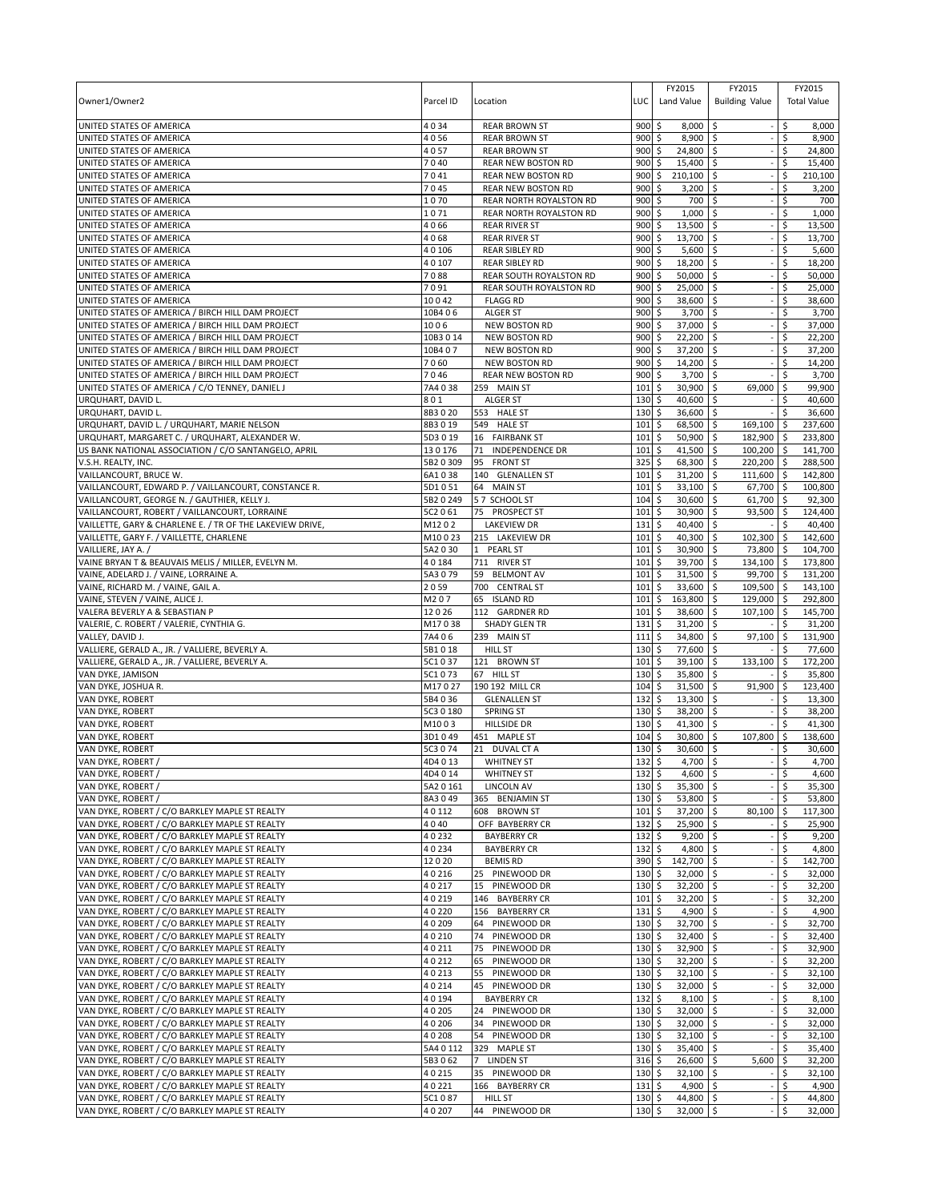| Owner1/Owner2                                                                                          | Parcel ID          | Location                                          | LUC         | FY2015<br>Land Value               | FY2015<br><b>Building Value</b>           | FY2015<br><b>Total Value</b> |
|--------------------------------------------------------------------------------------------------------|--------------------|---------------------------------------------------|-------------|------------------------------------|-------------------------------------------|------------------------------|
| UNITED STATES OF AMERICA                                                                               | 4034               | <b>REAR BROWN ST</b>                              | 900         | \$<br>8,000                        | \$                                        | Ś<br>8,000                   |
| UNITED STATES OF AMERICA                                                                               | 4056               | <b>REAR BROWN ST</b>                              | 900         | 8,900 \$<br>\$                     |                                           | 8,900<br>Ŝ.                  |
| UNITED STATES OF AMERICA                                                                               | 4057               | <b>REAR BROWN ST</b>                              | 900         | $\ddot{\mathsf{S}}$<br>24,800 \$   |                                           | \$<br>24,800                 |
| UNITED STATES OF AMERICA                                                                               | 7040               | REAR NEW BOSTON RD                                | 900         | \$<br>15,400                       | <b>S</b>                                  | \$<br>15,400                 |
| UNITED STATES OF AMERICA<br>UNITED STATES OF AMERICA                                                   | 7041<br>7045       | REAR NEW BOSTON RD                                | 900<br>900  | \$<br>210,100<br>\$<br>3,200       | l \$                                      | \$<br>210,100<br>Ŝ.          |
| UNITED STATES OF AMERICA                                                                               | 1070               | REAR NEW BOSTON RD<br>REAR NORTH ROYALSTON RD     | 900         | \$<br>700 \$                       | $\ddot{\circ}$                            | 3,200<br>\$<br>700           |
| UNITED STATES OF AMERICA                                                                               | 1071               | REAR NORTH ROYALSTON RD                           | 900         | \$<br>1,000                        | \$                                        | \$<br>1,000                  |
| UNITED STATES OF AMERICA                                                                               | 4066               | <b>REAR RIVER ST</b>                              | 900         | \$<br>13,500                       | \$                                        | \$<br>13,500                 |
| UNITED STATES OF AMERICA                                                                               | 4068               | <b>REAR RIVER ST</b>                              | 900         | \$<br>13,700                       | l\$                                       | \$<br>13,700                 |
| UNITED STATES OF AMERICA                                                                               | 40106              | <b>REAR SIBLEY RD</b>                             | 900         | \$<br>5,600                        | \$                                        | \$<br>5,600                  |
| UNITED STATES OF AMERICA                                                                               | 40107              | <b>REAR SIBLEY RD</b>                             | 900         | \$<br>18,200                       | \$                                        | \$<br>18,200                 |
| UNITED STATES OF AMERICA                                                                               | 7088               | REAR SOUTH ROYALSTON RD                           | 900         | \$<br>50,000                       | l\$                                       | \$<br>50,000                 |
| UNITED STATES OF AMERICA                                                                               | 7091               | REAR SOUTH ROYALSTON RD                           | 900         | \$<br>25,000                       | \$                                        | \$<br>25,000                 |
| UNITED STATES OF AMERICA                                                                               | 10042              | <b>FLAGG RD</b>                                   | 900         | \$<br>38,600                       | l\$                                       | 38,600<br>\$                 |
| UNITED STATES OF AMERICA / BIRCH HILL DAM PROJECT                                                      | 10B4 06            | <b>ALGER ST</b>                                   | 900         | \$<br>3,700                        | \$                                        | \$<br>3,700                  |
| UNITED STATES OF AMERICA / BIRCH HILL DAM PROJECT                                                      | 1006               | <b>NEW BOSTON RD</b>                              | 900         | \$<br>37,000                       | \$                                        | \$<br>37,000                 |
| UNITED STATES OF AMERICA / BIRCH HILL DAM PROJECT                                                      | 10B3 0 14          | <b>NEW BOSTON RD</b>                              | 900         | 22,200<br>\$                       | l\$                                       | \$<br>22,200                 |
| UNITED STATES OF AMERICA / BIRCH HILL DAM PROJECT                                                      | 10B407             | NEW BOSTON RD                                     | 900         | \$<br>37,200                       | \$                                        | \$<br>37,200                 |
| UNITED STATES OF AMERICA / BIRCH HILL DAM PROJECT<br>UNITED STATES OF AMERICA / BIRCH HILL DAM PROJECT | 7060<br>7046       | <b>NEW BOSTON RD</b><br><b>REAR NEW BOSTON RD</b> | 900<br>900  | \$<br>14,200<br>3,700<br>\$        | \$                                        | Ś<br>14,200<br>\$<br>3,700   |
| UNITED STATES OF AMERICA / C/O TENNEY, DANIEL J                                                        | 7A4 0 38           | 259 MAIN ST                                       | 101         | \$<br>30,900                       | ۱\$<br>\$<br>69,000                       | \$<br>99,900                 |
| URQUHART, DAVID L.                                                                                     | 801                | <b>ALGER ST</b>                                   | 130         | \$<br>40,600                       | \$                                        | \$<br>40,600                 |
| URQUHART, DAVID L.                                                                                     | 8B3020             | 553 HALE ST                                       | 130         | \$<br>36,600                       | \$                                        | \$<br>36,600                 |
| URQUHART, DAVID L. / URQUHART, MARIE NELSON                                                            | 8B3019             | 549 HALE ST                                       | 101         | 68,500<br>\$                       | \$<br>169,100 \$                          | 237,600                      |
| URQUHART, MARGARET C. / URQUHART, ALEXANDER W.                                                         | 5D3019             | 16 FAIRBANK ST                                    | 101         | \$<br>50,900                       | 182,900 \$<br>l\$                         | 233,800                      |
| US BANK NATIONAL ASSOCIATION / C/O SANTANGELO, APRIL                                                   | 130176             | 71 INDEPENDENCE DR                                | 101         | \$<br>41,500                       | l\$<br>$100,200$ \$                       | 141,700                      |
| V.S.H. REALTY, INC.                                                                                    | 5B2 0 309          | 95<br><b>FRONT ST</b>                             | 325         | \$<br>68,300                       | \$<br>220,200 \$                          | 288,500                      |
| VAILLANCOURT, BRUCE W.                                                                                 | 6A1038             | 140 GLENALLEN ST                                  | 101         | \$<br>31,200                       | <b>S</b><br>$111,600$ \$                  | 142,800                      |
| VAILLANCOURT, EDWARD P. / VAILLANCOURT, CONSTANCE R.                                                   | 5D1051             | 64 MAIN ST                                        | 101         | \$<br>33,100                       | \$<br>67,700 \$                           | 100,800                      |
| VAILLANCOURT, GEORGE N. / GAUTHIER, KELLY J.                                                           | 5B2 0 249          | 57 SCHOOL ST                                      | 104         | \$<br>30,600                       | \$<br>61,700 \$                           | 92,300                       |
| VAILLANCOURT, ROBERT / VAILLANCOURT, LORRAINE                                                          | 5C2 0 61           | 75 PROSPECT ST                                    | 101         | \$<br>30,900                       | \$<br>93,500 \$                           | 124,400                      |
| VAILLETTE, GARY & CHARLENE E. / TR OF THE LAKEVIEW DRIVE,                                              | M1202              | <b>LAKEVIEW DR</b>                                | 131         | \$<br>40,400                       | <b>S</b>                                  | \$<br>40,400                 |
| VAILLETTE, GARY F. / VAILLETTE, CHARLENE                                                               | M10023             | 215 LAKEVIEW DR                                   | 101         | \$<br>40,300 \$                    | 102,300 \$                                | 142,600                      |
| VAILLIERE, JAY A. /                                                                                    | 5A2 0 30           | 1 PEARL ST                                        | 101         | \$<br>30,900                       | \$<br>73,800 \$                           | 104,700                      |
| VAINE BRYAN T & BEAUVAIS MELIS / MILLER, EVELYN M.                                                     | 40184              | 711 RIVER ST                                      | 101         | 39,700<br>\$                       | \$<br>134,100 \$                          | 173,800                      |
| VAINE, ADELARD J. / VAINE, LORRAINE A.                                                                 | 5A3079<br>2059     | 59 BELMONT AV<br>700 CENTRAL ST                   | 101<br>101  | \$<br>31,500<br>\$<br>33,600       | <b>S</b><br>99,700 \$<br>\$<br>109,500 \$ | 131,200<br>143,100           |
| VAINE, RICHARD M. / VAINE, GAIL A.<br>VAINE, STEVEN / VAINE, ALICE J.                                  | M207               | 65 ISLAND RD                                      | 101         | \$<br>163,800                      | \$<br>129,000 \$                          | 292,800                      |
| VALERA BEVERLY A & SEBASTIAN P                                                                         | 12026              | 112 GARDNER RD                                    | 101         | 38,600<br>\$                       | 107,100 \$<br>\$                          | 145,700                      |
| VALERIE, C. ROBERT / VALERIE, CYNTHIA G.                                                               | M17038             | <b>SHADY GLEN TR</b>                              | 131         | \$<br>31,200                       | \$                                        | \$<br>31,200                 |
| VALLEY, DAVID J.                                                                                       | 7A4 0 6            | 239 MAIN ST                                       | 111         | \$<br>34,800                       | \$<br>$97,100$ \$                         | 131,900                      |
| VALLIERE, GERALD A., JR. / VALLIERE, BEVERLY A.                                                        | 5B1018             | <b>HILL ST</b>                                    | 130         | \$<br>77,600                       | \$                                        | \$<br>77,600                 |
| VALLIERE, GERALD A., JR. / VALLIERE, BEVERLY A.                                                        | 5C1037             | 121 BROWN ST                                      | 101         | 39,100<br>\$                       | \$<br>$133,100$ \$                        | 172,200                      |
| VAN DYKE, JAMISON                                                                                      | 5C1 0 73           | 67 HILL ST                                        | 130         | \$<br>35,800                       | \$                                        | \$<br>35,800                 |
| VAN DYKE, JOSHUA R.                                                                                    | M17027             | 190 192 MILL CR                                   | 104         | 31,500<br>\$                       | 91,900 \$<br>\$                           | 123,400                      |
| VAN DYKE, ROBERT                                                                                       | 5B4 0 36           | <b>GLENALLEN ST</b>                               | 132         | \$<br>13,300                       | \$                                        | Ś<br>13,300                  |
| VAN DYKE, ROBERT                                                                                       | 5C3 0 180          | <b>SPRING ST</b>                                  | 130         | 38,200<br>\$                       | \$                                        | 38,200<br>\$                 |
| VAN DYKE, ROBERT                                                                                       | M1003              | HILLSIDE DR                                       | 130         | \$<br>41,300                       | \$                                        | \$<br>41,300                 |
| VAN DYKE, ROBERT                                                                                       | 3D1 0 49           | 451 MAPLE ST                                      | 104         | \$<br>30,800                       | \$<br>107,800                             | \$<br>138,600<br>Ś           |
| VAN DYKE, ROBERT                                                                                       | 5C3 0 74           | 21 DUVAL CT A                                     | 130<br>1325 | \$<br>30,600<br>4,700              | \$<br>$\overline{\mathsf{s}}$             | 30,600<br>l \$<br>4,700      |
| VAN DYKE, ROBERT /<br>VAN DYKE, ROBERT /                                                               | 4D4013<br>4D4 0 14 | <b>WHITNEY ST</b><br><b>WHITNEY ST</b>            | $132 \,$ \$ | 4,600 \$                           |                                           | $-15$<br>4,600               |
| VAN DYKE, ROBERT /                                                                                     | 5A2 0 161          | LINCOLN AV                                        | $130 \pm$   | 35,300 \$                          |                                           | \$<br>35,300                 |
| VAN DYKE, ROBERT /                                                                                     | 8A3049             | 365 BENJAMIN ST                                   | 130S        | 53,800 \$                          |                                           | \$<br>53,800                 |
| VAN DYKE, ROBERT / C/O BARKLEY MAPLE ST REALTY                                                         | 40112              | 608 BROWN ST                                      | $101 \,$ \$ | 37,200 \$                          | 80,100 \$                                 | 117,300                      |
| VAN DYKE, ROBERT / C/O BARKLEY MAPLE ST REALTY                                                         | 4040               | OFF BAYBERRY CR                                   | 132         | l\$<br>25,900 \$                   |                                           | \$<br>25,900                 |
| VAN DYKE, ROBERT / C/O BARKLEY MAPLE ST REALTY                                                         | 40232              | <b>BAYBERRY CR</b>                                | 132         | \$<br>$9,200$ \$                   |                                           | \$<br>9,200                  |
| VAN DYKE, ROBERT / C/O BARKLEY MAPLE ST REALTY                                                         | 40234              | <b>BAYBERRY CR</b>                                | $132 \,$ \$ | 4,800 \$                           |                                           | $\ddot{\varsigma}$<br>4,800  |
| VAN DYKE, ROBERT / C/O BARKLEY MAPLE ST REALTY                                                         | 12020              | <b>BEMIS RD</b>                                   | 390 \$      | 142,700 \$                         | $\sim$                                    | \$<br>142,700                |
| VAN DYKE, ROBERT / C/O BARKLEY MAPLE ST REALTY                                                         | 40216              | 25 PINEWOOD DR                                    | $130 \;$ \$ | 32,000 \$                          |                                           | 32,000<br>\$                 |
| VAN DYKE, ROBERT / C/O BARKLEY MAPLE ST REALTY                                                         | 40217              | 15 PINEWOOD DR                                    | 130         | \$<br>$32,200$ \$                  | $\overline{\phantom{a}}$                  | \$<br>32,200                 |
| VAN DYKE, ROBERT / C/O BARKLEY MAPLE ST REALTY                                                         | 40219              | 146 BAYBERRY CR                                   | 101         | l \$<br>32,200 \$                  |                                           | 32,200<br>\$                 |
| VAN DYKE, ROBERT / C/O BARKLEY MAPLE ST REALTY                                                         | 40220              | 156 BAYBERRY CR                                   | $131 \;$ \$ | 4,900 \$                           |                                           | \$<br>4,900                  |
| VAN DYKE, ROBERT / C/O BARKLEY MAPLE ST REALTY                                                         | 40209              | 64 PINEWOOD DR                                    | 130         | \$<br>32,700 \$                    |                                           | \$<br>32,700                 |
| VAN DYKE, ROBERT / C/O BARKLEY MAPLE ST REALTY                                                         | 40210              | 74<br>PINEWOOD DR                                 | 130         | \$<br>32,400                       | \$                                        | \$<br>32,400                 |
| VAN DYKE, ROBERT / C/O BARKLEY MAPLE ST REALTY<br>VAN DYKE, ROBERT / C/O BARKLEY MAPLE ST REALTY       | 40211<br>40212     | PINEWOOD DR<br>75<br>PINEWOOD DR<br>65            | 130<br>130  | 32,900 \$<br>Ŝ.<br>\$<br>32,200 \$ |                                           | \$<br>32,900<br>\$<br>32,200 |
| VAN DYKE, ROBERT / C/O BARKLEY MAPLE ST REALTY                                                         | 40213              | PINEWOOD DR<br>55                                 | 130         | \$<br>$32,100$ \$                  |                                           | \$<br>32,100                 |
| VAN DYKE, ROBERT / C/O BARKLEY MAPLE ST REALTY                                                         | 40214              | 45 PINEWOOD DR                                    | 130         | \$<br>32,000                       | \$ ا                                      | \$<br>32,000                 |
| VAN DYKE, ROBERT / C/O BARKLEY MAPLE ST REALTY                                                         | 40194              | <b>BAYBERRY CR</b>                                | 132         | \$<br>8,100                        | l\$                                       | \$<br>8,100                  |
| VAN DYKE, ROBERT / C/O BARKLEY MAPLE ST REALTY                                                         | 40205              | 24 PINEWOOD DR                                    | $130 \;$ \$ | 32,000 \$                          |                                           | 32,000<br>\$                 |
| VAN DYKE, ROBERT / C/O BARKLEY MAPLE ST REALTY                                                         | 40206              | 34<br>PINEWOOD DR                                 | 130         | \$<br>$32,000$ \$                  | $\overline{\phantom{a}}$                  | \$<br>32,000                 |
| VAN DYKE, ROBERT / C/O BARKLEY MAPLE ST REALTY                                                         | 40208              | PINEWOOD DR<br>54                                 | 130         | \$<br>$32,100$ \$                  |                                           | \$<br>32,100                 |
| VAN DYKE, ROBERT / C/O BARKLEY MAPLE ST REALTY                                                         | 5A4 0 112          | 329 MAPLE ST                                      | 130         | \$<br>$35,400$ \$                  |                                           | \$<br>35,400                 |
| VAN DYKE, ROBERT / C/O BARKLEY MAPLE ST REALTY                                                         | 5B3062             | 7 LINDEN ST                                       | $316$ \$    | 26,600 \$                          | 5,600                                     | \$<br>32,200                 |
| VAN DYKE, ROBERT / C/O BARKLEY MAPLE ST REALTY                                                         | 40215              | 35 PINEWOOD DR                                    | $130 \pm$   | $32,100$ \$                        | $-5$                                      | 32,100                       |
| VAN DYKE, ROBERT / C/O BARKLEY MAPLE ST REALTY                                                         | 40221              | 166 BAYBERRY CR                                   | 131         | l\$<br>4,900 \$                    |                                           | $-15$<br>4,900               |
| VAN DYKE, ROBERT / C/O BARKLEY MAPLE ST REALTY                                                         | 5C1087             | <b>HILL ST</b>                                    | $130 \pm 5$ | 44,800 \$                          |                                           | $-15$<br>44,800              |
| VAN DYKE, ROBERT / C/O BARKLEY MAPLE ST REALTY                                                         | 40207              | 44 PINEWOOD DR                                    | $130 \;$ \$ | $32,000$ \$                        | $\overline{\phantom{a}}$                  | 32,000<br>\$                 |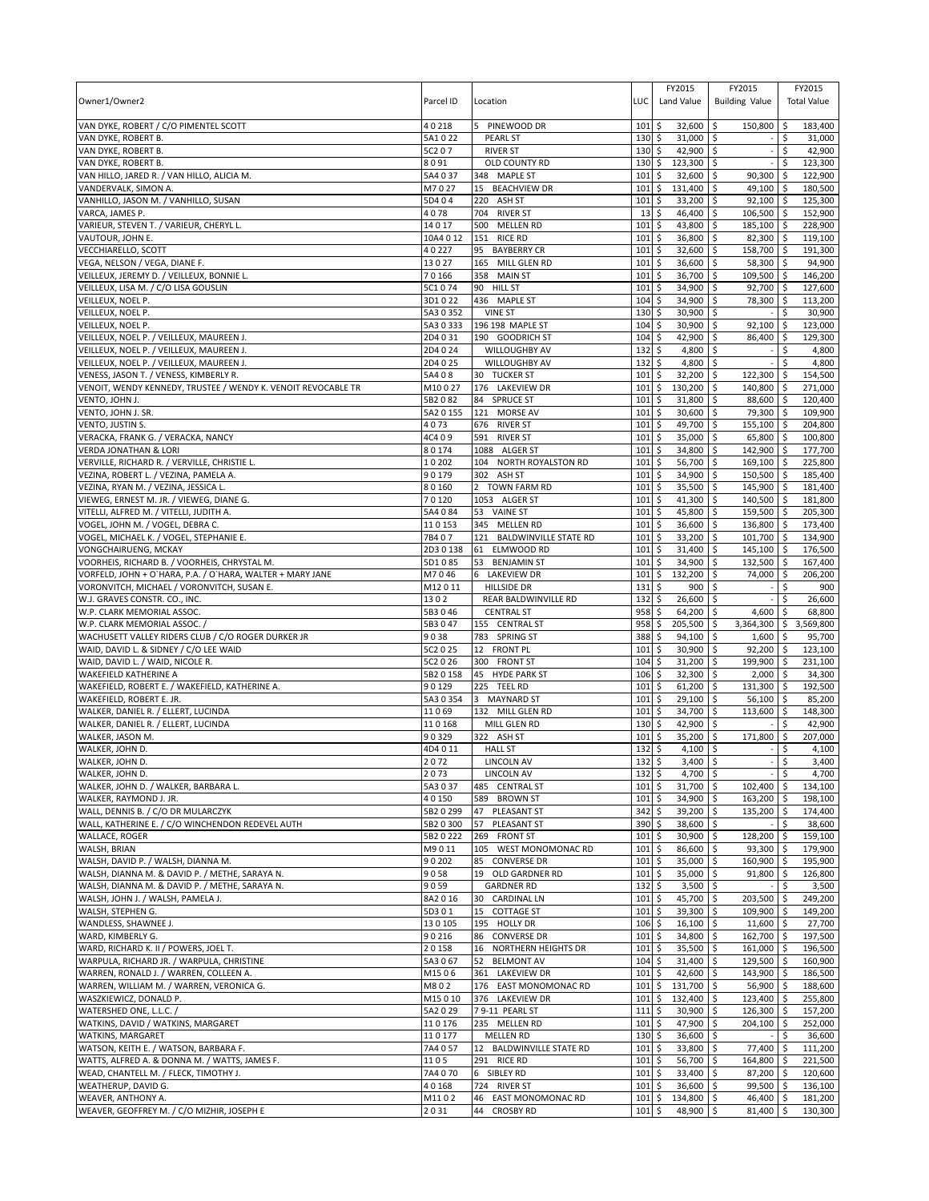|                                                                                    |                        |                                            |             | FY2015                            | FY2015                         | FY2015                           |
|------------------------------------------------------------------------------------|------------------------|--------------------------------------------|-------------|-----------------------------------|--------------------------------|----------------------------------|
| Owner1/Owner2                                                                      | Parcel ID              | Location                                   | LUC         | Land Value                        | <b>Building Value</b>          | <b>Total Value</b>               |
|                                                                                    |                        |                                            |             |                                   |                                |                                  |
| VAN DYKE, ROBERT / C/O PIMENTEL SCOTT                                              | 40218<br>5A1022        | PINEWOOD DR                                | 101<br>130  | \$<br>32.600<br>$31,000$ \$       | \$<br>150,800                  | 183,400<br>\$                    |
| VAN DYKE, ROBERT B.<br>VAN DYKE, ROBERT B.                                         | 5C2 07                 | <b>PEARL ST</b><br><b>RIVER ST</b>         | 130         | \$<br>\$<br>42,900 \$             |                                | 31,000<br>\$<br>\$<br>42,900     |
| VAN DYKE, ROBERT B.                                                                | 8091                   | OLD COUNTY RD                              | 130         | \$<br>123,300 \$                  |                                | Ŝ.<br>123.300                    |
| VAN HILLO, JARED R. / VAN HILLO, ALICIA M.                                         | 5A4 0 37               | 348 MAPLE ST                               | 101         | \$<br>32,600 \$                   | 90,300                         | 122,900<br>l\$                   |
| VANDERVALK, SIMON A.                                                               | M7027                  | 15 BEACHVIEW DR                            | 101         | \$<br>131,400                     | \$<br>49,100                   | l \$<br>180,500                  |
| VANHILLO, JASON M. / VANHILLO, SUSAN                                               | 5D404                  | 220<br>ASH ST                              | 101         | \$<br>33,200                      | \$<br>$92,100$ \$              | 125,300                          |
| VARCA, JAMES P.                                                                    | 4078                   | 704 RIVER ST                               | 13          | \$<br>46,400                      | 106,500 \$<br>-\$              | 152,900                          |
| VARIEUR, STEVEN T. / VARIEUR, CHERYL L.                                            | 14017                  | 500<br><b>MELLEN RD</b>                    | 101         | \$<br>43,800                      | \$<br>185,100                  | l\$<br>228,900                   |
| VAUTOUR, JOHN E.                                                                   | 10A4 0 12              | 151 RICE RD                                | 101         | \$<br>36,800                      | \$<br>82,300 \$                | 119,100                          |
| VECCHIARELLO, SCOTT                                                                | 40227                  | 95<br><b>BAYBERRY CR</b>                   | 101         | \$<br>32,600                      | \$<br>158,700                  | \$<br>191,300                    |
| VEGA, NELSON / VEGA, DIANE F.                                                      | 13027                  | 165 MILL GLEN RD                           | 101         | \$<br>36,600                      | 58,300<br>-\$                  | 94,900<br>۱\$                    |
| VEILLEUX, JEREMY D. / VEILLEUX, BONNIE L.                                          | 70166                  | 358<br><b>MAIN ST</b>                      | 101         | \$<br>36,700                      | \$<br>109,500 \$               | 146,200                          |
| VEILLEUX, LISA M. / C/O LISA GOUSLIN                                               | 5C1074                 | 90 HILL ST                                 | 101         | \$<br>34,900                      | \$<br>92,700                   | ۱\$<br>127,600                   |
| VEILLEUX, NOEL P.                                                                  | 3D1022                 | 436 MAPLE ST                               | 104<br>130  | \$<br>34,900                      | \$<br>78,300                   | 113,200<br>\$<br>\$              |
| VEILLEUX, NOEL P.<br>VEILLEUX, NOEL P.                                             | 5A3 0 352<br>5A3 0 333 | <b>VINE ST</b><br>196 198 MAPLE ST         | 104         | \$<br>30,900<br>\$<br>30,900      | \$<br>\$<br>92,100             | 30,900<br>S.<br>123,000          |
| VEILLEUX, NOEL P. / VEILLEUX, MAUREEN J.                                           | 2D4031                 | 190 GOODRICH ST                            | 104         | \$<br>42,900                      | 86,400<br>\$                   | 129,300<br>-\$                   |
| VEILLEUX, NOEL P. / VEILLEUX, MAUREEN J.                                           | 2D4 0 24               | WILLOUGHBY AV                              | 132         | \$<br>4,800                       | $\zeta$                        | \$<br>4,800                      |
| VEILLEUX, NOEL P. / VEILLEUX, MAUREEN J.                                           | 2D4025                 | WILLOUGHBY AV                              | 132         | \$<br>4,800                       | \$                             | \$<br>4,800                      |
| VENESS, JASON T. / VENESS, KIMBERLY R.                                             | 5A408                  | 30 TUCKER ST                               | 101         | \$<br>32,200                      | 122,300<br>\$                  | 154,500<br><b>S</b>              |
| VENOIT, WENDY KENNEDY, TRUSTEE / WENDY K. VENOIT REVOCABLE TR                      | M10027                 | 176 LAKEVIEW DR                            | 101         | \$<br>130,200                     | \$<br>140,800                  | 271,000<br>\$                    |
| VENTO, JOHN J.                                                                     | 5B2082                 | 84<br><b>SPRUCE ST</b>                     | 101         | \$<br>31,800                      | \$<br>88,600                   | 120.400<br>-\$                   |
| VENTO, JOHN J. SR.                                                                 | 5A2 0 155              | 121 MORSE AV                               | 101         | \$<br>30,600                      | 79,300<br>-\$                  | 109.900<br>۱\$                   |
| VENTO, JUSTIN S.                                                                   | 4073                   | 676 RIVER ST                               | 101         | \$<br>49,700                      | \$<br>155,100                  | $\sqrt{5}$<br>204,800            |
| VERACKA, FRANK G. / VERACKA, NANCY                                                 | 4C409                  | 591<br><b>RIVER ST</b>                     | 101         | \$<br>35,000                      | 65,800<br>\$                   | 100,800<br>ا \$                  |
| <b>VERDA JONATHAN &amp; LORI</b>                                                   | 80174                  | <b>ALGER ST</b><br>1088                    | 101         | \$<br>34,800                      | \$<br>142,900                  | l \$<br>177,700                  |
| VERVILLE, RICHARD R. / VERVILLE, CHRISTIE L.                                       | 10202                  | 104 NORTH ROYALSTON RD                     | 101         | \$<br>56,700                      | $\mathsf{\hat{S}}$<br>169,100  | l\$<br>225,800                   |
| VEZINA, ROBERT L. / VEZINA, PAMELA A.                                              | 90179                  | 302 ASH ST                                 | 101         | \$<br>34,900                      | $\ddot{\circ}$<br>150,500 \$   | 185,400                          |
| VEZINA, RYAN M. / VEZINA, JESSICA L.                                               | 80160                  | $2^{\circ}$<br><b>TOWN FARM RD</b>         | 101         | \$<br>35,500                      | l \$<br>145,900 \$             | 181,400                          |
| VIEWEG, ERNEST M. JR. / VIEWEG, DIANE G.                                           | 70120                  | 1053 ALGER ST                              | 101         | \$<br>41,300                      | \$<br>140,500                  | l \$<br>181.800                  |
| VITELLI, ALFRED M. / VITELLI, JUDITH A.                                            | 5A4084<br>110153       | 53 VAINE ST                                | 101<br>101  | \$<br>45,800                      | $\mathsf{\S}$<br>159,500 \$    | 205,300                          |
| VOGEL, JOHN M. / VOGEL, DEBRA C.<br>VOGEL, MICHAEL K. / VOGEL, STEPHANIE E.        | 7B407                  | 345 MELLEN RD<br>121 BALDWINVILLE STATE RD | 101         | \$<br>36,600<br>\$<br>33,200      | \$<br>136,800<br>\$<br>101,700 | l\$<br>173,400<br>134,900<br>-\$ |
| VONGCHAIRUENG, MCKAY                                                               | 2D3 0 138              | 61 ELMWOOD RD                              | 101         | \$<br>31,400                      | \$<br>145,100 \$               | 176,500                          |
| VOORHEIS, RICHARD B. / VOORHEIS, CHRYSTAL M.                                       | 5D1085                 | 53 BENJAMIN ST                             | 101         | \$<br>34,900                      | \$<br>132,500                  | l\$<br>167,400                   |
| VORFELD, JOHN + O`HARA, P.A. / O`HARA, WALTER + MARY JANE                          | M7046                  | 6 LAKEVIEW DR                              | 101         | \$<br>132,200                     | \$<br>74,000                   | 206,200<br>ا \$                  |
| VORONVITCH, MICHAEL / VORONVITCH, SUSAN E.                                         | M12011                 | <b>HILLSIDE DR</b>                         | 131         | \$<br>900                         | \$                             | \$<br>900                        |
| W.J. GRAVES CONSTR. CO., INC.                                                      | 1302                   | REAR BALDWINVILLE RD                       | 132         | \$<br>26,600                      | -\$                            | 26,600<br>Ŝ.                     |
| W.P. CLARK MEMORIAL ASSOC.                                                         | 5B3046                 | <b>CENTRAL ST</b>                          | 958         | \$<br>64,200                      | 4,600<br>\$                    | 68,800<br>\$                     |
| W.P. CLARK MEMORIAL ASSOC.                                                         | 5B3047                 | 155 CENTRAL ST                             | 958         | \$<br>205,500                     | \$<br>3,364,300 \$             | 3,569,800                        |
| WACHUSETT VALLEY RIDERS CLUB / C/O ROGER DURKER JR                                 | 9038                   | 783 SPRING ST                              | 388         | Ś<br>94,100                       | \$<br>1,600                    | -\$<br>95,700                    |
| WAID, DAVID L. & SIDNEY / C/O LEE WAID                                             | 5C2 0 25               | 12 FRONT PL                                | 101         | 30,900<br>\$                      | 92,200<br>Ŝ.                   | 123,100<br><b>S</b>              |
| WAID, DAVID L. / WAID, NICOLE R.                                                   | 5C2 0 26               | 300 FRONT ST                               | 104         | \$<br>31,200                      | \$<br>199,900                  | l\$<br>231,100                   |
| <b>WAKEFIELD KATHERINE A</b>                                                       | 5B2 0 158              | 45 HYDE PARK ST                            | 106         | \$<br>32,300                      | 2,000<br>\$                    | 34,300<br>۱\$                    |
| WAKEFIELD, ROBERT E. / WAKEFIELD, KATHERINE A.                                     | 90129                  | 225 TEEL RD                                | 101         | \$<br>61,200                      | 131,300<br>\$                  | <b>S</b><br>192,500              |
| WAKEFIELD, ROBERT E. JR.                                                           | 5A3 0 354              | 3 MAYNARD ST                               | 101         | \$<br>29,100                      | \$<br>56,100                   | \$<br>85,200                     |
| WALKER, DANIEL R. / ELLERT, LUCINDA                                                | 11069                  | 132 MILL GLEN RD                           | 101         | \$<br>34,700                      | \$<br>113,600 \$               | 148,300                          |
| WALKER, DANIEL R. / ELLERT, LUCINDA                                                | 110168                 | MILL GLEN RD                               | 130         | \$<br>42,900                      | \$                             | \$<br>42,900                     |
| WALKER, JASON M.<br>WALKER, JOHN D.                                                | 90329<br>4D4011        | 322 ASH ST<br><b>HALL ST</b>               | 101<br>132  | \$<br>35,200<br>4,100             | \$<br>171,800                  | \$<br>207,000<br>4,100<br>\$     |
| <b>WALKER, JOHN D.</b>                                                             | 2072                   | <b>LINCOLN AV</b>                          | 1325        | \$<br>$3,400$ \$                  | \$                             | 3,400<br>\$                      |
| WALKER, JOHN D.                                                                    | 2073                   | <b>LINCOLN AV</b>                          | $132 \,$ \$ | $4,700$ \$                        |                                | \$<br>4,700                      |
| WALKER, JOHN D. / WALKER, BARBARA L.                                               | 5A3037                 | 485 CENTRAL ST                             | $101 \,$ \$ | 31,700 \$                         | 102,400                        | l \$<br>134,100                  |
| WALKER, RAYMOND J. JR.                                                             | 40150                  | 589 BROWN ST                               | 101S        | 34,900 \$                         | $163,200$ \$                   | 198,100                          |
| WALL, DENNIS B. / C/O DR MULARCZYK                                                 | 5B2 0 299              | PLEASANT ST<br>47                          | 342         | 5<br>39,200 \$                    | 135,200 \$                     | 174,400                          |
| WALL, KATHERINE E. / C/O WINCHENDON REDEVEL AUTH                                   | 5B2 0 300              | 57<br>PLEASANT ST                          | 390         | \$<br>38,600 \$                   |                                | \$<br>38,600                     |
| <b>WALLACE, ROGER</b>                                                              | 5B2 0 222              | 269 FRONT ST                               | 101         | \$<br>30,900 \$                   | 128,200                        | 159,100<br>l\$                   |
| WALSH, BRIAN                                                                       | M9011                  | 105 WEST MONOMONAC RD                      | 101         | \$<br>86,600 \$                   | 93,300 \$                      | 179,900                          |
| WALSH, DAVID P. / WALSH, DIANNA M.                                                 | 90202                  | 85 CONVERSE DR                             | 101         | \$<br>35,000 \$                   | 160,900 \$                     | 195,900                          |
| WALSH, DIANNA M. & DAVID P. / METHE, SARAYA N.                                     | 9058                   | 19 OLD GARDNER RD                          | 101         | \$<br>35,000                      | \$<br>91,800 \$                | 126,800                          |
| WALSH, DIANNA M. & DAVID P. / METHE, SARAYA N.                                     | 9059                   | <b>GARDNER RD</b>                          | 132         | 5<br>$3,500$ \$                   |                                | -\$<br>3,500                     |
| WALSH, JOHN J. / WALSH, PAMELA J.                                                  | 8A2 0 16               | 30<br><b>CARDINAL LN</b>                   | 101         | \$<br>45,700 \$                   | 203,500                        | 249,200<br>l\$                   |
| WALSH, STEPHEN G.                                                                  | 5D301                  | <b>COTTAGE ST</b><br>15                    | 101         | \$<br>39,300 \$                   | 109,900 \$                     | 149,200                          |
| WANDLESS, SHAWNEE J.                                                               | 130105                 | 195 HOLLY DR                               | 106         | \$<br>16,100                      | \$<br>11,600                   | 27,700<br>\$                     |
| WARD, KIMBERLY G.                                                                  | 90216                  | 86<br>CONVERSE DR                          | 101         | \$<br>34,800                      | \$ ا<br>162,700                | ۱\$<br>197,500                   |
| WARD, RICHARD K. II / POWERS, JOEL T.<br>WARPULA, RICHARD JR. / WARPULA, CHRISTINE | 20158<br>5A3067        | NORTHERN HEIGHTS DR<br>16<br>52            | 101<br>104  | \$<br>35,500<br>\$<br>$31,400$ \$ | $\ddot{\circ}$<br>161,000 \$   | 196,500                          |
| WARREN, RONALD J. / WARREN, COLLEEN A.                                             | M1506                  | <b>BELMONT AV</b><br>361 LAKEVIEW DR       | 101         | \$<br>42,600                      | 129,500 \$<br>\$<br>143,900    | 160,900<br>$\sqrt{5}$<br>186,500 |
| WARREN, WILLIAM M. / WARREN, VERONICA G.                                           | M802                   | 176 EAST MONOMONAC RD                      | 101         | 131,700<br>\$                     | 56,900 \$<br>-\$               | 188,600                          |
| WASZKIEWICZ, DONALD P.                                                             | M15010                 | 376 LAKEVIEW DR                            | 101         | 132,400<br>\$                     | \$<br>123,400 \$               | 255,800                          |
| WATERSHED ONE, L.L.C. /                                                            | 5A2 0 29               | 79-11 PEARL ST                             | 111         | \$<br>$30,900$ \$                 | 126,300 \$                     | 157,200                          |
| WATKINS, DAVID / WATKINS, MARGARET                                                 | 110176                 | 235 MELLEN RD                              | 101         | \$<br>47,900                      | 204,100<br>-\$                 | l \$<br>252,000                  |
| WATKINS, MARGARET                                                                  | 110177                 | <b>MELLEN RD</b>                           | $130 \;$ \$ | $36,600$ \$                       |                                | \$<br>36,600                     |
| WATSON, KEITH E. / WATSON, BARBARA F.                                              | 7A4057                 | 12 BALDWINVILLE STATE RD                   | 101         | \$<br>$33,800$ \$                 | 77,400 \$                      | 111,200                          |
| WATTS, ALFRED A. & DONNA M. / WATTS, JAMES F.                                      | 1105                   | 291 RICE RD                                | 101         | \$<br>56,700 \$                   | 164,800 \$                     | 221,500                          |
| WEAD, CHANTELL M. / FLECK, TIMOTHY J.                                              | 7A4 070                | 6 SIBLEY RD                                | 101         | \$<br>$33,400$ \$                 | 87,200                         | 120,600<br>ا \$                  |
| WEATHERUP, DAVID G.                                                                | 40168                  | 724 RIVER ST                               | 101         | \$<br>36,600 \$                   | $99,500$ \$                    | 136,100                          |
| WEAVER, ANTHONY A.                                                                 | M1102                  | EAST MONOMONAC RD<br>46                    | 101         | \$<br>134,800 \$                  | 46,400 \$                      | 181,200                          |
| WEAVER, GEOFFREY M. / C/O MIZHIR, JOSEPH E                                         | 2031                   | 44 CROSBY RD                               | $101 \,$ \$ | 48,900 \$                         | 81,400 \$                      | 130,300                          |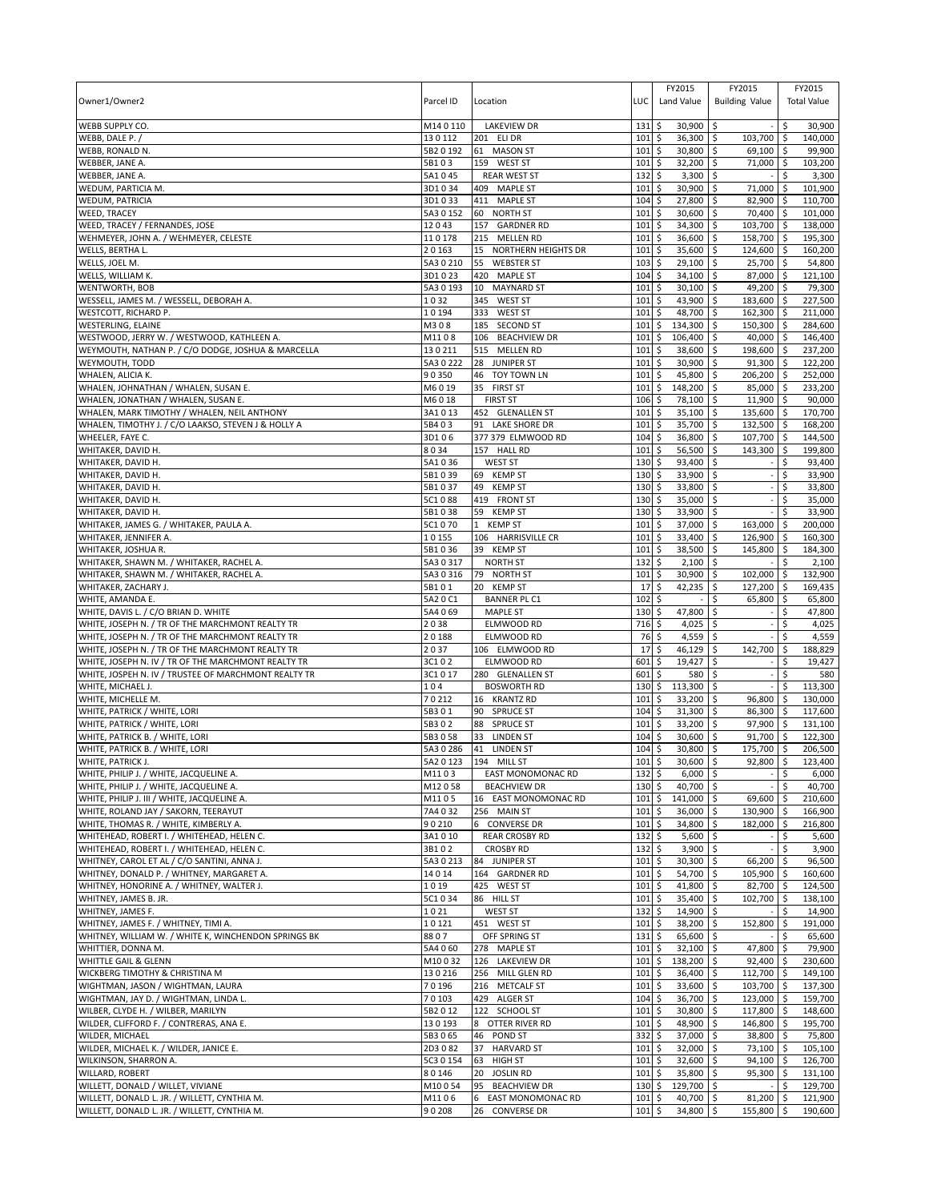|                                                                                     |                 |                                          |                      | FY2015                              | FY2015                            | FY2015              |                    |
|-------------------------------------------------------------------------------------|-----------------|------------------------------------------|----------------------|-------------------------------------|-----------------------------------|---------------------|--------------------|
| Owner1/Owner2                                                                       | Parcel ID       | Location                                 | LUC                  | Land Value                          | <b>Building Value</b>             | <b>Total Value</b>  |                    |
| <b>WEBB SUPPLY CO.</b>                                                              | M140110         | <b>LAKEVIEW DR</b>                       | 131                  | 30,900 \$<br>\$                     |                                   | \$                  | 30,900             |
| WEBB, DALE P.                                                                       | 130112          | 201 ELI DR                               | 101                  | \$<br>36,300 \$                     | 103,700                           | <b>S</b>            | 140,000            |
| WEBB, RONALD N.                                                                     | 5B2 0 192       | 61 MASON ST                              | 101                  | \$<br>30,800 \$                     | 69,100                            | l \$                | 99,900             |
| WEBBER, JANE A.                                                                     | 5B103           | 159 WEST ST                              | 101                  | \$<br>32,200                        | \$<br>71,000                      | ۱\$                 | 103,200            |
| WEBBER, JANE A.                                                                     | 5A1045          | <b>REAR WEST ST</b>                      | 132                  | 3,300<br>\$                         | \$                                | \$                  | 3,300              |
| WEDUM, PARTICIA M.                                                                  | 3D1034          | 409 MAPLE ST                             | 101                  | \$<br>30,900                        | \$<br>71,000                      | -\$                 | 101,900            |
| WEDUM, PATRICIA                                                                     | 3D1033          | 411 MAPLE ST                             | 104                  | \$<br>27,800                        | 82,900<br>\$                      | 110,700<br>\$ ا     |                    |
| <b>WEED, TRACEY</b>                                                                 | 5A3 0 152       | 60 NORTH ST                              | 101                  | \$<br>30,600                        | 70,400<br>\$                      | l \$                | 101,000            |
| WEED, TRACEY / FERNANDES, JOSE                                                      | 12043           | 157 GARDNER RD                           | 101                  | \$<br>34,300                        | 103,700<br>l\$                    | 138,000<br>l \$     |                    |
| WEHMEYER, JOHN A. / WEHMEYER, CELESTE<br>WELLS, BERTHA L.                           | 110178<br>20163 | 215 MELLEN RD<br>15 NORTHERN HEIGHTS DR  | 101<br>101           | \$<br>36,600<br>\$<br>35,600        | \$<br>158,700 \$<br>124,600<br>\$ | l \$                | 195,300<br>160,200 |
| WELLS, JOEL M.                                                                      | 5A3 0 210       | 55<br><b>WEBSTER ST</b>                  | 103                  | \$<br>29,100                        | \$<br>25,700                      | <b>S</b>            | 54,800             |
| WELLS, WILLIAM K.                                                                   | 3D1023          | 420 MAPLE ST                             | 104                  | 34,100<br>\$                        | 87,000<br>∣\$                     | <b>S</b>            | 121,100            |
| <b>WENTWORTH, BOB</b>                                                               | 5A3 0 193       | MAYNARD ST<br>10                         | 101                  | \$<br>30,100                        | \$<br>49,200                      | l\$                 | 79,300             |
| WESSELL, JAMES M. / WESSELL, DEBORAH A.                                             | 1032            | 345 WEST ST                              | 101                  | \$<br>43,900 \$                     | 183,600 \$                        | 227,500             |                    |
| WESTCOTT, RICHARD P.                                                                | 10194           | 333<br><b>WEST ST</b>                    | 101                  | \$<br>48,700                        | \$<br>162,300                     | l\$<br>211,000      |                    |
| <b>WESTERLING, ELAINE</b>                                                           | M308            | 185 SECOND ST                            | 101                  | \$<br>134,300                       | l\$<br>150,300                    | 284,600<br>l\$      |                    |
| WESTWOOD, JERRY W. / WESTWOOD, KATHLEEN A.                                          | M1108           | 106 BEACHVIEW DR                         | 101                  | \$<br>106,400 \$                    | 40,000 \$                         | 146,400             |                    |
| WEYMOUTH, NATHAN P. / C/O DODGE, JOSHUA & MARCELLA                                  | 130211          | 515 MELLEN RD                            | 101                  | \$<br>38,600 \$                     | 198,600                           | ۱\$                 | 237,200            |
| WEYMOUTH, TODD                                                                      | 5A3 0 222       | 28 JUNIPER ST                            | 101                  | \$<br>30,900                        | \$<br>91,300                      | l \$<br>122,200     |                    |
| WHALEN, ALICIA K.                                                                   | 90350           | TOY TOWN LN<br>46                        | 101                  | \$<br>45,800                        | l\$<br>206,200 \$                 |                     | 252,000            |
| WHALEN, JOHNATHAN / WHALEN, SUSAN E.<br>WHALEN, JONATHAN / WHALEN, SUSAN E.         | M6019<br>M6018  | 35<br><b>FIRST ST</b><br><b>FIRST ST</b> | 101<br>106           | 148,200<br>\$<br>\$<br>78,100       | \$<br>85,000<br>  \$<br>11,900    | ۱\$<br>\$ ا         | 233,200<br>90,000  |
| WHALEN, MARK TIMOTHY / WHALEN, NEIL ANTHONY                                         | 3A1013          | 452 GLENALLEN ST                         | 101                  | 35,100<br>\$                        | 135,600<br>∣\$                    | 170,700<br>l\$      |                    |
| WHALEN, TIMOTHY J. / C/O LAAKSO, STEVEN J & HOLLY A                                 | 5B403           | 91 LAKE SHORE DR                         | 101                  | \$<br>35,700                        | l\$<br>132,500                    | l\$                 | 168,200            |
| WHEELER, FAYE C.                                                                    | 3D106           | 377 379 ELMWOOD RD                       | 104                  | \$<br>36,800                        | \$<br>107,700                     | 144,500<br>۱\$      |                    |
| WHITAKER, DAVID H.                                                                  | 8034            | 157 HALL RD                              | 101                  | 56,500<br>\$                        | \$<br>143,300                     | \$                  | 199,800            |
| WHITAKER, DAVID H.                                                                  | 5A1036          | <b>WEST ST</b>                           | 130                  | 93,400<br>\$                        | \$                                | \$                  | 93,400             |
| WHITAKER, DAVID H.                                                                  | 5B1039          | 69 KEMP ST                               | 130                  | \$<br>33,900                        | l\$                               | \$                  | 33,900             |
| WHITAKER, DAVID H.                                                                  | 5B1037          | 49<br><b>KEMP ST</b>                     | 130                  | \$<br>33,800 \$                     |                                   | \$                  | 33,800             |
| WHITAKER, DAVID H.                                                                  | 5C1088          | 419 FRONT ST                             | 130                  | \$<br>35,000                        | \$                                |                     | 35,000             |
| WHITAKER, DAVID H.                                                                  | 5B1038          | 59<br><b>KEMP ST</b>                     | 130                  | 33,900<br>\$                        | ∣\$                               | \$                  | 33,900             |
| WHITAKER, JAMES G. / WHITAKER, PAULA A.                                             | 5C1070          | 1 KEMP ST                                | 101                  | \$<br>37,000                        | 163,000<br>l\$                    | \$                  | 200,000<br>160,300 |
| WHITAKER, JENNIFER A.<br>WHITAKER, JOSHUA R.                                        | 10155<br>5B1036 | 106 HARRISVILLE CR<br>39 KEMP ST         | 101<br>101           | \$<br>33,400<br>\$<br>38,500        | 126,900<br>l\$<br>\$ ا<br>145,800 | -\$<br>-\$          | 184,300            |
| WHITAKER, SHAWN M. / WHITAKER, RACHEL A.                                            | 5A3 0 317       | <b>NORTH ST</b>                          | 132                  | \$<br>2,100                         | <b>S</b>                          | \$                  | 2,100              |
| WHITAKER, SHAWN M. / WHITAKER, RACHEL A.                                            | 5A3 0 316       | 79 NORTH ST                              | 101                  | \$<br>30,900                        | 102,000<br>\$                     | l \$                | 132,900            |
| WHITAKER, ZACHARY J.                                                                | 5B101           | 20 KEMP ST                               | 17                   | \$<br>42,235                        | \$<br>127,200                     | \$                  | 169,435            |
| WHITE, AMANDA E.                                                                    | 5A20C1          | <b>BANNER PL C1</b>                      | 102                  | \$                                  | Ś<br>65,800                       | S.                  | 65,800             |
| WHITE, DAVIS L. / C/O BRIAN D. WHITE                                                | 5A4 069         | <b>MAPLE ST</b>                          | 130                  | 47,800<br>\$                        | l \$                              | \$                  | 47,800             |
| WHITE, JOSEPH N. / TR OF THE MARCHMONT REALTY TR                                    | 2038            | ELMWOOD RD                               | 716                  | \$<br>4,025                         | l\$                               | \$                  | 4,025              |
| WHITE, JOSEPH N. / TR OF THE MARCHMONT REALTY TR                                    | 20188           | ELMWOOD RD                               | 76                   | \$<br>4,559                         | l\$                               |                     | 4,559              |
| WHITE, JOSEPH N. / TR OF THE MARCHMONT REALTY TR                                    | 2037            | 106 ELMWOOD RD                           | 17                   | \$<br>46,129                        | l\$<br>142,700                    | \$                  | 188,829            |
| WHITE, JOSEPH N. IV / TR OF THE MARCHMONT REALTY TR                                 | 3C102           | ELMWOOD RD                               | 601                  | \$<br>19,427                        | $\overline{\mathsf{s}}$           | \$                  | 19,427             |
| WHITE, JOSPEH N. IV / TRUSTEE OF MARCHMONT REALTY TR<br>WHITE, MICHAEL J.           | 3C1017<br>104   | 280 GLENALLEN ST<br><b>BOSWORTH RD</b>   | 601<br>130           | \$<br>580<br>\$<br>113,300          | l\$                               | \$<br>\$            | 580                |
| WHITE, MICHELLE M.                                                                  | 70212           | 16 KRANTZ RD                             | 101                  | \$<br>33,200                        | \$<br>96,800<br>ا \$              | 130,000<br>۱\$      | 113,300            |
| WHITE, PATRICK / WHITE, LORI                                                        | 5B301           | 90 SPRUCE ST                             | 104                  | \$<br>31,300                        | ۱\$<br>86,300 \$                  |                     | 117,600            |
| WHITE, PATRICK / WHITE, LORI                                                        | 5B302           | <b>SPRUCE ST</b><br>88                   | 101                  | \$<br>33,200                        | \$<br>97,900                      | 131,100<br>ا \$     |                    |
| WHITE, PATRICK B. / WHITE, LORI                                                     | 5B3058          | 33<br><b>LINDEN ST</b>                   | 104                  | \$<br>30,600                        | \$<br>91,700                      |                     | 122,300            |
| WHITE, PATRICK B. / WHITE, LORI                                                     | 5A3 0 286       | 41 LINDEN ST                             | 104                  | \$<br>30,800 \$                     | 175,700 \$                        |                     | 206,500            |
| WHITE, PATRICK J.                                                                   |                 | 5A2 0 123 194 MILL ST                    | $101$ $\overline{S}$ | 30.600 \$                           | $92.800$ \$                       |                     | 123,400            |
| WHITE, PHILIP J. / WHITE, JACQUELINE A.                                             | M1103           | <b>EAST MONOMONAC RD</b>                 | 132                  | $6,000$ \$<br>\$                    |                                   | \$                  | 6,000              |
| WHITE, PHILIP J. / WHITE, JACQUELINE A.                                             | M12058          | <b>BEACHVIEW DR</b>                      | 130                  | \$<br>40,700 \$                     |                                   | \$                  | 40,700             |
| WHITE, PHILIP J. III / WHITE, JACQUELINE A.                                         | M1105           | 16 EAST MONOMONAC RD                     | 101                  | \$<br>141,000 \$                    | 69,600                            | l\$<br>210,600      |                    |
| WHITE, ROLAND JAY / SAKORN, TEERAYUT                                                | 7A4032          | 256 MAIN ST                              | 101                  | \$<br>36,000 \$                     | 130,900 \$                        |                     | 166,900            |
| WHITE, THOMAS R. / WHITE, KIMBERLY A.<br>WHITEHEAD, ROBERT I. / WHITEHEAD, HELEN C. | 90210<br>3A1010 | 6 CONVERSE DR<br><b>REAR CROSBY RD</b>   | 101<br>132           | \$<br>34,800 \$<br>\$<br>$5,600$ \$ | 182,000 \$                        | \$                  | 216,800<br>5,600   |
| WHITEHEAD, ROBERT I. / WHITEHEAD, HELEN C.                                          | 3B102           | <b>CROSBY RD</b>                         | 132                  | $3,900$ \$<br>\$                    |                                   | \$                  | 3,900              |
| WHITNEY, CAROL ET AL / C/O SANTINI, ANNA J.                                         | 5A30213         | 84 JUNIPER ST                            | 101                  | \$<br>30,300 \$                     | 66,200                            | $\sqrt{5}$          | 96,500             |
| WHITNEY, DONALD P. / WHITNEY, MARGARET A.                                           | 14014           | 164 GARDNER RD                           | 101                  | \$<br>54,700 \$                     | 105,900 \$                        |                     | 160,600            |
| WHITNEY, HONORINE A. / WHITNEY, WALTER J.                                           | 1019            | 425 WEST ST                              | 101                  | \$<br>41,800 \$                     | 82,700 \$                         |                     | 124,500            |
| WHITNEY, JAMES B. JR.                                                               | 5C1034          | 86 HILL ST                               | 101                  | \$<br>35,400 \$                     | 102.700                           | l \$<br>138,100     |                    |
| WHITNEY, JAMES F.                                                                   | 1021            | <b>WEST ST</b>                           | 132                  | \$<br>14,900 \$                     |                                   | \$                  | 14,900             |
| WHITNEY, JAMES F. / WHITNEY, TIMI A.                                                | 10121           | 451 WEST ST                              | 101                  | \$<br>38,200 \$                     | 152,800                           | <b>S</b>            | 191,000            |
| WHITNEY, WILLIAM W. / WHITE K, WINCHENDON SPRINGS BK                                | 8807            | OFF SPRING ST                            | $131 \;$ \$          | 65,600 \$                           |                                   | Ŝ.                  | 65,600             |
| WHITTIER, DONNA M.                                                                  | 5A4 060         | 278 MAPLE ST                             | 101                  | $\ddot{s}$<br>$32,100$ \$           | 47,800                            | I\$                 | 79,900             |
| WHITTLE GAIL & GLENN                                                                | M10032          | 126 LAKEVIEW DR                          | 101                  | \$<br>138,200 \$                    | 92,400 \$                         | 230,600             |                    |
| WICKBERG TIMOTHY & CHRISTINA M<br>WIGHTMAN, JASON / WIGHTMAN, LAURA                 | 130216<br>70196 | 256 MILL GLEN RD<br>216 METCALF ST       | 101<br>$101 \,$ \$   | \$<br>36,400 \$<br>33,600 \$        | 112,700 \$<br>103,700 \$          | 149,100<br>137,300  |                    |
| WIGHTMAN, JAY D. / WIGHTMAN, LINDA L.                                               | 70103           | 429 ALGER ST                             | $104 \,$ \$          | 36,700 \$                           | 123,000 \$                        | 159,700             |                    |
| WILBER, CLYDE H. / WILBER, MARILYN                                                  | 5B2012          | 122 SCHOOL ST                            | $101 \;$ \$          | 30,800 \$                           | 117,800 \$                        | 148,600             |                    |
| WILDER, CLIFFORD F. / CONTRERAS, ANA E.                                             | 130193          | OTTER RIVER RD<br>8                      | 101                  | \$<br>48,900 \$                     | 146,800 \$                        |                     | 195,700            |
| WILDER, MICHAEL                                                                     | 5B3065          | POND ST<br>46                            | 332                  | 5<br>37,000 \$                      | 38,800 \$                         |                     | 75,800             |
| WILDER, MICHAEL K. / WILDER, JANICE E.                                              | 2D3082          | 37<br><b>HARVARD ST</b>                  | 101                  | $\ddot{s}$<br>$32,000$ \$           | $73,100$ \$                       |                     | 105,100            |
| WILKINSON, SHARRON A.                                                               | 5C3 0 154       | HIGH ST<br>63                            | 101                  | \$<br>32,600 \$                     | 94,100 \$                         | 126,700             |                    |
| WILLARD, ROBERT                                                                     | 80146           | <b>JOSLIN RD</b><br>20                   | 101                  | \$<br>35,800                        | l\$<br>95,300                     | <b>S</b><br>131,100 |                    |
| WILLETT, DONALD / WILLET, VIVIANE                                                   | M10054          | 95<br><b>BEACHVIEW DR</b>                | 130                  | \$<br>129,700 \$                    |                                   | \$                  | 129,700            |
| WILLETT, DONALD L. JR. / WILLETT, CYNTHIA M.                                        | M1106           | EAST MONOMONAC RD<br>6                   | 101                  | \$<br>40,700 \$                     | 81,200                            | l\$                 | 121,900            |
| WILLETT, DONALD L. JR. / WILLETT, CYNTHIA M.                                        | 90208           | <b>CONVERSE DR</b><br>26                 | $101 \;$ \$          | 34,800 \$                           | 155,800 \$                        |                     | 190,600            |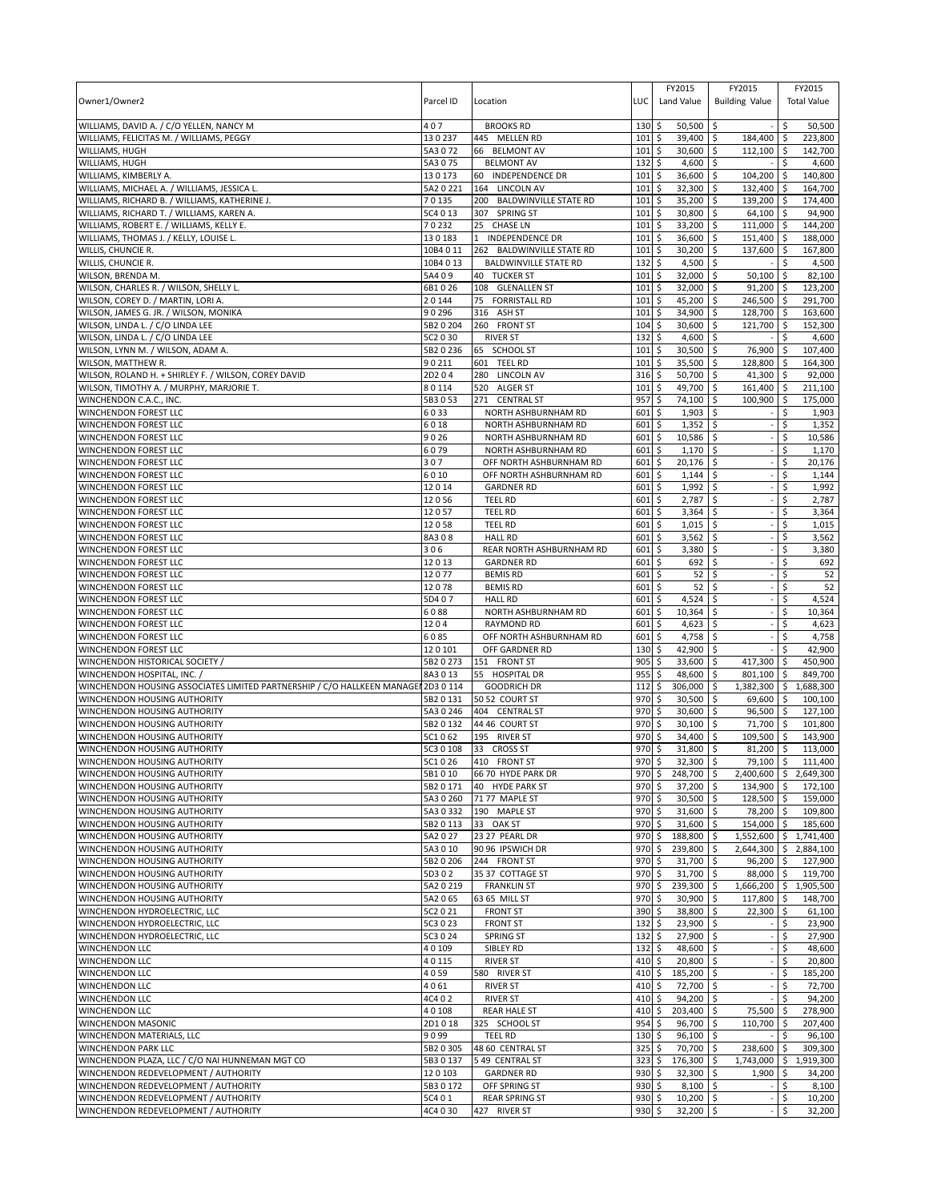| Owner1/Owner2                                                                                    | Parcel ID              | Location                                                  | LUC                | FY2015<br>Land Value                   | FY2015<br><b>Building Value</b> | FY2015<br><b>Total Value</b>           |  |
|--------------------------------------------------------------------------------------------------|------------------------|-----------------------------------------------------------|--------------------|----------------------------------------|---------------------------------|----------------------------------------|--|
| WILLIAMS, DAVID A. / C/O YELLEN, NANCY M                                                         | 407                    | <b>BROOKS RD</b>                                          | 130                | \$<br>$50,500$ \$                      |                                 | -\$<br>50,500                          |  |
| WILLIAMS, FELICITAS M. / WILLIAMS, PEGGY<br>WILLIAMS, HUGH                                       | 130237<br>5A3072       | 445 MELLEN RD<br>66 BELMONT AV                            | 101<br>101         | \$<br>39,400<br>30,600 \$<br>\$        | l\$<br>184,400<br>112,100       | 223,800<br><b>S</b><br>ا \$<br>142,700 |  |
| WILLIAMS, HUGH                                                                                   | 5A3075                 | <b>BELMONT AV</b>                                         | 132                | \$<br>4,600                            | \$                              | 4,600                                  |  |
| WILLIAMS, KIMBERLY A.                                                                            | 130173                 | 60 INDEPENDENCE DR                                        | 101                | 36,600<br>\$                           | 104,200<br>\$                   | 140,800<br>-\$                         |  |
| WILLIAMS, MICHAEL A. / WILLIAMS, JESSICA L.                                                      | 5A2 0 221              | 164 LINCOLN AV                                            | 101                | \$<br>32,300                           | \$<br>132,400                   | l\$<br>164,700                         |  |
| WILLIAMS, RICHARD B. / WILLIAMS, KATHERINE J.                                                    | 70135                  | 200 BALDWINVILLE STATE RD                                 | 101                | 35,200<br>\$                           | 139,200<br>\$                   | 174,400<br>\$ ا                        |  |
| WILLIAMS, RICHARD T. / WILLIAMS, KAREN A.                                                        | 5C4 0 13               | 307<br><b>SPRING ST</b>                                   | 101                | \$<br>30,800                           | \$<br>64,100                    | ۱\$<br>94,900                          |  |
| WILLIAMS, ROBERT E. / WILLIAMS, KELLY E.                                                         | 70232                  | 25<br><b>CHASE LN</b>                                     | 101                | \$<br>33,200                           | l\$<br>111,000                  | l \$<br>144,200                        |  |
| WILLIAMS, THOMAS J. / KELLY, LOUISE L.                                                           | 130183                 | <b>INDEPENDENCE DR</b><br>$\mathbf{1}$                    | 101                | \$<br>36,600                           | \$<br>151,400 \$                | 188,000<br>167.800                     |  |
| WILLIS, CHUNCIE R.<br>WILLIS, CHUNCIE R.                                                         | 10B4 0 11<br>10B4 0 13 | 262 BALDWINVILLE STATE RD<br><b>BALDWINVILLE STATE RD</b> | 101<br>132         | \$<br>30,200<br>\$<br>4,500            | \$<br>137,600<br>\$             | \$<br>4,500                            |  |
| WILSON, BRENDA M.                                                                                | 5A409                  | 40 TUCKER ST                                              | 101                | 32,000<br>\$                           | \$<br>50,100                    | 82,100<br>-\$                          |  |
| WILSON, CHARLES R. / WILSON, SHELLY L.                                                           | 6B1026                 | 108 GLENALLEN ST                                          | 101                | \$<br>32,000                           | 91,200<br>\$                    | 123,200<br>l\$                         |  |
| WILSON, COREY D. / MARTIN, LORI A.                                                               | 20144                  | 75 FORRISTALL RD                                          | 101                | \$<br>45,200 \$                        | 246,500 \$                      | 291,700                                |  |
| WILSON, JAMES G. JR. / WILSON, MONIKA                                                            | 90296                  | 316 ASH ST                                                | 101                | \$<br>34,900                           | \$<br>128,700                   | l \$<br>163,600                        |  |
| WILSON, LINDA L. / C/O LINDA LEE                                                                 | 5B2 0 204              | 260 FRONT ST                                              | 104                | \$<br>30,600                           | l\$<br>121,700                  | l\$<br>152,300                         |  |
| WILSON, LINDA L. / C/O LINDA LEE                                                                 | 5C2 0 30               | <b>RIVER ST</b>                                           | 132                | \$<br>4,600 \$                         |                                 | 4,600<br>Ŝ.                            |  |
| WILSON, LYNN M. / WILSON, ADAM A.                                                                | 5B20236                | 65 SCHOOL ST                                              | 101                | 30,500<br>\$                           | \$<br>76,900                    | \$<br>107,400                          |  |
| WILSON, MATTHEW R.                                                                               | 90211<br>2D204         | 601 TEEL RD<br>280 LINCOLN AV                             | 101<br>316         | \$<br>35,500<br>50,700<br>\$           | \$<br>128,800<br>l \$           | 164,300<br>-Ś<br>92,000                |  |
| WILSON, ROLAND H. + SHIRLEY F. / WILSON, COREY DAVID<br>WILSON, TIMOTHY A. / MURPHY, MARJORIE T. | 80114                  | 520 ALGER ST                                              | 101                | \$<br>49,700                           | $41,300$ \$<br>  \$<br>161,400  | 211,100<br>ا \$                        |  |
| WINCHENDON C.A.C., INC.                                                                          | 5B3053                 | 271 CENTRAL ST                                            | 957                | \$<br>74,100                           | \$<br>100,900                   | 175,000<br>-\$                         |  |
| WINCHENDON FOREST LLC                                                                            | 6033                   | NORTH ASHBURNHAM RD                                       | 601                | 1,903<br>\$                            | l\$                             | 1,903<br>\$.                           |  |
| <b>WINCHENDON FOREST LLC</b>                                                                     | 6018                   | NORTH ASHBURNHAM RD                                       | 601                | \$<br>1,352                            | l\$                             | \$<br>1,352                            |  |
| WINCHENDON FOREST LLC                                                                            | 9026                   | NORTH ASHBURNHAM RD                                       | 601                | \$<br>10,586                           | ∣\$                             | 10,586<br>\$                           |  |
| WINCHENDON FOREST LLC                                                                            | 6079                   | NORTH ASHBURNHAM RD                                       | 601                | \$<br>1,170                            | \$                              | Ś<br>1,170                             |  |
| WINCHENDON FOREST LLC                                                                            | 307                    | OFF NORTH ASHBURNHAM RD                                   | 601                | \$<br>20,176                           | \$                              | \$<br>20,176                           |  |
| <b>WINCHENDON FOREST LLC</b>                                                                     | 6010                   | OFF NORTH ASHBURNHAM RD                                   | 601                | 1,144<br>\$                            | \$                              | Ś<br>1,144                             |  |
| WINCHENDON FOREST LLC<br>WINCHENDON FOREST LLC                                                   | 12014<br>12056         | <b>GARDNER RD</b><br><b>TEEL RD</b>                       | 601<br>601         | \$<br>1,992<br>\$<br>2,787             | \$<br>\$                        | 1,992<br>\$<br>Ś<br>2,787              |  |
| <b>WINCHENDON FOREST LLC</b>                                                                     | 12057                  | <b>TEEL RD</b>                                            | 601                | 3,364<br>\$                            | Ŝ.                              | 3,364<br>Ś                             |  |
| WINCHENDON FOREST LLC                                                                            | 12058                  | <b>TEEL RD</b>                                            | 601                | \$<br>1,015                            | \$                              | 1,015<br>\$                            |  |
| <b>WINCHENDON FOREST LLC</b>                                                                     | 8A308                  | <b>HALL RD</b>                                            | 601                | \$<br>3,562                            | \$                              | \$<br>3,562                            |  |
| <b>WINCHENDON FOREST LLC</b>                                                                     | 306                    | REAR NORTH ASHBURNHAM RD                                  | 601                | \$<br>3,380                            | \$                              | Ś<br>3,380                             |  |
| WINCHENDON FOREST LLC                                                                            | 12013                  | <b>GARDNER RD</b>                                         | 601                | \$<br>692                              | \$                              | \$<br>692                              |  |
| <b>WINCHENDON FOREST LLC</b>                                                                     | 12077                  | <b>BEMIS RD</b>                                           | 601                | 52<br>\$                               | \$                              | \$<br>52                               |  |
| <b>WINCHENDON FOREST LLC</b>                                                                     | 12078                  | <b>BEMIS RD</b>                                           | 601                | \$<br>52                               | \$                              | 52<br>\$                               |  |
| WINCHENDON FOREST LLC<br><b>WINCHENDON FOREST LLC</b>                                            | 5D407<br>6088          | <b>HALL RD</b><br>NORTH ASHBURNHAM RD                     | 601<br>601         | \$<br>4,524<br>10,364<br>\$            | \$<br>Ŝ.                        | Ś<br>4,524<br>10,364<br>\$             |  |
| WINCHENDON FOREST LLC                                                                            | 1204                   | <b>RAYMOND RD</b>                                         | 601                | \$<br>4,623                            | \$                              | \$<br>4,623                            |  |
| WINCHENDON FOREST LLC                                                                            | 6085                   | OFF NORTH ASHBURNHAM RD                                   | 601                | \$<br>4,758                            | l\$                             | 4,758                                  |  |
| <b>WINCHENDON FOREST LLC</b>                                                                     | 120101                 | OFF GARDNER RD                                            | 130                | \$<br>42,900                           | l \$                            | Ŝ.<br>42,900                           |  |
| WINCHENDON HISTORICAL SOCIETY /                                                                  | 5B20273                | 151 FRONT ST                                              | 905                | \$<br>33,600 \$                        | 417,300                         | ۱\$<br>450,900                         |  |
| WINCHENDON HOSPITAL, INC. /                                                                      | 8A3013                 | 55 HOSPITAL DR                                            | 955                | \$<br>48,600                           | 801,100<br>۱\$                  | 849,700<br>l\$                         |  |
| WINCHENDON HOUSING ASSOCIATES LIMITED PARTNERSHIP / C/O HALLKEEN MANAGEN 2D3 0 114               |                        | <b>GOODRICH DR</b>                                        | 112                | \$<br>306,000                          | \$<br>1,382,300                 | \$<br>1,688,300                        |  |
| WINCHENDON HOUSING AUTHORITY                                                                     | 5B2 0 131              | 50 52 COURT ST                                            | 970<br>970         | \$<br>30,500<br>\$                     | 69,600<br>۱\$                   | ۱\$<br>100,100                         |  |
| WINCHENDON HOUSING AUTHORITY<br>WINCHENDON HOUSING AUTHORITY                                     | 5A3 0 246<br>5B2 0 132 | 404 CENTRAL ST<br>44 46 COURT ST                          | 970                | 30,600<br>\$<br>30,100                 | ۱\$<br>96,500<br>\$<br>71,700   | l \$<br>127,100<br>101,800<br>ا \$     |  |
| WINCHENDON HOUSING AUTHORITY                                                                     | 5C1062                 | 195 RIVER ST                                              | 970                | \$<br>34,400                           | \$<br>109,500                   | 143,900                                |  |
| WINCHENDON HOUSING AUTHORITY                                                                     | 5C3 0 108              | 33 CROSS ST                                               | 970                | \$<br>31,800                           | 81,200 \$<br>ا \$               | 113,000                                |  |
| WINCHENDON HOUSING AUTHORITY                                                                     | 5C1026                 | 410 FRONT ST                                              | 970S               | 32.300 \$                              | $79.100$ \$                     | 111.400                                |  |
| WINCHENDON HOUSING AUTHORITY                                                                     | 5B1010                 | 66 70 HYDE PARK DR                                        | $970 \;$ \$        | 248,700 \$                             |                                 | 2,400,600 \$ 2,649,300                 |  |
| WINCHENDON HOUSING AUTHORITY                                                                     | 5B2 0 171              | 40 HYDE PARK ST                                           | 970                | \$<br>37,200 \$                        | 134,900 \$                      | 172,100                                |  |
| WINCHENDON HOUSING AUTHORITY                                                                     | 5A3 0 260              | 71 77 MAPLE ST                                            | 970                | \$<br>$30,500$ \$                      | 128,500                         | l\$<br>159,000                         |  |
| WINCHENDON HOUSING AUTHORITY<br>WINCHENDON HOUSING AUTHORITY                                     | 5A3 0 332<br>5B2 0 113 | 190 MAPLE ST<br>33 OAK ST                                 | 970<br>970         | \$<br>31,600 \$<br>\$<br>31,600 \$     | 78,200 \$<br>154,000 \$         | 109,800<br>185,600                     |  |
| WINCHENDON HOUSING AUTHORITY                                                                     | 5A2027                 | 23 27 PEARL DR                                            | 970                | \$<br>188,800 \$                       | 1,552,600                       | 1,741,400<br>5                         |  |
| WINCHENDON HOUSING AUTHORITY                                                                     | 5A3 0 10               | 90 96 IPSWICH DR                                          | 970                | 239,800 \$<br>\$                       | 2,644,300 \$                    | 2,884,100                              |  |
| WINCHENDON HOUSING AUTHORITY                                                                     | 5B2 0 206              | 244 FRONT ST                                              | 970                | \$<br>31,700 \$                        | $96,200$ \$                     | 127,900                                |  |
| WINCHENDON HOUSING AUTHORITY                                                                     | 5D302                  | 35 37 COTTAGE ST                                          | 970                | \$<br>31,700 \$                        | 88,000 \$                       | 119,700                                |  |
| WINCHENDON HOUSING AUTHORITY                                                                     | 5A2 0 219              | <b>FRANKLIN ST</b>                                        | 970 \$             | 239,300 \$                             | 1,666,200 \$                    | 1,905,500                              |  |
| WINCHENDON HOUSING AUTHORITY                                                                     | 5A2 0 65               | 63 65 MILL ST                                             | 970                | \$<br>$30,900$ \$                      | 117,800                         | l \$<br>148,700                        |  |
| WINCHENDON HYDROELECTRIC, LLC                                                                    | 5C2 0 21               | <b>FRONT ST</b><br><b>FRONT ST</b>                        | 390 \$<br>132      | 38,800 \$<br>$\sqrt{5}$<br>$23,900$ \$ | $22,300$ \$                     | 61,100<br>\$                           |  |
| WINCHENDON HYDROELECTRIC, LLC<br>WINCHENDON HYDROELECTRIC, LLC                                   | 5C3 0 23<br>5C3 0 24   | <b>SPRING ST</b>                                          | $132 \,$ \$        | 27,900 \$                              |                                 | 23,900<br>\$<br>27,900                 |  |
| <b>WINCHENDON LLC</b>                                                                            | 40109                  | SIBLEY RD                                                 | $132 \div$         | 48,600 \$                              |                                 | \$<br>48,600                           |  |
| <b>WINCHENDON LLC</b>                                                                            | 40115                  | <b>RIVER ST</b>                                           | $410 \pm$          | 20,800 \$                              |                                 | \$<br>20,800                           |  |
| <b>WINCHENDON LLC</b>                                                                            | 4059                   | 580 RIVER ST                                              | 410                | \$<br>185,200 \$                       |                                 | 185,200<br>\$                          |  |
| <b>WINCHENDON LLC</b>                                                                            | 4061                   | <b>RIVER ST</b>                                           | 410 \$             | 72,700 \$                              |                                 | \$<br>72,700                           |  |
| <b>WINCHENDON LLC</b>                                                                            | 4C4 0 2                | <b>RIVER ST</b>                                           | 410S               | $94,200$ \$                            |                                 | \$<br>94,200                           |  |
| <b>WINCHENDON LLC</b>                                                                            | 40108                  | <b>REAR HALE ST</b>                                       | $410 \pm$          | 203,400 \$                             | 75,500 \$                       | 278,900                                |  |
| WINCHENDON MASONIC<br>WINCHENDON MATERIALS, LLC                                                  | 2D1018<br>9099         | 325 SCHOOL ST<br><b>TEEL RD</b>                           | 954<br>$130 \;$ \$ | \$<br>96,700 \$<br>$96,100$ \$         | 110,700                         | 207,400<br><b>S</b><br>96,100<br>-Ś    |  |
| <b>WINCHENDON PARK LLC</b>                                                                       | 5B2 0 305              | 48 60 CENTRAL ST                                          | $325$ \$           | 70,700 \$                              | 238,600                         | 309,300<br>l \$                        |  |
| WINCHENDON PLAZA, LLC / C/O NAI HUNNEMAN MGT CO                                                  | 5B3 0 137              | 5 49 CENTRAL ST                                           | 323                | \$<br>176,300 \$                       | 1,743,000                       | ۱\$<br>1,919,300                       |  |
| WINCHENDON REDEVELOPMENT / AUTHORITY                                                             | 120103                 | <b>GARDNER RD</b>                                         | 930                | \$<br>32,300                           | l\$<br>1,900                    | \$<br>34,200                           |  |
| WINCHENDON REDEVELOPMENT / AUTHORITY                                                             | 5B3 0 172              | OFF SPRING ST                                             | 930                | $8,100$ \$<br>\$                       |                                 | 8,100<br>\$                            |  |
| WINCHENDON REDEVELOPMENT / AUTHORITY                                                             | 5C4 0 1                | <b>REAR SPRING ST</b>                                     | $930$ \$           | $10,200$ \$                            |                                 | \$<br>10,200                           |  |
| WINCHENDON REDEVELOPMENT / AUTHORITY                                                             | 4C4 0 30               | 427 RIVER ST                                              | 930                | \$<br>32,200 \$                        |                                 | 32,200<br>\$                           |  |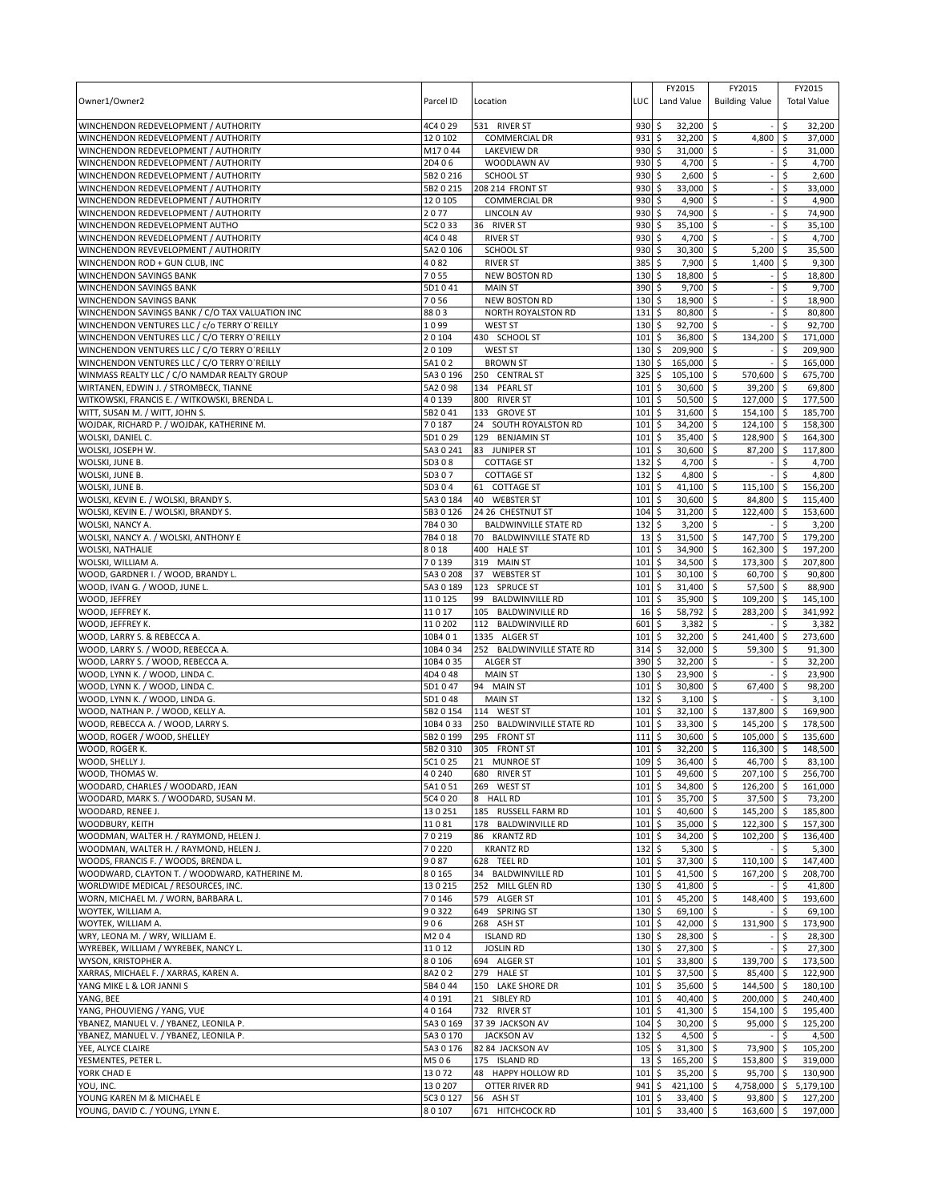| Owner1/Owner2                                                                                | Parcel ID           | Location                                         | LUC                | FY2015<br>Land Value                  | FY2015<br><b>Building Value</b><br>32,200 \$ |                                 |
|----------------------------------------------------------------------------------------------|---------------------|--------------------------------------------------|--------------------|---------------------------------------|----------------------------------------------|---------------------------------|
| WINCHENDON REDEVELOPMENT / AUTHORITY<br>WINCHENDON REDEVELOPMENT / AUTHORITY                 | 4C4 0 29<br>120102  | 531 RIVER ST<br><b>COMMERCIAL DR</b>             | 930<br>931         | \$<br>32,200<br>\$                    | l\$<br>4,800                                 | 32,200<br>\$<br>\$<br>37,000    |
| WINCHENDON REDEVELOPMENT / AUTHORITY                                                         | M17044              | <b>LAKEVIEW DR</b>                               | 930                | 31,000 \$<br>\$                       |                                              | \$<br>31,000                    |
| WINCHENDON REDEVELOPMENT / AUTHORITY                                                         | 2D406               | WOODLAWN AV                                      | 930                | \$<br>4,700                           | \$                                           | Ś<br>4,700                      |
| WINCHENDON REDEVELOPMENT / AUTHORITY                                                         | 5B2 0 216           | <b>SCHOOL ST</b>                                 | 930                | 2,600<br>\$                           | Ŝ.                                           | \$<br>2,600                     |
| WINCHENDON REDEVELOPMENT / AUTHORITY                                                         | 5B2 0 215           | 208 214 FRONT ST                                 | 930                | \$<br>33,000                          | \$                                           | \$<br>33,000                    |
| WINCHENDON REDEVELOPMENT / AUTHORITY                                                         | 120105              | <b>COMMERCIAL DR</b>                             | 930                | \$<br>4,900                           | \$                                           | 4,900<br>Ś                      |
| WINCHENDON REDEVELOPMENT / AUTHORITY<br>WINCHENDON REDEVELOPMENT AUTHO                       | 2077<br>5C2 0 33    | <b>LINCOLN AV</b><br>36 RIVER ST                 | 930<br>930         | \$<br>74,900<br>35,100<br>\$          | \$<br>Ŝ.                                     | Ś<br>74,900<br>35,100<br>\$     |
| WINCHENDON REVEDELOPMENT / AUTHORITY                                                         | 4C4 0 48            | <b>RIVER ST</b>                                  | 930                | \$<br>4,700                           | ۱\$                                          | 4,700<br>Ś                      |
| WINCHENDON REVEVELOPMENT / AUTHORITY                                                         | 5A2 0 106           | <b>SCHOOL ST</b>                                 | 930                | 30,300<br>\$                          | \$<br>5,200                                  | 35,500<br>\$                    |
| WINCHENDON ROD + GUN CLUB, INC                                                               | 4082                | <b>RIVER ST</b>                                  | 385                | \$<br>7,900                           | 1,400<br>\$                                  | \$<br>9,300                     |
| WINCHENDON SAVINGS BANK                                                                      | 7055                | <b>NEW BOSTON RD</b>                             | 130                | 18,800<br>\$                          | Ŝ.                                           | 18,800<br>\$                    |
| WINCHENDON SAVINGS BANK                                                                      | 5D1041              | <b>MAIN ST</b>                                   | 390                | \$<br>9,700                           | \$                                           | \$<br>9,700                     |
| WINCHENDON SAVINGS BANK                                                                      | 7056                | <b>NEW BOSTON RD</b>                             | 130                | \$<br>18,900 \$                       |                                              | 18,900<br>\$                    |
| WINCHENDON SAVINGS BANK / C/O TAX VALUATION INC                                              | 8803                | NORTH ROYALSTON RD                               | 131                | \$<br>80,800                          | l\$                                          | \$<br>80,800                    |
| WINCHENDON VENTURES LLC / c/o TERRY O`REILLY<br>WINCHENDON VENTURES LLC / C/O TERRY O'REILLY | 1099<br>20104       | <b>WEST ST</b><br>430 SCHOOL ST                  | 130<br>101         | \$<br>92,700 \$<br>\$<br>36,800 \$    | 134,200                                      | \$<br>92,700<br>l \$<br>171,000 |
| WINCHENDON VENTURES LLC / C/O TERRY O'REILLY                                                 | 20109               | <b>WEST ST</b>                                   | 130                | \$<br>209,900 \$                      |                                              | \$<br>209,900                   |
| WINCHENDON VENTURES LLC / C/O TERRY O'REILLY                                                 | 5A102               | <b>BROWN ST</b>                                  | 130                | \$<br>165,000 \$                      |                                              | Ŝ.<br>165,000                   |
| WINMASS REALTY LLC / C/O NAMDAR REALTY GROUP                                                 | 5A3 0 196           | 250 CENTRAL ST                                   | 325                | \$<br>$105,100$ \$                    | 570,600                                      | 675,700<br><b>S</b>             |
| WIRTANEN, EDWIN J. / STROMBECK, TIANNE                                                       | 5A2098              | 134 PEARL ST                                     | 101                | \$<br>30,600                          | \$<br>39,200                                 | 69,800<br>∣\$                   |
| WITKOWSKI, FRANCIS E. / WITKOWSKI, BRENDA L.                                                 | 40139               | 800 RIVER ST                                     | 101                | \$<br>50,500                          | \$<br>127,000                                | 177,500<br>∣\$                  |
| WITT, SUSAN M. / WITT, JOHN S.                                                               | 5B2041              | 133<br><b>GROVE ST</b>                           | 101                | \$<br>31,600                          | 154,100<br>∣\$                               | 185,700<br>l\$                  |
| WOJDAK, RICHARD P. / WOJDAK, KATHERINE M.                                                    | 70187               | 24<br>SOUTH ROYALSTON RD                         | 101                | \$<br>34,200                          | \$<br>124,100                                | l\$<br>158,300                  |
| WOLSKI, DANIEL C.<br>WOLSKI, JOSEPH W.                                                       | 5D1029<br>5A3 0 241 | 129 BENJAMIN ST<br>83<br><b>JUNIPER ST</b>       | 101<br>101         | \$<br>35,400                          | \$<br>128,900                                | 164,300<br>ا \$<br>S.           |
| WOLSKI, JUNE B.                                                                              | 5D308               | <b>COTTAGE ST</b>                                | 132                | \$<br>30,600<br>\$<br>4,700           | \$<br>87,200<br>\$                           | 117,800<br>\$<br>4,700          |
| WOLSKI, JUNE B.                                                                              | 5D307               | <b>COTTAGE ST</b>                                | 132                | \$<br>4,800                           | \$                                           | \$<br>4,800                     |
| WOLSKI, JUNE B.                                                                              | 5D304               | 61 COTTAGE ST                                    | 101                | \$<br>41,100                          | \$<br>115,100                                | 156,200<br>\$                   |
| WOLSKI, KEVIN E. / WOLSKI, BRANDY S.                                                         | 5A3 0 184           | 40 WEBSTER ST                                    | 101                | \$<br>30,600                          | \$<br>84,800                                 | \$<br>115,400                   |
| WOLSKI, KEVIN E. / WOLSKI, BRANDY S.                                                         | 5B3 0 126           | 24 26 CHESTNUT ST                                | 104                | 31,200<br>\$                          | \$<br>122,400                                | 153,600<br>۱\$                  |
| WOLSKI, NANCY A.                                                                             | 7B4030              | <b>BALDWINVILLE STATE RD</b>                     | 132                | \$<br>3,200                           | \$                                           | \$<br>3,200                     |
| WOLSKI, NANCY A. / WOLSKI, ANTHONY E                                                         | 7B4018              | 70 BALDWINVILLE STATE RD                         | 13                 | \$<br>31,500                          | 147,700<br>\$                                | 179,200<br>-\$                  |
| WOLSKI, NATHALIE                                                                             | 8018                | 400 HALE ST                                      | 101                | \$<br>34,900                          | \$<br>162,300                                | 197,200<br>۱\$                  |
| WOLSKI, WILLIAM A.<br>WOOD, GARDNER I. / WOOD, BRANDY L.                                     | 70139<br>5A3 0 208  | 319 MAIN ST<br><b>WEBSTER ST</b><br>37           | 101<br>101         | \$<br>34,500<br>\$<br>30,100          | \$<br>173,300<br>60,700 \$<br>\$             | 207,800<br>l \$<br>90,800       |
| WOOD, IVAN G. / WOOD, JUNE L.                                                                | 5A30189             | 123 SPRUCE ST                                    | 101                | \$<br>31,400                          | \$<br>57,500                                 | \$<br>88,900                    |
| WOOD, JEFFREY                                                                                | 110125              | 99<br><b>BALDWINVILLE RD</b>                     | 101                | \$<br>35,900                          | \$<br>109,200                                | -\$<br>145,100                  |
| WOOD, JEFFREY K.                                                                             | 11017               | 105 BALDWINVILLE RD                              | 16                 | 58,792<br>\$                          | 283,200<br>Ŝ.                                | 341,992<br>۱\$                  |
| WOOD, JEFFREY K.                                                                             | 110202              | 112 BALDWINVILLE RD                              | 601                | \$<br>3,382                           | \$                                           | \$<br>3,382                     |
| WOOD, LARRY S. & REBECCA A.                                                                  | 10B4 01             | 1335 ALGER ST                                    | 101                | \$<br>32,200                          | l\$<br>241,400                               | \$<br>273,600                   |
| WOOD, LARRY S. / WOOD, REBECCA A.                                                            | 10B4 0 34           | 252 BALDWINVILLE STATE RD                        | 314                | \$<br>32,000                          | \$<br>59,300                                 | l \$<br>91,300                  |
| WOOD, LARRY S. / WOOD, REBECCA A.                                                            | 10B4 0 35           | <b>ALGER ST</b>                                  | 390                | \$<br>32,200                          | l \$                                         | \$<br>32,200                    |
| WOOD, LYNN K. / WOOD, LINDA C.<br>WOOD, LYNN K. / WOOD, LINDA C.                             | 4D4048<br>5D1047    | <b>MAIN ST</b><br>94 MAIN ST                     | 130<br>101         | \$<br>23,900<br>\$<br>30,800          | l\$<br>\$<br>67,400                          | 23,900<br>Ŝ.<br>\$<br>98,200    |
| WOOD, LYNN K. / WOOD, LINDA G.                                                               | 5D1048              | <b>MAIN ST</b>                                   | 132                | \$<br>3,100                           | \$                                           | 3,100<br>Ŝ.                     |
| WOOD, NATHAN P. / WOOD, KELLY A.                                                             | 5B2 0 154           | 114<br><b>WEST ST</b>                            | 101                | \$<br>32,100                          | l\$<br>137,800                               | 169,900<br>l \$                 |
| WOOD, REBECCA A. / WOOD, LARRY S.                                                            | 10B4 0 33           | 250 BALDWINVILLE STATE RD                        | 101                | \$<br>33,300                          | \$<br>145,200                                | 178,500<br>ا \$                 |
| WOOD, ROGER / WOOD, SHELLEY                                                                  | 5B2 0 199           | 295 FRONT ST                                     | 111                | \$<br>30,600                          | \$<br>105.000                                | 135.600<br>-\$                  |
| WOOD, ROGER K.                                                                               | 5B2 0 310           | 305<br><b>FRONT ST</b>                           | 101                | \$<br>32,200                          | ا \$<br>116,300                              | l \$<br>148,500                 |
| WOOD, SHELLY J.                                                                              | 5C1 0 25            | 21 MUNROE ST                                     | 109S               | 36.400 \$                             | $46.700$ \$                                  | 83.100                          |
| WOOD, THOMAS W.<br>WOODARD, CHARLES / WOODARD, JEAN                                          | 40240<br>5A1051     | 680 RIVER ST<br>269 WEST ST                      | 101<br>101         | 49,600 \$<br>\$<br>\$<br>34,800 \$    | 207,100 \$<br>126,200 \$                     | 256,700<br>161,000              |
| WOODARD, MARK S. / WOODARD, SUSAN M.                                                         | 5C4 0 20            | 8 HALL RD                                        | 101                | \$<br>35,700 \$                       | 37,500                                       | l\$<br>73,200                   |
| WOODARD, RENEE J.                                                                            | 130251              | 185 RUSSELL FARM RD                              | 101                | \$<br>40,600 \$                       | 145,200 \$                                   | 185,800                         |
| WOODBURY, KEITH                                                                              | 11081               | 178 BALDWINVILLE RD                              | 101                | \$<br>35,000 \$                       | 122,300 \$                                   | 157,300                         |
| WOODMAN, WALTER H. / RAYMOND, HELEN J.                                                       | 70219               | 86 KRANTZ RD                                     | 101                | \$<br>34,200                          | l\$<br>102,200                               | <b>5</b><br>136,400             |
| WOODMAN, WALTER H. / RAYMOND, HELEN J.                                                       | 70220               | <b>KRANTZ RD</b>                                 | 132                | $5,300$ \$<br>\$                      |                                              | 5,300<br>\$                     |
| WOODS, FRANCIS F. / WOODS, BRENDA L.                                                         | 9087                | 628 TEEL RD                                      | 101                | \$<br>37,300 \$                       | 110,100                                      | $\sqrt{5}$<br>147,400           |
| WOODWARD, CLAYTON T. / WOODWARD, KATHERINE M.<br>WORLDWIDE MEDICAL / RESOURCES, INC.         | 80165<br>130215     | 34<br><b>BALDWINVILLE RD</b><br>252 MILL GLEN RD | 101<br>130         | \$<br>41,500 \$<br>\$<br>41,800 \$    | 167,200                                      | 208,700<br>l \$<br>\$<br>41,800 |
| WORN, MICHAEL M. / WORN, BARBARA L.                                                          | 70146               | 579 ALGER ST                                     | 101                | \$<br>45,200 \$                       | 148.400                                      | $\ddot{\varsigma}$<br>193,600   |
| WOYTEK, WILLIAM A.                                                                           | 90322               | 649 SPRING ST                                    | $130 \;$ \$        | 69,100 \$                             |                                              | 69,100<br>\$                    |
| WOYTEK, WILLIAM A.                                                                           | 906                 | 268 ASH ST                                       | 101                | \$<br>42,000 \$                       | 131,900                                      | $\ddot{\varsigma}$<br>173,900   |
| WRY, LEONA M. / WRY, WILLIAM E.                                                              | M204                | <b>ISLAND RD</b>                                 | $130 \;$ \$        | 28,300 \$                             |                                              | Ŝ.<br>28,300                    |
| WYREBEK, WILLIAM / WYREBEK, NANCY L.                                                         | 11012               | <b>JOSLIN RD</b>                                 | $130 \;$ \$        | 27,300 \$                             |                                              | \$<br>27,300                    |
| WYSON, KRISTOPHER A.                                                                         | 80106               | 694 ALGER ST                                     | 101                | \$<br>33,800 \$                       | 139,700                                      | ۱\$<br>173,500                  |
| XARRAS, MICHAEL F. / XARRAS, KAREN A.                                                        | 8A202               | 279 HALE ST                                      | 101                | \$<br>37,500 \$                       | 85,400 \$                                    | 122,900                         |
| YANG MIKE L & LOR JANNI S<br>YANG, BEE                                                       | 5B4 0 44<br>40191   | 150 LAKE SHORE DR<br>21 SIBLEY RD                | $101 \;$ \$<br>101 | 35,600 \$<br>$\ddot{s}$<br>40,400 \$  | 144,500 \$<br>200,000 \$                     | 180,100<br>240,400              |
| YANG, PHOUVIENG / YANG, VUE                                                                  | 40164               | 732 RIVER ST                                     | $101 \;$ \$        | 41,300 \$                             | 154,100 \$                                   | 195,400                         |
| YBANEZ, MANUEL V. / YBANEZ, LEONILA P.                                                       | 5A3 0 169           | 37 39 JACKSON AV                                 | 104                | \$<br>30,200 \$                       | 95,000                                       | $\sqrt{5}$<br>125,200           |
| YBANEZ, MANUEL V. / YBANEZ, LEONILA P.                                                       | 5A3 0 170           | <b>JACKSON AV</b>                                | 132                | \$<br>4,500 \$                        |                                              | 4,500<br>-\$                    |
| YEE, ALYCE CLAIRE                                                                            | 5A3 0 176           | 82 84 JACKSON AV                                 | $105$ \$           | $31,300$ \$                           | 73,900                                       | ۱\$<br>105,200                  |
| YESMENTES, PETER L.                                                                          | M506                | 175 ISLAND RD                                    | 13                 | 165,200 \$<br>\$                      | 153,800 \$                                   | 319,000                         |
| YORK CHAD E                                                                                  | 13072               | 48<br>HAPPY HOLLOW RD                            | 101                | \$<br>35,200                          | \$<br>95,700                                 | 130,900<br>\$                   |
| YOU, INC.<br>YOUNG KAREN M & MICHAEL E                                                       | 130207<br>5C3 0 127 | OTTER RIVER RD<br>56 ASH ST                      | 941<br>101         | \$<br>421,100 \$<br>\$<br>$33,400$ \$ | 4,758,000 \$<br>$93,800$ \$                  | 5,179,100<br>127,200            |
| YOUNG, DAVID C. / YOUNG, LYNN E.                                                             | 80107               | 671 HITCHCOCK RD                                 | $101 \;$ \$        | 33,400 \$                             | 163,600 \$                                   | 197,000                         |